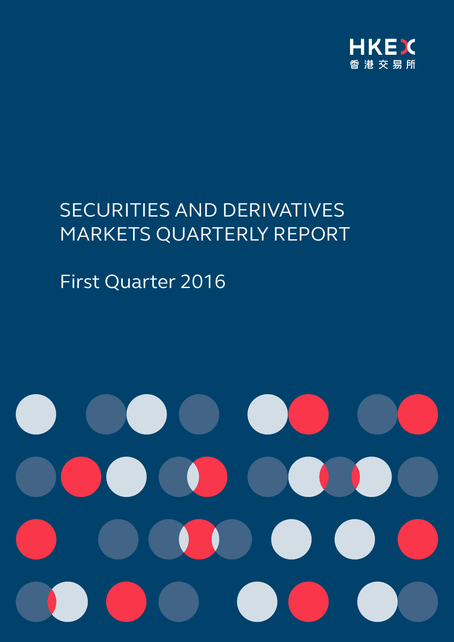

# SECURITIES AND DERIVATIVES MARKETS QUARTERLY REPORT

# First Quarter 2016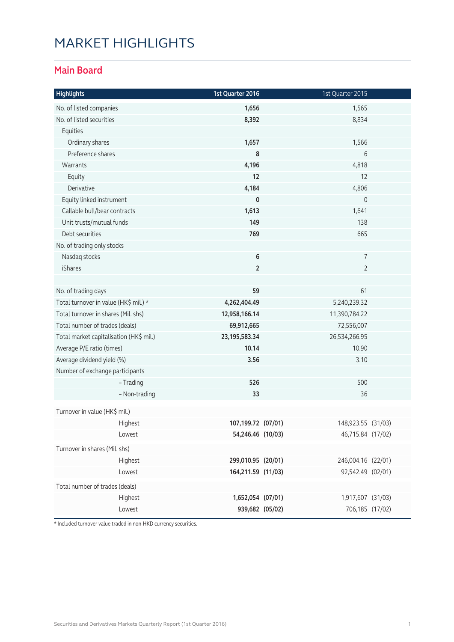### MARKET HIGHLIGHTS

#### **Main Board**

| <b>Highlights</b>                       | 1st Quarter 2016   | 1st Quarter 2015    |  |
|-----------------------------------------|--------------------|---------------------|--|
| No. of listed companies                 | 1,656              | 1,565               |  |
| No. of listed securities                | 8,392              | 8,834               |  |
| Equities                                |                    |                     |  |
| Ordinary shares                         | 1,657              | 1,566               |  |
| Preference shares                       | 8                  | 6                   |  |
| Warrants                                | 4,196              | 4,818               |  |
| Equity                                  | 12                 | 12                  |  |
| Derivative                              | 4,184              | 4,806               |  |
| Equity linked instrument                | $\mathbf 0$        | $\mathsf{O}\xspace$ |  |
| Callable bull/bear contracts            | 1,613              | 1,641               |  |
| Unit trusts/mutual funds                | 149                | 138                 |  |
| Debt securities                         | 769                | 665                 |  |
| No. of trading only stocks              |                    |                     |  |
| Nasdaq stocks                           | 6                  | 7                   |  |
| iShares                                 | $\mathbf 2$        | $\overline{2}$      |  |
|                                         |                    |                     |  |
| No. of trading days                     | 59                 | 61                  |  |
| Total turnover in value (HK\$ mil.) *   | 4,262,404.49       | 5,240,239.32        |  |
| Total turnover in shares (Mil. shs)     | 12,958,166.14      | 11,390,784.22       |  |
| Total number of trades (deals)          | 69,912,665         | 72,556,007          |  |
| Total market capitalisation (HK\$ mil.) | 23, 195, 583. 34   | 26,534,266.95       |  |
| Average P/E ratio (times)               | 10.14              | 10.90               |  |
| Average dividend yield (%)              | 3.56               | 3.10                |  |
| Number of exchange participants         |                    |                     |  |
| - Trading                               | 526                | 500                 |  |
| - Non-trading                           | 33                 | 36                  |  |
| Turnover in value (HK\$ mil.)           |                    |                     |  |
| Highest                                 | 107,199.72 (07/01) | 148,923.55 (31/03)  |  |
| Lowest                                  | 54,246.46 (10/03)  | 46,715.84 (17/02)   |  |
| Turnover in shares (Mil. shs)           |                    |                     |  |
| Highest                                 | 299,010.95 (20/01) | 246,004.16 (22/01)  |  |
| Lowest                                  | 164,211.59 (11/03) | 92,542.49 (02/01)   |  |
| Total number of trades (deals)          |                    |                     |  |
| Highest                                 | 1,652,054 (07/01)  | 1,917,607 (31/03)   |  |
| Lowest                                  | 939,682 (05/02)    | 706,185 (17/02)     |  |

\* Included turnover value traded in non-HKD currency securities.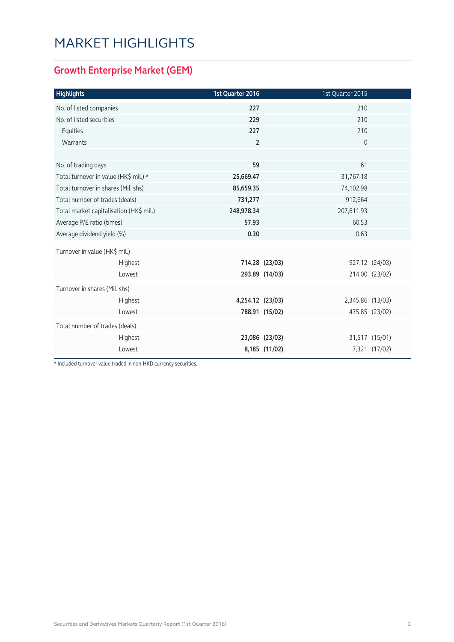### MARKET HIGHLIGHTS

#### **Growth Enterprise Market (GEM)**

| <b>Highlights</b>                       | 1st Quarter 2016 |                | 1st Quarter 2015 |                |
|-----------------------------------------|------------------|----------------|------------------|----------------|
| No. of listed companies                 | 227              |                | 210              |                |
| No. of listed securities                | 229              |                | 210              |                |
| Equities                                | 227              |                | 210              |                |
| Warrants                                | $\overline{2}$   |                | $\mathbf 0$      |                |
|                                         |                  |                |                  |                |
| No. of trading days                     | 59               |                | 61               |                |
| Total turnover in value (HK\$ mil.) *   | 25,669.47        |                | 31,767.18        |                |
| Total turnover in shares (Mil. shs)     | 85,659.35        |                | 74,102.98        |                |
| Total number of trades (deals)          | 731,277          |                | 912,664          |                |
| Total market capitalisation (HK\$ mil.) | 248,978.34       |                | 207,611.93       |                |
| Average P/E ratio (times)               | 57.93            |                | 60.53            |                |
| Average dividend yield (%)              | 0.30             |                | 0.63             |                |
| Turnover in value (HK\$ mil.)           |                  |                |                  |                |
| Highest                                 |                  | 714.28 (23/03) |                  | 927.12 (24/03) |
| Lowest                                  |                  | 293.89 (14/03) |                  | 214.00 (23/02) |
| Turnover in shares (Mil. shs)           |                  |                |                  |                |
| Highest                                 | 4,254.12 (23/03) |                | 2,345.86 (13/03) |                |
| Lowest                                  |                  | 788.91 (15/02) |                  | 475.85 (23/02) |
| Total number of trades (deals)          |                  |                |                  |                |
| Highest                                 |                  | 23,086 (23/03) |                  | 31,517 (15/01) |
| Lowest                                  |                  | 8,185 (11/02)  |                  | 7,321 (17/02)  |

\* Included turnover value traded in non-HKD currency securities.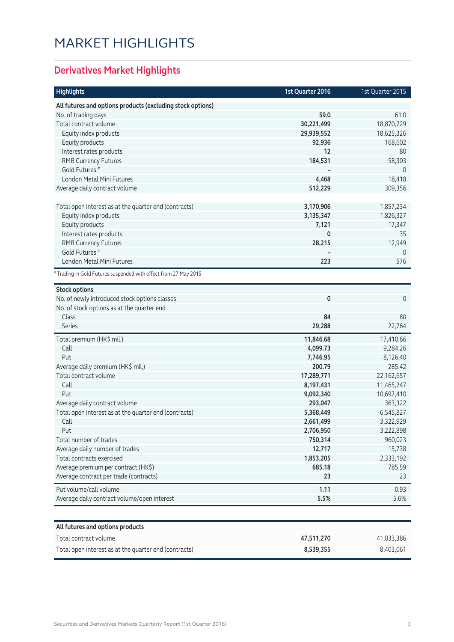## MARKET HIGHLIGHTS

### **Derivatives Market Highlights**

| <b>Highlights</b>                                                | 1st Quarter 2016 | 1st Quarter 2015 |
|------------------------------------------------------------------|------------------|------------------|
| All futures and options products (excluding stock options)       |                  |                  |
| No. of trading days                                              | 59.0             | 61.0             |
| Total contract volume                                            | 30,221,499       | 18,870,729       |
| Equity index products                                            | 29,939,552       | 18,625,326       |
| Equity products                                                  | 92,936           | 168,602          |
| Interest rates products                                          | 12               | 80               |
| <b>RMB Currency Futures</b>                                      | 184,531          | 58,303           |
| Gold Futures <sup>#</sup>                                        |                  | $\mathbf{0}$     |
| London Metal Mini Futures                                        | 4,468            | 18,418           |
| Average daily contract volume                                    | 512,229          | 309,356          |
|                                                                  |                  |                  |
| Total open interest as at the quarter end (contracts)            | 3,170,906        | 1,857,234        |
| Equity index products                                            | 3,135,347        | 1,826,327        |
| Equity products                                                  | 7,121            | 17,347           |
| Interest rates products                                          | 0                | 35               |
| <b>RMB Currency Futures</b>                                      | 28,215           | 12,949           |
| Gold Futures <sup>#</sup>                                        |                  | $\mathbf 0$      |
| London Metal Mini Futures                                        | 223              | 576              |
| # Trading in Gold Futures suspended with effect from 27 May 2015 |                  |                  |
| <b>Stock options</b>                                             |                  |                  |
| No. of newly introduced stock options classes                    | 0                | $\overline{0}$   |
| No. of stock options as at the quarter end                       |                  |                  |
| Class                                                            | 84               | 80               |
| <b>Series</b>                                                    | 29,288           | 22,764           |
| Total premium (HK\$ mil.)                                        | 11,846.68        | 17,410.66        |
| Call                                                             | 4,099.73         | 9,284.26         |
| Put                                                              | 7,746.95         | 8,126.40         |
| Average daily premium (HK\$ mil.)                                | 200.79           | 285.42           |
| Total contract volume                                            | 17,289,771       | 22,162,657       |
| Call                                                             | 8,197,431        | 11,465,247       |
| Put                                                              | 9,092,340        | 10,697,410       |
| Average daily contract volume                                    | 293,047          | 363,322          |
| Total open interest as at the quarter end (contracts)            | 5,368,449        | 6,545,827        |
| Call                                                             | 2,661,499        | 3,322,929        |
| Put                                                              | 2,706,950        | 3,222,898        |
| Total number of trades                                           | 750,314          | 960,023          |
| Average daily number of trades                                   | 12,717           | 15,738           |
| Total contracts exercised                                        | 1,853,205        | 2,333,192        |
| Average premium per contract (HK\$)                              | 685.18           | 785.59           |
| Average contract per trade (contracts)                           | 23               | 23               |
| Put volume/call volume                                           | 1.11             | 0.93             |
| Average daily contract volume/open interest                      | 5.5%             | 5.6%             |
|                                                                  |                  |                  |
| All futures and options products                                 |                  |                  |
| Total contract volume                                            | 47,511,270       | 41,033,386       |
| Total open interest as at the quarter end (contracts)            | 8,539,355        | 8,403,061        |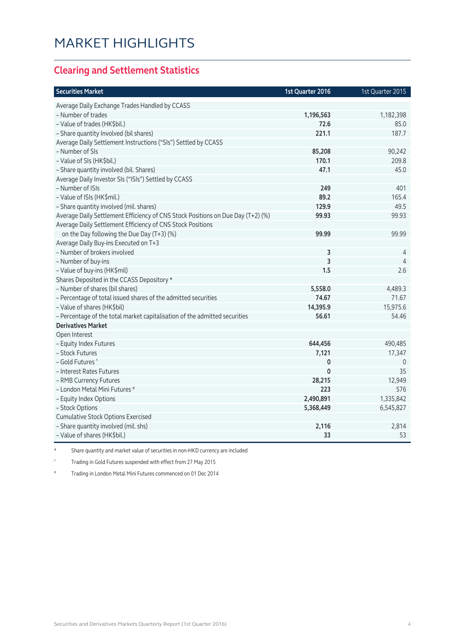#### **Clearing and Settlement Statistics**

| <b>Securities Market</b>                                                        | 1st Quarter 2016 | 1st Quarter 2015 |
|---------------------------------------------------------------------------------|------------------|------------------|
| Average Daily Exchange Trades Handled by CCASS                                  |                  |                  |
| - Number of trades                                                              | 1,196,563        | 1,182,398        |
| - Value of trades (HK\$bil.)                                                    | 72.6             | 85.0             |
| - Share quantity Involved (bil shares)                                          | 221.1            | 187.7            |
| Average Daily Settlement Instructions ("SIs") Settled by CCASS                  |                  |                  |
| - Number of SIs                                                                 | 85,208           | 90,242           |
| - Value of SIs (HK\$bil.)                                                       | 170.1            | 209.8            |
| - Share quantity involved (bil. Shares)                                         | 47.1             | 45.0             |
| Average Daily Investor SIs ("ISIs") Settled by CCASS                            |                  |                  |
| - Number of ISIs                                                                | 249              | 401              |
| - Value of ISIs (HK\$mil.)                                                      | 89.2             | 165.4            |
| - Share quantity involved (mil. shares)                                         | 129.9            | 49.5             |
| Average Daily Settlement Efficiency of CNS Stock Positions on Due Day (T+2) (%) | 99.93            | 99.93            |
| Average Daily Settlement Efficiency of CNS Stock Positions                      |                  |                  |
| on the Day following the Due Day (T+3) (%)                                      | 99.99            | 99.99            |
| Average Daily Buy-ins Executed on T+3                                           |                  |                  |
| - Number of brokers involved                                                    | 3                | 4                |
| - Number of buy-ins                                                             | 3                | $\overline{4}$   |
| - Value of buy-ins (HK\$mil)                                                    | 1.5              | 2.6              |
| Shares Deposited in the CCASS Depository *                                      |                  |                  |
| - Number of shares (bil shares)                                                 | 5,558.0          | 4,489.3          |
| - Percentage of total issued shares of the admitted securities                  | 74.67            | 71.67            |
| - Value of shares (HK\$bil)                                                     | 14,395.9         | 15,975.6         |
| - Percentage of the total market capitalisation of the admitted securities      | 56.61            | 54.46            |
| <b>Derivatives Market</b>                                                       |                  |                  |
| Open Interest                                                                   |                  |                  |
| - Equity Index Futures                                                          | 644,456          | 490,485          |
| - Stock Futures                                                                 | 7,121            | 17,347           |
| - Gold Futures ^                                                                | 0                | $\mathbf 0$      |
| - Interest Rates Futures                                                        | $\mathbf{0}$     | 35               |
| - RMB Currency Futures                                                          | 28,215           | 12,949           |
| - London Metal Mini Futures #                                                   | 223              | 576              |
| - Equity Index Options                                                          | 2,490,891        | 1,335,842        |
| - Stock Options                                                                 | 5,368,449        | 6,545,827        |
| <b>Cumulative Stock Options Exercised</b>                                       |                  |                  |
| - Share quantity involved (mil. shs)                                            | 2,116            | 2,814            |
| - Value of shares (HK\$bil.)                                                    | 33               | 53               |

\* Share quantity and market value of securities in non-HKD currency are included

^ Trading in Gold Futures suspended with effect from 27 May 2015

# Trading in London Metal Mini Futures commenced on 01 Dec 2014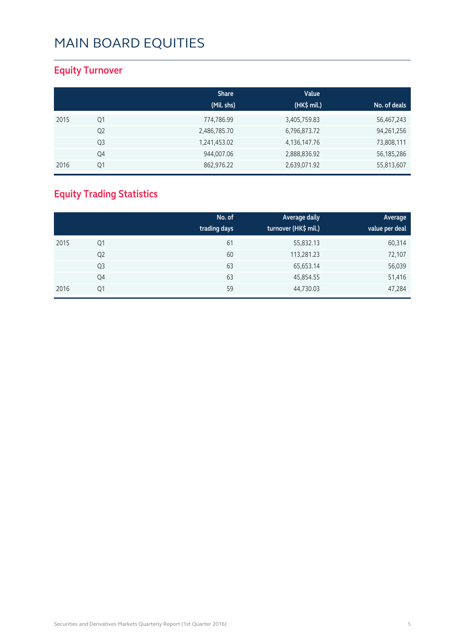#### **Equity Turnover**

|      |                | <b>Share</b><br>(Mil. shs) | Value<br>(HK\$ mil.) | No. of deals |
|------|----------------|----------------------------|----------------------|--------------|
| 2015 | Q1             | 774,786.99                 | 3,405,759.83         | 56,467,243   |
|      | Q <sub>2</sub> | 2,486,785.70               | 6,796,873.72         | 94,261,256   |
|      | Q <sub>3</sub> | 1,241,453.02               | 4,136,147.76         | 73,808,111   |
|      | Q4             | 944,007.06                 | 2,888,836.92         | 56, 185, 286 |
| 2016 | Q1             | 862,976.22                 | 2,639,071.92         | 55,813,607   |

### **Equity Trading Statistics**

|      |                | No. of<br>trading days | Average daily<br>turnover (HK\$ mil.) | Average<br>value per deal |
|------|----------------|------------------------|---------------------------------------|---------------------------|
| 2015 | Q1             | 61                     | 55,832.13                             | 60,314                    |
|      | Q <sub>2</sub> | 60                     | 113,281.23                            | 72,107                    |
|      | Q <sub>3</sub> | 63                     | 65,653.14                             | 56,039                    |
|      | Q4             | 63                     | 45,854.55                             | 51,416                    |
| 2016 | Q1             | 59                     | 44,730.03                             | 47,284                    |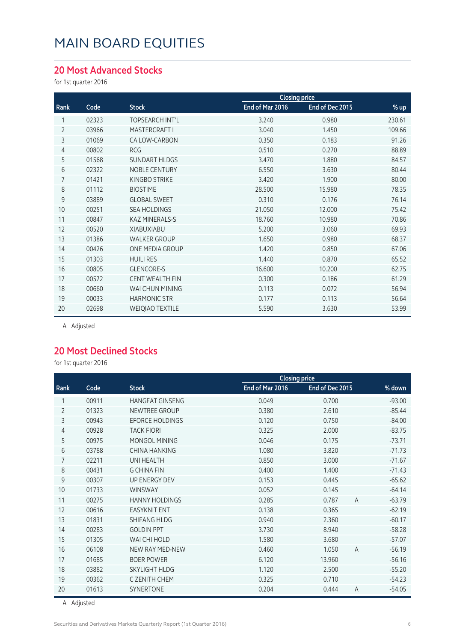#### **20 Most Advanced Stocks**

for 1st quarter 2016

|                |       |                        | <b>Closing price</b> |                 |        |
|----------------|-------|------------------------|----------------------|-----------------|--------|
| Rank           | Code  | <b>Stock</b>           | End of Mar 2016      | End of Dec 2015 | % up   |
|                | 02323 | TOPSEARCH INT'L        | 3.240                | 0.980           | 230.61 |
| 2              | 03966 | MASTERCRAFT I          | 3.040                | 1.450           | 109.66 |
| 3              | 01069 | CA LOW-CARBON          | 0.350                | 0.183           | 91.26  |
| $\overline{4}$ | 00802 | <b>RCG</b>             | 0.510                | 0.270           | 88.89  |
| 5              | 01568 | <b>SUNDART HLDGS</b>   | 3.470                | 1.880           | 84.57  |
| 6              | 02322 | <b>NOBLE CENTURY</b>   | 6.550                | 3.630           | 80.44  |
| 7              | 01421 | KINGBO STRIKE          | 3.420                | 1.900           | 80.00  |
| 8              | 01112 | <b>BIOSTIME</b>        | 28.500               | 15.980          | 78.35  |
| 9              | 03889 | <b>GLOBAL SWEET</b>    | 0.310                | 0.176           | 76.14  |
| 10             | 00251 | <b>SEA HOLDINGS</b>    | 21.050               | 12.000          | 75.42  |
| 11             | 00847 | <b>KAZ MINERALS-S</b>  | 18.760               | 10.980          | 70.86  |
| 12             | 00520 | XIABUXIABU             | 5.200                | 3.060           | 69.93  |
| 13             | 01386 | <b>WALKER GROUP</b>    | 1.650                | 0.980           | 68.37  |
| 14             | 00426 | ONE MEDIA GROUP        | 1.420                | 0.850           | 67.06  |
| 15             | 01303 | <b>HUILI RES</b>       | 1.440                | 0.870           | 65.52  |
| 16             | 00805 | <b>GLENCORE-S</b>      | 16.600               | 10.200          | 62.75  |
| 17             | 00572 | <b>CENT WEALTH FIN</b> | 0.300                | 0.186           | 61.29  |
| 18             | 00660 | WAI CHUN MINING        | 0.113                | 0.072           | 56.94  |
| 19             | 00033 | <b>HARMONIC STR</b>    | 0.177                | 0.113           | 56.64  |
| 20             | 02698 | <b>WEIQIAO TEXTILE</b> | 5.590                | 3.630           | 53.99  |

A Adjusted

#### **20 Most Declined Stocks**

for 1st quarter 2016

|                |       |                        |                 | <b>Closing price</b> |                |          |
|----------------|-------|------------------------|-----------------|----------------------|----------------|----------|
| Rank           | Code  | <b>Stock</b>           | End of Mar 2016 | End of Dec 2015      |                | % down   |
| 1              | 00911 | <b>HANGFAT GINSENG</b> | 0.049           | 0.700                |                | $-93.00$ |
| $\overline{2}$ | 01323 | <b>NEWTREE GROUP</b>   | 0.380           | 2.610                |                | $-85.44$ |
| 3              | 00943 | <b>EFORCE HOLDINGS</b> | 0.120           | 0.750                |                | $-84.00$ |
| 4              | 00928 | <b>TACK FIORI</b>      | 0.325           | 2.000                |                | $-83.75$ |
| 5              | 00975 | MONGOL MINING          | 0.046           | 0.175                |                | $-73.71$ |
| 6              | 03788 | <b>CHINA HANKING</b>   | 1.080           | 3.820                |                | $-71.73$ |
| 7              | 02211 | <b>UNI HEALTH</b>      | 0.850           | 3.000                |                | $-71.67$ |
| 8              | 00431 | <b>G CHINA FIN</b>     | 0.400           | 1.400                |                | $-71.43$ |
| 9              | 00307 | <b>UP ENERGY DEV</b>   | 0.153           | 0.445                |                | $-65.62$ |
| 10             | 01733 | <b>WINSWAY</b>         | 0.052           | 0.145                |                | $-64.14$ |
| 11             | 00275 | <b>HANNY HOLDINGS</b>  | 0.285           | 0.787                | $\overline{A}$ | $-63.79$ |
| 12             | 00616 | <b>EASYKNIT ENT</b>    | 0.138           | 0.365                |                | $-62.19$ |
| 13             | 01831 | <b>SHIFANG HLDG</b>    | 0.940           | 2.360                |                | $-60.17$ |
| 14             | 00283 | <b>GOLDIN PPT</b>      | 3.730           | 8.940                |                | $-58.28$ |
| 15             | 01305 | WAI CHI HOLD           | 1.580           | 3.680                |                | $-57.07$ |
| 16             | 06108 | NEW RAY MED-NEW        | 0.460           | 1.050                | $\overline{A}$ | $-56.19$ |
| 17             | 01685 | <b>BOER POWER</b>      | 6.120           | 13.960               |                | $-56.16$ |
| 18             | 03882 | <b>SKYLIGHT HLDG</b>   | 1.120           | 2.500                |                | $-55.20$ |
| 19             | 00362 | C ZENITH CHEM          | 0.325           | 0.710                |                | $-54.23$ |
| 20             | 01613 | <b>SYNERTONE</b>       | 0.204           | 0.444                | $\overline{A}$ | $-54.05$ |

A Adjusted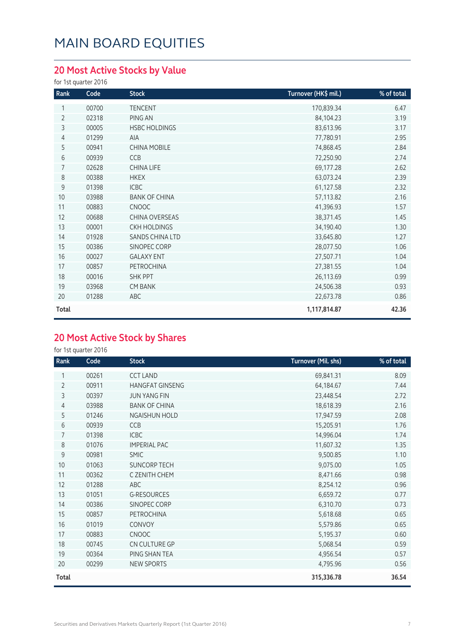### **20 Most Active Stocks by Value**

for 1st quarter 2016

| Rank           | Code  | <b>Stock</b>         | Turnover (HK\$ mil.) | % of total |
|----------------|-------|----------------------|----------------------|------------|
| 1              | 00700 | <b>TENCENT</b>       | 170,839.34           | 6.47       |
| $\overline{2}$ | 02318 | PING AN              | 84,104.23            | 3.19       |
| 3              | 00005 | <b>HSBC HOLDINGS</b> | 83,613.96            | 3.17       |
| 4              | 01299 | <b>AIA</b>           | 77,780.91            | 2.95       |
| 5              | 00941 | <b>CHINA MOBILE</b>  | 74,868.45            | 2.84       |
| 6              | 00939 | CCB                  | 72,250.90            | 2.74       |
| $\overline{7}$ | 02628 | CHINA LIFE           | 69,177.28            | 2.62       |
| 8              | 00388 | <b>HKEX</b>          | 63,073.24            | 2.39       |
| 9              | 01398 | ICBC                 | 61,127.58            | 2.32       |
| 10             | 03988 | <b>BANK OF CHINA</b> | 57,113.82            | 2.16       |
| 11             | 00883 | <b>CNOOC</b>         | 41,396.93            | 1.57       |
| 12             | 00688 | CHINA OVERSEAS       | 38,371.45            | 1.45       |
| 13             | 00001 | <b>CKH HOLDINGS</b>  | 34,190.40            | 1.30       |
| 14             | 01928 | SANDS CHINA LTD      | 33,645.80            | 1.27       |
| 15             | 00386 | SINOPEC CORP         | 28,077.50            | 1.06       |
| 16             | 00027 | <b>GALAXY ENT</b>    | 27,507.71            | 1.04       |
| 17             | 00857 | PETROCHINA           | 27,381.55            | 1.04       |
| 18             | 00016 | <b>SHK PPT</b>       | 26,113.69            | 0.99       |
| 19             | 03968 | <b>CM BANK</b>       | 24,506.38            | 0.93       |
| 20             | 01288 | ABC                  | 22,673.78            | 0.86       |
| Total          |       |                      | 1,117,814.87         | 42.36      |

#### **20 Most Active Stock by Shares**

| Rank           | Code  | <b>Stock</b>           | Turnover (Mil. shs) | % of total |
|----------------|-------|------------------------|---------------------|------------|
|                | 00261 | <b>CCT LAND</b>        | 69,841.31           | 8.09       |
| $\overline{2}$ | 00911 | <b>HANGFAT GINSENG</b> | 64,184.67           | 7.44       |
| 3              | 00397 | <b>JUN YANG FIN</b>    | 23,448.54           | 2.72       |
| 4              | 03988 | <b>BANK OF CHINA</b>   | 18,618.39           | 2.16       |
| 5              | 01246 | <b>NGAISHUN HOLD</b>   | 17,947.59           | 2.08       |
| 6              | 00939 | CCB                    | 15,205.91           | 1.76       |
| 7              | 01398 | <b>ICBC</b>            | 14,996.04           | 1.74       |
| 8              | 01076 | <b>IMPERIAL PAC</b>    | 11,607.32           | 1.35       |
| 9              | 00981 | <b>SMIC</b>            | 9,500.85            | 1.10       |
| 10             | 01063 | <b>SUNCORP TECH</b>    | 9,075.00            | 1.05       |
| 11             | 00362 | C ZENITH CHEM          | 8,471.66            | 0.98       |
| 12             | 01288 | ABC                    | 8,254.12            | 0.96       |
| 13             | 01051 | <b>G-RESOURCES</b>     | 6,659.72            | 0.77       |
| 14             | 00386 | SINOPEC CORP           | 6,310.70            | 0.73       |
| 15             | 00857 | <b>PETROCHINA</b>      | 5,618.68            | 0.65       |
| 16             | 01019 | CONVOY                 | 5,579.86            | 0.65       |
| 17             | 00883 | <b>CNOOC</b>           | 5,195.37            | 0.60       |
| 18             | 00745 | CN CULTURE GP          | 5,068.54            | 0.59       |
| 19             | 00364 | PING SHAN TEA          | 4,956.54            | 0.57       |
| 20             | 00299 | NEW SPORTS             | 4,795.96            | 0.56       |
| Total          |       |                        | 315,336.78          | 36.54      |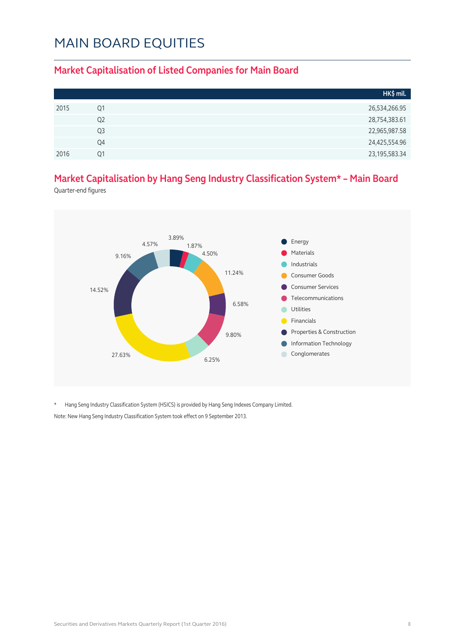#### **Market Capitalisation of Listed Companies for Main Board**

|      |    | HK\$ mil.        |
|------|----|------------------|
| 2015 | Q1 | 26,534,266.95    |
|      | Q2 | 28,754,383.61    |
|      | Q3 | 22,965,987.58    |
|      | Q4 | 24,425,554.96    |
| 2016 | Ο1 | 23, 195, 583. 34 |

#### **Market Capitalisation by Hang Seng Industry Classification System\* – Main Board**

Quarter-end figures



\* Hang Seng Industry Classification System (HSICS) is provided by Hang Seng Indexes Company Limited. Note: New Hang Seng Industry Classification System took effect on 9 September 2013.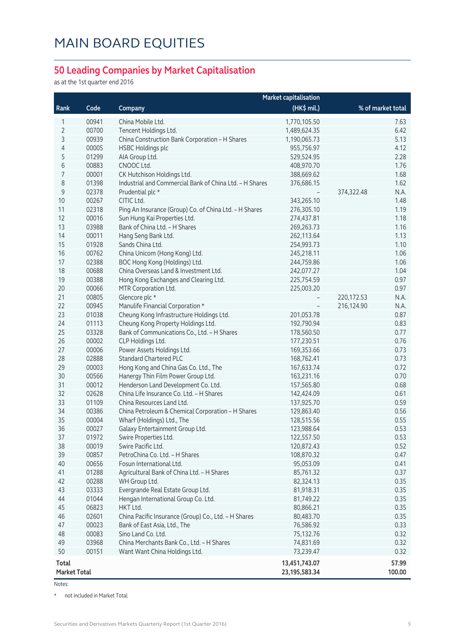#### **50 Leading Companies by Market Capitalisation**

as at the 1st quarter end 2016

|                     |       |                                                         | <b>Market capitalisation</b> |                     |
|---------------------|-------|---------------------------------------------------------|------------------------------|---------------------|
| Rank                | Code  | Company                                                 | (HK\$ mil.)                  | % of market total   |
| 1                   | 00941 | China Mobile Ltd.                                       | 1,770,105.50                 | 7.63                |
| 2                   | 00700 | Tencent Holdings Ltd.                                   | 1,489,624.35                 | 6.42                |
| 3                   | 00939 | China Construction Bank Corporation - H Shares          | 1,190,065.73                 | 5.13                |
| 4                   | 00005 | <b>HSBC Holdings plc</b>                                | 955,756.97                   | 4.12                |
| 5                   | 01299 | AIA Group Ltd.                                          | 529,524.95                   | 2.28                |
| 6                   | 00883 | CNOOC Ltd.                                              | 408,970.70                   | 1.76                |
| 7                   | 00001 | CK Hutchison Holdings Ltd.                              | 388,669.62                   | 1.68                |
| 8                   | 01398 | Industrial and Commercial Bank of China Ltd. - H Shares | 376,686.15                   | 1.62                |
| $\mathsf 9$         | 02378 | Prudential plc *                                        |                              | 374,322.48<br>N.A.  |
| 10                  | 00267 | CITIC Ltd.                                              | 343,265.10                   | 1.48                |
| 11                  | 02318 | Ping An Insurance (Group) Co. of China Ltd. - H Shares  | 276,305.10                   | 1.19                |
| 12                  | 00016 | Sun Hung Kai Properties Ltd.                            | 274,437.81                   | 1.18                |
| 13                  | 03988 | Bank of China Ltd. - H Shares                           | 269,263.73                   | 1.16                |
| 14                  | 00011 | Hang Seng Bank Ltd.                                     | 262,113.64                   | 1.13                |
| 15                  | 01928 | Sands China Ltd.                                        | 254,993.73                   | 1.10                |
| 16                  | 00762 | China Unicom (Hong Kong) Ltd.                           | 245,218.11                   | 1.06                |
| 17                  | 02388 | BOC Hong Kong (Holdings) Ltd.                           | 244,759.86                   | 1.06                |
| 18                  | 00688 | China Overseas Land & Investment Ltd.                   | 242,077.27                   | 1.04                |
| 19                  | 00388 | Hong Kong Exchanges and Clearing Ltd.                   | 225,754.59                   | 0.97                |
| 20                  | 00066 | MTR Corporation Ltd.                                    | 225,003.20                   | 0.97                |
| 21                  | 00805 | Glencore plc *                                          |                              | N.A.<br>220, 172.53 |
| 22                  | 00945 | Manulife Financial Corporation *                        |                              | 216,124.90<br>N.A.  |
| 23                  | 01038 | Cheung Kong Infrastructure Holdings Ltd.                | 201,053.78                   | 0.87                |
| 24                  | 01113 | Cheung Kong Property Holdings Ltd.                      | 192,790.94                   | 0.83                |
| 25                  | 03328 | Bank of Communications Co., Ltd. - H Shares             | 178,560.50                   | 0.77                |
| 26                  | 00002 | CLP Holdings Ltd.                                       | 177,230.51                   | 0.76                |
| 27                  | 00006 | Power Assets Holdings Ltd.                              | 169,353.66                   | 0.73                |
| 28                  | 02888 | <b>Standard Chartered PLC</b>                           | 168,762.41                   | 0.73                |
| 29                  | 00003 | Hong Kong and China Gas Co. Ltd., The                   | 167,633.74                   | 0.72                |
| 30                  | 00566 | Hanergy Thin Film Power Group Ltd.                      | 163,231.16                   | 0.70                |
| 31                  | 00012 | Henderson Land Development Co. Ltd.                     | 157,565.80                   | 0.68                |
| 32                  | 02628 | China Life Insurance Co. Ltd. - H Shares                | 142,424.09                   | 0.61                |
| 33                  | 01109 | China Resources Land Ltd.                               | 137,925.70                   | 0.59                |
| 34                  | 00386 | China Petroleum & Chemical Corporation - H Shares       | 129,863.40                   | 0.56                |
| 35                  | 00004 | Wharf (Holdings) Ltd., The                              | 128,515.56                   | 0.55                |
| 36                  | 00027 | Galaxy Entertainment Group Ltd.                         | 123,988.64                   | 0.53                |
| 37                  | 01972 | Swire Properties Ltd.                                   | 122,557.50                   | 0.53                |
| 38                  | 00019 | Swire Pacific Ltd.                                      | 120,872.43                   | 0.52                |
| 39                  | 00857 | PetroChina Co. Ltd. - H Shares                          | 108,870.32                   | 0.47                |
| 40                  | 00656 | Fosun International Ltd.                                | 95,053.09                    | 0.41                |
| 41                  | 01288 | Agricultural Bank of China Ltd. - H Shares              | 85,761.32                    | 0.37                |
| 42                  | 00288 | WH Group Ltd.                                           | 82,324.13                    | 0.35                |
| 43                  | 03333 | Evergrande Real Estate Group Ltd.                       | 81,918.31                    | 0.35                |
| 44                  | 01044 | Hengan International Group Co. Ltd.                     | 81,749.22                    | 0.35                |
| 45                  | 06823 | HKT Ltd.                                                | 80,866.21                    | 0.35                |
| 46                  | 02601 | China Pacific Insurance (Group) Co., Ltd. - H Shares    | 80,483.70                    | 0.35                |
| 47                  | 00023 | Bank of East Asia, Ltd., The                            | 76,586.92                    | 0.33                |
| 48                  | 00083 | Sino Land Co. Ltd.                                      | 75,132.76                    | 0.32                |
| 49                  | 03968 | China Merchants Bank Co., Ltd. - H Shares               | 74,831.69                    | 0.32                |
| 50                  | 00151 | Want Want China Holdings Ltd.                           | 73,239.47                    | 0.32                |
| Total               |       |                                                         | 13,451,743.07                | 57.99               |
| <b>Market Total</b> |       |                                                         | 23, 195, 583. 34             | 100.00              |

Notes:

\* not included in Market Total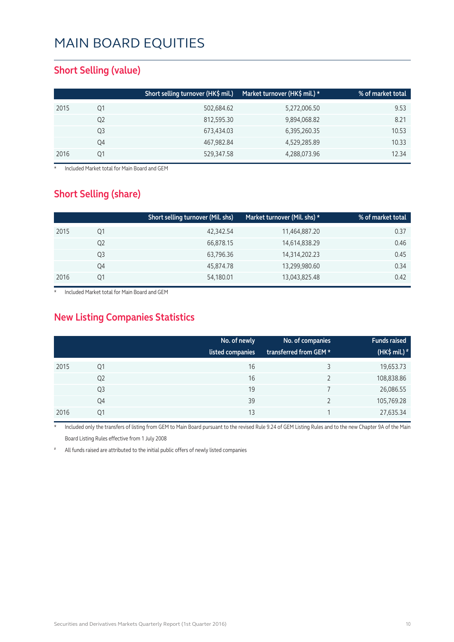#### **Short Selling (value)**

|    | Short selling turnover (HK\$ mil.) | Market turnover (HK\$ mil.) * | % of market total |
|----|------------------------------------|-------------------------------|-------------------|
| Q1 | 502,684.62                         | 5,272,006.50                  | 9.53              |
| Q2 | 812,595.30                         | 9,894,068.82                  | 8.21              |
| Q3 | 673,434.03                         | 6,395,260.35                  | 10.53             |
| Q4 | 467,982.84                         | 4,529,285.89                  | 10.33             |
| Ο1 | 529,347.58                         | 4,288,073.96                  | 12.34             |
|    |                                    |                               |                   |

**Included Market total for Main Board and GEM** 

#### **Short Selling (share)**

|      |    | Short selling turnover (Mil. shs) | Market turnover (Mil. shs) * | % of market total |
|------|----|-----------------------------------|------------------------------|-------------------|
| 2015 | Q1 | 42,342.54                         | 11,464,887.20                | 0.37              |
|      | Q2 | 66,878.15                         | 14,614,838.29                | 0.46              |
|      | Q3 | 63,796.36                         | 14,314,202.23                | 0.45              |
|      | Q4 | 45,874.78                         | 13,299,980.60                | 0.34              |
| 2016 | Ο1 | 54,180.01                         | 13,043,825.48                | 0.42              |

Included Market total for Main Board and GEM

#### **New Listing Companies Statistics**

|      |                | No. of newly<br>listed companies | No. of companies<br>transferred from GEM * | <b>Funds raised</b><br>(HK\$ mil.) <sup>#</sup> |
|------|----------------|----------------------------------|--------------------------------------------|-------------------------------------------------|
| 2015 | Q1             | 16                               |                                            | 19,653.73                                       |
|      | Q <sub>2</sub> | 16                               |                                            | 108,838.86                                      |
|      | Q <sub>3</sub> | 19                               |                                            | 26,086.55                                       |
|      | Q4             | 39                               |                                            | 105,769.28                                      |
| 2016 | Q1             | 13                               |                                            | 27,635.34                                       |

Included only the transfers of listing from GEM to Main Board pursuant to the revised Rule 9.24 of GEM Listing Rules and to the new Chapter 9A of the Main Board Listing Rules effective from 1 July 2008

All funds raised are attributed to the initial public offers of newly listed companies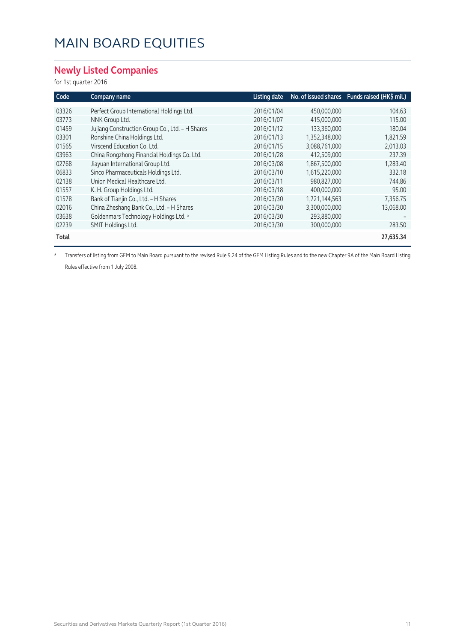#### **Newly Listed Companies**

for 1st quarter 2016

| Code  | Company name                                    | Listing date |               | No. of issued shares Funds raised (HK\$ mil.) |
|-------|-------------------------------------------------|--------------|---------------|-----------------------------------------------|
| 03326 | Perfect Group International Holdings Ltd.       | 2016/01/04   | 450,000,000   | 104.63                                        |
| 03773 | NNK Group Ltd.                                  | 2016/01/07   | 415,000,000   | 115.00                                        |
| 01459 | Jujiang Construction Group Co., Ltd. - H Shares | 2016/01/12   | 133,360,000   | 180.04                                        |
| 03301 | Ronshine China Holdings Ltd.                    | 2016/01/13   | 1,352,348,000 | 1,821.59                                      |
| 01565 | Virscend Education Co. Ltd.                     | 2016/01/15   | 3,088,761,000 | 2,013.03                                      |
| 03963 | China Rongzhong Financial Holdings Co. Ltd.     | 2016/01/28   | 412,509,000   | 237.39                                        |
| 02768 | Jiayuan International Group Ltd.                | 2016/03/08   | 1,867,500,000 | 1,283.40                                      |
| 06833 | Sinco Pharmaceuticals Holdings Ltd.             | 2016/03/10   | 1,615,220,000 | 332.18                                        |
| 02138 | Union Medical Healthcare Ltd.                   | 2016/03/11   | 980,827,000   | 744.86                                        |
| 01557 | K. H. Group Holdings Ltd.                       | 2016/03/18   | 400,000,000   | 95.00                                         |
| 01578 | Bank of Tianjin Co., Ltd. - H Shares            | 2016/03/30   | 1,721,144,563 | 7,356.75                                      |
| 02016 | China Zheshang Bank Co., Ltd. - H Shares        | 2016/03/30   | 3,300,000,000 | 13,068.00                                     |
| 03638 | Goldenmars Technology Holdings Ltd. *           | 2016/03/30   | 293,880,000   |                                               |
| 02239 | SMIT Holdings Ltd.                              | 2016/03/30   | 300,000,000   | 283.50                                        |
| Total |                                                 |              |               | 27,635.34                                     |

\* Transfers of listing from GEM to Main Board pursuant to the revised Rule 9.24 of the GEM Listing Rules and to the new Chapter 9A of the Main Board Listing Rules effective from 1 July 2008.

Securities and Derivatives Markets Quarterly Report (1st Quarter 2016) 11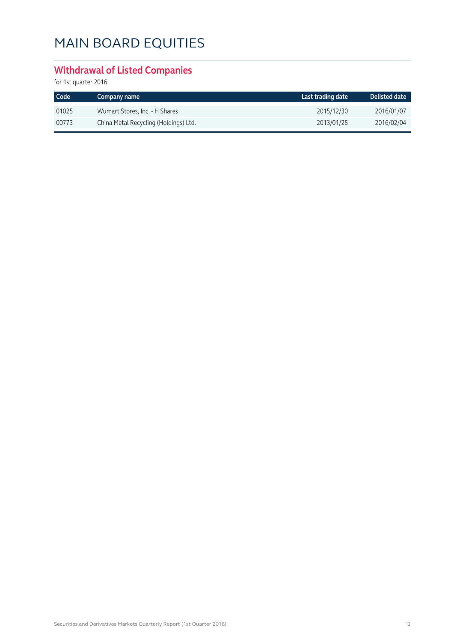#### **Withdrawal of Listed Companies**

| Code  | Company name                          | Last trading date | Delisted date |
|-------|---------------------------------------|-------------------|---------------|
| 01025 | Wumart Stores, Inc. - H Shares        | 2015/12/30        | 2016/01/07    |
| 00773 | China Metal Recycling (Holdings) Ltd. | 2013/01/25        | 2016/02/04    |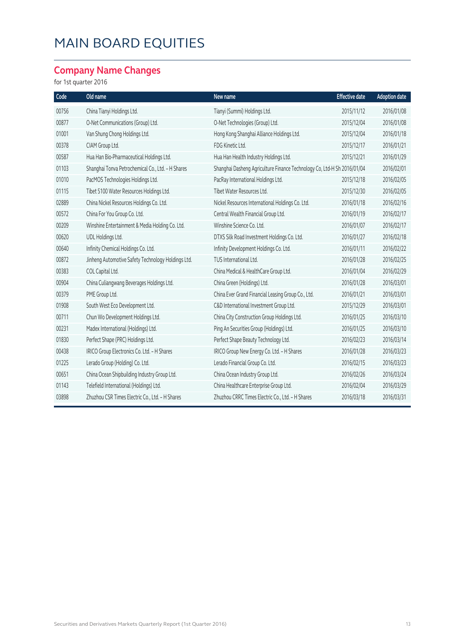#### **Company Name Changes**

| Code  | Old name                                           | New name                                                                | <b>Effective date</b> | <b>Adoption date</b> |
|-------|----------------------------------------------------|-------------------------------------------------------------------------|-----------------------|----------------------|
| 00756 | China Tianyi Holdings Ltd.                         | Tianyi (Summi) Holdings Ltd.                                            | 2015/11/12            | 2016/01/08           |
| 00877 | O-Net Communications (Group) Ltd.                  | O-Net Technologies (Group) Ltd.                                         | 2015/12/04            | 2016/01/08           |
| 01001 | Van Shung Chong Holdings Ltd.                      | Hong Kong Shanghai Alliance Holdings Ltd.                               | 2015/12/04            | 2016/01/18           |
| 00378 | CIAM Group Ltd.                                    | FDG Kinetic Ltd.                                                        | 2015/12/17            | 2016/01/21           |
| 00587 | Hua Han Bio-Pharmaceutical Holdings Ltd.           | Hua Han Health Industry Holdings Ltd.                                   | 2015/12/21            | 2016/01/29           |
| 01103 | Shanghai Tonva Petrochemical Co., Ltd. - H Shares  | Shanghai Dasheng Agriculture Finance Technology Co, Ltd-H Sh 2016/01/04 |                       | 2016/02/01           |
| 01010 | PacMOS Technologies Holdings Ltd.                  | PacRay International Holdings Ltd.                                      | 2015/12/18            | 2016/02/05           |
| 01115 | Tibet 5100 Water Resources Holdings Ltd.           | Tibet Water Resources Ltd.                                              | 2015/12/30            | 2016/02/05           |
| 02889 | China Nickel Resources Holdings Co. Ltd.           | Nickel Resources International Holdings Co. Ltd.                        | 2016/01/18            | 2016/02/16           |
| 00572 | China For You Group Co. Ltd.                       | Central Wealth Financial Group Ltd.                                     | 2016/01/19            | 2016/02/17           |
| 00209 | Winshine Entertainment & Media Holding Co. Ltd.    | Winshine Science Co. Ltd.                                               | 2016/01/07            | 2016/02/17           |
| 00620 | UDL Holdings Ltd.                                  | DTXS Silk Road Investment Holdings Co. Ltd.                             | 2016/01/27            | 2016/02/18           |
| 00640 | Infinity Chemical Holdings Co. Ltd.                | Infinity Development Holdings Co. Ltd.                                  | 2016/01/11            | 2016/02/22           |
| 00872 | Jinheng Automotive Safety Technology Holdings Ltd. | TUS International Ltd.                                                  | 2016/01/28            | 2016/02/25           |
| 00383 | COL Capital Ltd.                                   | China Medical & HealthCare Group Ltd.                                   | 2016/01/04            | 2016/02/29           |
| 00904 | China Culiangwang Beverages Holdings Ltd.          | China Green (Holdings) Ltd.                                             | 2016/01/28            | 2016/03/01           |
| 00379 | PME Group Ltd.                                     | China Ever Grand Financial Leasing Group Co., Ltd.                      | 2016/01/21            | 2016/03/01           |
| 01908 | South West Eco Development Ltd.                    | C&D International Investment Group Ltd.                                 | 2015/12/29            | 2016/03/01           |
| 00711 | Chun Wo Development Holdings Ltd.                  | China City Construction Group Holdings Ltd.                             | 2016/01/25            | 2016/03/10           |
| 00231 | Madex International (Holdings) Ltd.                | Ping An Securities Group (Holdings) Ltd.                                | 2016/01/25            | 2016/03/10           |
| 01830 | Perfect Shape (PRC) Holdings Ltd.                  | Perfect Shape Beauty Technology Ltd.                                    | 2016/02/23            | 2016/03/14           |
| 00438 | IRICO Group Electronics Co. Ltd. - H Shares        | IRICO Group New Energy Co. Ltd. - H Shares                              | 2016/01/28            | 2016/03/23           |
| 01225 | Lerado Group (Holding) Co. Ltd.                    | Lerado Financial Group Co. Ltd.                                         | 2016/02/15            | 2016/03/23           |
| 00651 | China Ocean Shipbuilding Industry Group Ltd.       | China Ocean Industry Group Ltd.                                         | 2016/02/26            | 2016/03/24           |
| 01143 | Telefield International (Holdings) Ltd.            | China Healthcare Enterprise Group Ltd.                                  | 2016/02/04            | 2016/03/29           |
| 03898 | Zhuzhou CSR Times Electric Co., Ltd. - H Shares    | Zhuzhou CRRC Times Electric Co., Ltd. - H Shares                        | 2016/03/18            | 2016/03/31           |
|       |                                                    |                                                                         |                       |                      |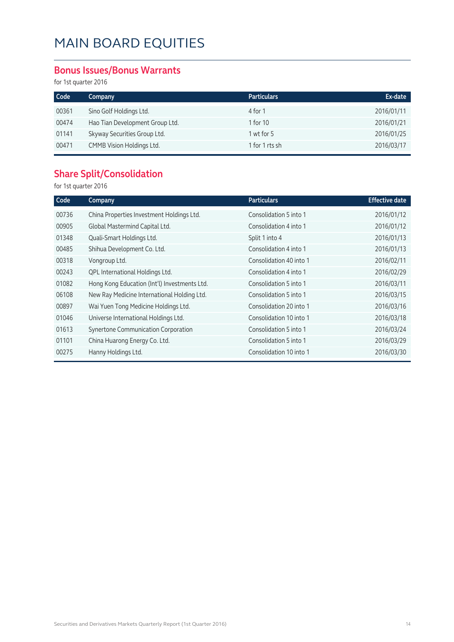#### **Bonus Issues/Bonus Warrants**

for 1st quarter 2016

| Code  | Company                         | <b>Particulars</b> | Ex-date    |
|-------|---------------------------------|--------------------|------------|
| 00361 | Sino Golf Holdings Ltd.         | 4 for 1            | 2016/01/11 |
| 00474 | Hao Tian Development Group Ltd. | 1 for 10           | 2016/01/21 |
| 01141 | Skyway Securities Group Ltd.    | $1$ wt for $5$     | 2016/01/25 |
| 00471 | CMMB Vision Holdings Ltd.       | 1 for 1 rts sh     | 2016/03/17 |

#### **Share Split/Consolidation**

| Code  | Company                                      | <b>Particulars</b>      | <b>Effective date</b> |
|-------|----------------------------------------------|-------------------------|-----------------------|
| 00736 | China Properties Investment Holdings Ltd.    | Consolidation 5 into 1  | 2016/01/12            |
| 00905 | Global Mastermind Capital Ltd.               | Consolidation 4 into 1  | 2016/01/12            |
| 01348 | Quali-Smart Holdings Ltd.                    | Split 1 into 4          | 2016/01/13            |
| 00485 | Shihua Development Co. Ltd.                  | Consolidation 4 into 1  | 2016/01/13            |
| 00318 | Vongroup Ltd.                                | Consolidation 40 into 1 | 2016/02/11            |
| 00243 | QPL International Holdings Ltd.              | Consolidation 4 into 1  | 2016/02/29            |
| 01082 | Hong Kong Education (Int'l) Investments Ltd. | Consolidation 5 into 1  | 2016/03/11            |
| 06108 | New Ray Medicine International Holding Ltd.  | Consolidation 5 into 1  | 2016/03/15            |
| 00897 | Wai Yuen Tong Medicine Holdings Ltd.         | Consolidation 20 into 1 | 2016/03/16            |
| 01046 | Universe International Holdings Ltd.         | Consolidation 10 into 1 | 2016/03/18            |
| 01613 | Synertone Communication Corporation          | Consolidation 5 into 1  | 2016/03/24            |
| 01101 | China Huarong Energy Co. Ltd.                | Consolidation 5 into 1  | 2016/03/29            |
| 00275 | Hanny Holdings Ltd.                          | Consolidation 10 into 1 | 2016/03/30            |
|       |                                              |                         |                       |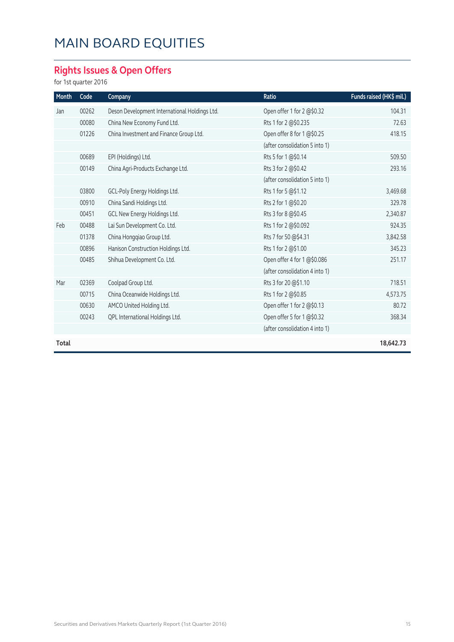### **Rights Issues & Open Offers**

| Month | Code  | Company                                       | Ratio                          | Funds raised (HK\$ mil.) |
|-------|-------|-----------------------------------------------|--------------------------------|--------------------------|
| Jan   | 00262 | Deson Development International Holdings Ltd. | Open offer 1 for 2 @\$0.32     | 104.31                   |
|       | 00080 | China New Economy Fund Ltd.                   | Rts 1 for 2 @\$0.235           | 72.63                    |
|       | 01226 | China Investment and Finance Group Ltd.       | Open offer 8 for 1 @\$0.25     | 418.15                   |
|       |       |                                               | (after consolidation 5 into 1) |                          |
|       | 00689 | EPI (Holdings) Ltd.                           | Rts 5 for 1 @\$0.14            | 509.50                   |
|       | 00149 | China Agri-Products Exchange Ltd.             | Rts 3 for 2 @\$0.42            | 293.16                   |
|       |       |                                               | (after consolidation 5 into 1) |                          |
|       | 03800 | GCL-Poly Energy Holdings Ltd.                 | Rts 1 for 5 @\$1.12            | 3,469.68                 |
|       | 00910 | China Sandi Holdings Ltd.                     | Rts 2 for 1 @\$0.20            | 329.78                   |
|       | 00451 | GCL New Energy Holdings Ltd.                  | Rts 3 for 8 @\$0.45            | 2,340.87                 |
| Feb   | 00488 | Lai Sun Development Co. Ltd.                  | Rts 1 for 2 @\$0.092           | 924.35                   |
|       | 01378 | China Hongqiao Group Ltd.                     | Rts 7 for 50 @\$4.31           | 3,842.58                 |
|       | 00896 | Hanison Construction Holdings Ltd.            | Rts 1 for 2 @\$1.00            | 345.23                   |
|       | 00485 | Shihua Development Co. Ltd.                   | Open offer 4 for 1@\$0.086     | 251.17                   |
|       |       |                                               | (after consolidation 4 into 1) |                          |
| Mar   | 02369 | Coolpad Group Ltd.                            | Rts 3 for 20 @\$1.10           | 718.51                   |
|       | 00715 | China Oceanwide Holdings Ltd.                 | Rts 1 for 2 @\$0.85            | 4,573.75                 |
|       | 00630 | AMCO United Holding Ltd.                      | Open offer 1 for 2 @\$0.13     | 80.72                    |
|       | 00243 | QPL International Holdings Ltd.               | Open offer 5 for 1@\$0.32      | 368.34                   |
|       |       |                                               | (after consolidation 4 into 1) |                          |
| Total |       |                                               |                                | 18,642.73                |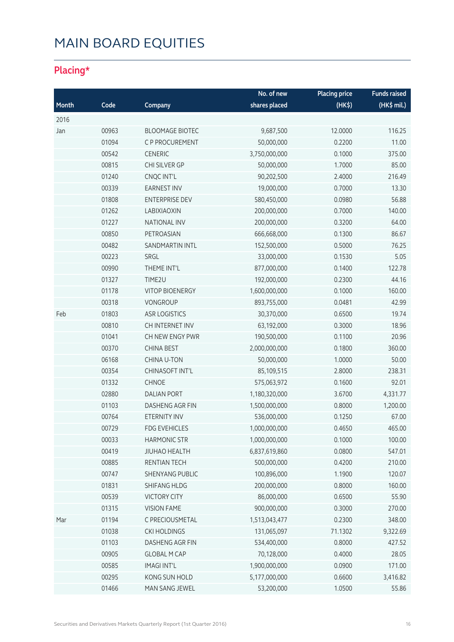#### **Placing\***

|       |       |                        | No. of new    | <b>Placing price</b> | <b>Funds raised</b> |
|-------|-------|------------------------|---------------|----------------------|---------------------|
| Month | Code  | Company                | shares placed | (HK\$)               | (HK\$ mil.)         |
| 2016  |       |                        |               |                      |                     |
| Jan   | 00963 | <b>BLOOMAGE BIOTEC</b> | 9,687,500     | 12.0000              | 116.25              |
|       | 01094 | C P PROCUREMENT        | 50,000,000    | 0.2200               | 11.00               |
|       | 00542 | <b>CENERIC</b>         | 3,750,000,000 | 0.1000               | 375.00              |
|       | 00815 | CHI SILVER GP          | 50,000,000    | 1.7000               | 85.00               |
|       | 01240 | CNQC INT'L             | 90,202,500    | 2.4000               | 216.49              |
|       | 00339 | <b>EARNEST INV</b>     | 19,000,000    | 0.7000               | 13.30               |
|       | 01808 | <b>ENTERPRISE DEV</b>  | 580,450,000   | 0.0980               | 56.88               |
|       | 01262 | LABIXIAOXIN            | 200,000,000   | 0.7000               | 140.00              |
|       | 01227 | <b>NATIONAL INV</b>    | 200,000,000   | 0.3200               | 64.00               |
|       | 00850 | PETROASIAN             | 666,668,000   | 0.1300               | 86.67               |
|       | 00482 | SANDMARTIN INTL        | 152,500,000   | 0.5000               | 76.25               |
|       | 00223 | SRGL                   | 33,000,000    | 0.1530               | 5.05                |
|       | 00990 | THEME INT'L            | 877,000,000   | 0.1400               | 122.78              |
|       | 01327 | TIME2U                 | 192,000,000   | 0.2300               | 44.16               |
|       | 01178 | <b>VITOP BIOENERGY</b> | 1,600,000,000 | 0.1000               | 160.00              |
|       | 00318 | <b>VONGROUP</b>        | 893,755,000   | 0.0481               | 42.99               |
| Feb   | 01803 | <b>ASR LOGISTICS</b>   | 30,370,000    | 0.6500               | 19.74               |
|       | 00810 | CH INTERNET INV        | 63,192,000    | 0.3000               | 18.96               |
|       | 01041 | CH NEW ENGY PWR        | 190,500,000   | 0.1100               | 20.96               |
|       | 00370 | <b>CHINA BEST</b>      | 2,000,000,000 | 0.1800               | 360.00              |
|       | 06168 | CHINA U-TON            | 50,000,000    | 1.0000               | 50.00               |
|       | 00354 | CHINASOFT INT'L        | 85,109,515    | 2.8000               | 238.31              |
|       | 01332 | <b>CHNOE</b>           | 575,063,972   | 0.1600               | 92.01               |
|       | 02880 | <b>DALIAN PORT</b>     | 1,180,320,000 | 3.6700               | 4,331.77            |
|       | 01103 | DASHENG AGR FIN        | 1,500,000,000 | 0.8000               | 1,200.00            |
|       | 00764 | ETERNITY INV           | 536,000,000   | 0.1250               | 67.00               |
|       | 00729 | <b>FDG EVEHICLES</b>   | 1,000,000,000 | 0.4650               | 465.00              |
|       | 00033 | <b>HARMONIC STR</b>    | 1,000,000,000 | 0.1000               | 100.00              |
|       | 00419 | <b>JIUHAO HEALTH</b>   | 6,837,619,860 | 0.0800               | 547.01              |
|       | 00885 | RENTIAN TECH           | 500,000,000   | 0.4200               | 210.00              |
|       | 00747 | <b>SHENYANG PUBLIC</b> | 100,896,000   | 1.1900               | 120.07              |
|       | 01831 | SHIFANG HLDG           | 200,000,000   | 0.8000               | 160.00              |
|       | 00539 | <b>VICTORY CITY</b>    | 86,000,000    | 0.6500               | 55.90               |
|       | 01315 | <b>VISION FAME</b>     | 900,000,000   | 0.3000               | 270.00              |
| Mar   | 01194 | C PRECIOUSMETAL        | 1,513,043,477 | 0.2300               | 348.00              |
|       | 01038 | <b>CKI HOLDINGS</b>    | 131,065,097   | 71.1302              | 9,322.69            |
|       | 01103 | DASHENG AGR FIN        | 534,400,000   | 0.8000               | 427.52              |
|       | 00905 | <b>GLOBAL M CAP</b>    | 70,128,000    | 0.4000               | 28.05               |
|       | 00585 | <b>IMAGI INT'L</b>     | 1,900,000,000 | 0.0900               | 171.00              |
|       | 00295 | KONG SUN HOLD          | 5,177,000,000 | 0.6600               | 3,416.82            |
|       | 01466 | MAN SANG JEWEL         | 53,200,000    | 1.0500               | 55.86               |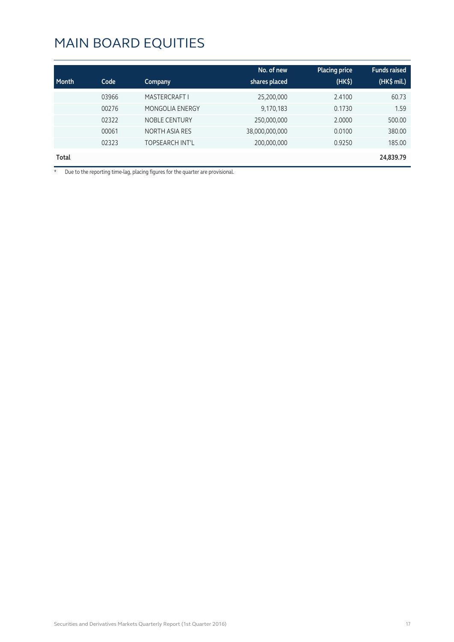| Month | Code  | Company                | No. of new<br>shares placed | <b>Placing price</b><br>(HK <sub>5</sub> ) | <b>Funds raised</b><br>$(HK$$ mil.) |
|-------|-------|------------------------|-----------------------------|--------------------------------------------|-------------------------------------|
|       | 03966 | <b>MASTERCRAFT I</b>   | 25,200,000                  | 2.4100                                     | 60.73                               |
|       | 00276 | <b>MONGOLIA ENERGY</b> | 9,170,183                   | 0.1730                                     | 1.59                                |
|       | 02322 | <b>NOBLE CENTURY</b>   | 250,000,000                 | 2.0000                                     | 500.00                              |
|       | 00061 | <b>NORTH ASIA RES</b>  | 38,000,000,000              | 0.0100                                     | 380.00                              |
|       | 02323 | TOPSEARCH INT'L        | 200,000,000                 | 0.9250                                     | 185.00                              |
| Total |       |                        |                             |                                            | 24,839.79                           |

\* Due to the reporting time-lag, placing figures for the quarter are provisional.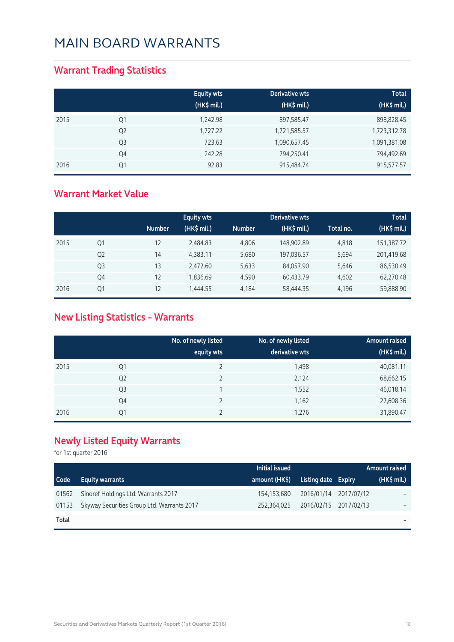#### **Warrant Trading Statistics**

|      |                | <b>Equity wts</b><br>(HK\$ mil.) | Derivative wts<br>(HK\$ mil.) | <b>Total</b><br>(HK\$ mil.) |
|------|----------------|----------------------------------|-------------------------------|-----------------------------|
| 2015 | Q1             | 1,242.98                         | 897,585.47                    | 898,828.45                  |
|      | Q <sub>2</sub> | 1,727.22                         | 1,721,585.57                  | 1,723,312.78                |
|      | Q <sub>3</sub> | 723.63                           | 1,090,657.45                  | 1,091,381.08                |
|      | Q4             | 242.28                           | 794,250.41                    | 794,492.69                  |
| 2016 | Q1             | 92.83                            | 915,484.74                    | 915,577.57                  |

#### **Warrant Market Value**

|      |                |               | <b>Equity wts</b> |               | Derivative wts |           | <b>Total</b> |
|------|----------------|---------------|-------------------|---------------|----------------|-----------|--------------|
|      |                | <b>Number</b> | (HK\$ mil.)       | <b>Number</b> | (HK\$ mil.)    | Total no. | (HK\$ mil.)  |
| 2015 | Q1             | 12            | 2,484.83          | 4.806         | 148,902.89     | 4.818     | 151,387.72   |
|      | Q <sub>2</sub> | 14            | 4,383.11          | 5,680         | 197,036.57     | 5,694     | 201,419.68   |
|      | Q <sub>3</sub> | 13            | 2,472.60          | 5,633         | 84,057.90      | 5,646     | 86,530.49    |
|      | Q4             | 12            | 1,836.69          | 4,590         | 60,433.79      | 4,602     | 62,270.48    |
| 2016 | Q1             | 12            | 1,444.55          | 4,184         | 58,444.35      | 4,196     | 59,888.90    |

#### **New Listing Statistics – Warrants**

|      |                | No. of newly listed<br>equity wts | No. of newly listed<br>derivative wts | <b>Amount raised</b><br>(HK\$ mil.) |
|------|----------------|-----------------------------------|---------------------------------------|-------------------------------------|
| 2015 | Q1             |                                   | 1,498                                 | 40,081.11                           |
|      | Q <sub>2</sub> |                                   | 2,124                                 | 68,662.15                           |
|      | Q <sub>3</sub> |                                   | 1,552                                 | 46,018.14                           |
|      | Q4             |                                   | 1,162                                 | 27,608.36                           |
| 2016 | Q1             |                                   | 1,276                                 | 31,890.47                           |

#### **Newly Listed Equity Warrants**

|       |                                            | Initial issued |                       | Amount raised' |
|-------|--------------------------------------------|----------------|-----------------------|----------------|
| Code  | <b>Equity warrants</b>                     | amount (HK\$)  | Listing date Expiry   | $(HK\$ mil.)   |
| 01562 | Sinoref Holdings Ltd. Warrants 2017        | 154,153,680    | 2016/01/14 2017/07/12 |                |
| 01153 | Skyway Securities Group Ltd. Warrants 2017 | 252,364,025    | 2016/02/15 2017/02/13 |                |
| Total |                                            |                |                       |                |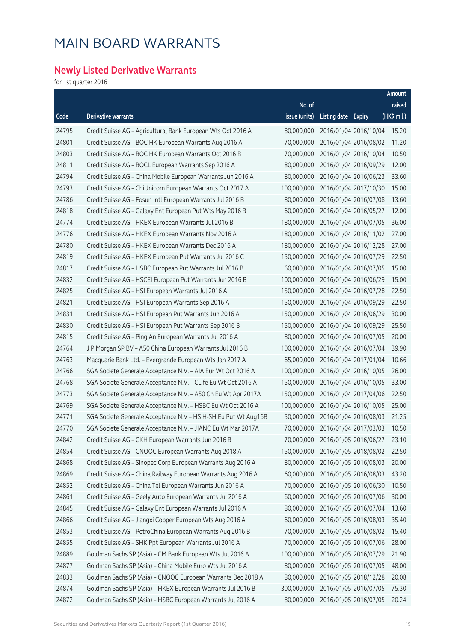#### **Newly Listed Derivative Warrants**

|       |                                                                |               |                     |                       | Amount                |
|-------|----------------------------------------------------------------|---------------|---------------------|-----------------------|-----------------------|
|       |                                                                | No. of        |                     |                       | raised                |
| Code  | <b>Derivative warrants</b>                                     | issue (units) | Listing date Expiry |                       | $(HK\frac{1}{2}mil.)$ |
| 24795 | Credit Suisse AG - Agricultural Bank European Wts Oct 2016 A   | 80,000,000    |                     | 2016/01/04 2016/10/04 | 15.20                 |
| 24801 | Credit Suisse AG - BOC HK European Warrants Aug 2016 A         | 70,000,000    |                     | 2016/01/04 2016/08/02 | 11.20                 |
| 24803 | Credit Suisse AG - BOC HK European Warrants Oct 2016 B         | 70,000,000    |                     | 2016/01/04 2016/10/04 | 10.50                 |
| 24811 | Credit Suisse AG - BOCL European Warrants Sep 2016 A           | 80,000,000    |                     | 2016/01/04 2016/09/29 | 12.00                 |
| 24794 | Credit Suisse AG - China Mobile European Warrants Jun 2016 A   | 80,000,000    |                     | 2016/01/04 2016/06/23 | 33.60                 |
| 24793 | Credit Suisse AG - ChiUnicom European Warrants Oct 2017 A      | 100,000,000   |                     | 2016/01/04 2017/10/30 | 15.00                 |
| 24786 | Credit Suisse AG - Fosun Intl European Warrants Jul 2016 B     | 80,000,000    |                     | 2016/01/04 2016/07/08 | 13.60                 |
| 24818 | Credit Suisse AG - Galaxy Ent European Put Wts May 2016 B      | 60,000,000    |                     | 2016/01/04 2016/05/27 | 12.00                 |
| 24774 | Credit Suisse AG - HKEX European Warrants Jul 2016 B           | 180,000,000   |                     | 2016/01/04 2016/07/05 | 36.00                 |
| 24776 | Credit Suisse AG - HKEX European Warrants Nov 2016 A           | 180,000,000   |                     | 2016/01/04 2016/11/02 | 27.00                 |
| 24780 | Credit Suisse AG - HKEX European Warrants Dec 2016 A           | 180,000,000   |                     | 2016/01/04 2016/12/28 | 27.00                 |
| 24819 | Credit Suisse AG - HKEX European Put Warrants Jul 2016 C       | 150,000,000   |                     | 2016/01/04 2016/07/29 | 22.50                 |
| 24817 | Credit Suisse AG - HSBC European Put Warrants Jul 2016 B       | 60,000,000    |                     | 2016/01/04 2016/07/05 | 15.00                 |
| 24832 | Credit Suisse AG - HSCEI European Put Warrants Jun 2016 B      | 100,000,000   |                     | 2016/01/04 2016/06/29 | 15.00                 |
| 24825 | Credit Suisse AG - HSI European Warrants Jul 2016 A            | 150,000,000   |                     | 2016/01/04 2016/07/28 | 22.50                 |
| 24821 | Credit Suisse AG - HSI European Warrants Sep 2016 A            | 150,000,000   |                     | 2016/01/04 2016/09/29 | 22.50                 |
| 24831 | Credit Suisse AG - HSI European Put Warrants Jun 2016 A        | 150,000,000   |                     | 2016/01/04 2016/06/29 | 30.00                 |
| 24830 | Credit Suisse AG - HSI European Put Warrants Sep 2016 B        | 150,000,000   |                     | 2016/01/04 2016/09/29 | 25.50                 |
| 24815 | Credit Suisse AG - Ping An European Warrants Jul 2016 A        | 80,000,000    |                     | 2016/01/04 2016/07/05 | 20.00                 |
| 24764 | J P Morgan SP BV - A50 China European Warrants Jul 2016 B      | 100,000,000   |                     | 2016/01/04 2016/07/04 | 39.90                 |
| 24763 | Macquarie Bank Ltd. - Evergrande European Wts Jan 2017 A       | 65,000,000    |                     | 2016/01/04 2017/01/04 | 10.66                 |
| 24766 | SGA Societe Generale Acceptance N.V. - AIA Eur Wt Oct 2016 A   | 100,000,000   |                     | 2016/01/04 2016/10/05 | 26.00                 |
| 24768 | SGA Societe Generale Acceptance N.V. - CLife Eu Wt Oct 2016 A  | 150,000,000   |                     | 2016/01/04 2016/10/05 | 33.00                 |
| 24773 | SGA Societe Generale Acceptance N.V. - A50 Ch Eu Wt Apr 2017A  | 150,000,000   |                     | 2016/01/04 2017/04/06 | 22.50                 |
| 24769 | SGA Societe Generale Acceptance N.V. - HSBC Eu Wt Oct 2016 A   | 100,000,000   |                     | 2016/01/04 2016/10/05 | 25.00                 |
| 24771 | SGA Societe Generale Acceptance N.V - HS H-SH Eu Put Wt Aug16B | 50,000,000    |                     | 2016/01/04 2016/08/03 | 21.25                 |
| 24770 | SGA Societe Generale Acceptance N.V. - JIANC Eu Wt Mar 2017A   | 70,000,000    |                     | 2016/01/04 2017/03/03 | 10.50                 |
| 24842 | Credit Suisse AG - CKH European Warrants Jun 2016 B            | 70,000,000    |                     | 2016/01/05 2016/06/27 | 23.10                 |
| 24854 | Credit Suisse AG - CNOOC European Warrants Aug 2018 A          | 150,000,000   |                     | 2016/01/05 2018/08/02 | 22.50                 |
| 24868 | Credit Suisse AG - Sinopec Corp European Warrants Aug 2016 A   | 80,000,000    |                     | 2016/01/05 2016/08/03 | 20.00                 |
| 24869 | Credit Suisse AG - China Railway European Warrants Aug 2016 A  | 60,000,000    |                     | 2016/01/05 2016/08/03 | 43.20                 |
| 24852 | Credit Suisse AG - China Tel European Warrants Jun 2016 A      | 70,000,000    |                     | 2016/01/05 2016/06/30 | 10.50                 |
| 24861 | Credit Suisse AG - Geely Auto European Warrants Jul 2016 A     | 60,000,000    |                     | 2016/01/05 2016/07/06 | 30.00                 |
| 24845 | Credit Suisse AG - Galaxy Ent European Warrants Jul 2016 A     | 80,000,000    |                     | 2016/01/05 2016/07/04 | 13.60                 |
| 24866 | Credit Suisse AG - Jiangxi Copper European Wts Aug 2016 A      | 60,000,000    |                     | 2016/01/05 2016/08/03 | 35.40                 |
| 24853 | Credit Suisse AG - PetroChina European Warrants Aug 2016 B     | 70,000,000    |                     | 2016/01/05 2016/08/02 | 15.40                 |
| 24855 | Credit Suisse AG - SHK Ppt European Warrants Jul 2016 A        | 70,000,000    |                     | 2016/01/05 2016/07/06 | 28.00                 |
| 24889 | Goldman Sachs SP (Asia) - CM Bank European Wts Jul 2016 A      | 100,000,000   |                     | 2016/01/05 2016/07/29 | 21.90                 |
| 24877 | Goldman Sachs SP (Asia) - China Mobile Euro Wts Jul 2016 A     | 80,000,000    |                     | 2016/01/05 2016/07/05 | 48.00                 |
| 24833 | Goldman Sachs SP (Asia) - CNOOC European Warrants Dec 2018 A   | 80,000,000    |                     | 2016/01/05 2018/12/28 | 20.08                 |
| 24874 | Goldman Sachs SP (Asia) - HKEX European Warrants Jul 2016 B    | 300,000,000   |                     | 2016/01/05 2016/07/05 | 75.30                 |
| 24872 | Goldman Sachs SP (Asia) - HSBC European Warrants Jul 2016 A    | 80,000,000    |                     | 2016/01/05 2016/07/05 | 20.24                 |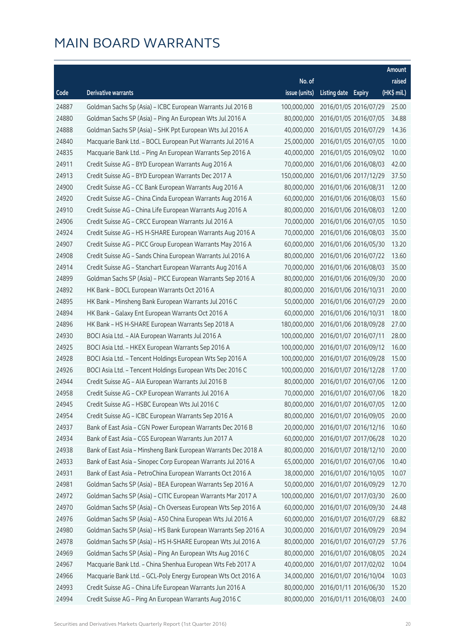|       |                                                                |               |                     |                       | Amount      |
|-------|----------------------------------------------------------------|---------------|---------------------|-----------------------|-------------|
|       |                                                                | No. of        |                     |                       | raised      |
| Code  | Derivative warrants                                            | issue (units) | Listing date Expiry |                       | (HK\$ mil.) |
| 24887 | Goldman Sachs Sp (Asia) - ICBC European Warrants Jul 2016 B    | 100,000,000   |                     | 2016/01/05 2016/07/29 | 25.00       |
| 24880 | Goldman Sachs SP (Asia) - Ping An European Wts Jul 2016 A      | 80,000,000    |                     | 2016/01/05 2016/07/05 | 34.88       |
| 24888 | Goldman Sachs SP (Asia) - SHK Ppt European Wts Jul 2016 A      | 40,000,000    |                     | 2016/01/05 2016/07/29 | 14.36       |
| 24840 | Macquarie Bank Ltd. - BOCL European Put Warrants Jul 2016 A    | 25,000,000    |                     | 2016/01/05 2016/07/05 | 10.00       |
| 24835 | Macquarie Bank Ltd. - Ping An European Warrants Sep 2016 A     | 40,000,000    |                     | 2016/01/05 2016/09/02 | 10.00       |
| 24911 | Credit Suisse AG - BYD European Warrants Aug 2016 A            | 70,000,000    |                     | 2016/01/06 2016/08/03 | 42.00       |
| 24913 | Credit Suisse AG - BYD European Warrants Dec 2017 A            | 150,000,000   |                     | 2016/01/06 2017/12/29 | 37.50       |
| 24900 | Credit Suisse AG - CC Bank European Warrants Aug 2016 A        | 80,000,000    |                     | 2016/01/06 2016/08/31 | 12.00       |
| 24920 | Credit Suisse AG - China Cinda European Warrants Aug 2016 A    | 60,000,000    |                     | 2016/01/06 2016/08/03 | 15.60       |
| 24910 | Credit Suisse AG - China Life European Warrants Aug 2016 A     | 80,000,000    |                     | 2016/01/06 2016/08/03 | 12.00       |
| 24906 | Credit Suisse AG - CRCC European Warrants Jul 2016 A           | 70,000,000    |                     | 2016/01/06 2016/07/05 | 10.50       |
| 24924 | Credit Suisse AG - HS H-SHARE European Warrants Aug 2016 A     | 70,000,000    |                     | 2016/01/06 2016/08/03 | 35.00       |
| 24907 | Credit Suisse AG - PICC Group European Warrants May 2016 A     | 60,000,000    |                     | 2016/01/06 2016/05/30 | 13.20       |
| 24908 | Credit Suisse AG - Sands China European Warrants Jul 2016 A    | 80,000,000    |                     | 2016/01/06 2016/07/22 | 13.60       |
| 24914 | Credit Suisse AG - Stanchart European Warrants Aug 2016 A      | 70,000,000    |                     | 2016/01/06 2016/08/03 | 35.00       |
| 24899 | Goldman Sachs SP (Asia) - PICC European Warrants Sep 2016 A    | 80,000,000    |                     | 2016/01/06 2016/09/30 | 20.00       |
| 24892 | HK Bank - BOCL European Warrants Oct 2016 A                    | 80,000,000    |                     | 2016/01/06 2016/10/31 | 20.00       |
| 24895 | HK Bank - Minsheng Bank European Warrants Jul 2016 C           | 50,000,000    |                     | 2016/01/06 2016/07/29 | 20.00       |
| 24894 | HK Bank - Galaxy Ent European Warrants Oct 2016 A              | 60,000,000    |                     | 2016/01/06 2016/10/31 | 18.00       |
| 24896 | HK Bank - HS H-SHARE European Warrants Sep 2018 A              | 180,000,000   |                     | 2016/01/06 2018/09/28 | 27.00       |
| 24930 | BOCI Asia Ltd. - AIA European Warrants Jul 2016 A              | 100,000,000   |                     | 2016/01/07 2016/07/11 | 28.00       |
| 24925 | BOCI Asia Ltd. - HKEX European Warrants Sep 2016 A             | 100,000,000   |                     | 2016/01/07 2016/09/12 | 16.00       |
| 24928 | BOCI Asia Ltd. - Tencent Holdings European Wts Sep 2016 A      | 100,000,000   |                     | 2016/01/07 2016/09/28 | 15.00       |
| 24926 | BOCI Asia Ltd. - Tencent Holdings European Wts Dec 2016 C      | 100,000,000   |                     | 2016/01/07 2016/12/28 | 17.00       |
| 24944 | Credit Suisse AG - AIA European Warrants Jul 2016 B            | 80,000,000    |                     | 2016/01/07 2016/07/06 | 12.00       |
| 24958 | Credit Suisse AG - CKP European Warrants Jul 2016 A            | 70,000,000    |                     | 2016/01/07 2016/07/06 | 18.20       |
| 24945 | Credit Suisse AG - HSBC European Wts Jul 2016 C                | 80,000,000    |                     | 2016/01/07 2016/07/05 | 12.00       |
| 24954 | Credit Suisse AG - ICBC European Warrants Sep 2016 A           | 80,000,000    |                     | 2016/01/07 2016/09/05 | 20.00       |
| 24937 | Bank of East Asia - CGN Power European Warrants Dec 2016 B     | 20,000,000    |                     | 2016/01/07 2016/12/16 | 10.60       |
| 24934 | Bank of East Asia - CGS European Warrants Jun 2017 A           | 60,000,000    |                     | 2016/01/07 2017/06/28 | 10.20       |
| 24938 | Bank of East Asia - Minsheng Bank European Warrants Dec 2018 A | 80,000,000    |                     | 2016/01/07 2018/12/10 | 20.00       |
| 24933 | Bank of East Asia - Sinopec Corp European Warrants Jul 2016 A  | 65,000,000    |                     | 2016/01/07 2016/07/06 | 10.40       |
| 24931 | Bank of East Asia - PetroChina European Warrants Oct 2016 A    | 38,000,000    |                     | 2016/01/07 2016/10/05 | 10.07       |
| 24981 | Goldman Sachs SP (Asia) - BEA European Warrants Sep 2016 A     | 50,000,000    |                     | 2016/01/07 2016/09/29 | 12.70       |
| 24972 | Goldman Sachs SP (Asia) - CITIC European Warrants Mar 2017 A   | 100,000,000   |                     | 2016/01/07 2017/03/30 | 26.00       |
| 24970 | Goldman Sachs SP (Asia) - Ch Overseas European Wts Sep 2016 A  | 60,000,000    |                     | 2016/01/07 2016/09/30 | 24.48       |
| 24976 | Goldman Sachs SP (Asia) - A50 China European Wts Jul 2016 A    | 60,000,000    |                     | 2016/01/07 2016/07/29 | 68.82       |
| 24980 | Goldman Sachs SP (Asia) - HS Bank European Warrants Sep 2016 A | 30,000,000    |                     | 2016/01/07 2016/09/29 | 20.94       |
| 24978 | Goldman Sachs SP (Asia) - HS H-SHARE European Wts Jul 2016 A   | 80,000,000    |                     | 2016/01/07 2016/07/29 | 57.76       |
| 24969 | Goldman Sachs SP (Asia) - Ping An European Wts Aug 2016 C      | 80,000,000    |                     | 2016/01/07 2016/08/05 | 20.24       |
| 24967 | Macquarie Bank Ltd. - China Shenhua European Wts Feb 2017 A    | 40,000,000    |                     | 2016/01/07 2017/02/02 | 10.04       |
| 24966 | Macquarie Bank Ltd. - GCL-Poly Energy European Wts Oct 2016 A  | 34,000,000    |                     | 2016/01/07 2016/10/04 | 10.03       |
| 24993 | Credit Suisse AG - China Life European Warrants Jun 2016 A     | 80,000,000    |                     | 2016/01/11 2016/06/30 | 15.20       |
| 24994 | Credit Suisse AG - Ping An European Warrants Aug 2016 C        | 80,000,000    |                     | 2016/01/11 2016/08/03 | 24.00       |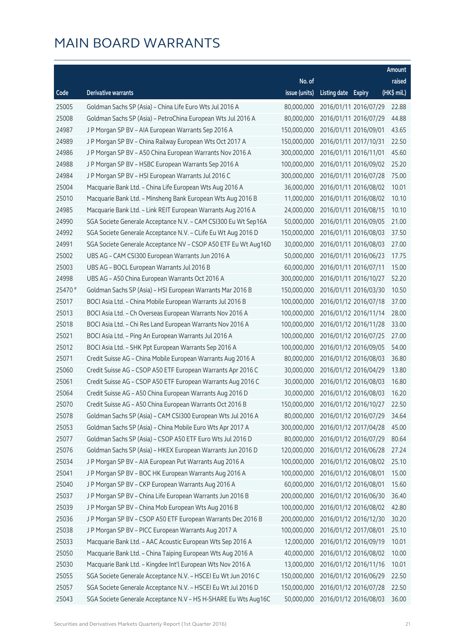|         |                                                                |               |                     |                       | Amount      |
|---------|----------------------------------------------------------------|---------------|---------------------|-----------------------|-------------|
|         |                                                                | No. of        |                     |                       | raised      |
| Code    | <b>Derivative warrants</b>                                     | issue (units) | Listing date Expiry |                       | (HK\$ mil.) |
| 25005   | Goldman Sachs SP (Asia) - China Life Euro Wts Jul 2016 A       | 80,000,000    |                     | 2016/01/11 2016/07/29 | 22.88       |
| 25008   | Goldman Sachs SP (Asia) - PetroChina European Wts Jul 2016 A   | 80,000,000    |                     | 2016/01/11 2016/07/29 | 44.88       |
| 24987   | J P Morgan SP BV - AIA European Warrants Sep 2016 A            | 150,000,000   |                     | 2016/01/11 2016/09/01 | 43.65       |
| 24989   | J P Morgan SP BV - China Railway European Wts Oct 2017 A       | 150,000,000   |                     | 2016/01/11 2017/10/31 | 22.50       |
| 24986   | J P Morgan SP BV - A50 China European Warrants Nov 2016 A      | 300,000,000   |                     | 2016/01/11 2016/11/01 | 45.60       |
| 24988   | J P Morgan SP BV - HSBC European Warrants Sep 2016 A           | 100,000,000   |                     | 2016/01/11 2016/09/02 | 25.20       |
| 24984   | J P Morgan SP BV - HSI European Warrants Jul 2016 C            | 300,000,000   |                     | 2016/01/11 2016/07/28 | 75.00       |
| 25004   | Macquarie Bank Ltd. - China Life European Wts Aug 2016 A       | 36,000,000    |                     | 2016/01/11 2016/08/02 | 10.01       |
| 25010   | Macquarie Bank Ltd. - Minsheng Bank European Wts Aug 2016 B    | 11,000,000    |                     | 2016/01/11 2016/08/02 | 10.10       |
| 24985   | Macquarie Bank Ltd. - Link REIT European Warrants Aug 2016 A   | 24,000,000    |                     | 2016/01/11 2016/08/15 | 10.10       |
| 24990   | SGA Societe Generale Acceptance N.V. - CAM CSI300 Eu Wt Sep16A | 50,000,000    |                     | 2016/01/11 2016/09/05 | 21.00       |
| 24992   | SGA Societe Generale Acceptance N.V. - CLife Eu Wt Aug 2016 D  | 150,000,000   |                     | 2016/01/11 2016/08/03 | 37.50       |
| 24991   | SGA Societe Generale Acceptance NV - CSOP A50 ETF Eu Wt Aug16D | 30,000,000    |                     | 2016/01/11 2016/08/03 | 27.00       |
| 25002   | UBS AG - CAM CSI300 European Warrants Jun 2016 A               | 50,000,000    |                     | 2016/01/11 2016/06/23 | 17.75       |
| 25003   | UBS AG - BOCL European Warrants Jul 2016 B                     | 60,000,000    |                     | 2016/01/11 2016/07/11 | 15.00       |
| 24998   | UBS AG - A50 China European Warrants Oct 2016 A                | 300,000,000   |                     | 2016/01/11 2016/10/27 | 52.20       |
| 25470 # | Goldman Sachs SP (Asia) - HSI European Warrants Mar 2016 B     | 150,000,000   |                     | 2016/01/11 2016/03/30 | 10.50       |
| 25017   | BOCI Asia Ltd. - China Mobile European Warrants Jul 2016 B     | 100,000,000   |                     | 2016/01/12 2016/07/18 | 37.00       |
| 25013   | BOCI Asia Ltd. - Ch Overseas European Warrants Nov 2016 A      | 100,000,000   |                     | 2016/01/12 2016/11/14 | 28.00       |
| 25018   | BOCI Asia Ltd. - Chi Res Land European Warrants Nov 2016 A     | 100,000,000   |                     | 2016/01/12 2016/11/28 | 33.00       |
| 25021   | BOCI Asia Ltd. - Ping An European Warrants Jul 2016 A          | 100,000,000   |                     | 2016/01/12 2016/07/25 | 27.00       |
| 25012   | BOCI Asia Ltd. - SHK Ppt European Warrants Sep 2016 A          | 100,000,000   |                     | 2016/01/12 2016/09/05 | 54.00       |
| 25071   | Credit Suisse AG - China Mobile European Warrants Aug 2016 A   | 80,000,000    |                     | 2016/01/12 2016/08/03 | 36.80       |
| 25060   | Credit Suisse AG - CSOP A50 ETF European Warrants Apr 2016 C   | 30,000,000    |                     | 2016/01/12 2016/04/29 | 13.80       |
| 25061   | Credit Suisse AG - CSOP A50 ETF European Warrants Aug 2016 C   | 30,000,000    |                     | 2016/01/12 2016/08/03 | 16.80       |
| 25064   | Credit Suisse AG - A50 China European Warrants Aug 2016 D      | 30,000,000    |                     | 2016/01/12 2016/08/03 | 16.20       |
| 25070   | Credit Suisse AG - A50 China European Warrants Oct 2016 B      | 150,000,000   |                     | 2016/01/12 2016/10/27 | 22.50       |
| 25078   | Goldman Sachs SP (Asia) - CAM CSI300 European Wts Jul 2016 A   | 80,000,000    |                     | 2016/01/12 2016/07/29 | 34.64       |
| 25053   | Goldman Sachs SP (Asia) - China Mobile Euro Wts Apr 2017 A     | 300,000,000   |                     | 2016/01/12 2017/04/28 | 45.00       |
| 25077   | Goldman Sachs SP (Asia) - CSOP A50 ETF Euro Wts Jul 2016 D     | 80,000,000    |                     | 2016/01/12 2016/07/29 | 80.64       |
| 25076   | Goldman Sachs SP (Asia) - HKEX European Warrants Jun 2016 D    | 120,000,000   |                     | 2016/01/12 2016/06/28 | 27.24       |
| 25034   | J P Morgan SP BV - AIA European Put Warrants Aug 2016 A        | 100,000,000   |                     | 2016/01/12 2016/08/02 | 25.10       |
| 25041   | J P Morgan SP BV - BOC HK European Warrants Aug 2016 A         | 100,000,000   |                     | 2016/01/12 2016/08/01 | 15.00       |
| 25040   | J P Morgan SP BV - CKP European Warrants Aug 2016 A            | 60,000,000    |                     | 2016/01/12 2016/08/01 | 15.60       |
| 25037   | J P Morgan SP BV - China Life European Warrants Jun 2016 B     | 200,000,000   |                     | 2016/01/12 2016/06/30 | 36.40       |
| 25039   | J P Morgan SP BV - China Mob European Wts Aug 2016 B           | 100,000,000   |                     | 2016/01/12 2016/08/02 | 42.80       |
| 25036   | J P Morgan SP BV - CSOP A50 ETF European Warrants Dec 2016 B   | 200,000,000   |                     | 2016/01/12 2016/12/30 | 30.20       |
| 25038   | J P Morgan SP BV - PICC European Warrants Aug 2017 A           | 100,000,000   |                     | 2016/01/12 2017/08/01 | 25.10       |
| 25033   | Macquarie Bank Ltd. - AAC Acoustic European Wts Sep 2016 A     | 12,000,000    |                     | 2016/01/12 2016/09/19 | 10.01       |
| 25050   | Macquarie Bank Ltd. - China Taiping European Wts Aug 2016 A    | 40,000,000    |                     | 2016/01/12 2016/08/02 | 10.00       |
| 25030   | Macquarie Bank Ltd. - Kingdee Int'l European Wts Nov 2016 A    | 13,000,000    |                     | 2016/01/12 2016/11/16 | 10.01       |
| 25055   | SGA Societe Generale Acceptance N.V. - HSCEI Eu Wt Jun 2016 C  | 150,000,000   |                     | 2016/01/12 2016/06/29 | 22.50       |
| 25057   | SGA Societe Generale Acceptance N.V. - HSCEI Eu Wt Jul 2016 D  | 150,000,000   |                     | 2016/01/12 2016/07/28 | 22.50       |
| 25043   | SGA Societe Generale Acceptance N.V - HS H-SHARE Eu Wts Aug16C | 50,000,000    |                     | 2016/01/12 2016/08/03 | 36.00       |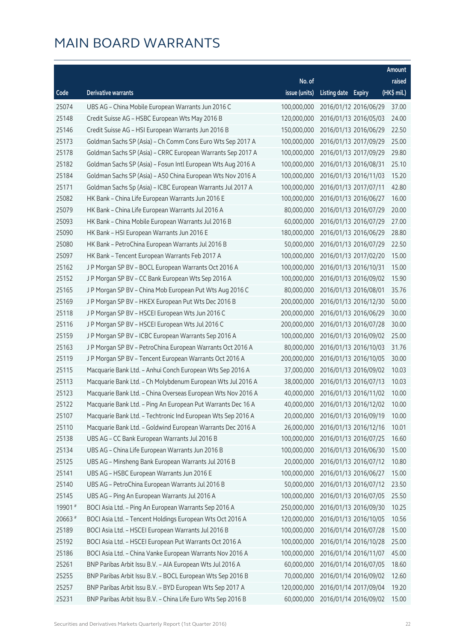|         |                                                              |               |                     |                       | Amount      |
|---------|--------------------------------------------------------------|---------------|---------------------|-----------------------|-------------|
|         |                                                              | No. of        |                     |                       | raised      |
| Code    | <b>Derivative warrants</b>                                   | issue (units) | Listing date Expiry |                       | (HK\$ mil.) |
| 25074   | UBS AG - China Mobile European Warrants Jun 2016 C           | 100,000,000   |                     | 2016/01/12 2016/06/29 | 37.00       |
| 25148   | Credit Suisse AG - HSBC European Wts May 2016 B              | 120,000,000   |                     | 2016/01/13 2016/05/03 | 24.00       |
| 25146   | Credit Suisse AG - HSI European Warrants Jun 2016 B          | 150,000,000   |                     | 2016/01/13 2016/06/29 | 22.50       |
| 25173   | Goldman Sachs SP (Asia) - Ch Comm Cons Euro Wts Sep 2017 A   | 100,000,000   |                     | 2016/01/13 2017/09/29 | 25.00       |
| 25178   | Goldman Sachs SP (Asia) - CRRC European Warrants Sep 2017 A  | 100,000,000   |                     | 2016/01/13 2017/09/29 | 29.80       |
| 25182   | Goldman Sachs SP (Asia) - Fosun Intl European Wts Aug 2016 A | 100,000,000   |                     | 2016/01/13 2016/08/31 | 25.10       |
| 25184   | Goldman Sachs SP (Asia) - A50 China European Wts Nov 2016 A  | 100,000,000   |                     | 2016/01/13 2016/11/03 | 15.20       |
| 25171   | Goldman Sachs Sp (Asia) - ICBC European Warrants Jul 2017 A  | 100,000,000   |                     | 2016/01/13 2017/07/11 | 42.80       |
| 25082   | HK Bank - China Life European Warrants Jun 2016 E            | 100,000,000   |                     | 2016/01/13 2016/06/27 | 16.00       |
| 25079   | HK Bank - China Life European Warrants Jul 2016 A            | 80,000,000    |                     | 2016/01/13 2016/07/29 | 20.00       |
| 25093   | HK Bank - China Mobile European Warrants Jul 2016 B          | 60,000,000    |                     | 2016/01/13 2016/07/29 | 27.00       |
| 25090   | HK Bank - HSI European Warrants Jun 2016 E                   | 180,000,000   |                     | 2016/01/13 2016/06/29 | 28.80       |
| 25080   | HK Bank - PetroChina European Warrants Jul 2016 B            | 50,000,000    |                     | 2016/01/13 2016/07/29 | 22.50       |
| 25097   | HK Bank - Tencent European Warrants Feb 2017 A               | 100,000,000   |                     | 2016/01/13 2017/02/20 | 15.00       |
| 25162   | J P Morgan SP BV - BOCL European Warrants Oct 2016 A         | 100,000,000   |                     | 2016/01/13 2016/10/31 | 15.00       |
| 25152   | J P Morgan SP BV - CC Bank European Wts Sep 2016 A           | 100,000,000   |                     | 2016/01/13 2016/09/02 | 15.90       |
| 25165   | J P Morgan SP BV - China Mob European Put Wts Aug 2016 C     | 80,000,000    |                     | 2016/01/13 2016/08/01 | 35.76       |
| 25169   | JP Morgan SP BV - HKEX European Put Wts Dec 2016 B           | 200,000,000   |                     | 2016/01/13 2016/12/30 | 50.00       |
| 25118   | J P Morgan SP BV - HSCEI European Wts Jun 2016 C             | 200,000,000   |                     | 2016/01/13 2016/06/29 | 30.00       |
| 25116   | J P Morgan SP BV - HSCEI European Wts Jul 2016 C             | 200,000,000   |                     | 2016/01/13 2016/07/28 | 30.00       |
| 25159   | J P Morgan SP BV - ICBC European Warrants Sep 2016 A         | 100,000,000   |                     | 2016/01/13 2016/09/02 | 25.00       |
| 25163   | J P Morgan SP BV - PetroChina European Warrants Oct 2016 A   | 80,000,000    |                     | 2016/01/13 2016/10/03 | 31.76       |
| 25119   | J P Morgan SP BV - Tencent European Warrants Oct 2016 A      | 200,000,000   |                     | 2016/01/13 2016/10/05 | 30.00       |
| 25115   | Macquarie Bank Ltd. - Anhui Conch European Wts Sep 2016 A    | 37,000,000    |                     | 2016/01/13 2016/09/02 | 10.03       |
| 25113   | Macquarie Bank Ltd. - Ch Molybdenum European Wts Jul 2016 A  | 38,000,000    |                     | 2016/01/13 2016/07/13 | 10.03       |
| 25123   | Macquarie Bank Ltd. - China Overseas European Wts Nov 2016 A | 40,000,000    |                     | 2016/01/13 2016/11/02 | 10.00       |
| 25122   | Macquarie Bank Ltd. - Ping An European Put Warrants Dec 16 A | 40,000,000    |                     | 2016/01/13 2016/12/02 | 10.00       |
| 25107   | Macquarie Bank Ltd. - Techtronic Ind European Wts Sep 2016 A | 20,000,000    |                     | 2016/01/13 2016/09/19 | 10.00       |
| 25110   | Macquarie Bank Ltd. - Goldwind European Warrants Dec 2016 A  | 26,000,000    |                     | 2016/01/13 2016/12/16 | 10.01       |
| 25138   | UBS AG - CC Bank European Warrants Jul 2016 B                | 100,000,000   |                     | 2016/01/13 2016/07/25 | 16.60       |
| 25134   | UBS AG - China Life European Warrants Jun 2016 B             | 100,000,000   |                     | 2016/01/13 2016/06/30 | 15.00       |
| 25125   | UBS AG - Minsheng Bank European Warrants Jul 2016 B          | 20,000,000    |                     | 2016/01/13 2016/07/12 | 10.80       |
| 25141   | UBS AG - HSBC European Warrants Jun 2016 E                   | 100,000,000   |                     | 2016/01/13 2016/06/27 | 15.00       |
| 25140   | UBS AG - PetroChina European Warrants Jul 2016 B             | 50,000,000    |                     | 2016/01/13 2016/07/12 | 23.50       |
| 25145   | UBS AG - Ping An European Warrants Jul 2016 A                | 100,000,000   |                     | 2016/01/13 2016/07/05 | 25.50       |
| 19901 # | BOCI Asia Ltd. - Ping An European Warrants Sep 2016 A        | 250,000,000   |                     | 2016/01/13 2016/09/30 | 10.25       |
| 20663 # | BOCI Asia Ltd. - Tencent Holdings European Wts Oct 2016 A    | 120,000,000   |                     | 2016/01/13 2016/10/05 | 10.56       |
| 25189   | BOCI Asia Ltd. - HSCEI European Warrants Jul 2016 B          | 100,000,000   |                     | 2016/01/14 2016/07/28 | 15.00       |
| 25192   | BOCI Asia Ltd. - HSCEI European Put Warrants Oct 2016 A      | 100,000,000   |                     | 2016/01/14 2016/10/28 | 25.00       |
| 25186   | BOCI Asia Ltd. - China Vanke European Warrants Nov 2016 A    | 100,000,000   |                     | 2016/01/14 2016/11/07 | 45.00       |
| 25261   | BNP Paribas Arbit Issu B.V. - AIA European Wts Jul 2016 A    | 60,000,000    |                     | 2016/01/14 2016/07/05 | 18.60       |
| 25255   | BNP Paribas Arbit Issu B.V. - BOCL European Wts Sep 2016 B   | 70,000,000    |                     | 2016/01/14 2016/09/02 | 12.60       |
| 25257   | BNP Paribas Arbit Issu B.V. - BYD European Wts Sep 2017 A    | 120,000,000   |                     | 2016/01/14 2017/09/04 | 19.20       |
| 25231   | BNP Paribas Arbit Issu B.V. - China Life Euro Wts Sep 2016 B | 60,000,000    |                     | 2016/01/14 2016/09/02 | 15.00       |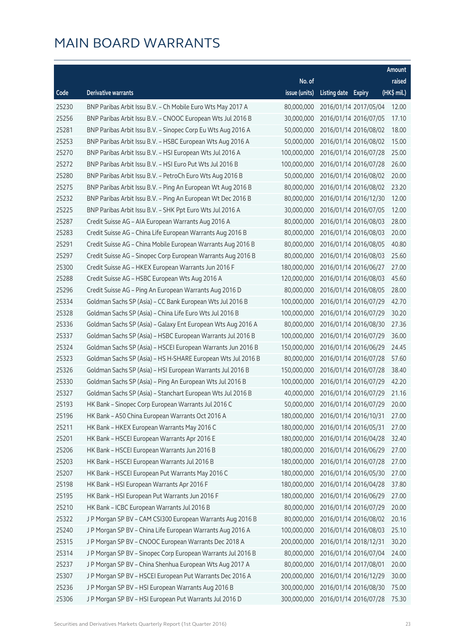|       |                                                              |               |                     |                       | Amount      |
|-------|--------------------------------------------------------------|---------------|---------------------|-----------------------|-------------|
|       |                                                              | No. of        |                     |                       | raised      |
| Code  | <b>Derivative warrants</b>                                   | issue (units) | Listing date Expiry |                       | (HK\$ mil.) |
| 25230 | BNP Paribas Arbit Issu B.V. - Ch Mobile Euro Wts May 2017 A  | 80,000,000    |                     | 2016/01/14 2017/05/04 | 12.00       |
| 25256 | BNP Paribas Arbit Issu B.V. - CNOOC European Wts Jul 2016 B  | 30,000,000    |                     | 2016/01/14 2016/07/05 | 17.10       |
| 25281 | BNP Paribas Arbit Issu B.V. - Sinopec Corp Eu Wts Aug 2016 A | 50,000,000    |                     | 2016/01/14 2016/08/02 | 18.00       |
| 25253 | BNP Paribas Arbit Issu B.V. - HSBC European Wts Aug 2016 A   | 50,000,000    |                     | 2016/01/14 2016/08/02 | 15.00       |
| 25270 | BNP Paribas Arbit Issu B.V. - HSI European Wts Jul 2016 A    | 100,000,000   |                     | 2016/01/14 2016/07/28 | 25.00       |
| 25272 | BNP Paribas Arbit Issu B.V. - HSI Euro Put Wts Jul 2016 B    | 100,000,000   |                     | 2016/01/14 2016/07/28 | 26.00       |
| 25280 | BNP Paribas Arbit Issu B.V. - PetroCh Euro Wts Aug 2016 B    | 50,000,000    |                     | 2016/01/14 2016/08/02 | 20.00       |
| 25275 | BNP Paribas Arbit Issu B.V. - Ping An European Wt Aug 2016 B | 80,000,000    |                     | 2016/01/14 2016/08/02 | 23.20       |
| 25232 | BNP Paribas Arbit Issu B.V. - Ping An European Wt Dec 2016 B | 80,000,000    |                     | 2016/01/14 2016/12/30 | 12.00       |
| 25225 | BNP Paribas Arbit Issu B.V. - SHK Ppt Euro Wts Jul 2016 A    | 30,000,000    |                     | 2016/01/14 2016/07/05 | 12.00       |
| 25287 | Credit Suisse AG - AIA European Warrants Aug 2016 A          | 80,000,000    |                     | 2016/01/14 2016/08/03 | 28.00       |
| 25283 | Credit Suisse AG - China Life European Warrants Aug 2016 B   | 80,000,000    |                     | 2016/01/14 2016/08/03 | 20.00       |
| 25291 | Credit Suisse AG - China Mobile European Warrants Aug 2016 B | 80,000,000    |                     | 2016/01/14 2016/08/05 | 40.80       |
| 25297 | Credit Suisse AG - Sinopec Corp European Warrants Aug 2016 B | 80,000,000    |                     | 2016/01/14 2016/08/03 | 25.60       |
| 25300 | Credit Suisse AG - HKEX European Warrants Jun 2016 F         | 180,000,000   |                     | 2016/01/14 2016/06/27 | 27.00       |
| 25288 | Credit Suisse AG - HSBC European Wts Aug 2016 A              | 120,000,000   |                     | 2016/01/14 2016/08/03 | 45.60       |
| 25296 | Credit Suisse AG - Ping An European Warrants Aug 2016 D      | 80,000,000    |                     | 2016/01/14 2016/08/05 | 28.00       |
| 25334 | Goldman Sachs SP (Asia) - CC Bank European Wts Jul 2016 B    | 100,000,000   |                     | 2016/01/14 2016/07/29 | 42.70       |
| 25328 | Goldman Sachs SP (Asia) - China Life Euro Wts Jul 2016 B     | 100,000,000   |                     | 2016/01/14 2016/07/29 | 30.20       |
| 25336 | Goldman Sachs SP (Asia) - Galaxy Ent European Wts Aug 2016 A | 80,000,000    |                     | 2016/01/14 2016/08/30 | 27.36       |
| 25337 | Goldman Sachs SP (Asia) - HSBC European Warrants Jul 2016 B  | 100,000,000   |                     | 2016/01/14 2016/07/29 | 36.00       |
| 25324 | Goldman Sachs SP (Asia) - HSCEI European Warrants Jun 2016 B | 150,000,000   |                     | 2016/01/14 2016/06/29 | 24.45       |
| 25323 | Goldman Sachs SP (Asia) - HS H-SHARE European Wts Jul 2016 B | 80,000,000    |                     | 2016/01/14 2016/07/28 | 57.60       |
| 25326 | Goldman Sachs SP (Asia) - HSI European Warrants Jul 2016 B   | 150,000,000   |                     | 2016/01/14 2016/07/28 | 38.40       |
| 25330 | Goldman Sachs SP (Asia) - Ping An European Wts Jul 2016 B    | 100,000,000   |                     | 2016/01/14 2016/07/29 | 42.20       |
| 25327 | Goldman Sachs SP (Asia) - Stanchart European Wts Jul 2016 B  | 40,000,000    |                     | 2016/01/14 2016/07/29 | 21.16       |
| 25193 | HK Bank - Sinopec Corp European Warrants Jul 2016 C          | 50,000,000    |                     | 2016/01/14 2016/07/29 | 20.00       |
| 25196 | HK Bank - A50 China European Warrants Oct 2016 A             | 180,000,000   |                     | 2016/01/14 2016/10/31 | 27.00       |
| 25211 | HK Bank - HKEX European Warrants May 2016 C                  | 180,000,000   |                     | 2016/01/14 2016/05/31 | 27.00       |
| 25201 | HK Bank - HSCEI European Warrants Apr 2016 E                 | 180,000,000   |                     | 2016/01/14 2016/04/28 | 32.40       |
| 25206 | HK Bank - HSCEI European Warrants Jun 2016 B                 | 180,000,000   |                     | 2016/01/14 2016/06/29 | 27.00       |
| 25203 | HK Bank - HSCEI European Warrants Jul 2016 B                 | 180,000,000   |                     | 2016/01/14 2016/07/28 | 27.00       |
| 25207 | HK Bank - HSCEI European Put Warrants May 2016 C             | 180,000,000   |                     | 2016/01/14 2016/05/30 | 27.00       |
| 25198 | HK Bank - HSI European Warrants Apr 2016 F                   | 180,000,000   |                     | 2016/01/14 2016/04/28 | 37.80       |
| 25195 | HK Bank - HSI European Put Warrants Jun 2016 F               | 180,000,000   |                     | 2016/01/14 2016/06/29 | 27.00       |
| 25210 | HK Bank - ICBC European Warrants Jul 2016 B                  | 80,000,000    |                     | 2016/01/14 2016/07/29 | 20.00       |
| 25322 | J P Morgan SP BV - CAM CSI300 European Warrants Aug 2016 B   | 80,000,000    |                     | 2016/01/14 2016/08/02 | 20.16       |
| 25240 | J P Morgan SP BV - China Life European Warrants Aug 2016 A   | 100,000,000   |                     | 2016/01/14 2016/08/03 | 25.10       |
| 25315 | J P Morgan SP BV - CNOOC European Warrants Dec 2018 A        | 200,000,000   |                     | 2016/01/14 2018/12/31 | 30.20       |
| 25314 | J P Morgan SP BV - Sinopec Corp European Warrants Jul 2016 B | 80,000,000    |                     | 2016/01/14 2016/07/04 | 24.00       |
| 25237 | J P Morgan SP BV - China Shenhua European Wts Aug 2017 A     | 80,000,000    |                     | 2016/01/14 2017/08/01 | 20.00       |
| 25307 | J P Morgan SP BV - HSCEI European Put Warrants Dec 2016 A    | 200,000,000   |                     | 2016/01/14 2016/12/29 | 30.00       |
| 25236 | J P Morgan SP BV - HSI European Warrants Aug 2016 B          | 300,000,000   |                     | 2016/01/14 2016/08/30 | 75.00       |
| 25306 | J P Morgan SP BV - HSI European Put Warrants Jul 2016 D      | 300,000,000   |                     | 2016/01/14 2016/07/28 | 75.30       |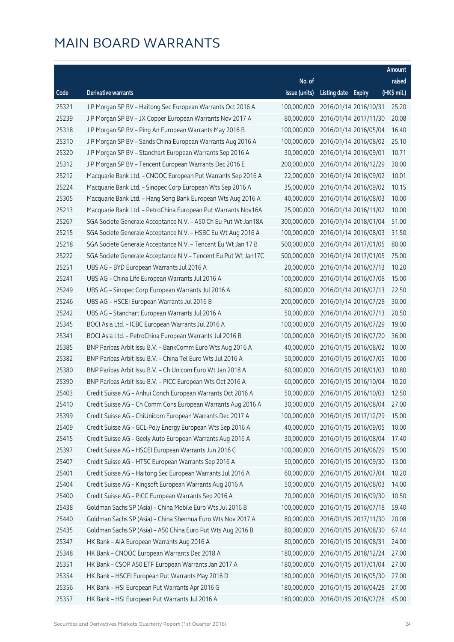|       |                                                                |               |                     |                       | Amount      |
|-------|----------------------------------------------------------------|---------------|---------------------|-----------------------|-------------|
|       |                                                                | No. of        |                     |                       | raised      |
| Code  | <b>Derivative warrants</b>                                     | issue (units) | Listing date Expiry |                       | (HK\$ mil.) |
| 25321 | J P Morgan SP BV - Haitong Sec European Warrants Oct 2016 A    | 100,000,000   |                     | 2016/01/14 2016/10/31 | 25.20       |
| 25239 | J P Morgan SP BV - JX Copper European Warrants Nov 2017 A      | 80,000,000    |                     | 2016/01/14 2017/11/30 | 20.08       |
| 25318 | J P Morgan SP BV - Ping An European Warrants May 2016 B        | 100,000,000   |                     | 2016/01/14 2016/05/04 | 16.40       |
| 25310 | J P Morgan SP BV - Sands China European Warrants Aug 2016 A    | 100,000,000   |                     | 2016/01/14 2016/08/02 | 25.10       |
| 25320 | J P Morgan SP BV - Stanchart European Warrants Sep 2016 A      | 30,000,000    |                     | 2016/01/14 2016/09/01 | 10.71       |
| 25312 | J P Morgan SP BV - Tencent European Warrants Dec 2016 E        | 200,000,000   |                     | 2016/01/14 2016/12/29 | 30.00       |
| 25212 | Macquarie Bank Ltd. - CNOOC European Put Warrants Sep 2016 A   | 22,000,000    |                     | 2016/01/14 2016/09/02 | 10.01       |
| 25224 | Macquarie Bank Ltd. - Sinopec Corp European Wts Sep 2016 A     | 35,000,000    |                     | 2016/01/14 2016/09/02 | 10.15       |
| 25305 | Macquarie Bank Ltd. - Hang Seng Bank European Wts Aug 2016 A   | 40,000,000    |                     | 2016/01/14 2016/08/03 | 10.00       |
| 25213 | Macquarie Bank Ltd. - PetroChina European Put Warrants Nov16A  | 25,000,000    |                     | 2016/01/14 2016/11/02 | 10.00       |
| 25267 | SGA Societe Generale Acceptance N.V. - A50 Ch Eu Put Wt Jan18A | 300,000,000   |                     | 2016/01/14 2018/01/04 | 51.00       |
| 25215 | SGA Societe Generale Acceptance N.V. - HSBC Eu Wt Aug 2016 A   | 100,000,000   |                     | 2016/01/14 2016/08/03 | 31.50       |
| 25218 | SGA Societe Generale Acceptance N.V. - Tencent Eu Wt Jan 17 B  | 500,000,000   |                     | 2016/01/14 2017/01/05 | 80.00       |
| 25222 | SGA Societe Generale Acceptance N.V - Tencent Eu Put Wt Jan17C | 500,000,000   |                     | 2016/01/14 2017/01/05 | 75.00       |
| 25251 | UBS AG - BYD European Warrants Jul 2016 A                      | 20,000,000    |                     | 2016/01/14 2016/07/13 | 10.20       |
| 25241 | UBS AG - China Life European Warrants Jul 2016 A               | 100,000,000   |                     | 2016/01/14 2016/07/08 | 15.00       |
| 25249 | UBS AG - Sinopec Corp European Warrants Jul 2016 A             | 60,000,000    |                     | 2016/01/14 2016/07/13 | 22.50       |
| 25246 | UBS AG - HSCEI European Warrants Jul 2016 B                    | 200,000,000   |                     | 2016/01/14 2016/07/28 | 30.00       |
| 25242 | UBS AG - Stanchart European Warrants Jul 2016 A                | 50,000,000    |                     | 2016/01/14 2016/07/13 | 20.50       |
| 25345 | BOCI Asia Ltd. - ICBC European Warrants Jul 2016 A             | 100,000,000   |                     | 2016/01/15 2016/07/29 | 19.00       |
| 25341 | BOCI Asia Ltd. - PetroChina European Warrants Jul 2016 B       | 100,000,000   |                     | 2016/01/15 2016/07/20 | 36.00       |
| 25385 | BNP Paribas Arbit Issu B.V. - BankComm Euro Wts Aug 2016 A     | 40,000,000    |                     | 2016/01/15 2016/08/02 | 10.00       |
| 25382 | BNP Paribas Arbit Issu B.V. - China Tel Euro Wts Jul 2016 A    | 50,000,000    |                     | 2016/01/15 2016/07/05 | 10.00       |
| 25380 | BNP Paribas Arbit Issu B.V. - Ch Unicom Euro Wt Jan 2018 A     | 60,000,000    |                     | 2016/01/15 2018/01/03 | 10.80       |
| 25390 | BNP Paribas Arbit Issu B.V. - PICC European Wts Oct 2016 A     | 60,000,000    |                     | 2016/01/15 2016/10/04 | 10.20       |
| 25403 | Credit Suisse AG - Anhui Conch European Warrants Oct 2016 A    | 50,000,000    |                     | 2016/01/15 2016/10/03 | 12.50       |
| 25410 | Credit Suisse AG - Ch Comm Cons European Warrants Aug 2016 A   | 30,000,000    |                     | 2016/01/15 2016/08/04 | 27.00       |
| 25399 | Credit Suisse AG - ChiUnicom European Warrants Dec 2017 A      | 100,000,000   |                     | 2016/01/15 2017/12/29 | 15.00       |
| 25409 | Credit Suisse AG - GCL-Poly Energy European Wts Sep 2016 A     | 40,000,000    |                     | 2016/01/15 2016/09/05 | 10.00       |
| 25415 | Credit Suisse AG - Geely Auto European Warrants Aug 2016 A     | 30,000,000    |                     | 2016/01/15 2016/08/04 | 17.40       |
| 25397 | Credit Suisse AG - HSCEI European Warrants Jun 2016 C          | 100,000,000   |                     | 2016/01/15 2016/06/29 | 15.00       |
| 25407 | Credit Suisse AG - HTSC European Warrants Sep 2016 A           | 50,000,000    |                     | 2016/01/15 2016/09/30 | 13.00       |
| 25401 | Credit Suisse AG - Haitong Sec European Warrants Jul 2016 A    | 60,000,000    |                     | 2016/01/15 2016/07/04 | 10.20       |
| 25404 | Credit Suisse AG - Kingsoft European Warrants Aug 2016 A       | 50,000,000    |                     | 2016/01/15 2016/08/03 | 14.00       |
| 25400 | Credit Suisse AG - PICC European Warrants Sep 2016 A           | 70,000,000    |                     | 2016/01/15 2016/09/30 | 10.50       |
| 25438 | Goldman Sachs SP (Asia) - China Mobile Euro Wts Jul 2016 B     | 100,000,000   |                     | 2016/01/15 2016/07/18 | 59.40       |
| 25440 | Goldman Sachs SP (Asia) - China Shenhua Euro Wts Nov 2017 A    | 80,000,000    |                     | 2016/01/15 2017/11/30 | 20.08       |
| 25435 | Goldman Sachs SP (Asia) - A50 China Euro Put Wts Aug 2016 B    | 80,000,000    |                     | 2016/01/15 2016/08/30 | 67.44       |
| 25347 | HK Bank - AIA European Warrants Aug 2016 A                     | 80,000,000    |                     | 2016/01/15 2016/08/31 | 24.00       |
| 25348 | HK Bank - CNOOC European Warrants Dec 2018 A                   | 180,000,000   |                     | 2016/01/15 2018/12/24 | 27.00       |
| 25351 | HK Bank - CSOP A50 ETF European Warrants Jan 2017 A            | 180,000,000   |                     | 2016/01/15 2017/01/04 | 27.00       |
| 25354 | HK Bank - HSCEI European Put Warrants May 2016 D               | 180,000,000   |                     | 2016/01/15 2016/05/30 | 27.00       |
| 25356 | HK Bank - HSI European Put Warrants Apr 2016 G                 | 180,000,000   |                     | 2016/01/15 2016/04/28 | 27.00       |
| 25357 | HK Bank - HSI European Put Warrants Jul 2016 A                 | 180,000,000   |                     | 2016/01/15 2016/07/28 | 45.00       |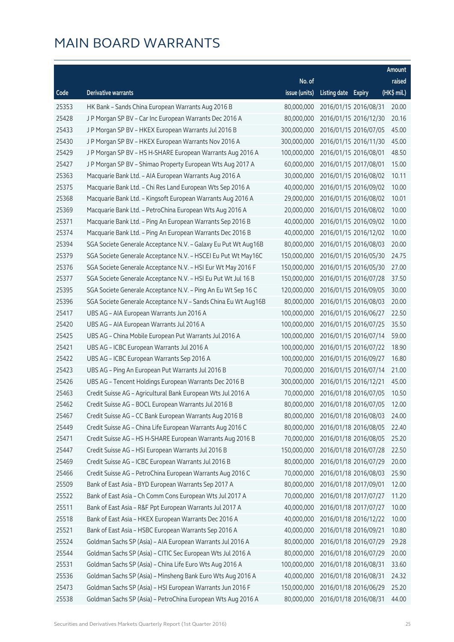|       |                                                                |               |                     |                       | Amount      |
|-------|----------------------------------------------------------------|---------------|---------------------|-----------------------|-------------|
|       |                                                                | No. of        |                     |                       | raised      |
| Code  | <b>Derivative warrants</b>                                     | issue (units) | Listing date Expiry |                       | (HK\$ mil.) |
| 25353 | HK Bank - Sands China European Warrants Aug 2016 B             | 80,000,000    |                     | 2016/01/15 2016/08/31 | 20.00       |
| 25428 | J P Morgan SP BV - Car Inc European Warrants Dec 2016 A        | 80,000,000    |                     | 2016/01/15 2016/12/30 | 20.16       |
| 25433 | J P Morgan SP BV - HKEX European Warrants Jul 2016 B           | 300,000,000   |                     | 2016/01/15 2016/07/05 | 45.00       |
| 25430 | J P Morgan SP BV - HKEX European Warrants Nov 2016 A           | 300,000,000   |                     | 2016/01/15 2016/11/30 | 45.00       |
| 25429 | J P Morgan SP BV - HS H-SHARE European Warrants Aug 2016 A     | 100,000,000   |                     | 2016/01/15 2016/08/01 | 48.50       |
| 25427 | J P Morgan SP BV - Shimao Property European Wts Aug 2017 A     | 60,000,000    |                     | 2016/01/15 2017/08/01 | 15.00       |
| 25363 | Macquarie Bank Ltd. - AIA European Warrants Aug 2016 A         | 30,000,000    |                     | 2016/01/15 2016/08/02 | 10.11       |
| 25375 | Macquarie Bank Ltd. - Chi Res Land European Wts Sep 2016 A     | 40,000,000    |                     | 2016/01/15 2016/09/02 | 10.00       |
| 25368 | Macquarie Bank Ltd. - Kingsoft European Warrants Aug 2016 A    | 29,000,000    |                     | 2016/01/15 2016/08/02 | 10.01       |
| 25369 | Macquarie Bank Ltd. - PetroChina European Wts Aug 2016 A       | 20,000,000    |                     | 2016/01/15 2016/08/02 | 10.00       |
| 25371 | Macquarie Bank Ltd. - Ping An European Warrants Sep 2016 B     | 40,000,000    |                     | 2016/01/15 2016/09/02 | 10.00       |
| 25374 | Macquarie Bank Ltd. - Ping An European Warrants Dec 2016 B     | 40,000,000    |                     | 2016/01/15 2016/12/02 | 10.00       |
| 25394 | SGA Societe Generale Acceptance N.V. - Galaxy Eu Put Wt Aug16B | 80,000,000    |                     | 2016/01/15 2016/08/03 | 20.00       |
| 25379 | SGA Societe Generale Acceptance N.V. - HSCEI Eu Put Wt May16C  | 150,000,000   |                     | 2016/01/15 2016/05/30 | 24.75       |
| 25376 | SGA Societe Generale Acceptance N.V. - HSI Eur Wt May 2016 F   | 150,000,000   |                     | 2016/01/15 2016/05/30 | 27.00       |
| 25377 | SGA Societe Generale Acceptance N.V. - HSI Eu Put Wt Jul 16 B  | 150,000,000   |                     | 2016/01/15 2016/07/28 | 37.50       |
| 25395 | SGA Societe Generale Acceptance N.V. - Ping An Eu Wt Sep 16 C  | 120,000,000   |                     | 2016/01/15 2016/09/05 | 30.00       |
| 25396 | SGA Societe Generale Acceptance N.V - Sands China Eu Wt Aug16B | 80,000,000    |                     | 2016/01/15 2016/08/03 | 20.00       |
| 25417 | UBS AG - AIA European Warrants Jun 2016 A                      | 100,000,000   |                     | 2016/01/15 2016/06/27 | 22.50       |
| 25420 | UBS AG - AIA European Warrants Jul 2016 A                      | 100,000,000   |                     | 2016/01/15 2016/07/25 | 35.50       |
| 25425 | UBS AG - China Mobile European Put Warrants Jul 2016 A         | 100,000,000   |                     | 2016/01/15 2016/07/14 | 59.00       |
| 25421 | UBS AG - ICBC European Warrants Jul 2016 A                     | 100,000,000   |                     | 2016/01/15 2016/07/22 | 18.90       |
| 25422 | UBS AG - ICBC European Warrants Sep 2016 A                     | 100,000,000   |                     | 2016/01/15 2016/09/27 | 16.80       |
| 25423 | UBS AG - Ping An European Put Warrants Jul 2016 B              | 70,000,000    |                     | 2016/01/15 2016/07/14 | 21.00       |
| 25426 | UBS AG - Tencent Holdings European Warrants Dec 2016 B         | 300,000,000   |                     | 2016/01/15 2016/12/21 | 45.00       |
| 25463 | Credit Suisse AG - Agricultural Bank European Wts Jul 2016 A   | 70,000,000    |                     | 2016/01/18 2016/07/05 | 10.50       |
| 25462 | Credit Suisse AG - BOCL European Warrants Jul 2016 B           | 80,000,000    |                     | 2016/01/18 2016/07/05 | 12.00       |
| 25467 | Credit Suisse AG - CC Bank European Warrants Aug 2016 B        | 80,000,000    |                     | 2016/01/18 2016/08/03 | 24.00       |
| 25449 | Credit Suisse AG - China Life European Warrants Aug 2016 C     | 80,000,000    |                     | 2016/01/18 2016/08/05 | 22.40       |
| 25471 | Credit Suisse AG - HS H-SHARE European Warrants Aug 2016 B     | 70,000,000    |                     | 2016/01/18 2016/08/05 | 25.20       |
| 25447 | Credit Suisse AG - HSI European Warrants Jul 2016 B            | 150,000,000   |                     | 2016/01/18 2016/07/28 | 22.50       |
| 25469 | Credit Suisse AG - ICBC European Warrants Jul 2016 B           | 80,000,000    |                     | 2016/01/18 2016/07/29 | 20.00       |
| 25466 | Credit Suisse AG - PetroChina European Warrants Aug 2016 C     | 70,000,000    |                     | 2016/01/18 2016/08/03 | 25.90       |
| 25509 | Bank of East Asia - BYD European Warrants Sep 2017 A           | 80,000,000    |                     | 2016/01/18 2017/09/01 | 12.00       |
| 25522 | Bank of East Asia - Ch Comm Cons European Wts Jul 2017 A       | 70,000,000    |                     | 2016/01/18 2017/07/27 | 11.20       |
| 25511 | Bank of East Asia - R&F Ppt European Warrants Jul 2017 A       | 40,000,000    |                     | 2016/01/18 2017/07/27 | 10.00       |
| 25518 | Bank of East Asia - HKEX European Warrants Dec 2016 A          | 40,000,000    |                     | 2016/01/18 2016/12/22 | 10.00       |
| 25521 | Bank of East Asia - HSBC European Warrants Sep 2016 A          | 40,000,000    |                     | 2016/01/18 2016/09/21 | 10.80       |
| 25524 | Goldman Sachs SP (Asia) - AIA European Warrants Jul 2016 A     | 80,000,000    |                     | 2016/01/18 2016/07/29 | 29.28       |
| 25544 | Goldman Sachs SP (Asia) - CITIC Sec European Wts Jul 2016 A    | 80,000,000    |                     | 2016/01/18 2016/07/29 | 20.00       |
| 25531 | Goldman Sachs SP (Asia) - China Life Euro Wts Aug 2016 A       | 100,000,000   |                     | 2016/01/18 2016/08/31 | 33.60       |
| 25536 | Goldman Sachs SP (Asia) - Minsheng Bank Euro Wts Aug 2016 A    | 40,000,000    |                     | 2016/01/18 2016/08/31 | 24.32       |
| 25473 | Goldman Sachs SP (Asia) - HSI European Warrants Jun 2016 F     | 150,000,000   |                     | 2016/01/18 2016/06/29 | 25.20       |
| 25538 | Goldman Sachs SP (Asia) - PetroChina European Wts Aug 2016 A   | 80,000,000    |                     | 2016/01/18 2016/08/31 | 44.00       |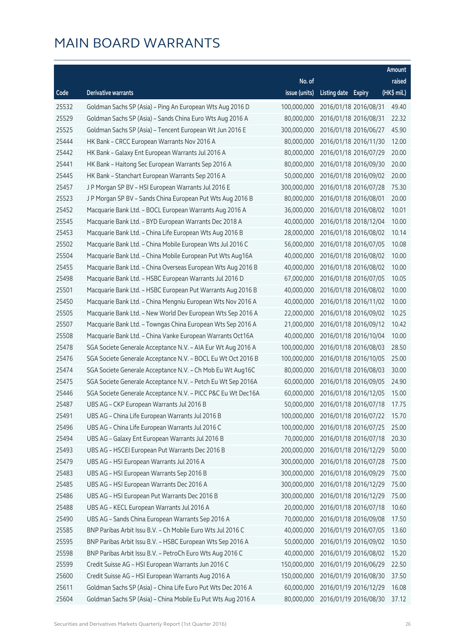|       |                                                              |               |                     |                       | Amount      |
|-------|--------------------------------------------------------------|---------------|---------------------|-----------------------|-------------|
|       |                                                              | No. of        |                     |                       | raised      |
| Code  | <b>Derivative warrants</b>                                   | issue (units) | Listing date Expiry |                       | (HK\$ mil.) |
| 25532 | Goldman Sachs SP (Asia) - Ping An European Wts Aug 2016 D    | 100,000,000   |                     | 2016/01/18 2016/08/31 | 49.40       |
| 25529 | Goldman Sachs SP (Asia) - Sands China Euro Wts Aug 2016 A    | 80,000,000    |                     | 2016/01/18 2016/08/31 | 22.32       |
| 25525 | Goldman Sachs SP (Asia) - Tencent European Wt Jun 2016 E     | 300,000,000   |                     | 2016/01/18 2016/06/27 | 45.90       |
| 25444 | HK Bank - CRCC European Warrants Nov 2016 A                  | 80,000,000    |                     | 2016/01/18 2016/11/30 | 12.00       |
| 25442 | HK Bank - Galaxy Ent European Warrants Jul 2016 A            | 80,000,000    |                     | 2016/01/18 2016/07/29 | 20.00       |
| 25441 | HK Bank - Haitong Sec European Warrants Sep 2016 A           | 80,000,000    |                     | 2016/01/18 2016/09/30 | 20.00       |
| 25445 | HK Bank - Stanchart European Warrants Sep 2016 A             | 50,000,000    |                     | 2016/01/18 2016/09/02 | 20.00       |
| 25457 | J P Morgan SP BV - HSI European Warrants Jul 2016 E          | 300,000,000   |                     | 2016/01/18 2016/07/28 | 75.30       |
| 25523 | J P Morgan SP BV - Sands China European Put Wts Aug 2016 B   | 80,000,000    |                     | 2016/01/18 2016/08/01 | 20.00       |
| 25452 | Macquarie Bank Ltd. - BOCL European Warrants Aug 2016 A      | 36,000,000    |                     | 2016/01/18 2016/08/02 | 10.01       |
| 25545 | Macquarie Bank Ltd. - BYD European Warrants Dec 2018 A       | 40,000,000    |                     | 2016/01/18 2018/12/04 | 10.00       |
| 25453 | Macquarie Bank Ltd. - China Life European Wts Aug 2016 B     | 28,000,000    |                     | 2016/01/18 2016/08/02 | 10.14       |
| 25502 | Macquarie Bank Ltd. - China Mobile European Wts Jul 2016 C   | 56,000,000    |                     | 2016/01/18 2016/07/05 | 10.08       |
| 25504 | Macquarie Bank Ltd. - China Mobile European Put Wts Aug16A   | 40,000,000    |                     | 2016/01/18 2016/08/02 | 10.00       |
| 25455 | Macquarie Bank Ltd. - China Overseas European Wts Aug 2016 B | 40,000,000    |                     | 2016/01/18 2016/08/02 | 10.00       |
| 25498 | Macquarie Bank Ltd. - HSBC European Warrants Jul 2016 D      | 67,000,000    |                     | 2016/01/18 2016/07/05 | 10.05       |
| 25501 | Macquarie Bank Ltd. - HSBC European Put Warrants Aug 2016 B  | 40,000,000    |                     | 2016/01/18 2016/08/02 | 10.00       |
| 25450 | Macquarie Bank Ltd. - China Mengniu European Wts Nov 2016 A  | 40,000,000    |                     | 2016/01/18 2016/11/02 | 10.00       |
| 25505 | Macquarie Bank Ltd. - New World Dev European Wts Sep 2016 A  | 22,000,000    |                     | 2016/01/18 2016/09/02 | 10.25       |
| 25507 | Macquarie Bank Ltd. - Towngas China European Wts Sep 2016 A  | 21,000,000    |                     | 2016/01/18 2016/09/12 | 10.42       |
| 25508 | Macquarie Bank Ltd. - China Vanke European Warrants Oct16A   | 40,000,000    |                     | 2016/01/18 2016/10/04 | 10.00       |
| 25478 | SGA Societe Generale Acceptance N.V. - AIA Eur Wt Aug 2016 A | 100,000,000   |                     | 2016/01/18 2016/08/03 | 28.50       |
| 25476 | SGA Societe Generale Acceptance N.V. - BOCL Eu Wt Oct 2016 B | 100,000,000   |                     | 2016/01/18 2016/10/05 | 25.00       |
| 25474 | SGA Societe Generale Acceptance N.V. - Ch Mob Eu Wt Aug16C   | 80,000,000    |                     | 2016/01/18 2016/08/03 | 30.00       |
| 25475 | SGA Societe Generale Acceptance N.V. - Petch Eu Wt Sep 2016A | 60,000,000    |                     | 2016/01/18 2016/09/05 | 24.90       |
| 25446 | SGA Societe Generale Acceptance N.V. - PICC P&C Eu Wt Dec16A | 60,000,000    |                     | 2016/01/18 2016/12/05 | 15.00       |
| 25487 | UBS AG - CKP European Warrants Jul 2016 B                    | 50,000,000    |                     | 2016/01/18 2016/07/18 | 17.75       |
| 25491 | UBS AG - China Life European Warrants Jul 2016 B             | 100,000,000   |                     | 2016/01/18 2016/07/22 | 15.70       |
| 25496 | UBS AG - China Life European Warrants Jul 2016 C             | 100,000,000   |                     | 2016/01/18 2016/07/25 | 25.00       |
| 25494 | UBS AG - Galaxy Ent European Warrants Jul 2016 B             | 70,000,000    |                     | 2016/01/18 2016/07/18 | 20.30       |
| 25493 | UBS AG - HSCEI European Put Warrants Dec 2016 B              | 200,000,000   |                     | 2016/01/18 2016/12/29 | 50.00       |
| 25479 | UBS AG - HSI European Warrants Jul 2016 A                    | 300,000,000   |                     | 2016/01/18 2016/07/28 | 75.00       |
| 25483 | UBS AG - HSI European Warrants Sep 2016 B                    | 300,000,000   |                     | 2016/01/18 2016/09/29 | 75.00       |
| 25485 | UBS AG - HSI European Warrants Dec 2016 A                    | 300,000,000   |                     | 2016/01/18 2016/12/29 | 75.00       |
| 25486 | UBS AG - HSI European Put Warrants Dec 2016 B                | 300,000,000   |                     | 2016/01/18 2016/12/29 | 75.00       |
| 25488 | UBS AG - KECL European Warrants Jul 2016 A                   | 20,000,000    |                     | 2016/01/18 2016/07/18 | 10.60       |
| 25490 | UBS AG - Sands China European Warrants Sep 2016 A            | 70,000,000    |                     | 2016/01/18 2016/09/08 | 17.50       |
| 25585 | BNP Paribas Arbit Issu B.V. - Ch Mobile Euro Wts Jul 2016 C  | 40,000,000    |                     | 2016/01/19 2016/07/05 | 13.60       |
| 25595 | BNP Paribas Arbit Issu B.V. - HSBC European Wts Sep 2016 A   | 50,000,000    |                     | 2016/01/19 2016/09/02 | 10.50       |
| 25598 | BNP Paribas Arbit Issu B.V. - PetroCh Euro Wts Aug 2016 C    | 40,000,000    |                     | 2016/01/19 2016/08/02 | 15.20       |
| 25599 | Credit Suisse AG - HSI European Warrants Jun 2016 C          | 150,000,000   |                     | 2016/01/19 2016/06/29 | 22.50       |
| 25600 | Credit Suisse AG - HSI European Warrants Aug 2016 A          | 150,000,000   |                     | 2016/01/19 2016/08/30 | 37.50       |
| 25611 | Goldman Sachs SP (Asia) - China Life Euro Put Wts Dec 2016 A | 60,000,000    |                     | 2016/01/19 2016/12/29 | 16.08       |
| 25604 | Goldman Sachs SP (Asia) - China Mobile Eu Put Wts Aug 2016 A | 80,000,000    |                     | 2016/01/19 2016/08/30 | 37.12       |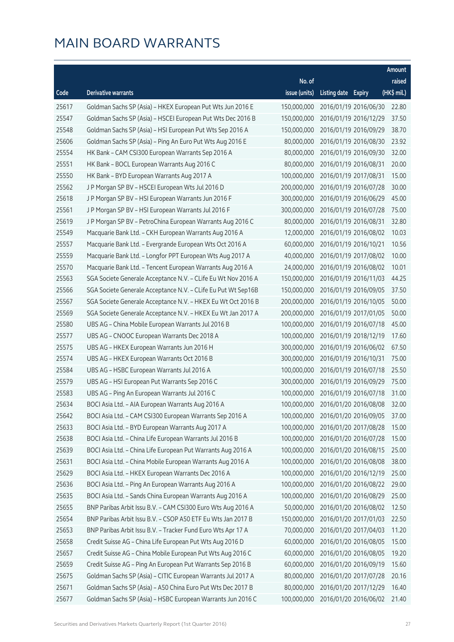|       |                                                               |               |                     |                       | Amount      |
|-------|---------------------------------------------------------------|---------------|---------------------|-----------------------|-------------|
|       |                                                               | No. of        |                     |                       | raised      |
| Code  | <b>Derivative warrants</b>                                    | issue (units) | Listing date Expiry |                       | (HK\$ mil.) |
| 25617 | Goldman Sachs SP (Asia) - HKEX European Put Wts Jun 2016 E    | 150,000,000   |                     | 2016/01/19 2016/06/30 | 22.80       |
| 25547 | Goldman Sachs SP (Asia) - HSCEI European Put Wts Dec 2016 B   | 150,000,000   |                     | 2016/01/19 2016/12/29 | 37.50       |
| 25548 | Goldman Sachs SP (Asia) - HSI European Put Wts Sep 2016 A     | 150,000,000   |                     | 2016/01/19 2016/09/29 | 38.70       |
| 25606 | Goldman Sachs SP (Asia) - Ping An Euro Put Wts Aug 2016 E     | 80,000,000    |                     | 2016/01/19 2016/08/30 | 23.92       |
| 25554 | HK Bank - CAM CSI300 European Warrants Sep 2016 A             | 80,000,000    |                     | 2016/01/19 2016/09/30 | 32.00       |
| 25551 | HK Bank - BOCL European Warrants Aug 2016 C                   | 80,000,000    |                     | 2016/01/19 2016/08/31 | 20.00       |
| 25550 | HK Bank - BYD European Warrants Aug 2017 A                    | 100,000,000   |                     | 2016/01/19 2017/08/31 | 15.00       |
| 25562 | J P Morgan SP BV - HSCEI European Wts Jul 2016 D              | 200,000,000   |                     | 2016/01/19 2016/07/28 | 30.00       |
| 25618 | J P Morgan SP BV - HSI European Warrants Jun 2016 F           | 300,000,000   |                     | 2016/01/19 2016/06/29 | 45.00       |
| 25561 | J P Morgan SP BV - HSI European Warrants Jul 2016 F           | 300,000,000   |                     | 2016/01/19 2016/07/28 | 75.00       |
| 25619 | J P Morgan SP BV - PetroChina European Warrants Aug 2016 C    | 80,000,000    |                     | 2016/01/19 2016/08/31 | 32.80       |
| 25549 | Macquarie Bank Ltd. - CKH European Warrants Aug 2016 A        | 12,000,000    |                     | 2016/01/19 2016/08/02 | 10.03       |
| 25557 | Macquarie Bank Ltd. - Evergrande European Wts Oct 2016 A      | 60,000,000    |                     | 2016/01/19 2016/10/21 | 10.56       |
| 25559 | Macquarie Bank Ltd. - Longfor PPT European Wts Aug 2017 A     | 40,000,000    |                     | 2016/01/19 2017/08/02 | 10.00       |
| 25570 | Macquarie Bank Ltd. - Tencent European Warrants Aug 2016 A    | 24,000,000    |                     | 2016/01/19 2016/08/02 | 10.01       |
| 25563 | SGA Societe Generale Acceptance N.V. - CLife Eu Wt Nov 2016 A | 150,000,000   |                     | 2016/01/19 2016/11/03 | 44.25       |
| 25566 | SGA Societe Generale Acceptance N.V. - CLife Eu Put Wt Sep16B | 150,000,000   |                     | 2016/01/19 2016/09/05 | 37.50       |
| 25567 | SGA Societe Generale Acceptance N.V. - HKEX Eu Wt Oct 2016 B  | 200,000,000   |                     | 2016/01/19 2016/10/05 | 50.00       |
| 25569 | SGA Societe Generale Acceptance N.V. - HKEX Eu Wt Jan 2017 A  | 200,000,000   |                     | 2016/01/19 2017/01/05 | 50.00       |
| 25580 | UBS AG - China Mobile European Warrants Jul 2016 B            | 100,000,000   |                     | 2016/01/19 2016/07/18 | 45.00       |
| 25577 | UBS AG - CNOOC European Warrants Dec 2018 A                   | 100,000,000   |                     | 2016/01/19 2018/12/19 | 17.60       |
| 25575 | UBS AG - HKEX European Warrants Jun 2016 H                    | 300,000,000   |                     | 2016/01/19 2016/06/02 | 67.50       |
| 25574 | UBS AG - HKEX European Warrants Oct 2016 B                    | 300,000,000   |                     | 2016/01/19 2016/10/31 | 75.00       |
| 25584 | UBS AG - HSBC European Warrants Jul 2016 A                    | 100,000,000   |                     | 2016/01/19 2016/07/18 | 25.50       |
| 25579 | UBS AG - HSI European Put Warrants Sep 2016 C                 | 300,000,000   |                     | 2016/01/19 2016/09/29 | 75.00       |
| 25583 | UBS AG - Ping An European Warrants Jul 2016 C                 | 100,000,000   |                     | 2016/01/19 2016/07/18 | 31.00       |
| 25634 | BOCI Asia Ltd. - AIA European Warrants Aug 2016 A             | 100,000,000   |                     | 2016/01/20 2016/08/08 | 32.00       |
| 25642 | BOCI Asia Ltd. - CAM CSI300 European Warrants Sep 2016 A      | 100,000,000   |                     | 2016/01/20 2016/09/05 | 37.00       |
| 25633 | BOCI Asia Ltd. - BYD European Warrants Aug 2017 A             | 100,000,000   |                     | 2016/01/20 2017/08/28 | 15.00       |
| 25638 | BOCI Asia Ltd. - China Life European Warrants Jul 2016 B      | 100,000,000   |                     | 2016/01/20 2016/07/28 | 15.00       |
| 25639 | BOCI Asia Ltd. - China Life European Put Warrants Aug 2016 A  | 100,000,000   |                     | 2016/01/20 2016/08/15 | 25.00       |
| 25631 | BOCI Asia Ltd. - China Mobile European Warrants Aug 2016 A    | 100,000,000   |                     | 2016/01/20 2016/08/08 | 38.00       |
| 25629 | BOCI Asia Ltd. - HKEX European Warrants Dec 2016 A            | 100,000,000   |                     | 2016/01/20 2016/12/19 | 25.00       |
| 25636 | BOCI Asia Ltd. - Ping An European Warrants Aug 2016 A         | 100,000,000   |                     | 2016/01/20 2016/08/22 | 29.00       |
| 25635 | BOCI Asia Ltd. - Sands China European Warrants Aug 2016 A     | 100,000,000   |                     | 2016/01/20 2016/08/29 | 25.00       |
| 25655 | BNP Paribas Arbit Issu B.V. - CAM CSI300 Euro Wts Aug 2016 A  | 50,000,000    |                     | 2016/01/20 2016/08/02 | 12.50       |
| 25654 | BNP Paribas Arbit Issu B.V. - CSOP A50 ETF Eu Wts Jan 2017 B  | 150,000,000   |                     | 2016/01/20 2017/01/03 | 22.50       |
| 25653 | BNP Paribas Arbit Issu B.V. - Tracker Fund Euro Wts Apr 17 A  | 70,000,000    |                     | 2016/01/20 2017/04/03 | 11.20       |
| 25658 | Credit Suisse AG - China Life European Put Wts Aug 2016 D     | 60,000,000    |                     | 2016/01/20 2016/08/05 | 15.00       |
| 25657 | Credit Suisse AG - China Mobile European Put Wts Aug 2016 C   | 60,000,000    |                     | 2016/01/20 2016/08/05 | 19.20       |
| 25659 | Credit Suisse AG - Ping An European Put Warrants Sep 2016 B   | 60,000,000    |                     | 2016/01/20 2016/09/19 | 15.60       |
| 25675 | Goldman Sachs SP (Asia) - CITIC European Warrants Jul 2017 A  | 80,000,000    |                     | 2016/01/20 2017/07/28 | 20.16       |
| 25671 | Goldman Sachs SP (Asia) - A50 China Euro Put Wts Dec 2017 B   | 80,000,000    |                     | 2016/01/20 2017/12/29 | 16.40       |
| 25677 | Goldman Sachs SP (Asia) - HSBC European Warrants Jun 2016 C   | 100,000,000   |                     | 2016/01/20 2016/06/02 | 21.40       |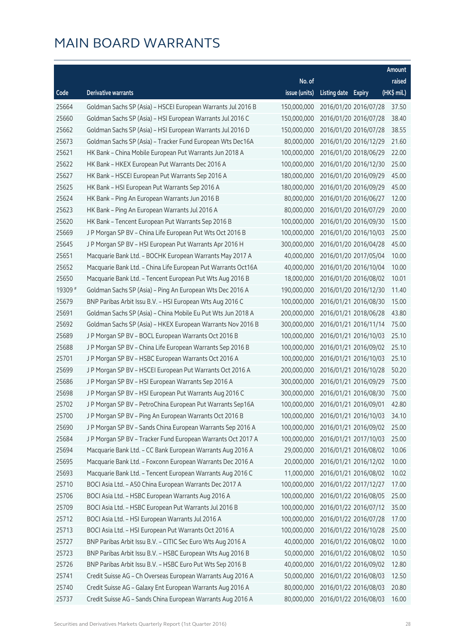|         |                                                               |               |                     |                       | Amount      |
|---------|---------------------------------------------------------------|---------------|---------------------|-----------------------|-------------|
|         |                                                               | No. of        |                     |                       | raised      |
| Code    | Derivative warrants                                           | issue (units) | Listing date Expiry |                       | (HK\$ mil.) |
| 25664   | Goldman Sachs SP (Asia) - HSCEI European Warrants Jul 2016 B  | 150,000,000   |                     | 2016/01/20 2016/07/28 | 37.50       |
| 25660   | Goldman Sachs SP (Asia) - HSI European Warrants Jul 2016 C    | 150,000,000   |                     | 2016/01/20 2016/07/28 | 38.40       |
| 25662   | Goldman Sachs SP (Asia) - HSI European Warrants Jul 2016 D    | 150,000,000   |                     | 2016/01/20 2016/07/28 | 38.55       |
| 25673   | Goldman Sachs SP (Asia) - Tracker Fund European Wts Dec16A    | 80,000,000    |                     | 2016/01/20 2016/12/29 | 21.60       |
| 25621   | HK Bank - China Mobile European Put Warrants Jun 2018 A       | 100,000,000   |                     | 2016/01/20 2018/06/29 | 22.00       |
| 25622   | HK Bank - HKEX European Put Warrants Dec 2016 A               | 100,000,000   |                     | 2016/01/20 2016/12/30 | 25.00       |
| 25627   | HK Bank - HSCEI European Put Warrants Sep 2016 A              | 180,000,000   |                     | 2016/01/20 2016/09/29 | 45.00       |
| 25625   | HK Bank - HSI European Put Warrants Sep 2016 A                | 180,000,000   |                     | 2016/01/20 2016/09/29 | 45.00       |
| 25624   | HK Bank - Ping An European Warrants Jun 2016 B                | 80,000,000    |                     | 2016/01/20 2016/06/27 | 12.00       |
| 25623   | HK Bank - Ping An European Warrants Jul 2016 A                | 80,000,000    |                     | 2016/01/20 2016/07/29 | 20.00       |
| 25620   | HK Bank - Tencent European Put Warrants Sep 2016 B            | 100,000,000   |                     | 2016/01/20 2016/09/30 | 15.00       |
| 25669   | J P Morgan SP BV - China Life European Put Wts Oct 2016 B     | 100,000,000   |                     | 2016/01/20 2016/10/03 | 25.00       |
| 25645   | J P Morgan SP BV - HSI European Put Warrants Apr 2016 H       | 300,000,000   |                     | 2016/01/20 2016/04/28 | 45.00       |
| 25651   | Macquarie Bank Ltd. - BOCHK European Warrants May 2017 A      | 40,000,000    |                     | 2016/01/20 2017/05/04 | 10.00       |
| 25652   | Macquarie Bank Ltd. - China Life European Put Warrants Oct16A | 40,000,000    |                     | 2016/01/20 2016/10/04 | 10.00       |
| 25650   | Macquarie Bank Ltd. - Tencent European Put Wts Aug 2016 B     | 18,000,000    |                     | 2016/01/20 2016/08/02 | 10.01       |
| 19309 # | Goldman Sachs SP (Asia) - Ping An European Wts Dec 2016 A     | 190,000,000   |                     | 2016/01/20 2016/12/30 | 11.40       |
| 25679   | BNP Paribas Arbit Issu B.V. - HSI European Wts Aug 2016 C     | 100,000,000   |                     | 2016/01/21 2016/08/30 | 15.00       |
| 25691   | Goldman Sachs SP (Asia) - China Mobile Eu Put Wts Jun 2018 A  | 200,000,000   |                     | 2016/01/21 2018/06/28 | 43.80       |
| 25692   | Goldman Sachs SP (Asia) - HKEX European Warrants Nov 2016 B   | 300,000,000   |                     | 2016/01/21 2016/11/14 | 75.00       |
| 25689   | J P Morgan SP BV - BOCL European Warrants Oct 2016 B          | 100,000,000   |                     | 2016/01/21 2016/10/03 | 25.10       |
| 25688   | J P Morgan SP BV - China Life European Warrants Sep 2016 B    | 100,000,000   |                     | 2016/01/21 2016/09/02 | 25.10       |
| 25701   | J P Morgan SP BV - HSBC European Warrants Oct 2016 A          | 100,000,000   |                     | 2016/01/21 2016/10/03 | 25.10       |
| 25699   | J P Morgan SP BV - HSCEI European Put Warrants Oct 2016 A     | 200,000,000   |                     | 2016/01/21 2016/10/28 | 50.20       |
| 25686   | JP Morgan SP BV - HSI European Warrants Sep 2016 A            | 300,000,000   |                     | 2016/01/21 2016/09/29 | 75.00       |
| 25698   | J P Morgan SP BV - HSI European Put Warrants Aug 2016 C       | 300,000,000   |                     | 2016/01/21 2016/08/30 | 75.00       |
| 25702   | J P Morgan SP BV - PetroChina European Put Warrants Sep16A    | 100,000,000   |                     | 2016/01/21 2016/09/01 | 42.80       |
| 25700   | JP Morgan SP BV - Ping An European Warrants Oct 2016 B        | 100,000,000   |                     | 2016/01/21 2016/10/03 | 34.10       |
| 25690   | J P Morgan SP BV - Sands China European Warrants Sep 2016 A   | 100,000,000   |                     | 2016/01/21 2016/09/02 | 25.00       |
| 25684   | J P Morgan SP BV - Tracker Fund European Warrants Oct 2017 A  | 100,000,000   |                     | 2016/01/21 2017/10/03 | 25.00       |
| 25694   | Macquarie Bank Ltd. - CC Bank European Warrants Aug 2016 A    | 29,000,000    |                     | 2016/01/21 2016/08/02 | 10.06       |
| 25695   | Macquarie Bank Ltd. - Foxconn European Warrants Dec 2016 A    | 20,000,000    |                     | 2016/01/21 2016/12/02 | 10.00       |
| 25693   | Macquarie Bank Ltd. - Tencent European Warrants Aug 2016 C    | 11,000,000    |                     | 2016/01/21 2016/08/02 | 10.02       |
| 25710   | BOCI Asia Ltd. - A50 China European Warrants Dec 2017 A       | 100,000,000   |                     | 2016/01/22 2017/12/27 | 17.00       |
| 25706   | BOCI Asia Ltd. - HSBC European Warrants Aug 2016 A            | 100,000,000   |                     | 2016/01/22 2016/08/05 | 25.00       |
| 25709   | BOCI Asia Ltd. - HSBC European Put Warrants Jul 2016 B        | 100,000,000   |                     | 2016/01/22 2016/07/12 | 35.00       |
| 25712   | BOCI Asia Ltd. - HSI European Warrants Jul 2016 A             | 100,000,000   |                     | 2016/01/22 2016/07/28 | 17.00       |
| 25713   | BOCI Asia Ltd. - HSI European Put Warrants Oct 2016 A         | 100,000,000   |                     | 2016/01/22 2016/10/28 | 25.00       |
| 25727   | BNP Paribas Arbit Issu B.V. - CITIC Sec Euro Wts Aug 2016 A   | 40,000,000    |                     | 2016/01/22 2016/08/02 | 10.00       |
| 25723   | BNP Paribas Arbit Issu B.V. - HSBC European Wts Aug 2016 B    | 50,000,000    |                     | 2016/01/22 2016/08/02 | 10.50       |
| 25726   | BNP Paribas Arbit Issu B.V. - HSBC Euro Put Wts Sep 2016 B    | 40,000,000    |                     | 2016/01/22 2016/09/02 | 12.80       |
| 25741   | Credit Suisse AG - Ch Overseas European Warrants Aug 2016 A   | 50,000,000    |                     | 2016/01/22 2016/08/03 | 12.50       |
| 25740   | Credit Suisse AG - Galaxy Ent European Warrants Aug 2016 A    | 80,000,000    |                     | 2016/01/22 2016/08/03 | 20.80       |
| 25737   | Credit Suisse AG - Sands China European Warrants Aug 2016 A   | 80,000,000    |                     | 2016/01/22 2016/08/03 | 16.00       |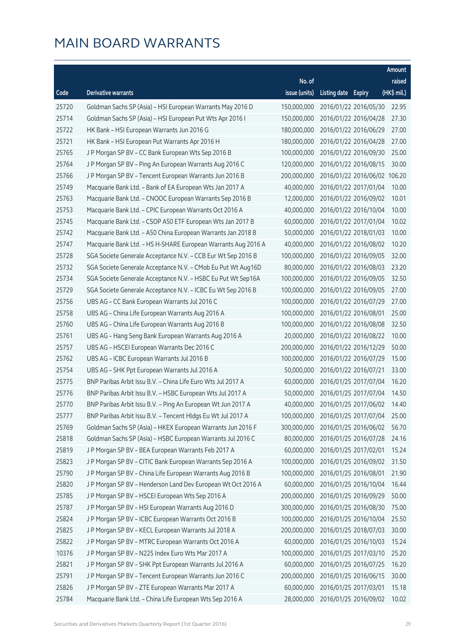|       |                                                               |               |                     |                              | Amount      |
|-------|---------------------------------------------------------------|---------------|---------------------|------------------------------|-------------|
|       |                                                               | No. of        |                     |                              | raised      |
| Code  | <b>Derivative warrants</b>                                    | issue (units) | Listing date Expiry |                              | (HK\$ mil.) |
| 25720 | Goldman Sachs SP (Asia) - HSI European Warrants May 2016 D    | 150,000,000   |                     | 2016/01/22 2016/05/30        | 22.95       |
| 25714 | Goldman Sachs SP (Asia) - HSI European Put Wts Apr 2016 I     | 150,000,000   |                     | 2016/01/22 2016/04/28        | 27.30       |
| 25722 | HK Bank - HSI European Warrants Jun 2016 G                    | 180,000,000   |                     | 2016/01/22 2016/06/29        | 27.00       |
| 25721 | HK Bank - HSI European Put Warrants Apr 2016 H                | 180,000,000   |                     | 2016/01/22 2016/04/28        | 27.00       |
| 25765 | JP Morgan SP BV - CC Bank European Wts Sep 2016 B             | 100,000,000   |                     | 2016/01/22 2016/09/30        | 25.00       |
| 25764 | J P Morgan SP BV - Ping An European Warrants Aug 2016 C       | 120,000,000   |                     | 2016/01/22 2016/08/15        | 30.00       |
| 25766 | J P Morgan SP BV - Tencent European Warrants Jun 2016 B       | 200,000,000   |                     | 2016/01/22 2016/06/02 106.20 |             |
| 25749 | Macquarie Bank Ltd. - Bank of EA European Wts Jan 2017 A      | 40,000,000    |                     | 2016/01/22 2017/01/04        | 10.00       |
| 25763 | Macquarie Bank Ltd. - CNOOC European Warrants Sep 2016 B      | 12,000,000    |                     | 2016/01/22 2016/09/02        | 10.01       |
| 25753 | Macquarie Bank Ltd. - CPIC European Warrants Oct 2016 A       | 40,000,000    |                     | 2016/01/22 2016/10/04        | 10.00       |
| 25745 | Macquarie Bank Ltd. - CSOP A50 ETF European Wts Jan 2017 B    | 60,000,000    |                     | 2016/01/22 2017/01/04        | 10.02       |
| 25742 | Macquarie Bank Ltd. - A50 China European Warrants Jan 2018 B  | 50,000,000    |                     | 2016/01/22 2018/01/03        | 10.00       |
| 25747 | Macquarie Bank Ltd. - HS H-SHARE European Warrants Aug 2016 A | 40,000,000    |                     | 2016/01/22 2016/08/02        | 10.20       |
| 25728 | SGA Societe Generale Acceptance N.V. - CCB Eur Wt Sep 2016 B  | 100,000,000   |                     | 2016/01/22 2016/09/05        | 32.00       |
| 25732 | SGA Societe Generale Acceptance N.V. - CMob Eu Put Wt Aug16D  | 80,000,000    |                     | 2016/01/22 2016/08/03        | 23.20       |
| 25734 | SGA Societe Generale Acceptance N.V. - HSBC Eu Put Wt Sep16A  | 100,000,000   |                     | 2016/01/22 2016/09/05        | 32.50       |
| 25729 | SGA Societe Generale Acceptance N.V. - ICBC Eu Wt Sep 2016 B  | 100,000,000   |                     | 2016/01/22 2016/09/05        | 27.00       |
| 25756 | UBS AG - CC Bank European Warrants Jul 2016 C                 | 100,000,000   |                     | 2016/01/22 2016/07/29        | 27.00       |
| 25758 | UBS AG - China Life European Warrants Aug 2016 A              | 100,000,000   |                     | 2016/01/22 2016/08/01        | 25.00       |
| 25760 | UBS AG - China Life European Warrants Aug 2016 B              | 100,000,000   |                     | 2016/01/22 2016/08/08        | 32.50       |
| 25761 | UBS AG - Hang Seng Bank European Warrants Aug 2016 A          | 20,000,000    |                     | 2016/01/22 2016/08/22        | 10.00       |
| 25757 | UBS AG - HSCEI European Warrants Dec 2016 C                   | 200,000,000   |                     | 2016/01/22 2016/12/29        | 50.00       |
| 25762 | UBS AG - ICBC European Warrants Jul 2016 B                    | 100,000,000   |                     | 2016/01/22 2016/07/29        | 15.00       |
| 25754 | UBS AG - SHK Ppt European Warrants Jul 2016 A                 | 50,000,000    |                     | 2016/01/22 2016/07/21        | 33.00       |
| 25775 | BNP Paribas Arbit Issu B.V. - China Life Euro Wts Jul 2017 A  | 60,000,000    |                     | 2016/01/25 2017/07/04        | 16.20       |
| 25776 | BNP Paribas Arbit Issu B.V. - HSBC European Wts Jul 2017 A    | 50,000,000    |                     | 2016/01/25 2017/07/04        | 14.50       |
| 25770 | BNP Paribas Arbit Issu B.V. - Ping An European Wt Jun 2017 A  | 40,000,000    |                     | 2016/01/25 2017/06/02        | 14.40       |
| 25777 | BNP Paribas Arbit Issu B.V. - Tencent Hldgs Eu Wt Jul 2017 A  | 100,000,000   |                     | 2016/01/25 2017/07/04        | 25.00       |
| 25769 | Goldman Sachs SP (Asia) - HKEX European Warrants Jun 2016 F   | 300,000,000   |                     | 2016/01/25 2016/06/02        | 56.70       |
| 25818 | Goldman Sachs SP (Asia) - HSBC European Warrants Jul 2016 C   | 80,000,000    |                     | 2016/01/25 2016/07/28        | 24.16       |
| 25819 | J P Morgan SP BV - BEA European Warrants Feb 2017 A           | 60,000,000    |                     | 2016/01/25 2017/02/01        | 15.24       |
| 25823 | J P Morgan SP BV - CITIC Bank European Warrants Sep 2016 A    | 100,000,000   |                     | 2016/01/25 2016/09/02        | 31.50       |
| 25790 | J P Morgan SP BV - China Life European Warrants Aug 2016 B    | 100,000,000   |                     | 2016/01/25 2016/08/01        | 21.90       |
| 25820 | J P Morgan SP BV - Henderson Land Dev European Wt Oct 2016 A  | 60,000,000    |                     | 2016/01/25 2016/10/04        | 16.44       |
| 25785 | JP Morgan SP BV - HSCEI European Wts Sep 2016 A               | 200,000,000   |                     | 2016/01/25 2016/09/29        | 50.00       |
| 25787 | J P Morgan SP BV - HSI European Warrants Aug 2016 D           | 300,000,000   |                     | 2016/01/25 2016/08/30        | 75.00       |
| 25824 | J P Morgan SP BV - ICBC European Warrants Oct 2016 B          | 100,000,000   |                     | 2016/01/25 2016/10/04        | 25.50       |
| 25825 | J P Morgan SP BV - KECL European Warrants Jul 2018 A          | 200,000,000   |                     | 2016/01/25 2018/07/03        | 30.00       |
| 25822 | J P Morgan SP BV - MTRC European Warrants Oct 2016 A          | 60,000,000    |                     | 2016/01/25 2016/10/03        | 15.24       |
| 10376 | J P Morgan SP BV - N225 Index Euro Wts Mar 2017 A             | 100,000,000   |                     | 2016/01/25 2017/03/10        | 25.20       |
| 25821 | J P Morgan SP BV - SHK Ppt European Warrants Jul 2016 A       | 60,000,000    |                     | 2016/01/25 2016/07/25        | 16.20       |
| 25791 | J P Morgan SP BV - Tencent European Warrants Jun 2016 C       | 200,000,000   |                     | 2016/01/25 2016/06/15        | 30.00       |
| 25826 | J P Morgan SP BV - ZTE European Warrants Mar 2017 A           | 60,000,000    |                     | 2016/01/25 2017/03/01        | 15.18       |
| 25784 | Macquarie Bank Ltd. - China Life European Wts Sep 2016 A      | 28,000,000    |                     | 2016/01/25 2016/09/02        | 10.02       |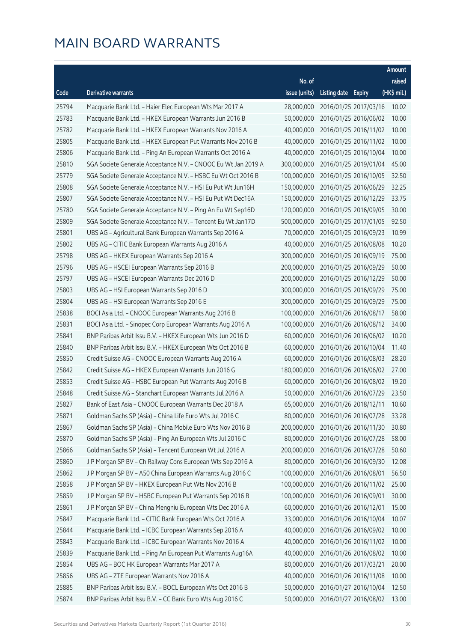|       |                                                               |               |                     |                       | Amount      |
|-------|---------------------------------------------------------------|---------------|---------------------|-----------------------|-------------|
|       |                                                               | No. of        |                     |                       | raised      |
| Code  | Derivative warrants                                           | issue (units) | Listing date Expiry |                       | (HK\$ mil.) |
| 25794 | Macquarie Bank Ltd. - Haier Elec European Wts Mar 2017 A      | 28,000,000    |                     | 2016/01/25 2017/03/16 | 10.02       |
| 25783 | Macquarie Bank Ltd. - HKEX European Warrants Jun 2016 B       | 50,000,000    |                     | 2016/01/25 2016/06/02 | 10.00       |
| 25782 | Macquarie Bank Ltd. - HKEX European Warrants Nov 2016 A       | 40,000,000    |                     | 2016/01/25 2016/11/02 | 10.00       |
| 25805 | Macquarie Bank Ltd. - HKEX European Put Warrants Nov 2016 B   | 40,000,000    |                     | 2016/01/25 2016/11/02 | 10.00       |
| 25806 | Macquarie Bank Ltd. - Ping An European Warrants Oct 2016 A    | 40,000,000    |                     | 2016/01/25 2016/10/04 | 10.00       |
| 25810 | SGA Societe Generale Acceptance N.V. - CNOOC Eu Wt Jan 2019 A | 300,000,000   |                     | 2016/01/25 2019/01/04 | 45.00       |
| 25779 | SGA Societe Generale Acceptance N.V. - HSBC Eu Wt Oct 2016 B  | 100,000,000   |                     | 2016/01/25 2016/10/05 | 32.50       |
| 25808 | SGA Societe Generale Acceptance N.V. - HSI Eu Put Wt Jun16H   | 150,000,000   |                     | 2016/01/25 2016/06/29 | 32.25       |
| 25807 | SGA Societe Generale Acceptance N.V. - HSI Eu Put Wt Dec16A   | 150,000,000   |                     | 2016/01/25 2016/12/29 | 33.75       |
| 25780 | SGA Societe Generale Acceptance N.V. - Ping An Eu Wt Sep16D   | 120,000,000   |                     | 2016/01/25 2016/09/05 | 30.00       |
| 25809 | SGA Societe Generale Acceptance N.V. - Tencent Eu Wt Jan17D   | 500,000,000   |                     | 2016/01/25 2017/01/05 | 92.50       |
| 25801 | UBS AG - Agricultural Bank European Warrants Sep 2016 A       | 70,000,000    |                     | 2016/01/25 2016/09/23 | 10.99       |
| 25802 | UBS AG - CITIC Bank European Warrants Aug 2016 A              | 40,000,000    |                     | 2016/01/25 2016/08/08 | 10.20       |
| 25798 | UBS AG - HKEX European Warrants Sep 2016 A                    | 300,000,000   |                     | 2016/01/25 2016/09/19 | 75.00       |
| 25796 | UBS AG - HSCEI European Warrants Sep 2016 B                   | 200,000,000   |                     | 2016/01/25 2016/09/29 | 50.00       |
| 25797 | UBS AG - HSCEI European Warrants Dec 2016 D                   | 200,000,000   |                     | 2016/01/25 2016/12/29 | 50.00       |
| 25803 | UBS AG - HSI European Warrants Sep 2016 D                     | 300,000,000   |                     | 2016/01/25 2016/09/29 | 75.00       |
| 25804 | UBS AG - HSI European Warrants Sep 2016 E                     | 300,000,000   |                     | 2016/01/25 2016/09/29 | 75.00       |
| 25838 | BOCI Asia Ltd. - CNOOC European Warrants Aug 2016 B           | 100,000,000   |                     | 2016/01/26 2016/08/17 | 58.00       |
| 25831 | BOCI Asia Ltd. - Sinopec Corp European Warrants Aug 2016 A    | 100,000,000   |                     | 2016/01/26 2016/08/12 | 34.00       |
| 25841 | BNP Paribas Arbit Issu B.V. - HKEX European Wts Jun 2016 D    | 60,000,000    |                     | 2016/01/26 2016/06/02 | 10.20       |
| 25840 | BNP Paribas Arbit Issu B.V. - HKEX European Wts Oct 2016 B    | 60,000,000    |                     | 2016/01/26 2016/10/04 | 11.40       |
| 25850 | Credit Suisse AG - CNOOC European Warrants Aug 2016 A         | 60,000,000    |                     | 2016/01/26 2016/08/03 | 28.20       |
| 25842 | Credit Suisse AG - HKEX European Warrants Jun 2016 G          | 180,000,000   |                     | 2016/01/26 2016/06/02 | 27.00       |
| 25853 | Credit Suisse AG - HSBC European Put Warrants Aug 2016 B      | 60,000,000    |                     | 2016/01/26 2016/08/02 | 19.20       |
| 25848 | Credit Suisse AG - Stanchart European Warrants Jul 2016 A     | 50,000,000    |                     | 2016/01/26 2016/07/29 | 23.50       |
| 25827 | Bank of East Asia - CNOOC European Warrants Dec 2018 A        | 65,000,000    |                     | 2016/01/26 2018/12/11 | 10.60       |
| 25871 | Goldman Sachs SP (Asia) - China Life Euro Wts Jul 2016 C      | 80,000,000    |                     | 2016/01/26 2016/07/28 | 33.28       |
| 25867 | Goldman Sachs SP (Asia) - China Mobile Euro Wts Nov 2016 B    | 200,000,000   |                     | 2016/01/26 2016/11/30 | 30.80       |
| 25870 | Goldman Sachs SP (Asia) - Ping An European Wts Jul 2016 C     | 80,000,000    |                     | 2016/01/26 2016/07/28 | 58.00       |
| 25866 | Goldman Sachs SP (Asia) - Tencent European Wt Jul 2016 A      | 200,000,000   |                     | 2016/01/26 2016/07/28 | 50.60       |
| 25860 | J P Morgan SP BV - Ch Railway Cons European Wts Sep 2016 A    | 80,000,000    |                     | 2016/01/26 2016/09/30 | 12.08       |
| 25862 | J P Morgan SP BV - A50 China European Warrants Aug 2016 C     | 100,000,000   |                     | 2016/01/26 2016/08/01 | 56.50       |
| 25858 | J P Morgan SP BV - HKEX European Put Wts Nov 2016 B           | 100,000,000   |                     | 2016/01/26 2016/11/02 | 25.00       |
| 25859 | J P Morgan SP BV - HSBC European Put Warrants Sep 2016 B      | 100,000,000   |                     | 2016/01/26 2016/09/01 | 30.00       |
| 25861 | J P Morgan SP BV - China Mengniu European Wts Dec 2016 A      | 60,000,000    |                     | 2016/01/26 2016/12/01 | 15.00       |
| 25847 | Macquarie Bank Ltd. - CITIC Bank European Wts Oct 2016 A      | 33,000,000    |                     | 2016/01/26 2016/10/04 | 10.07       |
| 25844 | Macquarie Bank Ltd. - ICBC European Warrants Sep 2016 A       | 40,000,000    |                     | 2016/01/26 2016/09/02 | 10.00       |
| 25843 | Macquarie Bank Ltd. - ICBC European Warrants Nov 2016 A       | 40,000,000    |                     | 2016/01/26 2016/11/02 | 10.00       |
| 25839 | Macquarie Bank Ltd. - Ping An European Put Warrants Aug16A    | 40,000,000    |                     | 2016/01/26 2016/08/02 | 10.00       |
| 25854 | UBS AG - BOC HK European Warrants Mar 2017 A                  | 80,000,000    |                     | 2016/01/26 2017/03/21 | 20.00       |
| 25856 | UBS AG - ZTE European Warrants Nov 2016 A                     | 40,000,000    |                     | 2016/01/26 2016/11/08 | 10.00       |
| 25885 | BNP Paribas Arbit Issu B.V. - BOCL European Wts Oct 2016 B    | 50,000,000    |                     | 2016/01/27 2016/10/04 | 12.50       |
| 25874 | BNP Paribas Arbit Issu B.V. - CC Bank Euro Wts Aug 2016 C     | 50,000,000    |                     | 2016/01/27 2016/08/02 | 13.00       |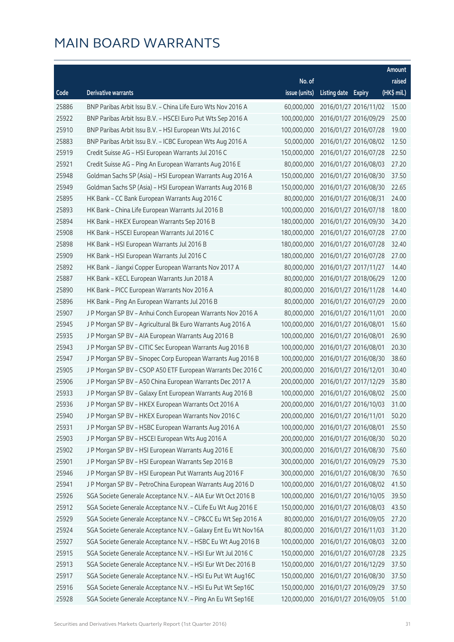|       |                                                                |               |                     |                       | Amount      |
|-------|----------------------------------------------------------------|---------------|---------------------|-----------------------|-------------|
|       |                                                                | No. of        |                     |                       | raised      |
| Code  | <b>Derivative warrants</b>                                     | issue (units) | Listing date Expiry |                       | (HK\$ mil.) |
| 25886 | BNP Paribas Arbit Issu B.V. - China Life Euro Wts Nov 2016 A   | 60,000,000    |                     | 2016/01/27 2016/11/02 | 15.00       |
| 25922 | BNP Paribas Arbit Issu B.V. - HSCEI Euro Put Wts Sep 2016 A    | 100,000,000   |                     | 2016/01/27 2016/09/29 | 25.00       |
| 25910 | BNP Paribas Arbit Issu B.V. - HSI European Wts Jul 2016 C      | 100,000,000   |                     | 2016/01/27 2016/07/28 | 19.00       |
| 25883 | BNP Paribas Arbit Issu B.V. - ICBC European Wts Aug 2016 A     | 50,000,000    |                     | 2016/01/27 2016/08/02 | 12.50       |
| 25919 | Credit Suisse AG - HSI European Warrants Jul 2016 C            | 150,000,000   |                     | 2016/01/27 2016/07/28 | 22.50       |
| 25921 | Credit Suisse AG - Ping An European Warrants Aug 2016 E        | 80,000,000    |                     | 2016/01/27 2016/08/03 | 27.20       |
| 25948 | Goldman Sachs SP (Asia) - HSI European Warrants Aug 2016 A     | 150,000,000   |                     | 2016/01/27 2016/08/30 | 37.50       |
| 25949 | Goldman Sachs SP (Asia) - HSI European Warrants Aug 2016 B     | 150,000,000   |                     | 2016/01/27 2016/08/30 | 22.65       |
| 25895 | HK Bank - CC Bank European Warrants Aug 2016 C                 | 80,000,000    |                     | 2016/01/27 2016/08/31 | 24.00       |
| 25893 | HK Bank - China Life European Warrants Jul 2016 B              | 100,000,000   |                     | 2016/01/27 2016/07/18 | 18.00       |
| 25894 | HK Bank - HKEX European Warrants Sep 2016 B                    | 180,000,000   |                     | 2016/01/27 2016/09/30 | 34.20       |
| 25908 | HK Bank - HSCEI European Warrants Jul 2016 C                   | 180,000,000   |                     | 2016/01/27 2016/07/28 | 27.00       |
| 25898 | HK Bank - HSI European Warrants Jul 2016 B                     | 180,000,000   |                     | 2016/01/27 2016/07/28 | 32.40       |
| 25909 | HK Bank - HSI European Warrants Jul 2016 C                     | 180,000,000   |                     | 2016/01/27 2016/07/28 | 27.00       |
| 25892 | HK Bank - Jiangxi Copper European Warrants Nov 2017 A          | 80,000,000    |                     | 2016/01/27 2017/11/27 | 14.40       |
| 25887 | HK Bank - KECL European Warrants Jun 2018 A                    | 80,000,000    |                     | 2016/01/27 2018/06/29 | 12.00       |
| 25890 | HK Bank - PICC European Warrants Nov 2016 A                    | 80,000,000    |                     | 2016/01/27 2016/11/28 | 14.40       |
| 25896 | HK Bank - Ping An European Warrants Jul 2016 B                 | 80,000,000    |                     | 2016/01/27 2016/07/29 | 20.00       |
| 25907 | J P Morgan SP BV - Anhui Conch European Warrants Nov 2016 A    | 80,000,000    |                     | 2016/01/27 2016/11/01 | 20.00       |
| 25945 | J P Morgan SP BV - Agricultural Bk Euro Warrants Aug 2016 A    | 100,000,000   |                     | 2016/01/27 2016/08/01 | 15.60       |
| 25935 | J P Morgan SP BV - AIA European Warrants Aug 2016 B            | 100,000,000   |                     | 2016/01/27 2016/08/01 | 26.90       |
| 25943 | J P Morgan SP BV - CITIC Sec European Warrants Aug 2016 B      | 100,000,000   |                     | 2016/01/27 2016/08/01 | 20.30       |
| 25947 | J P Morgan SP BV - Sinopec Corp European Warrants Aug 2016 B   | 100,000,000   |                     | 2016/01/27 2016/08/30 | 38.60       |
| 25905 | J P Morgan SP BV - CSOP A50 ETF European Warrants Dec 2016 C   | 200,000,000   |                     | 2016/01/27 2016/12/01 | 30.40       |
| 25906 | J P Morgan SP BV - A50 China European Warrants Dec 2017 A      | 200,000,000   |                     | 2016/01/27 2017/12/29 | 35.80       |
| 25933 | J P Morgan SP BV - Galaxy Ent European Warrants Aug 2016 B     | 100,000,000   |                     | 2016/01/27 2016/08/02 | 25.00       |
| 25936 | J P Morgan SP BV - HKEX European Warrants Oct 2016 A           | 200,000,000   |                     | 2016/01/27 2016/10/03 | 31.00       |
| 25940 | J P Morgan SP BV - HKEX European Warrants Nov 2016 C           | 200,000,000   |                     | 2016/01/27 2016/11/01 | 50.20       |
| 25931 | J P Morgan SP BV - HSBC European Warrants Aug 2016 A           | 100,000,000   |                     | 2016/01/27 2016/08/01 | 25.50       |
| 25903 | J P Morgan SP BV - HSCEI European Wts Aug 2016 A               | 200,000,000   |                     | 2016/01/27 2016/08/30 | 50.20       |
| 25902 | J P Morgan SP BV - HSI European Warrants Aug 2016 E            | 300,000,000   |                     | 2016/01/27 2016/08/30 | 75.60       |
| 25901 | J P Morgan SP BV - HSI European Warrants Sep 2016 B            | 300,000,000   |                     | 2016/01/27 2016/09/29 | 75.30       |
| 25946 | J P Morgan SP BV - HSI European Put Warrants Aug 2016 F        | 300,000,000   |                     | 2016/01/27 2016/08/30 | 76.50       |
| 25941 | J P Morgan SP BV - PetroChina European Warrants Aug 2016 D     | 100,000,000   |                     | 2016/01/27 2016/08/02 | 41.50       |
| 25926 | SGA Societe Generale Acceptance N.V. - AIA Eur Wt Oct 2016 B   | 100,000,000   |                     | 2016/01/27 2016/10/05 | 39.50       |
| 25912 | SGA Societe Generale Acceptance N.V. - CLife Eu Wt Aug 2016 E  | 150,000,000   |                     | 2016/01/27 2016/08/03 | 43.50       |
| 25929 | SGA Societe Generale Acceptance N.V. - CP&CC Eu Wt Sep 2016 A  | 80,000,000    |                     | 2016/01/27 2016/09/05 | 27.20       |
| 25924 | SGA Societe Generale Acceptance N.V. - Galaxy Ent Eu Wt Nov16A | 80,000,000    |                     | 2016/01/27 2016/11/03 | 31.20       |
| 25927 | SGA Societe Generale Acceptance N.V. - HSBC Eu Wt Aug 2016 B   | 100,000,000   |                     | 2016/01/27 2016/08/03 | 32.00       |
| 25915 | SGA Societe Generale Acceptance N.V. - HSI Eur Wt Jul 2016 C   | 150,000,000   |                     | 2016/01/27 2016/07/28 | 23.25       |
| 25913 | SGA Societe Generale Acceptance N.V. - HSI Eur Wt Dec 2016 B   | 150,000,000   |                     | 2016/01/27 2016/12/29 | 37.50       |
| 25917 | SGA Societe Generale Acceptance N.V. - HSI Eu Put Wt Aug16C    | 150,000,000   |                     | 2016/01/27 2016/08/30 | 37.50       |
| 25916 | SGA Societe Generale Acceptance N.V. - HSI Eu Put Wt Sep16C    | 150,000,000   |                     | 2016/01/27 2016/09/29 | 37.50       |
| 25928 | SGA Societe Generale Acceptance N.V. - Ping An Eu Wt Sep16E    | 120,000,000   |                     | 2016/01/27 2016/09/05 | 51.00       |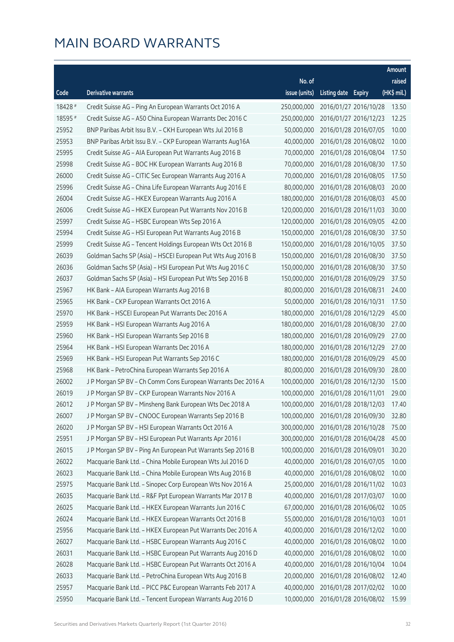|         |                                                              |               |                     |                       | Amount      |
|---------|--------------------------------------------------------------|---------------|---------------------|-----------------------|-------------|
|         |                                                              | No. of        |                     |                       | raised      |
| Code    | Derivative warrants                                          | issue (units) | Listing date Expiry |                       | (HK\$ mil.) |
| 18428 # | Credit Suisse AG – Ping An European Warrants Oct 2016 A      | 250,000,000   |                     | 2016/01/27 2016/10/28 | 13.50       |
| 18595 # | Credit Suisse AG - A50 China European Warrants Dec 2016 C    | 250,000,000   |                     | 2016/01/27 2016/12/23 | 12.25       |
| 25952   | BNP Paribas Arbit Issu B.V. - CKH European Wts Jul 2016 B    | 50,000,000    |                     | 2016/01/28 2016/07/05 | 10.00       |
| 25953   | BNP Paribas Arbit Issu B.V. - CKP European Warrants Aug16A   | 40,000,000    |                     | 2016/01/28 2016/08/02 | 10.00       |
| 25995   | Credit Suisse AG - AIA European Put Warrants Aug 2016 B      | 70,000,000    |                     | 2016/01/28 2016/08/04 | 17.50       |
| 25998   | Credit Suisse AG - BOC HK European Warrants Aug 2016 B       | 70,000,000    |                     | 2016/01/28 2016/08/30 | 17.50       |
| 26000   | Credit Suisse AG - CITIC Sec European Warrants Aug 2016 A    | 70,000,000    |                     | 2016/01/28 2016/08/05 | 17.50       |
| 25996   | Credit Suisse AG - China Life European Warrants Aug 2016 E   | 80,000,000    |                     | 2016/01/28 2016/08/03 | 20.00       |
| 26004   | Credit Suisse AG - HKEX European Warrants Aug 2016 A         | 180,000,000   |                     | 2016/01/28 2016/08/03 | 45.00       |
| 26006   | Credit Suisse AG - HKEX European Put Warrants Nov 2016 B     | 120,000,000   |                     | 2016/01/28 2016/11/03 | 30.00       |
| 25997   | Credit Suisse AG - HSBC European Wts Sep 2016 A              | 120,000,000   |                     | 2016/01/28 2016/09/05 | 42.00       |
| 25994   | Credit Suisse AG - HSI European Put Warrants Aug 2016 B      | 150,000,000   |                     | 2016/01/28 2016/08/30 | 37.50       |
| 25999   | Credit Suisse AG - Tencent Holdings European Wts Oct 2016 B  | 150,000,000   |                     | 2016/01/28 2016/10/05 | 37.50       |
| 26039   | Goldman Sachs SP (Asia) - HSCEI European Put Wts Aug 2016 B  | 150,000,000   |                     | 2016/01/28 2016/08/30 | 37.50       |
| 26036   | Goldman Sachs SP (Asia) - HSI European Put Wts Aug 2016 C    | 150,000,000   |                     | 2016/01/28 2016/08/30 | 37.50       |
| 26037   | Goldman Sachs SP (Asia) - HSI European Put Wts Sep 2016 B    | 150,000,000   |                     | 2016/01/28 2016/09/29 | 37.50       |
| 25967   | HK Bank - AIA European Warrants Aug 2016 B                   | 80,000,000    |                     | 2016/01/28 2016/08/31 | 24.00       |
| 25965   | HK Bank - CKP European Warrants Oct 2016 A                   | 50,000,000    |                     | 2016/01/28 2016/10/31 | 17.50       |
| 25970   | HK Bank - HSCEI European Put Warrants Dec 2016 A             | 180,000,000   |                     | 2016/01/28 2016/12/29 | 45.00       |
| 25959   | HK Bank - HSI European Warrants Aug 2016 A                   | 180,000,000   |                     | 2016/01/28 2016/08/30 | 27.00       |
| 25960   | HK Bank - HSI European Warrants Sep 2016 B                   | 180,000,000   |                     | 2016/01/28 2016/09/29 | 27.00       |
| 25964   | HK Bank - HSI European Warrants Dec 2016 A                   | 180,000,000   |                     | 2016/01/28 2016/12/29 | 27.00       |
| 25969   | HK Bank - HSI European Put Warrants Sep 2016 C               | 180,000,000   |                     | 2016/01/28 2016/09/29 | 45.00       |
| 25968   | HK Bank - PetroChina European Warrants Sep 2016 A            | 80,000,000    |                     | 2016/01/28 2016/09/30 | 28.00       |
| 26002   | J P Morgan SP BV - Ch Comm Cons European Warrants Dec 2016 A | 100,000,000   |                     | 2016/01/28 2016/12/30 | 15.00       |
| 26019   | JP Morgan SP BV - CKP European Warrants Nov 2016 A           | 100,000,000   |                     | 2016/01/28 2016/11/01 | 29.00       |
| 26012   | J P Morgan SP BV - Minsheng Bank European Wts Dec 2018 A     | 100,000,000   |                     | 2016/01/28 2018/12/03 | 17.40       |
| 26007   | J P Morgan SP BV - CNOOC European Warrants Sep 2016 B        | 100,000,000   |                     | 2016/01/28 2016/09/30 | 32.80       |
| 26020   | J P Morgan SP BV - HSI European Warrants Oct 2016 A          | 300,000,000   |                     | 2016/01/28 2016/10/28 | 75.00       |
| 25951   | JP Morgan SP BV - HSI European Put Warrants Apr 2016 I       | 300,000,000   |                     | 2016/01/28 2016/04/28 | 45.00       |
| 26015   | J P Morgan SP BV - Ping An European Put Warrants Sep 2016 B  | 100,000,000   |                     | 2016/01/28 2016/09/01 | 30.20       |
| 26022   | Macquarie Bank Ltd. - China Mobile European Wts Jul 2016 D   | 40,000,000    |                     | 2016/01/28 2016/07/05 | 10.00       |
| 26023   | Macquarie Bank Ltd. - China Mobile European Wts Aug 2016 B   | 40,000,000    |                     | 2016/01/28 2016/08/02 | 10.00       |
| 25975   | Macquarie Bank Ltd. - Sinopec Corp European Wts Nov 2016 A   | 25,000,000    |                     | 2016/01/28 2016/11/02 | 10.03       |
| 26035   | Macquarie Bank Ltd. - R&F Ppt European Warrants Mar 2017 B   | 40,000,000    |                     | 2016/01/28 2017/03/07 | 10.00       |
| 26025   | Macquarie Bank Ltd. - HKEX European Warrants Jun 2016 C      | 67,000,000    |                     | 2016/01/28 2016/06/02 | 10.05       |
| 26024   | Macquarie Bank Ltd. - HKEX European Warrants Oct 2016 B      | 55,000,000    |                     | 2016/01/28 2016/10/03 | 10.01       |
| 25956   | Macquarie Bank Ltd. - HKEX European Put Warrants Dec 2016 A  | 40,000,000    |                     | 2016/01/28 2016/12/02 | 10.00       |
| 26027   | Macquarie Bank Ltd. - HSBC European Warrants Aug 2016 C      | 40,000,000    |                     | 2016/01/28 2016/08/02 | 10.00       |
| 26031   | Macquarie Bank Ltd. - HSBC European Put Warrants Aug 2016 D  | 40,000,000    |                     | 2016/01/28 2016/08/02 | 10.00       |
| 26028   | Macquarie Bank Ltd. - HSBC European Put Warrants Oct 2016 A  | 40,000,000    |                     | 2016/01/28 2016/10/04 | 10.04       |
| 26033   | Macquarie Bank Ltd. - PetroChina European Wts Aug 2016 B     | 20,000,000    |                     | 2016/01/28 2016/08/02 | 12.40       |
| 25957   | Macquarie Bank Ltd. - PICC P&C European Warrants Feb 2017 A  | 40,000,000    |                     | 2016/01/28 2017/02/02 | 10.00       |
| 25950   | Macquarie Bank Ltd. - Tencent European Warrants Aug 2016 D   | 10,000,000    |                     | 2016/01/28 2016/08/02 | 15.99       |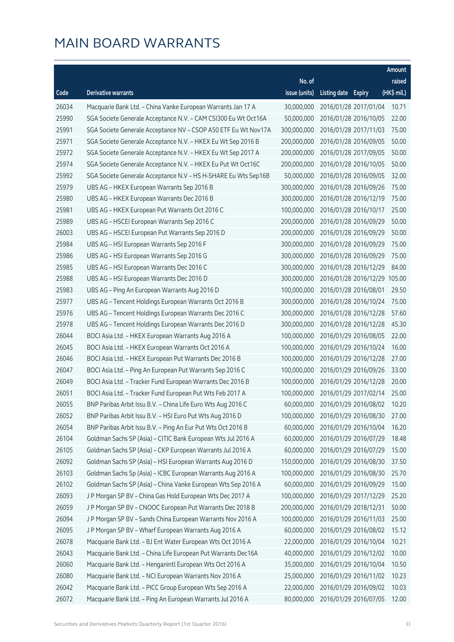|       |                                                                |               |                     |                              | Amount      |
|-------|----------------------------------------------------------------|---------------|---------------------|------------------------------|-------------|
|       |                                                                | No. of        |                     |                              | raised      |
| Code  | <b>Derivative warrants</b>                                     | issue (units) | Listing date Expiry |                              | (HK\$ mil.) |
| 26034 | Macquarie Bank Ltd. - China Vanke European Warrants Jan 17 A   | 30,000,000    |                     | 2016/01/28 2017/01/04        | 10.71       |
| 25990 | SGA Societe Generale Acceptance N.V. - CAM CSI300 Eu Wt Oct16A | 50,000,000    |                     | 2016/01/28 2016/10/05        | 22.00       |
| 25991 | SGA Societe Generale Acceptance NV - CSOP A50 ETF Eu Wt Nov17A | 300,000,000   |                     | 2016/01/28 2017/11/03        | 75.00       |
| 25971 | SGA Societe Generale Acceptance N.V. - HKEX Eu Wt Sep 2016 B   | 200,000,000   |                     | 2016/01/28 2016/09/05        | 50.00       |
| 25972 | SGA Societe Generale Acceptance N.V. - HKEX Eu Wt Sep 2017 A   | 200,000,000   |                     | 2016/01/28 2017/09/05        | 50.00       |
| 25974 | SGA Societe Generale Acceptance N.V. - HKEX Eu Put Wt Oct16C   | 200,000,000   |                     | 2016/01/28 2016/10/05        | 50.00       |
| 25992 | SGA Societe Generale Acceptance N.V - HS H-SHARE Eu Wts Sep16B | 50,000,000    |                     | 2016/01/28 2016/09/05        | 32.00       |
| 25979 | UBS AG - HKEX European Warrants Sep 2016 B                     | 300,000,000   |                     | 2016/01/28 2016/09/26        | 75.00       |
| 25980 | UBS AG - HKEX European Warrants Dec 2016 B                     | 300,000,000   |                     | 2016/01/28 2016/12/19        | 75.00       |
| 25981 | UBS AG - HKEX European Put Warrants Oct 2016 C                 | 100,000,000   |                     | 2016/01/28 2016/10/17        | 25.00       |
| 25989 | UBS AG - HSCEI European Warrants Sep 2016 C                    | 200,000,000   |                     | 2016/01/28 2016/09/29        | 50.00       |
| 26003 | UBS AG - HSCEI European Put Warrants Sep 2016 D                | 200,000,000   |                     | 2016/01/28 2016/09/29        | 50.00       |
| 25984 | UBS AG - HSI European Warrants Sep 2016 F                      | 300,000,000   |                     | 2016/01/28 2016/09/29        | 75.00       |
| 25986 | UBS AG - HSI European Warrants Sep 2016 G                      | 300,000,000   |                     | 2016/01/28 2016/09/29        | 75.00       |
| 25985 | UBS AG - HSI European Warrants Dec 2016 C                      | 300,000,000   |                     | 2016/01/28 2016/12/29        | 84.00       |
| 25988 | UBS AG - HSI European Warrants Dec 2016 D                      | 300,000,000   |                     | 2016/01/28 2016/12/29 105.00 |             |
| 25983 | UBS AG - Ping An European Warrants Aug 2016 D                  | 100,000,000   |                     | 2016/01/28 2016/08/01        | 29.50       |
| 25977 | UBS AG - Tencent Holdings European Warrants Oct 2016 B         | 300,000,000   |                     | 2016/01/28 2016/10/24        | 75.00       |
| 25976 | UBS AG - Tencent Holdings European Warrants Dec 2016 C         | 300,000,000   |                     | 2016/01/28 2016/12/28        | 57.60       |
| 25978 | UBS AG - Tencent Holdings European Warrants Dec 2016 D         | 300,000,000   |                     | 2016/01/28 2016/12/28        | 45.30       |
| 26044 | BOCI Asia Ltd. - HKEX European Warrants Aug 2016 A             | 100,000,000   |                     | 2016/01/29 2016/08/05        | 22.00       |
| 26045 | BOCI Asia Ltd. - HKEX European Warrants Oct 2016 A             | 100,000,000   |                     | 2016/01/29 2016/10/24        | 16.00       |
| 26046 | BOCI Asia Ltd. - HKEX European Put Warrants Dec 2016 B         | 100,000,000   |                     | 2016/01/29 2016/12/28        | 27.00       |
| 26047 | BOCI Asia Ltd. - Ping An European Put Warrants Sep 2016 C      | 100,000,000   |                     | 2016/01/29 2016/09/26        | 33.00       |
| 26049 | BOCI Asia Ltd. - Tracker Fund European Warrants Dec 2016 B     | 100,000,000   |                     | 2016/01/29 2016/12/28        | 20.00       |
| 26051 | BOCI Asia Ltd. - Tracker Fund European Put Wts Feb 2017 A      | 100,000,000   |                     | 2016/01/29 2017/02/14        | 25.00       |
| 26055 | BNP Paribas Arbit Issu B.V. - China Life Euro Wts Aug 2016 C   | 60,000,000    |                     | 2016/01/29 2016/08/02        | 10.20       |
| 26052 | BNP Paribas Arbit Issu B.V. - HSI Euro Put Wts Aug 2016 D      | 100,000,000   |                     | 2016/01/29 2016/08/30        | 27.00       |
| 26054 | BNP Paribas Arbit Issu B.V. - Ping An Eur Put Wts Oct 2016 B   | 60,000,000    |                     | 2016/01/29 2016/10/04        | 16.20       |
| 26104 | Goldman Sachs SP (Asia) - CITIC Bank European Wts Jul 2016 A   | 60,000,000    |                     | 2016/01/29 2016/07/29        | 18.48       |
| 26105 | Goldman Sachs SP (Asia) - CKP European Warrants Jul 2016 A     | 60,000,000    |                     | 2016/01/29 2016/07/29        | 15.00       |
| 26092 | Goldman Sachs SP (Asia) - HSI European Warrants Aug 2016 D     | 150,000,000   |                     | 2016/01/29 2016/08/30        | 37.50       |
| 26103 | Goldman Sachs Sp (Asia) - ICBC European Warrants Aug 2016 A    | 100,000,000   |                     | 2016/01/29 2016/08/30        | 25.70       |
| 26102 | Goldman Sachs SP (Asia) - China Vanke European Wts Sep 2016 A  | 60,000,000    |                     | 2016/01/29 2016/09/29        | 15.00       |
| 26093 | J P Morgan SP BV - China Gas Hold European Wts Dec 2017 A      | 100,000,000   |                     | 2016/01/29 2017/12/29        | 25.20       |
| 26059 | J P Morgan SP BV - CNOOC European Put Warrants Dec 2018 B      | 200,000,000   |                     | 2016/01/29 2018/12/31        | 50.00       |
| 26094 | J P Morgan SP BV - Sands China European Warrants Nov 2016 A    | 100,000,000   |                     | 2016/01/29 2016/11/03        | 25.00       |
| 26095 | J P Morgan SP BV - Wharf European Warrants Aug 2016 A          | 60,000,000    |                     | 2016/01/29 2016/08/02        | 15.12       |
| 26078 | Macquarie Bank Ltd. - BJ Ent Water European Wts Oct 2016 A     | 22,000,000    |                     | 2016/01/29 2016/10/04        | 10.21       |
| 26043 | Macquarie Bank Ltd. - China Life European Put Warrants Dec16A  | 40,000,000    |                     | 2016/01/29 2016/12/02        | 10.00       |
| 26060 | Macquarie Bank Ltd. - Henganintl European Wts Oct 2016 A       | 35,000,000    |                     | 2016/01/29 2016/10/04        | 10.50       |
| 26080 | Macquarie Bank Ltd. - NCI European Warrants Nov 2016 A         | 25,000,000    |                     | 2016/01/29 2016/11/02        | 10.23       |
| 26042 | Macquarie Bank Ltd. - PICC Group European Wts Sep 2016 A       | 22,000,000    |                     | 2016/01/29 2016/09/02        | 10.03       |
| 26072 | Macquarie Bank Ltd. - Ping An European Warrants Jul 2016 A     | 80,000,000    |                     | 2016/01/29 2016/07/05        | 12.00       |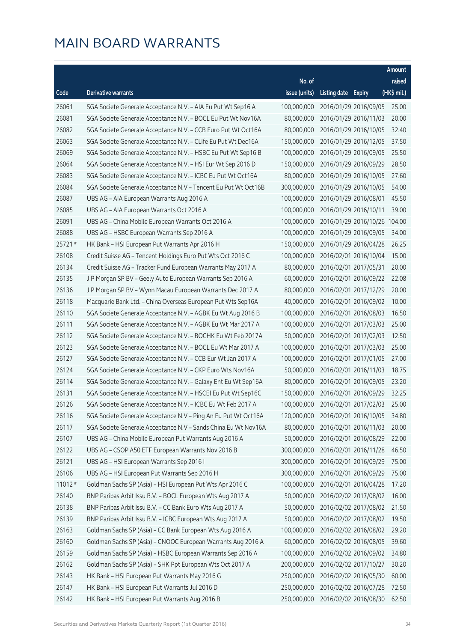|         |                                                                |               |                     |                              | Amount      |
|---------|----------------------------------------------------------------|---------------|---------------------|------------------------------|-------------|
|         |                                                                | No. of        |                     |                              | raised      |
| Code    | <b>Derivative warrants</b>                                     | issue (units) | Listing date Expiry |                              | (HK\$ mil.) |
| 26061   | SGA Societe Generale Acceptance N.V. - AIA Eu Put Wt Sep16 A   | 100,000,000   |                     | 2016/01/29 2016/09/05        | 25.00       |
| 26081   | SGA Societe Generale Acceptance N.V. - BOCL Eu Put Wt Nov16A   | 80,000,000    |                     | 2016/01/29 2016/11/03        | 20.00       |
| 26082   | SGA Societe Generale Acceptance N.V. - CCB Euro Put Wt Oct16A  | 80,000,000    |                     | 2016/01/29 2016/10/05        | 32.40       |
| 26063   | SGA Societe Generale Acceptance N.V. - CLife Eu Put Wt Dec16A  | 150,000,000   |                     | 2016/01/29 2016/12/05        | 37.50       |
| 26069   | SGA Societe Generale Acceptance N.V. - HSBC Eu Put Wt Sep16 B  | 100,000,000   |                     | 2016/01/29 2016/09/05        | 25.50       |
| 26064   | SGA Societe Generale Acceptance N.V. - HSI Eur Wt Sep 2016 D   | 150,000,000   |                     | 2016/01/29 2016/09/29        | 28.50       |
| 26083   | SGA Societe Generale Acceptance N.V. - ICBC Eu Put Wt Oct16A   | 80,000,000    |                     | 2016/01/29 2016/10/05        | 27.60       |
| 26084   | SGA Societe Generale Acceptance N.V - Tencent Eu Put Wt Oct16B | 300,000,000   |                     | 2016/01/29 2016/10/05        | 54.00       |
| 26087   | UBS AG - AIA European Warrants Aug 2016 A                      | 100,000,000   |                     | 2016/01/29 2016/08/01        | 45.50       |
| 26085   | UBS AG - AIA European Warrants Oct 2016 A                      | 100,000,000   |                     | 2016/01/29 2016/10/11        | 39.00       |
| 26091   | UBS AG - China Mobile European Warrants Oct 2016 A             | 100,000,000   |                     | 2016/01/29 2016/10/26 104.00 |             |
| 26088   | UBS AG - HSBC European Warrants Sep 2016 A                     | 100,000,000   |                     | 2016/01/29 2016/09/05        | 34.00       |
| 25721#  | HK Bank - HSI European Put Warrants Apr 2016 H                 | 150,000,000   |                     | 2016/01/29 2016/04/28        | 26.25       |
| 26108   | Credit Suisse AG - Tencent Holdings Euro Put Wts Oct 2016 C    | 100,000,000   |                     | 2016/02/01 2016/10/04        | 15.00       |
| 26134   | Credit Suisse AG - Tracker Fund European Warrants May 2017 A   | 80,000,000    |                     | 2016/02/01 2017/05/31        | 20.00       |
| 26135   | J P Morgan SP BV - Geely Auto European Warrants Sep 2016 A     | 60,000,000    |                     | 2016/02/01 2016/09/22        | 22.08       |
| 26136   | J P Morgan SP BV - Wynn Macau European Warrants Dec 2017 A     | 80,000,000    |                     | 2016/02/01 2017/12/29        | 20.00       |
| 26118   | Macquarie Bank Ltd. - China Overseas European Put Wts Sep16A   | 40,000,000    |                     | 2016/02/01 2016/09/02        | 10.00       |
| 26110   | SGA Societe Generale Acceptance N.V. - AGBK Eu Wt Aug 2016 B   | 100,000,000   |                     | 2016/02/01 2016/08/03        | 16.50       |
| 26111   | SGA Societe Generale Acceptance N.V. - AGBK Eu Wt Mar 2017 A   | 100,000,000   |                     | 2016/02/01 2017/03/03        | 25.00       |
| 26112   | SGA Societe Generale Acceptance N.V. - BOCHK Eu Wt Feb 2017A   | 50,000,000    |                     | 2016/02/01 2017/02/03        | 12.50       |
| 26123   | SGA Societe Generale Acceptance N.V. - BOCL Eu Wt Mar 2017 A   | 100,000,000   |                     | 2016/02/01 2017/03/03        | 25.00       |
| 26127   | SGA Societe Generale Acceptance N.V. - CCB Eur Wt Jan 2017 A   | 100,000,000   |                     | 2016/02/01 2017/01/05        | 27.00       |
| 26124   | SGA Societe Generale Acceptance N.V. - CKP Euro Wts Nov16A     | 50,000,000    |                     | 2016/02/01 2016/11/03        | 18.75       |
| 26114   | SGA Societe Generale Acceptance N.V. - Galaxy Ent Eu Wt Sep16A | 80,000,000    |                     | 2016/02/01 2016/09/05        | 23.20       |
| 26131   | SGA Societe Generale Acceptance N.V. - HSCEI Eu Put Wt Sep16C  | 150,000,000   |                     | 2016/02/01 2016/09/29        | 32.25       |
| 26126   | SGA Societe Generale Acceptance N.V. - ICBC Eu Wt Feb 2017 A   | 100,000,000   |                     | 2016/02/01 2017/02/03        | 25.00       |
| 26116   | SGA Societe Generale Acceptance N.V - Ping An Eu Put Wt Oct16A | 120,000,000   |                     | 2016/02/01 2016/10/05        | 34.80       |
| 26117   | SGA Societe Generale Acceptance N.V - Sands China Eu Wt Nov16A | 80,000,000    |                     | 2016/02/01 2016/11/03        | 20.00       |
| 26107   | UBS AG - China Mobile European Put Warrants Aug 2016 A         | 50,000,000    |                     | 2016/02/01 2016/08/29        | 22.00       |
| 26122   | UBS AG - CSOP A50 ETF European Warrants Nov 2016 B             | 300,000,000   |                     | 2016/02/01 2016/11/28        | 46.50       |
| 26121   | UBS AG - HSI European Warrants Sep 2016 I                      | 300,000,000   |                     | 2016/02/01 2016/09/29        | 75.00       |
| 26106   | UBS AG - HSI European Put Warrants Sep 2016 H                  | 300,000,000   |                     | 2016/02/01 2016/09/29        | 75.00       |
| 11012 # | Goldman Sachs SP (Asia) - HSI European Put Wts Apr 2016 C      | 100,000,000   |                     | 2016/02/01 2016/04/28        | 17.20       |
| 26140   | BNP Paribas Arbit Issu B.V. - BOCL European Wts Aug 2017 A     | 50,000,000    |                     | 2016/02/02 2017/08/02        | 16.00       |
| 26138   | BNP Paribas Arbit Issu B.V. - CC Bank Euro Wts Aug 2017 A      | 50,000,000    |                     | 2016/02/02 2017/08/02        | 21.50       |
| 26139   | BNP Paribas Arbit Issu B.V. - ICBC European Wts Aug 2017 A     | 50,000,000    |                     | 2016/02/02 2017/08/02        | 19.50       |
| 26163   | Goldman Sachs SP (Asia) - CC Bank European Wts Aug 2016 A      | 100,000,000   |                     | 2016/02/02 2016/08/02        | 29.20       |
| 26160   | Goldman Sachs SP (Asia) - CNOOC European Warrants Aug 2016 A   | 60,000,000    |                     | 2016/02/02 2016/08/05        | 39.60       |
| 26159   | Goldman Sachs SP (Asia) - HSBC European Warrants Sep 2016 A    | 100,000,000   |                     | 2016/02/02 2016/09/02        | 34.80       |
| 26162   | Goldman Sachs SP (Asia) - SHK Ppt European Wts Oct 2017 A      | 200,000,000   |                     | 2016/02/02 2017/10/27        | 30.20       |
| 26143   | HK Bank - HSI European Put Warrants May 2016 G                 | 250,000,000   |                     | 2016/02/02 2016/05/30        | 60.00       |
| 26147   | HK Bank - HSI European Put Warrants Jul 2016 D                 | 250,000,000   |                     | 2016/02/02 2016/07/28        | 72.50       |
| 26142   | HK Bank - HSI European Put Warrants Aug 2016 B                 | 250,000,000   |                     | 2016/02/02 2016/08/30        | 62.50       |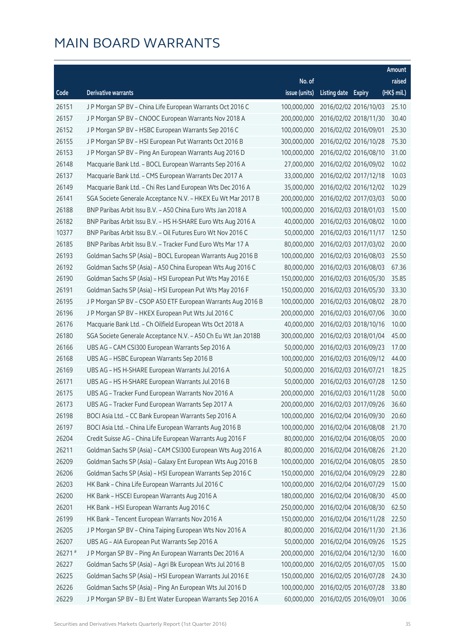|         |                                                               |               |                     |                       | Amount      |
|---------|---------------------------------------------------------------|---------------|---------------------|-----------------------|-------------|
|         |                                                               | No. of        |                     |                       | raised      |
| Code    | <b>Derivative warrants</b>                                    | issue (units) | Listing date Expiry |                       | (HK\$ mil.) |
| 26151   | J P Morgan SP BV - China Life European Warrants Oct 2016 C    | 100,000,000   |                     | 2016/02/02 2016/10/03 | 25.10       |
| 26157   | J P Morgan SP BV - CNOOC European Warrants Nov 2018 A         | 200,000,000   |                     | 2016/02/02 2018/11/30 | 30.40       |
| 26152   | J P Morgan SP BV - HSBC European Warrants Sep 2016 C          | 100,000,000   |                     | 2016/02/02 2016/09/01 | 25.30       |
| 26155   | J P Morgan SP BV - HSI European Put Warrants Oct 2016 B       | 300,000,000   |                     | 2016/02/02 2016/10/28 | 75.30       |
| 26153   | J P Morgan SP BV - Ping An European Warrants Aug 2016 D       | 100,000,000   |                     | 2016/02/02 2016/08/10 | 31.00       |
| 26148   | Macquarie Bank Ltd. - BOCL European Warrants Sep 2016 A       | 27,000,000    |                     | 2016/02/02 2016/09/02 | 10.02       |
| 26137   | Macquarie Bank Ltd. - CMS European Warrants Dec 2017 A        | 33,000,000    |                     | 2016/02/02 2017/12/18 | 10.03       |
| 26149   | Macquarie Bank Ltd. - Chi Res Land European Wts Dec 2016 A    | 35,000,000    |                     | 2016/02/02 2016/12/02 | 10.29       |
| 26141   | SGA Societe Generale Acceptance N.V. - HKEX Eu Wt Mar 2017 B  | 200,000,000   |                     | 2016/02/02 2017/03/03 | 50.00       |
| 26188   | BNP Paribas Arbit Issu B.V. - A50 China Euro Wts Jan 2018 A   | 100,000,000   |                     | 2016/02/03 2018/01/03 | 15.00       |
| 26182   | BNP Paribas Arbit Issu B.V. - HS H-SHARE Euro Wts Aug 2016 A  | 40,000,000    |                     | 2016/02/03 2016/08/02 | 10.00       |
| 10377   | BNP Paribas Arbit Issu B.V. - Oil Futures Euro Wt Nov 2016 C  | 50,000,000    |                     | 2016/02/03 2016/11/17 | 12.50       |
| 26185   | BNP Paribas Arbit Issu B.V. - Tracker Fund Euro Wts Mar 17 A  | 80,000,000    |                     | 2016/02/03 2017/03/02 | 20.00       |
| 26193   | Goldman Sachs SP (Asia) - BOCL European Warrants Aug 2016 B   | 100,000,000   |                     | 2016/02/03 2016/08/03 | 25.50       |
| 26192   | Goldman Sachs SP (Asia) - A50 China European Wts Aug 2016 C   | 80,000,000    |                     | 2016/02/03 2016/08/03 | 67.36       |
| 26190   | Goldman Sachs SP (Asia) - HSI European Put Wts May 2016 E     | 150,000,000   |                     | 2016/02/03 2016/05/30 | 35.85       |
| 26191   | Goldman Sachs SP (Asia) - HSI European Put Wts May 2016 F     | 150,000,000   |                     | 2016/02/03 2016/05/30 | 33.30       |
| 26195   | J P Morgan SP BV - CSOP A50 ETF European Warrants Aug 2016 B  | 100,000,000   |                     | 2016/02/03 2016/08/02 | 28.70       |
| 26196   | J P Morgan SP BV - HKEX European Put Wts Jul 2016 C           | 200,000,000   |                     | 2016/02/03 2016/07/06 | 30.00       |
| 26176   | Macquarie Bank Ltd. - Ch Oilfield European Wts Oct 2018 A     | 40,000,000    |                     | 2016/02/03 2018/10/16 | 10.00       |
| 26180   | SGA Societe Generale Acceptance N.V. - A50 Ch Eu Wt Jan 2018B | 300,000,000   |                     | 2016/02/03 2018/01/04 | 45.00       |
| 26166   | UBS AG - CAM CSI300 European Warrants Sep 2016 A              | 50,000,000    |                     | 2016/02/03 2016/09/23 | 17.00       |
| 26168   | UBS AG - HSBC European Warrants Sep 2016 B                    | 100,000,000   |                     | 2016/02/03 2016/09/12 | 44.00       |
| 26169   | UBS AG - HS H-SHARE European Warrants Jul 2016 A              | 50,000,000    |                     | 2016/02/03 2016/07/21 | 18.25       |
| 26171   | UBS AG - HS H-SHARE European Warrants Jul 2016 B              | 50,000,000    |                     | 2016/02/03 2016/07/28 | 12.50       |
| 26175   | UBS AG - Tracker Fund European Warrants Nov 2016 A            | 200,000,000   |                     | 2016/02/03 2016/11/28 | 50.00       |
| 26173   | UBS AG - Tracker Fund European Warrants Sep 2017 A            | 200,000,000   |                     | 2016/02/03 2017/09/26 | 36.60       |
| 26198   | BOCI Asia Ltd. - CC Bank European Warrants Sep 2016 A         | 100,000,000   |                     | 2016/02/04 2016/09/30 | 20.60       |
| 26197   | BOCI Asia Ltd. - China Life European Warrants Aug 2016 B      | 100,000,000   |                     | 2016/02/04 2016/08/08 | 21.70       |
| 26204   | Credit Suisse AG - China Life European Warrants Aug 2016 F    | 80,000,000    |                     | 2016/02/04 2016/08/05 | 20.00       |
| 26211   | Goldman Sachs SP (Asia) - CAM CSI300 European Wts Aug 2016 A  | 80,000,000    |                     | 2016/02/04 2016/08/26 | 21.20       |
| 26209   | Goldman Sachs SP (Asia) - Galaxy Ent European Wts Aug 2016 B  | 100,000,000   |                     | 2016/02/04 2016/08/05 | 28.50       |
| 26206   | Goldman Sachs SP (Asia) - HSI European Warrants Sep 2016 C    | 150,000,000   |                     | 2016/02/04 2016/09/29 | 22.80       |
| 26203   | HK Bank - China Life European Warrants Jul 2016 C             | 100,000,000   |                     | 2016/02/04 2016/07/29 | 15.00       |
| 26200   | HK Bank - HSCEI European Warrants Aug 2016 A                  | 180,000,000   |                     | 2016/02/04 2016/08/30 | 45.00       |
| 26201   | HK Bank - HSI European Warrants Aug 2016 C                    | 250,000,000   |                     | 2016/02/04 2016/08/30 | 62.50       |
| 26199   | HK Bank - Tencent European Warrants Nov 2016 A                | 150,000,000   |                     | 2016/02/04 2016/11/28 | 22.50       |
| 26205   | J P Morgan SP BV - China Taiping European Wts Nov 2016 A      | 80,000,000    |                     | 2016/02/04 2016/11/30 | 21.36       |
| 26207   | UBS AG - AIA European Put Warrants Sep 2016 A                 | 50,000,000    |                     | 2016/02/04 2016/09/26 | 15.25       |
| 26271 # | J P Morgan SP BV - Ping An European Warrants Dec 2016 A       | 200,000,000   |                     | 2016/02/04 2016/12/30 | 16.00       |
| 26227   | Goldman Sachs SP (Asia) - Agri Bk European Wts Jul 2016 B     | 100,000,000   |                     | 2016/02/05 2016/07/05 | 15.00       |
| 26225   | Goldman Sachs SP (Asia) - HSI European Warrants Jul 2016 E    | 150,000,000   |                     | 2016/02/05 2016/07/28 | 24.30       |
| 26226   | Goldman Sachs SP (Asia) - Ping An European Wts Jul 2016 D     | 100,000,000   |                     | 2016/02/05 2016/07/28 | 33.80       |
| 26229   | J P Morgan SP BV - BJ Ent Water European Warrants Sep 2016 A  | 60,000,000    |                     | 2016/02/05 2016/09/01 | 30.06       |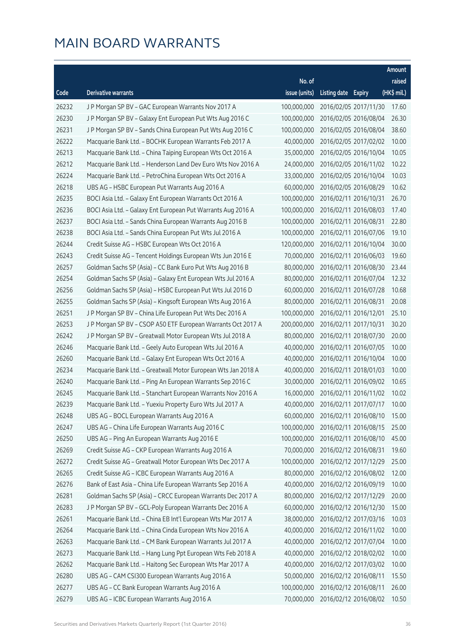|       |                                                               |               |                     |                       | Amount      |
|-------|---------------------------------------------------------------|---------------|---------------------|-----------------------|-------------|
|       |                                                               | No. of        |                     |                       | raised      |
| Code  | <b>Derivative warrants</b>                                    | issue (units) | Listing date Expiry |                       | (HK\$ mil.) |
| 26232 | J P Morgan SP BV - GAC European Warrants Nov 2017 A           | 100,000,000   |                     | 2016/02/05 2017/11/30 | 17.60       |
| 26230 | JP Morgan SP BV - Galaxy Ent European Put Wts Aug 2016 C      | 100.000.000   |                     | 2016/02/05 2016/08/04 | 26.30       |
| 26231 | J P Morgan SP BV - Sands China European Put Wts Aug 2016 C    | 100,000,000   |                     | 2016/02/05 2016/08/04 | 38.60       |
| 26222 | Macquarie Bank Ltd. - BOCHK European Warrants Feb 2017 A      | 40,000,000    |                     | 2016/02/05 2017/02/02 | 10.00       |
| 26213 | Macquarie Bank Ltd. - China Taiping European Wts Oct 2016 A   | 35,000,000    |                     | 2016/02/05 2016/10/04 | 10.05       |
| 26212 | Macquarie Bank Ltd. - Henderson Land Dev Euro Wts Nov 2016 A  | 24,000,000    |                     | 2016/02/05 2016/11/02 | 10.22       |
| 26224 | Macquarie Bank Ltd. - PetroChina European Wts Oct 2016 A      | 33,000,000    |                     | 2016/02/05 2016/10/04 | 10.03       |
| 26218 | UBS AG - HSBC European Put Warrants Aug 2016 A                | 60,000,000    |                     | 2016/02/05 2016/08/29 | 10.62       |
| 26235 | BOCI Asia Ltd. - Galaxy Ent European Warrants Oct 2016 A      | 100,000,000   |                     | 2016/02/11 2016/10/31 | 26.70       |
| 26236 | BOCI Asia Ltd. - Galaxy Ent European Put Warrants Aug 2016 A  | 100,000,000   |                     | 2016/02/11 2016/08/03 | 17.40       |
| 26237 | BOCI Asia Ltd. - Sands China European Warrants Aug 2016 B     | 100,000,000   |                     | 2016/02/11 2016/08/31 | 22.80       |
| 26238 | BOCI Asia Ltd. - Sands China European Put Wts Jul 2016 A      | 100,000,000   |                     | 2016/02/11 2016/07/06 | 19.10       |
| 26244 | Credit Suisse AG - HSBC European Wts Oct 2016 A               | 120,000,000   |                     | 2016/02/11 2016/10/04 | 30.00       |
| 26243 | Credit Suisse AG - Tencent Holdings European Wts Jun 2016 E   | 70,000,000    |                     | 2016/02/11 2016/06/03 | 19.60       |
| 26257 | Goldman Sachs SP (Asia) - CC Bank Euro Put Wts Aug 2016 B     | 80,000,000    |                     | 2016/02/11 2016/08/30 | 23.44       |
| 26254 | Goldman Sachs SP (Asia) - Galaxy Ent European Wts Jul 2016 A  | 80,000,000    |                     | 2016/02/11 2016/07/04 | 12.32       |
| 26256 | Goldman Sachs SP (Asia) - HSBC European Put Wts Jul 2016 D    | 60,000,000    |                     | 2016/02/11 2016/07/28 | 10.68       |
| 26255 | Goldman Sachs SP (Asia) - Kingsoft European Wts Aug 2016 A    | 80,000,000    |                     | 2016/02/11 2016/08/31 | 20.08       |
| 26251 | J P Morgan SP BV - China Life European Put Wts Dec 2016 A     | 100,000,000   |                     | 2016/02/11 2016/12/01 | 25.10       |
| 26253 | J P Morgan SP BV - CSOP A50 ETF European Warrants Oct 2017 A  | 200,000,000   |                     | 2016/02/11 2017/10/31 | 30.20       |
| 26242 | J P Morgan SP BV - Greatwall Motor European Wts Jul 2018 A    | 80,000,000    |                     | 2016/02/11 2018/07/30 | 20.00       |
| 26246 | Macquarie Bank Ltd. - Geely Auto European Wts Jul 2016 A      | 40,000,000    |                     | 2016/02/11 2016/07/05 | 10.00       |
| 26260 | Macquarie Bank Ltd. - Galaxy Ent European Wts Oct 2016 A      | 40,000,000    |                     | 2016/02/11 2016/10/04 | 10.00       |
| 26234 | Macquarie Bank Ltd. - Greatwall Motor European Wts Jan 2018 A | 40,000,000    |                     | 2016/02/11 2018/01/03 | 10.00       |
| 26240 | Macquarie Bank Ltd. - Ping An European Warrants Sep 2016 C    | 30,000,000    |                     | 2016/02/11 2016/09/02 | 10.65       |
| 26245 | Macquarie Bank Ltd. - Stanchart European Warrants Nov 2016 A  | 16,000,000    |                     | 2016/02/11 2016/11/02 | 10.02       |
| 26239 | Macquarie Bank Ltd. - Yuexiu Property Euro Wts Jul 2017 A     | 40.000.000    |                     | 2016/02/11 2017/07/17 | 10.00       |
| 26248 | UBS AG - BOCL European Warrants Aug 2016 A                    | 60,000,000    |                     | 2016/02/11 2016/08/10 | 15.00       |
| 26247 | UBS AG - China Life European Warrants Aug 2016 C              | 100,000,000   |                     | 2016/02/11 2016/08/15 | 25.00       |
| 26250 | UBS AG - Ping An European Warrants Aug 2016 E                 | 100,000,000   |                     | 2016/02/11 2016/08/10 | 45.00       |
| 26269 | Credit Suisse AG - CKP European Warrants Aug 2016 A           | 70,000,000    |                     | 2016/02/12 2016/08/31 | 19.60       |
| 26272 | Credit Suisse AG - Greatwall Motor European Wts Dec 2017 A    | 100,000,000   |                     | 2016/02/12 2017/12/29 | 25.00       |
| 26265 | Credit Suisse AG - ICBC European Warrants Aug 2016 A          | 80,000,000    |                     | 2016/02/12 2016/08/02 | 12.00       |
| 26276 | Bank of East Asia - China Life European Warrants Sep 2016 A   | 40,000,000    |                     | 2016/02/12 2016/09/19 | 10.00       |
| 26281 | Goldman Sachs SP (Asia) - CRCC European Warrants Dec 2017 A   | 80,000,000    |                     | 2016/02/12 2017/12/29 | 20.00       |
| 26283 | J P Morgan SP BV - GCL-Poly European Warrants Dec 2016 A      | 60,000,000    |                     | 2016/02/12 2016/12/30 | 15.00       |
| 26261 | Macquarie Bank Ltd. - China EB Int'l European Wts Mar 2017 A  | 38,000,000    |                     | 2016/02/12 2017/03/16 | 10.03       |
| 26264 | Macquarie Bank Ltd. - China Cinda European Wts Nov 2016 A     | 40,000,000    |                     | 2016/02/12 2016/11/02 | 10.00       |
| 26263 | Macquarie Bank Ltd. - CM Bank European Warrants Jul 2017 A    | 40,000,000    |                     | 2016/02/12 2017/07/04 | 10.00       |
| 26273 | Macquarie Bank Ltd. - Hang Lung Ppt European Wts Feb 2018 A   | 40,000,000    |                     | 2016/02/12 2018/02/02 | 10.00       |
| 26262 | Macquarie Bank Ltd. - Haitong Sec European Wts Mar 2017 A     | 40,000,000    |                     | 2016/02/12 2017/03/02 | 10.00       |
| 26280 | UBS AG - CAM CSI300 European Warrants Aug 2016 A              | 50,000,000    |                     | 2016/02/12 2016/08/11 | 15.50       |
| 26277 | UBS AG - CC Bank European Warrants Aug 2016 A                 | 100,000,000   |                     | 2016/02/12 2016/08/11 | 26.00       |
| 26279 | UBS AG - ICBC European Warrants Aug 2016 A                    | 70,000,000    |                     | 2016/02/12 2016/08/02 | 10.50       |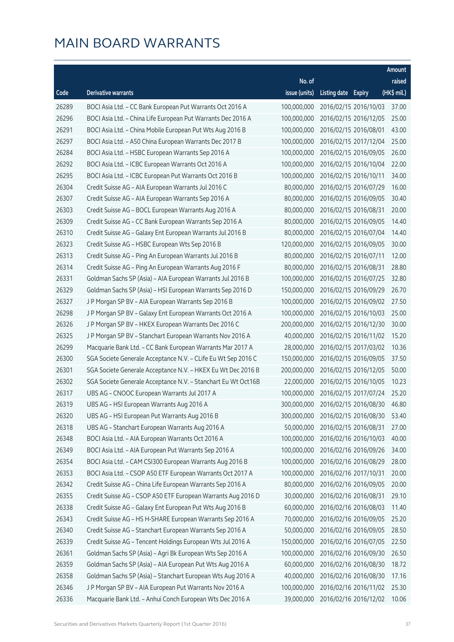|       |                                                               |               |                     |                       | Amount      |
|-------|---------------------------------------------------------------|---------------|---------------------|-----------------------|-------------|
|       |                                                               | No. of        |                     |                       | raised      |
| Code  | <b>Derivative warrants</b>                                    | issue (units) | Listing date Expiry |                       | (HK\$ mil.) |
| 26289 | BOCI Asia Ltd. - CC Bank European Put Warrants Oct 2016 A     | 100,000,000   |                     | 2016/02/15 2016/10/03 | 37.00       |
| 26296 | BOCI Asia Ltd. - China Life European Put Warrants Dec 2016 A  | 100,000,000   |                     | 2016/02/15 2016/12/05 | 25.00       |
| 26291 | BOCI Asia Ltd. - China Mobile European Put Wts Aug 2016 B     | 100,000,000   |                     | 2016/02/15 2016/08/01 | 43.00       |
| 26297 | BOCI Asia Ltd. - A50 China European Warrants Dec 2017 B       | 100,000,000   |                     | 2016/02/15 2017/12/04 | 25.00       |
| 26284 | BOCI Asia Ltd. - HSBC European Warrants Sep 2016 A            | 100,000,000   |                     | 2016/02/15 2016/09/05 | 26.00       |
| 26292 | BOCI Asia Ltd. - ICBC European Warrants Oct 2016 A            | 100,000,000   |                     | 2016/02/15 2016/10/04 | 22.00       |
| 26295 | BOCI Asia Ltd. - ICBC European Put Warrants Oct 2016 B        | 100,000,000   |                     | 2016/02/15 2016/10/11 | 34.00       |
| 26304 | Credit Suisse AG - AIA European Warrants Jul 2016 C           | 80,000,000    |                     | 2016/02/15 2016/07/29 | 16.00       |
| 26307 | Credit Suisse AG - AIA European Warrants Sep 2016 A           | 80,000,000    |                     | 2016/02/15 2016/09/05 | 30.40       |
| 26303 | Credit Suisse AG - BOCL European Warrants Aug 2016 A          | 80,000,000    |                     | 2016/02/15 2016/08/31 | 20.00       |
| 26309 | Credit Suisse AG - CC Bank European Warrants Sep 2016 A       | 80,000,000    |                     | 2016/02/15 2016/09/05 | 14.40       |
| 26310 | Credit Suisse AG - Galaxy Ent European Warrants Jul 2016 B    | 80,000,000    |                     | 2016/02/15 2016/07/04 | 14.40       |
| 26323 | Credit Suisse AG - HSBC European Wts Sep 2016 B               | 120,000,000   |                     | 2016/02/15 2016/09/05 | 30.00       |
| 26313 | Credit Suisse AG - Ping An European Warrants Jul 2016 B       | 80,000,000    |                     | 2016/02/15 2016/07/11 | 12.00       |
| 26314 | Credit Suisse AG - Ping An European Warrants Aug 2016 F       | 80,000,000    |                     | 2016/02/15 2016/08/31 | 28.80       |
| 26331 | Goldman Sachs SP (Asia) - AIA European Warrants Jul 2016 B    | 100,000,000   |                     | 2016/02/15 2016/07/25 | 32.80       |
| 26329 | Goldman Sachs SP (Asia) - HSI European Warrants Sep 2016 D    | 150,000,000   |                     | 2016/02/15 2016/09/29 | 26.70       |
| 26327 | J P Morgan SP BV - AIA European Warrants Sep 2016 B           | 100,000,000   |                     | 2016/02/15 2016/09/02 | 27.50       |
| 26298 | J P Morgan SP BV - Galaxy Ent European Warrants Oct 2016 A    | 100,000,000   |                     | 2016/02/15 2016/10/03 | 25.00       |
| 26326 | J P Morgan SP BV - HKEX European Warrants Dec 2016 C          | 200,000,000   |                     | 2016/02/15 2016/12/30 | 30.00       |
| 26325 | J P Morgan SP BV - Stanchart European Warrants Nov 2016 A     | 40,000,000    |                     | 2016/02/15 2016/11/02 | 15.20       |
| 26299 | Macquarie Bank Ltd. - CC Bank European Warrants Mar 2017 A    | 28,000,000    |                     | 2016/02/15 2017/03/02 | 10.36       |
| 26300 | SGA Societe Generale Acceptance N.V. - CLife Eu Wt Sep 2016 C | 150,000,000   |                     | 2016/02/15 2016/09/05 | 37.50       |
| 26301 | SGA Societe Generale Acceptance N.V. - HKEX Eu Wt Dec 2016 B  | 200,000,000   |                     | 2016/02/15 2016/12/05 | 50.00       |
| 26302 | SGA Societe Generale Acceptance N.V. - Stanchart Eu Wt Oct16B | 22,000,000    |                     | 2016/02/15 2016/10/05 | 10.23       |
| 26317 | UBS AG - CNOOC European Warrants Jul 2017 A                   | 100,000,000   |                     | 2016/02/15 2017/07/24 | 25.20       |
| 26319 | UBS AG - HSI European Warrants Aug 2016 A                     | 300,000,000   |                     | 2016/02/15 2016/08/30 | 46.80       |
| 26320 | UBS AG - HSI European Put Warrants Aug 2016 B                 | 300,000,000   |                     | 2016/02/15 2016/08/30 | 53.40       |
| 26318 | UBS AG - Stanchart European Warrants Aug 2016 A               | 50,000,000    |                     | 2016/02/15 2016/08/31 | 27.00       |
| 26348 | BOCI Asia Ltd. - AIA European Warrants Oct 2016 A             | 100,000,000   |                     | 2016/02/16 2016/10/03 | 40.00       |
| 26349 | BOCI Asia Ltd. - AIA European Put Warrants Sep 2016 A         | 100,000,000   |                     | 2016/02/16 2016/09/26 | 34.00       |
| 26354 | BOCI Asia Ltd. - CAM CSI300 European Warrants Aug 2016 B      | 100,000,000   |                     | 2016/02/16 2016/08/29 | 28.00       |
| 26353 | BOCI Asia Ltd. - CSOP A50 ETF European Warrants Oct 2017 A    | 100,000,000   |                     | 2016/02/16 2017/10/31 | 20.00       |
| 26342 | Credit Suisse AG - China Life European Warrants Sep 2016 A    | 80,000,000    |                     | 2016/02/16 2016/09/05 | 20.00       |
| 26355 | Credit Suisse AG - CSOP A50 ETF European Warrants Aug 2016 D  | 30,000,000    |                     | 2016/02/16 2016/08/31 | 29.10       |
| 26338 | Credit Suisse AG - Galaxy Ent European Put Wts Aug 2016 B     | 60,000,000    |                     | 2016/02/16 2016/08/03 | 11.40       |
| 26343 | Credit Suisse AG - HS H-SHARE European Warrants Sep 2016 A    | 70,000,000    |                     | 2016/02/16 2016/09/05 | 25.20       |
| 26340 | Credit Suisse AG - Stanchart European Warrants Sep 2016 A     | 50,000,000    |                     | 2016/02/16 2016/09/05 | 28.50       |
| 26339 | Credit Suisse AG - Tencent Holdings European Wts Jul 2016 A   | 150,000,000   |                     | 2016/02/16 2016/07/05 | 22.50       |
| 26361 | Goldman Sachs SP (Asia) - Agri Bk European Wts Sep 2016 A     | 100,000,000   |                     | 2016/02/16 2016/09/30 | 26.50       |
| 26359 | Goldman Sachs SP (Asia) - AIA European Put Wts Aug 2016 A     | 60,000,000    |                     | 2016/02/16 2016/08/30 | 18.72       |
| 26358 | Goldman Sachs SP (Asia) - Stanchart European Wts Aug 2016 A   | 40,000,000    |                     | 2016/02/16 2016/08/30 | 17.16       |
| 26346 | J P Morgan SP BV - AIA European Put Warrants Nov 2016 A       | 100,000,000   |                     | 2016/02/16 2016/11/02 | 25.30       |
| 26336 | Macquarie Bank Ltd. - Anhui Conch European Wts Dec 2016 A     | 39,000,000    |                     | 2016/02/16 2016/12/02 | 10.06       |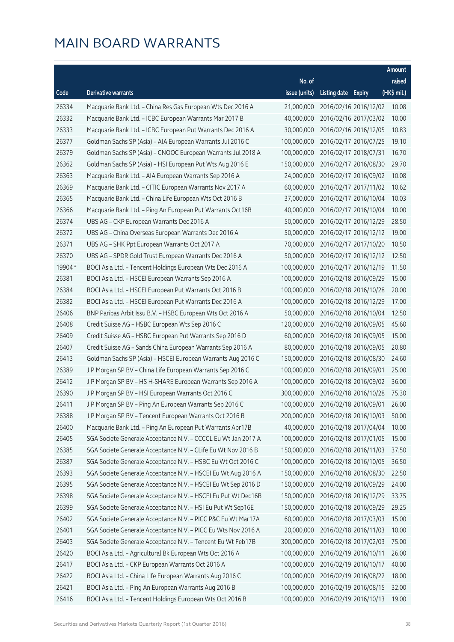|         |                                                               |               |                     |                       | Amount      |
|---------|---------------------------------------------------------------|---------------|---------------------|-----------------------|-------------|
|         |                                                               | No. of        |                     |                       | raised      |
| Code    | Derivative warrants                                           | issue (units) | Listing date Expiry |                       | (HK\$ mil.) |
| 26334   | Macquarie Bank Ltd. - China Res Gas European Wts Dec 2016 A   | 21,000,000    |                     | 2016/02/16 2016/12/02 | 10.08       |
| 26332   | Macquarie Bank Ltd. - ICBC European Warrants Mar 2017 B       | 40,000,000    |                     | 2016/02/16 2017/03/02 | 10.00       |
| 26333   | Macquarie Bank Ltd. - ICBC European Put Warrants Dec 2016 A   | 30,000,000    |                     | 2016/02/16 2016/12/05 | 10.83       |
| 26377   | Goldman Sachs SP (Asia) - AIA European Warrants Jul 2016 C    | 100,000,000   |                     | 2016/02/17 2016/07/25 | 19.10       |
| 26379   | Goldman Sachs SP (Asia) - CNOOC European Warrants Jul 2018 A  | 100,000,000   |                     | 2016/02/17 2018/07/31 | 16.70       |
| 26362   | Goldman Sachs SP (Asia) - HSI European Put Wts Aug 2016 E     | 150,000,000   |                     | 2016/02/17 2016/08/30 | 29.70       |
| 26363   | Macquarie Bank Ltd. - AIA European Warrants Sep 2016 A        | 24,000,000    |                     | 2016/02/17 2016/09/02 | 10.08       |
| 26369   | Macquarie Bank Ltd. - CITIC European Warrants Nov 2017 A      | 60,000,000    |                     | 2016/02/17 2017/11/02 | 10.62       |
| 26365   | Macquarie Bank Ltd. - China Life European Wts Oct 2016 B      | 37,000,000    |                     | 2016/02/17 2016/10/04 | 10.03       |
| 26366   | Macquarie Bank Ltd. - Ping An European Put Warrants Oct16B    | 40,000,000    |                     | 2016/02/17 2016/10/04 | 10.00       |
| 26374   | UBS AG - CKP European Warrants Dec 2016 A                     | 50,000,000    |                     | 2016/02/17 2016/12/29 | 28.50       |
| 26372   | UBS AG - China Overseas European Warrants Dec 2016 A          | 50,000,000    |                     | 2016/02/17 2016/12/12 | 19.00       |
| 26371   | UBS AG - SHK Ppt European Warrants Oct 2017 A                 | 70,000,000    |                     | 2016/02/17 2017/10/20 | 10.50       |
| 26370   | UBS AG - SPDR Gold Trust European Warrants Dec 2016 A         | 50,000,000    |                     | 2016/02/17 2016/12/12 | 12.50       |
| 19904 # | BOCI Asia Ltd. - Tencent Holdings European Wts Dec 2016 A     | 100,000,000   |                     | 2016/02/17 2016/12/19 | 11.50       |
| 26381   | BOCI Asia Ltd. - HSCEI European Warrants Sep 2016 A           | 100,000,000   |                     | 2016/02/18 2016/09/29 | 15.00       |
| 26384   | BOCI Asia Ltd. - HSCEI European Put Warrants Oct 2016 B       | 100,000,000   |                     | 2016/02/18 2016/10/28 | 20.00       |
| 26382   | BOCI Asia Ltd. - HSCEI European Put Warrants Dec 2016 A       | 100,000,000   |                     | 2016/02/18 2016/12/29 | 17.00       |
| 26406   | BNP Paribas Arbit Issu B.V. - HSBC European Wts Oct 2016 A    | 50,000,000    |                     | 2016/02/18 2016/10/04 | 12.50       |
| 26408   | Credit Suisse AG - HSBC European Wts Sep 2016 C               | 120,000,000   |                     | 2016/02/18 2016/09/05 | 45.60       |
| 26409   | Credit Suisse AG - HSBC European Put Warrants Sep 2016 D      | 60,000,000    |                     | 2016/02/18 2016/09/05 | 15.00       |
| 26407   | Credit Suisse AG - Sands China European Warrants Sep 2016 A   | 80,000,000    |                     | 2016/02/18 2016/09/05 | 20.80       |
| 26413   | Goldman Sachs SP (Asia) - HSCEI European Warrants Aug 2016 C  | 150,000,000   |                     | 2016/02/18 2016/08/30 | 24.60       |
| 26389   | J P Morgan SP BV - China Life European Warrants Sep 2016 C    | 100,000,000   |                     | 2016/02/18 2016/09/01 | 25.00       |
| 26412   | J P Morgan SP BV - HS H-SHARE European Warrants Sep 2016 A    | 100,000,000   |                     | 2016/02/18 2016/09/02 | 36.00       |
| 26390   | J P Morgan SP BV - HSI European Warrants Oct 2016 C           | 300,000,000   |                     | 2016/02/18 2016/10/28 | 75.30       |
| 26411   | J P Morgan SP BV - Ping An European Warrants Sep 2016 C       | 100,000,000   |                     | 2016/02/18 2016/09/01 | 26.00       |
| 26388   | JP Morgan SP BV - Tencent European Warrants Oct 2016 B        | 200,000,000   |                     | 2016/02/18 2016/10/03 | 50.00       |
| 26400   | Macquarie Bank Ltd. - Ping An European Put Warrants Apr17B    | 40,000,000    |                     | 2016/02/18 2017/04/04 | 10.00       |
| 26405   | SGA Societe Generale Acceptance N.V. - CCCCL Eu Wt Jan 2017 A | 100,000,000   |                     | 2016/02/18 2017/01/05 | 15.00       |
| 26385   | SGA Societe Generale Acceptance N.V. - CLife Eu Wt Nov 2016 B | 150,000,000   |                     | 2016/02/18 2016/11/03 | 37.50       |
| 26387   | SGA Societe Generale Acceptance N.V. - HSBC Eu Wt Oct 2016 C  | 100,000,000   |                     | 2016/02/18 2016/10/05 | 36.50       |
| 26393   | SGA Societe Generale Acceptance N.V. - HSCEI Eu Wt Aug 2016 A | 150,000,000   |                     | 2016/02/18 2016/08/30 | 22.50       |
| 26395   | SGA Societe Generale Acceptance N.V. - HSCEI Eu Wt Sep 2016 D | 150,000,000   |                     | 2016/02/18 2016/09/29 | 24.00       |
| 26398   | SGA Societe Generale Acceptance N.V. - HSCEI Eu Put Wt Dec16B | 150,000,000   |                     | 2016/02/18 2016/12/29 | 33.75       |
| 26399   | SGA Societe Generale Acceptance N.V. - HSI Eu Put Wt Sep16E   | 150,000,000   |                     | 2016/02/18 2016/09/29 | 29.25       |
| 26402   | SGA Societe Generale Acceptance N.V. - PICC P&C Eu Wt Mar17A  | 60,000,000    |                     | 2016/02/18 2017/03/03 | 15.00       |
| 26401   | SGA Societe Generale Acceptance N.V. - PICC Eu Wts Nov 2016 A | 20,000,000    |                     | 2016/02/18 2016/11/03 | 10.00       |
| 26403   | SGA Societe Generale Acceptance N.V. - Tencent Eu Wt Feb17B   | 300,000,000   |                     | 2016/02/18 2017/02/03 | 75.00       |
| 26420   | BOCI Asia Ltd. - Agricultural Bk European Wts Oct 2016 A      | 100,000,000   |                     | 2016/02/19 2016/10/11 | 26.00       |
| 26417   | BOCI Asia Ltd. - CKP European Warrants Oct 2016 A             | 100,000,000   |                     | 2016/02/19 2016/10/17 | 40.00       |
| 26422   | BOCI Asia Ltd. - China Life European Warrants Aug 2016 C      | 100,000,000   |                     | 2016/02/19 2016/08/22 | 18.00       |
| 26421   | BOCI Asia Ltd. - Ping An European Warrants Aug 2016 B         | 100,000,000   |                     | 2016/02/19 2016/08/15 | 32.00       |
| 26416   | BOCI Asia Ltd. - Tencent Holdings European Wts Oct 2016 B     | 100,000,000   |                     | 2016/02/19 2016/10/13 | 19.00       |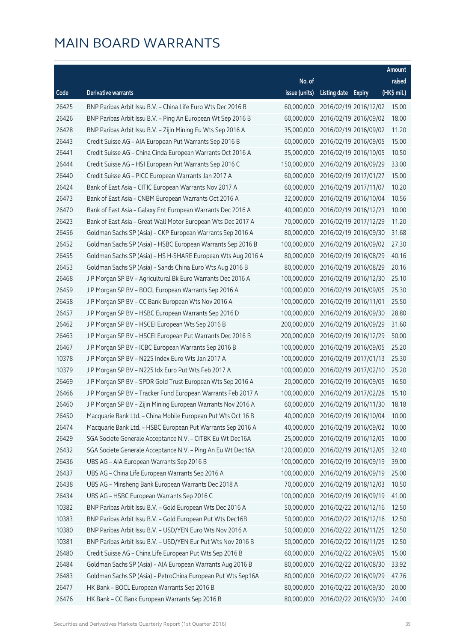|       |                                                              |               |                     |                       | Amount      |
|-------|--------------------------------------------------------------|---------------|---------------------|-----------------------|-------------|
|       |                                                              | No. of        |                     |                       | raised      |
| Code  | Derivative warrants                                          | issue (units) | Listing date Expiry |                       | (HK\$ mil.) |
| 26425 | BNP Paribas Arbit Issu B.V. - China Life Euro Wts Dec 2016 B | 60,000,000    |                     | 2016/02/19 2016/12/02 | 15.00       |
| 26426 | BNP Paribas Arbit Issu B.V. - Ping An European Wt Sep 2016 B | 60,000,000    |                     | 2016/02/19 2016/09/02 | 18.00       |
| 26428 | BNP Paribas Arbit Issu B.V. - Zijin Mining Eu Wts Sep 2016 A | 35,000,000    |                     | 2016/02/19 2016/09/02 | 11.20       |
| 26443 | Credit Suisse AG - AIA European Put Warrants Sep 2016 B      | 60,000,000    |                     | 2016/02/19 2016/09/05 | 15.00       |
| 26441 | Credit Suisse AG - China Cinda European Warrants Oct 2016 A  | 35,000,000    |                     | 2016/02/19 2016/10/05 | 10.50       |
| 26444 | Credit Suisse AG - HSI European Put Warrants Sep 2016 C      | 150,000,000   |                     | 2016/02/19 2016/09/29 | 33.00       |
| 26440 | Credit Suisse AG - PICC European Warrants Jan 2017 A         | 60,000,000    |                     | 2016/02/19 2017/01/27 | 15.00       |
| 26424 | Bank of East Asia - CITIC European Warrants Nov 2017 A       | 60,000,000    |                     | 2016/02/19 2017/11/07 | 10.20       |
| 26473 | Bank of East Asia - CNBM European Warrants Oct 2016 A        | 32,000,000    |                     | 2016/02/19 2016/10/04 | 10.56       |
| 26470 | Bank of East Asia - Galaxy Ent European Warrants Dec 2016 A  | 40,000,000    |                     | 2016/02/19 2016/12/23 | 10.00       |
| 26423 | Bank of East Asia - Great Wall Motor European Wts Dec 2017 A | 70,000,000    |                     | 2016/02/19 2017/12/29 | 11.20       |
| 26456 | Goldman Sachs SP (Asia) - CKP European Warrants Sep 2016 A   | 80,000,000    |                     | 2016/02/19 2016/09/30 | 31.68       |
| 26452 | Goldman Sachs SP (Asia) - HSBC European Warrants Sep 2016 B  | 100,000,000   |                     | 2016/02/19 2016/09/02 | 27.30       |
| 26455 | Goldman Sachs SP (Asia) - HS H-SHARE European Wts Aug 2016 A | 80,000,000    |                     | 2016/02/19 2016/08/29 | 40.16       |
| 26453 | Goldman Sachs SP (Asia) - Sands China Euro Wts Aug 2016 B    | 80,000,000    |                     | 2016/02/19 2016/08/29 | 20.16       |
| 26468 | J P Morgan SP BV - Agricultural Bk Euro Warrants Dec 2016 A  | 100,000,000   |                     | 2016/02/19 2016/12/30 | 25.10       |
| 26459 | J P Morgan SP BV - BOCL European Warrants Sep 2016 A         | 100,000,000   |                     | 2016/02/19 2016/09/05 | 25.30       |
| 26458 | J P Morgan SP BV - CC Bank European Wts Nov 2016 A           | 100,000,000   |                     | 2016/02/19 2016/11/01 | 25.50       |
| 26457 | J P Morgan SP BV - HSBC European Warrants Sep 2016 D         | 100,000,000   |                     | 2016/02/19 2016/09/30 | 28.80       |
| 26462 | J P Morgan SP BV - HSCEI European Wts Sep 2016 B             | 200,000,000   |                     | 2016/02/19 2016/09/29 | 31.60       |
| 26463 | J P Morgan SP BV - HSCEI European Put Warrants Dec 2016 B    | 200,000,000   |                     | 2016/02/19 2016/12/29 | 50.00       |
| 26467 | J P Morgan SP BV - ICBC European Warrants Sep 2016 B         | 100,000,000   |                     | 2016/02/19 2016/09/05 | 25.20       |
| 10378 | J P Morgan SP BV - N225 Index Euro Wts Jan 2017 A            | 100,000,000   |                     | 2016/02/19 2017/01/13 | 25.30       |
| 10379 | J P Morgan SP BV - N225 Idx Euro Put Wts Feb 2017 A          | 100,000,000   |                     | 2016/02/19 2017/02/10 | 25.20       |
| 26469 | J P Morgan SP BV - SPDR Gold Trust European Wts Sep 2016 A   | 20,000,000    |                     | 2016/02/19 2016/09/05 | 16.50       |
| 26466 | J P Morgan SP BV - Tracker Fund European Warrants Feb 2017 A | 100,000,000   |                     | 2016/02/19 2017/02/28 | 15.10       |
| 26460 | J P Morgan SP BV - Zijin Mining European Warrants Nov 2016 A | 60,000,000    |                     | 2016/02/19 2016/11/30 | 18.18       |
| 26450 | Macquarie Bank Ltd. - China Mobile European Put Wts Oct 16 B | 40,000,000    |                     | 2016/02/19 2016/10/04 | 10.00       |
| 26474 | Macquarie Bank Ltd. - HSBC European Put Warrants Sep 2016 A  | 40,000,000    |                     | 2016/02/19 2016/09/02 | 10.00       |
| 26429 | SGA Societe Generale Acceptance N.V. - CITBK Eu Wt Dec16A    | 25,000,000    |                     | 2016/02/19 2016/12/05 | 10.00       |
| 26432 | SGA Societe Generale Acceptance N.V. - Ping An Eu Wt Dec16A  | 120,000,000   |                     | 2016/02/19 2016/12/05 | 32.40       |
| 26436 | UBS AG - AIA European Warrants Sep 2016 B                    | 100,000,000   |                     | 2016/02/19 2016/09/19 | 39.00       |
| 26437 | UBS AG - China Life European Warrants Sep 2016 A             | 100,000,000   |                     | 2016/02/19 2016/09/19 | 25.00       |
| 26438 | UBS AG - Minsheng Bank European Warrants Dec 2018 A          | 70,000,000    |                     | 2016/02/19 2018/12/03 | 10.50       |
| 26434 | UBS AG - HSBC European Warrants Sep 2016 C                   | 100,000,000   |                     | 2016/02/19 2016/09/19 | 41.00       |
| 10382 | BNP Paribas Arbit Issu B.V. - Gold European Wts Dec 2016 A   | 50,000,000    |                     | 2016/02/22 2016/12/16 | 12.50       |
| 10383 | BNP Paribas Arbit Issu B.V. - Gold European Put Wts Dec16B   | 50,000,000    |                     | 2016/02/22 2016/12/16 | 12.50       |
| 10380 | BNP Paribas Arbit Issu B.V. - USD/YEN Euro Wts Nov 2016 A    | 50,000,000    |                     | 2016/02/22 2016/11/25 | 12.50       |
| 10381 | BNP Paribas Arbit Issu B.V. - USD/YEN Eur Put Wts Nov 2016 B | 50,000,000    |                     | 2016/02/22 2016/11/25 | 12.50       |
| 26480 | Credit Suisse AG - China Life European Put Wts Sep 2016 B    | 60,000,000    |                     | 2016/02/22 2016/09/05 | 15.00       |
| 26484 | Goldman Sachs SP (Asia) - AIA European Warrants Aug 2016 B   | 80,000,000    |                     | 2016/02/22 2016/08/30 | 33.92       |
| 26483 | Goldman Sachs SP (Asia) - PetroChina European Put Wts Sep16A | 80,000,000    |                     | 2016/02/22 2016/09/29 | 47.76       |
| 26477 | HK Bank - BOCL European Warrants Sep 2016 B                  | 80,000,000    |                     | 2016/02/22 2016/09/30 | 20.00       |
| 26476 | HK Bank - CC Bank European Warrants Sep 2016 B               | 80,000,000    |                     | 2016/02/22 2016/09/30 | 24.00       |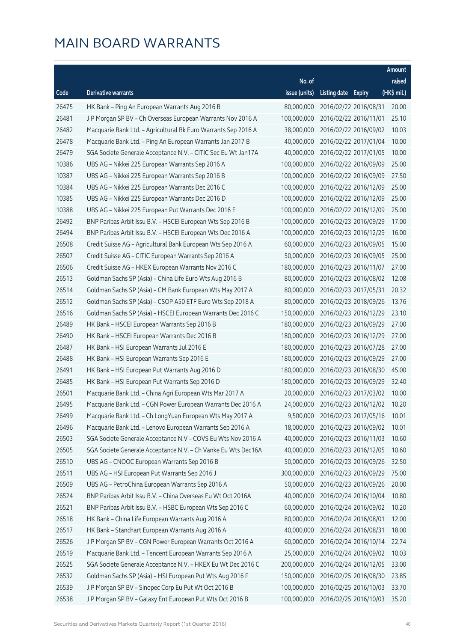|       |                                                                |               |                     |                       | Amount      |
|-------|----------------------------------------------------------------|---------------|---------------------|-----------------------|-------------|
|       |                                                                | No. of        |                     |                       | raised      |
| Code  | Derivative warrants                                            | issue (units) | Listing date Expiry |                       | (HK\$ mil.) |
| 26475 | HK Bank - Ping An European Warrants Aug 2016 B                 | 80,000,000    |                     | 2016/02/22 2016/08/31 | 20.00       |
| 26481 | J P Morgan SP BV - Ch Overseas European Warrants Nov 2016 A    | 100,000,000   |                     | 2016/02/22 2016/11/01 | 25.10       |
| 26482 | Macquarie Bank Ltd. - Agricultural Bk Euro Warrants Sep 2016 A | 38,000,000    |                     | 2016/02/22 2016/09/02 | 10.03       |
| 26478 | Macquarie Bank Ltd. - Ping An European Warrants Jan 2017 B     | 40,000,000    |                     | 2016/02/22 2017/01/04 | 10.00       |
| 26479 | SGA Societe Generale Acceptance N.V. - CITIC Sec Eu Wt Jan17A  | 40,000,000    |                     | 2016/02/22 2017/01/05 | 10.00       |
| 10386 | UBS AG - Nikkei 225 European Warrants Sep 2016 A               | 100,000,000   |                     | 2016/02/22 2016/09/09 | 25.00       |
| 10387 | UBS AG - Nikkei 225 European Warrants Sep 2016 B               | 100,000,000   |                     | 2016/02/22 2016/09/09 | 27.50       |
| 10384 | UBS AG - Nikkei 225 European Warrants Dec 2016 C               | 100,000,000   |                     | 2016/02/22 2016/12/09 | 25.00       |
| 10385 | UBS AG - Nikkei 225 European Warrants Dec 2016 D               | 100,000,000   |                     | 2016/02/22 2016/12/09 | 25.00       |
| 10388 | UBS AG - Nikkei 225 European Put Warrants Dec 2016 E           | 100,000,000   |                     | 2016/02/22 2016/12/09 | 25.00       |
| 26492 | BNP Paribas Arbit Issu B.V. - HSCEI European Wts Sep 2016 B    | 100,000,000   |                     | 2016/02/23 2016/09/29 | 17.00       |
| 26494 | BNP Paribas Arbit Issu B.V. - HSCEI European Wts Dec 2016 A    | 100,000,000   |                     | 2016/02/23 2016/12/29 | 16.00       |
| 26508 | Credit Suisse AG - Agricultural Bank European Wts Sep 2016 A   | 60,000,000    |                     | 2016/02/23 2016/09/05 | 15.00       |
| 26507 | Credit Suisse AG - CITIC European Warrants Sep 2016 A          | 50,000,000    |                     | 2016/02/23 2016/09/05 | 25.00       |
| 26506 | Credit Suisse AG - HKEX European Warrants Nov 2016 C           | 180,000,000   |                     | 2016/02/23 2016/11/07 | 27.00       |
| 26513 | Goldman Sachs SP (Asia) - China Life Euro Wts Aug 2016 B       | 80,000,000    |                     | 2016/02/23 2016/08/02 | 12.08       |
| 26514 | Goldman Sachs SP (Asia) - CM Bank European Wts May 2017 A      | 80,000,000    |                     | 2016/02/23 2017/05/31 | 20.32       |
| 26512 | Goldman Sachs SP (Asia) - CSOP A50 ETF Euro Wts Sep 2018 A     | 80,000,000    |                     | 2016/02/23 2018/09/26 | 13.76       |
| 26516 | Goldman Sachs SP (Asia) - HSCEI European Warrants Dec 2016 C   | 150,000,000   |                     | 2016/02/23 2016/12/29 | 23.10       |
| 26489 | HK Bank - HSCEI European Warrants Sep 2016 B                   | 180,000,000   |                     | 2016/02/23 2016/09/29 | 27.00       |
| 26490 | HK Bank - HSCEI European Warrants Dec 2016 B                   | 180,000,000   |                     | 2016/02/23 2016/12/29 | 27.00       |
| 26487 | HK Bank - HSI European Warrants Jul 2016 E                     | 180,000,000   |                     | 2016/02/23 2016/07/28 | 27.00       |
| 26488 | HK Bank - HSI European Warrants Sep 2016 E                     | 180,000,000   |                     | 2016/02/23 2016/09/29 | 27.00       |
| 26491 | HK Bank - HSI European Put Warrants Aug 2016 D                 | 180,000,000   |                     | 2016/02/23 2016/08/30 | 45.00       |
| 26485 | HK Bank - HSI European Put Warrants Sep 2016 D                 | 180,000,000   |                     | 2016/02/23 2016/09/29 | 32.40       |
| 26501 | Macquarie Bank Ltd. - China Agri European Wts Mar 2017 A       | 20,000,000    |                     | 2016/02/23 2017/03/02 | 10.00       |
| 26495 | Macquarie Bank Ltd. - CGN Power European Warrants Dec 2016 A   | 24,000,000    |                     | 2016/02/23 2016/12/02 | 10.20       |
| 26499 | Macquarie Bank Ltd. - Ch LongYuan European Wts May 2017 A      | 9,500,000     |                     | 2016/02/23 2017/05/16 | 10.01       |
| 26496 | Macquarie Bank Ltd. - Lenovo European Warrants Sep 2016 A      | 18,000,000    |                     | 2016/02/23 2016/09/02 | 10.01       |
| 26503 | SGA Societe Generale Acceptance N.V - COVS Eu Wts Nov 2016 A   | 40,000,000    |                     | 2016/02/23 2016/11/03 | 10.60       |
| 26505 | SGA Societe Generale Acceptance N.V. - Ch Vanke Eu Wts Dec16A  | 40,000,000    |                     | 2016/02/23 2016/12/05 | 10.60       |
| 26510 | UBS AG - CNOOC European Warrants Sep 2016 B                    | 50,000,000    |                     | 2016/02/23 2016/09/26 | 32.50       |
| 26511 | UBS AG - HSI European Put Warrants Sep 2016 J                  | 300,000,000   |                     | 2016/02/23 2016/09/29 | 75.00       |
| 26509 | UBS AG - PetroChina European Warrants Sep 2016 A               | 50,000,000    |                     | 2016/02/23 2016/09/26 | 20.00       |
| 26524 | BNP Paribas Arbit Issu B.V. - China Overseas Eu Wt Oct 2016A   | 40,000,000    |                     | 2016/02/24 2016/10/04 | 10.80       |
| 26521 | BNP Paribas Arbit Issu B.V. - HSBC European Wts Sep 2016 C     | 60,000,000    |                     | 2016/02/24 2016/09/02 | 10.20       |
| 26518 | HK Bank - China Life European Warrants Aug 2016 A              | 80,000,000    |                     | 2016/02/24 2016/08/01 | 12.00       |
| 26517 | HK Bank - Stanchart European Warrants Aug 2016 A               | 40,000,000    |                     | 2016/02/24 2016/08/31 | 18.00       |
| 26526 | J P Morgan SP BV - CGN Power European Warrants Oct 2016 A      | 60,000,000    |                     | 2016/02/24 2016/10/14 | 22.74       |
| 26519 | Macquarie Bank Ltd. - Tencent European Warrants Sep 2016 A     | 25,000,000    |                     | 2016/02/24 2016/09/02 | 10.03       |
| 26525 | SGA Societe Generale Acceptance N.V. - HKEX Eu Wt Dec 2016 C   | 200,000,000   |                     | 2016/02/24 2016/12/05 | 33.00       |
| 26532 | Goldman Sachs SP (Asia) - HSI European Put Wts Aug 2016 F      | 150,000,000   |                     | 2016/02/25 2016/08/30 | 23.85       |
| 26539 | JP Morgan SP BV - Sinopec Corp Eu Put Wt Oct 2016 B            | 100,000,000   |                     | 2016/02/25 2016/10/03 | 33.70       |
| 26538 | J P Morgan SP BV - Galaxy Ent European Put Wts Oct 2016 B      | 100,000,000   |                     | 2016/02/25 2016/10/03 | 35.20       |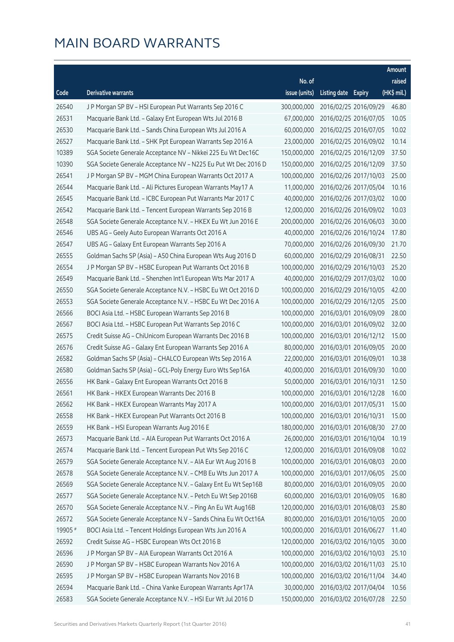|         |                                                                |               |                     |                       | Amount      |
|---------|----------------------------------------------------------------|---------------|---------------------|-----------------------|-------------|
|         |                                                                | No. of        |                     |                       | raised      |
| Code    | <b>Derivative warrants</b>                                     | issue (units) | Listing date Expiry |                       | (HK\$ mil.) |
| 26540   | J P Morgan SP BV - HSI European Put Warrants Sep 2016 C        | 300,000,000   |                     | 2016/02/25 2016/09/29 | 46.80       |
| 26531   | Macquarie Bank Ltd. - Galaxy Ent European Wts Jul 2016 B       | 67,000,000    |                     | 2016/02/25 2016/07/05 | 10.05       |
| 26530   | Macquarie Bank Ltd. - Sands China European Wts Jul 2016 A      | 60,000,000    |                     | 2016/02/25 2016/07/05 | 10.02       |
| 26527   | Macquarie Bank Ltd. - SHK Ppt European Warrants Sep 2016 A     | 23,000,000    |                     | 2016/02/25 2016/09/02 | 10.14       |
| 10389   | SGA Societe Generale Acceptance NV - Nikkei 225 Eu Wt Dec16C   | 150,000,000   |                     | 2016/02/25 2016/12/09 | 37.50       |
| 10390   | SGA Societe Generale Acceptance NV - N225 Eu Put Wt Dec 2016 D | 150,000,000   |                     | 2016/02/25 2016/12/09 | 37.50       |
| 26541   | J P Morgan SP BV - MGM China European Warrants Oct 2017 A      | 100,000,000   |                     | 2016/02/26 2017/10/03 | 25.00       |
| 26544   | Macquarie Bank Ltd. - Ali Pictures European Warrants May17 A   | 11,000,000    |                     | 2016/02/26 2017/05/04 | 10.16       |
| 26545   | Macquarie Bank Ltd. - ICBC European Put Warrants Mar 2017 C    | 40,000,000    |                     | 2016/02/26 2017/03/02 | 10.00       |
| 26542   | Macquarie Bank Ltd. - Tencent European Warrants Sep 2016 B     | 12,000,000    |                     | 2016/02/26 2016/09/02 | 10.03       |
| 26548   | SGA Societe Generale Acceptance N.V. - HKEX Eu Wt Jun 2016 E   | 200,000,000   |                     | 2016/02/26 2016/06/03 | 30.00       |
| 26546   | UBS AG - Geely Auto European Warrants Oct 2016 A               | 40,000,000    |                     | 2016/02/26 2016/10/24 | 17.80       |
| 26547   | UBS AG - Galaxy Ent European Warrants Sep 2016 A               | 70,000,000    |                     | 2016/02/26 2016/09/30 | 21.70       |
| 26555   | Goldman Sachs SP (Asia) - A50 China European Wts Aug 2016 D    | 60,000,000    |                     | 2016/02/29 2016/08/31 | 22.50       |
| 26554   | J P Morgan SP BV - HSBC European Put Warrants Oct 2016 B       | 100,000,000   |                     | 2016/02/29 2016/10/03 | 25.20       |
| 26549   | Macquarie Bank Ltd. - Shenzhen Int'l European Wts Mar 2017 A   | 40,000,000    |                     | 2016/02/29 2017/03/02 | 10.00       |
| 26550   | SGA Societe Generale Acceptance N.V. - HSBC Eu Wt Oct 2016 D   | 100,000,000   |                     | 2016/02/29 2016/10/05 | 42.00       |
| 26553   | SGA Societe Generale Acceptance N.V. - HSBC Eu Wt Dec 2016 A   | 100,000,000   |                     | 2016/02/29 2016/12/05 | 25.00       |
| 26566   | BOCI Asia Ltd. - HSBC European Warrants Sep 2016 B             | 100,000,000   |                     | 2016/03/01 2016/09/09 | 28.00       |
| 26567   | BOCI Asia Ltd. - HSBC European Put Warrants Sep 2016 C         | 100,000,000   |                     | 2016/03/01 2016/09/02 | 32.00       |
| 26575   | Credit Suisse AG - ChiUnicom European Warrants Dec 2016 B      | 100,000,000   |                     | 2016/03/01 2016/12/12 | 15.00       |
| 26576   | Credit Suisse AG - Galaxy Ent European Warrants Sep 2016 A     | 80,000,000    |                     | 2016/03/01 2016/09/05 | 20.00       |
| 26582   | Goldman Sachs SP (Asia) – CHALCO European Wts Sep 2016 A       | 22,000,000    |                     | 2016/03/01 2016/09/01 | 10.38       |
| 26580   | Goldman Sachs SP (Asia) – GCL-Poly Energy Euro Wts Sep16A      | 40,000,000    |                     | 2016/03/01 2016/09/30 | 10.00       |
| 26556   | HK Bank - Galaxy Ent European Warrants Oct 2016 B              | 50,000,000    |                     | 2016/03/01 2016/10/31 | 12.50       |
| 26561   | HK Bank - HKEX European Warrants Dec 2016 B                    | 100,000,000   |                     | 2016/03/01 2016/12/28 | 16.00       |
| 26562   | HK Bank - HKEX European Warrants May 2017 A                    | 100,000,000   |                     | 2016/03/01 2017/05/31 | 15.00       |
| 26558   | HK Bank - HKEX European Put Warrants Oct 2016 B                | 100,000,000   |                     | 2016/03/01 2016/10/31 | 15.00       |
| 26559   | HK Bank - HSI European Warrants Aug 2016 E                     | 180,000,000   |                     | 2016/03/01 2016/08/30 | 27.00       |
| 26573   | Macquarie Bank Ltd. - AIA European Put Warrants Oct 2016 A     | 26,000,000    |                     | 2016/03/01 2016/10/04 | 10.19       |
| 26574   | Macquarie Bank Ltd. - Tencent European Put Wts Sep 2016 C      | 12,000,000    |                     | 2016/03/01 2016/09/08 | 10.02       |
| 26579   | SGA Societe Generale Acceptance N.V. - AIA Eur Wt Aug 2016 B   | 100,000,000   |                     | 2016/03/01 2016/08/03 | 20.00       |
| 26578   | SGA Societe Generale Acceptance N.V. - CMB Eu Wts Jun 2017 A   | 100,000,000   |                     | 2016/03/01 2017/06/05 | 25.00       |
| 26569   | SGA Societe Generale Acceptance N.V. - Galaxy Ent Eu Wt Sep16B | 80,000,000    |                     | 2016/03/01 2016/09/05 | 20.00       |
| 26577   | SGA Societe Generale Acceptance N.V. - Petch Eu Wt Sep 2016B   | 60,000,000    |                     | 2016/03/01 2016/09/05 | 16.80       |
| 26570   | SGA Societe Generale Acceptance N.V. - Ping An Eu Wt Aug16B    | 120,000,000   |                     | 2016/03/01 2016/08/03 | 25.80       |
| 26572   | SGA Societe Generale Acceptance N.V - Sands China Eu Wt Oct16A | 80,000,000    |                     | 2016/03/01 2016/10/05 | 20.00       |
| 19905 # | BOCI Asia Ltd. - Tencent Holdings European Wts Jun 2016 A      | 100,000,000   |                     | 2016/03/01 2016/06/27 | 11.40       |
| 26592   | Credit Suisse AG - HSBC European Wts Oct 2016 B                | 120,000,000   |                     | 2016/03/02 2016/10/05 | 30.00       |
| 26596   | J P Morgan SP BV - AIA European Warrants Oct 2016 A            | 100,000,000   |                     | 2016/03/02 2016/10/03 | 25.10       |
| 26590   | J P Morgan SP BV - HSBC European Warrants Nov 2016 A           | 100,000,000   |                     | 2016/03/02 2016/11/03 | 25.10       |
| 26595   | J P Morgan SP BV - HSBC European Warrants Nov 2016 B           | 100,000,000   |                     | 2016/03/02 2016/11/04 | 34.40       |
| 26594   | Macquarie Bank Ltd. - China Vanke European Warrants Apr17A     | 30,000,000    |                     | 2016/03/02 2017/04/04 | 10.56       |
| 26583   | SGA Societe Generale Acceptance N.V. - HSI Eur Wt Jul 2016 D   | 150,000,000   |                     | 2016/03/02 2016/07/28 | 22.50       |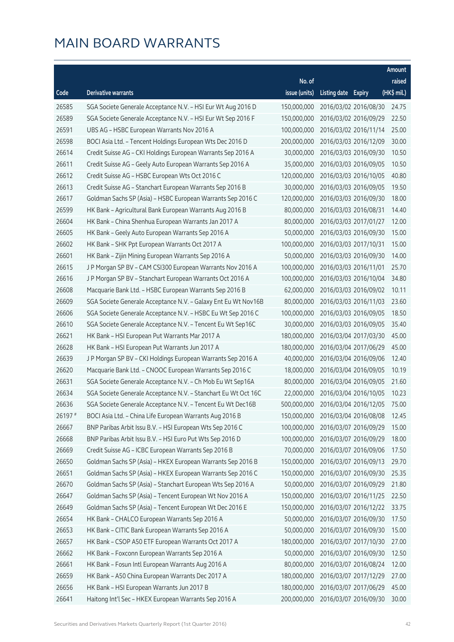|         |                                                                |               |                     |                       | Amount      |
|---------|----------------------------------------------------------------|---------------|---------------------|-----------------------|-------------|
|         |                                                                | No. of        |                     |                       | raised      |
| Code    | <b>Derivative warrants</b>                                     | issue (units) | Listing date Expiry |                       | (HK\$ mil.) |
| 26585   | SGA Societe Generale Acceptance N.V. - HSI Eur Wt Aug 2016 D   | 150,000,000   |                     | 2016/03/02 2016/08/30 | 24.75       |
| 26589   | SGA Societe Generale Acceptance N.V. - HSI Eur Wt Sep 2016 F   | 150,000,000   |                     | 2016/03/02 2016/09/29 | 22.50       |
| 26591   | UBS AG - HSBC European Warrants Nov 2016 A                     | 100,000,000   |                     | 2016/03/02 2016/11/14 | 25.00       |
| 26598   | BOCI Asia Ltd. - Tencent Holdings European Wts Dec 2016 D      | 200,000,000   |                     | 2016/03/03 2016/12/09 | 30.00       |
| 26614   | Credit Suisse AG - CKI Holdings European Warrants Sep 2016 A   | 30,000,000    |                     | 2016/03/03 2016/09/30 | 10.50       |
| 26611   | Credit Suisse AG - Geely Auto European Warrants Sep 2016 A     | 35,000,000    |                     | 2016/03/03 2016/09/05 | 10.50       |
| 26612   | Credit Suisse AG - HSBC European Wts Oct 2016 C                | 120,000,000   |                     | 2016/03/03 2016/10/05 | 40.80       |
| 26613   | Credit Suisse AG - Stanchart European Warrants Sep 2016 B      | 30,000,000    |                     | 2016/03/03 2016/09/05 | 19.50       |
| 26617   | Goldman Sachs SP (Asia) - HSBC European Warrants Sep 2016 C    | 120,000,000   |                     | 2016/03/03 2016/09/30 | 18.00       |
| 26599   | HK Bank - Agricultural Bank European Warrants Aug 2016 B       | 80,000,000    |                     | 2016/03/03 2016/08/31 | 14.40       |
| 26604   | HK Bank - China Shenhua European Warrants Jan 2017 A           | 80,000,000    |                     | 2016/03/03 2017/01/27 | 12.00       |
| 26605   | HK Bank - Geely Auto European Warrants Sep 2016 A              | 50,000,000    |                     | 2016/03/03 2016/09/30 | 15.00       |
| 26602   | HK Bank - SHK Ppt European Warrants Oct 2017 A                 | 100,000,000   |                     | 2016/03/03 2017/10/31 | 15.00       |
| 26601   | HK Bank - Zijin Mining European Warrants Sep 2016 A            | 50,000,000    |                     | 2016/03/03 2016/09/30 | 14.00       |
| 26615   | J P Morgan SP BV - CAM CSI300 European Warrants Nov 2016 A     | 100,000,000   |                     | 2016/03/03 2016/11/01 | 25.70       |
| 26616   | J P Morgan SP BV - Stanchart European Warrants Oct 2016 A      | 100,000,000   |                     | 2016/03/03 2016/10/04 | 34.80       |
| 26608   | Macquarie Bank Ltd. - HSBC European Warrants Sep 2016 B        | 62,000,000    |                     | 2016/03/03 2016/09/02 | 10.11       |
| 26609   | SGA Societe Generale Acceptance N.V. - Galaxy Ent Eu Wt Nov16B | 80,000,000    |                     | 2016/03/03 2016/11/03 | 23.60       |
| 26606   | SGA Societe Generale Acceptance N.V. - HSBC Eu Wt Sep 2016 C   | 100,000,000   |                     | 2016/03/03 2016/09/05 | 18.50       |
| 26610   | SGA Societe Generale Acceptance N.V. - Tencent Eu Wt Sep16C    | 30,000,000    |                     | 2016/03/03 2016/09/05 | 35.40       |
| 26621   | HK Bank - HSI European Put Warrants Mar 2017 A                 | 180,000,000   |                     | 2016/03/04 2017/03/30 | 45.00       |
| 26628   | HK Bank - HSI European Put Warrants Jun 2017 A                 | 180,000,000   |                     | 2016/03/04 2017/06/29 | 45.00       |
| 26639   | J P Morgan SP BV - CKI Holdings European Warrants Sep 2016 A   | 40,000,000    |                     | 2016/03/04 2016/09/06 | 12.40       |
| 26620   | Macquarie Bank Ltd. - CNOOC European Warrants Sep 2016 C       | 18,000,000    |                     | 2016/03/04 2016/09/05 | 10.19       |
| 26631   | SGA Societe Generale Acceptance N.V. - Ch Mob Eu Wt Sep16A     | 80,000,000    |                     | 2016/03/04 2016/09/05 | 21.60       |
| 26634   | SGA Societe Generale Acceptance N.V. - Stanchart Eu Wt Oct 16C | 22,000,000    |                     | 2016/03/04 2016/10/05 | 10.23       |
| 26636   | SGA Societe Generale Acceptance N.V. - Tencent Eu Wt Dec16B    | 500.000.000   |                     | 2016/03/04 2016/12/05 | 75.00       |
| 26197 # | BOCI Asia Ltd. - China Life European Warrants Aug 2016 B       | 150,000,000   |                     | 2016/03/04 2016/08/08 | 12.45       |
| 26667   | BNP Paribas Arbit Issu B.V. - HSI European Wts Sep 2016 C      | 100,000,000   |                     | 2016/03/07 2016/09/29 | 15.00       |
| 26668   | BNP Paribas Arbit Issu B.V. - HSI Euro Put Wts Sep 2016 D      | 100,000,000   |                     | 2016/03/07 2016/09/29 | 18.00       |
| 26669   | Credit Suisse AG - ICBC European Warrants Sep 2016 B           | 70,000,000    |                     | 2016/03/07 2016/09/06 | 17.50       |
| 26650   | Goldman Sachs SP (Asia) - HKEX European Warrants Sep 2016 B    | 150,000,000   |                     | 2016/03/07 2016/09/13 | 29.70       |
| 26651   | Goldman Sachs SP (Asia) - HKEX European Warrants Sep 2016 C    | 150,000,000   |                     | 2016/03/07 2016/09/30 | 25.35       |
| 26670   | Goldman Sachs SP (Asia) - Stanchart European Wts Sep 2016 A    | 50,000,000    |                     | 2016/03/07 2016/09/29 | 21.80       |
| 26647   | Goldman Sachs SP (Asia) - Tencent European Wt Nov 2016 A       | 150,000,000   |                     | 2016/03/07 2016/11/25 | 22.50       |
| 26649   | Goldman Sachs SP (Asia) - Tencent European Wt Dec 2016 E       | 150,000,000   |                     | 2016/03/07 2016/12/22 | 33.75       |
| 26654   | HK Bank - CHALCO European Warrants Sep 2016 A                  | 50,000,000    |                     | 2016/03/07 2016/09/30 | 17.50       |
| 26653   | HK Bank - CITIC Bank European Warrants Sep 2016 A              | 50,000,000    |                     | 2016/03/07 2016/09/30 | 15.00       |
| 26657   | HK Bank - CSOP A50 ETF European Warrants Oct 2017 A            | 180,000,000   |                     | 2016/03/07 2017/10/30 | 27.00       |
| 26662   | HK Bank - Foxconn European Warrants Sep 2016 A                 | 50,000,000    |                     | 2016/03/07 2016/09/30 | 12.50       |
| 26661   | HK Bank - Fosun Intl European Warrants Aug 2016 A              | 80,000,000    |                     | 2016/03/07 2016/08/24 | 12.00       |
| 26659   | HK Bank - A50 China European Warrants Dec 2017 A               | 180,000,000   |                     | 2016/03/07 2017/12/29 | 27.00       |
| 26656   | HK Bank - HSI European Warrants Jun 2017 B                     | 180,000,000   |                     | 2016/03/07 2017/06/29 | 45.00       |
| 26641   | Haitong Int'l Sec - HKEX European Warrants Sep 2016 A          | 200,000,000   |                     | 2016/03/07 2016/09/30 | 30.00       |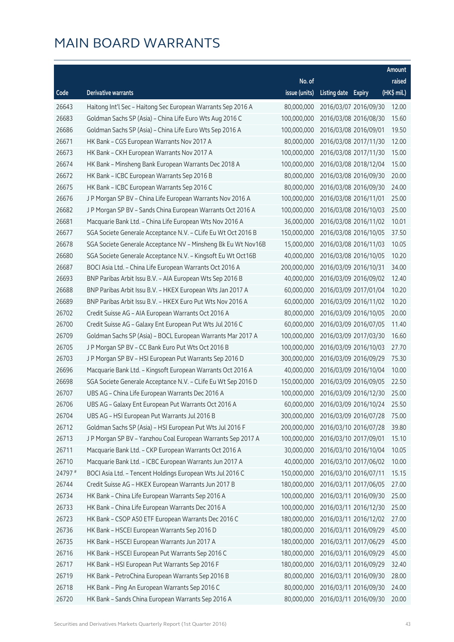|         |                                                               |               |                     |                       | Amount      |
|---------|---------------------------------------------------------------|---------------|---------------------|-----------------------|-------------|
|         |                                                               | No. of        |                     |                       | raised      |
| Code    | <b>Derivative warrants</b>                                    | issue (units) | Listing date Expiry |                       | (HK\$ mil.) |
| 26643   | Haitong Int'l Sec - Haitong Sec European Warrants Sep 2016 A  | 80,000,000    |                     | 2016/03/07 2016/09/30 | 12.00       |
| 26683   | Goldman Sachs SP (Asia) - China Life Euro Wts Aug 2016 C      | 100,000,000   |                     | 2016/03/08 2016/08/30 | 15.60       |
| 26686   | Goldman Sachs SP (Asia) - China Life Euro Wts Sep 2016 A      | 100,000,000   |                     | 2016/03/08 2016/09/01 | 19.50       |
| 26671   | HK Bank - CGS European Warrants Nov 2017 A                    | 80,000,000    |                     | 2016/03/08 2017/11/30 | 12.00       |
| 26673   | HK Bank - CKH European Warrants Nov 2017 A                    | 100,000,000   |                     | 2016/03/08 2017/11/30 | 15.00       |
| 26674   | HK Bank - Minsheng Bank European Warrants Dec 2018 A          | 100,000,000   |                     | 2016/03/08 2018/12/04 | 15.00       |
| 26672   | HK Bank - ICBC European Warrants Sep 2016 B                   | 80,000,000    |                     | 2016/03/08 2016/09/30 | 20.00       |
| 26675   | HK Bank - ICBC European Warrants Sep 2016 C                   | 80,000,000    |                     | 2016/03/08 2016/09/30 | 24.00       |
| 26676   | J P Morgan SP BV - China Life European Warrants Nov 2016 A    | 100,000,000   |                     | 2016/03/08 2016/11/01 | 25.00       |
| 26682   | J P Morgan SP BV - Sands China European Warrants Oct 2016 A   | 100,000,000   |                     | 2016/03/08 2016/10/03 | 25.00       |
| 26681   | Macquarie Bank Ltd. - China Life European Wts Nov 2016 A      | 36,000,000    |                     | 2016/03/08 2016/11/02 | 10.01       |
| 26677   | SGA Societe Generale Acceptance N.V. - CLife Eu Wt Oct 2016 B | 150,000,000   |                     | 2016/03/08 2016/10/05 | 37.50       |
| 26678   | SGA Societe Generale Acceptance NV - Minsheng Bk Eu Wt Nov16B | 15,000,000    |                     | 2016/03/08 2016/11/03 | 10.05       |
| 26680   | SGA Societe Generale Acceptance N.V. - Kingsoft Eu Wt Oct16B  | 40,000,000    |                     | 2016/03/08 2016/10/05 | 10.20       |
| 26687   | BOCI Asia Ltd. - China Life European Warrants Oct 2016 A      | 200,000,000   |                     | 2016/03/09 2016/10/31 | 34.00       |
| 26693   | BNP Paribas Arbit Issu B.V. - AIA European Wts Sep 2016 B     | 40,000,000    |                     | 2016/03/09 2016/09/02 | 12.40       |
| 26688   | BNP Paribas Arbit Issu B.V. - HKEX European Wts Jan 2017 A    | 60,000,000    |                     | 2016/03/09 2017/01/04 | 10.20       |
| 26689   | BNP Paribas Arbit Issu B.V. - HKEX Euro Put Wts Nov 2016 A    | 60,000,000    |                     | 2016/03/09 2016/11/02 | 10.20       |
| 26702   | Credit Suisse AG - AIA European Warrants Oct 2016 A           | 80,000,000    |                     | 2016/03/09 2016/10/05 | 20.00       |
| 26700   | Credit Suisse AG - Galaxy Ent European Put Wts Jul 2016 C     | 60,000,000    |                     | 2016/03/09 2016/07/05 | 11.40       |
| 26709   | Goldman Sachs SP (Asia) - BOCL European Warrants Mar 2017 A   | 100,000,000   |                     | 2016/03/09 2017/03/30 | 16.60       |
| 26705   | J P Morgan SP BV - CC Bank Euro Put Wts Oct 2016 B            | 100,000,000   |                     | 2016/03/09 2016/10/03 | 27.70       |
| 26703   | J P Morgan SP BV - HSI European Put Warrants Sep 2016 D       | 300,000,000   |                     | 2016/03/09 2016/09/29 | 75.30       |
| 26696   | Macquarie Bank Ltd. - Kingsoft European Warrants Oct 2016 A   | 40,000,000    |                     | 2016/03/09 2016/10/04 | 10.00       |
| 26698   | SGA Societe Generale Acceptance N.V. - CLife Eu Wt Sep 2016 D | 150,000,000   |                     | 2016/03/09 2016/09/05 | 22.50       |
| 26707   | UBS AG - China Life European Warrants Dec 2016 A              | 100,000,000   |                     | 2016/03/09 2016/12/30 | 25.00       |
| 26706   | UBS AG – Galaxy Ent European Put Warrants Oct 2016 A          | 60,000,000    |                     | 2016/03/09 2016/10/24 | 25.50       |
| 26704   | UBS AG - HSI European Put Warrants Jul 2016 B                 | 300,000,000   |                     | 2016/03/09 2016/07/28 | 75.00       |
| 26712   | Goldman Sachs SP (Asia) - HSI European Put Wts Jul 2016 F     | 200,000,000   |                     | 2016/03/10 2016/07/28 | 39.80       |
| 26713   | J P Morgan SP BV - Yanzhou Coal European Warrants Sep 2017 A  | 100,000,000   |                     | 2016/03/10 2017/09/01 | 15.10       |
| 26711   | Macquarie Bank Ltd. - CKP European Warrants Oct 2016 A        | 30,000,000    |                     | 2016/03/10 2016/10/04 | 10.05       |
| 26710   | Macquarie Bank Ltd. - ICBC European Warrants Jun 2017 A       | 40,000,000    |                     | 2016/03/10 2017/06/02 | 10.00       |
| 24797 # | BOCI Asia Ltd. - Tencent Holdings European Wts Jul 2016 C     | 150,000,000   |                     | 2016/03/10 2016/07/11 | 15.15       |
| 26744   | Credit Suisse AG - HKEX European Warrants Jun 2017 B          | 180,000,000   |                     | 2016/03/11 2017/06/05 | 27.00       |
| 26734   | HK Bank - China Life European Warrants Sep 2016 A             | 100,000,000   |                     | 2016/03/11 2016/09/30 | 25.00       |
| 26733   | HK Bank - China Life European Warrants Dec 2016 A             | 100,000,000   |                     | 2016/03/11 2016/12/30 | 25.00       |
| 26723   | HK Bank - CSOP A50 ETF European Warrants Dec 2016 C           | 180,000,000   |                     | 2016/03/11 2016/12/02 | 27.00       |
| 26736   | HK Bank - HSCEI European Warrants Sep 2016 D                  | 180,000,000   |                     | 2016/03/11 2016/09/29 | 45.00       |
| 26735   | HK Bank - HSCEI European Warrants Jun 2017 A                  | 180,000,000   |                     | 2016/03/11 2017/06/29 | 45.00       |
| 26716   | HK Bank - HSCEI European Put Warrants Sep 2016 C              | 180,000,000   |                     | 2016/03/11 2016/09/29 | 45.00       |
| 26717   | HK Bank - HSI European Put Warrants Sep 2016 F                | 180,000,000   |                     | 2016/03/11 2016/09/29 | 32.40       |
| 26719   | HK Bank - PetroChina European Warrants Sep 2016 B             | 80,000,000    |                     | 2016/03/11 2016/09/30 | 28.00       |
| 26718   | HK Bank - Ping An European Warrants Sep 2016 C                | 80,000,000    |                     | 2016/03/11 2016/09/30 | 24.00       |
| 26720   | HK Bank - Sands China European Warrants Sep 2016 A            | 80,000,000    |                     | 2016/03/11 2016/09/30 | 20.00       |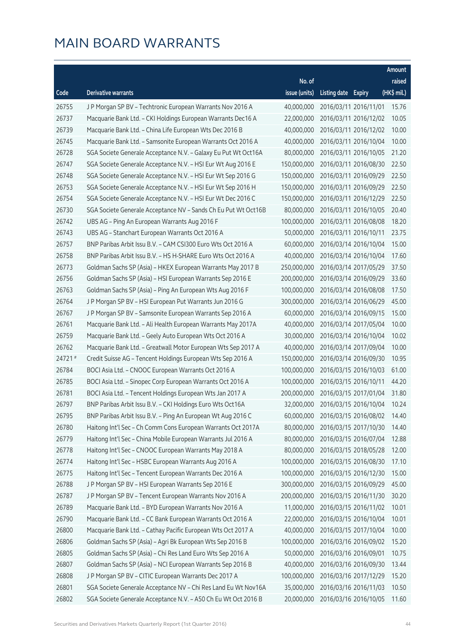|        |                                                                |               |                     |                       | Amount      |
|--------|----------------------------------------------------------------|---------------|---------------------|-----------------------|-------------|
|        |                                                                | No. of        |                     |                       | raised      |
| Code   | <b>Derivative warrants</b>                                     | issue (units) | Listing date Expiry |                       | (HK\$ mil.) |
| 26755  | J P Morgan SP BV - Techtronic European Warrants Nov 2016 A     | 40,000,000    |                     | 2016/03/11 2016/11/01 | 15.76       |
| 26737  | Macquarie Bank Ltd. - CKI Holdings European Warrants Dec16 A   | 22,000,000    |                     | 2016/03/11 2016/12/02 | 10.05       |
| 26739  | Macquarie Bank Ltd. - China Life European Wts Dec 2016 B       | 40,000,000    |                     | 2016/03/11 2016/12/02 | 10.00       |
| 26745  | Macquarie Bank Ltd. - Samsonite European Warrants Oct 2016 A   | 40,000,000    |                     | 2016/03/11 2016/10/04 | 10.00       |
| 26728  | SGA Societe Generale Acceptance N.V. - Galaxy Eu Put Wt Oct16A | 80,000,000    |                     | 2016/03/11 2016/10/05 | 21.20       |
| 26747  | SGA Societe Generale Acceptance N.V. - HSI Eur Wt Aug 2016 E   | 150,000,000   |                     | 2016/03/11 2016/08/30 | 22.50       |
| 26748  | SGA Societe Generale Acceptance N.V. - HSI Eur Wt Sep 2016 G   | 150,000,000   |                     | 2016/03/11 2016/09/29 | 22.50       |
| 26753  | SGA Societe Generale Acceptance N.V. - HSI Eur Wt Sep 2016 H   | 150,000,000   |                     | 2016/03/11 2016/09/29 | 22.50       |
| 26754  | SGA Societe Generale Acceptance N.V. - HSI Eur Wt Dec 2016 C   | 150,000,000   |                     | 2016/03/11 2016/12/29 | 22.50       |
| 26730  | SGA Societe Generale Acceptance NV - Sands Ch Eu Put Wt Oct16B | 80,000,000    |                     | 2016/03/11 2016/10/05 | 20.40       |
| 26742  | UBS AG - Ping An European Warrants Aug 2016 F                  | 100,000,000   |                     | 2016/03/11 2016/08/08 | 18.20       |
| 26743  | UBS AG - Stanchart European Warrants Oct 2016 A                | 50,000,000    |                     | 2016/03/11 2016/10/11 | 23.75       |
| 26757  | BNP Paribas Arbit Issu B.V. - CAM CSI300 Euro Wts Oct 2016 A   | 60,000,000    |                     | 2016/03/14 2016/10/04 | 15.00       |
| 26758  | BNP Paribas Arbit Issu B.V. - HS H-SHARE Euro Wts Oct 2016 A   | 40,000,000    |                     | 2016/03/14 2016/10/04 | 17.60       |
| 26773  | Goldman Sachs SP (Asia) - HKEX European Warrants May 2017 B    | 250,000,000   |                     | 2016/03/14 2017/05/29 | 37.50       |
| 26756  | Goldman Sachs SP (Asia) - HSI European Warrants Sep 2016 E     | 200,000,000   |                     | 2016/03/14 2016/09/29 | 33.60       |
| 26763  | Goldman Sachs SP (Asia) - Ping An European Wts Aug 2016 F      | 100,000,000   |                     | 2016/03/14 2016/08/08 | 17.50       |
| 26764  | J P Morgan SP BV - HSI European Put Warrants Jun 2016 G        | 300,000,000   |                     | 2016/03/14 2016/06/29 | 45.00       |
| 26767  | J P Morgan SP BV - Samsonite European Warrants Sep 2016 A      | 60,000,000    |                     | 2016/03/14 2016/09/15 | 15.00       |
| 26761  | Macquarie Bank Ltd. - Ali Health European Warrants May 2017A   | 40,000,000    |                     | 2016/03/14 2017/05/04 | 10.00       |
| 26759  | Macquarie Bank Ltd. - Geely Auto European Wts Oct 2016 A       | 30,000,000    |                     | 2016/03/14 2016/10/04 | 10.02       |
| 26762  | Macquarie Bank Ltd. - Greatwall Motor European Wts Sep 2017 A  | 40,000,000    |                     | 2016/03/14 2017/09/04 | 10.00       |
| 24721# | Credit Suisse AG - Tencent Holdings European Wts Sep 2016 A    | 150,000,000   |                     | 2016/03/14 2016/09/30 | 10.95       |
| 26784  | BOCI Asia Ltd. - CNOOC European Warrants Oct 2016 A            | 100,000,000   |                     | 2016/03/15 2016/10/03 | 61.00       |
| 26785  | BOCI Asia Ltd. - Sinopec Corp European Warrants Oct 2016 A     | 100,000,000   |                     | 2016/03/15 2016/10/11 | 44.20       |
| 26781  | BOCI Asia Ltd. - Tencent Holdings European Wts Jan 2017 A      | 200,000,000   |                     | 2016/03/15 2017/01/04 | 31.80       |
| 26797  | BNP Paribas Arbit Issu B.V. - CKI Holdings Euro Wts Oct16A     | 32,000,000    |                     | 2016/03/15 2016/10/04 | 10.24       |
| 26795  | BNP Paribas Arbit Issu B.V. - Ping An European Wt Aug 2016 C   | 60,000,000    |                     | 2016/03/15 2016/08/02 | 14.40       |
| 26780  | Haitong Int'l Sec - Ch Comm Cons European Warrants Oct 2017A   | 80,000,000    |                     | 2016/03/15 2017/10/30 | 14.40       |
| 26779  | Haitong Int'l Sec - China Mobile European Warrants Jul 2016 A  | 80,000,000    |                     | 2016/03/15 2016/07/04 | 12.88       |
| 26778  | Haitong Int'l Sec - CNOOC European Warrants May 2018 A         | 80,000,000    |                     | 2016/03/15 2018/05/28 | 12.00       |
| 26774  | Haitong Int'l Sec - HSBC European Warrants Aug 2016 A          | 100,000,000   |                     | 2016/03/15 2016/08/30 | 17.10       |
| 26775  | Haitong Int'l Sec - Tencent European Warrants Dec 2016 A       | 100,000,000   |                     | 2016/03/15 2016/12/30 | 15.00       |
| 26788  | J P Morgan SP BV - HSI European Warrants Sep 2016 E            | 300,000,000   |                     | 2016/03/15 2016/09/29 | 45.00       |
| 26787  | J P Morgan SP BV - Tencent European Warrants Nov 2016 A        | 200,000,000   |                     | 2016/03/15 2016/11/30 | 30.20       |
| 26789  | Macquarie Bank Ltd. - BYD European Warrants Nov 2016 A         | 11,000,000    |                     | 2016/03/15 2016/11/02 | 10.01       |
| 26790  | Macquarie Bank Ltd. - CC Bank European Warrants Oct 2016 A     | 22,000,000    |                     | 2016/03/15 2016/10/04 | 10.01       |
| 26800  | Macquarie Bank Ltd. - Cathay Pacific European Wts Oct 2017 A   | 40,000,000    |                     | 2016/03/15 2017/10/04 | 10.00       |
| 26806  | Goldman Sachs SP (Asia) - Agri Bk European Wts Sep 2016 B      | 100,000,000   |                     | 2016/03/16 2016/09/02 | 15.20       |
| 26805  | Goldman Sachs SP (Asia) - Chi Res Land Euro Wts Sep 2016 A     | 50,000,000    |                     | 2016/03/16 2016/09/01 | 10.75       |
| 26807  | Goldman Sachs SP (Asia) - NCI European Warrants Sep 2016 B     | 40,000,000    |                     | 2016/03/16 2016/09/30 | 13.44       |
| 26808  | J P Morgan SP BV - CITIC European Warrants Dec 2017 A          | 100,000,000   |                     | 2016/03/16 2017/12/29 | 15.20       |
| 26801  | SGA Societe Generale Acceptance NV - Chi Res Land Eu Wt Nov16A | 35,000,000    |                     | 2016/03/16 2016/11/03 | 10.50       |
| 26802  | SGA Societe Generale Acceptance N.V. - A50 Ch Eu Wt Oct 2016 B | 20,000,000    |                     | 2016/03/16 2016/10/05 | 11.60       |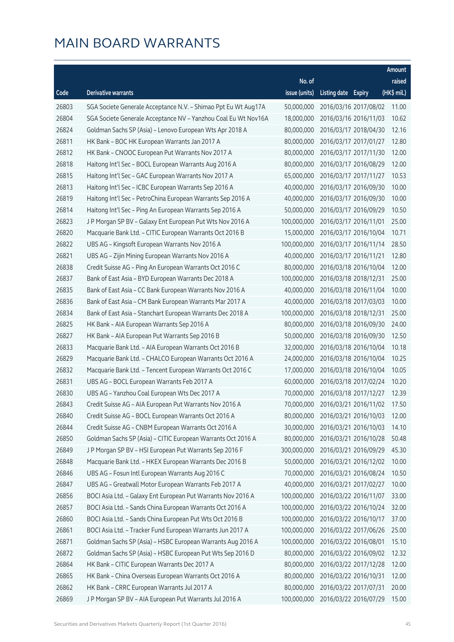|       |                                                                |               |                       |                       | Amount      |
|-------|----------------------------------------------------------------|---------------|-----------------------|-----------------------|-------------|
|       |                                                                | No. of        |                       |                       | raised      |
| Code  | <b>Derivative warrants</b>                                     | issue (units) | Listing date Expiry   |                       | (HK\$ mil.) |
| 26803 | SGA Societe Generale Acceptance N.V. - Shimao Ppt Eu Wt Aug17A | 50,000,000    |                       | 2016/03/16 2017/08/02 | 11.00       |
| 26804 | SGA Societe Generale Acceptance NV - Yanzhou Coal Eu Wt Nov16A | 18,000,000    |                       | 2016/03/16 2016/11/03 | 10.62       |
| 26824 | Goldman Sachs SP (Asia) - Lenovo European Wts Apr 2018 A       | 80,000,000    |                       | 2016/03/17 2018/04/30 | 12.16       |
| 26811 | HK Bank - BOC HK European Warrants Jan 2017 A                  | 80,000,000    |                       | 2016/03/17 2017/01/27 | 12.80       |
| 26812 | HK Bank - CNOOC European Put Warrants Nov 2017 A               | 80,000,000    |                       | 2016/03/17 2017/11/30 | 12.00       |
| 26818 | Haitong Int'l Sec - BOCL European Warrants Aug 2016 A          | 80,000,000    |                       | 2016/03/17 2016/08/29 | 12.00       |
| 26815 | Haitong Int'l Sec - GAC European Warrants Nov 2017 A           | 65,000,000    |                       | 2016/03/17 2017/11/27 | 10.53       |
| 26813 | Haitong Int'l Sec - ICBC European Warrants Sep 2016 A          | 40,000,000    |                       | 2016/03/17 2016/09/30 | 10.00       |
| 26819 | Haitong Int'l Sec - PetroChina European Warrants Sep 2016 A    | 40,000,000    |                       | 2016/03/17 2016/09/30 | 10.00       |
| 26814 | Haitong Int'l Sec - Ping An European Warrants Sep 2016 A       | 50,000,000    |                       | 2016/03/17 2016/09/29 | 10.50       |
| 26823 | J P Morgan SP BV - Galaxy Ent European Put Wts Nov 2016 A      | 100,000,000   |                       | 2016/03/17 2016/11/01 | 25.00       |
| 26820 | Macquarie Bank Ltd. - CITIC European Warrants Oct 2016 B       | 15,000,000    |                       | 2016/03/17 2016/10/04 | 10.71       |
| 26822 | UBS AG - Kingsoft European Warrants Nov 2016 A                 | 100,000,000   |                       | 2016/03/17 2016/11/14 | 28.50       |
| 26821 | UBS AG - Zijin Mining European Warrants Nov 2016 A             | 40,000,000    |                       | 2016/03/17 2016/11/21 | 12.80       |
| 26838 | Credit Suisse AG - Ping An European Warrants Oct 2016 C        | 80,000,000    |                       | 2016/03/18 2016/10/04 | 12.00       |
| 26837 | Bank of East Asia - BYD European Warrants Dec 2018 A           | 100,000,000   |                       | 2016/03/18 2018/12/31 | 25.00       |
| 26835 | Bank of East Asia - CC Bank European Warrants Nov 2016 A       | 40,000,000    |                       | 2016/03/18 2016/11/04 | 10.00       |
| 26836 | Bank of East Asia - CM Bank European Warrants Mar 2017 A       | 40,000,000    |                       | 2016/03/18 2017/03/03 | 10.00       |
| 26834 | Bank of East Asia - Stanchart European Warrants Dec 2018 A     | 100,000,000   |                       | 2016/03/18 2018/12/31 | 25.00       |
| 26825 | HK Bank - AIA European Warrants Sep 2016 A                     | 80,000,000    |                       | 2016/03/18 2016/09/30 | 24.00       |
| 26827 | HK Bank - AIA European Put Warrants Sep 2016 B                 | 50,000,000    |                       | 2016/03/18 2016/09/30 | 12.50       |
| 26833 | Macquarie Bank Ltd. - AIA European Warrants Oct 2016 B         | 32,000,000    |                       | 2016/03/18 2016/10/04 | 10.18       |
| 26829 | Macquarie Bank Ltd. - CHALCO European Warrants Oct 2016 A      | 24,000,000    |                       | 2016/03/18 2016/10/04 | 10.25       |
| 26832 | Macquarie Bank Ltd. - Tencent European Warrants Oct 2016 C     | 17,000,000    |                       | 2016/03/18 2016/10/04 | 10.05       |
| 26831 | UBS AG - BOCL European Warrants Feb 2017 A                     | 60,000,000    |                       | 2016/03/18 2017/02/24 | 10.20       |
| 26830 | UBS AG - Yanzhou Coal European Wts Dec 2017 A                  | 70,000,000    |                       | 2016/03/18 2017/12/27 | 12.39       |
| 26843 | Credit Suisse AG – AIA European Put Warrants Nov 2016 A        | 70,000,000    | 2016/03/21 2016/11/02 |                       | 17.50       |
| 26840 | Credit Suisse AG - BOCL European Warrants Oct 2016 A           | 80,000,000    |                       | 2016/03/21 2016/10/03 | 12.00       |
| 26844 | Credit Suisse AG - CNBM European Warrants Oct 2016 A           | 30,000,000    |                       | 2016/03/21 2016/10/03 | 14.10       |
| 26850 | Goldman Sachs SP (Asia) - CITIC European Warrants Oct 2016 A   | 80,000,000    |                       | 2016/03/21 2016/10/28 | 50.48       |
| 26849 | J P Morgan SP BV - HSI European Put Warrants Sep 2016 F        | 300,000,000   |                       | 2016/03/21 2016/09/29 | 45.30       |
| 26848 | Macquarie Bank Ltd. - HKEX European Warrants Dec 2016 B        | 50,000,000    |                       | 2016/03/21 2016/12/02 | 10.00       |
| 26846 | UBS AG - Fosun Intl European Warrants Aug 2016 C               | 70,000,000    |                       | 2016/03/21 2016/08/24 | 10.50       |
| 26847 | UBS AG - Greatwall Motor European Warrants Feb 2017 A          | 40,000,000    |                       | 2016/03/21 2017/02/27 | 10.00       |
| 26856 | BOCI Asia Ltd. - Galaxy Ent European Put Warrants Nov 2016 A   | 100,000,000   |                       | 2016/03/22 2016/11/07 | 33.00       |
| 26857 | BOCI Asia Ltd. - Sands China European Warrants Oct 2016 A      | 100,000,000   |                       | 2016/03/22 2016/10/24 | 32.00       |
| 26860 | BOCI Asia Ltd. - Sands China European Put Wts Oct 2016 B       | 100,000,000   |                       | 2016/03/22 2016/10/17 | 37.00       |
| 26861 | BOCI Asia Ltd. - Tracker Fund European Warrants Jun 2017 A     | 100,000,000   |                       | 2016/03/22 2017/06/26 | 25.00       |
| 26871 | Goldman Sachs SP (Asia) - HSBC European Warrants Aug 2016 A    | 100,000,000   |                       | 2016/03/22 2016/08/01 | 15.10       |
| 26872 | Goldman Sachs SP (Asia) - HSBC European Put Wts Sep 2016 D     | 80,000,000    |                       | 2016/03/22 2016/09/02 | 12.32       |
| 26864 | HK Bank - CITIC European Warrants Dec 2017 A                   | 80,000,000    |                       | 2016/03/22 2017/12/28 | 12.00       |
| 26865 | HK Bank - China Overseas European Warrants Oct 2016 A          | 80,000,000    |                       | 2016/03/22 2016/10/31 | 12.00       |
| 26862 | HK Bank - CRRC European Warrants Jul 2017 A                    | 80,000,000    |                       | 2016/03/22 2017/07/31 | 20.00       |
| 26869 | J P Morgan SP BV - AIA European Put Warrants Jul 2016 A        | 100,000,000   |                       | 2016/03/22 2016/07/29 | 15.00       |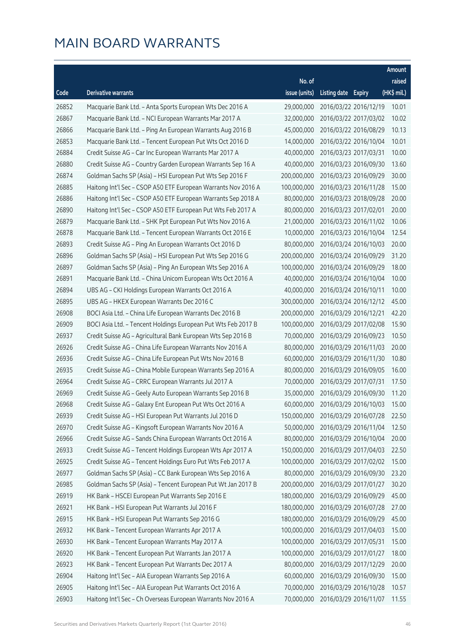|       |                                                               |               |                     |                       | Amount      |
|-------|---------------------------------------------------------------|---------------|---------------------|-----------------------|-------------|
|       |                                                               | No. of        |                     |                       | raised      |
| Code  | Derivative warrants                                           | issue (units) | Listing date Expiry |                       | (HK\$ mil.) |
| 26852 | Macquarie Bank Ltd. - Anta Sports European Wts Dec 2016 A     | 29,000,000    |                     | 2016/03/22 2016/12/19 | 10.01       |
| 26867 | Macquarie Bank Ltd. - NCI European Warrants Mar 2017 A        | 32,000,000    |                     | 2016/03/22 2017/03/02 | 10.02       |
| 26866 | Macquarie Bank Ltd. - Ping An European Warrants Aug 2016 B    | 45,000,000    |                     | 2016/03/22 2016/08/29 | 10.13       |
| 26853 | Macquarie Bank Ltd. - Tencent European Put Wts Oct 2016 D     | 14,000,000    |                     | 2016/03/22 2016/10/04 | 10.01       |
| 26884 | Credit Suisse AG - Car Inc European Warrants Mar 2017 A       | 40,000,000    |                     | 2016/03/23 2017/03/31 | 10.00       |
| 26880 | Credit Suisse AG - Country Garden European Warrants Sep 16 A  | 40,000,000    |                     | 2016/03/23 2016/09/30 | 13.60       |
| 26874 | Goldman Sachs SP (Asia) - HSI European Put Wts Sep 2016 F     | 200,000,000   |                     | 2016/03/23 2016/09/29 | 30.00       |
| 26885 | Haitong Int'l Sec - CSOP A50 ETF European Warrants Nov 2016 A | 100,000,000   |                     | 2016/03/23 2016/11/28 | 15.00       |
| 26886 | Haitong Int'l Sec - CSOP A50 ETF European Warrants Sep 2018 A | 80,000,000    |                     | 2016/03/23 2018/09/28 | 20.00       |
| 26890 | Haitong Int'l Sec - CSOP A50 ETF European Put Wts Feb 2017 A  | 80,000,000    |                     | 2016/03/23 2017/02/01 | 20.00       |
| 26879 | Macquarie Bank Ltd. – SHK Ppt European Put Wts Nov 2016 A     | 21,000,000    |                     | 2016/03/23 2016/11/02 | 10.06       |
| 26878 | Macquarie Bank Ltd. - Tencent European Warrants Oct 2016 E    | 10,000,000    |                     | 2016/03/23 2016/10/04 | 12.54       |
| 26893 | Credit Suisse AG - Ping An European Warrants Oct 2016 D       | 80,000,000    |                     | 2016/03/24 2016/10/03 | 20.00       |
| 26896 | Goldman Sachs SP (Asia) - HSI European Put Wts Sep 2016 G     | 200,000,000   |                     | 2016/03/24 2016/09/29 | 31.20       |
| 26897 | Goldman Sachs SP (Asia) – Ping An European Wts Sep 2016 A     | 100,000,000   |                     | 2016/03/24 2016/09/29 | 18.00       |
| 26891 | Macquarie Bank Ltd. - China Unicom European Wts Oct 2016 A    | 40,000,000    |                     | 2016/03/24 2016/10/04 | 10.00       |
| 26894 | UBS AG - CKI Holdings European Warrants Oct 2016 A            | 40,000,000    |                     | 2016/03/24 2016/10/11 | 10.00       |
| 26895 | UBS AG - HKEX European Warrants Dec 2016 C                    | 300,000,000   |                     | 2016/03/24 2016/12/12 | 45.00       |
| 26908 | BOCI Asia Ltd. - China Life European Warrants Dec 2016 B      | 200,000,000   |                     | 2016/03/29 2016/12/21 | 42.20       |
| 26909 | BOCI Asia Ltd. - Tencent Holdings European Put Wts Feb 2017 B | 100,000,000   |                     | 2016/03/29 2017/02/08 | 15.90       |
| 26937 | Credit Suisse AG - Agricultural Bank European Wts Sep 2016 B  | 70,000,000    |                     | 2016/03/29 2016/09/23 | 10.50       |
| 26926 | Credit Suisse AG - China Life European Warrants Nov 2016 A    | 80,000,000    |                     | 2016/03/29 2016/11/03 | 20.00       |
| 26936 | Credit Suisse AG - China Life European Put Wts Nov 2016 B     | 60,000,000    |                     | 2016/03/29 2016/11/30 | 10.80       |
| 26935 | Credit Suisse AG - China Mobile European Warrants Sep 2016 A  | 80,000,000    |                     | 2016/03/29 2016/09/05 | 16.00       |
| 26964 | Credit Suisse AG - CRRC European Warrants Jul 2017 A          | 70,000,000    |                     | 2016/03/29 2017/07/31 | 17.50       |
| 26969 | Credit Suisse AG - Geely Auto European Warrants Sep 2016 B    | 35,000,000    |                     | 2016/03/29 2016/09/30 | 11.20       |
| 26968 | Credit Suisse AG - Galaxy Ent European Put Wts Oct 2016 A     | 60,000,000    |                     | 2016/03/29 2016/10/03 | 15.00       |
| 26939 | Credit Suisse AG - HSI European Put Warrants Jul 2016 D       | 150,000,000   |                     | 2016/03/29 2016/07/28 | 22.50       |
| 26970 | Credit Suisse AG - Kingsoft European Warrants Nov 2016 A      | 50,000,000    |                     | 2016/03/29 2016/11/04 | 12.50       |
| 26966 | Credit Suisse AG - Sands China European Warrants Oct 2016 A   | 80,000,000    |                     | 2016/03/29 2016/10/04 | 20.00       |
| 26933 | Credit Suisse AG - Tencent Holdings European Wts Apr 2017 A   | 150,000,000   |                     | 2016/03/29 2017/04/03 | 22.50       |
| 26925 | Credit Suisse AG - Tencent Holdings Euro Put Wts Feb 2017 A   | 100,000,000   |                     | 2016/03/29 2017/02/02 | 15.00       |
| 26977 | Goldman Sachs SP (Asia) - CC Bank European Wts Sep 2016 A     | 80,000,000    |                     | 2016/03/29 2016/09/30 | 23.20       |
| 26985 | Goldman Sachs SP (Asia) - Tencent European Put Wt Jan 2017 B  | 200,000,000   |                     | 2016/03/29 2017/01/27 | 30.20       |
| 26919 | HK Bank - HSCEI European Put Warrants Sep 2016 E              | 180,000,000   |                     | 2016/03/29 2016/09/29 | 45.00       |
| 26921 | HK Bank - HSI European Put Warrants Jul 2016 F                | 180,000,000   |                     | 2016/03/29 2016/07/28 | 27.00       |
| 26915 | HK Bank - HSI European Put Warrants Sep 2016 G                | 180,000,000   |                     | 2016/03/29 2016/09/29 | 45.00       |
| 26932 | HK Bank - Tencent European Warrants Apr 2017 A                | 100,000,000   |                     | 2016/03/29 2017/04/03 | 15.00       |
| 26930 | HK Bank - Tencent European Warrants May 2017 A                | 100,000,000   |                     | 2016/03/29 2017/05/31 | 15.00       |
| 26920 | HK Bank - Tencent European Put Warrants Jan 2017 A            | 100,000,000   |                     | 2016/03/29 2017/01/27 | 18.00       |
| 26923 | HK Bank - Tencent European Put Warrants Dec 2017 A            | 80,000,000    |                     | 2016/03/29 2017/12/29 | 20.00       |
| 26904 | Haitong Int'l Sec - AIA European Warrants Sep 2016 A          | 60,000,000    |                     | 2016/03/29 2016/09/30 | 15.00       |
| 26905 | Haitong Int'l Sec - AIA European Put Warrants Oct 2016 A      | 70,000,000    |                     | 2016/03/29 2016/10/28 | 10.57       |
| 26903 | Haitong Int'l Sec - Ch Overseas European Warrants Nov 2016 A  | 70,000,000    |                     | 2016/03/29 2016/11/07 | 11.55       |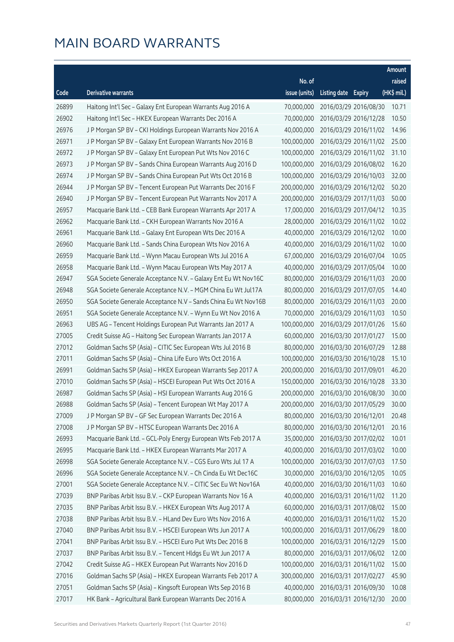|       |                                                                |               |                     |                       | Amount      |
|-------|----------------------------------------------------------------|---------------|---------------------|-----------------------|-------------|
|       |                                                                | No. of        |                     |                       | raised      |
| Code  | Derivative warrants                                            | issue (units) | Listing date Expiry |                       | (HK\$ mil.) |
| 26899 | Haitong Int'l Sec - Galaxy Ent European Warrants Aug 2016 A    | 70,000,000    |                     | 2016/03/29 2016/08/30 | 10.71       |
| 26902 | Haitong Int'l Sec - HKEX European Warrants Dec 2016 A          | 70,000,000    |                     | 2016/03/29 2016/12/28 | 10.50       |
| 26976 | J P Morgan SP BV - CKI Holdings European Warrants Nov 2016 A   | 40,000,000    |                     | 2016/03/29 2016/11/02 | 14.96       |
| 26971 | J P Morgan SP BV - Galaxy Ent European Warrants Nov 2016 B     | 100,000,000   |                     | 2016/03/29 2016/11/02 | 25.00       |
| 26972 | J P Morgan SP BV - Galaxy Ent European Put Wts Nov 2016 C      | 100,000,000   |                     | 2016/03/29 2016/11/02 | 31.10       |
| 26973 | J P Morgan SP BV - Sands China European Warrants Aug 2016 D    | 100,000,000   |                     | 2016/03/29 2016/08/02 | 16.20       |
| 26974 | J P Morgan SP BV - Sands China European Put Wts Oct 2016 B     | 100,000,000   |                     | 2016/03/29 2016/10/03 | 32.00       |
| 26944 | J P Morgan SP BV - Tencent European Put Warrants Dec 2016 F    | 200,000,000   |                     | 2016/03/29 2016/12/02 | 50.20       |
| 26940 | J P Morgan SP BV - Tencent European Put Warrants Nov 2017 A    | 200,000,000   |                     | 2016/03/29 2017/11/03 | 50.00       |
| 26957 | Macquarie Bank Ltd. - CEB Bank European Warrants Apr 2017 A    | 17,000,000    |                     | 2016/03/29 2017/04/12 | 10.35       |
| 26962 | Macquarie Bank Ltd. - CKH European Warrants Nov 2016 A         | 28,000,000    |                     | 2016/03/29 2016/11/02 | 10.02       |
| 26961 | Macquarie Bank Ltd. - Galaxy Ent European Wts Dec 2016 A       | 40,000,000    |                     | 2016/03/29 2016/12/02 | 10.00       |
| 26960 | Macquarie Bank Ltd. - Sands China European Wts Nov 2016 A      | 40,000,000    |                     | 2016/03/29 2016/11/02 | 10.00       |
| 26959 | Macquarie Bank Ltd. - Wynn Macau European Wts Jul 2016 A       | 67,000,000    |                     | 2016/03/29 2016/07/04 | 10.05       |
| 26958 | Macquarie Bank Ltd. - Wynn Macau European Wts May 2017 A       | 40,000,000    |                     | 2016/03/29 2017/05/04 | 10.00       |
| 26947 | SGA Societe Generale Acceptance N.V. - Galaxy Ent Eu Wt Nov16C | 80,000,000    |                     | 2016/03/29 2016/11/03 | 20.00       |
| 26948 | SGA Societe Generale Acceptance N.V. - MGM China Eu Wt Jul17A  | 80,000,000    |                     | 2016/03/29 2017/07/05 | 14.40       |
| 26950 | SGA Societe Generale Acceptance N.V - Sands China Eu Wt Nov16B | 80,000,000    |                     | 2016/03/29 2016/11/03 | 20.00       |
| 26951 | SGA Societe Generale Acceptance N.V. - Wynn Eu Wt Nov 2016 A   | 70,000,000    |                     | 2016/03/29 2016/11/03 | 10.50       |
| 26963 | UBS AG - Tencent Holdings European Put Warrants Jan 2017 A     | 100,000,000   |                     | 2016/03/29 2017/01/26 | 15.60       |
| 27005 | Credit Suisse AG - Haitong Sec European Warrants Jan 2017 A    | 60,000,000    |                     | 2016/03/30 2017/01/27 | 15.00       |
| 27012 | Goldman Sachs SP (Asia) - CITIC Sec European Wts Jul 2016 B    | 80,000,000    |                     | 2016/03/30 2016/07/29 | 12.88       |
| 27011 | Goldman Sachs SP (Asia) - China Life Euro Wts Oct 2016 A       | 100,000,000   |                     | 2016/03/30 2016/10/28 | 15.10       |
| 26991 | Goldman Sachs SP (Asia) - HKEX European Warrants Sep 2017 A    | 200,000,000   |                     | 2016/03/30 2017/09/01 | 46.20       |
| 27010 | Goldman Sachs SP (Asia) - HSCEI European Put Wts Oct 2016 A    | 150,000,000   |                     | 2016/03/30 2016/10/28 | 33.30       |
| 26987 | Goldman Sachs SP (Asia) - HSI European Warrants Aug 2016 G     | 200,000,000   |                     | 2016/03/30 2016/08/30 | 30.00       |
| 26988 | Goldman Sachs SP (Asia) - Tencent European Wt May 2017 A       | 200,000,000   |                     | 2016/03/30 2017/05/29 | 30.00       |
| 27009 | J P Morgan SP BV - GF Sec European Warrants Dec 2016 A         | 80,000,000    |                     | 2016/03/30 2016/12/01 | 20.48       |
| 27008 | J P Morgan SP BV - HTSC European Warrants Dec 2016 A           | 80,000,000    |                     | 2016/03/30 2016/12/01 | 20.16       |
| 26993 | Macquarie Bank Ltd. - GCL-Poly Energy European Wts Feb 2017 A  | 35,000,000    |                     | 2016/03/30 2017/02/02 | 10.01       |
| 26995 | Macquarie Bank Ltd. - HKEX European Warrants Mar 2017 A        | 40,000,000    |                     | 2016/03/30 2017/03/02 | 10.00       |
| 26998 | SGA Societe Generale Acceptance N.V. - CGS Euro Wts Jul 17 A   | 100,000,000   |                     | 2016/03/30 2017/07/03 | 17.50       |
| 26996 | SGA Societe Generale Acceptance N.V. - Ch Cinda Eu Wt Dec16C   | 30,000,000    |                     | 2016/03/30 2016/12/05 | 10.05       |
| 27001 | SGA Societe Generale Acceptance N.V. - CITIC Sec Eu Wt Nov16A  | 40,000,000    |                     | 2016/03/30 2016/11/03 | 10.60       |
| 27039 | BNP Paribas Arbit Issu B.V. - CKP European Warrants Nov 16 A   | 40,000,000    |                     | 2016/03/31 2016/11/02 | 11.20       |
| 27035 | BNP Paribas Arbit Issu B.V. - HKEX European Wts Aug 2017 A     | 60,000,000    |                     | 2016/03/31 2017/08/02 | 15.00       |
| 27038 | BNP Paribas Arbit Issu B.V. - HLand Dev Euro Wts Nov 2016 A    | 40,000,000    |                     | 2016/03/31 2016/11/02 | 15.20       |
| 27040 | BNP Paribas Arbit Issu B.V. - HSCEI European Wts Jun 2017 A    | 100,000,000   |                     | 2016/03/31 2017/06/29 | 18.00       |
| 27041 | BNP Paribas Arbit Issu B.V. - HSCEI Euro Put Wts Dec 2016 B    | 100,000,000   |                     | 2016/03/31 2016/12/29 | 15.00       |
| 27037 | BNP Paribas Arbit Issu B.V. - Tencent Hldgs Eu Wt Jun 2017 A   | 80,000,000    |                     | 2016/03/31 2017/06/02 | 12.00       |
| 27042 | Credit Suisse AG - HKEX European Put Warrants Nov 2016 D       | 100,000,000   |                     | 2016/03/31 2016/11/02 | 15.00       |
| 27016 | Goldman Sachs SP (Asia) - HKEX European Warrants Feb 2017 A    | 300,000,000   |                     | 2016/03/31 2017/02/27 | 45.90       |
| 27051 | Goldman Sachs SP (Asia) - Kingsoft European Wts Sep 2016 B     | 40,000,000    |                     | 2016/03/31 2016/09/30 | 10.08       |
| 27017 | HK Bank - Agricultural Bank European Warrants Dec 2016 A       | 80,000,000    |                     | 2016/03/31 2016/12/30 | 20.00       |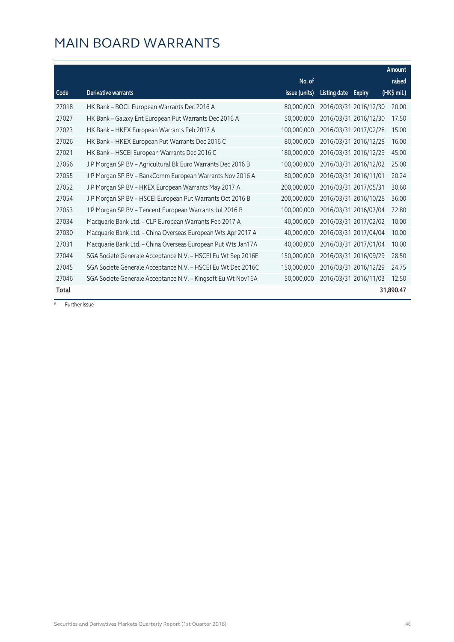|       |                                                              |               |                                      | Amount      |
|-------|--------------------------------------------------------------|---------------|--------------------------------------|-------------|
|       |                                                              | No. of        |                                      | raised      |
| Code  | <b>Derivative warrants</b>                                   | issue (units) | <b>Listing date</b><br><b>Expiry</b> | (HK\$ mil.) |
| 27018 | HK Bank - BOCL European Warrants Dec 2016 A                  | 80,000,000    | 2016/03/31 2016/12/30                | 20.00       |
| 27027 | HK Bank - Galaxy Ent European Put Warrants Dec 2016 A        | 50,000,000    | 2016/03/31 2016/12/30                | 17.50       |
| 27023 | HK Bank - HKEX European Warrants Feb 2017 A                  | 100,000,000   | 2016/03/31 2017/02/28                | 15.00       |
| 27026 | HK Bank - HKEX European Put Warrants Dec 2016 C              | 80,000,000    | 2016/03/31 2016/12/28                | 16.00       |
| 27021 | HK Bank - HSCEI European Warrants Dec 2016 C                 | 180,000,000   | 2016/03/31 2016/12/29                | 45.00       |
| 27056 | J P Morgan SP BV - Agricultural Bk Euro Warrants Dec 2016 B  | 100,000,000   | 2016/03/31 2016/12/02                | 25.00       |
| 27055 | J P Morgan SP BV - BankComm European Warrants Nov 2016 A     | 80,000,000    | 2016/03/31 2016/11/01                | 20.24       |
| 27052 | J P Morgan SP BV - HKEX European Warrants May 2017 A         | 200,000,000   | 2016/03/31 2017/05/31                | 30.60       |
| 27054 | J P Morgan SP BV - HSCEI European Put Warrants Oct 2016 B    | 200,000,000   | 2016/03/31 2016/10/28                | 36.00       |
| 27053 | J P Morgan SP BV - Tencent European Warrants Jul 2016 B      | 100,000,000   | 2016/03/31 2016/07/04                | 72.80       |
| 27034 | Macquarie Bank Ltd. - CLP European Warrants Feb 2017 A       | 40,000,000    | 2016/03/31 2017/02/02                | 10.00       |
| 27030 | Macquarie Bank Ltd. - China Overseas European Wts Apr 2017 A | 40,000,000    | 2016/03/31 2017/04/04                | 10.00       |
| 27031 | Macquarie Bank Ltd. - China Overseas European Put Wts Jan17A | 40,000,000    | 2016/03/31 2017/01/04                | 10.00       |
| 27044 | SGA Societe Generale Acceptance N.V. - HSCEI Eu Wt Sep 2016E | 150,000,000   | 2016/03/31 2016/09/29                | 28.50       |
| 27045 | SGA Societe Generale Acceptance N.V. - HSCEI Eu Wt Dec 2016C | 150,000,000   | 2016/03/31 2016/12/29                | 24.75       |
| 27046 | SGA Societe Generale Acceptance N.V. - Kingsoft Eu Wt Nov16A | 50,000,000    | 2016/03/31 2016/11/03                | 12.50       |
| Total |                                                              |               |                                      | 31,890.47   |

# Further issue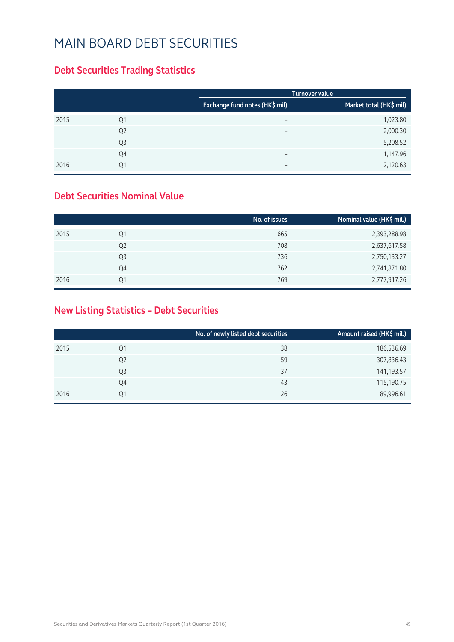### MAIN BOARD DEBT SECURITIES

### **Debt Securities Trading Statistics**

|      |                |                                | <b>Turnover value</b> |                         |
|------|----------------|--------------------------------|-----------------------|-------------------------|
|      |                | Exchange fund notes (HK\$ mil) |                       | Market total (HK\$ mil) |
| 2015 | Q1             | $\overline{\phantom{0}}$       |                       | 1,023.80                |
|      | Q <sub>2</sub> | $\overline{\phantom{0}}$       |                       | 2,000.30                |
|      | Q3             | $\overline{\phantom{0}}$       |                       | 5,208.52                |
|      | Q4             | $\overline{\phantom{0}}$       |                       | 1,147.96                |
| 2016 | Q1             | $\overline{\phantom{0}}$       |                       | 2,120.63                |

#### **Debt Securities Nominal Value**

|                | No. of issues | Nominal value (HK\$ mil.) |
|----------------|---------------|---------------------------|
| Q1             | 665           | 2,393,288.98              |
| Q <sub>2</sub> | 708           | 2,637,617.58              |
| Q <sub>3</sub> | 736           | 2,750,133.27              |
| Q4             | 762           | 2,741,871.80              |
| 01             | 769           | 2,777,917.26              |
|                |               |                           |

### **New Listing Statistics – Debt Securities**

|      |    | No. of newly listed debt securities | Amount raised (HK\$ mil.) |
|------|----|-------------------------------------|---------------------------|
| 2015 | Q1 | 38                                  | 186,536.69                |
|      | Q2 | 59                                  | 307,836.43                |
|      | Q3 | 37                                  | 141,193.57                |
|      | Q4 | 43                                  | 115,190.75                |
| 2016 | Q1 | 26                                  | 89,996.61                 |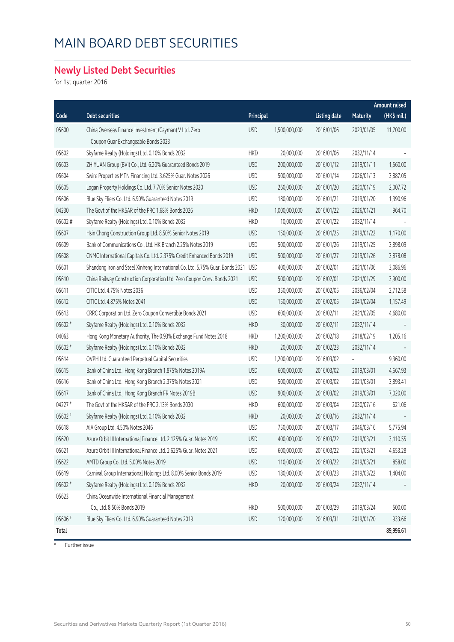## MAIN BOARD DEBT SECURITIES

### **Newly Listed Debt Securities**

for 1st quarter 2016

|              |                                                                                               |            |               |                     |                 | Amount raised |
|--------------|-----------------------------------------------------------------------------------------------|------------|---------------|---------------------|-----------------|---------------|
| Code         | Debt securities                                                                               | Principal  |               | <b>Listing date</b> | <b>Maturity</b> | (HK\$ mil.)   |
| 05600        | China Overseas Finance Investment (Cayman) V Ltd. Zero<br>Coupon Guar Exchangeable Bonds 2023 | <b>USD</b> | 1,500,000,000 | 2016/01/06          | 2023/01/05      | 11,700.00     |
| 05602        | Skyfame Realty (Holdings) Ltd. 0.10% Bonds 2032                                               | <b>HKD</b> | 20,000,000    | 2016/01/06          | 2032/11/14      |               |
| 05603        | ZHIYUAN Group (BVI) Co., Ltd. 6.20% Guaranteed Bonds 2019                                     | <b>USD</b> | 200,000,000   | 2016/01/12          | 2019/01/11      | 1,560.00      |
| 05604        | Swire Properties MTN Financing Ltd. 3.625% Guar. Notes 2026                                   | <b>USD</b> | 500,000,000   | 2016/01/14          | 2026/01/13      | 3,887.05      |
| 05605        | Logan Property Holdings Co. Ltd. 7.70% Senior Notes 2020                                      | <b>USD</b> | 260,000,000   | 2016/01/20          | 2020/01/19      | 2,007.72      |
| 05606        | Blue Sky Fliers Co. Ltd. 6.90% Guaranteed Notes 2019                                          | <b>USD</b> | 180,000,000   | 2016/01/21          | 2019/01/20      | 1,390.96      |
| 04230        | The Govt of the HKSAR of the PRC 1.68% Bonds 2026                                             | <b>HKD</b> | 1,000,000,000 | 2016/01/22          | 2026/01/21      | 964.70        |
| 05602#       | Skyfame Realty (Holdings) Ltd. 0.10% Bonds 2032                                               | <b>HKD</b> | 10,000,000    | 2016/01/22          | 2032/11/14      |               |
| 05607        | Hsin Chong Construction Group Ltd. 8.50% Senior Notes 2019                                    | <b>USD</b> | 150,000,000   | 2016/01/25          | 2019/01/22      | 1,170.00      |
| 05609        | Bank of Communications Co., Ltd. HK Branch 2.25% Notes 2019                                   | <b>USD</b> | 500,000,000   | 2016/01/26          | 2019/01/25      | 3,898.09      |
| 05608        | CNMC International Capitals Co. Ltd. 2.375% Credit Enhanced Bonds 2019                        | <b>USD</b> | 500,000,000   | 2016/01/27          | 2019/01/26      | 3,878.08      |
| 05601        | Shandong Iron and Steel Xinheng International Co. Ltd. 5.75% Guar. Bonds 2021                 | <b>USD</b> | 400,000,000   | 2016/02/01          | 2021/01/06      | 3,086.96      |
| 05610        | China Railway Construction Corporation Ltd. Zero Coupon Conv. Bonds 2021                      | <b>USD</b> | 500,000,000   | 2016/02/01          | 2021/01/29      | 3,900.00      |
| 05611        | CITIC Ltd. 4.75% Notes 2036                                                                   | <b>USD</b> | 350,000,000   | 2016/02/05          | 2036/02/04      | 2,712.58      |
| 05612        | CITIC Ltd. 4.875% Notes 2041                                                                  | <b>USD</b> | 150,000,000   | 2016/02/05          | 2041/02/04      | 1,157.49      |
| 05613        | CRRC Corporation Ltd. Zero Coupon Convertible Bonds 2021                                      | <b>USD</b> | 600,000,000   | 2016/02/11          | 2021/02/05      | 4,680.00      |
| 05602 #      | Skyfame Realty (Holdings) Ltd. 0.10% Bonds 2032                                               | <b>HKD</b> | 30,000,000    | 2016/02/11          | 2032/11/14      |               |
| 04063        | Hong Kong Monetary Authority, The 0.93% Exchange Fund Notes 2018                              | <b>HKD</b> | 1,200,000,000 | 2016/02/18          | 2018/02/19      | 1,205.16      |
| 05602 #      | Skyfame Realty (Holdings) Ltd. 0.10% Bonds 2032                                               | <b>HKD</b> | 20,000,000    | 2016/02/23          | 2032/11/14      |               |
| 05614        | OVPH Ltd. Guaranteed Perpetual Capital Securities                                             | <b>USD</b> | 1,200,000,000 | 2016/03/02          |                 | 9,360.00      |
| 05615        | Bank of China Ltd., Hong Kong Branch 1.875% Notes 2019A                                       | <b>USD</b> | 600,000,000   | 2016/03/02          | 2019/03/01      | 4,667.93      |
| 05616        | Bank of China Ltd., Hong Kong Branch 2.375% Notes 2021                                        | <b>USD</b> | 500,000,000   | 2016/03/02          | 2021/03/01      | 3,893.41      |
| 05617        | Bank of China Ltd., Hong Kong Branch FR Notes 2019B                                           | <b>USD</b> | 900,000,000   | 2016/03/02          | 2019/03/01      | 7,020.00      |
| 04227 #      | The Govt of the HKSAR of the PRC 2.13% Bonds 2030                                             | <b>HKD</b> | 600,000,000   | 2016/03/04          | 2030/07/16      | 621.06        |
| 05602 #      | Skyfame Realty (Holdings) Ltd. 0.10% Bonds 2032                                               | <b>HKD</b> | 20,000,000    | 2016/03/16          | 2032/11/14      |               |
| 05618        | AIA Group Ltd. 4.50% Notes 2046                                                               | <b>USD</b> | 750,000,000   | 2016/03/17          | 2046/03/16      | 5,775.94      |
| 05620        | Azure Orbit III International Finance Ltd. 2.125% Guar. Notes 2019                            | <b>USD</b> | 400,000,000   | 2016/03/22          | 2019/03/21      | 3,110.55      |
| 05621        | Azure Orbit III International Finance Ltd. 2.625% Guar. Notes 2021                            | <b>USD</b> | 600,000,000   | 2016/03/22          | 2021/03/21      | 4,653.28      |
| 05622        | AMTD Group Co. Ltd. 5.00% Notes 2019                                                          | <b>USD</b> | 110,000,000   | 2016/03/22          | 2019/03/21      | 858.00        |
| 05619        | Carnival Group International Holdings Ltd. 8.00% Senior Bonds 2019                            | <b>USD</b> | 180,000,000   | 2016/03/23          | 2019/03/22      | 1,404.00      |
| 05602 #      | Skyfame Realty (Holdings) Ltd. 0.10% Bonds 2032                                               | <b>HKD</b> | 20,000,000    | 2016/03/24          | 2032/11/14      |               |
| 05623        | China Oceanwide International Financial Management                                            |            |               |                     |                 |               |
|              | Co., Ltd. 8.50% Bonds 2019                                                                    | <b>HKD</b> | 500,000,000   | 2016/03/29          | 2019/03/24      | 500.00        |
| 05606 #      | Blue Sky Fliers Co. Ltd. 6.90% Guaranteed Notes 2019                                          | <b>USD</b> | 120,000,000   | 2016/03/31          | 2019/01/20      | 933.66        |
| <b>Total</b> |                                                                                               |            |               |                     |                 | 89,996.61     |

# Further issue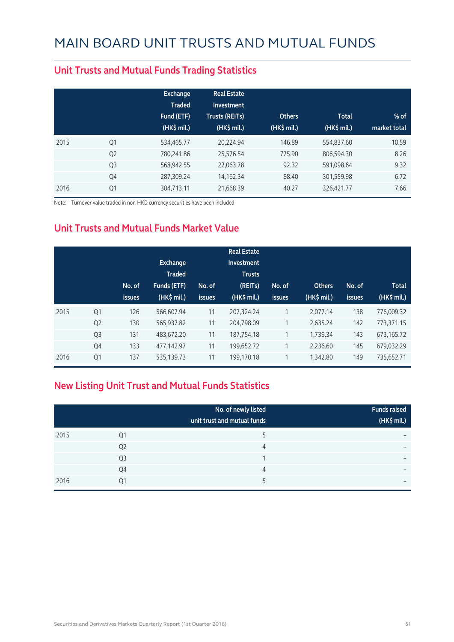|      |                | <b>Exchange</b><br><b>Traded</b><br>Fund (ETF)<br>(HK\$ mil.) | <b>Real Estate</b><br><b>Investment</b><br><b>Trusts (REITs)</b><br>$(HK$$ mil.) | <b>Others</b><br>(HK\$ mil.) | <b>Total</b><br>$(HK\$ mil.) | $%$ of<br>market total |
|------|----------------|---------------------------------------------------------------|----------------------------------------------------------------------------------|------------------------------|------------------------------|------------------------|
| 2015 | Q1             | 534,465.77                                                    | 20,224.94                                                                        | 146.89                       | 554,837.60                   | 10.59                  |
|      | Q <sub>2</sub> | 780,241.86                                                    | 25,576.54                                                                        | 775.90                       | 806,594.30                   | 8.26                   |
|      | Q <sub>3</sub> | 568,942.55                                                    | 22,063.78                                                                        | 92.32                        | 591,098.64                   | 9.32                   |
|      | Q4             | 287,309.24                                                    | 14,162.34                                                                        | 88.40                        | 301,559.98                   | 6.72                   |
| 2016 | Q1             | 304,713.11                                                    | 21,668.39                                                                        | 40.27                        | 326,421.77                   | 7.66                   |

#### **Unit Trusts and Mutual Funds Trading Statistics**

Note: Turnover value traded in non-HKD currency securities have been included

### **Unit Trusts and Mutual Funds Market Value**

|      |                | No. of<br>issues | Exchange<br><b>Traded</b><br>Funds (ETF)<br>(HK\$ mil.) | No. of<br><b>issues</b> | <b>Real Estate</b><br>Investment<br><b>Trusts</b><br>(REITs)<br>(HK\$ mil.) | No. of<br><b>issues</b> | <b>Others</b><br>(HK\$ mil.) | No. of<br><b>issues</b> | <b>Total</b><br>(HK\$ mil.) |
|------|----------------|------------------|---------------------------------------------------------|-------------------------|-----------------------------------------------------------------------------|-------------------------|------------------------------|-------------------------|-----------------------------|
| 2015 | Q <sub>1</sub> | 126              | 566.607.94                                              | 11                      | 207,324.24                                                                  |                         | 2.077.14                     | 138                     | 776,009.32                  |
|      | Q <sub>2</sub> | 130              | 565,937.82                                              | 11                      | 204,798.09                                                                  |                         | 2,635.24                     | 142                     | 773,371.15                  |
|      | Q <sub>3</sub> | 131              | 483,672.20                                              | 11                      | 187,754.18                                                                  |                         | 1,739.34                     | 143                     | 673,165.72                  |
|      | Q4             | 133              | 477,142.97                                              | 11                      | 199,652.72                                                                  |                         | 2,236.60                     | 145                     | 679,032.29                  |
| 2016 | Q <sub>1</sub> | 137              | 535,139.73                                              | 11                      | 199,170.18                                                                  | 1                       | 1,342.80                     | 149                     | 735,652.71                  |

### **New Listing Unit Trust and Mutual Funds Statistics**

|      |                | No. of newly listed<br>unit trust and mutual funds | <b>Funds raised</b><br>(HK\$ mil.) |
|------|----------------|----------------------------------------------------|------------------------------------|
| 2015 | Q1             |                                                    |                                    |
|      | Q <sub>2</sub> | 4                                                  | -                                  |
|      | Q <sub>3</sub> |                                                    | -                                  |
|      | Q4             | 4                                                  |                                    |
| 2016 | Q1             |                                                    |                                    |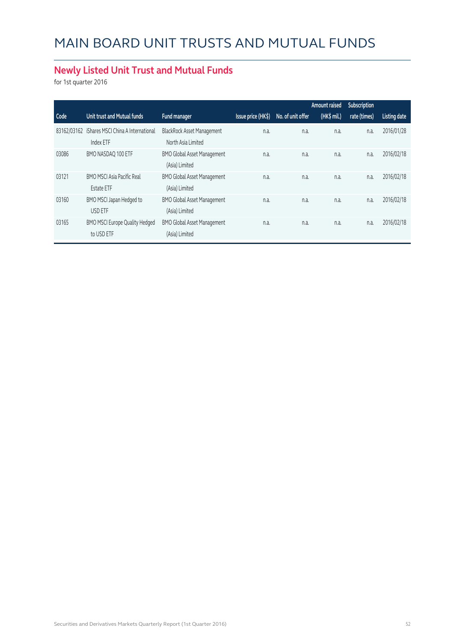### **Newly Listed Unit Trust and Mutual Funds**

for 1st quarter 2016

|             |                                                        |                                                         |                    |                   | Amount raised | Subscription |              |
|-------------|--------------------------------------------------------|---------------------------------------------------------|--------------------|-------------------|---------------|--------------|--------------|
| Code        | Unit trust and Mutual funds                            | Fund manager                                            | Issue price (HK\$) | No. of unit offer | (HK\$ mil.)   | rate (times) | Listing date |
| 83162/03162 | iShares MSCI China A International<br>Index ETF        | <b>BlackRock Asset Management</b><br>North Asia Limited | n.a.               | n.a.              | n.a.          | n.a.         | 2016/01/28   |
| 03086       | BMO NASDAQ 100 ETF                                     | <b>BMO Global Asset Management</b><br>(Asia) Limited    | n.a.               | n.a.              | n.a.          | n.a.         | 2016/02/18   |
| 03121       | <b>BMO MSCI Asia Pacific Real</b><br><b>Estate ETF</b> | <b>BMO Global Asset Management</b><br>(Asia) Limited    | n.a.               | n.a.              | n.a.          | n.a.         | 2016/02/18   |
| 03160       | BMO MSCI Japan Hedged to<br>USD ETF                    | <b>BMO Global Asset Management</b><br>(Asia) Limited    | n.a.               | n.a.              | n.a.          | n.a.         | 2016/02/18   |
| 03165       | <b>BMO MSCI Europe Quality Hedged</b><br>to USD ETF    | <b>BMO Global Asset Management</b><br>(Asia) Limited    | n.a.               | n.a.              | n.a.          | n.a.         | 2016/02/18   |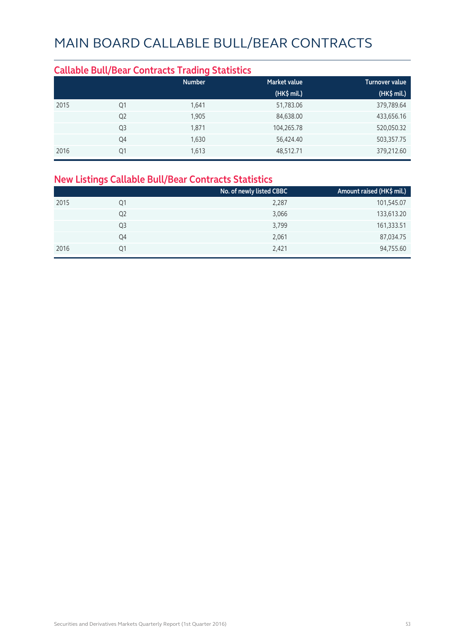#### **Callable Bull/Bear Contracts Trading Statistics Market value Community Community Community** Turnover value  **(HK\$ mil.) (HK\$ mil.)** 2015 Q1 1,641 51,783.06 379,789.64 Q2 1,905 84,638.00 433,656.16 Q3 1,871 104,265.78 520,050.32 Q4 1,630 56,424.40 503,357.75 2016 Q1 1,613 48,512.71 379,212.60

#### **New Listings Callable Bull/Bear Contracts Statistics**

|      |    | No. of newly listed CBBC | Amount raised (HK\$ mil.) |
|------|----|--------------------------|---------------------------|
| 2015 | Q1 | 2,287                    | 101,545.07                |
|      | Q2 | 3,066                    | 133,613.20                |
|      | Q3 | 3,799                    | 161,333.51                |
|      | Q4 | 2,061                    | 87,034.75                 |
| 2016 | Q1 | 2,421                    | 94,755.60                 |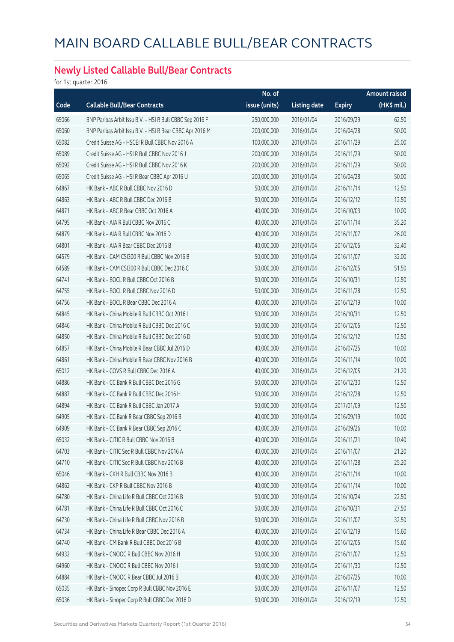### **Newly Listed Callable Bull/Bear Contracts**

for 1st quarter 2016

|       |                                                          | No. of        |                     |               | <b>Amount raised</b> |
|-------|----------------------------------------------------------|---------------|---------------------|---------------|----------------------|
| Code  | <b>Callable Bull/Bear Contracts</b>                      | issue (units) | <b>Listing date</b> | <b>Expiry</b> | (HK\$ mil.)          |
| 65066 | BNP Paribas Arbit Issu B.V. - HSI R Bull CBBC Sep 2016 F | 250,000,000   | 2016/01/04          | 2016/09/29    | 62.50                |
| 65060 | BNP Paribas Arbit Issu B.V. - HSI R Bear CBBC Apr 2016 M | 200,000,000   | 2016/01/04          | 2016/04/28    | 50.00                |
| 65082 | Credit Suisse AG - HSCEI R Bull CBBC Nov 2016 A          | 100,000,000   | 2016/01/04          | 2016/11/29    | 25.00                |
| 65089 | Credit Suisse AG - HSI R Bull CBBC Nov 2016 J            | 200,000,000   | 2016/01/04          | 2016/11/29    | 50.00                |
| 65092 | Credit Suisse AG - HSI R Bull CBBC Nov 2016 K            | 200,000,000   | 2016/01/04          | 2016/11/29    | 50.00                |
| 65065 | Credit Suisse AG - HSI R Bear CBBC Apr 2016 U            | 200,000,000   | 2016/01/04          | 2016/04/28    | 50.00                |
| 64867 | HK Bank - ABC R Bull CBBC Nov 2016 D                     | 50,000,000    | 2016/01/04          | 2016/11/14    | 12.50                |
| 64863 | HK Bank - ABC R Bull CBBC Dec 2016 B                     | 50,000,000    | 2016/01/04          | 2016/12/12    | 12.50                |
| 64871 | HK Bank - ABC R Bear CBBC Oct 2016 A                     | 40,000,000    | 2016/01/04          | 2016/10/03    | 10.00                |
| 64795 | HK Bank - AIA R Bull CBBC Nov 2016 C                     | 40,000,000    | 2016/01/04          | 2016/11/14    | 35.20                |
| 64879 | HK Bank - AIA R Bull CBBC Nov 2016 D                     | 40,000,000    | 2016/01/04          | 2016/11/07    | 26.00                |
| 64801 | HK Bank - AIA R Bear CBBC Dec 2016 B                     | 40,000,000    | 2016/01/04          | 2016/12/05    | 32.40                |
| 64579 | HK Bank - CAM CSI300 R Bull CBBC Nov 2016 B              | 50,000,000    | 2016/01/04          | 2016/11/07    | 32.00                |
| 64589 | HK Bank - CAM CSI300 R Bull CBBC Dec 2016 C              | 50,000,000    | 2016/01/04          | 2016/12/05    | 51.50                |
| 64741 | HK Bank - BOCL R Bull CBBC Oct 2016 B                    | 50,000,000    | 2016/01/04          | 2016/10/31    | 12.50                |
| 64755 | HK Bank - BOCL R Bull CBBC Nov 2016 D                    | 50,000,000    | 2016/01/04          | 2016/11/28    | 12.50                |
| 64756 | HK Bank - BOCL R Bear CBBC Dec 2016 A                    | 40,000,000    | 2016/01/04          | 2016/12/19    | 10.00                |
| 64845 | HK Bank - China Mobile R Bull CBBC Oct 2016 I            | 50,000,000    | 2016/01/04          | 2016/10/31    | 12.50                |
| 64846 | HK Bank - China Mobile R Bull CBBC Dec 2016 C            | 50,000,000    | 2016/01/04          | 2016/12/05    | 12.50                |
| 64850 | HK Bank - China Mobile R Bull CBBC Dec 2016 D            | 50,000,000    | 2016/01/04          | 2016/12/12    | 12.50                |
| 64857 | HK Bank - China Mobile R Bear CBBC Jul 2016 D            | 40,000,000    | 2016/01/04          | 2016/07/25    | 10.00                |
| 64861 | HK Bank - China Mobile R Bear CBBC Nov 2016 B            | 40,000,000    | 2016/01/04          | 2016/11/14    | 10.00                |
| 65012 | HK Bank - COVS R Bull CBBC Dec 2016 A                    | 40,000,000    | 2016/01/04          | 2016/12/05    | 21.20                |
| 64886 | HK Bank - CC Bank R Bull CBBC Dec 2016 G                 | 50,000,000    | 2016/01/04          | 2016/12/30    | 12.50                |
| 64887 | HK Bank - CC Bank R Bull CBBC Dec 2016 H                 | 50,000,000    | 2016/01/04          | 2016/12/28    | 12.50                |
| 64894 | HK Bank - CC Bank R Bull CBBC Jan 2017 A                 | 50,000,000    | 2016/01/04          | 2017/01/09    | 12.50                |
| 64905 | HK Bank - CC Bank R Bear CBBC Sep 2016 B                 | 40,000,000    | 2016/01/04          | 2016/09/19    | 10.00                |
| 64909 | HK Bank - CC Bank R Bear CBBC Sep 2016 C                 | 40,000,000    | 2016/01/04          | 2016/09/26    | 10.00                |
| 65032 | HK Bank - CITIC R Bull CBBC Nov 2016 B                   | 40,000,000    | 2016/01/04          | 2016/11/21    | 10.40                |
| 64703 | HK Bank - CITIC Sec R Bull CBBC Nov 2016 A               | 40,000,000    | 2016/01/04          | 2016/11/07    | 21.20                |
| 64710 | HK Bank - CITIC Sec R Bull CBBC Nov 2016 B               | 40,000,000    | 2016/01/04          | 2016/11/28    | 25.20                |
| 65046 | HK Bank - CKH R Bull CBBC Nov 2016 B                     | 40,000,000    | 2016/01/04          | 2016/11/14    | 10.00                |
| 64862 | HK Bank - CKP R Bull CBBC Nov 2016 B                     | 40,000,000    | 2016/01/04          | 2016/11/14    | 10.00                |
| 64780 | HK Bank - China Life R Bull CBBC Oct 2016 B              | 50,000,000    | 2016/01/04          | 2016/10/24    | 22.50                |
| 64781 | HK Bank - China Life R Bull CBBC Oct 2016 C              | 50,000,000    | 2016/01/04          | 2016/10/31    | 27.50                |
| 64730 | HK Bank - China Life R Bull CBBC Nov 2016 B              | 50,000,000    | 2016/01/04          | 2016/11/07    | 32.50                |
| 64734 | HK Bank - China Life R Bear CBBC Dec 2016 A              | 40,000,000    | 2016/01/04          | 2016/12/19    | 15.60                |
| 64740 | HK Bank - CM Bank R Bull CBBC Dec 2016 B                 | 40,000,000    | 2016/01/04          | 2016/12/05    | 15.60                |
| 64932 | HK Bank - CNOOC R Bull CBBC Nov 2016 H                   | 50,000,000    | 2016/01/04          | 2016/11/07    | 12.50                |
| 64960 | HK Bank - CNOOC R Bull CBBC Nov 2016 I                   | 50,000,000    | 2016/01/04          | 2016/11/30    | 12.50                |
| 64884 | HK Bank - CNOOC R Bear CBBC Jul 2016 B                   | 40,000,000    | 2016/01/04          | 2016/07/25    | 10.00                |
| 65035 | HK Bank - Sinopec Corp R Bull CBBC Nov 2016 E            | 50,000,000    | 2016/01/04          | 2016/11/07    | 12.50                |
| 65036 | HK Bank - Sinopec Corp R Bull CBBC Dec 2016 D            | 50,000,000    | 2016/01/04          | 2016/12/19    | 12.50                |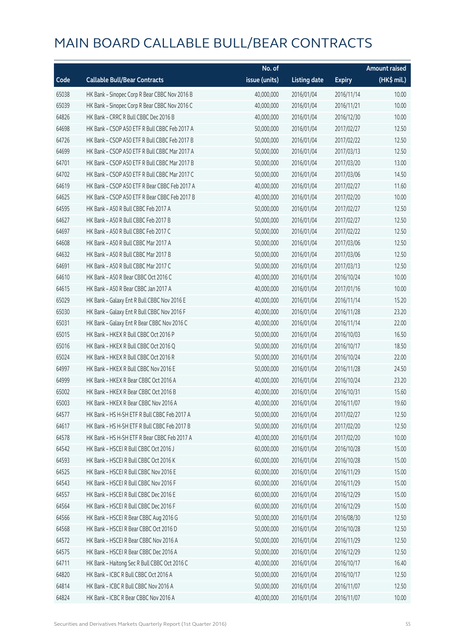|       |                                               | No. of        |                     |               | <b>Amount raised</b> |
|-------|-----------------------------------------------|---------------|---------------------|---------------|----------------------|
| Code  | <b>Callable Bull/Bear Contracts</b>           | issue (units) | <b>Listing date</b> | <b>Expiry</b> | (HK\$ mil.)          |
| 65038 | HK Bank - Sinopec Corp R Bear CBBC Nov 2016 B | 40,000,000    | 2016/01/04          | 2016/11/14    | 10.00                |
| 65039 | HK Bank - Sinopec Corp R Bear CBBC Nov 2016 C | 40,000,000    | 2016/01/04          | 2016/11/21    | 10.00                |
| 64826 | HK Bank - CRRC R Bull CBBC Dec 2016 B         | 40,000,000    | 2016/01/04          | 2016/12/30    | 10.00                |
| 64698 | HK Bank - CSOP A50 ETF R Bull CBBC Feb 2017 A | 50,000,000    | 2016/01/04          | 2017/02/27    | 12.50                |
| 64726 | HK Bank - CSOP A50 ETF R Bull CBBC Feb 2017 B | 50,000,000    | 2016/01/04          | 2017/02/22    | 12.50                |
| 64699 | HK Bank - CSOP A50 ETF R Bull CBBC Mar 2017 A | 50,000,000    | 2016/01/04          | 2017/03/13    | 12.50                |
| 64701 | HK Bank - CSOP A50 ETF R Bull CBBC Mar 2017 B | 50,000,000    | 2016/01/04          | 2017/03/20    | 13.00                |
| 64702 | HK Bank - CSOP A50 ETF R Bull CBBC Mar 2017 C | 50,000,000    | 2016/01/04          | 2017/03/06    | 14.50                |
| 64619 | HK Bank - CSOP A50 ETF R Bear CBBC Feb 2017 A | 40,000,000    | 2016/01/04          | 2017/02/27    | 11.60                |
| 64625 | HK Bank - CSOP A50 ETF R Bear CBBC Feb 2017 B | 40,000,000    | 2016/01/04          | 2017/02/20    | 10.00                |
| 64595 | HK Bank - A50 R Bull CBBC Feb 2017 A          | 50,000,000    | 2016/01/04          | 2017/02/27    | 12.50                |
| 64627 | HK Bank - A50 R Bull CBBC Feb 2017 B          | 50,000,000    | 2016/01/04          | 2017/02/27    | 12.50                |
| 64697 | HK Bank - A50 R Bull CBBC Feb 2017 C          | 50,000,000    | 2016/01/04          | 2017/02/22    | 12.50                |
| 64608 | HK Bank - A50 R Bull CBBC Mar 2017 A          | 50,000,000    | 2016/01/04          | 2017/03/06    | 12.50                |
| 64632 | HK Bank - A50 R Bull CBBC Mar 2017 B          | 50,000,000    | 2016/01/04          | 2017/03/06    | 12.50                |
| 64691 | HK Bank - A50 R Bull CBBC Mar 2017 C          | 50,000,000    | 2016/01/04          | 2017/03/13    | 12.50                |
| 64610 | HK Bank - A50 R Bear CBBC Oct 2016 C          | 40,000,000    | 2016/01/04          | 2016/10/24    | 10.00                |
| 64615 | HK Bank - A50 R Bear CBBC Jan 2017 A          | 40,000,000    | 2016/01/04          | 2017/01/16    | 10.00                |
| 65029 | HK Bank - Galaxy Ent R Bull CBBC Nov 2016 E   | 40,000,000    | 2016/01/04          | 2016/11/14    | 15.20                |
| 65030 | HK Bank - Galaxy Ent R Bull CBBC Nov 2016 F   | 40,000,000    | 2016/01/04          | 2016/11/28    | 23.20                |
| 65031 | HK Bank - Galaxy Ent R Bear CBBC Nov 2016 C   | 40,000,000    | 2016/01/04          | 2016/11/14    | 22.00                |
| 65015 | HK Bank - HKEX R Bull CBBC Oct 2016 P         | 50,000,000    | 2016/01/04          | 2016/10/03    | 16.50                |
| 65016 | HK Bank - HKEX R Bull CBBC Oct 2016 Q         | 50,000,000    | 2016/01/04          | 2016/10/17    | 18.50                |
| 65024 | HK Bank - HKEX R Bull CBBC Oct 2016 R         | 50,000,000    | 2016/01/04          | 2016/10/24    | 22.00                |
| 64997 | HK Bank - HKEX R Bull CBBC Nov 2016 E         | 50,000,000    | 2016/01/04          | 2016/11/28    | 24.50                |
| 64999 | HK Bank - HKEX R Bear CBBC Oct 2016 A         | 40,000,000    | 2016/01/04          | 2016/10/24    | 23.20                |
| 65002 | HK Bank - HKEX R Bear CBBC Oct 2016 B         | 40,000,000    | 2016/01/04          | 2016/10/31    | 15.60                |
| 65003 | HK Bank - HKEX R Bear CBBC Nov 2016 A         | 40,000,000    | 2016/01/04          | 2016/11/07    | 19.60                |
| 64577 | HK Bank - HS H-SH ETF R Bull CBBC Feb 2017 A  | 50,000,000    | 2016/01/04          | 2017/02/27    | 12.50                |
| 64617 | HK Bank - HS H-SH ETF R Bull CBBC Feb 2017 B  | 50,000,000    | 2016/01/04          | 2017/02/20    | 12.50                |
| 64578 | HK Bank - HS H-SH ETF R Bear CBBC Feb 2017 A  | 40,000,000    | 2016/01/04          | 2017/02/20    | 10.00                |
| 64542 | HK Bank - HSCEI R Bull CBBC Oct 2016 J        | 60,000,000    | 2016/01/04          | 2016/10/28    | 15.00                |
| 64593 | HK Bank - HSCEI R Bull CBBC Oct 2016 K        | 60,000,000    | 2016/01/04          | 2016/10/28    | 15.00                |
| 64525 | HK Bank - HSCEI R Bull CBBC Nov 2016 E        | 60,000,000    | 2016/01/04          | 2016/11/29    | 15.00                |
| 64543 | HK Bank - HSCEI R Bull CBBC Nov 2016 F        | 60,000,000    | 2016/01/04          | 2016/11/29    | 15.00                |
| 64557 | HK Bank - HSCEI R Bull CBBC Dec 2016 E        | 60,000,000    | 2016/01/04          | 2016/12/29    | 15.00                |
| 64564 | HK Bank - HSCEI R Bull CBBC Dec 2016 F        | 60,000,000    | 2016/01/04          | 2016/12/29    | 15.00                |
| 64566 | HK Bank - HSCEI R Bear CBBC Aug 2016 G        | 50,000,000    | 2016/01/04          | 2016/08/30    | 12.50                |
| 64568 | HK Bank - HSCEI R Bear CBBC Oct 2016 D        | 50,000,000    | 2016/01/04          | 2016/10/28    | 12.50                |
| 64572 | HK Bank - HSCEI R Bear CBBC Nov 2016 A        | 50,000,000    | 2016/01/04          | 2016/11/29    | 12.50                |
| 64575 | HK Bank - HSCEI R Bear CBBC Dec 2016 A        | 50,000,000    | 2016/01/04          | 2016/12/29    | 12.50                |
| 64711 | HK Bank - Haitong Sec R Bull CBBC Oct 2016 C  | 40,000,000    | 2016/01/04          | 2016/10/17    | 16.40                |
| 64820 | HK Bank - ICBC R Bull CBBC Oct 2016 A         | 50,000,000    | 2016/01/04          | 2016/10/17    | 12.50                |
| 64814 | HK Bank - ICBC R Bull CBBC Nov 2016 A         | 50,000,000    | 2016/01/04          | 2016/11/07    | 12.50                |
| 64824 | HK Bank - ICBC R Bear CBBC Nov 2016 A         | 40,000,000    | 2016/01/04          | 2016/11/07    | 10.00                |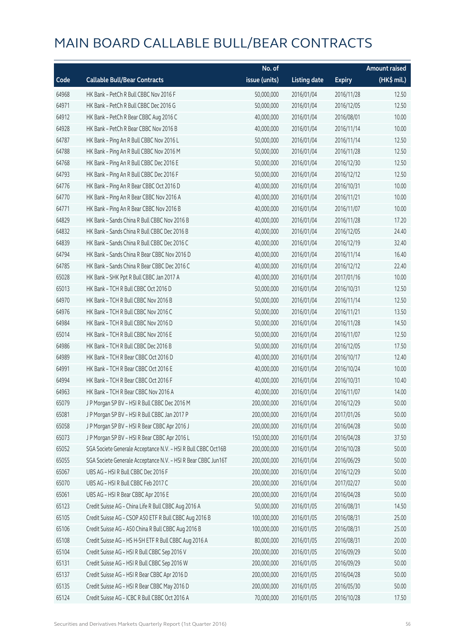|       |                                                               | No. of        |                     |               | <b>Amount raised</b> |
|-------|---------------------------------------------------------------|---------------|---------------------|---------------|----------------------|
| Code  | <b>Callable Bull/Bear Contracts</b>                           | issue (units) | <b>Listing date</b> | <b>Expiry</b> | (HK\$ mil.)          |
| 64968 | HK Bank - PetCh R Bull CBBC Nov 2016 F                        | 50,000,000    | 2016/01/04          | 2016/11/28    | 12.50                |
| 64971 | HK Bank - PetCh R Bull CBBC Dec 2016 G                        | 50,000,000    | 2016/01/04          | 2016/12/05    | 12.50                |
| 64912 | HK Bank - PetCh R Bear CBBC Aug 2016 C                        | 40,000,000    | 2016/01/04          | 2016/08/01    | 10.00                |
| 64928 | HK Bank - PetCh R Bear CBBC Nov 2016 B                        | 40,000,000    | 2016/01/04          | 2016/11/14    | 10.00                |
| 64787 | HK Bank - Ping An R Bull CBBC Nov 2016 L                      | 50,000,000    | 2016/01/04          | 2016/11/14    | 12.50                |
| 64788 | HK Bank - Ping An R Bull CBBC Nov 2016 M                      | 50,000,000    | 2016/01/04          | 2016/11/28    | 12.50                |
| 64768 | HK Bank - Ping An R Bull CBBC Dec 2016 E                      | 50,000,000    | 2016/01/04          | 2016/12/30    | 12.50                |
| 64793 | HK Bank - Ping An R Bull CBBC Dec 2016 F                      | 50,000,000    | 2016/01/04          | 2016/12/12    | 12.50                |
| 64776 | HK Bank - Ping An R Bear CBBC Oct 2016 D                      | 40,000,000    | 2016/01/04          | 2016/10/31    | 10.00                |
| 64770 | HK Bank - Ping An R Bear CBBC Nov 2016 A                      | 40,000,000    | 2016/01/04          | 2016/11/21    | 10.00                |
| 64771 | HK Bank - Ping An R Bear CBBC Nov 2016 B                      | 40,000,000    | 2016/01/04          | 2016/11/07    | 10.00                |
| 64829 | HK Bank - Sands China R Bull CBBC Nov 2016 B                  | 40,000,000    | 2016/01/04          | 2016/11/28    | 17.20                |
| 64832 | HK Bank - Sands China R Bull CBBC Dec 2016 B                  | 40,000,000    | 2016/01/04          | 2016/12/05    | 24.40                |
| 64839 | HK Bank - Sands China R Bull CBBC Dec 2016 C                  | 40,000,000    | 2016/01/04          | 2016/12/19    | 32.40                |
| 64794 | HK Bank - Sands China R Bear CBBC Nov 2016 D                  | 40,000,000    | 2016/01/04          | 2016/11/14    | 16.40                |
| 64785 | HK Bank - Sands China R Bear CBBC Dec 2016 C                  | 40,000,000    | 2016/01/04          | 2016/12/12    | 22.40                |
| 65028 | HK Bank - SHK Ppt R Bull CBBC Jan 2017 A                      | 40,000,000    | 2016/01/04          | 2017/01/16    | 10.00                |
| 65013 | HK Bank - TCH R Bull CBBC Oct 2016 D                          | 50,000,000    | 2016/01/04          | 2016/10/31    | 12.50                |
| 64970 | HK Bank - TCH R Bull CBBC Nov 2016 B                          | 50,000,000    | 2016/01/04          | 2016/11/14    | 12.50                |
| 64976 | HK Bank - TCH R Bull CBBC Nov 2016 C                          | 50,000,000    | 2016/01/04          | 2016/11/21    | 13.50                |
| 64984 | HK Bank - TCH R Bull CBBC Nov 2016 D                          | 50,000,000    | 2016/01/04          | 2016/11/28    | 14.50                |
| 65014 | HK Bank - TCH R Bull CBBC Nov 2016 E                          | 50,000,000    | 2016/01/04          | 2016/11/07    | 12.50                |
| 64986 | HK Bank - TCH R Bull CBBC Dec 2016 B                          | 50,000,000    | 2016/01/04          | 2016/12/05    | 17.50                |
| 64989 | HK Bank - TCH R Bear CBBC Oct 2016 D                          | 40,000,000    | 2016/01/04          | 2016/10/17    | 12.40                |
| 64991 | HK Bank - TCH R Bear CBBC Oct 2016 E                          | 40,000,000    | 2016/01/04          | 2016/10/24    | 10.00                |
| 64994 | HK Bank - TCH R Bear CBBC Oct 2016 F                          | 40,000,000    | 2016/01/04          | 2016/10/31    | 10.40                |
| 64963 | HK Bank - TCH R Bear CBBC Nov 2016 A                          | 40,000,000    | 2016/01/04          | 2016/11/07    | 14.00                |
| 65079 | J P Morgan SP BV - HSI R Bull CBBC Dec 2016 M                 | 200,000,000   | 2016/01/04          | 2016/12/29    | 50.00                |
| 65081 | J P Morgan SP BV - HSI R Bull CBBC Jan 2017 P                 | 200,000,000   | 2016/01/04          | 2017/01/26    | 50.00                |
| 65058 | J P Morgan SP BV - HSI R Bear CBBC Apr 2016 J                 | 200,000,000   | 2016/01/04          | 2016/04/28    | 50.00                |
| 65073 | J P Morgan SP BV - HSI R Bear CBBC Apr 2016 L                 | 150,000,000   | 2016/01/04          | 2016/04/28    | 37.50                |
| 65052 | SGA Societe Generale Acceptance N.V. - HSI R Bull CBBC Oct16B | 200,000,000   | 2016/01/04          | 2016/10/28    | 50.00                |
| 65055 | SGA Societe Generale Acceptance N.V. - HSI R Bear CBBC Jun16T | 200,000,000   | 2016/01/04          | 2016/06/29    | 50.00                |
| 65067 | UBS AG - HSI R Bull CBBC Dec 2016 F                           | 200,000,000   | 2016/01/04          | 2016/12/29    | 50.00                |
| 65070 | UBS AG - HSI R Bull CBBC Feb 2017 C                           | 200,000,000   | 2016/01/04          | 2017/02/27    | 50.00                |
| 65061 | UBS AG - HSI R Bear CBBC Apr 2016 E                           | 200,000,000   | 2016/01/04          | 2016/04/28    | 50.00                |
| 65123 | Credit Suisse AG - China Life R Bull CBBC Aug 2016 A          | 50,000,000    | 2016/01/05          | 2016/08/31    | 14.50                |
| 65105 | Credit Suisse AG - CSOP A50 ETF R Bull CBBC Aug 2016 B        | 100,000,000   | 2016/01/05          | 2016/08/31    | 25.00                |
| 65106 | Credit Suisse AG - A50 China R Bull CBBC Aug 2016 B           | 100,000,000   | 2016/01/05          | 2016/08/31    | 25.00                |
| 65108 | Credit Suisse AG - HS H-SH ETF R Bull CBBC Aug 2016 A         | 80,000,000    | 2016/01/05          | 2016/08/31    | 20.00                |
| 65104 | Credit Suisse AG - HSI R Bull CBBC Sep 2016 V                 | 200,000,000   | 2016/01/05          | 2016/09/29    | 50.00                |
| 65131 | Credit Suisse AG - HSI R Bull CBBC Sep 2016 W                 | 200,000,000   | 2016/01/05          | 2016/09/29    | 50.00                |
| 65137 | Credit Suisse AG - HSI R Bear CBBC Apr 2016 D                 | 200,000,000   | 2016/01/05          | 2016/04/28    | 50.00                |
| 65135 | Credit Suisse AG - HSI R Bear CBBC May 2016 D                 | 200,000,000   | 2016/01/05          | 2016/05/30    | 50.00                |
| 65124 | Credit Suisse AG - ICBC R Bull CBBC Oct 2016 A                | 70,000,000    | 2016/01/05          | 2016/10/28    | 17.50                |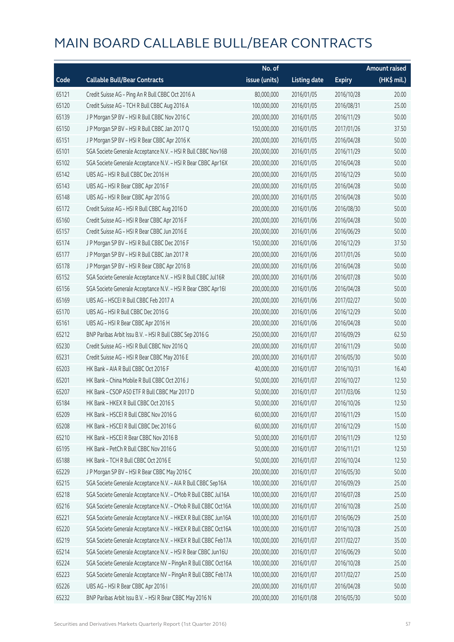|       |                                                                | No. of        |                     |               | <b>Amount raised</b>  |
|-------|----------------------------------------------------------------|---------------|---------------------|---------------|-----------------------|
| Code  | <b>Callable Bull/Bear Contracts</b>                            | issue (units) | <b>Listing date</b> | <b>Expiry</b> | $(HK\frac{1}{2}mil.)$ |
| 65121 | Credit Suisse AG - Ping An R Bull CBBC Oct 2016 A              | 80,000,000    | 2016/01/05          | 2016/10/28    | 20.00                 |
| 65120 | Credit Suisse AG - TCH R Bull CBBC Aug 2016 A                  | 100,000,000   | 2016/01/05          | 2016/08/31    | 25.00                 |
| 65139 | J P Morgan SP BV - HSI R Bull CBBC Nov 2016 C                  | 200,000,000   | 2016/01/05          | 2016/11/29    | 50.00                 |
| 65150 | J P Morgan SP BV - HSI R Bull CBBC Jan 2017 Q                  | 150,000,000   | 2016/01/05          | 2017/01/26    | 37.50                 |
| 65151 | J P Morgan SP BV - HSI R Bear CBBC Apr 2016 K                  | 200,000,000   | 2016/01/05          | 2016/04/28    | 50.00                 |
| 65101 | SGA Societe Generale Acceptance N.V. - HSI R Bull CBBC Nov16B  | 200,000,000   | 2016/01/05          | 2016/11/29    | 50.00                 |
| 65102 | SGA Societe Generale Acceptance N.V. - HSI R Bear CBBC Apr16X  | 200,000,000   | 2016/01/05          | 2016/04/28    | 50.00                 |
| 65142 | UBS AG - HSI R Bull CBBC Dec 2016 H                            | 200,000,000   | 2016/01/05          | 2016/12/29    | 50.00                 |
| 65143 | UBS AG - HSI R Bear CBBC Apr 2016 F                            | 200,000,000   | 2016/01/05          | 2016/04/28    | 50.00                 |
| 65148 | UBS AG - HSI R Bear CBBC Apr 2016 G                            | 200,000,000   | 2016/01/05          | 2016/04/28    | 50.00                 |
| 65172 | Credit Suisse AG - HSI R Bull CBBC Aug 2016 D                  | 200,000,000   | 2016/01/06          | 2016/08/30    | 50.00                 |
| 65160 | Credit Suisse AG - HSI R Bear CBBC Apr 2016 F                  | 200,000,000   | 2016/01/06          | 2016/04/28    | 50.00                 |
| 65157 | Credit Suisse AG - HSI R Bear CBBC Jun 2016 E                  | 200,000,000   | 2016/01/06          | 2016/06/29    | 50.00                 |
| 65174 | J P Morgan SP BV - HSI R Bull CBBC Dec 2016 F                  | 150,000,000   | 2016/01/06          | 2016/12/29    | 37.50                 |
| 65177 | J P Morgan SP BV - HSI R Bull CBBC Jan 2017 R                  | 200,000,000   | 2016/01/06          | 2017/01/26    | 50.00                 |
| 65178 | J P Morgan SP BV - HSI R Bear CBBC Apr 2016 B                  | 200,000,000   | 2016/01/06          | 2016/04/28    | 50.00                 |
| 65152 | SGA Societe Generale Acceptance N.V. - HSI R Bull CBBC Jul16R  | 200,000,000   | 2016/01/06          | 2016/07/28    | 50.00                 |
| 65156 | SGA Societe Generale Acceptance N.V. - HSI R Bear CBBC Apr161  | 200,000,000   | 2016/01/06          | 2016/04/28    | 50.00                 |
| 65169 | UBS AG - HSCEI R Bull CBBC Feb 2017 A                          | 200,000,000   | 2016/01/06          | 2017/02/27    | 50.00                 |
| 65170 | UBS AG - HSI R Bull CBBC Dec 2016 G                            | 200,000,000   | 2016/01/06          | 2016/12/29    | 50.00                 |
| 65161 | UBS AG - HSI R Bear CBBC Apr 2016 H                            | 200,000,000   | 2016/01/06          | 2016/04/28    | 50.00                 |
| 65212 | BNP Paribas Arbit Issu B.V. - HSI R Bull CBBC Sep 2016 G       | 250,000,000   | 2016/01/07          | 2016/09/29    | 62.50                 |
| 65230 | Credit Suisse AG - HSI R Bull CBBC Nov 2016 Q                  | 200,000,000   | 2016/01/07          | 2016/11/29    | 50.00                 |
| 65231 | Credit Suisse AG - HSI R Bear CBBC May 2016 E                  | 200,000,000   | 2016/01/07          | 2016/05/30    | 50.00                 |
| 65203 | HK Bank - AIA R Bull CBBC Oct 2016 F                           | 40,000,000    | 2016/01/07          | 2016/10/31    | 16.40                 |
| 65201 | HK Bank - China Mobile R Bull CBBC Oct 2016 J                  | 50,000,000    | 2016/01/07          | 2016/10/27    | 12.50                 |
| 65207 | HK Bank - CSOP A50 ETF R Bull CBBC Mar 2017 D                  | 50,000,000    | 2016/01/07          | 2017/03/06    | 12.50                 |
| 65184 | HK Bank - HKEX R Bull CBBC Oct 2016 S                          | 50,000,000    | 2016/01/07          | 2016/10/26    | 12.50                 |
| 65209 | HK Bank - HSCEI R Bull CBBC Nov 2016 G                         | 60,000,000    | 2016/01/07          | 2016/11/29    | 15.00                 |
| 65208 | HK Bank - HSCEI R Bull CBBC Dec 2016 G                         | 60,000,000    | 2016/01/07          | 2016/12/29    | 15.00                 |
| 65210 | HK Bank - HSCEI R Bear CBBC Nov 2016 B                         | 50,000,000    | 2016/01/07          | 2016/11/29    | 12.50                 |
| 65195 | HK Bank - PetCh R Bull CBBC Nov 2016 G                         | 50,000,000    | 2016/01/07          | 2016/11/21    | 12.50                 |
| 65188 | HK Bank - TCH R Bull CBBC Oct 2016 E                           | 50,000,000    | 2016/01/07          | 2016/10/24    | 12.50                 |
| 65229 | J P Morgan SP BV - HSI R Bear CBBC May 2016 C                  | 200,000,000   | 2016/01/07          | 2016/05/30    | 50.00                 |
| 65215 | SGA Societe Generale Acceptance N.V. - AIA R Bull CBBC Sep16A  | 100,000,000   | 2016/01/07          | 2016/09/29    | 25.00                 |
| 65218 | SGA Societe Generale Acceptance N.V. - CMob R Bull CBBC Jul16A | 100,000,000   | 2016/01/07          | 2016/07/28    | 25.00                 |
| 65216 | SGA Societe Generale Acceptance N.V. - CMob R Bull CBBC Oct16A | 100,000,000   | 2016/01/07          | 2016/10/28    | 25.00                 |
| 65221 | SGA Societe Generale Acceptance N.V. - HKEX R Bull CBBC Jun16A | 100,000,000   | 2016/01/07          | 2016/06/29    | 25.00                 |
| 65220 | SGA Societe Generale Acceptance N.V. - HKEX R Bull CBBC Oct16A | 100,000,000   | 2016/01/07          | 2016/10/28    | 25.00                 |
| 65219 | SGA Societe Generale Acceptance N.V. - HKEX R Bull CBBC Feb17A | 100,000,000   | 2016/01/07          | 2017/02/27    | 35.00                 |
| 65214 | SGA Societe Generale Acceptance N.V. - HSI R Bear CBBC Jun16U  | 200,000,000   | 2016/01/07          | 2016/06/29    | 50.00                 |
| 65224 | SGA Societe Generale Acceptance NV - PingAn R Bull CBBC Oct16A | 100,000,000   | 2016/01/07          | 2016/10/28    | 25.00                 |
| 65223 | SGA Societe Generale Acceptance NV - PingAn R Bull CBBC Feb17A | 100,000,000   | 2016/01/07          | 2017/02/27    | 25.00                 |
| 65226 | UBS AG - HSI R Bear CBBC Apr 2016 I                            | 200,000,000   | 2016/01/07          | 2016/04/28    | 50.00                 |
| 65232 | BNP Paribas Arbit Issu B.V. - HSI R Bear CBBC May 2016 N       | 200,000,000   | 2016/01/08          | 2016/05/30    | 50.00                 |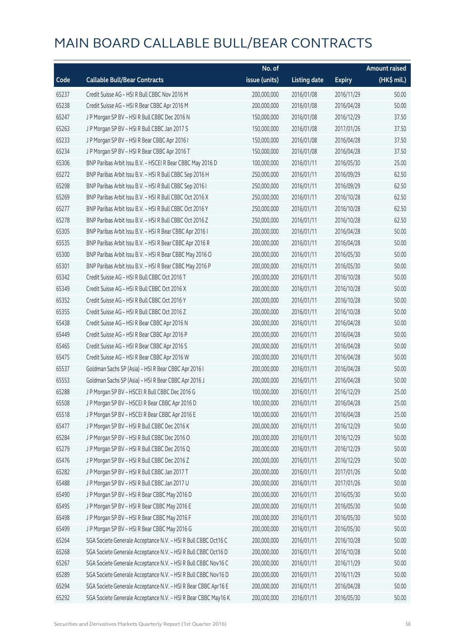|       |                                                                | No. of        |                     |               | <b>Amount raised</b>  |
|-------|----------------------------------------------------------------|---------------|---------------------|---------------|-----------------------|
| Code  | <b>Callable Bull/Bear Contracts</b>                            | issue (units) | <b>Listing date</b> | <b>Expiry</b> | $(HK\frac{1}{2}mil.)$ |
| 65237 | Credit Suisse AG - HSI R Bull CBBC Nov 2016 M                  | 200,000,000   | 2016/01/08          | 2016/11/29    | 50.00                 |
| 65238 | Credit Suisse AG - HSI R Bear CBBC Apr 2016 M                  | 200,000,000   | 2016/01/08          | 2016/04/28    | 50.00                 |
| 65247 | J P Morgan SP BV - HSI R Bull CBBC Dec 2016 N                  | 150,000,000   | 2016/01/08          | 2016/12/29    | 37.50                 |
| 65263 | JP Morgan SP BV - HSIR Bull CBBC Jan 2017 S                    | 150,000,000   | 2016/01/08          | 2017/01/26    | 37.50                 |
| 65233 | J P Morgan SP BV - HSI R Bear CBBC Apr 2016 I                  | 150,000,000   | 2016/01/08          | 2016/04/28    | 37.50                 |
| 65234 | J P Morgan SP BV - HSI R Bear CBBC Apr 2016 T                  | 150,000,000   | 2016/01/08          | 2016/04/28    | 37.50                 |
| 65306 | BNP Paribas Arbit Issu B.V. - HSCEI R Bear CBBC May 2016 D     | 100,000,000   | 2016/01/11          | 2016/05/30    | 25.00                 |
| 65272 | BNP Paribas Arbit Issu B.V. - HSI R Bull CBBC Sep 2016 H       | 250,000,000   | 2016/01/11          | 2016/09/29    | 62.50                 |
| 65298 | BNP Paribas Arbit Issu B.V. - HSI R Bull CBBC Sep 2016 I       | 250,000,000   | 2016/01/11          | 2016/09/29    | 62.50                 |
| 65269 | BNP Paribas Arbit Issu B.V. - HSI R Bull CBBC Oct 2016 X       | 250,000,000   | 2016/01/11          | 2016/10/28    | 62.50                 |
| 65277 | BNP Paribas Arbit Issu B.V. - HSI R Bull CBBC Oct 2016 Y       | 250,000,000   | 2016/01/11          | 2016/10/28    | 62.50                 |
| 65278 | BNP Paribas Arbit Issu B.V. - HSI R Bull CBBC Oct 2016 Z       | 250,000,000   | 2016/01/11          | 2016/10/28    | 62.50                 |
| 65305 | BNP Paribas Arbit Issu B.V. - HSI R Bear CBBC Apr 2016 I       | 200,000,000   | 2016/01/11          | 2016/04/28    | 50.00                 |
| 65535 | BNP Paribas Arbit Issu B.V. - HSI R Bear CBBC Apr 2016 R       | 200,000,000   | 2016/01/11          | 2016/04/28    | 50.00                 |
| 65300 | BNP Paribas Arbit Issu B.V. - HSI R Bear CBBC May 2016 O       | 200,000,000   | 2016/01/11          | 2016/05/30    | 50.00                 |
| 65301 | BNP Paribas Arbit Issu B.V. - HSI R Bear CBBC May 2016 P       | 200,000,000   | 2016/01/11          | 2016/05/30    | 50.00                 |
| 65342 | Credit Suisse AG - HSI R Bull CBBC Oct 2016 T                  | 200,000,000   | 2016/01/11          | 2016/10/28    | 50.00                 |
| 65349 | Credit Suisse AG - HSI R Bull CBBC Oct 2016 X                  | 200,000,000   | 2016/01/11          | 2016/10/28    | 50.00                 |
| 65352 | Credit Suisse AG - HSI R Bull CBBC Oct 2016 Y                  | 200,000,000   | 2016/01/11          | 2016/10/28    | 50.00                 |
| 65355 | Credit Suisse AG - HSI R Bull CBBC Oct 2016 Z                  | 200,000,000   | 2016/01/11          | 2016/10/28    | 50.00                 |
| 65438 | Credit Suisse AG - HSI R Bear CBBC Apr 2016 N                  | 200,000,000   | 2016/01/11          | 2016/04/28    | 50.00                 |
| 65449 | Credit Suisse AG - HSI R Bear CBBC Apr 2016 P                  | 200,000,000   | 2016/01/11          | 2016/04/28    | 50.00                 |
| 65465 | Credit Suisse AG - HSI R Bear CBBC Apr 2016 S                  | 200,000,000   | 2016/01/11          | 2016/04/28    | 50.00                 |
| 65475 | Credit Suisse AG - HSI R Bear CBBC Apr 2016 W                  | 200,000,000   | 2016/01/11          | 2016/04/28    | 50.00                 |
| 65537 | Goldman Sachs SP (Asia) - HSI R Bear CBBC Apr 2016 I           | 200,000,000   | 2016/01/11          | 2016/04/28    | 50.00                 |
| 65553 | Goldman Sachs SP (Asia) - HSI R Bear CBBC Apr 2016 J           | 200,000,000   | 2016/01/11          | 2016/04/28    | 50.00                 |
| 65288 | J P Morgan SP BV - HSCEI R Bull CBBC Dec 2016 G                | 100,000,000   | 2016/01/11          | 2016/12/29    | 25.00                 |
| 65508 | J P Morgan SP BV - HSCEI R Bear CBBC Apr 2016 D                | 100,000,000   | 2016/01/11          | 2016/04/28    | 25.00                 |
| 65518 | J P Morgan SP BV - HSCEI R Bear CBBC Apr 2016 E                | 100,000,000   | 2016/01/11          | 2016/04/28    | 25.00                 |
| 65477 | J P Morgan SP BV - HSI R Bull CBBC Dec 2016 K                  | 200,000,000   | 2016/01/11          | 2016/12/29    | 50.00                 |
| 65284 | J P Morgan SP BV - HSI R Bull CBBC Dec 2016 O                  | 200,000,000   | 2016/01/11          | 2016/12/29    | 50.00                 |
| 65279 | J P Morgan SP BV - HSI R Bull CBBC Dec 2016 Q                  | 200,000,000   | 2016/01/11          | 2016/12/29    | 50.00                 |
| 65476 | J P Morgan SP BV - HSI R Bull CBBC Dec 2016 Z                  | 200,000,000   | 2016/01/11          | 2016/12/29    | 50.00                 |
| 65282 | J P Morgan SP BV - HSI R Bull CBBC Jan 2017 T                  | 200,000,000   | 2016/01/11          | 2017/01/26    | 50.00                 |
| 65488 | J P Morgan SP BV - HSI R Bull CBBC Jan 2017 U                  | 200,000,000   | 2016/01/11          | 2017/01/26    | 50.00                 |
| 65490 | J P Morgan SP BV - HSI R Bear CBBC May 2016 D                  | 200,000,000   | 2016/01/11          | 2016/05/30    | 50.00                 |
| 65495 | J P Morgan SP BV - HSI R Bear CBBC May 2016 E                  | 200,000,000   | 2016/01/11          | 2016/05/30    | 50.00                 |
| 65498 | J P Morgan SP BV - HSI R Bear CBBC May 2016 F                  | 200,000,000   | 2016/01/11          | 2016/05/30    | 50.00                 |
| 65499 | J P Morgan SP BV - HSI R Bear CBBC May 2016 G                  | 200,000,000   | 2016/01/11          | 2016/05/30    | 50.00                 |
| 65264 | SGA Societe Generale Acceptance N.V. - HSI R Bull CBBC Oct16 C | 200,000,000   | 2016/01/11          | 2016/10/28    | 50.00                 |
| 65268 | SGA Societe Generale Acceptance N.V. - HSI R Bull CBBC Oct16 D | 200,000,000   | 2016/01/11          | 2016/10/28    | 50.00                 |
| 65267 | SGA Societe Generale Acceptance N.V. - HSI R Bull CBBC Nov16 C | 200,000,000   | 2016/01/11          | 2016/11/29    | 50.00                 |
| 65289 | SGA Societe Generale Acceptance N.V. - HSI R Bull CBBC Nov16 D | 200,000,000   | 2016/01/11          | 2016/11/29    | 50.00                 |
| 65294 | SGA Societe Generale Acceptance N.V. - HSI R Bear CBBC Apr16 E | 200,000,000   | 2016/01/11          | 2016/04/28    | 50.00                 |
| 65292 | SGA Societe Generale Acceptance N.V. - HSI R Bear CBBC May16 K | 200,000,000   | 2016/01/11          | 2016/05/30    | 50.00                 |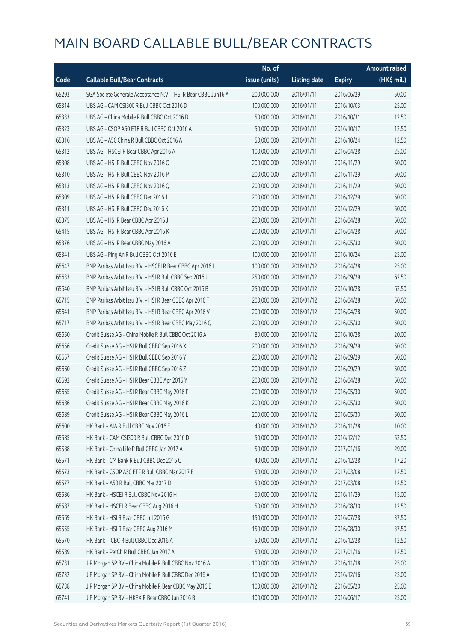|       |                                                                | No. of        |                     |               | <b>Amount raised</b>  |
|-------|----------------------------------------------------------------|---------------|---------------------|---------------|-----------------------|
| Code  | <b>Callable Bull/Bear Contracts</b>                            | issue (units) | <b>Listing date</b> | <b>Expiry</b> | $(HK\frac{1}{2}mil.)$ |
| 65293 | SGA Societe Generale Acceptance N.V. - HSI R Bear CBBC Jun16 A | 200,000,000   | 2016/01/11          | 2016/06/29    | 50.00                 |
| 65314 | UBS AG - CAM CSI300 R Bull CBBC Oct 2016 D                     | 100,000,000   | 2016/01/11          | 2016/10/03    | 25.00                 |
| 65333 | UBS AG - China Mobile R Bull CBBC Oct 2016 D                   | 50,000,000    | 2016/01/11          | 2016/10/31    | 12.50                 |
| 65323 | UBS AG - CSOP A50 ETF R Bull CBBC Oct 2016 A                   | 50,000,000    | 2016/01/11          | 2016/10/17    | 12.50                 |
| 65316 | UBS AG - A50 China R Bull CBBC Oct 2016 A                      | 50,000,000    | 2016/01/11          | 2016/10/24    | 12.50                 |
| 65312 | UBS AG - HSCEI R Bear CBBC Apr 2016 A                          | 100,000,000   | 2016/01/11          | 2016/04/28    | 25.00                 |
| 65308 | UBS AG - HSI R Bull CBBC Nov 2016 O                            | 200,000,000   | 2016/01/11          | 2016/11/29    | 50.00                 |
| 65310 | UBS AG - HSI R Bull CBBC Nov 2016 P                            | 200,000,000   | 2016/01/11          | 2016/11/29    | 50.00                 |
| 65313 | UBS AG - HSI R Bull CBBC Nov 2016 Q                            | 200,000,000   | 2016/01/11          | 2016/11/29    | 50.00                 |
| 65309 | UBS AG - HSI R Bull CBBC Dec 2016 J                            | 200,000,000   | 2016/01/11          | 2016/12/29    | 50.00                 |
| 65311 | UBS AG - HSI R Bull CBBC Dec 2016 K                            | 200,000,000   | 2016/01/11          | 2016/12/29    | 50.00                 |
| 65375 | UBS AG - HSI R Bear CBBC Apr 2016 J                            | 200,000,000   | 2016/01/11          | 2016/04/28    | 50.00                 |
| 65415 | UBS AG - HSI R Bear CBBC Apr 2016 K                            | 200,000,000   | 2016/01/11          | 2016/04/28    | 50.00                 |
| 65376 | UBS AG - HSI R Bear CBBC May 2016 A                            | 200,000,000   | 2016/01/11          | 2016/05/30    | 50.00                 |
| 65341 | UBS AG - Ping An R Bull CBBC Oct 2016 E                        | 100,000,000   | 2016/01/11          | 2016/10/24    | 25.00                 |
| 65647 | BNP Paribas Arbit Issu B.V. - HSCEI R Bear CBBC Apr 2016 L     | 100,000,000   | 2016/01/12          | 2016/04/28    | 25.00                 |
| 65633 | BNP Paribas Arbit Issu B.V. - HSI R Bull CBBC Sep 2016 J       | 250,000,000   | 2016/01/12          | 2016/09/29    | 62.50                 |
| 65640 | BNP Paribas Arbit Issu B.V. - HSI R Bull CBBC Oct 2016 B       | 250,000,000   | 2016/01/12          | 2016/10/28    | 62.50                 |
| 65715 | BNP Paribas Arbit Issu B.V. - HSI R Bear CBBC Apr 2016 T       | 200,000,000   | 2016/01/12          | 2016/04/28    | 50.00                 |
| 65641 | BNP Paribas Arbit Issu B.V. - HSI R Bear CBBC Apr 2016 V       | 200,000,000   | 2016/01/12          | 2016/04/28    | 50.00                 |
| 65717 | BNP Paribas Arbit Issu B.V. - HSI R Bear CBBC May 2016 Q       | 200,000,000   | 2016/01/12          | 2016/05/30    | 50.00                 |
| 65650 | Credit Suisse AG - China Mobile R Bull CBBC Oct 2016 A         | 80,000,000    | 2016/01/12          | 2016/10/28    | 20.00                 |
| 65656 | Credit Suisse AG - HSI R Bull CBBC Sep 2016 X                  | 200,000,000   | 2016/01/12          | 2016/09/29    | 50.00                 |
| 65657 | Credit Suisse AG - HSI R Bull CBBC Sep 2016 Y                  | 200,000,000   | 2016/01/12          | 2016/09/29    | 50.00                 |
| 65660 | Credit Suisse AG - HSI R Bull CBBC Sep 2016 Z                  | 200,000,000   | 2016/01/12          | 2016/09/29    | 50.00                 |
| 65692 | Credit Suisse AG - HSI R Bear CBBC Apr 2016 Y                  | 200,000,000   | 2016/01/12          | 2016/04/28    | 50.00                 |
| 65665 | Credit Suisse AG - HSI R Bear CBBC May 2016 F                  | 200,000,000   | 2016/01/12          | 2016/05/30    | 50.00                 |
| 65686 | Credit Suisse AG - HSI R Bear CBBC May 2016 K                  | 200,000,000   | 2016/01/12          | 2016/05/30    | 50.00                 |
| 65689 | Credit Suisse AG - HSI R Bear CBBC May 2016 L                  | 200,000,000   | 2016/01/12          | 2016/05/30    | 50.00                 |
| 65600 | HK Bank - AIA R Bull CBBC Nov 2016 E                           | 40,000,000    | 2016/01/12          | 2016/11/28    | 10.00                 |
| 65585 | HK Bank - CAM CSI300 R Bull CBBC Dec 2016 D                    | 50,000,000    | 2016/01/12          | 2016/12/12    | 52.50                 |
| 65588 | HK Bank - China Life R Bull CBBC Jan 2017 A                    | 50,000,000    | 2016/01/12          | 2017/01/16    | 29.00                 |
| 65571 | HK Bank - CM Bank R Bull CBBC Dec 2016 C                       | 40,000,000    | 2016/01/12          | 2016/12/28    | 17.20                 |
| 65573 | HK Bank - CSOP A50 ETF R Bull CBBC Mar 2017 E                  | 50,000,000    | 2016/01/12          | 2017/03/08    | 12.50                 |
| 65577 | HK Bank - A50 R Bull CBBC Mar 2017 D                           | 50,000,000    | 2016/01/12          | 2017/03/08    | 12.50                 |
| 65586 | HK Bank - HSCEI R Bull CBBC Nov 2016 H                         | 60,000,000    | 2016/01/12          | 2016/11/29    | 15.00                 |
| 65587 | HK Bank - HSCEI R Bear CBBC Aug 2016 H                         | 50,000,000    | 2016/01/12          | 2016/08/30    | 12.50                 |
| 65569 | HK Bank - HSI R Bear CBBC Jul 2016 G                           | 150,000,000   | 2016/01/12          | 2016/07/28    | 37.50                 |
| 65555 | HK Bank - HSI R Bear CBBC Aug 2016 M                           | 150,000,000   | 2016/01/12          | 2016/08/30    | 37.50                 |
| 65570 | HK Bank - ICBC R Bull CBBC Dec 2016 A                          | 50,000,000    | 2016/01/12          | 2016/12/28    | 12.50                 |
| 65589 | HK Bank - PetCh R Bull CBBC Jan 2017 A                         | 50,000,000    | 2016/01/12          | 2017/01/16    | 12.50                 |
| 65731 | J P Morgan SP BV - China Mobile R Bull CBBC Nov 2016 A         | 100,000,000   | 2016/01/12          | 2016/11/18    | 25.00                 |
| 65732 | J P Morgan SP BV - China Mobile R Bull CBBC Dec 2016 A         | 100,000,000   | 2016/01/12          | 2016/12/16    | 25.00                 |
| 65738 | J P Morgan SP BV - China Mobile R Bear CBBC May 2016 B         | 100,000,000   | 2016/01/12          | 2016/05/20    | 25.00                 |
| 65741 | J P Morgan SP BV - HKEX R Bear CBBC Jun 2016 B                 | 100,000,000   | 2016/01/12          | 2016/06/17    | 25.00                 |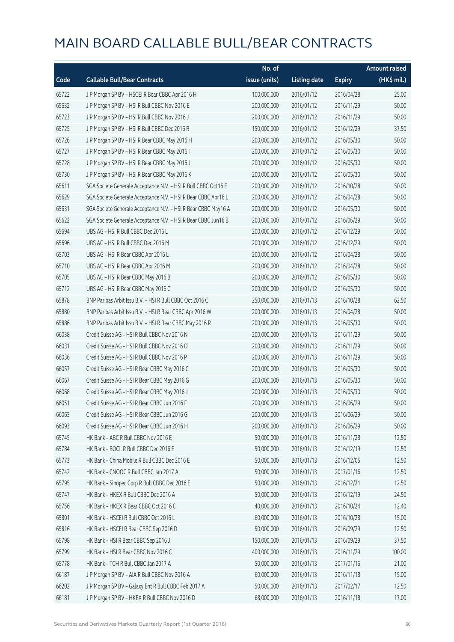|       |                                                                | No. of        |                     |               | Amount raised |
|-------|----------------------------------------------------------------|---------------|---------------------|---------------|---------------|
| Code  | <b>Callable Bull/Bear Contracts</b>                            | issue (units) | <b>Listing date</b> | <b>Expiry</b> | $(HK$$ mil.)  |
| 65722 | J P Morgan SP BV - HSCEI R Bear CBBC Apr 2016 H                | 100,000,000   | 2016/01/12          | 2016/04/28    | 25.00         |
| 65632 | J P Morgan SP BV - HSI R Bull CBBC Nov 2016 E                  | 200,000,000   | 2016/01/12          | 2016/11/29    | 50.00         |
| 65723 | J P Morgan SP BV - HSI R Bull CBBC Nov 2016 J                  | 200,000,000   | 2016/01/12          | 2016/11/29    | 50.00         |
| 65725 | J P Morgan SP BV - HSI R Bull CBBC Dec 2016 R                  | 150,000,000   | 2016/01/12          | 2016/12/29    | 37.50         |
| 65726 | J P Morgan SP BV - HSI R Bear CBBC May 2016 H                  | 200,000,000   | 2016/01/12          | 2016/05/30    | 50.00         |
| 65727 | J P Morgan SP BV - HSI R Bear CBBC May 2016 I                  | 200,000,000   | 2016/01/12          | 2016/05/30    | 50.00         |
| 65728 | J P Morgan SP BV - HSI R Bear CBBC May 2016 J                  | 200,000,000   | 2016/01/12          | 2016/05/30    | 50.00         |
| 65730 | J P Morgan SP BV - HSI R Bear CBBC May 2016 K                  | 200,000,000   | 2016/01/12          | 2016/05/30    | 50.00         |
| 65611 | SGA Societe Generale Acceptance N.V. - HSI R Bull CBBC Oct16 E | 200,000,000   | 2016/01/12          | 2016/10/28    | 50.00         |
| 65629 | SGA Societe Generale Acceptance N.V. - HSI R Bear CBBC Apr16 L | 200,000,000   | 2016/01/12          | 2016/04/28    | 50.00         |
| 65631 | SGA Societe Generale Acceptance N.V. - HSI R Bear CBBC May16 A | 200,000,000   | 2016/01/12          | 2016/05/30    | 50.00         |
| 65622 | SGA Societe Generale Acceptance N.V. - HSI R Bear CBBC Jun16 B | 200,000,000   | 2016/01/12          | 2016/06/29    | 50.00         |
| 65694 | UBS AG - HSI R Bull CBBC Dec 2016 L                            | 200,000,000   | 2016/01/12          | 2016/12/29    | 50.00         |
| 65696 | UBS AG - HSI R Bull CBBC Dec 2016 M                            | 200,000,000   | 2016/01/12          | 2016/12/29    | 50.00         |
| 65703 | UBS AG - HSI R Bear CBBC Apr 2016 L                            | 200,000,000   | 2016/01/12          | 2016/04/28    | 50.00         |
| 65710 | UBS AG - HSI R Bear CBBC Apr 2016 M                            | 200,000,000   | 2016/01/12          | 2016/04/28    | 50.00         |
| 65705 | UBS AG - HSI R Bear CBBC May 2016 B                            | 200,000,000   | 2016/01/12          | 2016/05/30    | 50.00         |
| 65712 | UBS AG - HSI R Bear CBBC May 2016 C                            | 200,000,000   | 2016/01/12          | 2016/05/30    | 50.00         |
| 65878 | BNP Paribas Arbit Issu B.V. - HSI R Bull CBBC Oct 2016 C       | 250,000,000   | 2016/01/13          | 2016/10/28    | 62.50         |
| 65880 | BNP Paribas Arbit Issu B.V. - HSI R Bear CBBC Apr 2016 W       | 200,000,000   | 2016/01/13          | 2016/04/28    | 50.00         |
| 65886 | BNP Paribas Arbit Issu B.V. - HSI R Bear CBBC May 2016 R       | 200,000,000   | 2016/01/13          | 2016/05/30    | 50.00         |
| 66038 | Credit Suisse AG - HSI R Bull CBBC Nov 2016 N                  | 200,000,000   | 2016/01/13          | 2016/11/29    | 50.00         |
| 66031 | Credit Suisse AG - HSI R Bull CBBC Nov 2016 O                  | 200,000,000   | 2016/01/13          | 2016/11/29    | 50.00         |
| 66036 | Credit Suisse AG - HSI R Bull CBBC Nov 2016 P                  | 200,000,000   | 2016/01/13          | 2016/11/29    | 50.00         |
| 66057 | Credit Suisse AG - HSI R Bear CBBC May 2016 C                  | 200,000,000   | 2016/01/13          | 2016/05/30    | 50.00         |
| 66067 | Credit Suisse AG - HSI R Bear CBBC May 2016 G                  | 200,000,000   | 2016/01/13          | 2016/05/30    | 50.00         |
| 66068 | Credit Suisse AG - HSI R Bear CBBC May 2016 J                  | 200,000,000   | 2016/01/13          | 2016/05/30    | 50.00         |
| 66051 | Credit Suisse AG - HSI R Bear CBBC Jun 2016 F                  | 200,000,000   | 2016/01/13          | 2016/06/29    | 50.00         |
| 66063 | Credit Suisse AG - HSI R Bear CBBC Jun 2016 G                  | 200,000,000   | 2016/01/13          | 2016/06/29    | 50.00         |
| 66093 | Credit Suisse AG - HSI R Bear CBBC Jun 2016 H                  | 200,000,000   | 2016/01/13          | 2016/06/29    | 50.00         |
| 65745 | HK Bank - ABC R Bull CBBC Nov 2016 E                           | 50,000,000    | 2016/01/13          | 2016/11/28    | 12.50         |
| 65784 | HK Bank - BOCL R Bull CBBC Dec 2016 E                          | 50,000,000    | 2016/01/13          | 2016/12/19    | 12.50         |
| 65773 | HK Bank - China Mobile R Bull CBBC Dec 2016 E                  | 50,000,000    | 2016/01/13          | 2016/12/05    | 12.50         |
| 65742 | HK Bank - CNOOC R Bull CBBC Jan 2017 A                         | 50,000,000    | 2016/01/13          | 2017/01/16    | 12.50         |
| 65795 | HK Bank - Sinopec Corp R Bull CBBC Dec 2016 E                  | 50,000,000    | 2016/01/13          | 2016/12/21    | 12.50         |
| 65747 | HK Bank - HKEX R Bull CBBC Dec 2016 A                          | 50,000,000    | 2016/01/13          | 2016/12/19    | 24.50         |
| 65756 | HK Bank - HKEX R Bear CBBC Oct 2016 C                          | 40,000,000    | 2016/01/13          | 2016/10/24    | 12.40         |
| 65801 | HK Bank - HSCEI R Bull CBBC Oct 2016 L                         | 60,000,000    | 2016/01/13          | 2016/10/28    | 15.00         |
| 65816 | HK Bank - HSCEI R Bear CBBC Sep 2016 D                         | 50,000,000    | 2016/01/13          | 2016/09/29    | 12.50         |
| 65798 | HK Bank - HSI R Bear CBBC Sep 2016 J                           | 150,000,000   | 2016/01/13          | 2016/09/29    | 37.50         |
| 65799 | HK Bank - HSI R Bear CBBC Nov 2016 C                           | 400,000,000   | 2016/01/13          | 2016/11/29    | 100.00        |
| 65778 | HK Bank - TCH R Bull CBBC Jan 2017 A                           | 50,000,000    | 2016/01/13          | 2017/01/16    | 21.00         |
| 66187 | J P Morgan SP BV - AIA R Bull CBBC Nov 2016 A                  | 60,000,000    | 2016/01/13          | 2016/11/18    | 15.00         |
| 66202 | J P Morgan SP BV - Galaxy Ent R Bull CBBC Feb 2017 A           | 50,000,000    | 2016/01/13          | 2017/02/17    | 12.50         |
| 66181 | J P Morgan SP BV - HKEX R Bull CBBC Nov 2016 D                 | 68,000,000    | 2016/01/13          | 2016/11/18    | 17.00         |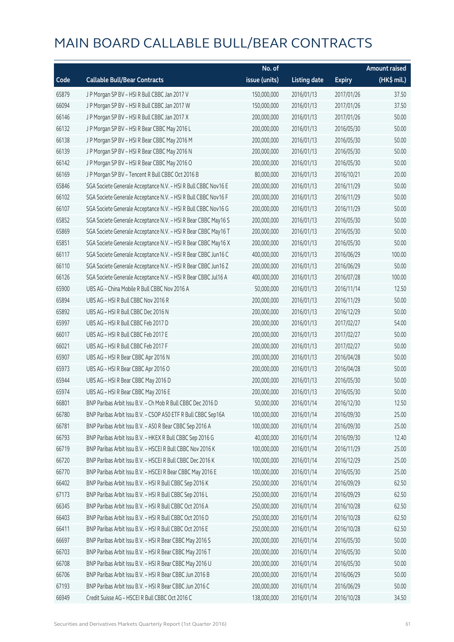|       |                                                                | No. of        |                     |               | <b>Amount raised</b> |
|-------|----------------------------------------------------------------|---------------|---------------------|---------------|----------------------|
| Code  | <b>Callable Bull/Bear Contracts</b>                            | issue (units) | <b>Listing date</b> | <b>Expiry</b> | $(HK\$ mil.)         |
| 65879 | J P Morgan SP BV - HSI R Bull CBBC Jan 2017 V                  | 150,000,000   | 2016/01/13          | 2017/01/26    | 37.50                |
| 66094 | J P Morgan SP BV - HSI R Bull CBBC Jan 2017 W                  | 150,000,000   | 2016/01/13          | 2017/01/26    | 37.50                |
| 66146 | J P Morgan SP BV - HSI R Bull CBBC Jan 2017 X                  | 200,000,000   | 2016/01/13          | 2017/01/26    | 50.00                |
| 66132 | J P Morgan SP BV - HSI R Bear CBBC May 2016 L                  | 200,000,000   | 2016/01/13          | 2016/05/30    | 50.00                |
| 66138 | J P Morgan SP BV - HSI R Bear CBBC May 2016 M                  | 200,000,000   | 2016/01/13          | 2016/05/30    | 50.00                |
| 66139 | J P Morgan SP BV - HSI R Bear CBBC May 2016 N                  | 200,000,000   | 2016/01/13          | 2016/05/30    | 50.00                |
| 66142 | J P Morgan SP BV - HSI R Bear CBBC May 2016 O                  | 200,000,000   | 2016/01/13          | 2016/05/30    | 50.00                |
| 66169 | JP Morgan SP BV - Tencent R Bull CBBC Oct 2016 B               | 80,000,000    | 2016/01/13          | 2016/10/21    | 20.00                |
| 65846 | SGA Societe Generale Acceptance N.V. - HSI R Bull CBBC Nov16 E | 200,000,000   | 2016/01/13          | 2016/11/29    | 50.00                |
| 66102 | SGA Societe Generale Acceptance N.V. - HSI R Bull CBBC Nov16 F | 200,000,000   | 2016/01/13          | 2016/11/29    | 50.00                |
| 66107 | SGA Societe Generale Acceptance N.V. - HSI R Bull CBBC Nov16 G | 200,000,000   | 2016/01/13          | 2016/11/29    | 50.00                |
| 65852 | SGA Societe Generale Acceptance N.V. - HSI R Bear CBBC May16 S | 200,000,000   | 2016/01/13          | 2016/05/30    | 50.00                |
| 65869 | SGA Societe Generale Acceptance N.V. - HSI R Bear CBBC May16 T | 200,000,000   | 2016/01/13          | 2016/05/30    | 50.00                |
| 65851 | SGA Societe Generale Acceptance N.V. - HSI R Bear CBBC May16 X | 200,000,000   | 2016/01/13          | 2016/05/30    | 50.00                |
| 66117 | SGA Societe Generale Acceptance N.V. - HSI R Bear CBBC Jun16 C | 400,000,000   | 2016/01/13          | 2016/06/29    | 100.00               |
| 66110 | SGA Societe Generale Acceptance N.V. - HSI R Bear CBBC Jun16 Z | 200,000,000   | 2016/01/13          | 2016/06/29    | 50.00                |
| 66126 | SGA Societe Generale Acceptance N.V. - HSI R Bear CBBC Jul16 A | 400,000,000   | 2016/01/13          | 2016/07/28    | 100.00               |
| 65900 | UBS AG - China Mobile R Bull CBBC Nov 2016 A                   | 50,000,000    | 2016/01/13          | 2016/11/14    | 12.50                |
| 65894 | UBS AG - HSI R Bull CBBC Nov 2016 R                            | 200,000,000   | 2016/01/13          | 2016/11/29    | 50.00                |
| 65892 | UBS AG - HSI R Bull CBBC Dec 2016 N                            | 200,000,000   | 2016/01/13          | 2016/12/29    | 50.00                |
| 65997 | UBS AG - HSI R Bull CBBC Feb 2017 D                            | 200,000,000   | 2016/01/13          | 2017/02/27    | 54.00                |
| 66017 | UBS AG - HSI R Bull CBBC Feb 2017 E                            | 200,000,000   | 2016/01/13          | 2017/02/27    | 50.00                |
| 66021 | UBS AG - HSI R Bull CBBC Feb 2017 F                            | 200,000,000   | 2016/01/13          | 2017/02/27    | 50.00                |
| 65907 | UBS AG - HSI R Bear CBBC Apr 2016 N                            | 200,000,000   | 2016/01/13          | 2016/04/28    | 50.00                |
| 65973 | UBS AG - HSI R Bear CBBC Apr 2016 O                            | 200,000,000   | 2016/01/13          | 2016/04/28    | 50.00                |
| 65944 | UBS AG - HSI R Bear CBBC May 2016 D                            | 200,000,000   | 2016/01/13          | 2016/05/30    | 50.00                |
| 65974 | UBS AG - HSI R Bear CBBC May 2016 E                            | 200,000,000   | 2016/01/13          | 2016/05/30    | 50.00                |
| 66801 | BNP Paribas Arbit Issu B.V. - Ch Mob R Bull CBBC Dec 2016 D    | 50,000,000    | 2016/01/14          | 2016/12/30    | 12.50                |
| 66780 | BNP Paribas Arbit Issu B.V. - CSOP A50 ETF R Bull CBBC Sep16A  | 100,000,000   | 2016/01/14          | 2016/09/30    | 25.00                |
| 66781 | BNP Paribas Arbit Issu B.V. - A50 R Bear CBBC Sep 2016 A       | 100,000,000   | 2016/01/14          | 2016/09/30    | 25.00                |
| 66793 | BNP Paribas Arbit Issu B.V. - HKEX R Bull CBBC Sep 2016 G      | 40,000,000    | 2016/01/14          | 2016/09/30    | 12.40                |
| 66719 | BNP Paribas Arbit Issu B.V. - HSCEI R Bull CBBC Nov 2016 K     | 100,000,000   | 2016/01/14          | 2016/11/29    | 25.00                |
| 66720 | BNP Paribas Arbit Issu B.V. - HSCEI R Bull CBBC Dec 2016 K     | 100,000,000   | 2016/01/14          | 2016/12/29    | 25.00                |
| 66770 | BNP Paribas Arbit Issu B.V. - HSCEI R Bear CBBC May 2016 E     | 100,000,000   | 2016/01/14          | 2016/05/30    | 25.00                |
| 66402 | BNP Paribas Arbit Issu B.V. - HSI R Bull CBBC Sep 2016 K       | 250,000,000   | 2016/01/14          | 2016/09/29    | 62.50                |
| 67173 | BNP Paribas Arbit Issu B.V. - HSI R Bull CBBC Sep 2016 L       | 250,000,000   | 2016/01/14          | 2016/09/29    | 62.50                |
| 66345 | BNP Paribas Arbit Issu B.V. - HSI R Bull CBBC Oct 2016 A       | 250,000,000   | 2016/01/14          | 2016/10/28    | 62.50                |
| 66403 | BNP Paribas Arbit Issu B.V. - HSI R Bull CBBC Oct 2016 D       | 250,000,000   | 2016/01/14          | 2016/10/28    | 62.50                |
| 66411 | BNP Paribas Arbit Issu B.V. - HSI R Bull CBBC Oct 2016 E       | 250,000,000   | 2016/01/14          | 2016/10/28    | 62.50                |
| 66697 | BNP Paribas Arbit Issu B.V. - HSI R Bear CBBC May 2016 S       | 200,000,000   | 2016/01/14          | 2016/05/30    | 50.00                |
| 66703 | BNP Paribas Arbit Issu B.V. - HSI R Bear CBBC May 2016 T       | 200,000,000   | 2016/01/14          | 2016/05/30    | 50.00                |
| 66708 | BNP Paribas Arbit Issu B.V. - HSI R Bear CBBC May 2016 U       | 200,000,000   | 2016/01/14          | 2016/05/30    | 50.00                |
| 66706 | BNP Paribas Arbit Issu B.V. - HSI R Bear CBBC Jun 2016 B       | 200,000,000   | 2016/01/14          | 2016/06/29    | 50.00                |
| 67193 | BNP Paribas Arbit Issu B.V. - HSI R Bear CBBC Jun 2016 C       | 200,000,000   | 2016/01/14          | 2016/06/29    | 50.00                |
| 66949 | Credit Suisse AG - HSCEI R Bull CBBC Oct 2016 C                | 138,000,000   | 2016/01/14          | 2016/10/28    | 34.50                |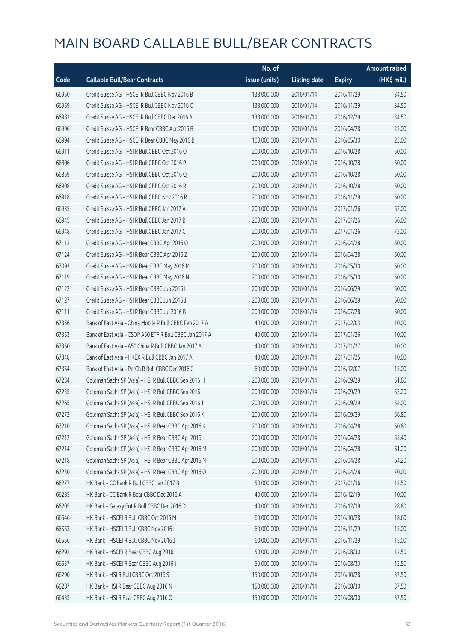|       |                                                         | No. of        |                     |               | <b>Amount raised</b> |
|-------|---------------------------------------------------------|---------------|---------------------|---------------|----------------------|
| Code  | <b>Callable Bull/Bear Contracts</b>                     | issue (units) | <b>Listing date</b> | <b>Expiry</b> | $(HK$$ mil.)         |
| 66950 | Credit Suisse AG - HSCEI R Bull CBBC Nov 2016 B         | 138,000,000   | 2016/01/14          | 2016/11/29    | 34.50                |
| 66959 | Credit Suisse AG - HSCEI R Bull CBBC Nov 2016 C         | 138,000,000   | 2016/01/14          | 2016/11/29    | 34.50                |
| 66982 | Credit Suisse AG - HSCEI R Bull CBBC Dec 2016 A         | 138,000,000   | 2016/01/14          | 2016/12/29    | 34.50                |
| 66996 | Credit Suisse AG - HSCEI R Bear CBBC Apr 2016 B         | 100,000,000   | 2016/01/14          | 2016/04/28    | 25.00                |
| 66994 | Credit Suisse AG - HSCEI R Bear CBBC May 2016 B         | 100,000,000   | 2016/01/14          | 2016/05/30    | 25.00                |
| 66911 | Credit Suisse AG - HSI R Bull CBBC Oct 2016 O           | 200,000,000   | 2016/01/14          | 2016/10/28    | 50.00                |
| 66806 | Credit Suisse AG - HSI R Bull CBBC Oct 2016 P           | 200,000,000   | 2016/01/14          | 2016/10/28    | 50.00                |
| 66859 | Credit Suisse AG - HSI R Bull CBBC Oct 2016 Q           | 200,000,000   | 2016/01/14          | 2016/10/28    | 50.00                |
| 66908 | Credit Suisse AG - HSI R Bull CBBC Oct 2016 R           | 200,000,000   | 2016/01/14          | 2016/10/28    | 50.00                |
| 66918 | Credit Suisse AG - HSI R Bull CBBC Nov 2016 R           | 200,000,000   | 2016/01/14          | 2016/11/29    | 50.00                |
| 66935 | Credit Suisse AG - HSI R Bull CBBC Jan 2017 A           | 200,000,000   | 2016/01/14          | 2017/01/26    | 52.00                |
| 66945 | Credit Suisse AG - HSI R Bull CBBC Jan 2017 B           | 200,000,000   | 2016/01/14          | 2017/01/26    | 56.00                |
| 66948 | Credit Suisse AG - HSI R Bull CBBC Jan 2017 C           | 200,000,000   | 2016/01/14          | 2017/01/26    | 72.00                |
| 67112 | Credit Suisse AG - HSI R Bear CBBC Apr 2016 Q           | 200,000,000   | 2016/01/14          | 2016/04/28    | 50.00                |
| 67124 | Credit Suisse AG - HSI R Bear CBBC Apr 2016 Z           | 200,000,000   | 2016/01/14          | 2016/04/28    | 50.00                |
| 67093 | Credit Suisse AG - HSI R Bear CBBC May 2016 M           | 200,000,000   | 2016/01/14          | 2016/05/30    | 50.00                |
| 67119 | Credit Suisse AG - HSI R Bear CBBC May 2016 N           | 200,000,000   | 2016/01/14          | 2016/05/30    | 50.00                |
| 67122 | Credit Suisse AG - HSI R Bear CBBC Jun 2016 I           | 200,000,000   | 2016/01/14          | 2016/06/29    | 50.00                |
| 67127 | Credit Suisse AG - HSI R Bear CBBC Jun 2016 J           | 200,000,000   | 2016/01/14          | 2016/06/29    | 50.00                |
| 67111 | Credit Suisse AG - HSI R Bear CBBC Jul 2016 B           | 200,000,000   | 2016/01/14          | 2016/07/28    | 50.00                |
| 67356 | Bank of East Asia - China Mobile R Bull CBBC Feb 2017 A | 40,000,000    | 2016/01/14          | 2017/02/03    | 10.00                |
| 67353 | Bank of East Asia - CSOP A50 ETF R Bull CBBC Jan 2017 A | 40,000,000    | 2016/01/14          | 2017/01/26    | 10.00                |
| 67350 | Bank of East Asia - A50 China R Bull CBBC Jan 2017 A    | 40,000,000    | 2016/01/14          | 2017/01/27    | 10.00                |
| 67348 | Bank of East Asia - HKEX R Bull CBBC Jan 2017 A         | 40,000,000    | 2016/01/14          | 2017/01/25    | 10.00                |
| 67354 | Bank of East Asia - PetCh R Bull CBBC Dec 2016 C        | 60,000,000    | 2016/01/14          | 2016/12/07    | 15.00                |
| 67234 | Goldman Sachs SP (Asia) - HSI R Bull CBBC Sep 2016 H    | 200,000,000   | 2016/01/14          | 2016/09/29    | 51.60                |
| 67235 | Goldman Sachs SP (Asia) - HSI R Bull CBBC Sep 2016 I    | 200,000,000   | 2016/01/14          | 2016/09/29    | 53.20                |
| 67265 | Goldman Sachs SP (Asia) - HSI R Bull CBBC Sep 2016 J    | 200,000,000   | 2016/01/14          | 2016/09/29    | 54.00                |
| 67272 | Goldman Sachs SP (Asia) - HSI R Bull CBBC Sep 2016 K    | 200,000,000   | 2016/01/14          | 2016/09/29    | 56.80                |
| 67210 | Goldman Sachs SP (Asia) - HSI R Bear CBBC Apr 2016 K    | 200,000,000   | 2016/01/14          | 2016/04/28    | 50.60                |
| 67212 | Goldman Sachs SP (Asia) - HSI R Bear CBBC Apr 2016 L    | 200,000,000   | 2016/01/14          | 2016/04/28    | 55.40                |
| 67214 | Goldman Sachs SP (Asia) - HSI R Bear CBBC Apr 2016 M    | 200,000,000   | 2016/01/14          | 2016/04/28    | 61.20                |
| 67218 | Goldman Sachs SP (Asia) - HSI R Bear CBBC Apr 2016 N    | 200,000,000   | 2016/01/14          | 2016/04/28    | 64.20                |
| 67230 | Goldman Sachs SP (Asia) - HSI R Bear CBBC Apr 2016 O    | 200,000,000   | 2016/01/14          | 2016/04/28    | 70.00                |
| 66277 | HK Bank - CC Bank R Bull CBBC Jan 2017 B                | 50,000,000    | 2016/01/14          | 2017/01/16    | 12.50                |
| 66285 | HK Bank - CC Bank R Bear CBBC Dec 2016 A                | 40,000,000    | 2016/01/14          | 2016/12/19    | 10.00                |
| 66205 | HK Bank - Galaxy Ent R Bull CBBC Dec 2016 D             | 40,000,000    | 2016/01/14          | 2016/12/19    | 28.80                |
| 66546 | HK Bank - HSCEI R Bull CBBC Oct 2016 M                  | 60,000,000    | 2016/01/14          | 2016/10/28    | 18.60                |
| 66553 | HK Bank - HSCEI R Bull CBBC Nov 2016 I                  | 60,000,000    | 2016/01/14          | 2016/11/29    | 15.00                |
| 66556 | HK Bank - HSCEI R Bull CBBC Nov 2016 J                  | 60,000,000    | 2016/01/14          | 2016/11/29    | 15.00                |
| 66292 | HK Bank - HSCEI R Bear CBBC Aug 2016 I                  | 50,000,000    | 2016/01/14          | 2016/08/30    | 12.50                |
| 66537 | HK Bank - HSCEI R Bear CBBC Aug 2016 J                  | 50,000,000    | 2016/01/14          | 2016/08/30    | 12.50                |
| 66290 | HK Bank - HSI R Bull CBBC Oct 2016 S                    | 150,000,000   | 2016/01/14          | 2016/10/28    | 37.50                |
| 66287 | HK Bank - HSI R Bear CBBC Aug 2016 N                    | 150,000,000   | 2016/01/14          | 2016/08/30    | 37.50                |
| 66435 | HK Bank - HSI R Bear CBBC Aug 2016 O                    | 150,000,000   | 2016/01/14          | 2016/08/30    | 37.50                |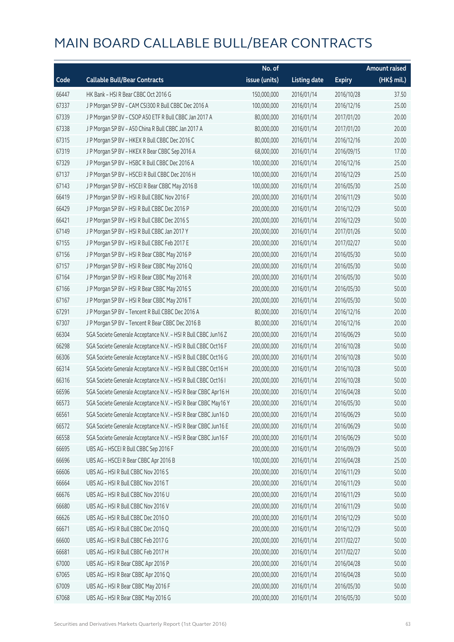|       |                                                                | No. of        |                     |               | <b>Amount raised</b> |
|-------|----------------------------------------------------------------|---------------|---------------------|---------------|----------------------|
| Code  | <b>Callable Bull/Bear Contracts</b>                            | issue (units) | <b>Listing date</b> | <b>Expiry</b> | (HK\$ mil.)          |
| 66447 | HK Bank - HSI R Bear CBBC Oct 2016 G                           | 150,000,000   | 2016/01/14          | 2016/10/28    | 37.50                |
| 67337 | J P Morgan SP BV - CAM CSI300 R Bull CBBC Dec 2016 A           | 100,000,000   | 2016/01/14          | 2016/12/16    | 25.00                |
| 67339 | J P Morgan SP BV - CSOP A50 ETF R Bull CBBC Jan 2017 A         | 80,000,000    | 2016/01/14          | 2017/01/20    | 20.00                |
| 67338 | J P Morgan SP BV - A50 China R Bull CBBC Jan 2017 A            | 80,000,000    | 2016/01/14          | 2017/01/20    | 20.00                |
| 67315 | J P Morgan SP BV - HKEX R Bull CBBC Dec 2016 C                 | 80,000,000    | 2016/01/14          | 2016/12/16    | 20.00                |
| 67319 | J P Morgan SP BV - HKEX R Bear CBBC Sep 2016 A                 | 68,000,000    | 2016/01/14          | 2016/09/15    | 17.00                |
| 67329 | J P Morgan SP BV - HSBC R Bull CBBC Dec 2016 A                 | 100,000,000   | 2016/01/14          | 2016/12/16    | 25.00                |
| 67137 | J P Morgan SP BV - HSCEI R Bull CBBC Dec 2016 H                | 100,000,000   | 2016/01/14          | 2016/12/29    | 25.00                |
| 67143 | JP Morgan SP BV - HSCEIR Bear CBBC May 2016 B                  | 100,000,000   | 2016/01/14          | 2016/05/30    | 25.00                |
| 66419 | J P Morgan SP BV - HSI R Bull CBBC Nov 2016 F                  | 200,000,000   | 2016/01/14          | 2016/11/29    | 50.00                |
| 66429 | J P Morgan SP BV - HSI R Bull CBBC Dec 2016 P                  | 200,000,000   | 2016/01/14          | 2016/12/29    | 50.00                |
| 66421 | JP Morgan SP BV - HSIR Bull CBBC Dec 2016 S                    | 200,000,000   | 2016/01/14          | 2016/12/29    | 50.00                |
| 67149 | J P Morgan SP BV - HSI R Bull CBBC Jan 2017 Y                  | 200,000,000   | 2016/01/14          | 2017/01/26    | 50.00                |
| 67155 | J P Morgan SP BV - HSI R Bull CBBC Feb 2017 E                  | 200,000,000   | 2016/01/14          | 2017/02/27    | 50.00                |
| 67156 | J P Morgan SP BV - HSI R Bear CBBC May 2016 P                  | 200,000,000   | 2016/01/14          | 2016/05/30    | 50.00                |
| 67157 | J P Morgan SP BV - HSI R Bear CBBC May 2016 Q                  | 200,000,000   | 2016/01/14          | 2016/05/30    | 50.00                |
| 67164 | J P Morgan SP BV - HSI R Bear CBBC May 2016 R                  | 200,000,000   | 2016/01/14          | 2016/05/30    | 50.00                |
| 67166 | J P Morgan SP BV - HSI R Bear CBBC May 2016 S                  | 200,000,000   | 2016/01/14          | 2016/05/30    | 50.00                |
| 67167 | J P Morgan SP BV - HSI R Bear CBBC May 2016 T                  | 200,000,000   | 2016/01/14          | 2016/05/30    | 50.00                |
| 67291 | J P Morgan SP BV - Tencent R Bull CBBC Dec 2016 A              | 80,000,000    | 2016/01/14          | 2016/12/16    | 20.00                |
| 67307 | J P Morgan SP BV - Tencent R Bear CBBC Dec 2016 B              | 80,000,000    | 2016/01/14          | 2016/12/16    | 20.00                |
| 66304 | SGA Societe Generale Acceptance N.V. - HSI R Bull CBBC Jun16 Z | 200,000,000   | 2016/01/14          | 2016/06/29    | 50.00                |
| 66298 | SGA Societe Generale Acceptance N.V. - HSI R Bull CBBC Oct16 F | 200,000,000   | 2016/01/14          | 2016/10/28    | 50.00                |
| 66306 | SGA Societe Generale Acceptance N.V. - HSI R Bull CBBC Oct16 G | 200,000,000   | 2016/01/14          | 2016/10/28    | 50.00                |
| 66314 | SGA Societe Generale Acceptance N.V. - HSI R Bull CBBC Oct16 H | 200,000,000   | 2016/01/14          | 2016/10/28    | 50.00                |
| 66316 | SGA Societe Generale Acceptance N.V. - HSI R Bull CBBC Oct16 I | 200,000,000   | 2016/01/14          | 2016/10/28    | 50.00                |
| 66596 | SGA Societe Generale Acceptance N.V. - HSI R Bear CBBC Apr16 H | 200,000,000   | 2016/01/14          | 2016/04/28    | 50.00                |
| 66573 | SGA Societe Generale Acceptance N.V. - HSI R Bear CBBC May16 Y | 200,000,000   | 2016/01/14          | 2016/05/30    | 50.00                |
| 66561 | SGA Societe Generale Acceptance N.V. - HSI R Bear CBBC Jun16 D | 200,000,000   | 2016/01/14          | 2016/06/29    | 50.00                |
| 66572 | SGA Societe Generale Acceptance N.V. - HSI R Bear CBBC Jun16 E | 200,000,000   | 2016/01/14          | 2016/06/29    | 50.00                |
| 66558 | SGA Societe Generale Acceptance N.V. - HSI R Bear CBBC Jun16 F | 200,000,000   | 2016/01/14          | 2016/06/29    | 50.00                |
| 66695 | UBS AG - HSCEI R Bull CBBC Sep 2016 F                          | 200,000,000   | 2016/01/14          | 2016/09/29    | 50.00                |
| 66696 | UBS AG - HSCEI R Bear CBBC Apr 2016 B                          | 100,000,000   | 2016/01/14          | 2016/04/28    | 25.00                |
| 66606 | UBS AG - HSI R Bull CBBC Nov 2016 S                            | 200,000,000   | 2016/01/14          | 2016/11/29    | 50.00                |
| 66664 | UBS AG - HSI R Bull CBBC Nov 2016 T                            | 200,000,000   | 2016/01/14          | 2016/11/29    | 50.00                |
| 66676 | UBS AG - HSI R Bull CBBC Nov 2016 U                            | 200,000,000   | 2016/01/14          | 2016/11/29    | 50.00                |
| 66680 | UBS AG - HSI R Bull CBBC Nov 2016 V                            | 200,000,000   | 2016/01/14          | 2016/11/29    | 50.00                |
| 66626 | UBS AG - HSI R Bull CBBC Dec 2016 O                            | 200,000,000   | 2016/01/14          | 2016/12/29    | 50.00                |
| 66671 | UBS AG - HSI R Bull CBBC Dec 2016 Q                            | 200,000,000   | 2016/01/14          | 2016/12/29    | 50.00                |
| 66600 | UBS AG - HSI R Bull CBBC Feb 2017 G                            | 200,000,000   | 2016/01/14          | 2017/02/27    | 50.00                |
| 66681 | UBS AG - HSI R Bull CBBC Feb 2017 H                            | 200,000,000   | 2016/01/14          | 2017/02/27    | 50.00                |
| 67000 | UBS AG - HSI R Bear CBBC Apr 2016 P                            | 200,000,000   | 2016/01/14          | 2016/04/28    | 50.00                |
| 67065 | UBS AG - HSI R Bear CBBC Apr 2016 Q                            | 200,000,000   | 2016/01/14          | 2016/04/28    | 50.00                |
| 67009 | UBS AG - HSI R Bear CBBC May 2016 F                            | 200,000,000   | 2016/01/14          | 2016/05/30    | 50.00                |
| 67068 | UBS AG - HSI R Bear CBBC May 2016 G                            | 200,000,000   | 2016/01/14          | 2016/05/30    | 50.00                |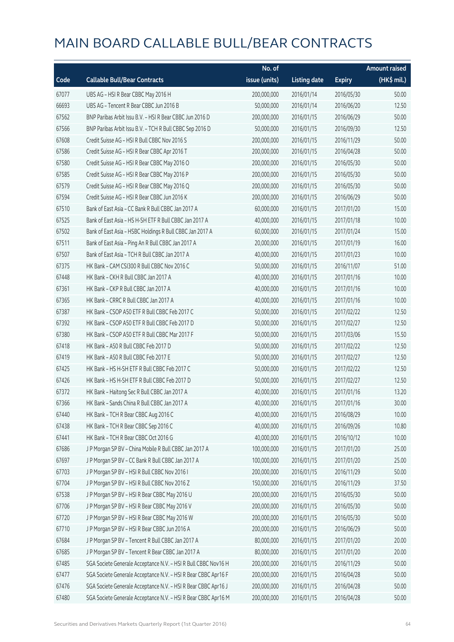|       |                                                                | No. of        |                     |               | <b>Amount raised</b> |
|-------|----------------------------------------------------------------|---------------|---------------------|---------------|----------------------|
| Code  | <b>Callable Bull/Bear Contracts</b>                            | issue (units) | <b>Listing date</b> | <b>Expiry</b> | (HK\$ mil.)          |
| 67077 | UBS AG - HSI R Bear CBBC May 2016 H                            | 200,000,000   | 2016/01/14          | 2016/05/30    | 50.00                |
| 66693 | UBS AG - Tencent R Bear CBBC Jun 2016 B                        | 50,000,000    | 2016/01/14          | 2016/06/20    | 12.50                |
| 67562 | BNP Paribas Arbit Issu B.V. - HSI R Bear CBBC Jun 2016 D       | 200,000,000   | 2016/01/15          | 2016/06/29    | 50.00                |
| 67566 | BNP Paribas Arbit Issu B.V. - TCH R Bull CBBC Sep 2016 D       | 50,000,000    | 2016/01/15          | 2016/09/30    | 12.50                |
| 67608 | Credit Suisse AG - HSI R Bull CBBC Nov 2016 S                  | 200,000,000   | 2016/01/15          | 2016/11/29    | 50.00                |
| 67586 | Credit Suisse AG - HSI R Bear CBBC Apr 2016 T                  | 200,000,000   | 2016/01/15          | 2016/04/28    | 50.00                |
| 67580 | Credit Suisse AG - HSI R Bear CBBC May 2016 O                  | 200,000,000   | 2016/01/15          | 2016/05/30    | 50.00                |
| 67585 | Credit Suisse AG - HSI R Bear CBBC May 2016 P                  | 200,000,000   | 2016/01/15          | 2016/05/30    | 50.00                |
| 67579 | Credit Suisse AG - HSI R Bear CBBC May 2016 Q                  | 200,000,000   | 2016/01/15          | 2016/05/30    | 50.00                |
| 67594 | Credit Suisse AG - HSI R Bear CBBC Jun 2016 K                  | 200,000,000   | 2016/01/15          | 2016/06/29    | 50.00                |
| 67510 | Bank of East Asia - CC Bank R Bull CBBC Jan 2017 A             | 60,000,000    | 2016/01/15          | 2017/01/20    | 15.00                |
| 67525 | Bank of East Asia - HS H-SH ETF R Bull CBBC Jan 2017 A         | 40,000,000    | 2016/01/15          | 2017/01/18    | 10.00                |
| 67502 | Bank of East Asia - HSBC Holdings R Bull CBBC Jan 2017 A       | 60,000,000    | 2016/01/15          | 2017/01/24    | 15.00                |
| 67511 | Bank of East Asia - Ping An R Bull CBBC Jan 2017 A             | 20,000,000    | 2016/01/15          | 2017/01/19    | 16.00                |
| 67507 | Bank of East Asia - TCH R Bull CBBC Jan 2017 A                 | 40,000,000    | 2016/01/15          | 2017/01/23    | 10.00                |
| 67375 | HK Bank - CAM CSI300 R Bull CBBC Nov 2016 C                    | 50,000,000    | 2016/01/15          | 2016/11/07    | 51.00                |
| 67448 | HK Bank - CKH R Bull CBBC Jan 2017 A                           | 40,000,000    | 2016/01/15          | 2017/01/16    | 10.00                |
| 67361 | HK Bank - CKP R Bull CBBC Jan 2017 A                           | 40,000,000    | 2016/01/15          | 2017/01/16    | 10.00                |
| 67365 | HK Bank - CRRC R Bull CBBC Jan 2017 A                          | 40,000,000    | 2016/01/15          | 2017/01/16    | 10.00                |
| 67387 | HK Bank - CSOP A50 ETF R Bull CBBC Feb 2017 C                  | 50,000,000    | 2016/01/15          | 2017/02/22    | 12.50                |
| 67392 | HK Bank - CSOP A50 ETF R Bull CBBC Feb 2017 D                  | 50,000,000    | 2016/01/15          | 2017/02/27    | 12.50                |
| 67380 | HK Bank - CSOP A50 ETF R Bull CBBC Mar 2017 F                  | 50,000,000    | 2016/01/15          | 2017/03/06    | 15.50                |
| 67418 | HK Bank - A50 R Bull CBBC Feb 2017 D                           | 50,000,000    | 2016/01/15          | 2017/02/22    | 12.50                |
| 67419 | HK Bank - A50 R Bull CBBC Feb 2017 E                           | 50,000,000    | 2016/01/15          | 2017/02/27    | 12.50                |
| 67425 | HK Bank - HS H-SH ETF R Bull CBBC Feb 2017 C                   | 50,000,000    | 2016/01/15          | 2017/02/22    | 12.50                |
| 67426 | HK Bank - HS H-SH ETF R Bull CBBC Feb 2017 D                   | 50,000,000    | 2016/01/15          | 2017/02/27    | 12.50                |
| 67372 | HK Bank - Haitong Sec R Bull CBBC Jan 2017 A                   | 40,000,000    | 2016/01/15          | 2017/01/16    | 13.20                |
| 67366 | HK Bank - Sands China R Bull CBBC Jan 2017 A                   | 40,000,000    | 2016/01/15          | 2017/01/16    | 30.00                |
| 67440 | HK Bank - TCH R Bear CBBC Aug 2016 C                           | 40,000,000    | 2016/01/15          | 2016/08/29    | 10.00                |
| 67438 | HK Bank - TCH R Bear CBBC Sep 2016 C                           | 40,000,000    | 2016/01/15          | 2016/09/26    | 10.80                |
| 67441 | HK Bank - TCH R Bear CBBC Oct 2016 G                           | 40,000,000    | 2016/01/15          | 2016/10/12    | 10.00                |
| 67686 | J P Morgan SP BV - China Mobile R Bull CBBC Jan 2017 A         | 100,000,000   | 2016/01/15          | 2017/01/20    | 25.00                |
| 67697 | J P Morgan SP BV - CC Bank R Bull CBBC Jan 2017 A              | 100,000,000   | 2016/01/15          | 2017/01/20    | 25.00                |
| 67703 | J P Morgan SP BV - HSI R Bull CBBC Nov 2016 I                  | 200,000,000   | 2016/01/15          | 2016/11/29    | 50.00                |
| 67704 | J P Morgan SP BV - HSI R Bull CBBC Nov 2016 Z                  | 150,000,000   | 2016/01/15          | 2016/11/29    | 37.50                |
| 67538 | J P Morgan SP BV - HSI R Bear CBBC May 2016 U                  | 200,000,000   | 2016/01/15          | 2016/05/30    | 50.00                |
| 67706 | J P Morgan SP BV - HSI R Bear CBBC May 2016 V                  | 200,000,000   | 2016/01/15          | 2016/05/30    | 50.00                |
| 67720 | J P Morgan SP BV - HSI R Bear CBBC May 2016 W                  | 200,000,000   | 2016/01/15          | 2016/05/30    | 50.00                |
| 67710 | J P Morgan SP BV - HSI R Bear CBBC Jun 2016 A                  | 200,000,000   | 2016/01/15          | 2016/06/29    | 50.00                |
| 67684 | J P Morgan SP BV - Tencent R Bull CBBC Jan 2017 A              | 80,000,000    | 2016/01/15          | 2017/01/20    | 20.00                |
| 67685 | J P Morgan SP BV - Tencent R Bear CBBC Jan 2017 A              | 80,000,000    | 2016/01/15          | 2017/01/20    | 20.00                |
| 67485 | SGA Societe Generale Acceptance N.V. - HSI R Bull CBBC Nov16 H | 200,000,000   | 2016/01/15          | 2016/11/29    | 50.00                |
| 67477 | SGA Societe Generale Acceptance N.V. - HSI R Bear CBBC Apr16 F | 200,000,000   | 2016/01/15          | 2016/04/28    | 50.00                |
| 67476 | SGA Societe Generale Acceptance N.V. - HSI R Bear CBBC Apr16 J | 200,000,000   | 2016/01/15          | 2016/04/28    | 50.00                |
| 67480 | SGA Societe Generale Acceptance N.V. - HSI R Bear CBBC Apr16 M | 200,000,000   | 2016/01/15          | 2016/04/28    | 50.00                |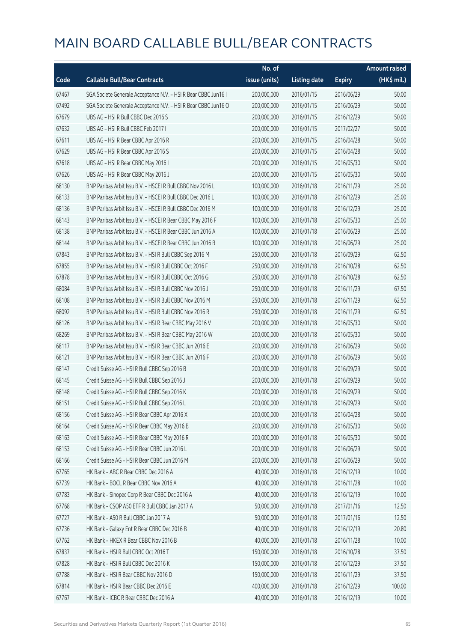|       |                                                                | No. of        |                     |               | <b>Amount raised</b> |
|-------|----------------------------------------------------------------|---------------|---------------------|---------------|----------------------|
| Code  | <b>Callable Bull/Bear Contracts</b>                            | issue (units) | <b>Listing date</b> | <b>Expiry</b> | (HK\$ mil.)          |
| 67467 | SGA Societe Generale Acceptance N.V. - HSI R Bear CBBC Jun16 I | 200,000,000   | 2016/01/15          | 2016/06/29    | 50.00                |
| 67492 | SGA Societe Generale Acceptance N.V. - HSI R Bear CBBC Jun16 O | 200,000,000   | 2016/01/15          | 2016/06/29    | 50.00                |
| 67679 | UBS AG - HSI R Bull CBBC Dec 2016 S                            | 200,000,000   | 2016/01/15          | 2016/12/29    | 50.00                |
| 67632 | UBS AG - HSI R Bull CBBC Feb 2017 I                            | 200,000,000   | 2016/01/15          | 2017/02/27    | 50.00                |
| 67611 | UBS AG - HSI R Bear CBBC Apr 2016 R                            | 200,000,000   | 2016/01/15          | 2016/04/28    | 50.00                |
| 67629 | UBS AG - HSI R Bear CBBC Apr 2016 S                            | 200,000,000   | 2016/01/15          | 2016/04/28    | 50.00                |
| 67618 | UBS AG - HSI R Bear CBBC May 2016 I                            | 200,000,000   | 2016/01/15          | 2016/05/30    | 50.00                |
| 67626 | UBS AG - HSI R Bear CBBC May 2016 J                            | 200,000,000   | 2016/01/15          | 2016/05/30    | 50.00                |
| 68130 | BNP Paribas Arbit Issu B.V. - HSCEI R Bull CBBC Nov 2016 L     | 100,000,000   | 2016/01/18          | 2016/11/29    | 25.00                |
| 68133 | BNP Paribas Arbit Issu B.V. - HSCEI R Bull CBBC Dec 2016 L     | 100,000,000   | 2016/01/18          | 2016/12/29    | 25.00                |
| 68136 | BNP Paribas Arbit Issu B.V. - HSCEI R Bull CBBC Dec 2016 M     | 100,000,000   | 2016/01/18          | 2016/12/29    | 25.00                |
| 68143 | BNP Paribas Arbit Issu B.V. - HSCEI R Bear CBBC May 2016 F     | 100,000,000   | 2016/01/18          | 2016/05/30    | 25.00                |
| 68138 | BNP Paribas Arbit Issu B.V. - HSCEI R Bear CBBC Jun 2016 A     | 100,000,000   | 2016/01/18          | 2016/06/29    | 25.00                |
| 68144 | BNP Paribas Arbit Issu B.V. - HSCEI R Bear CBBC Jun 2016 B     | 100,000,000   | 2016/01/18          | 2016/06/29    | 25.00                |
| 67843 | BNP Paribas Arbit Issu B.V. - HSI R Bull CBBC Sep 2016 M       | 250,000,000   | 2016/01/18          | 2016/09/29    | 62.50                |
| 67855 | BNP Paribas Arbit Issu B.V. - HSI R Bull CBBC Oct 2016 F       | 250,000,000   | 2016/01/18          | 2016/10/28    | 62.50                |
| 67878 | BNP Paribas Arbit Issu B.V. - HSI R Bull CBBC Oct 2016 G       | 250,000,000   | 2016/01/18          | 2016/10/28    | 62.50                |
| 68084 | BNP Paribas Arbit Issu B.V. - HSI R Bull CBBC Nov 2016 J       | 250,000,000   | 2016/01/18          | 2016/11/29    | 67.50                |
| 68108 | BNP Paribas Arbit Issu B.V. - HSI R Bull CBBC Nov 2016 M       | 250,000,000   | 2016/01/18          | 2016/11/29    | 62.50                |
| 68092 | BNP Paribas Arbit Issu B.V. - HSI R Bull CBBC Nov 2016 R       | 250,000,000   | 2016/01/18          | 2016/11/29    | 62.50                |
| 68126 | BNP Paribas Arbit Issu B.V. - HSI R Bear CBBC May 2016 V       | 200,000,000   | 2016/01/18          | 2016/05/30    | 50.00                |
| 68269 | BNP Paribas Arbit Issu B.V. - HSI R Bear CBBC May 2016 W       | 200,000,000   | 2016/01/18          | 2016/05/30    | 50.00                |
| 68117 | BNP Paribas Arbit Issu B.V. - HSI R Bear CBBC Jun 2016 E       | 200,000,000   | 2016/01/18          | 2016/06/29    | 50.00                |
| 68121 | BNP Paribas Arbit Issu B.V. - HSI R Bear CBBC Jun 2016 F       | 200,000,000   | 2016/01/18          | 2016/06/29    | 50.00                |
| 68147 | Credit Suisse AG - HSI R Bull CBBC Sep 2016 B                  | 200,000,000   | 2016/01/18          | 2016/09/29    | 50.00                |
| 68145 | Credit Suisse AG - HSI R Bull CBBC Sep 2016 J                  | 200,000,000   | 2016/01/18          | 2016/09/29    | 50.00                |
| 68148 | Credit Suisse AG - HSI R Bull CBBC Sep 2016 K                  | 200,000,000   | 2016/01/18          | 2016/09/29    | 50.00                |
| 68151 | Credit Suisse AG - HSI R Bull CBBC Sep 2016 L                  | 200,000,000   | 2016/01/18          | 2016/09/29    | 50.00                |
| 68156 | Credit Suisse AG - HSI R Bear CBBC Apr 2016 X                  | 200,000,000   | 2016/01/18          | 2016/04/28    | 50.00                |
| 68164 | Credit Suisse AG - HSI R Bear CBBC May 2016 B                  | 200,000,000   | 2016/01/18          | 2016/05/30    | 50.00                |
| 68163 | Credit Suisse AG - HSI R Bear CBBC May 2016 R                  | 200,000,000   | 2016/01/18          | 2016/05/30    | 50.00                |
| 68153 | Credit Suisse AG - HSI R Bear CBBC Jun 2016 L                  | 200,000,000   | 2016/01/18          | 2016/06/29    | 50.00                |
| 68166 | Credit Suisse AG - HSI R Bear CBBC Jun 2016 M                  | 200,000,000   | 2016/01/18          | 2016/06/29    | 50.00                |
| 67765 | HK Bank - ABC R Bear CBBC Dec 2016 A                           | 40,000,000    | 2016/01/18          | 2016/12/19    | 10.00                |
| 67739 | HK Bank - BOCL R Bear CBBC Nov 2016 A                          | 40,000,000    | 2016/01/18          | 2016/11/28    | 10.00                |
| 67783 | HK Bank - Sinopec Corp R Bear CBBC Dec 2016 A                  | 40,000,000    | 2016/01/18          | 2016/12/19    | 10.00                |
| 67768 | HK Bank - CSOP A50 ETF R Bull CBBC Jan 2017 A                  | 50,000,000    | 2016/01/18          | 2017/01/16    | 12.50                |
| 67727 | HK Bank - A50 R Bull CBBC Jan 2017 A                           | 50,000,000    | 2016/01/18          | 2017/01/16    | 12.50                |
| 67736 | HK Bank - Galaxy Ent R Bear CBBC Dec 2016 B                    | 40,000,000    | 2016/01/18          | 2016/12/19    | 20.80                |
| 67762 | HK Bank - HKEX R Bear CBBC Nov 2016 B                          | 40,000,000    | 2016/01/18          | 2016/11/28    | 10.00                |
| 67837 | HK Bank - HSI R Bull CBBC Oct 2016 T                           | 150,000,000   | 2016/01/18          | 2016/10/28    | 37.50                |
| 67828 | HK Bank - HSI R Bull CBBC Dec 2016 K                           | 150,000,000   | 2016/01/18          | 2016/12/29    | 37.50                |
| 67788 | HK Bank - HSI R Bear CBBC Nov 2016 D                           | 150,000,000   | 2016/01/18          | 2016/11/29    | 37.50                |
| 67814 | HK Bank - HSI R Bear CBBC Dec 2016 E                           | 400,000,000   | 2016/01/18          | 2016/12/29    | 100.00               |
| 67767 | HK Bank - ICBC R Bear CBBC Dec 2016 A                          | 40,000,000    | 2016/01/18          | 2016/12/19    | 10.00                |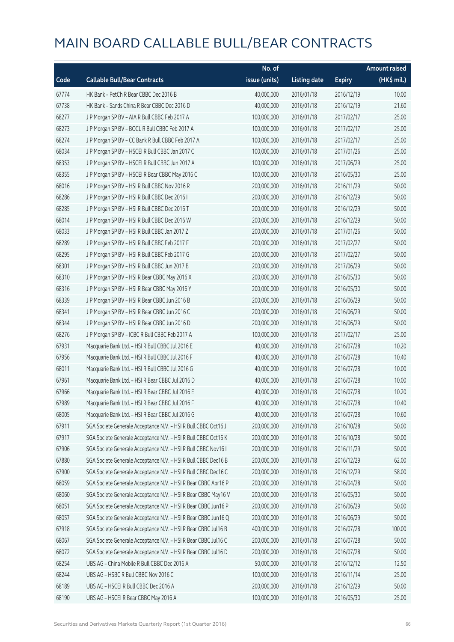|       |                                                                | No. of        |                     |               | Amount raised |
|-------|----------------------------------------------------------------|---------------|---------------------|---------------|---------------|
| Code  | <b>Callable Bull/Bear Contracts</b>                            | issue (units) | <b>Listing date</b> | <b>Expiry</b> | (HK\$ mil.)   |
| 67774 | HK Bank - PetCh R Bear CBBC Dec 2016 B                         | 40,000,000    | 2016/01/18          | 2016/12/19    | 10.00         |
| 67738 | HK Bank - Sands China R Bear CBBC Dec 2016 D                   | 40,000,000    | 2016/01/18          | 2016/12/19    | 21.60         |
| 68277 | J P Morgan SP BV - AIA R Bull CBBC Feb 2017 A                  | 100,000,000   | 2016/01/18          | 2017/02/17    | 25.00         |
| 68273 | J P Morgan SP BV - BOCL R Bull CBBC Feb 2017 A                 | 100,000,000   | 2016/01/18          | 2017/02/17    | 25.00         |
| 68274 | J P Morgan SP BV - CC Bank R Bull CBBC Feb 2017 A              | 100,000,000   | 2016/01/18          | 2017/02/17    | 25.00         |
| 68034 | J P Morgan SP BV - HSCEI R Bull CBBC Jan 2017 C                | 100,000,000   | 2016/01/18          | 2017/01/26    | 25.00         |
| 68353 | J P Morgan SP BV - HSCEI R Bull CBBC Jun 2017 A                | 100,000,000   | 2016/01/18          | 2017/06/29    | 25.00         |
| 68355 | J P Morgan SP BV - HSCEI R Bear CBBC May 2016 C                | 100,000,000   | 2016/01/18          | 2016/05/30    | 25.00         |
| 68016 | J P Morgan SP BV - HSI R Bull CBBC Nov 2016 R                  | 200,000,000   | 2016/01/18          | 2016/11/29    | 50.00         |
| 68286 | J P Morgan SP BV - HSI R Bull CBBC Dec 2016 I                  | 200,000,000   | 2016/01/18          | 2016/12/29    | 50.00         |
| 68285 | J P Morgan SP BV - HSI R Bull CBBC Dec 2016 T                  | 200,000,000   | 2016/01/18          | 2016/12/29    | 50.00         |
| 68014 | J P Morgan SP BV - HSI R Bull CBBC Dec 2016 W                  | 200,000,000   | 2016/01/18          | 2016/12/29    | 50.00         |
| 68033 | J P Morgan SP BV - HSI R Bull CBBC Jan 2017 Z                  | 200,000,000   | 2016/01/18          | 2017/01/26    | 50.00         |
| 68289 | J P Morgan SP BV - HSI R Bull CBBC Feb 2017 F                  | 200,000,000   | 2016/01/18          | 2017/02/27    | 50.00         |
| 68295 | J P Morgan SP BV - HSI R Bull CBBC Feb 2017 G                  | 200,000,000   | 2016/01/18          | 2017/02/27    | 50.00         |
| 68301 | J P Morgan SP BV - HSI R Bull CBBC Jun 2017 B                  | 200,000,000   | 2016/01/18          | 2017/06/29    | 50.00         |
| 68310 | J P Morgan SP BV - HSI R Bear CBBC May 2016 X                  | 200,000,000   | 2016/01/18          | 2016/05/30    | 50.00         |
| 68316 | J P Morgan SP BV - HSI R Bear CBBC May 2016 Y                  | 200,000,000   | 2016/01/18          | 2016/05/30    | 50.00         |
| 68339 | J P Morgan SP BV - HSI R Bear CBBC Jun 2016 B                  | 200,000,000   | 2016/01/18          | 2016/06/29    | 50.00         |
| 68341 | J P Morgan SP BV - HSI R Bear CBBC Jun 2016 C                  | 200,000,000   | 2016/01/18          | 2016/06/29    | 50.00         |
| 68344 | J P Morgan SP BV - HSI R Bear CBBC Jun 2016 D                  | 200,000,000   | 2016/01/18          | 2016/06/29    | 50.00         |
| 68276 | J P Morgan SP BV - ICBC R Bull CBBC Feb 2017 A                 | 100,000,000   | 2016/01/18          | 2017/02/17    | 25.00         |
| 67931 | Macquarie Bank Ltd. - HSI R Bull CBBC Jul 2016 E               | 40,000,000    | 2016/01/18          | 2016/07/28    | 10.20         |
| 67956 | Macquarie Bank Ltd. - HSI R Bull CBBC Jul 2016 F               | 40,000,000    | 2016/01/18          | 2016/07/28    | 10.40         |
| 68011 | Macquarie Bank Ltd. - HSI R Bull CBBC Jul 2016 G               | 40,000,000    | 2016/01/18          | 2016/07/28    | 10.00         |
| 67961 | Macquarie Bank Ltd. - HSI R Bear CBBC Jul 2016 D               | 40,000,000    | 2016/01/18          | 2016/07/28    | 10.00         |
| 67966 | Macquarie Bank Ltd. - HSI R Bear CBBC Jul 2016 E               | 40,000,000    | 2016/01/18          | 2016/07/28    | 10.20         |
| 67989 | Macquarie Bank Ltd. - HSI R Bear CBBC Jul 2016 F               | 40,000,000    | 2016/01/18          | 2016/07/28    | 10.40         |
| 68005 | Macquarie Bank Ltd. - HSI R Bear CBBC Jul 2016 G               | 40,000,000    | 2016/01/18          | 2016/07/28    | 10.60         |
| 67911 | SGA Societe Generale Acceptance N.V. - HSI R Bull CBBC Oct16 J | 200,000,000   | 2016/01/18          | 2016/10/28    | 50.00         |
| 67917 | SGA Societe Generale Acceptance N.V. - HSI R Bull CBBC Oct16 K | 200,000,000   | 2016/01/18          | 2016/10/28    | 50.00         |
| 67906 | SGA Societe Generale Acceptance N.V. - HSI R Bull CBBC Nov16 I | 200,000,000   | 2016/01/18          | 2016/11/29    | 50.00         |
| 67880 | SGA Societe Generale Acceptance N.V. - HSI R Bull CBBC Dec16 B | 200,000,000   | 2016/01/18          | 2016/12/29    | 62.00         |
| 67900 | SGA Societe Generale Acceptance N.V. - HSI R Bull CBBC Dec16 C | 200,000,000   | 2016/01/18          | 2016/12/29    | 58.00         |
| 68059 | SGA Societe Generale Acceptance N.V. - HSI R Bear CBBC Apr16 P | 200,000,000   | 2016/01/18          | 2016/04/28    | 50.00         |
| 68060 | SGA Societe Generale Acceptance N.V. - HSI R Bear CBBC May16 V | 200,000,000   | 2016/01/18          | 2016/05/30    | 50.00         |
| 68051 | SGA Societe Generale Acceptance N.V. - HSI R Bear CBBC Jun16 P | 200,000,000   | 2016/01/18          | 2016/06/29    | 50.00         |
| 68057 | SGA Societe Generale Acceptance N.V. - HSI R Bear CBBC Jun16 Q | 200,000,000   | 2016/01/18          | 2016/06/29    | 50.00         |
| 67918 | SGA Societe Generale Acceptance N.V. - HSI R Bear CBBC Jul16 B | 400,000,000   | 2016/01/18          | 2016/07/28    | 100.00        |
| 68067 | SGA Societe Generale Acceptance N.V. - HSI R Bear CBBC Jul16 C | 200,000,000   | 2016/01/18          | 2016/07/28    | 50.00         |
| 68072 | SGA Societe Generale Acceptance N.V. - HSI R Bear CBBC Jul16 D | 200,000,000   | 2016/01/18          | 2016/07/28    | 50.00         |
| 68254 | UBS AG - China Mobile R Bull CBBC Dec 2016 A                   | 50,000,000    | 2016/01/18          | 2016/12/12    | 12.50         |
| 68244 | UBS AG - HSBC R Bull CBBC Nov 2016 C                           | 100,000,000   | 2016/01/18          | 2016/11/14    | 25.00         |
| 68189 | UBS AG - HSCEI R Bull CBBC Dec 2016 A                          | 200,000,000   | 2016/01/18          | 2016/12/29    | 50.00         |
| 68190 | UBS AG - HSCEI R Bear CBBC May 2016 A                          | 100,000,000   | 2016/01/18          | 2016/05/30    | 25.00         |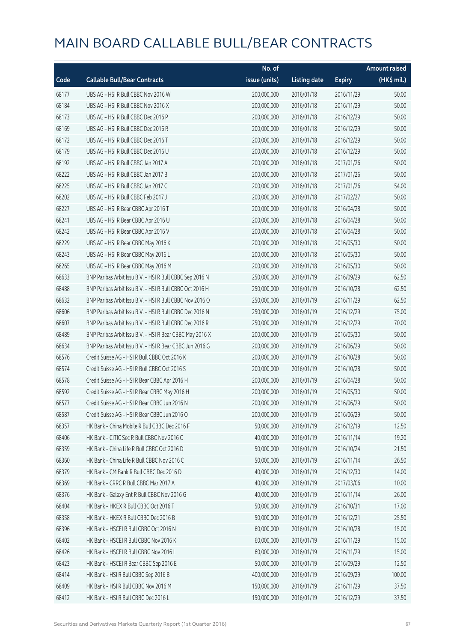|       |                                                          | No. of        |                     |               | <b>Amount raised</b> |
|-------|----------------------------------------------------------|---------------|---------------------|---------------|----------------------|
| Code  | <b>Callable Bull/Bear Contracts</b>                      | issue (units) | <b>Listing date</b> | <b>Expiry</b> | (HK\$ mil.)          |
| 68177 | UBS AG - HSI R Bull CBBC Nov 2016 W                      | 200,000,000   | 2016/01/18          | 2016/11/29    | 50.00                |
| 68184 | UBS AG - HSI R Bull CBBC Nov 2016 X                      | 200,000,000   | 2016/01/18          | 2016/11/29    | 50.00                |
| 68173 | UBS AG - HSI R Bull CBBC Dec 2016 P                      | 200,000,000   | 2016/01/18          | 2016/12/29    | 50.00                |
| 68169 | UBS AG - HSI R Bull CBBC Dec 2016 R                      | 200,000,000   | 2016/01/18          | 2016/12/29    | 50.00                |
| 68172 | UBS AG - HSI R Bull CBBC Dec 2016 T                      | 200,000,000   | 2016/01/18          | 2016/12/29    | 50.00                |
| 68179 | UBS AG - HSI R Bull CBBC Dec 2016 U                      | 200,000,000   | 2016/01/18          | 2016/12/29    | 50.00                |
| 68192 | UBS AG - HSI R Bull CBBC Jan 2017 A                      | 200,000,000   | 2016/01/18          | 2017/01/26    | 50.00                |
| 68222 | UBS AG - HSI R Bull CBBC Jan 2017 B                      | 200,000,000   | 2016/01/18          | 2017/01/26    | 50.00                |
| 68225 | UBS AG - HSI R Bull CBBC Jan 2017 C                      | 200,000,000   | 2016/01/18          | 2017/01/26    | 54.00                |
| 68202 | UBS AG - HSI R Bull CBBC Feb 2017 J                      | 200,000,000   | 2016/01/18          | 2017/02/27    | 50.00                |
| 68227 | UBS AG - HSI R Bear CBBC Apr 2016 T                      | 200,000,000   | 2016/01/18          | 2016/04/28    | 50.00                |
| 68241 | UBS AG - HSI R Bear CBBC Apr 2016 U                      | 200,000,000   | 2016/01/18          | 2016/04/28    | 50.00                |
| 68242 | UBS AG - HSI R Bear CBBC Apr 2016 V                      | 200,000,000   | 2016/01/18          | 2016/04/28    | 50.00                |
| 68229 | UBS AG - HSI R Bear CBBC May 2016 K                      | 200,000,000   | 2016/01/18          | 2016/05/30    | 50.00                |
| 68243 | UBS AG - HSI R Bear CBBC May 2016 L                      | 200,000,000   | 2016/01/18          | 2016/05/30    | 50.00                |
| 68265 | UBS AG - HSI R Bear CBBC May 2016 M                      | 200,000,000   | 2016/01/18          | 2016/05/30    | 50.00                |
| 68633 | BNP Paribas Arbit Issu B.V. - HSI R Bull CBBC Sep 2016 N | 250,000,000   | 2016/01/19          | 2016/09/29    | 62.50                |
| 68488 | BNP Paribas Arbit Issu B.V. - HSI R Bull CBBC Oct 2016 H | 250,000,000   | 2016/01/19          | 2016/10/28    | 62.50                |
| 68632 | BNP Paribas Arbit Issu B.V. - HSI R Bull CBBC Nov 2016 O | 250,000,000   | 2016/01/19          | 2016/11/29    | 62.50                |
| 68606 | BNP Paribas Arbit Issu B.V. - HSI R Bull CBBC Dec 2016 N | 250,000,000   | 2016/01/19          | 2016/12/29    | 75.00                |
| 68607 | BNP Paribas Arbit Issu B.V. - HSI R Bull CBBC Dec 2016 R | 250,000,000   | 2016/01/19          | 2016/12/29    | 70.00                |
| 68489 | BNP Paribas Arbit Issu B.V. - HSI R Bear CBBC May 2016 X | 200,000,000   | 2016/01/19          | 2016/05/30    | 50.00                |
| 68634 | BNP Paribas Arbit Issu B.V. - HSI R Bear CBBC Jun 2016 G | 200,000,000   | 2016/01/19          | 2016/06/29    | 50.00                |
| 68576 | Credit Suisse AG - HSI R Bull CBBC Oct 2016 K            | 200,000,000   | 2016/01/19          | 2016/10/28    | 50.00                |
| 68574 | Credit Suisse AG - HSI R Bull CBBC Oct 2016 S            | 200,000,000   | 2016/01/19          | 2016/10/28    | 50.00                |
| 68578 | Credit Suisse AG - HSI R Bear CBBC Apr 2016 H            | 200,000,000   | 2016/01/19          | 2016/04/28    | 50.00                |
| 68592 | Credit Suisse AG - HSI R Bear CBBC May 2016 H            | 200,000,000   | 2016/01/19          | 2016/05/30    | 50.00                |
| 68577 | Credit Suisse AG - HSI R Bear CBBC Jun 2016 N            | 200,000,000   | 2016/01/19          | 2016/06/29    | 50.00                |
| 68587 | Credit Suisse AG - HSI R Bear CBBC Jun 2016 O            | 200,000,000   | 2016/01/19          | 2016/06/29    | 50.00                |
| 68357 | HK Bank - China Mobile R Bull CBBC Dec 2016 F            | 50,000,000    | 2016/01/19          | 2016/12/19    | 12.50                |
| 68406 | HK Bank - CITIC Sec R Bull CBBC Nov 2016 C               | 40,000,000    | 2016/01/19          | 2016/11/14    | 19.20                |
| 68359 | HK Bank - China Life R Bull CBBC Oct 2016 D              | 50,000,000    | 2016/01/19          | 2016/10/24    | 21.50                |
| 68360 | HK Bank - China Life R Bull CBBC Nov 2016 C              | 50,000,000    | 2016/01/19          | 2016/11/14    | 26.50                |
| 68379 | HK Bank - CM Bank R Bull CBBC Dec 2016 D                 | 40,000,000    | 2016/01/19          | 2016/12/30    | 14.00                |
| 68369 | HK Bank - CRRC R Bull CBBC Mar 2017 A                    | 40,000,000    | 2016/01/19          | 2017/03/06    | 10.00                |
| 68376 | HK Bank - Galaxy Ent R Bull CBBC Nov 2016 G              | 40,000,000    | 2016/01/19          | 2016/11/14    | 26.00                |
| 68404 | HK Bank - HKEX R Bull CBBC Oct 2016 T                    | 50,000,000    | 2016/01/19          | 2016/10/31    | 17.00                |
| 68358 | HK Bank - HKEX R Bull CBBC Dec 2016 B                    | 50,000,000    | 2016/01/19          | 2016/12/21    | 25.50                |
| 68396 | HK Bank - HSCEI R Bull CBBC Oct 2016 N                   | 60,000,000    | 2016/01/19          | 2016/10/28    | 15.00                |
| 68402 | HK Bank - HSCEI R Bull CBBC Nov 2016 K                   | 60,000,000    | 2016/01/19          | 2016/11/29    | 15.00                |
| 68426 | HK Bank - HSCEI R Bull CBBC Nov 2016 L                   | 60,000,000    | 2016/01/19          | 2016/11/29    | 15.00                |
| 68423 | HK Bank - HSCEI R Bear CBBC Sep 2016 E                   | 50,000,000    | 2016/01/19          | 2016/09/29    | 12.50                |
| 68414 | HK Bank - HSI R Bull CBBC Sep 2016 B                     | 400,000,000   | 2016/01/19          | 2016/09/29    | 100.00               |
| 68409 | HK Bank - HSI R Bull CBBC Nov 2016 M                     | 150,000,000   | 2016/01/19          | 2016/11/29    | 37.50                |
| 68412 | HK Bank - HSI R Bull CBBC Dec 2016 L                     | 150,000,000   | 2016/01/19          | 2016/12/29    | 37.50                |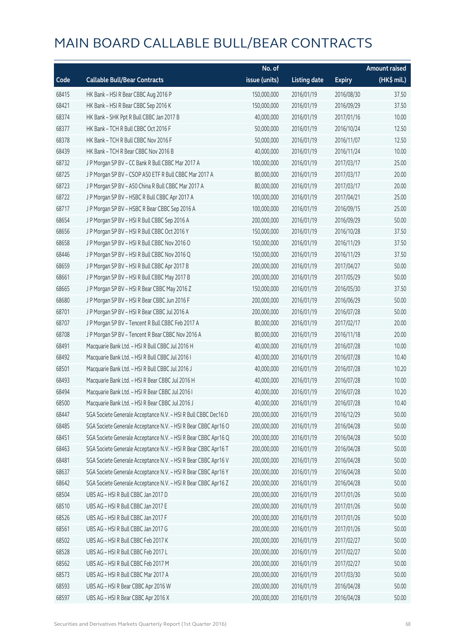|       |                                                                | No. of        |                     |               | <b>Amount raised</b> |
|-------|----------------------------------------------------------------|---------------|---------------------|---------------|----------------------|
| Code  | <b>Callable Bull/Bear Contracts</b>                            | issue (units) | <b>Listing date</b> | <b>Expiry</b> | (HK\$ mil.)          |
| 68415 | HK Bank - HSI R Bear CBBC Aug 2016 P                           | 150,000,000   | 2016/01/19          | 2016/08/30    | 37.50                |
| 68421 | HK Bank - HSI R Bear CBBC Sep 2016 K                           | 150,000,000   | 2016/01/19          | 2016/09/29    | 37.50                |
| 68374 | HK Bank - SHK Ppt R Bull CBBC Jan 2017 B                       | 40,000,000    | 2016/01/19          | 2017/01/16    | 10.00                |
| 68377 | HK Bank - TCH R Bull CBBC Oct 2016 F                           | 50,000,000    | 2016/01/19          | 2016/10/24    | 12.50                |
| 68378 | HK Bank - TCH R Bull CBBC Nov 2016 F                           | 50,000,000    | 2016/01/19          | 2016/11/07    | 12.50                |
| 68439 | HK Bank - TCH R Bear CBBC Nov 2016 B                           | 40,000,000    | 2016/01/19          | 2016/11/24    | 10.00                |
| 68732 | J P Morgan SP BV - CC Bank R Bull CBBC Mar 2017 A              | 100,000,000   | 2016/01/19          | 2017/03/17    | 25.00                |
| 68725 | J P Morgan SP BV - CSOP A50 ETF R Bull CBBC Mar 2017 A         | 80,000,000    | 2016/01/19          | 2017/03/17    | 20.00                |
| 68723 | J P Morgan SP BV - A50 China R Bull CBBC Mar 2017 A            | 80,000,000    | 2016/01/19          | 2017/03/17    | 20.00                |
| 68722 | J P Morgan SP BV - HSBC R Bull CBBC Apr 2017 A                 | 100,000,000   | 2016/01/19          | 2017/04/21    | 25.00                |
| 68717 | J P Morgan SP BV - HSBC R Bear CBBC Sep 2016 A                 | 100,000,000   | 2016/01/19          | 2016/09/15    | 25.00                |
| 68654 | J P Morgan SP BV - HSI R Bull CBBC Sep 2016 A                  | 200,000,000   | 2016/01/19          | 2016/09/29    | 50.00                |
| 68656 | J P Morgan SP BV - HSI R Bull CBBC Oct 2016 Y                  | 150,000,000   | 2016/01/19          | 2016/10/28    | 37.50                |
| 68658 | J P Morgan SP BV - HSI R Bull CBBC Nov 2016 O                  | 150,000,000   | 2016/01/19          | 2016/11/29    | 37.50                |
| 68446 | J P Morgan SP BV - HSI R Bull CBBC Nov 2016 Q                  | 150,000,000   | 2016/01/19          | 2016/11/29    | 37.50                |
| 68659 | J P Morgan SP BV - HSI R Bull CBBC Apr 2017 B                  | 200,000,000   | 2016/01/19          | 2017/04/27    | 50.00                |
| 68661 | J P Morgan SP BV - HSI R Bull CBBC May 2017 B                  | 200,000,000   | 2016/01/19          | 2017/05/29    | 50.00                |
| 68665 | J P Morgan SP BV - HSI R Bear CBBC May 2016 Z                  | 150,000,000   | 2016/01/19          | 2016/05/30    | 37.50                |
| 68680 | J P Morgan SP BV - HSI R Bear CBBC Jun 2016 F                  | 200,000,000   | 2016/01/19          | 2016/06/29    | 50.00                |
| 68701 | J P Morgan SP BV - HSI R Bear CBBC Jul 2016 A                  | 200,000,000   | 2016/01/19          | 2016/07/28    | 50.00                |
| 68707 | J P Morgan SP BV - Tencent R Bull CBBC Feb 2017 A              | 80,000,000    | 2016/01/19          | 2017/02/17    | 20.00                |
| 68708 | J P Morgan SP BV - Tencent R Bear CBBC Nov 2016 A              | 80,000,000    | 2016/01/19          | 2016/11/18    | 20.00                |
| 68491 | Macquarie Bank Ltd. - HSI R Bull CBBC Jul 2016 H               | 40,000,000    | 2016/01/19          | 2016/07/28    | 10.00                |
| 68492 | Macquarie Bank Ltd. - HSI R Bull CBBC Jul 2016 I               | 40,000,000    | 2016/01/19          | 2016/07/28    | 10.40                |
| 68501 | Macquarie Bank Ltd. - HSI R Bull CBBC Jul 2016 J               | 40,000,000    | 2016/01/19          | 2016/07/28    | 10.20                |
| 68493 | Macquarie Bank Ltd. - HSI R Bear CBBC Jul 2016 H               | 40,000,000    | 2016/01/19          | 2016/07/28    | 10.00                |
| 68494 | Macquarie Bank Ltd. - HSI R Bear CBBC Jul 2016 I               | 40,000,000    | 2016/01/19          | 2016/07/28    | 10.20                |
| 68500 | Macquarie Bank Ltd. - HSI R Bear CBBC Jul 2016 J               | 40,000,000    | 2016/01/19          | 2016/07/28    | 10.40                |
| 68447 | SGA Societe Generale Acceptance N.V. - HSI R Bull CBBC Dec16 D | 200,000,000   | 2016/01/19          | 2016/12/29    | 50.00                |
| 68485 | SGA Societe Generale Acceptance N.V. - HSI R Bear CBBC Apr16 O | 200,000,000   | 2016/01/19          | 2016/04/28    | 50.00                |
| 68451 | SGA Societe Generale Acceptance N.V. - HSI R Bear CBBC Apr16 Q | 200,000,000   | 2016/01/19          | 2016/04/28    | 50.00                |
| 68463 | SGA Societe Generale Acceptance N.V. - HSI R Bear CBBC Apr16 T | 200,000,000   | 2016/01/19          | 2016/04/28    | 50.00                |
| 68481 | SGA Societe Generale Acceptance N.V. - HSI R Bear CBBC Apr16 V | 200,000,000   | 2016/01/19          | 2016/04/28    | 50.00                |
| 68637 | SGA Societe Generale Acceptance N.V. - HSI R Bear CBBC Apr16 Y | 200,000,000   | 2016/01/19          | 2016/04/28    | 50.00                |
| 68642 | SGA Societe Generale Acceptance N.V. - HSI R Bear CBBC Apr16 Z | 200,000,000   | 2016/01/19          | 2016/04/28    | 50.00                |
| 68504 | UBS AG - HSI R Bull CBBC Jan 2017 D                            | 200,000,000   | 2016/01/19          | 2017/01/26    | 50.00                |
| 68510 | UBS AG - HSI R Bull CBBC Jan 2017 E                            | 200,000,000   | 2016/01/19          | 2017/01/26    | 50.00                |
| 68526 | UBS AG - HSI R Bull CBBC Jan 2017 F                            | 200,000,000   | 2016/01/19          | 2017/01/26    | 50.00                |
| 68561 | UBS AG - HSI R Bull CBBC Jan 2017 G                            | 200,000,000   | 2016/01/19          | 2017/01/26    | 50.00                |
| 68502 | UBS AG - HSI R Bull CBBC Feb 2017 K                            | 200,000,000   | 2016/01/19          | 2017/02/27    | 50.00                |
| 68528 | UBS AG - HSI R Bull CBBC Feb 2017 L                            | 200,000,000   | 2016/01/19          | 2017/02/27    | 50.00                |
| 68562 | UBS AG - HSI R Bull CBBC Feb 2017 M                            | 200,000,000   | 2016/01/19          | 2017/02/27    | 50.00                |
| 68573 | UBS AG - HSI R Bull CBBC Mar 2017 A                            | 200,000,000   | 2016/01/19          | 2017/03/30    | 50.00                |
| 68593 | UBS AG - HSI R Bear CBBC Apr 2016 W                            | 200,000,000   | 2016/01/19          | 2016/04/28    | 50.00                |
| 68597 | UBS AG - HSI R Bear CBBC Apr 2016 X                            | 200,000,000   | 2016/01/19          | 2016/04/28    | 50.00                |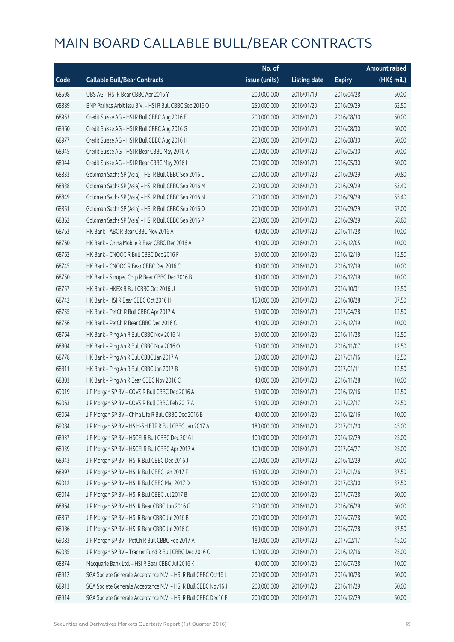|       |                                                                | No. of        |                     |               | Amount raised |
|-------|----------------------------------------------------------------|---------------|---------------------|---------------|---------------|
| Code  | <b>Callable Bull/Bear Contracts</b>                            | issue (units) | <b>Listing date</b> | <b>Expiry</b> | (HK\$ mil.)   |
| 68598 | UBS AG - HSI R Bear CBBC Apr 2016 Y                            | 200,000,000   | 2016/01/19          | 2016/04/28    | 50.00         |
| 68889 | BNP Paribas Arbit Issu B.V. - HSI R Bull CBBC Sep 2016 O       | 250,000,000   | 2016/01/20          | 2016/09/29    | 62.50         |
| 68953 | Credit Suisse AG - HSI R Bull CBBC Aug 2016 E                  | 200,000,000   | 2016/01/20          | 2016/08/30    | 50.00         |
| 68960 | Credit Suisse AG - HSI R Bull CBBC Aug 2016 G                  | 200,000,000   | 2016/01/20          | 2016/08/30    | 50.00         |
| 68977 | Credit Suisse AG - HSI R Bull CBBC Aug 2016 H                  | 200,000,000   | 2016/01/20          | 2016/08/30    | 50.00         |
| 68945 | Credit Suisse AG - HSI R Bear CBBC May 2016 A                  | 200,000,000   | 2016/01/20          | 2016/05/30    | 50.00         |
| 68944 | Credit Suisse AG - HSI R Bear CBBC May 2016 I                  | 200,000,000   | 2016/01/20          | 2016/05/30    | 50.00         |
| 68833 | Goldman Sachs SP (Asia) - HSI R Bull CBBC Sep 2016 L           | 200,000,000   | 2016/01/20          | 2016/09/29    | 50.80         |
| 68838 | Goldman Sachs SP (Asia) - HSI R Bull CBBC Sep 2016 M           | 200,000,000   | 2016/01/20          | 2016/09/29    | 53.40         |
| 68849 | Goldman Sachs SP (Asia) - HSI R Bull CBBC Sep 2016 N           | 200,000,000   | 2016/01/20          | 2016/09/29    | 55.40         |
| 68851 | Goldman Sachs SP (Asia) - HSI R Bull CBBC Sep 2016 O           | 200,000,000   | 2016/01/20          | 2016/09/29    | 57.00         |
| 68862 | Goldman Sachs SP (Asia) - HSI R Bull CBBC Sep 2016 P           | 200,000,000   | 2016/01/20          | 2016/09/29    | 58.60         |
| 68763 | HK Bank - ABC R Bear CBBC Nov 2016 A                           | 40,000,000    | 2016/01/20          | 2016/11/28    | 10.00         |
| 68760 | HK Bank - China Mobile R Bear CBBC Dec 2016 A                  | 40,000,000    | 2016/01/20          | 2016/12/05    | 10.00         |
| 68762 | HK Bank - CNOOC R Bull CBBC Dec 2016 F                         | 50,000,000    | 2016/01/20          | 2016/12/19    | 12.50         |
| 68745 | HK Bank - CNOOC R Bear CBBC Dec 2016 C                         | 40,000,000    | 2016/01/20          | 2016/12/19    | 10.00         |
| 68750 | HK Bank - Sinopec Corp R Bear CBBC Dec 2016 B                  | 40,000,000    | 2016/01/20          | 2016/12/19    | 10.00         |
| 68757 | HK Bank - HKEX R Bull CBBC Oct 2016 U                          | 50,000,000    | 2016/01/20          | 2016/10/31    | 12.50         |
| 68742 | HK Bank - HSI R Bear CBBC Oct 2016 H                           | 150,000,000   | 2016/01/20          | 2016/10/28    | 37.50         |
| 68755 | HK Bank - PetCh R Bull CBBC Apr 2017 A                         | 50,000,000    | 2016/01/20          | 2017/04/28    | 12.50         |
| 68756 | HK Bank - PetCh R Bear CBBC Dec 2016 C                         | 40,000,000    | 2016/01/20          | 2016/12/19    | 10.00         |
| 68764 | HK Bank - Ping An R Bull CBBC Nov 2016 N                       | 50,000,000    | 2016/01/20          | 2016/11/28    | 12.50         |
| 68804 | HK Bank - Ping An R Bull CBBC Nov 2016 O                       | 50,000,000    | 2016/01/20          | 2016/11/07    | 12.50         |
| 68778 | HK Bank - Ping An R Bull CBBC Jan 2017 A                       | 50,000,000    | 2016/01/20          | 2017/01/16    | 12.50         |
| 68811 | HK Bank - Ping An R Bull CBBC Jan 2017 B                       | 50,000,000    | 2016/01/20          | 2017/01/11    | 12.50         |
| 68803 | HK Bank - Ping An R Bear CBBC Nov 2016 C                       | 40,000,000    | 2016/01/20          | 2016/11/28    | 10.00         |
| 69019 | J P Morgan SP BV - COVS R Bull CBBC Dec 2016 A                 | 50,000,000    | 2016/01/20          | 2016/12/16    | 12.50         |
| 69063 | J P Morgan SP BV - COVS R Bull CBBC Feb 2017 A                 | 50,000,000    | 2016/01/20          | 2017/02/17    | 22.50         |
| 69064 | J P Morgan SP BV - China Life R Bull CBBC Dec 2016 B           | 40,000,000    | 2016/01/20          | 2016/12/16    | 10.00         |
| 69084 | J P Morgan SP BV - HS H-SH ETF R Bull CBBC Jan 2017 A          | 180,000,000   | 2016/01/20          | 2017/01/20    | 45.00         |
| 68937 | JP Morgan SP BV - HSCEI R Bull CBBC Dec 2016 I                 | 100,000,000   | 2016/01/20          | 2016/12/29    | 25.00         |
| 68939 | J P Morgan SP BV - HSCEI R Bull CBBC Apr 2017 A                | 100,000,000   | 2016/01/20          | 2017/04/27    | 25.00         |
| 68943 | J P Morgan SP BV - HSI R Bull CBBC Dec 2016 J                  | 200,000,000   | 2016/01/20          | 2016/12/29    | 50.00         |
| 68997 | J P Morgan SP BV - HSI R Bull CBBC Jan 2017 F                  | 150,000,000   | 2016/01/20          | 2017/01/26    | 37.50         |
| 69012 | J P Morgan SP BV - HSI R Bull CBBC Mar 2017 D                  | 150,000,000   | 2016/01/20          | 2017/03/30    | 37.50         |
| 69014 | J P Morgan SP BV - HSI R Bull CBBC Jul 2017 B                  | 200,000,000   | 2016/01/20          | 2017/07/28    | 50.00         |
| 68864 | J P Morgan SP BV - HSI R Bear CBBC Jun 2016 G                  | 200,000,000   | 2016/01/20          | 2016/06/29    | 50.00         |
| 68867 | J P Morgan SP BV - HSI R Bear CBBC Jul 2016 B                  | 200,000,000   | 2016/01/20          | 2016/07/28    | 50.00         |
| 68986 | J P Morgan SP BV - HSI R Bear CBBC Jul 2016 C                  | 150,000,000   | 2016/01/20          | 2016/07/28    | 37.50         |
| 69083 | J P Morgan SP BV - PetCh R Bull CBBC Feb 2017 A                | 180,000,000   | 2016/01/20          | 2017/02/17    | 45.00         |
| 69085 | J P Morgan SP BV - Tracker Fund R Bull CBBC Dec 2016 C         | 100,000,000   | 2016/01/20          | 2016/12/16    | 25.00         |
| 68874 | Macquarie Bank Ltd. - HSI R Bear CBBC Jul 2016 K               | 40,000,000    | 2016/01/20          | 2016/07/28    | 10.00         |
| 68912 | SGA Societe Generale Acceptance N.V. - HSI R Bull CBBC Oct16 L | 200,000,000   | 2016/01/20          | 2016/10/28    | 50.00         |
| 68913 | SGA Societe Generale Acceptance N.V. - HSI R Bull CBBC Nov16 J | 200,000,000   | 2016/01/20          | 2016/11/29    | 50.00         |
| 68914 | SGA Societe Generale Acceptance N.V. - HSI R Bull CBBC Dec16 E | 200,000,000   | 2016/01/20          | 2016/12/29    | 50.00         |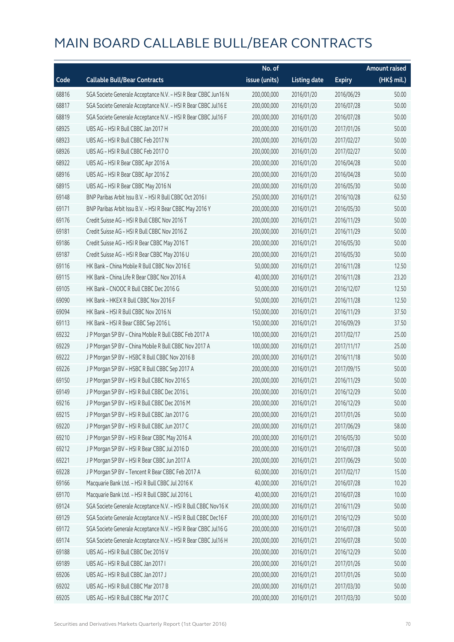|       |                                                                | No. of        |                     |               | <b>Amount raised</b> |
|-------|----------------------------------------------------------------|---------------|---------------------|---------------|----------------------|
| Code  | <b>Callable Bull/Bear Contracts</b>                            | issue (units) | <b>Listing date</b> | <b>Expiry</b> | (HK\$ mil.)          |
| 68816 | SGA Societe Generale Acceptance N.V. - HSI R Bear CBBC Jun16 N | 200,000,000   | 2016/01/20          | 2016/06/29    | 50.00                |
| 68817 | SGA Societe Generale Acceptance N.V. - HSI R Bear CBBC Jul16 E | 200,000,000   | 2016/01/20          | 2016/07/28    | 50.00                |
| 68819 | SGA Societe Generale Acceptance N.V. - HSI R Bear CBBC Jul16 F | 200,000,000   | 2016/01/20          | 2016/07/28    | 50.00                |
| 68925 | UBS AG - HSI R Bull CBBC Jan 2017 H                            | 200,000,000   | 2016/01/20          | 2017/01/26    | 50.00                |
| 68923 | UBS AG - HSI R Bull CBBC Feb 2017 N                            | 200,000,000   | 2016/01/20          | 2017/02/27    | 50.00                |
| 68926 | UBS AG - HSI R Bull CBBC Feb 2017 O                            | 200,000,000   | 2016/01/20          | 2017/02/27    | 50.00                |
| 68922 | UBS AG - HSI R Bear CBBC Apr 2016 A                            | 200,000,000   | 2016/01/20          | 2016/04/28    | 50.00                |
| 68916 | UBS AG - HSI R Bear CBBC Apr 2016 Z                            | 200,000,000   | 2016/01/20          | 2016/04/28    | 50.00                |
| 68915 | UBS AG - HSI R Bear CBBC May 2016 N                            | 200,000,000   | 2016/01/20          | 2016/05/30    | 50.00                |
| 69148 | BNP Paribas Arbit Issu B.V. - HSI R Bull CBBC Oct 2016 I       | 250,000,000   | 2016/01/21          | 2016/10/28    | 62.50                |
| 69171 | BNP Paribas Arbit Issu B.V. - HSI R Bear CBBC May 2016 Y       | 200,000,000   | 2016/01/21          | 2016/05/30    | 50.00                |
| 69176 | Credit Suisse AG - HSI R Bull CBBC Nov 2016 T                  | 200,000,000   | 2016/01/21          | 2016/11/29    | 50.00                |
| 69181 | Credit Suisse AG - HSI R Bull CBBC Nov 2016 Z                  | 200,000,000   | 2016/01/21          | 2016/11/29    | 50.00                |
| 69186 | Credit Suisse AG - HSI R Bear CBBC May 2016 T                  | 200,000,000   | 2016/01/21          | 2016/05/30    | 50.00                |
| 69187 | Credit Suisse AG - HSI R Bear CBBC May 2016 U                  | 200,000,000   | 2016/01/21          | 2016/05/30    | 50.00                |
| 69116 | HK Bank - China Mobile R Bull CBBC Nov 2016 E                  | 50,000,000    | 2016/01/21          | 2016/11/28    | 12.50                |
| 69115 | HK Bank - China Life R Bear CBBC Nov 2016 A                    | 40,000,000    | 2016/01/21          | 2016/11/28    | 23.20                |
| 69105 | HK Bank - CNOOC R Bull CBBC Dec 2016 G                         | 50,000,000    | 2016/01/21          | 2016/12/07    | 12.50                |
| 69090 | HK Bank - HKEX R Bull CBBC Nov 2016 F                          | 50,000,000    | 2016/01/21          | 2016/11/28    | 12.50                |
| 69094 | HK Bank - HSI R Bull CBBC Nov 2016 N                           | 150,000,000   | 2016/01/21          | 2016/11/29    | 37.50                |
| 69113 | HK Bank - HSI R Bear CBBC Sep 2016 L                           | 150,000,000   | 2016/01/21          | 2016/09/29    | 37.50                |
| 69232 | J P Morgan SP BV - China Mobile R Bull CBBC Feb 2017 A         | 100,000,000   | 2016/01/21          | 2017/02/17    | 25.00                |
| 69229 | J P Morgan SP BV - China Mobile R Bull CBBC Nov 2017 A         | 100,000,000   | 2016/01/21          | 2017/11/17    | 25.00                |
| 69222 | J P Morgan SP BV - HSBC R Bull CBBC Nov 2016 B                 | 200,000,000   | 2016/01/21          | 2016/11/18    | 50.00                |
| 69226 | J P Morgan SP BV - HSBC R Bull CBBC Sep 2017 A                 | 200,000,000   | 2016/01/21          | 2017/09/15    | 50.00                |
| 69150 | J P Morgan SP BV - HSI R Bull CBBC Nov 2016 S                  | 200,000,000   | 2016/01/21          | 2016/11/29    | 50.00                |
| 69149 | J P Morgan SP BV - HSI R Bull CBBC Dec 2016 L                  | 200,000,000   | 2016/01/21          | 2016/12/29    | 50.00                |
| 69216 | J P Morgan SP BV - HSI R Bull CBBC Dec 2016 M                  | 200,000,000   | 2016/01/21          | 2016/12/29    | 50.00                |
| 69215 | J P Morgan SP BV - HSI R Bull CBBC Jan 2017 G                  | 200,000,000   | 2016/01/21          | 2017/01/26    | 50.00                |
| 69220 | J P Morgan SP BV - HSI R Bull CBBC Jun 2017 C                  | 200,000,000   | 2016/01/21          | 2017/06/29    | 58.00                |
| 69210 | J P Morgan SP BV - HSI R Bear CBBC May 2016 A                  | 200,000,000   | 2016/01/21          | 2016/05/30    | 50.00                |
| 69212 | J P Morgan SP BV - HSI R Bear CBBC Jul 2016 D                  | 200,000,000   | 2016/01/21          | 2016/07/28    | 50.00                |
| 69221 | J P Morgan SP BV - HSI R Bear CBBC Jun 2017 A                  | 200,000,000   | 2016/01/21          | 2017/06/29    | 50.00                |
| 69228 | J P Morgan SP BV - Tencent R Bear CBBC Feb 2017 A              | 60,000,000    | 2016/01/21          | 2017/02/17    | 15.00                |
| 69166 | Macquarie Bank Ltd. - HSI R Bull CBBC Jul 2016 K               | 40,000,000    | 2016/01/21          | 2016/07/28    | 10.20                |
| 69170 | Macquarie Bank Ltd. - HSI R Bull CBBC Jul 2016 L               | 40,000,000    | 2016/01/21          | 2016/07/28    | 10.00                |
| 69124 | SGA Societe Generale Acceptance N.V. - HSI R Bull CBBC Nov16 K | 200,000,000   | 2016/01/21          | 2016/11/29    | 50.00                |
| 69129 | SGA Societe Generale Acceptance N.V. - HSI R Bull CBBC Dec16 F | 200,000,000   | 2016/01/21          | 2016/12/29    | 50.00                |
| 69172 | SGA Societe Generale Acceptance N.V. - HSI R Bear CBBC Jul16 G | 200,000,000   | 2016/01/21          | 2016/07/28    | 50.00                |
| 69174 | SGA Societe Generale Acceptance N.V. - HSI R Bear CBBC Jul16 H | 200,000,000   | 2016/01/21          | 2016/07/28    | 50.00                |
| 69188 | UBS AG - HSI R Bull CBBC Dec 2016 V                            | 200,000,000   | 2016/01/21          | 2016/12/29    | 50.00                |
| 69189 | UBS AG - HSI R Bull CBBC Jan 2017 I                            | 200,000,000   | 2016/01/21          | 2017/01/26    | 50.00                |
| 69206 | UBS AG - HSI R Bull CBBC Jan 2017 J                            | 200,000,000   | 2016/01/21          | 2017/01/26    | 50.00                |
| 69202 | UBS AG - HSI R Bull CBBC Mar 2017 B                            | 200,000,000   | 2016/01/21          | 2017/03/30    | 50.00                |
| 69205 | UBS AG - HSI R Bull CBBC Mar 2017 C                            | 200,000,000   | 2016/01/21          | 2017/03/30    | 50.00                |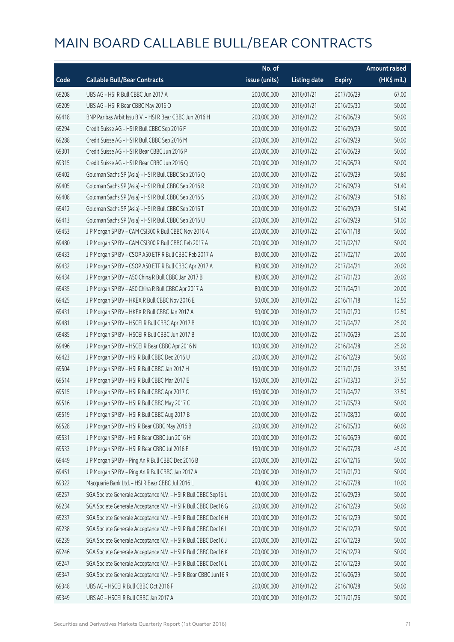|       |                                                                | No. of        |                     |               | Amount raised |
|-------|----------------------------------------------------------------|---------------|---------------------|---------------|---------------|
| Code  | <b>Callable Bull/Bear Contracts</b>                            | issue (units) | <b>Listing date</b> | <b>Expiry</b> | (HK\$ mil.)   |
| 69208 | UBS AG - HSI R Bull CBBC Jun 2017 A                            | 200,000,000   | 2016/01/21          | 2017/06/29    | 67.00         |
| 69209 | UBS AG - HSI R Bear CBBC May 2016 O                            | 200,000,000   | 2016/01/21          | 2016/05/30    | 50.00         |
| 69418 | BNP Paribas Arbit Issu B.V. - HSI R Bear CBBC Jun 2016 H       | 200,000,000   | 2016/01/22          | 2016/06/29    | 50.00         |
| 69294 | Credit Suisse AG - HSI R Bull CBBC Sep 2016 F                  | 200,000,000   | 2016/01/22          | 2016/09/29    | 50.00         |
| 69288 | Credit Suisse AG - HSI R Bull CBBC Sep 2016 M                  | 200,000,000   | 2016/01/22          | 2016/09/29    | 50.00         |
| 69301 | Credit Suisse AG - HSI R Bear CBBC Jun 2016 P                  | 200,000,000   | 2016/01/22          | 2016/06/29    | 50.00         |
| 69315 | Credit Suisse AG - HSI R Bear CBBC Jun 2016 Q                  | 200,000,000   | 2016/01/22          | 2016/06/29    | 50.00         |
| 69402 | Goldman Sachs SP (Asia) - HSI R Bull CBBC Sep 2016 Q           | 200,000,000   | 2016/01/22          | 2016/09/29    | 50.80         |
| 69405 | Goldman Sachs SP (Asia) - HSI R Bull CBBC Sep 2016 R           | 200,000,000   | 2016/01/22          | 2016/09/29    | 51.40         |
| 69408 | Goldman Sachs SP (Asia) - HSI R Bull CBBC Sep 2016 S           | 200,000,000   | 2016/01/22          | 2016/09/29    | 51.60         |
| 69412 | Goldman Sachs SP (Asia) - HSI R Bull CBBC Sep 2016 T           | 200,000,000   | 2016/01/22          | 2016/09/29    | 51.40         |
| 69413 | Goldman Sachs SP (Asia) - HSI R Bull CBBC Sep 2016 U           | 200,000,000   | 2016/01/22          | 2016/09/29    | 51.00         |
| 69453 | J P Morgan SP BV - CAM CSI300 R Bull CBBC Nov 2016 A           | 200,000,000   | 2016/01/22          | 2016/11/18    | 50.00         |
| 69480 | J P Morgan SP BV - CAM CSI300 R Bull CBBC Feb 2017 A           | 200,000,000   | 2016/01/22          | 2017/02/17    | 50.00         |
| 69433 | J P Morgan SP BV - CSOP A50 ETF R Bull CBBC Feb 2017 A         | 80,000,000    | 2016/01/22          | 2017/02/17    | 20.00         |
| 69432 | J P Morgan SP BV - CSOP A50 ETF R Bull CBBC Apr 2017 A         | 80,000,000    | 2016/01/22          | 2017/04/21    | 20.00         |
| 69434 | J P Morgan SP BV - A50 China R Bull CBBC Jan 2017 B            | 80,000,000    | 2016/01/22          | 2017/01/20    | 20.00         |
| 69435 | J P Morgan SP BV - A50 China R Bull CBBC Apr 2017 A            | 80,000,000    | 2016/01/22          | 2017/04/21    | 20.00         |
| 69425 | J P Morgan SP BV - HKEX R Bull CBBC Nov 2016 E                 | 50,000,000    | 2016/01/22          | 2016/11/18    | 12.50         |
| 69431 | J P Morgan SP BV - HKEX R Bull CBBC Jan 2017 A                 | 50,000,000    | 2016/01/22          | 2017/01/20    | 12.50         |
| 69481 | JP Morgan SP BV - HSCEIR Bull CBBC Apr 2017 B                  | 100,000,000   | 2016/01/22          | 2017/04/27    | 25.00         |
| 69485 | J P Morgan SP BV - HSCEI R Bull CBBC Jun 2017 B                | 100,000,000   | 2016/01/22          | 2017/06/29    | 25.00         |
| 69496 | J P Morgan SP BV - HSCEI R Bear CBBC Apr 2016 N                | 100,000,000   | 2016/01/22          | 2016/04/28    | 25.00         |
| 69423 | J P Morgan SP BV - HSI R Bull CBBC Dec 2016 U                  | 200,000,000   | 2016/01/22          | 2016/12/29    | 50.00         |
| 69504 | J P Morgan SP BV - HSI R Bull CBBC Jan 2017 H                  | 150,000,000   | 2016/01/22          | 2017/01/26    | 37.50         |
| 69514 | J P Morgan SP BV - HSI R Bull CBBC Mar 2017 E                  | 150,000,000   | 2016/01/22          | 2017/03/30    | 37.50         |
| 69515 | JP Morgan SP BV - HSIR Bull CBBC Apr 2017 C                    | 150,000,000   | 2016/01/22          | 2017/04/27    | 37.50         |
| 69516 | J P Morgan SP BV - HSI R Bull CBBC May 2017 C                  | 200,000,000   | 2016/01/22          | 2017/05/29    | 50.00         |
| 69519 | J P Morgan SP BV - HSI R Bull CBBC Aug 2017 B                  | 200,000,000   | 2016/01/22          | 2017/08/30    | 60.00         |
| 69528 | J P Morgan SP BV - HSI R Bear CBBC May 2016 B                  | 200,000,000   | 2016/01/22          | 2016/05/30    | 60.00         |
| 69531 | J P Morgan SP BV - HSI R Bear CBBC Jun 2016 H                  | 200,000,000   | 2016/01/22          | 2016/06/29    | 60.00         |
| 69533 | J P Morgan SP BV - HSI R Bear CBBC Jul 2016 E                  | 150,000,000   | 2016/01/22          | 2016/07/28    | 45.00         |
| 69449 | J P Morgan SP BV - Ping An R Bull CBBC Dec 2016 B              | 200,000,000   | 2016/01/22          | 2016/12/16    | 50.00         |
| 69451 | J P Morgan SP BV - Ping An R Bull CBBC Jan 2017 A              | 200,000,000   | 2016/01/22          | 2017/01/20    | 50.00         |
| 69322 | Macquarie Bank Ltd. - HSI R Bear CBBC Jul 2016 L               | 40,000,000    | 2016/01/22          | 2016/07/28    | 10.00         |
| 69257 | SGA Societe Generale Acceptance N.V. - HSI R Bull CBBC Sep16 L | 200,000,000   | 2016/01/22          | 2016/09/29    | 50.00         |
| 69234 | SGA Societe Generale Acceptance N.V. - HSI R Bull CBBC Dec16 G | 200,000,000   | 2016/01/22          | 2016/12/29    | 50.00         |
| 69237 | SGA Societe Generale Acceptance N.V. - HSI R Bull CBBC Dec16 H | 200,000,000   | 2016/01/22          | 2016/12/29    | 50.00         |
| 69238 | SGA Societe Generale Acceptance N.V. - HSI R Bull CBBC Dec16 I | 200,000,000   | 2016/01/22          | 2016/12/29    | 50.00         |
| 69239 | SGA Societe Generale Acceptance N.V. - HSI R Bull CBBC Dec16 J | 200,000,000   | 2016/01/22          | 2016/12/29    | 50.00         |
| 69246 | SGA Societe Generale Acceptance N.V. - HSI R Bull CBBC Dec16 K | 200,000,000   | 2016/01/22          | 2016/12/29    | 50.00         |
| 69247 | SGA Societe Generale Acceptance N.V. - HSI R Bull CBBC Dec16 L | 200,000,000   | 2016/01/22          | 2016/12/29    | 50.00         |
| 69347 | SGA Societe Generale Acceptance N.V. - HSI R Bear CBBC Jun16 R | 200,000,000   | 2016/01/22          | 2016/06/29    | 50.00         |
| 69348 | UBS AG - HSCEI R Bull CBBC Oct 2016 F                          | 200,000,000   | 2016/01/22          | 2016/10/28    | 50.00         |
| 69349 | UBS AG - HSCEI R Bull CBBC Jan 2017 A                          | 200,000,000   | 2016/01/22          | 2017/01/26    | 50.00         |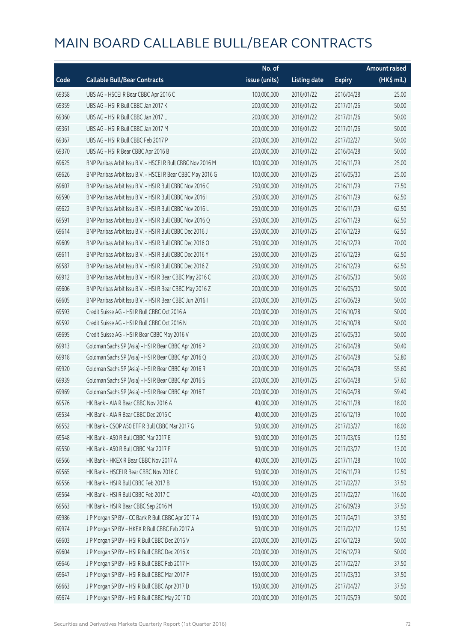|       |                                                            | No. of        |                     |               | <b>Amount raised</b> |
|-------|------------------------------------------------------------|---------------|---------------------|---------------|----------------------|
| Code  | <b>Callable Bull/Bear Contracts</b>                        | issue (units) | <b>Listing date</b> | <b>Expiry</b> | $(HK$$ mil.)         |
| 69358 | UBS AG - HSCEI R Bear CBBC Apr 2016 C                      | 100,000,000   | 2016/01/22          | 2016/04/28    | 25.00                |
| 69359 | UBS AG - HSI R Bull CBBC Jan 2017 K                        | 200,000,000   | 2016/01/22          | 2017/01/26    | 50.00                |
| 69360 | UBS AG - HSI R Bull CBBC Jan 2017 L                        | 200,000,000   | 2016/01/22          | 2017/01/26    | 50.00                |
| 69361 | UBS AG - HSI R Bull CBBC Jan 2017 M                        | 200,000,000   | 2016/01/22          | 2017/01/26    | 50.00                |
| 69367 | UBS AG - HSI R Bull CBBC Feb 2017 P                        | 200,000,000   | 2016/01/22          | 2017/02/27    | 50.00                |
| 69370 | UBS AG - HSI R Bear CBBC Apr 2016 B                        | 200,000,000   | 2016/01/22          | 2016/04/28    | 50.00                |
| 69625 | BNP Paribas Arbit Issu B.V. - HSCEI R Bull CBBC Nov 2016 M | 100,000,000   | 2016/01/25          | 2016/11/29    | 25.00                |
| 69626 | BNP Paribas Arbit Issu B.V. - HSCEI R Bear CBBC May 2016 G | 100,000,000   | 2016/01/25          | 2016/05/30    | 25.00                |
| 69607 | BNP Paribas Arbit Issu B.V. - HSI R Bull CBBC Nov 2016 G   | 250,000,000   | 2016/01/25          | 2016/11/29    | 77.50                |
| 69590 | BNP Paribas Arbit Issu B.V. - HSI R Bull CBBC Nov 2016 I   | 250,000,000   | 2016/01/25          | 2016/11/29    | 62.50                |
| 69622 | BNP Paribas Arbit Issu B.V. - HSI R Bull CBBC Nov 2016 L   | 250,000,000   | 2016/01/25          | 2016/11/29    | 62.50                |
| 69591 | BNP Paribas Arbit Issu B.V. - HSI R Bull CBBC Nov 2016 Q   | 250,000,000   | 2016/01/25          | 2016/11/29    | 62.50                |
| 69614 | BNP Paribas Arbit Issu B.V. - HSI R Bull CBBC Dec 2016 J   | 250,000,000   | 2016/01/25          | 2016/12/29    | 62.50                |
| 69609 | BNP Paribas Arbit Issu B.V. - HSI R Bull CBBC Dec 2016 O   | 250,000,000   | 2016/01/25          | 2016/12/29    | 70.00                |
| 69611 | BNP Paribas Arbit Issu B.V. - HSI R Bull CBBC Dec 2016 Y   | 250,000,000   | 2016/01/25          | 2016/12/29    | 62.50                |
| 69587 | BNP Paribas Arbit Issu B.V. - HSI R Bull CBBC Dec 2016 Z   | 250,000,000   | 2016/01/25          | 2016/12/29    | 62.50                |
| 69912 | BNP Paribas Arbit Issu B.V. - HSI R Bear CBBC May 2016 C   | 200,000,000   | 2016/01/25          | 2016/05/30    | 50.00                |
| 69606 | BNP Paribas Arbit Issu B.V. - HSI R Bear CBBC May 2016 Z   | 200,000,000   | 2016/01/25          | 2016/05/30    | 50.00                |
| 69605 | BNP Paribas Arbit Issu B.V. - HSI R Bear CBBC Jun 2016 I   | 200,000,000   | 2016/01/25          | 2016/06/29    | 50.00                |
| 69593 | Credit Suisse AG - HSI R Bull CBBC Oct 2016 A              | 200,000,000   | 2016/01/25          | 2016/10/28    | 50.00                |
| 69592 | Credit Suisse AG - HSI R Bull CBBC Oct 2016 N              | 200,000,000   | 2016/01/25          | 2016/10/28    | 50.00                |
| 69695 | Credit Suisse AG - HSI R Bear CBBC May 2016 V              | 200,000,000   | 2016/01/25          | 2016/05/30    | 50.00                |
| 69913 | Goldman Sachs SP (Asia) - HSI R Bear CBBC Apr 2016 P       | 200,000,000   | 2016/01/25          | 2016/04/28    | 50.40                |
| 69918 | Goldman Sachs SP (Asia) - HSI R Bear CBBC Apr 2016 Q       | 200,000,000   | 2016/01/25          | 2016/04/28    | 52.80                |
| 69920 | Goldman Sachs SP (Asia) - HSI R Bear CBBC Apr 2016 R       | 200,000,000   | 2016/01/25          | 2016/04/28    | 55.60                |
| 69939 | Goldman Sachs SP (Asia) - HSI R Bear CBBC Apr 2016 S       | 200,000,000   | 2016/01/25          | 2016/04/28    | 57.60                |
| 69969 | Goldman Sachs SP (Asia) - HSI R Bear CBBC Apr 2016 T       | 200,000,000   | 2016/01/25          | 2016/04/28    | 59.40                |
| 69576 | HK Bank - AIA R Bear CBBC Nov 2016 A                       | 40,000,000    | 2016/01/25          | 2016/11/28    | 18.00                |
| 69534 | HK Bank - AIA R Bear CBBC Dec 2016 C                       | 40,000,000    | 2016/01/25          | 2016/12/19    | 10.00                |
| 69552 | HK Bank - CSOP A50 ETF R Bull CBBC Mar 2017 G              | 50,000,000    | 2016/01/25          | 2017/03/27    | 18.00                |
| 69548 | HK Bank - A50 R Bull CBBC Mar 2017 E                       | 50,000,000    | 2016/01/25          | 2017/03/06    | 12.50                |
| 69550 | HK Bank - A50 R Bull CBBC Mar 2017 F                       | 50,000,000    | 2016/01/25          | 2017/03/27    | 13.00                |
| 69566 | HK Bank - HKEX R Bear CBBC Nov 2017 A                      | 40,000,000    | 2016/01/25          | 2017/11/28    | 10.00                |
| 69565 | HK Bank - HSCEI R Bear CBBC Nov 2016 C                     | 50,000,000    | 2016/01/25          | 2016/11/29    | 12.50                |
| 69556 | HK Bank - HSI R Bull CBBC Feb 2017 B                       | 150,000,000   | 2016/01/25          | 2017/02/27    | 37.50                |
| 69564 | HK Bank - HSI R Bull CBBC Feb 2017 C                       | 400,000,000   | 2016/01/25          | 2017/02/27    | 116.00               |
| 69563 | HK Bank - HSI R Bear CBBC Sep 2016 M                       | 150,000,000   | 2016/01/25          | 2016/09/29    | 37.50                |
| 69986 | J P Morgan SP BV - CC Bank R Bull CBBC Apr 2017 A          | 150,000,000   | 2016/01/25          | 2017/04/21    | 37.50                |
| 69974 | J P Morgan SP BV - HKEX R Bull CBBC Feb 2017 A             | 50,000,000    | 2016/01/25          | 2017/02/17    | 12.50                |
| 69603 | J P Morgan SP BV - HSI R Bull CBBC Dec 2016 V              | 200,000,000   | 2016/01/25          | 2016/12/29    | 50.00                |
| 69604 | J P Morgan SP BV - HSI R Bull CBBC Dec 2016 X              | 200,000,000   | 2016/01/25          | 2016/12/29    | 50.00                |
| 69646 | J P Morgan SP BV - HSI R Bull CBBC Feb 2017 H              | 150,000,000   | 2016/01/25          | 2017/02/27    | 37.50                |
| 69647 | J P Morgan SP BV - HSI R Bull CBBC Mar 2017 F              | 150,000,000   | 2016/01/25          | 2017/03/30    | 37.50                |
| 69663 | J P Morgan SP BV - HSI R Bull CBBC Apr 2017 D              | 150,000,000   | 2016/01/25          | 2017/04/27    | 37.50                |
| 69674 | J P Morgan SP BV - HSI R Bull CBBC May 2017 D              | 200,000,000   | 2016/01/25          | 2017/05/29    | 50.00                |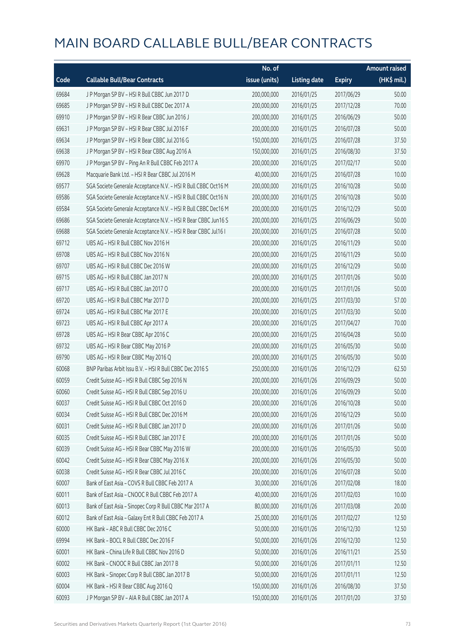|       |                                                                | No. of        |                     |               | <b>Amount raised</b>  |
|-------|----------------------------------------------------------------|---------------|---------------------|---------------|-----------------------|
| Code  | <b>Callable Bull/Bear Contracts</b>                            | issue (units) | <b>Listing date</b> | <b>Expiry</b> | $(HK\frac{1}{2}mil.)$ |
| 69684 | J P Morgan SP BV - HSI R Bull CBBC Jun 2017 D                  | 200,000,000   | 2016/01/25          | 2017/06/29    | 50.00                 |
| 69685 | J P Morgan SP BV - HSI R Bull CBBC Dec 2017 A                  | 200,000,000   | 2016/01/25          | 2017/12/28    | 70.00                 |
| 69910 | J P Morgan SP BV - HSI R Bear CBBC Jun 2016 J                  | 200,000,000   | 2016/01/25          | 2016/06/29    | 50.00                 |
| 69631 | J P Morgan SP BV - HSI R Bear CBBC Jul 2016 F                  | 200,000,000   | 2016/01/25          | 2016/07/28    | 50.00                 |
| 69634 | J P Morgan SP BV - HSI R Bear CBBC Jul 2016 G                  | 150,000,000   | 2016/01/25          | 2016/07/28    | 37.50                 |
| 69638 | J P Morgan SP BV - HSI R Bear CBBC Aug 2016 A                  | 150,000,000   | 2016/01/25          | 2016/08/30    | 37.50                 |
| 69970 | J P Morgan SP BV - Ping An R Bull CBBC Feb 2017 A              | 200,000,000   | 2016/01/25          | 2017/02/17    | 50.00                 |
| 69628 | Macquarie Bank Ltd. - HSI R Bear CBBC Jul 2016 M               | 40,000,000    | 2016/01/25          | 2016/07/28    | 10.00                 |
| 69577 | SGA Societe Generale Acceptance N.V. - HSI R Bull CBBC Oct16 M | 200,000,000   | 2016/01/25          | 2016/10/28    | 50.00                 |
| 69586 | SGA Societe Generale Acceptance N.V. - HSI R Bull CBBC Oct16 N | 200,000,000   | 2016/01/25          | 2016/10/28    | 50.00                 |
| 69584 | SGA Societe Generale Acceptance N.V. - HSI R Bull CBBC Dec16 M | 200,000,000   | 2016/01/25          | 2016/12/29    | 50.00                 |
| 69686 | SGA Societe Generale Acceptance N.V. - HSI R Bear CBBC Jun16 S | 200,000,000   | 2016/01/25          | 2016/06/29    | 50.00                 |
| 69688 | SGA Societe Generale Acceptance N.V. - HSI R Bear CBBC Jul16 I | 200,000,000   | 2016/01/25          | 2016/07/28    | 50.00                 |
| 69712 | UBS AG - HSI R Bull CBBC Nov 2016 H                            | 200,000,000   | 2016/01/25          | 2016/11/29    | 50.00                 |
| 69708 | UBS AG - HSI R Bull CBBC Nov 2016 N                            | 200,000,000   | 2016/01/25          | 2016/11/29    | 50.00                 |
| 69707 | UBS AG - HSI R Bull CBBC Dec 2016 W                            | 200,000,000   | 2016/01/25          | 2016/12/29    | 50.00                 |
| 69715 | UBS AG - HSI R Bull CBBC Jan 2017 N                            | 200,000,000   | 2016/01/25          | 2017/01/26    | 50.00                 |
| 69717 | UBS AG - HSI R Bull CBBC Jan 2017 O                            | 200,000,000   | 2016/01/25          | 2017/01/26    | 50.00                 |
| 69720 | UBS AG - HSI R Bull CBBC Mar 2017 D                            | 200,000,000   | 2016/01/25          | 2017/03/30    | 57.00                 |
| 69724 | UBS AG - HSI R Bull CBBC Mar 2017 E                            | 200,000,000   | 2016/01/25          | 2017/03/30    | 50.00                 |
| 69723 | UBS AG - HSI R Bull CBBC Apr 2017 A                            | 200,000,000   | 2016/01/25          | 2017/04/27    | 70.00                 |
| 69728 | UBS AG - HSI R Bear CBBC Apr 2016 C                            | 200,000,000   | 2016/01/25          | 2016/04/28    | 50.00                 |
| 69732 | UBS AG - HSI R Bear CBBC May 2016 P                            | 200,000,000   | 2016/01/25          | 2016/05/30    | 50.00                 |
| 69790 | UBS AG - HSI R Bear CBBC May 2016 Q                            | 200,000,000   | 2016/01/25          | 2016/05/30    | 50.00                 |
| 60068 | BNP Paribas Arbit Issu B.V. - HSI R Bull CBBC Dec 2016 S       | 250,000,000   | 2016/01/26          | 2016/12/29    | 62.50                 |
| 60059 | Credit Suisse AG - HSI R Bull CBBC Sep 2016 N                  | 200,000,000   | 2016/01/26          | 2016/09/29    | 50.00                 |
| 60060 | Credit Suisse AG - HSI R Bull CBBC Sep 2016 U                  | 200,000,000   | 2016/01/26          | 2016/09/29    | 50.00                 |
| 60037 | Credit Suisse AG - HSI R Bull CBBC Oct 2016 D                  | 200,000,000   | 2016/01/26          | 2016/10/28    | 50.00                 |
| 60034 | Credit Suisse AG - HSI R Bull CBBC Dec 2016 M                  | 200,000,000   | 2016/01/26          | 2016/12/29    | 50.00                 |
| 60031 | Credit Suisse AG - HSI R Bull CBBC Jan 2017 D                  | 200,000,000   | 2016/01/26          | 2017/01/26    | 50.00                 |
| 60035 | Credit Suisse AG - HSI R Bull CBBC Jan 2017 E                  | 200,000,000   | 2016/01/26          | 2017/01/26    | 50.00                 |
| 60039 | Credit Suisse AG - HSI R Bear CBBC May 2016 W                  | 200,000,000   | 2016/01/26          | 2016/05/30    | 50.00                 |
| 60042 | Credit Suisse AG - HSI R Bear CBBC May 2016 X                  | 200,000,000   | 2016/01/26          | 2016/05/30    | 50.00                 |
| 60038 | Credit Suisse AG - HSI R Bear CBBC Jul 2016 C                  | 200,000,000   | 2016/01/26          | 2016/07/28    | 50.00                 |
| 60007 | Bank of East Asia - COVS R Bull CBBC Feb 2017 A                | 30,000,000    | 2016/01/26          | 2017/02/08    | 18.00                 |
| 60011 | Bank of East Asia - CNOOC R Bull CBBC Feb 2017 A               | 40,000,000    | 2016/01/26          | 2017/02/03    | 10.00                 |
| 60013 | Bank of East Asia - Sinopec Corp R Bull CBBC Mar 2017 A        | 80,000,000    | 2016/01/26          | 2017/03/08    | 20.00                 |
| 60012 | Bank of East Asia - Galaxy Ent R Bull CBBC Feb 2017 A          | 25,000,000    | 2016/01/26          | 2017/02/27    | 12.50                 |
| 60000 | HK Bank - ABC R Bull CBBC Dec 2016 C                           | 50,000,000    | 2016/01/26          | 2016/12/30    | 12.50                 |
| 69994 | HK Bank - BOCL R Bull CBBC Dec 2016 F                          | 50,000,000    | 2016/01/26          | 2016/12/30    | 12.50                 |
| 60001 | HK Bank - China Life R Bull CBBC Nov 2016 D                    | 50,000,000    | 2016/01/26          | 2016/11/21    | 25.50                 |
| 60002 | HK Bank - CNOOC R Bull CBBC Jan 2017 B                         | 50,000,000    | 2016/01/26          | 2017/01/11    | 12.50                 |
| 60003 | HK Bank - Sinopec Corp R Bull CBBC Jan 2017 B                  | 50,000,000    | 2016/01/26          | 2017/01/11    | 12.50                 |
| 60004 | HK Bank - HSI R Bear CBBC Aug 2016 Q                           | 150,000,000   | 2016/01/26          | 2016/08/30    | 37.50                 |
| 60093 | J P Morgan SP BV - AIA R Bull CBBC Jan 2017 A                  | 150,000,000   | 2016/01/26          | 2017/01/20    | 37.50                 |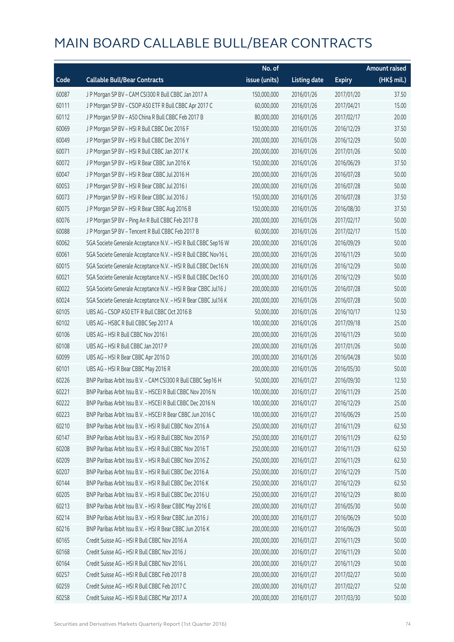|       |                                                                | No. of        |                     |               | <b>Amount raised</b> |
|-------|----------------------------------------------------------------|---------------|---------------------|---------------|----------------------|
| Code  | <b>Callable Bull/Bear Contracts</b>                            | issue (units) | <b>Listing date</b> | <b>Expiry</b> | (HK\$ mil.)          |
| 60087 | J P Morgan SP BV - CAM CSI300 R Bull CBBC Jan 2017 A           | 150,000,000   | 2016/01/26          | 2017/01/20    | 37.50                |
| 60111 | J P Morgan SP BV - CSOP A50 ETF R Bull CBBC Apr 2017 C         | 60,000,000    | 2016/01/26          | 2017/04/21    | 15.00                |
| 60112 | J P Morgan SP BV - A50 China R Bull CBBC Feb 2017 B            | 80,000,000    | 2016/01/26          | 2017/02/17    | 20.00                |
| 60069 | J P Morgan SP BV - HSI R Bull CBBC Dec 2016 F                  | 150,000,000   | 2016/01/26          | 2016/12/29    | 37.50                |
| 60049 | J P Morgan SP BV - HSI R Bull CBBC Dec 2016 Y                  | 200,000,000   | 2016/01/26          | 2016/12/29    | 50.00                |
| 60071 | J P Morgan SP BV - HSI R Bull CBBC Jan 2017 K                  | 200,000,000   | 2016/01/26          | 2017/01/26    | 50.00                |
| 60072 | J P Morgan SP BV - HSI R Bear CBBC Jun 2016 K                  | 150,000,000   | 2016/01/26          | 2016/06/29    | 37.50                |
| 60047 | J P Morgan SP BV - HSI R Bear CBBC Jul 2016 H                  | 200,000,000   | 2016/01/26          | 2016/07/28    | 50.00                |
| 60053 | J P Morgan SP BV - HSI R Bear CBBC Jul 2016 I                  | 200,000,000   | 2016/01/26          | 2016/07/28    | 50.00                |
| 60073 | J P Morgan SP BV - HSI R Bear CBBC Jul 2016 J                  | 150,000,000   | 2016/01/26          | 2016/07/28    | 37.50                |
| 60075 | J P Morgan SP BV - HSI R Bear CBBC Aug 2016 B                  | 150,000,000   | 2016/01/26          | 2016/08/30    | 37.50                |
| 60076 | J P Morgan SP BV - Ping An R Bull CBBC Feb 2017 B              | 200,000,000   | 2016/01/26          | 2017/02/17    | 50.00                |
| 60088 | J P Morgan SP BV - Tencent R Bull CBBC Feb 2017 B              | 60,000,000    | 2016/01/26          | 2017/02/17    | 15.00                |
| 60062 | SGA Societe Generale Acceptance N.V. - HSI R Bull CBBC Sep16 W | 200,000,000   | 2016/01/26          | 2016/09/29    | 50.00                |
| 60061 | SGA Societe Generale Acceptance N.V. - HSI R Bull CBBC Nov16 L | 200,000,000   | 2016/01/26          | 2016/11/29    | 50.00                |
| 60015 | SGA Societe Generale Acceptance N.V. - HSI R Bull CBBC Dec16 N | 200,000,000   | 2016/01/26          | 2016/12/29    | 50.00                |
| 60021 | SGA Societe Generale Acceptance N.V. - HSI R Bull CBBC Dec16 O | 200,000,000   | 2016/01/26          | 2016/12/29    | 50.00                |
| 60022 | SGA Societe Generale Acceptance N.V. - HSI R Bear CBBC Jul16 J | 200,000,000   | 2016/01/26          | 2016/07/28    | 50.00                |
| 60024 | SGA Societe Generale Acceptance N.V. - HSI R Bear CBBC Jul16 K | 200,000,000   | 2016/01/26          | 2016/07/28    | 50.00                |
| 60105 | UBS AG - CSOP A50 ETF R Bull CBBC Oct 2016 B                   | 50,000,000    | 2016/01/26          | 2016/10/17    | 12.50                |
| 60102 | UBS AG - HSBC R Bull CBBC Sep 2017 A                           | 100,000,000   | 2016/01/26          | 2017/09/18    | 25.00                |
| 60106 | UBS AG - HSI R Bull CBBC Nov 2016 I                            | 200,000,000   | 2016/01/26          | 2016/11/29    | 50.00                |
| 60108 | UBS AG - HSI R Bull CBBC Jan 2017 P                            | 200,000,000   | 2016/01/26          | 2017/01/26    | 50.00                |
| 60099 | UBS AG - HSI R Bear CBBC Apr 2016 D                            | 200,000,000   | 2016/01/26          | 2016/04/28    | 50.00                |
| 60101 | UBS AG - HSI R Bear CBBC May 2016 R                            | 200,000,000   | 2016/01/26          | 2016/05/30    | 50.00                |
| 60226 | BNP Paribas Arbit Issu B.V. - CAM CSI300 R Bull CBBC Sep16 H   | 50,000,000    | 2016/01/27          | 2016/09/30    | 12.50                |
| 60221 | BNP Paribas Arbit Issu B.V. - HSCEI R Bull CBBC Nov 2016 N     | 100,000,000   | 2016/01/27          | 2016/11/29    | 25.00                |
| 60222 | BNP Paribas Arbit Issu B.V. - HSCEI R Bull CBBC Dec 2016 N     | 100,000,000   | 2016/01/27          | 2016/12/29    | 25.00                |
| 60223 | BNP Paribas Arbit Issu B.V. - HSCEI R Bear CBBC Jun 2016 C     | 100,000,000   | 2016/01/27          | 2016/06/29    | 25.00                |
| 60210 | BNP Paribas Arbit Issu B.V. - HSI R Bull CBBC Nov 2016 A       | 250,000,000   | 2016/01/27          | 2016/11/29    | 62.50                |
| 60147 | BNP Paribas Arbit Issu B.V. - HSI R Bull CBBC Nov 2016 P       | 250,000,000   | 2016/01/27          | 2016/11/29    | 62.50                |
| 60208 | BNP Paribas Arbit Issu B.V. - HSI R Bull CBBC Nov 2016 T       | 250,000,000   | 2016/01/27          | 2016/11/29    | 62.50                |
| 60209 | BNP Paribas Arbit Issu B.V. - HSI R Bull CBBC Nov 2016 Z       | 250,000,000   | 2016/01/27          | 2016/11/29    | 62.50                |
| 60207 | BNP Paribas Arbit Issu B.V. - HSI R Bull CBBC Dec 2016 A       | 250,000,000   | 2016/01/27          | 2016/12/29    | 75.00                |
| 60144 | BNP Paribas Arbit Issu B.V. - HSI R Bull CBBC Dec 2016 K       | 250,000,000   | 2016/01/27          | 2016/12/29    | 62.50                |
| 60205 | BNP Paribas Arbit Issu B.V. - HSI R Bull CBBC Dec 2016 U       | 250,000,000   | 2016/01/27          | 2016/12/29    | 80.00                |
| 60213 | BNP Paribas Arbit Issu B.V. - HSI R Bear CBBC May 2016 E       | 200,000,000   | 2016/01/27          | 2016/05/30    | 50.00                |
| 60214 | BNP Paribas Arbit Issu B.V. - HSI R Bear CBBC Jun 2016 J       | 200,000,000   | 2016/01/27          | 2016/06/29    | 50.00                |
| 60216 | BNP Paribas Arbit Issu B.V. - HSI R Bear CBBC Jun 2016 K       | 200,000,000   | 2016/01/27          | 2016/06/29    | 50.00                |
| 60165 | Credit Suisse AG - HSI R Bull CBBC Nov 2016 A                  | 200,000,000   | 2016/01/27          | 2016/11/29    | 50.00                |
| 60168 | Credit Suisse AG - HSI R Bull CBBC Nov 2016 J                  | 200,000,000   | 2016/01/27          | 2016/11/29    | 50.00                |
| 60164 | Credit Suisse AG - HSI R Bull CBBC Nov 2016 L                  | 200,000,000   | 2016/01/27          | 2016/11/29    | 50.00                |
| 60257 | Credit Suisse AG - HSI R Bull CBBC Feb 2017 B                  | 200,000,000   | 2016/01/27          | 2017/02/27    | 50.00                |
| 60259 | Credit Suisse AG - HSI R Bull CBBC Feb 2017 C                  | 200,000,000   | 2016/01/27          | 2017/02/27    | 52.00                |
| 60258 | Credit Suisse AG - HSI R Bull CBBC Mar 2017 A                  | 200,000,000   | 2016/01/27          | 2017/03/30    | 50.00                |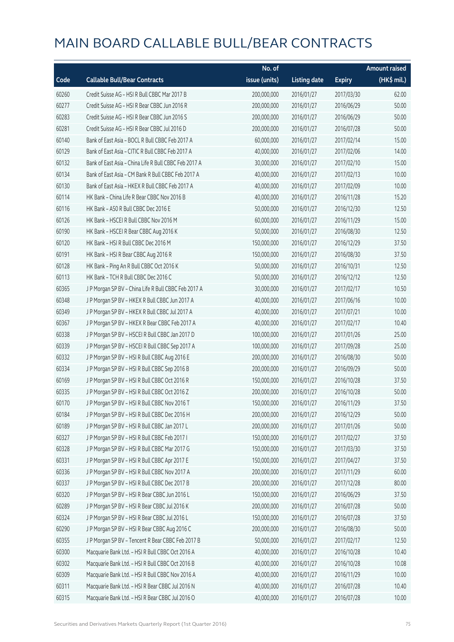|       |                                                       | No. of        |                     |               | <b>Amount raised</b> |
|-------|-------------------------------------------------------|---------------|---------------------|---------------|----------------------|
| Code  | <b>Callable Bull/Bear Contracts</b>                   | issue (units) | <b>Listing date</b> | <b>Expiry</b> | (HK\$ mil.)          |
| 60260 | Credit Suisse AG - HSI R Bull CBBC Mar 2017 B         | 200,000,000   | 2016/01/27          | 2017/03/30    | 62.00                |
| 60277 | Credit Suisse AG - HSI R Bear CBBC Jun 2016 R         | 200,000,000   | 2016/01/27          | 2016/06/29    | 50.00                |
| 60283 | Credit Suisse AG - HSI R Bear CBBC Jun 2016 S         | 200,000,000   | 2016/01/27          | 2016/06/29    | 50.00                |
| 60281 | Credit Suisse AG - HSI R Bear CBBC Jul 2016 D         | 200,000,000   | 2016/01/27          | 2016/07/28    | 50.00                |
| 60140 | Bank of East Asia - BOCL R Bull CBBC Feb 2017 A       | 60,000,000    | 2016/01/27          | 2017/02/14    | 15.00                |
| 60129 | Bank of East Asia - CITIC R Bull CBBC Feb 2017 A      | 40,000,000    | 2016/01/27          | 2017/02/06    | 14.00                |
| 60132 | Bank of East Asia - China Life R Bull CBBC Feb 2017 A | 30,000,000    | 2016/01/27          | 2017/02/10    | 15.00                |
| 60134 | Bank of East Asia - CM Bank R Bull CBBC Feb 2017 A    | 40,000,000    | 2016/01/27          | 2017/02/13    | 10.00                |
| 60130 | Bank of East Asia - HKEX R Bull CBBC Feb 2017 A       | 40,000,000    | 2016/01/27          | 2017/02/09    | 10.00                |
| 60114 | HK Bank - China Life R Bear CBBC Nov 2016 B           | 40,000,000    | 2016/01/27          | 2016/11/28    | 15.20                |
| 60116 | HK Bank - A50 R Bull CBBC Dec 2016 E                  | 50,000,000    | 2016/01/27          | 2016/12/30    | 12.50                |
| 60126 | HK Bank - HSCEI R Bull CBBC Nov 2016 M                | 60,000,000    | 2016/01/27          | 2016/11/29    | 15.00                |
| 60190 | HK Bank - HSCEI R Bear CBBC Aug 2016 K                | 50,000,000    | 2016/01/27          | 2016/08/30    | 12.50                |
| 60120 | HK Bank - HSI R Bull CBBC Dec 2016 M                  | 150,000,000   | 2016/01/27          | 2016/12/29    | 37.50                |
| 60191 | HK Bank - HSI R Bear CBBC Aug 2016 R                  | 150,000,000   | 2016/01/27          | 2016/08/30    | 37.50                |
| 60128 | HK Bank - Ping An R Bull CBBC Oct 2016 K              | 50,000,000    | 2016/01/27          | 2016/10/31    | 12.50                |
| 60113 | HK Bank - TCH R Bull CBBC Dec 2016 C                  | 50,000,000    | 2016/01/27          | 2016/12/12    | 12.50                |
| 60365 | J P Morgan SP BV - China Life R Bull CBBC Feb 2017 A  | 30,000,000    | 2016/01/27          | 2017/02/17    | 10.50                |
| 60348 | J P Morgan SP BV - HKEX R Bull CBBC Jun 2017 A        | 40,000,000    | 2016/01/27          | 2017/06/16    | 10.00                |
| 60349 | J P Morgan SP BV - HKEX R Bull CBBC Jul 2017 A        | 40,000,000    | 2016/01/27          | 2017/07/21    | 10.00                |
| 60367 | J P Morgan SP BV - HKEX R Bear CBBC Feb 2017 A        | 40,000,000    | 2016/01/27          | 2017/02/17    | 10.40                |
| 60338 | J P Morgan SP BV - HSCEI R Bull CBBC Jan 2017 D       | 100,000,000   | 2016/01/27          | 2017/01/26    | 25.00                |
| 60339 | J P Morgan SP BV - HSCEI R Bull CBBC Sep 2017 A       | 100,000,000   | 2016/01/27          | 2017/09/28    | 25.00                |
| 60332 | J P Morgan SP BV - HSI R Bull CBBC Aug 2016 E         | 200,000,000   | 2016/01/27          | 2016/08/30    | 50.00                |
| 60334 | J P Morgan SP BV - HSI R Bull CBBC Sep 2016 B         | 200,000,000   | 2016/01/27          | 2016/09/29    | 50.00                |
| 60169 | J P Morgan SP BV - HSI R Bull CBBC Oct 2016 R         | 150,000,000   | 2016/01/27          | 2016/10/28    | 37.50                |
| 60335 | JP Morgan SP BV - HSIR Bull CBBC Oct 2016 Z           | 200,000,000   | 2016/01/27          | 2016/10/28    | 50.00                |
| 60170 | J P Morgan SP BV - HSI R Bull CBBC Nov 2016 T         | 150,000,000   | 2016/01/27          | 2016/11/29    | 37.50                |
| 60184 | J P Morgan SP BV - HSI R Bull CBBC Dec 2016 H         | 200,000,000   | 2016/01/27          | 2016/12/29    | 50.00                |
| 60189 | J P Morgan SP BV - HSI R Bull CBBC Jan 2017 L         | 200,000,000   | 2016/01/27          | 2017/01/26    | 50.00                |
| 60327 | J P Morgan SP BV - HSI R Bull CBBC Feb 2017 I         | 150,000,000   | 2016/01/27          | 2017/02/27    | 37.50                |
| 60328 | J P Morgan SP BV - HSI R Bull CBBC Mar 2017 G         | 150,000,000   | 2016/01/27          | 2017/03/30    | 37.50                |
| 60331 | J P Morgan SP BV - HSI R Bull CBBC Apr 2017 E         | 150,000,000   | 2016/01/27          | 2017/04/27    | 37.50                |
| 60336 | J P Morgan SP BV - HSI R Bull CBBC Nov 2017 A         | 200,000,000   | 2016/01/27          | 2017/11/29    | 60.00                |
| 60337 | J P Morgan SP BV - HSI R Bull CBBC Dec 2017 B         | 200,000,000   | 2016/01/27          | 2017/12/28    | 80.00                |
| 60320 | J P Morgan SP BV - HSI R Bear CBBC Jun 2016 L         | 150,000,000   | 2016/01/27          | 2016/06/29    | 37.50                |
| 60289 | J P Morgan SP BV - HSI R Bear CBBC Jul 2016 K         | 200,000,000   | 2016/01/27          | 2016/07/28    | 50.00                |
| 60324 | J P Morgan SP BV - HSI R Bear CBBC Jul 2016 L         | 150,000,000   | 2016/01/27          | 2016/07/28    | 37.50                |
| 60290 | J P Morgan SP BV - HSI R Bear CBBC Aug 2016 C         | 200,000,000   | 2016/01/27          | 2016/08/30    | 50.00                |
| 60355 | J P Morgan SP BV - Tencent R Bear CBBC Feb 2017 B     | 50,000,000    | 2016/01/27          | 2017/02/17    | 12.50                |
| 60300 | Macquarie Bank Ltd. - HSI R Bull CBBC Oct 2016 A      | 40,000,000    | 2016/01/27          | 2016/10/28    | 10.40                |
| 60302 | Macquarie Bank Ltd. - HSI R Bull CBBC Oct 2016 B      | 40,000,000    | 2016/01/27          | 2016/10/28    | 10.08                |
| 60309 | Macquarie Bank Ltd. - HSI R Bull CBBC Nov 2016 A      | 40,000,000    | 2016/01/27          | 2016/11/29    | 10.00                |
| 60311 | Macquarie Bank Ltd. - HSI R Bear CBBC Jul 2016 N      | 40,000,000    | 2016/01/27          | 2016/07/28    | 10.40                |
| 60315 | Macquarie Bank Ltd. - HSI R Bear CBBC Jul 2016 O      | 40,000,000    | 2016/01/27          | 2016/07/28    | 10.00                |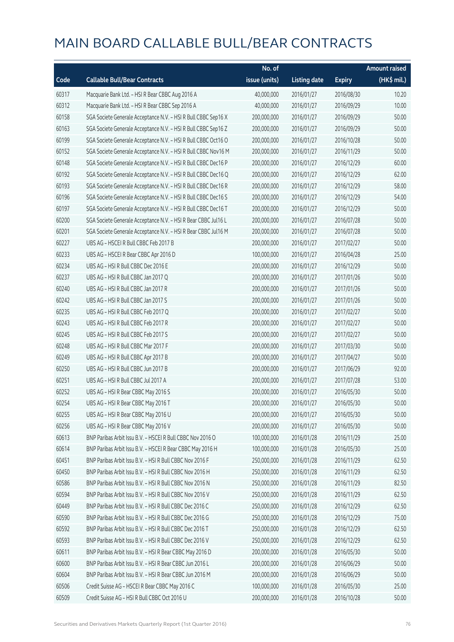|       |                                                                | No. of        |                     |               | <b>Amount raised</b> |
|-------|----------------------------------------------------------------|---------------|---------------------|---------------|----------------------|
| Code  | <b>Callable Bull/Bear Contracts</b>                            | issue (units) | <b>Listing date</b> | <b>Expiry</b> | (HK\$ mil.)          |
| 60317 | Macquarie Bank Ltd. - HSI R Bear CBBC Aug 2016 A               | 40,000,000    | 2016/01/27          | 2016/08/30    | 10.20                |
| 60312 | Macquarie Bank Ltd. - HSI R Bear CBBC Sep 2016 A               | 40,000,000    | 2016/01/27          | 2016/09/29    | 10.00                |
| 60158 | SGA Societe Generale Acceptance N.V. - HSI R Bull CBBC Sep16 X | 200,000,000   | 2016/01/27          | 2016/09/29    | 50.00                |
| 60163 | SGA Societe Generale Acceptance N.V. - HSI R Bull CBBC Sep16 Z | 200,000,000   | 2016/01/27          | 2016/09/29    | 50.00                |
| 60199 | SGA Societe Generale Acceptance N.V. - HSI R Bull CBBC Oct16 O | 200,000,000   | 2016/01/27          | 2016/10/28    | 50.00                |
| 60152 | SGA Societe Generale Acceptance N.V. - HSI R Bull CBBC Nov16 M | 200,000,000   | 2016/01/27          | 2016/11/29    | 50.00                |
| 60148 | SGA Societe Generale Acceptance N.V. - HSI R Bull CBBC Dec16 P | 200,000,000   | 2016/01/27          | 2016/12/29    | 60.00                |
| 60192 | SGA Societe Generale Acceptance N.V. - HSI R Bull CBBC Dec16 Q | 200,000,000   | 2016/01/27          | 2016/12/29    | 62.00                |
| 60193 | SGA Societe Generale Acceptance N.V. - HSI R Bull CBBC Dec16 R | 200,000,000   | 2016/01/27          | 2016/12/29    | 58.00                |
| 60196 | SGA Societe Generale Acceptance N.V. - HSI R Bull CBBC Dec16 S | 200,000,000   | 2016/01/27          | 2016/12/29    | 54.00                |
| 60197 | SGA Societe Generale Acceptance N.V. - HSI R Bull CBBC Dec16 T | 200,000,000   | 2016/01/27          | 2016/12/29    | 50.00                |
| 60200 | SGA Societe Generale Acceptance N.V. - HSI R Bear CBBC Jul16 L | 200,000,000   | 2016/01/27          | 2016/07/28    | 50.00                |
| 60201 | SGA Societe Generale Acceptance N.V. - HSI R Bear CBBC Jul16 M | 200,000,000   | 2016/01/27          | 2016/07/28    | 50.00                |
| 60227 | UBS AG - HSCEI R Bull CBBC Feb 2017 B                          | 200,000,000   | 2016/01/27          | 2017/02/27    | 50.00                |
| 60233 | UBS AG - HSCEI R Bear CBBC Apr 2016 D                          | 100,000,000   | 2016/01/27          | 2016/04/28    | 25.00                |
| 60234 | UBS AG - HSI R Bull CBBC Dec 2016 E                            | 200,000,000   | 2016/01/27          | 2016/12/29    | 50.00                |
| 60237 | UBS AG - HSI R Bull CBBC Jan 2017 Q                            | 200,000,000   | 2016/01/27          | 2017/01/26    | 50.00                |
| 60240 | UBS AG - HSI R Bull CBBC Jan 2017 R                            | 200,000,000   | 2016/01/27          | 2017/01/26    | 50.00                |
| 60242 | UBS AG - HSI R Bull CBBC Jan 2017 S                            | 200,000,000   | 2016/01/27          | 2017/01/26    | 50.00                |
| 60235 | UBS AG - HSI R Bull CBBC Feb 2017 Q                            | 200,000,000   | 2016/01/27          | 2017/02/27    | 50.00                |
| 60243 | UBS AG - HSI R Bull CBBC Feb 2017 R                            | 200,000,000   | 2016/01/27          | 2017/02/27    | 50.00                |
| 60245 | UBS AG - HSI R Bull CBBC Feb 2017 S                            | 200,000,000   | 2016/01/27          | 2017/02/27    | 50.00                |
| 60248 | UBS AG - HSI R Bull CBBC Mar 2017 F                            | 200,000,000   | 2016/01/27          | 2017/03/30    | 50.00                |
| 60249 | UBS AG - HSI R Bull CBBC Apr 2017 B                            | 200,000,000   | 2016/01/27          | 2017/04/27    | 50.00                |
| 60250 | UBS AG - HSI R Bull CBBC Jun 2017 B                            | 200,000,000   | 2016/01/27          | 2017/06/29    | 92.00                |
| 60251 | UBS AG - HSI R Bull CBBC Jul 2017 A                            | 200,000,000   | 2016/01/27          | 2017/07/28    | 53.00                |
| 60252 | UBS AG - HSI R Bear CBBC May 2016 S                            | 200,000,000   | 2016/01/27          | 2016/05/30    | 50.00                |
| 60254 | UBS AG - HSI R Bear CBBC May 2016 T                            | 200,000,000   | 2016/01/27          | 2016/05/30    | 50.00                |
| 60255 | UBS AG - HSI R Bear CBBC May 2016 U                            | 200,000,000   | 2016/01/27          | 2016/05/30    | 50.00                |
| 60256 | UBS AG - HSI R Bear CBBC May 2016 V                            | 200,000,000   | 2016/01/27          | 2016/05/30    | 50.00                |
| 60613 | BNP Paribas Arbit Issu B.V. - HSCEI R Bull CBBC Nov 2016 O     | 100,000,000   | 2016/01/28          | 2016/11/29    | 25.00                |
| 60614 | BNP Paribas Arbit Issu B.V. - HSCEI R Bear CBBC May 2016 H     | 100,000,000   | 2016/01/28          | 2016/05/30    | 25.00                |
| 60451 | BNP Paribas Arbit Issu B.V. - HSI R Bull CBBC Nov 2016 F       | 250,000,000   | 2016/01/28          | 2016/11/29    | 62.50                |
| 60450 | BNP Paribas Arbit Issu B.V. - HSI R Bull CBBC Nov 2016 H       | 250,000,000   | 2016/01/28          | 2016/11/29    | 62.50                |
| 60586 | BNP Paribas Arbit Issu B.V. - HSI R Bull CBBC Nov 2016 N       | 250,000,000   | 2016/01/28          | 2016/11/29    | 82.50                |
| 60594 | BNP Paribas Arbit Issu B.V. - HSI R Bull CBBC Nov 2016 V       | 250,000,000   | 2016/01/28          | 2016/11/29    | 62.50                |
| 60449 | BNP Paribas Arbit Issu B.V. - HSI R Bull CBBC Dec 2016 C       | 250,000,000   | 2016/01/28          | 2016/12/29    | 62.50                |
| 60590 | BNP Paribas Arbit Issu B.V. - HSI R Bull CBBC Dec 2016 G       | 250,000,000   | 2016/01/28          | 2016/12/29    | 75.00                |
| 60592 | BNP Paribas Arbit Issu B.V. - HSI R Bull CBBC Dec 2016 T       | 250,000,000   | 2016/01/28          | 2016/12/29    | 62.50                |
| 60593 | BNP Paribas Arbit Issu B.V. - HSI R Bull CBBC Dec 2016 V       | 250,000,000   | 2016/01/28          | 2016/12/29    | 62.50                |
| 60611 | BNP Paribas Arbit Issu B.V. - HSI R Bear CBBC May 2016 D       | 200,000,000   | 2016/01/28          | 2016/05/30    | 50.00                |
| 60600 | BNP Paribas Arbit Issu B.V. - HSI R Bear CBBC Jun 2016 L       | 200,000,000   | 2016/01/28          | 2016/06/29    | 50.00                |
| 60604 | BNP Paribas Arbit Issu B.V. - HSI R Bear CBBC Jun 2016 M       | 200,000,000   | 2016/01/28          | 2016/06/29    | 50.00                |
| 60506 | Credit Suisse AG - HSCEI R Bear CBBC May 2016 C                | 100,000,000   | 2016/01/28          | 2016/05/30    | 25.00                |
| 60509 | Credit Suisse AG - HSI R Bull CBBC Oct 2016 U                  | 200,000,000   | 2016/01/28          | 2016/10/28    | 50.00                |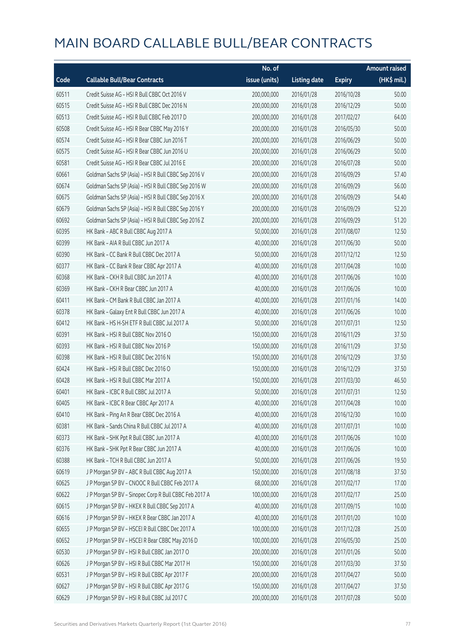|       |                                                        | No. of        |                     |               | <b>Amount raised</b> |
|-------|--------------------------------------------------------|---------------|---------------------|---------------|----------------------|
| Code  | <b>Callable Bull/Bear Contracts</b>                    | issue (units) | <b>Listing date</b> | <b>Expiry</b> | (HK\$ mil.)          |
| 60511 | Credit Suisse AG - HSI R Bull CBBC Oct 2016 V          | 200,000,000   | 2016/01/28          | 2016/10/28    | 50.00                |
| 60515 | Credit Suisse AG - HSI R Bull CBBC Dec 2016 N          | 200,000,000   | 2016/01/28          | 2016/12/29    | 50.00                |
| 60513 | Credit Suisse AG - HSI R Bull CBBC Feb 2017 D          | 200,000,000   | 2016/01/28          | 2017/02/27    | 64.00                |
| 60508 | Credit Suisse AG - HSI R Bear CBBC May 2016 Y          | 200,000,000   | 2016/01/28          | 2016/05/30    | 50.00                |
| 60574 | Credit Suisse AG - HSI R Bear CBBC Jun 2016 T          | 200,000,000   | 2016/01/28          | 2016/06/29    | 50.00                |
| 60575 | Credit Suisse AG - HSI R Bear CBBC Jun 2016 U          | 200,000,000   | 2016/01/28          | 2016/06/29    | 50.00                |
| 60581 | Credit Suisse AG - HSI R Bear CBBC Jul 2016 E          | 200,000,000   | 2016/01/28          | 2016/07/28    | 50.00                |
| 60661 | Goldman Sachs SP (Asia) - HSI R Bull CBBC Sep 2016 V   | 200,000,000   | 2016/01/28          | 2016/09/29    | 57.40                |
| 60674 | Goldman Sachs SP (Asia) - HSI R Bull CBBC Sep 2016 W   | 200,000,000   | 2016/01/28          | 2016/09/29    | 56.00                |
| 60675 | Goldman Sachs SP (Asia) - HSI R Bull CBBC Sep 2016 X   | 200,000,000   | 2016/01/28          | 2016/09/29    | 54.40                |
| 60679 | Goldman Sachs SP (Asia) - HSI R Bull CBBC Sep 2016 Y   | 200,000,000   | 2016/01/28          | 2016/09/29    | 52.20                |
| 60692 | Goldman Sachs SP (Asia) - HSI R Bull CBBC Sep 2016 Z   | 200,000,000   | 2016/01/28          | 2016/09/29    | 51.20                |
| 60395 | HK Bank - ABC R Bull CBBC Aug 2017 A                   | 50,000,000    | 2016/01/28          | 2017/08/07    | 12.50                |
| 60399 | HK Bank - AIA R Bull CBBC Jun 2017 A                   | 40,000,000    | 2016/01/28          | 2017/06/30    | 50.00                |
| 60390 | HK Bank - CC Bank R Bull CBBC Dec 2017 A               | 50,000,000    | 2016/01/28          | 2017/12/12    | 12.50                |
| 60377 | HK Bank - CC Bank R Bear CBBC Apr 2017 A               | 40,000,000    | 2016/01/28          | 2017/04/28    | 10.00                |
| 60368 | HK Bank - CKH R Bull CBBC Jun 2017 A                   | 40,000,000    | 2016/01/28          | 2017/06/26    | 10.00                |
| 60369 | HK Bank - CKH R Bear CBBC Jun 2017 A                   | 40,000,000    | 2016/01/28          | 2017/06/26    | 10.00                |
| 60411 | HK Bank - CM Bank R Bull CBBC Jan 2017 A               | 40,000,000    | 2016/01/28          | 2017/01/16    | 14.00                |
| 60378 | HK Bank - Galaxy Ent R Bull CBBC Jun 2017 A            | 40,000,000    | 2016/01/28          | 2017/06/26    | 10.00                |
| 60412 | HK Bank - HS H-SH ETF R Bull CBBC Jul 2017 A           | 50,000,000    | 2016/01/28          | 2017/07/31    | 12.50                |
| 60391 | HK Bank - HSI R Bull CBBC Nov 2016 O                   | 150,000,000   | 2016/01/28          | 2016/11/29    | 37.50                |
| 60393 | HK Bank - HSI R Bull CBBC Nov 2016 P                   | 150,000,000   | 2016/01/28          | 2016/11/29    | 37.50                |
| 60398 | HK Bank - HSI R Bull CBBC Dec 2016 N                   | 150,000,000   | 2016/01/28          | 2016/12/29    | 37.50                |
| 60424 | HK Bank - HSI R Bull CBBC Dec 2016 O                   | 150,000,000   | 2016/01/28          | 2016/12/29    | 37.50                |
| 60428 | HK Bank - HSI R Bull CBBC Mar 2017 A                   | 150,000,000   | 2016/01/28          | 2017/03/30    | 46.50                |
| 60401 | HK Bank - ICBC R Bull CBBC Jul 2017 A                  | 50,000,000    | 2016/01/28          | 2017/07/31    | 12.50                |
| 60405 | HK Bank - ICBC R Bear CBBC Apr 2017 A                  | 40,000,000    | 2016/01/28          | 2017/04/28    | 10.00                |
| 60410 | HK Bank - Ping An R Bear CBBC Dec 2016 A               | 40,000,000    | 2016/01/28          | 2016/12/30    | 10.00                |
| 60381 | HK Bank - Sands China R Bull CBBC Jul 2017 A           | 40,000,000    | 2016/01/28          | 2017/07/31    | 10.00                |
| 60373 | HK Bank - SHK Ppt R Bull CBBC Jun 2017 A               | 40,000,000    | 2016/01/28          | 2017/06/26    | 10.00                |
| 60376 | HK Bank - SHK Ppt R Bear CBBC Jun 2017 A               | 40,000,000    | 2016/01/28          | 2017/06/26    | 10.00                |
| 60388 | HK Bank - TCH R Bull CBBC Jun 2017 A                   | 50,000,000    | 2016/01/28          | 2017/06/26    | 19.50                |
| 60619 | J P Morgan SP BV - ABC R Bull CBBC Aug 2017 A          | 150,000,000   | 2016/01/28          | 2017/08/18    | 37.50                |
| 60625 | J P Morgan SP BV - CNOOC R Bull CBBC Feb 2017 A        | 68,000,000    | 2016/01/28          | 2017/02/17    | 17.00                |
| 60622 | J P Morgan SP BV - Sinopec Corp R Bull CBBC Feb 2017 A | 100,000,000   | 2016/01/28          | 2017/02/17    | 25.00                |
| 60615 | J P Morgan SP BV - HKEX R Bull CBBC Sep 2017 A         | 40,000,000    | 2016/01/28          | 2017/09/15    | 10.00                |
| 60616 | J P Morgan SP BV - HKEX R Bear CBBC Jan 2017 A         | 40,000,000    | 2016/01/28          | 2017/01/20    | 10.00                |
| 60655 | J P Morgan SP BV - HSCEI R Bull CBBC Dec 2017 A        | 100,000,000   | 2016/01/28          | 2017/12/28    | 25.00                |
| 60652 | J P Morgan SP BV - HSCEI R Bear CBBC May 2016 D        | 100,000,000   | 2016/01/28          | 2016/05/30    | 25.00                |
| 60530 | J P Morgan SP BV - HSI R Bull CBBC Jan 2017 O          | 200,000,000   | 2016/01/28          | 2017/01/26    | 50.00                |
| 60626 | J P Morgan SP BV - HSI R Bull CBBC Mar 2017 H          | 150,000,000   | 2016/01/28          | 2017/03/30    | 37.50                |
| 60531 | J P Morgan SP BV - HSI R Bull CBBC Apr 2017 F          | 200,000,000   | 2016/01/28          | 2017/04/27    | 50.00                |
| 60627 | J P Morgan SP BV - HSI R Bull CBBC Apr 2017 G          | 150,000,000   | 2016/01/28          | 2017/04/27    | 37.50                |
| 60629 | J P Morgan SP BV - HSI R Bull CBBC Jul 2017 C          | 200,000,000   | 2016/01/28          | 2017/07/28    | 50.00                |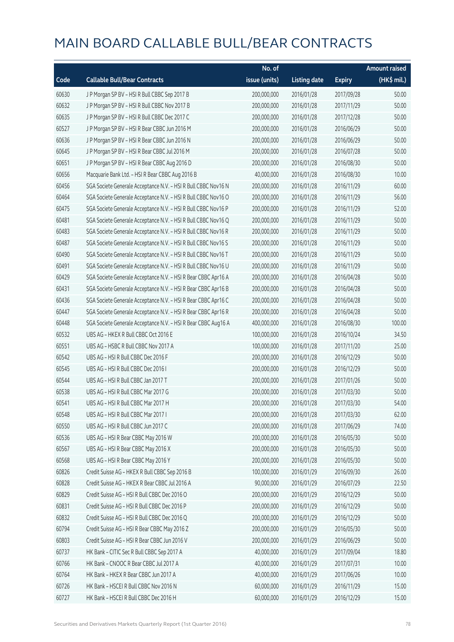|       |                                                                | No. of        |                     |               | <b>Amount raised</b> |
|-------|----------------------------------------------------------------|---------------|---------------------|---------------|----------------------|
| Code  | <b>Callable Bull/Bear Contracts</b>                            | issue (units) | <b>Listing date</b> | <b>Expiry</b> | $(HK\$ mil.)         |
| 60630 | J P Morgan SP BV - HSI R Bull CBBC Sep 2017 B                  | 200,000,000   | 2016/01/28          | 2017/09/28    | 50.00                |
| 60632 | J P Morgan SP BV - HSI R Bull CBBC Nov 2017 B                  | 200,000,000   | 2016/01/28          | 2017/11/29    | 50.00                |
| 60635 | J P Morgan SP BV - HSI R Bull CBBC Dec 2017 C                  | 200,000,000   | 2016/01/28          | 2017/12/28    | 50.00                |
| 60527 | J P Morgan SP BV - HSI R Bear CBBC Jun 2016 M                  | 200,000,000   | 2016/01/28          | 2016/06/29    | 50.00                |
| 60636 | J P Morgan SP BV - HSI R Bear CBBC Jun 2016 N                  | 200,000,000   | 2016/01/28          | 2016/06/29    | 50.00                |
| 60645 | J P Morgan SP BV - HSI R Bear CBBC Jul 2016 M                  | 200,000,000   | 2016/01/28          | 2016/07/28    | 50.00                |
| 60651 | J P Morgan SP BV - HSI R Bear CBBC Aug 2016 D                  | 200,000,000   | 2016/01/28          | 2016/08/30    | 50.00                |
| 60656 | Macquarie Bank Ltd. - HSI R Bear CBBC Aug 2016 B               | 40,000,000    | 2016/01/28          | 2016/08/30    | 10.00                |
| 60456 | SGA Societe Generale Acceptance N.V. - HSI R Bull CBBC Nov16 N | 200,000,000   | 2016/01/28          | 2016/11/29    | 60.00                |
| 60464 | SGA Societe Generale Acceptance N.V. - HSI R Bull CBBC Nov16 O | 200,000,000   | 2016/01/28          | 2016/11/29    | 56.00                |
| 60475 | SGA Societe Generale Acceptance N.V. - HSI R Bull CBBC Nov16 P | 200,000,000   | 2016/01/28          | 2016/11/29    | 52.00                |
| 60481 | SGA Societe Generale Acceptance N.V. - HSI R Bull CBBC Nov16 Q | 200,000,000   | 2016/01/28          | 2016/11/29    | 50.00                |
| 60483 | SGA Societe Generale Acceptance N.V. - HSI R Bull CBBC Nov16 R | 200,000,000   | 2016/01/28          | 2016/11/29    | 50.00                |
| 60487 | SGA Societe Generale Acceptance N.V. - HSI R Bull CBBC Nov16 S | 200,000,000   | 2016/01/28          | 2016/11/29    | 50.00                |
| 60490 | SGA Societe Generale Acceptance N.V. - HSI R Bull CBBC Nov16 T | 200,000,000   | 2016/01/28          | 2016/11/29    | 50.00                |
| 60491 | SGA Societe Generale Acceptance N.V. - HSI R Bull CBBC Nov16 U | 200,000,000   | 2016/01/28          | 2016/11/29    | 50.00                |
| 60429 | SGA Societe Generale Acceptance N.V. - HSI R Bear CBBC Apr16 A | 200,000,000   | 2016/01/28          | 2016/04/28    | 50.00                |
| 60431 | SGA Societe Generale Acceptance N.V. - HSI R Bear CBBC Apr16 B | 200,000,000   | 2016/01/28          | 2016/04/28    | 50.00                |
| 60436 | SGA Societe Generale Acceptance N.V. - HSI R Bear CBBC Apr16 C | 200,000,000   | 2016/01/28          | 2016/04/28    | 50.00                |
| 60447 | SGA Societe Generale Acceptance N.V. - HSI R Bear CBBC Apr16 R | 200,000,000   | 2016/01/28          | 2016/04/28    | 50.00                |
| 60448 | SGA Societe Generale Acceptance N.V. - HSI R Bear CBBC Aug16 A | 400,000,000   | 2016/01/28          | 2016/08/30    | 100.00               |
| 60532 | UBS AG - HKEX R Bull CBBC Oct 2016 E                           | 100,000,000   | 2016/01/28          | 2016/10/24    | 34.50                |
| 60551 | UBS AG - HSBC R Bull CBBC Nov 2017 A                           | 100,000,000   | 2016/01/28          | 2017/11/20    | 25.00                |
| 60542 | UBS AG - HSI R Bull CBBC Dec 2016 F                            | 200,000,000   | 2016/01/28          | 2016/12/29    | 50.00                |
| 60545 | UBS AG - HSI R Bull CBBC Dec 2016 I                            | 200,000,000   | 2016/01/28          | 2016/12/29    | 50.00                |
| 60544 | UBS AG - HSI R Bull CBBC Jan 2017 T                            | 200,000,000   | 2016/01/28          | 2017/01/26    | 50.00                |
| 60538 | UBS AG - HSI R Bull CBBC Mar 2017 G                            | 200,000,000   | 2016/01/28          | 2017/03/30    | 50.00                |
| 60541 | UBS AG - HSI R Bull CBBC Mar 2017 H                            | 200,000,000   | 2016/01/28          | 2017/03/30    | 54.00                |
| 60548 | UBS AG - HSI R Bull CBBC Mar 2017 I                            | 200,000,000   | 2016/01/28          | 2017/03/30    | 62.00                |
| 60550 | UBS AG - HSI R Bull CBBC Jun 2017 C                            | 200,000,000   | 2016/01/28          | 2017/06/29    | 74.00                |
| 60536 | UBS AG - HSI R Bear CBBC May 2016 W                            | 200,000,000   | 2016/01/28          | 2016/05/30    | 50.00                |
| 60567 | UBS AG - HSI R Bear CBBC May 2016 X                            | 200,000,000   | 2016/01/28          | 2016/05/30    | 50.00                |
| 60568 | UBS AG - HSI R Bear CBBC May 2016 Y                            | 200,000,000   | 2016/01/28          | 2016/05/30    | 50.00                |
| 60826 | Credit Suisse AG - HKEX R Bull CBBC Sep 2016 B                 | 100,000,000   | 2016/01/29          | 2016/09/30    | 26.00                |
| 60828 | Credit Suisse AG - HKEX R Bear CBBC Jul 2016 A                 | 90,000,000    | 2016/01/29          | 2016/07/29    | 22.50                |
| 60829 | Credit Suisse AG - HSI R Bull CBBC Dec 2016 O                  | 200,000,000   | 2016/01/29          | 2016/12/29    | 50.00                |
| 60831 | Credit Suisse AG - HSI R Bull CBBC Dec 2016 P                  | 200,000,000   | 2016/01/29          | 2016/12/29    | 50.00                |
| 60832 | Credit Suisse AG - HSI R Bull CBBC Dec 2016 Q                  | 200,000,000   | 2016/01/29          | 2016/12/29    | 50.00                |
| 60794 | Credit Suisse AG - HSI R Bear CBBC May 2016 Z                  | 200,000,000   | 2016/01/29          | 2016/05/30    | 50.00                |
| 60803 | Credit Suisse AG - HSI R Bear CBBC Jun 2016 V                  | 200,000,000   | 2016/01/29          | 2016/06/29    | 50.00                |
| 60737 | HK Bank - CITIC Sec R Bull CBBC Sep 2017 A                     | 40,000,000    | 2016/01/29          | 2017/09/04    | 18.80                |
| 60766 | HK Bank - CNOOC R Bear CBBC Jul 2017 A                         | 40,000,000    | 2016/01/29          | 2017/07/31    | 10.00                |
| 60764 | HK Bank - HKEX R Bear CBBC Jun 2017 A                          | 40,000,000    | 2016/01/29          | 2017/06/26    | 10.00                |
| 60726 | HK Bank - HSCEI R Bull CBBC Nov 2016 N                         | 60,000,000    | 2016/01/29          | 2016/11/29    | 15.00                |
| 60727 | HK Bank - HSCEI R Bull CBBC Dec 2016 H                         | 60,000,000    | 2016/01/29          | 2016/12/29    | 15.00                |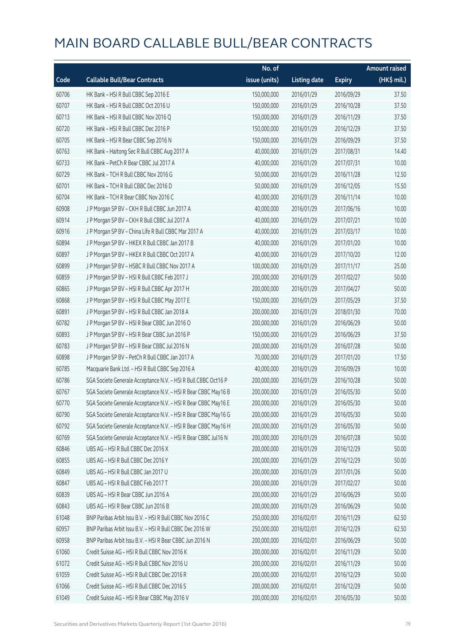|       |                                                                | No. of        |                     |               | <b>Amount raised</b> |
|-------|----------------------------------------------------------------|---------------|---------------------|---------------|----------------------|
| Code  | <b>Callable Bull/Bear Contracts</b>                            | issue (units) | <b>Listing date</b> | <b>Expiry</b> | (HK\$ mil.)          |
| 60706 | HK Bank - HSI R Bull CBBC Sep 2016 E                           | 150,000,000   | 2016/01/29          | 2016/09/29    | 37.50                |
| 60707 | HK Bank - HSI R Bull CBBC Oct 2016 U                           | 150,000,000   | 2016/01/29          | 2016/10/28    | 37.50                |
| 60713 | HK Bank - HSI R Bull CBBC Nov 2016 Q                           | 150,000,000   | 2016/01/29          | 2016/11/29    | 37.50                |
| 60720 | HK Bank - HSI R Bull CBBC Dec 2016 P                           | 150,000,000   | 2016/01/29          | 2016/12/29    | 37.50                |
| 60705 | HK Bank - HSI R Bear CBBC Sep 2016 N                           | 150,000,000   | 2016/01/29          | 2016/09/29    | 37.50                |
| 60763 | HK Bank - Haitong Sec R Bull CBBC Aug 2017 A                   | 40,000,000    | 2016/01/29          | 2017/08/31    | 14.40                |
| 60733 | HK Bank - PetCh R Bear CBBC Jul 2017 A                         | 40,000,000    | 2016/01/29          | 2017/07/31    | 10.00                |
| 60729 | HK Bank - TCH R Bull CBBC Nov 2016 G                           | 50,000,000    | 2016/01/29          | 2016/11/28    | 12.50                |
| 60701 | HK Bank - TCH R Bull CBBC Dec 2016 D                           | 50,000,000    | 2016/01/29          | 2016/12/05    | 15.50                |
| 60704 | HK Bank - TCH R Bear CBBC Nov 2016 C                           | 40,000,000    | 2016/01/29          | 2016/11/14    | 10.00                |
| 60908 | J P Morgan SP BV - CKH R Bull CBBC Jun 2017 A                  | 40,000,000    | 2016/01/29          | 2017/06/16    | 10.00                |
| 60914 | J P Morgan SP BV - CKH R Bull CBBC Jul 2017 A                  | 40,000,000    | 2016/01/29          | 2017/07/21    | 10.00                |
| 60916 | J P Morgan SP BV - China Life R Bull CBBC Mar 2017 A           | 40,000,000    | 2016/01/29          | 2017/03/17    | 10.00                |
| 60894 | J P Morgan SP BV - HKEX R Bull CBBC Jan 2017 B                 | 40,000,000    | 2016/01/29          | 2017/01/20    | 10.00                |
| 60897 | J P Morgan SP BV - HKEX R Bull CBBC Oct 2017 A                 | 40,000,000    | 2016/01/29          | 2017/10/20    | 12.00                |
| 60899 | J P Morgan SP BV - HSBC R Bull CBBC Nov 2017 A                 | 100,000,000   | 2016/01/29          | 2017/11/17    | 25.00                |
| 60859 | J P Morgan SP BV - HSI R Bull CBBC Feb 2017 J                  | 200,000,000   | 2016/01/29          | 2017/02/27    | 50.00                |
| 60865 | J P Morgan SP BV - HSI R Bull CBBC Apr 2017 H                  | 200,000,000   | 2016/01/29          | 2017/04/27    | 50.00                |
| 60868 | J P Morgan SP BV - HSI R Bull CBBC May 2017 E                  | 150,000,000   | 2016/01/29          | 2017/05/29    | 37.50                |
| 60891 | J P Morgan SP BV - HSI R Bull CBBC Jan 2018 A                  | 200,000,000   | 2016/01/29          | 2018/01/30    | 70.00                |
| 60782 | J P Morgan SP BV - HSI R Bear CBBC Jun 2016 O                  | 200,000,000   | 2016/01/29          | 2016/06/29    | 50.00                |
| 60893 | J P Morgan SP BV - HSI R Bear CBBC Jun 2016 P                  | 150,000,000   | 2016/01/29          | 2016/06/29    | 37.50                |
| 60783 | J P Morgan SP BV - HSI R Bear CBBC Jul 2016 N                  | 200,000,000   | 2016/01/29          | 2016/07/28    | 50.00                |
| 60898 | J P Morgan SP BV - PetCh R Bull CBBC Jan 2017 A                | 70,000,000    | 2016/01/29          | 2017/01/20    | 17.50                |
| 60785 | Macquarie Bank Ltd. - HSI R Bull CBBC Sep 2016 A               | 40,000,000    | 2016/01/29          | 2016/09/29    | 10.00                |
| 60786 | SGA Societe Generale Acceptance N.V. - HSI R Bull CBBC Oct16 P | 200,000,000   | 2016/01/29          | 2016/10/28    | 50.00                |
| 60767 | SGA Societe Generale Acceptance N.V. - HSI R Bear CBBC May16 B | 200,000,000   | 2016/01/29          | 2016/05/30    | 50.00                |
| 60770 | SGA Societe Generale Acceptance N.V. - HSI R Bear CBBC May16 E | 200,000,000   | 2016/01/29          | 2016/05/30    | 50.00                |
| 60790 | SGA Societe Generale Acceptance N.V. - HSI R Bear CBBC May16 G | 200,000,000   | 2016/01/29          | 2016/05/30    | 50.00                |
| 60792 | SGA Societe Generale Acceptance N.V. - HSI R Bear CBBC May16 H | 200,000,000   | 2016/01/29          | 2016/05/30    | 50.00                |
| 60769 | SGA Societe Generale Acceptance N.V. - HSI R Bear CBBC Jul16 N | 200,000,000   | 2016/01/29          | 2016/07/28    | 50.00                |
| 60846 | UBS AG - HSI R Bull CBBC Dec 2016 X                            | 200,000,000   | 2016/01/29          | 2016/12/29    | 50.00                |
| 60855 | UBS AG - HSI R Bull CBBC Dec 2016 Y                            | 200,000,000   | 2016/01/29          | 2016/12/29    | 50.00                |
| 60849 | UBS AG - HSI R Bull CBBC Jan 2017 U                            | 200,000,000   | 2016/01/29          | 2017/01/26    | 50.00                |
| 60847 | UBS AG - HSI R Bull CBBC Feb 2017 T                            | 200,000,000   | 2016/01/29          | 2017/02/27    | 50.00                |
| 60839 | UBS AG - HSI R Bear CBBC Jun 2016 A                            | 200,000,000   | 2016/01/29          | 2016/06/29    | 50.00                |
| 60843 | UBS AG - HSI R Bear CBBC Jun 2016 B                            | 200,000,000   | 2016/01/29          | 2016/06/29    | 50.00                |
| 61048 | BNP Paribas Arbit Issu B.V. - HSI R Bull CBBC Nov 2016 C       | 250,000,000   | 2016/02/01          | 2016/11/29    | 62.50                |
| 60957 | BNP Paribas Arbit Issu B.V. - HSI R Bull CBBC Dec 2016 W       | 250,000,000   | 2016/02/01          | 2016/12/29    | 62.50                |
| 60958 | BNP Paribas Arbit Issu B.V. - HSI R Bear CBBC Jun 2016 N       | 200,000,000   | 2016/02/01          | 2016/06/29    | 50.00                |
| 61060 | Credit Suisse AG - HSI R Bull CBBC Nov 2016 K                  | 200,000,000   | 2016/02/01          | 2016/11/29    | 50.00                |
| 61072 | Credit Suisse AG - HSI R Bull CBBC Nov 2016 U                  | 200,000,000   | 2016/02/01          | 2016/11/29    | 50.00                |
| 61059 | Credit Suisse AG - HSI R Bull CBBC Dec 2016 R                  | 200,000,000   | 2016/02/01          | 2016/12/29    | 50.00                |
| 61066 | Credit Suisse AG - HSI R Bull CBBC Dec 2016 S                  | 200,000,000   | 2016/02/01          | 2016/12/29    | 50.00                |
| 61049 | Credit Suisse AG - HSI R Bear CBBC May 2016 V                  | 200,000,000   | 2016/02/01          | 2016/05/30    | 50.00                |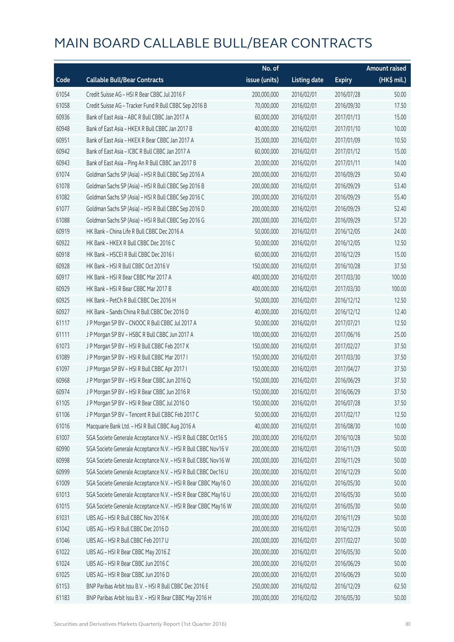|       |                                                                | No. of        |                     |               | <b>Amount raised</b> |
|-------|----------------------------------------------------------------|---------------|---------------------|---------------|----------------------|
| Code  | <b>Callable Bull/Bear Contracts</b>                            | issue (units) | <b>Listing date</b> | <b>Expiry</b> | (HK\$ mil.)          |
| 61054 | Credit Suisse AG - HSI R Bear CBBC Jul 2016 F                  | 200,000,000   | 2016/02/01          | 2016/07/28    | 50.00                |
| 61058 | Credit Suisse AG - Tracker Fund R Bull CBBC Sep 2016 B         | 70,000,000    | 2016/02/01          | 2016/09/30    | 17.50                |
| 60936 | Bank of East Asia - ABC R Bull CBBC Jan 2017 A                 | 60,000,000    | 2016/02/01          | 2017/01/13    | 15.00                |
| 60948 | Bank of East Asia - HKEX R Bull CBBC Jan 2017 B                | 40,000,000    | 2016/02/01          | 2017/01/10    | 10.00                |
| 60951 | Bank of East Asia - HKEX R Bear CBBC Jan 2017 A                | 35,000,000    | 2016/02/01          | 2017/01/09    | 10.50                |
| 60942 | Bank of East Asia - ICBC R Bull CBBC Jan 2017 A                | 60,000,000    | 2016/02/01          | 2017/01/12    | 15.00                |
| 60943 | Bank of East Asia - Ping An R Bull CBBC Jan 2017 B             | 20,000,000    | 2016/02/01          | 2017/01/11    | 14.00                |
| 61074 | Goldman Sachs SP (Asia) - HSI R Bull CBBC Sep 2016 A           | 200,000,000   | 2016/02/01          | 2016/09/29    | 50.40                |
| 61078 | Goldman Sachs SP (Asia) - HSI R Bull CBBC Sep 2016 B           | 200,000,000   | 2016/02/01          | 2016/09/29    | 53.40                |
| 61082 | Goldman Sachs SP (Asia) - HSI R Bull CBBC Sep 2016 C           | 200,000,000   | 2016/02/01          | 2016/09/29    | 55.40                |
| 61077 | Goldman Sachs SP (Asia) - HSI R Bull CBBC Sep 2016 D           | 200,000,000   | 2016/02/01          | 2016/09/29    | 52.40                |
| 61088 | Goldman Sachs SP (Asia) - HSI R Bull CBBC Sep 2016 G           | 200,000,000   | 2016/02/01          | 2016/09/29    | 57.20                |
| 60919 | HK Bank - China Life R Bull CBBC Dec 2016 A                    | 50,000,000    | 2016/02/01          | 2016/12/05    | 24.00                |
| 60922 | HK Bank - HKEX R Bull CBBC Dec 2016 C                          | 50,000,000    | 2016/02/01          | 2016/12/05    | 12.50                |
| 60918 | HK Bank - HSCEI R Bull CBBC Dec 2016 I                         | 60,000,000    | 2016/02/01          | 2016/12/29    | 15.00                |
| 60928 | HK Bank - HSI R Bull CBBC Oct 2016 V                           | 150,000,000   | 2016/02/01          | 2016/10/28    | 37.50                |
| 60917 | HK Bank - HSI R Bear CBBC Mar 2017 A                           | 400,000,000   | 2016/02/01          | 2017/03/30    | 100.00               |
| 60929 | HK Bank - HSI R Bear CBBC Mar 2017 B                           | 400,000,000   | 2016/02/01          | 2017/03/30    | 100.00               |
| 60925 | HK Bank - PetCh R Bull CBBC Dec 2016 H                         | 50,000,000    | 2016/02/01          | 2016/12/12    | 12.50                |
| 60927 | HK Bank - Sands China R Bull CBBC Dec 2016 D                   | 40,000,000    | 2016/02/01          | 2016/12/12    | 12.40                |
| 61117 | J P Morgan SP BV - CNOOC R Bull CBBC Jul 2017 A                | 50,000,000    | 2016/02/01          | 2017/07/21    | 12.50                |
| 61111 | J P Morgan SP BV - HSBC R Bull CBBC Jun 2017 A                 | 100,000,000   | 2016/02/01          | 2017/06/16    | 25.00                |
| 61073 | J P Morgan SP BV - HSI R Bull CBBC Feb 2017 K                  | 150,000,000   | 2016/02/01          | 2017/02/27    | 37.50                |
| 61089 | J P Morgan SP BV - HSI R Bull CBBC Mar 2017 I                  | 150,000,000   | 2016/02/01          | 2017/03/30    | 37.50                |
| 61097 | JP Morgan SP BV - HSIR Bull CBBC Apr 2017 I                    | 150,000,000   | 2016/02/01          | 2017/04/27    | 37.50                |
| 60968 | J P Morgan SP BV - HSI R Bear CBBC Jun 2016 Q                  | 150,000,000   | 2016/02/01          | 2016/06/29    | 37.50                |
| 60974 | J P Morgan SP BV - HSI R Bear CBBC Jun 2016 R                  | 150,000,000   | 2016/02/01          | 2016/06/29    | 37.50                |
| 61105 | J P Morgan SP BV - HSI R Bear CBBC Jul 2016 O                  | 150,000,000   | 2016/02/01          | 2016/07/28    | 37.50                |
| 61106 | JP Morgan SP BV - Tencent R Bull CBBC Feb 2017 C               | 50,000,000    | 2016/02/01          | 2017/02/17    | 12.50                |
| 61016 | Macquarie Bank Ltd. - HSI R Bull CBBC Aug 2016 A               | 40,000,000    | 2016/02/01          | 2016/08/30    | 10.00                |
| 61007 | SGA Societe Generale Acceptance N.V. - HSI R Bull CBBC Oct16 S | 200,000,000   | 2016/02/01          | 2016/10/28    | 50.00                |
| 60990 | SGA Societe Generale Acceptance N.V. - HSI R Bull CBBC Nov16 V | 200,000,000   | 2016/02/01          | 2016/11/29    | 50.00                |
| 60998 | SGA Societe Generale Acceptance N.V. - HSI R Bull CBBC Nov16 W | 200,000,000   | 2016/02/01          | 2016/11/29    | 50.00                |
| 60999 | SGA Societe Generale Acceptance N.V. - HSI R Bull CBBC Dec16 U | 200,000,000   | 2016/02/01          | 2016/12/29    | 50.00                |
| 61009 | SGA Societe Generale Acceptance N.V. - HSI R Bear CBBC May16 O | 200,000,000   | 2016/02/01          | 2016/05/30    | 50.00                |
| 61013 | SGA Societe Generale Acceptance N.V. - HSI R Bear CBBC May16 U | 200,000,000   | 2016/02/01          | 2016/05/30    | 50.00                |
| 61015 | SGA Societe Generale Acceptance N.V. - HSI R Bear CBBC May16 W | 200,000,000   | 2016/02/01          | 2016/05/30    | 50.00                |
| 61031 | UBS AG - HSI R Bull CBBC Nov 2016 K                            | 200,000,000   | 2016/02/01          | 2016/11/29    | 50.00                |
| 61042 | UBS AG - HSI R Bull CBBC Dec 2016 D                            | 200,000,000   | 2016/02/01          | 2016/12/29    | 50.00                |
| 61046 | UBS AG - HSI R Bull CBBC Feb 2017 U                            | 200,000,000   | 2016/02/01          | 2017/02/27    | 50.00                |
| 61022 | UBS AG - HSI R Bear CBBC May 2016 Z                            | 200,000,000   | 2016/02/01          | 2016/05/30    | 50.00                |
| 61024 | UBS AG - HSI R Bear CBBC Jun 2016 C                            | 200,000,000   | 2016/02/01          | 2016/06/29    | 50.00                |
| 61025 | UBS AG - HSI R Bear CBBC Jun 2016 D                            | 200,000,000   | 2016/02/01          | 2016/06/29    | 50.00                |
| 61153 | BNP Paribas Arbit Issu B.V. - HSI R Bull CBBC Dec 2016 E       | 250,000,000   | 2016/02/02          | 2016/12/29    | 62.50                |
| 61183 | BNP Paribas Arbit Issu B.V. - HSI R Bear CBBC May 2016 H       | 200,000,000   | 2016/02/02          | 2016/05/30    | 50.00                |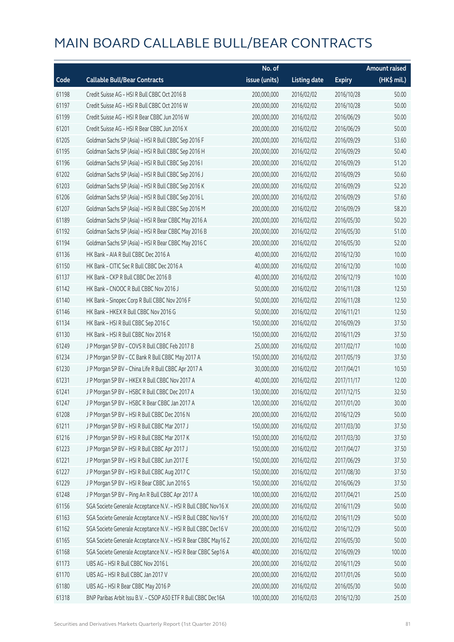|       |                                                                | No. of        |                     |               | <b>Amount raised</b>  |
|-------|----------------------------------------------------------------|---------------|---------------------|---------------|-----------------------|
| Code  | <b>Callable Bull/Bear Contracts</b>                            | issue (units) | <b>Listing date</b> | <b>Expiry</b> | $(HK\frac{1}{2}mil.)$ |
| 61198 | Credit Suisse AG - HSI R Bull CBBC Oct 2016 B                  | 200,000,000   | 2016/02/02          | 2016/10/28    | 50.00                 |
| 61197 | Credit Suisse AG - HSI R Bull CBBC Oct 2016 W                  | 200,000,000   | 2016/02/02          | 2016/10/28    | 50.00                 |
| 61199 | Credit Suisse AG - HSI R Bear CBBC Jun 2016 W                  | 200,000,000   | 2016/02/02          | 2016/06/29    | 50.00                 |
| 61201 | Credit Suisse AG - HSI R Bear CBBC Jun 2016 X                  | 200,000,000   | 2016/02/02          | 2016/06/29    | 50.00                 |
| 61205 | Goldman Sachs SP (Asia) - HSI R Bull CBBC Sep 2016 F           | 200,000,000   | 2016/02/02          | 2016/09/29    | 53.60                 |
| 61195 | Goldman Sachs SP (Asia) - HSI R Bull CBBC Sep 2016 H           | 200,000,000   | 2016/02/02          | 2016/09/29    | 50.40                 |
| 61196 | Goldman Sachs SP (Asia) - HSI R Bull CBBC Sep 2016 I           | 200,000,000   | 2016/02/02          | 2016/09/29    | 51.20                 |
| 61202 | Goldman Sachs SP (Asia) - HSI R Bull CBBC Sep 2016 J           | 200,000,000   | 2016/02/02          | 2016/09/29    | 50.60                 |
| 61203 | Goldman Sachs SP (Asia) - HSI R Bull CBBC Sep 2016 K           | 200,000,000   | 2016/02/02          | 2016/09/29    | 52.20                 |
| 61206 | Goldman Sachs SP (Asia) - HSI R Bull CBBC Sep 2016 L           | 200,000,000   | 2016/02/02          | 2016/09/29    | 57.60                 |
| 61207 | Goldman Sachs SP (Asia) - HSI R Bull CBBC Sep 2016 M           | 200,000,000   | 2016/02/02          | 2016/09/29    | 58.20                 |
| 61189 | Goldman Sachs SP (Asia) - HSI R Bear CBBC May 2016 A           | 200,000,000   | 2016/02/02          | 2016/05/30    | 50.20                 |
| 61192 | Goldman Sachs SP (Asia) - HSI R Bear CBBC May 2016 B           | 200,000,000   | 2016/02/02          | 2016/05/30    | 51.00                 |
| 61194 | Goldman Sachs SP (Asia) - HSI R Bear CBBC May 2016 C           | 200,000,000   | 2016/02/02          | 2016/05/30    | 52.00                 |
| 61136 | HK Bank - AIA R Bull CBBC Dec 2016 A                           | 40,000,000    | 2016/02/02          | 2016/12/30    | 10.00                 |
| 61150 | HK Bank - CITIC Sec R Bull CBBC Dec 2016 A                     | 40,000,000    | 2016/02/02          | 2016/12/30    | 10.00                 |
| 61137 | HK Bank - CKP R Bull CBBC Dec 2016 B                           | 40,000,000    | 2016/02/02          | 2016/12/19    | 10.00                 |
| 61142 | HK Bank - CNOOC R Bull CBBC Nov 2016 J                         | 50,000,000    | 2016/02/02          | 2016/11/28    | 12.50                 |
| 61140 | HK Bank - Sinopec Corp R Bull CBBC Nov 2016 F                  | 50,000,000    | 2016/02/02          | 2016/11/28    | 12.50                 |
| 61146 | HK Bank - HKEX R Bull CBBC Nov 2016 G                          | 50,000,000    | 2016/02/02          | 2016/11/21    | 12.50                 |
| 61134 | HK Bank - HSI R Bull CBBC Sep 2016 C                           | 150,000,000   | 2016/02/02          | 2016/09/29    | 37.50                 |
| 61130 | HK Bank - HSI R Bull CBBC Nov 2016 R                           | 150,000,000   | 2016/02/02          | 2016/11/29    | 37.50                 |
| 61249 | J P Morgan SP BV - COVS R Bull CBBC Feb 2017 B                 | 25,000,000    | 2016/02/02          | 2017/02/17    | 10.00                 |
| 61234 | J P Morgan SP BV - CC Bank R Bull CBBC May 2017 A              | 150,000,000   | 2016/02/02          | 2017/05/19    | 37.50                 |
| 61230 | J P Morgan SP BV - China Life R Bull CBBC Apr 2017 A           | 30,000,000    | 2016/02/02          | 2017/04/21    | 10.50                 |
| 61231 | J P Morgan SP BV - HKEX R Bull CBBC Nov 2017 A                 | 40,000,000    | 2016/02/02          | 2017/11/17    | 12.00                 |
| 61241 | J P Morgan SP BV - HSBC R Bull CBBC Dec 2017 A                 | 130,000,000   | 2016/02/02          | 2017/12/15    | 32.50                 |
| 61247 | J P Morgan SP BV - HSBC R Bear CBBC Jan 2017 A                 | 120,000,000   | 2016/02/02          | 2017/01/20    | 30.00                 |
| 61208 | J P Morgan SP BV - HSI R Bull CBBC Dec 2016 N                  | 200,000,000   | 2016/02/02          | 2016/12/29    | 50.00                 |
| 61211 | J P Morgan SP BV - HSI R Bull CBBC Mar 2017 J                  | 150,000,000   | 2016/02/02          | 2017/03/30    | 37.50                 |
| 61216 | J P Morgan SP BV - HSI R Bull CBBC Mar 2017 K                  | 150,000,000   | 2016/02/02          | 2017/03/30    | 37.50                 |
| 61223 | J P Morgan SP BV - HSI R Bull CBBC Apr 2017 J                  | 150,000,000   | 2016/02/02          | 2017/04/27    | 37.50                 |
| 61221 | J P Morgan SP BV - HSI R Bull CBBC Jun 2017 E                  | 150,000,000   | 2016/02/02          | 2017/06/29    | 37.50                 |
| 61227 | J P Morgan SP BV - HSI R Bull CBBC Aug 2017 C                  | 150,000,000   | 2016/02/02          | 2017/08/30    | 37.50                 |
| 61229 | J P Morgan SP BV - HSI R Bear CBBC Jun 2016 S                  | 150,000,000   | 2016/02/02          | 2016/06/29    | 37.50                 |
| 61248 | J P Morgan SP BV - Ping An R Bull CBBC Apr 2017 A              | 100,000,000   | 2016/02/02          | 2017/04/21    | 25.00                 |
| 61156 | SGA Societe Generale Acceptance N.V. - HSI R Bull CBBC Nov16 X | 200,000,000   | 2016/02/02          | 2016/11/29    | 50.00                 |
| 61163 | SGA Societe Generale Acceptance N.V. - HSI R Bull CBBC Nov16 Y | 200,000,000   | 2016/02/02          | 2016/11/29    | 50.00                 |
| 61162 | SGA Societe Generale Acceptance N.V. - HSI R Bull CBBC Dec16 V | 200,000,000   | 2016/02/02          | 2016/12/29    | 50.00                 |
| 61165 | SGA Societe Generale Acceptance N.V. - HSI R Bear CBBC May16 Z | 200,000,000   | 2016/02/02          | 2016/05/30    | 50.00                 |
| 61168 | SGA Societe Generale Acceptance N.V. - HSI R Bear CBBC Sep16 A | 400,000,000   | 2016/02/02          | 2016/09/29    | 100.00                |
| 61173 | UBS AG - HSI R Bull CBBC Nov 2016 L                            | 200,000,000   | 2016/02/02          | 2016/11/29    | 50.00                 |
| 61170 | UBS AG - HSI R Bull CBBC Jan 2017 V                            | 200,000,000   | 2016/02/02          | 2017/01/26    | 50.00                 |
| 61180 | UBS AG - HSI R Bear CBBC May 2016 P                            | 200,000,000   | 2016/02/02          | 2016/05/30    | 50.00                 |
| 61318 | BNP Paribas Arbit Issu B.V. - CSOP A50 ETF R Bull CBBC Dec16A  | 100,000,000   | 2016/02/03          | 2016/12/30    | 25.00                 |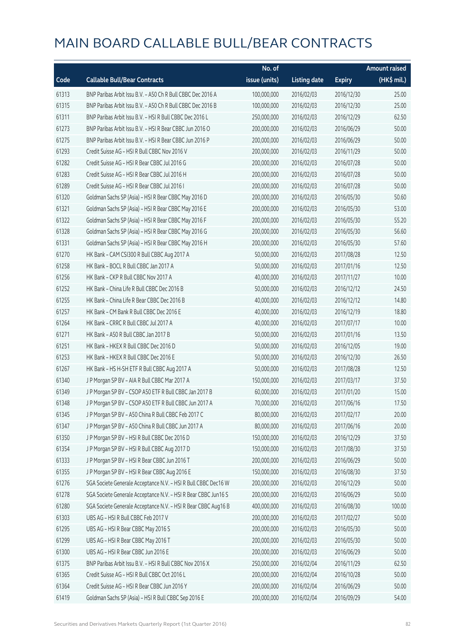|       |                                                                | No. of        |                     |               | <b>Amount raised</b> |
|-------|----------------------------------------------------------------|---------------|---------------------|---------------|----------------------|
| Code  | <b>Callable Bull/Bear Contracts</b>                            | issue (units) | <b>Listing date</b> | <b>Expiry</b> | $(HK$$ mil.)         |
| 61313 | BNP Paribas Arbit Issu B.V. - A50 Ch R Bull CBBC Dec 2016 A    | 100,000,000   | 2016/02/03          | 2016/12/30    | 25.00                |
| 61315 | BNP Paribas Arbit Issu B.V. - A50 Ch R Bull CBBC Dec 2016 B    | 100,000,000   | 2016/02/03          | 2016/12/30    | 25.00                |
| 61311 | BNP Paribas Arbit Issu B.V. - HSI R Bull CBBC Dec 2016 L       | 250,000,000   | 2016/02/03          | 2016/12/29    | 62.50                |
| 61273 | BNP Paribas Arbit Issu B.V. - HSI R Bear CBBC Jun 2016 O       | 200,000,000   | 2016/02/03          | 2016/06/29    | 50.00                |
| 61275 | BNP Paribas Arbit Issu B.V. - HSI R Bear CBBC Jun 2016 P       | 200,000,000   | 2016/02/03          | 2016/06/29    | 50.00                |
| 61293 | Credit Suisse AG - HSI R Bull CBBC Nov 2016 V                  | 200,000,000   | 2016/02/03          | 2016/11/29    | 50.00                |
| 61282 | Credit Suisse AG - HSI R Bear CBBC Jul 2016 G                  | 200,000,000   | 2016/02/03          | 2016/07/28    | 50.00                |
| 61283 | Credit Suisse AG - HSI R Bear CBBC Jul 2016 H                  | 200,000,000   | 2016/02/03          | 2016/07/28    | 50.00                |
| 61289 | Credit Suisse AG - HSI R Bear CBBC Jul 2016 I                  | 200,000,000   | 2016/02/03          | 2016/07/28    | 50.00                |
| 61320 | Goldman Sachs SP (Asia) - HSI R Bear CBBC May 2016 D           | 200,000,000   | 2016/02/03          | 2016/05/30    | 50.60                |
| 61321 | Goldman Sachs SP (Asia) - HSI R Bear CBBC May 2016 E           | 200,000,000   | 2016/02/03          | 2016/05/30    | 53.00                |
| 61322 | Goldman Sachs SP (Asia) - HSI R Bear CBBC May 2016 F           | 200,000,000   | 2016/02/03          | 2016/05/30    | 55.20                |
| 61328 | Goldman Sachs SP (Asia) - HSI R Bear CBBC May 2016 G           | 200,000,000   | 2016/02/03          | 2016/05/30    | 56.60                |
| 61331 | Goldman Sachs SP (Asia) - HSI R Bear CBBC May 2016 H           | 200,000,000   | 2016/02/03          | 2016/05/30    | 57.60                |
| 61270 | HK Bank - CAM CSI300 R Bull CBBC Aug 2017 A                    | 50,000,000    | 2016/02/03          | 2017/08/28    | 12.50                |
| 61258 | HK Bank - BOCL R Bull CBBC Jan 2017 A                          | 50,000,000    | 2016/02/03          | 2017/01/16    | 12.50                |
| 61256 | HK Bank - CKP R Bull CBBC Nov 2017 A                           | 40,000,000    | 2016/02/03          | 2017/11/27    | 10.00                |
| 61252 | HK Bank - China Life R Bull CBBC Dec 2016 B                    | 50,000,000    | 2016/02/03          | 2016/12/12    | 24.50                |
| 61255 | HK Bank - China Life R Bear CBBC Dec 2016 B                    | 40,000,000    | 2016/02/03          | 2016/12/12    | 14.80                |
| 61257 | HK Bank - CM Bank R Bull CBBC Dec 2016 E                       | 40,000,000    | 2016/02/03          | 2016/12/19    | 18.80                |
| 61264 | HK Bank - CRRC R Bull CBBC Jul 2017 A                          | 40,000,000    | 2016/02/03          | 2017/07/17    | 10.00                |
| 61271 | HK Bank - A50 R Bull CBBC Jan 2017 B                           | 50,000,000    | 2016/02/03          | 2017/01/16    | 13.50                |
| 61251 | HK Bank - HKEX R Bull CBBC Dec 2016 D                          | 50,000,000    | 2016/02/03          | 2016/12/05    | 19.00                |
| 61253 | HK Bank - HKEX R Bull CBBC Dec 2016 E                          | 50,000,000    | 2016/02/03          | 2016/12/30    | 26.50                |
| 61267 | HK Bank - HS H-SH ETF R Bull CBBC Aug 2017 A                   | 50,000,000    | 2016/02/03          | 2017/08/28    | 12.50                |
| 61340 | J P Morgan SP BV - AIA R Bull CBBC Mar 2017 A                  | 150,000,000   | 2016/02/03          | 2017/03/17    | 37.50                |
| 61349 | J P Morgan SP BV - CSOP A50 ETF R Bull CBBC Jan 2017 B         | 60,000,000    | 2016/02/03          | 2017/01/20    | 15.00                |
| 61348 | J P Morgan SP BV - CSOP A50 ETF R Bull CBBC Jun 2017 A         | 70,000,000    | 2016/02/03          | 2017/06/16    | 17.50                |
| 61345 | J P Morgan SP BV - A50 China R Bull CBBC Feb 2017 C            | 80,000,000    | 2016/02/03          | 2017/02/17    | 20.00                |
| 61347 | J P Morgan SP BV - A50 China R Bull CBBC Jun 2017 A            | 80,000,000    | 2016/02/03          | 2017/06/16    | 20.00                |
| 61350 | J P Morgan SP BV - HSI R Bull CBBC Dec 2016 D                  | 150,000,000   | 2016/02/03          | 2016/12/29    | 37.50                |
| 61354 | J P Morgan SP BV - HSI R Bull CBBC Aug 2017 D                  | 150,000,000   | 2016/02/03          | 2017/08/30    | 37.50                |
| 61333 | J P Morgan SP BV - HSI R Bear CBBC Jun 2016 T                  | 200,000,000   | 2016/02/03          | 2016/06/29    | 50.00                |
| 61355 | J P Morgan SP BV - HSI R Bear CBBC Aug 2016 E                  | 150,000,000   | 2016/02/03          | 2016/08/30    | 37.50                |
| 61276 | SGA Societe Generale Acceptance N.V. - HSI R Bull CBBC Dec16 W | 200,000,000   | 2016/02/03          | 2016/12/29    | 50.00                |
| 61278 | SGA Societe Generale Acceptance N.V. - HSI R Bear CBBC Jun16 S | 200,000,000   | 2016/02/03          | 2016/06/29    | 50.00                |
| 61280 | SGA Societe Generale Acceptance N.V. - HSI R Bear CBBC Aug16 B | 400,000,000   | 2016/02/03          | 2016/08/30    | 100.00               |
| 61303 | UBS AG - HSI R Bull CBBC Feb 2017 V                            | 200,000,000   | 2016/02/03          | 2017/02/27    | 50.00                |
| 61295 | UBS AG - HSI R Bear CBBC May 2016 S                            | 200,000,000   | 2016/02/03          | 2016/05/30    | 50.00                |
| 61299 | UBS AG - HSI R Bear CBBC May 2016 T                            | 200,000,000   | 2016/02/03          | 2016/05/30    | 50.00                |
| 61300 | UBS AG - HSI R Bear CBBC Jun 2016 E                            | 200,000,000   | 2016/02/03          | 2016/06/29    | 50.00                |
| 61375 | BNP Paribas Arbit Issu B.V. - HSI R Bull CBBC Nov 2016 X       | 250,000,000   | 2016/02/04          | 2016/11/29    | 62.50                |
| 61365 | Credit Suisse AG - HSI R Bull CBBC Oct 2016 L                  | 200,000,000   | 2016/02/04          | 2016/10/28    | 50.00                |
| 61364 | Credit Suisse AG - HSI R Bear CBBC Jun 2016 Y                  | 200,000,000   | 2016/02/04          | 2016/06/29    | 50.00                |
| 61419 | Goldman Sachs SP (Asia) - HSI R Bull CBBC Sep 2016 E           | 200,000,000   | 2016/02/04          | 2016/09/29    | 54.00                |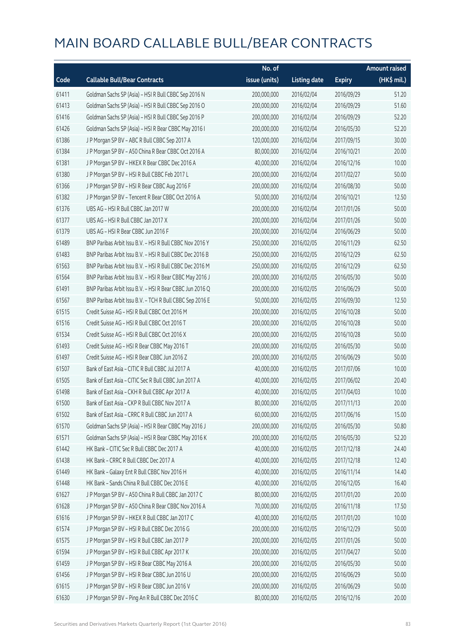|       |                                                          | No. of        |                     |               | <b>Amount raised</b> |
|-------|----------------------------------------------------------|---------------|---------------------|---------------|----------------------|
| Code  | <b>Callable Bull/Bear Contracts</b>                      | issue (units) | <b>Listing date</b> | <b>Expiry</b> | (HK\$ mil.)          |
| 61411 | Goldman Sachs SP (Asia) - HSI R Bull CBBC Sep 2016 N     | 200,000,000   | 2016/02/04          | 2016/09/29    | 51.20                |
| 61413 | Goldman Sachs SP (Asia) - HSI R Bull CBBC Sep 2016 O     | 200,000,000   | 2016/02/04          | 2016/09/29    | 51.60                |
| 61416 | Goldman Sachs SP (Asia) - HSI R Bull CBBC Sep 2016 P     | 200,000,000   | 2016/02/04          | 2016/09/29    | 52.20                |
| 61426 | Goldman Sachs SP (Asia) - HSI R Bear CBBC May 2016 I     | 200,000,000   | 2016/02/04          | 2016/05/30    | 52.20                |
| 61386 | J P Morgan SP BV - ABC R Bull CBBC Sep 2017 A            | 120,000,000   | 2016/02/04          | 2017/09/15    | 30.00                |
| 61384 | J P Morgan SP BV - A50 China R Bear CBBC Oct 2016 A      | 80,000,000    | 2016/02/04          | 2016/10/21    | 20.00                |
| 61381 | J P Morgan SP BV - HKEX R Bear CBBC Dec 2016 A           | 40,000,000    | 2016/02/04          | 2016/12/16    | 10.00                |
| 61380 | J P Morgan SP BV - HSI R Bull CBBC Feb 2017 L            | 200,000,000   | 2016/02/04          | 2017/02/27    | 50.00                |
| 61366 | J P Morgan SP BV - HSI R Bear CBBC Aug 2016 F            | 200,000,000   | 2016/02/04          | 2016/08/30    | 50.00                |
| 61382 | J P Morgan SP BV - Tencent R Bear CBBC Oct 2016 A        | 50,000,000    | 2016/02/04          | 2016/10/21    | 12.50                |
| 61376 | UBS AG - HSI R Bull CBBC Jan 2017 W                      | 200,000,000   | 2016/02/04          | 2017/01/26    | 50.00                |
| 61377 | UBS AG - HSI R Bull CBBC Jan 2017 X                      | 200,000,000   | 2016/02/04          | 2017/01/26    | 50.00                |
| 61379 | UBS AG - HSI R Bear CBBC Jun 2016 F                      | 200,000,000   | 2016/02/04          | 2016/06/29    | 50.00                |
| 61489 | BNP Paribas Arbit Issu B.V. - HSI R Bull CBBC Nov 2016 Y | 250,000,000   | 2016/02/05          | 2016/11/29    | 62.50                |
| 61483 | BNP Paribas Arbit Issu B.V. - HSI R Bull CBBC Dec 2016 B | 250,000,000   | 2016/02/05          | 2016/12/29    | 62.50                |
| 61563 | BNP Paribas Arbit Issu B.V. - HSI R Bull CBBC Dec 2016 M | 250,000,000   | 2016/02/05          | 2016/12/29    | 62.50                |
| 61564 | BNP Paribas Arbit Issu B.V. - HSI R Bear CBBC May 2016 J | 200,000,000   | 2016/02/05          | 2016/05/30    | 50.00                |
| 61491 | BNP Paribas Arbit Issu B.V. - HSI R Bear CBBC Jun 2016 Q | 200,000,000   | 2016/02/05          | 2016/06/29    | 50.00                |
| 61567 | BNP Paribas Arbit Issu B.V. - TCH R Bull CBBC Sep 2016 E | 50,000,000    | 2016/02/05          | 2016/09/30    | 12.50                |
| 61515 | Credit Suisse AG - HSI R Bull CBBC Oct 2016 M            | 200,000,000   | 2016/02/05          | 2016/10/28    | 50.00                |
| 61516 | Credit Suisse AG - HSI R Bull CBBC Oct 2016 T            | 200,000,000   | 2016/02/05          | 2016/10/28    | 50.00                |
| 61534 | Credit Suisse AG - HSI R Bull CBBC Oct 2016 X            | 200,000,000   | 2016/02/05          | 2016/10/28    | 50.00                |
| 61493 | Credit Suisse AG - HSI R Bear CBBC May 2016 T            | 200,000,000   | 2016/02/05          | 2016/05/30    | 50.00                |
| 61497 | Credit Suisse AG - HSI R Bear CBBC Jun 2016 Z            | 200,000,000   | 2016/02/05          | 2016/06/29    | 50.00                |
| 61507 | Bank of East Asia - CITIC R Bull CBBC Jul 2017 A         | 40,000,000    | 2016/02/05          | 2017/07/06    | 10.00                |
| 61505 | Bank of East Asia - CITIC Sec R Bull CBBC Jun 2017 A     | 40,000,000    | 2016/02/05          | 2017/06/02    | 20.40                |
| 61498 | Bank of East Asia - CKH R Bull CBBC Apr 2017 A           | 40,000,000    | 2016/02/05          | 2017/04/03    | 10.00                |
| 61500 | Bank of East Asia - CKP R Bull CBBC Nov 2017 A           | 80,000,000    | 2016/02/05          | 2017/11/13    | 20.00                |
| 61502 | Bank of East Asia - CRRC R Bull CBBC Jun 2017 A          | 60,000,000    | 2016/02/05          | 2017/06/16    | 15.00                |
| 61570 | Goldman Sachs SP (Asia) - HSI R Bear CBBC May 2016 J     | 200,000,000   | 2016/02/05          | 2016/05/30    | 50.80                |
| 61571 | Goldman Sachs SP (Asia) - HSI R Bear CBBC May 2016 K     | 200,000,000   | 2016/02/05          | 2016/05/30    | 52.20                |
| 61442 | HK Bank - CITIC Sec R Bull CBBC Dec 2017 A               | 40,000,000    | 2016/02/05          | 2017/12/18    | 24.40                |
| 61438 | HK Bank - CRRC R Bull CBBC Dec 2017 A                    | 40,000,000    | 2016/02/05          | 2017/12/18    | 12.40                |
| 61449 | HK Bank - Galaxy Ent R Bull CBBC Nov 2016 H              | 40,000,000    | 2016/02/05          | 2016/11/14    | 14.40                |
| 61448 | HK Bank - Sands China R Bull CBBC Dec 2016 E             | 40,000,000    | 2016/02/05          | 2016/12/05    | 16.40                |
| 61627 | J P Morgan SP BV - A50 China R Bull CBBC Jan 2017 C      | 80,000,000    | 2016/02/05          | 2017/01/20    | 20.00                |
| 61628 | J P Morgan SP BV - A50 China R Bear CBBC Nov 2016 A      | 70,000,000    | 2016/02/05          | 2016/11/18    | 17.50                |
| 61616 | J P Morgan SP BV - HKEX R Bull CBBC Jan 2017 C           | 40,000,000    | 2016/02/05          | 2017/01/20    | 10.00                |
| 61574 | J P Morgan SP BV - HSI R Bull CBBC Dec 2016 G            | 200,000,000   | 2016/02/05          | 2016/12/29    | 50.00                |
| 61575 | J P Morgan SP BV - HSI R Bull CBBC Jan 2017 P            | 200,000,000   | 2016/02/05          | 2017/01/26    | 50.00                |
| 61594 | J P Morgan SP BV - HSI R Bull CBBC Apr 2017 K            | 200,000,000   | 2016/02/05          | 2017/04/27    | 50.00                |
| 61459 | J P Morgan SP BV - HSI R Bear CBBC May 2016 A            | 200,000,000   | 2016/02/05          | 2016/05/30    | 50.00                |
| 61456 | J P Morgan SP BV - HSI R Bear CBBC Jun 2016 U            | 200,000,000   | 2016/02/05          | 2016/06/29    | 50.00                |
| 61615 | J P Morgan SP BV - HSI R Bear CBBC Jun 2016 V            | 200,000,000   | 2016/02/05          | 2016/06/29    | 50.00                |
| 61630 | J P Morgan SP BV - Ping An R Bull CBBC Dec 2016 C        | 80,000,000    | 2016/02/05          | 2016/12/16    | 20.00                |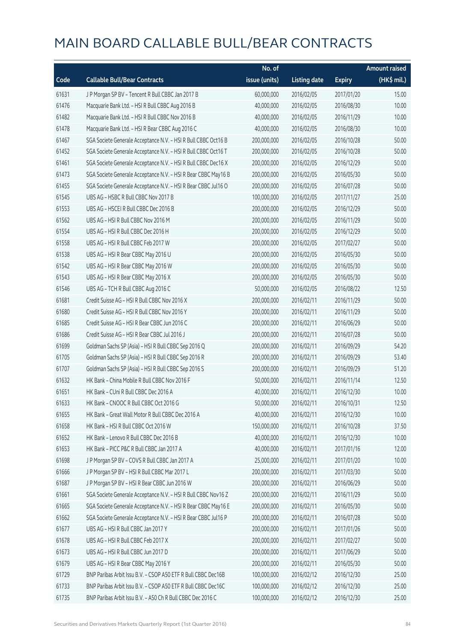|       |                                                                | No. of        |                     |               | <b>Amount raised</b>  |
|-------|----------------------------------------------------------------|---------------|---------------------|---------------|-----------------------|
| Code  | <b>Callable Bull/Bear Contracts</b>                            | issue (units) | <b>Listing date</b> | <b>Expiry</b> | $(HK\frac{1}{2}mil.)$ |
| 61631 | J P Morgan SP BV - Tencent R Bull CBBC Jan 2017 B              | 60,000,000    | 2016/02/05          | 2017/01/20    | 15.00                 |
| 61476 | Macquarie Bank Ltd. - HSI R Bull CBBC Aug 2016 B               | 40,000,000    | 2016/02/05          | 2016/08/30    | 10.00                 |
| 61482 | Macquarie Bank Ltd. - HSI R Bull CBBC Nov 2016 B               | 40,000,000    | 2016/02/05          | 2016/11/29    | 10.00                 |
| 61478 | Macquarie Bank Ltd. - HSI R Bear CBBC Aug 2016 C               | 40,000,000    | 2016/02/05          | 2016/08/30    | 10.00                 |
| 61467 | SGA Societe Generale Acceptance N.V. - HSI R Bull CBBC Oct16 B | 200,000,000   | 2016/02/05          | 2016/10/28    | 50.00                 |
| 61452 | SGA Societe Generale Acceptance N.V. - HSI R Bull CBBC Oct16 T | 200,000,000   | 2016/02/05          | 2016/10/28    | 50.00                 |
| 61461 | SGA Societe Generale Acceptance N.V. - HSI R Bull CBBC Dec16 X | 200,000,000   | 2016/02/05          | 2016/12/29    | 50.00                 |
| 61473 | SGA Societe Generale Acceptance N.V. - HSI R Bear CBBC May16 B | 200,000,000   | 2016/02/05          | 2016/05/30    | 50.00                 |
| 61455 | SGA Societe Generale Acceptance N.V. - HSI R Bear CBBC Jul16 O | 200,000,000   | 2016/02/05          | 2016/07/28    | 50.00                 |
| 61545 | UBS AG - HSBC R Bull CBBC Nov 2017 B                           | 100,000,000   | 2016/02/05          | 2017/11/27    | 25.00                 |
| 61553 | UBS AG - HSCEI R Bull CBBC Dec 2016 B                          | 200,000,000   | 2016/02/05          | 2016/12/29    | 50.00                 |
| 61562 | UBS AG - HSI R Bull CBBC Nov 2016 M                            | 200,000,000   | 2016/02/05          | 2016/11/29    | 50.00                 |
| 61554 | UBS AG - HSI R Bull CBBC Dec 2016 H                            | 200,000,000   | 2016/02/05          | 2016/12/29    | 50.00                 |
| 61558 | UBS AG - HSI R Bull CBBC Feb 2017 W                            | 200,000,000   | 2016/02/05          | 2017/02/27    | 50.00                 |
| 61538 | UBS AG - HSI R Bear CBBC May 2016 U                            | 200,000,000   | 2016/02/05          | 2016/05/30    | 50.00                 |
| 61542 | UBS AG - HSI R Bear CBBC May 2016 W                            | 200,000,000   | 2016/02/05          | 2016/05/30    | 50.00                 |
| 61543 | UBS AG - HSI R Bear CBBC May 2016 X                            | 200,000,000   | 2016/02/05          | 2016/05/30    | 50.00                 |
| 61546 | UBS AG - TCH R Bull CBBC Aug 2016 C                            | 50,000,000    | 2016/02/05          | 2016/08/22    | 12.50                 |
| 61681 | Credit Suisse AG - HSI R Bull CBBC Nov 2016 X                  | 200,000,000   | 2016/02/11          | 2016/11/29    | 50.00                 |
| 61680 | Credit Suisse AG - HSI R Bull CBBC Nov 2016 Y                  | 200,000,000   | 2016/02/11          | 2016/11/29    | 50.00                 |
| 61685 | Credit Suisse AG - HSI R Bear CBBC Jun 2016 C                  | 200,000,000   | 2016/02/11          | 2016/06/29    | 50.00                 |
| 61686 | Credit Suisse AG - HSI R Bear CBBC Jul 2016 J                  | 200,000,000   | 2016/02/11          | 2016/07/28    | 50.00                 |
| 61699 | Goldman Sachs SP (Asia) - HSI R Bull CBBC Sep 2016 Q           | 200,000,000   | 2016/02/11          | 2016/09/29    | 54.20                 |
| 61705 | Goldman Sachs SP (Asia) - HSI R Bull CBBC Sep 2016 R           | 200,000,000   | 2016/02/11          | 2016/09/29    | 53.40                 |
| 61707 | Goldman Sachs SP (Asia) - HSI R Bull CBBC Sep 2016 S           | 200,000,000   | 2016/02/11          | 2016/09/29    | 51.20                 |
| 61632 | HK Bank - China Mobile R Bull CBBC Nov 2016 F                  | 50,000,000    | 2016/02/11          | 2016/11/14    | 12.50                 |
| 61651 | HK Bank - CUni R Bull CBBC Dec 2016 A                          | 40,000,000    | 2016/02/11          | 2016/12/30    | 10.00                 |
| 61633 | HK Bank - CNOOC R Bull CBBC Oct 2016 G                         | 50,000,000    | 2016/02/11          | 2016/10/31    | 12.50                 |
| 61655 | HK Bank - Great Wall Motor R Bull CBBC Dec 2016 A              | 40,000,000    | 2016/02/11          | 2016/12/30    | 10.00                 |
| 61658 | HK Bank - HSI R Bull CBBC Oct 2016 W                           | 150,000,000   | 2016/02/11          | 2016/10/28    | 37.50                 |
| 61652 | HK Bank - Lenovo R Bull CBBC Dec 2016 B                        | 40,000,000    | 2016/02/11          | 2016/12/30    | 10.00                 |
| 61653 | HK Bank - PICC P&C R Bull CBBC Jan 2017 A                      | 40,000,000    | 2016/02/11          | 2017/01/16    | 12.00                 |
| 61698 | J P Morgan SP BV - COVS R Bull CBBC Jan 2017 A                 | 25,000,000    | 2016/02/11          | 2017/01/20    | 10.00                 |
| 61666 | J P Morgan SP BV - HSI R Bull CBBC Mar 2017 L                  | 200,000,000   | 2016/02/11          | 2017/03/30    | 50.00                 |
| 61687 | J P Morgan SP BV - HSI R Bear CBBC Jun 2016 W                  | 200,000,000   | 2016/02/11          | 2016/06/29    | 50.00                 |
| 61661 | SGA Societe Generale Acceptance N.V. - HSI R Bull CBBC Nov16 Z | 200,000,000   | 2016/02/11          | 2016/11/29    | 50.00                 |
| 61665 | SGA Societe Generale Acceptance N.V. - HSI R Bear CBBC May16 E | 200,000,000   | 2016/02/11          | 2016/05/30    | 50.00                 |
| 61662 | SGA Societe Generale Acceptance N.V. - HSI R Bear CBBC Jul16 P | 200,000,000   | 2016/02/11          | 2016/07/28    | 50.00                 |
| 61677 | UBS AG - HSI R Bull CBBC Jan 2017 Y                            | 200,000,000   | 2016/02/11          | 2017/01/26    | 50.00                 |
| 61678 | UBS AG - HSI R Bull CBBC Feb 2017 X                            | 200,000,000   | 2016/02/11          | 2017/02/27    | 50.00                 |
| 61673 | UBS AG - HSI R Bull CBBC Jun 2017 D                            | 200,000,000   | 2016/02/11          | 2017/06/29    | 50.00                 |
| 61679 | UBS AG - HSI R Bear CBBC May 2016 Y                            | 200,000,000   | 2016/02/11          | 2016/05/30    | 50.00                 |
| 61729 | BNP Paribas Arbit Issu B.V. - CSOP A50 ETF R Bull CBBC Dec16B  | 100,000,000   | 2016/02/12          | 2016/12/30    | 25.00                 |
| 61733 | BNP Paribas Arbit Issu B.V. - CSOP A50 ETF R Bull CBBC Dec16C  | 100,000,000   | 2016/02/12          | 2016/12/30    | 25.00                 |
| 61735 | BNP Paribas Arbit Issu B.V. - A50 Ch R Bull CBBC Dec 2016 C    | 100,000,000   | 2016/02/12          | 2016/12/30    | 25.00                 |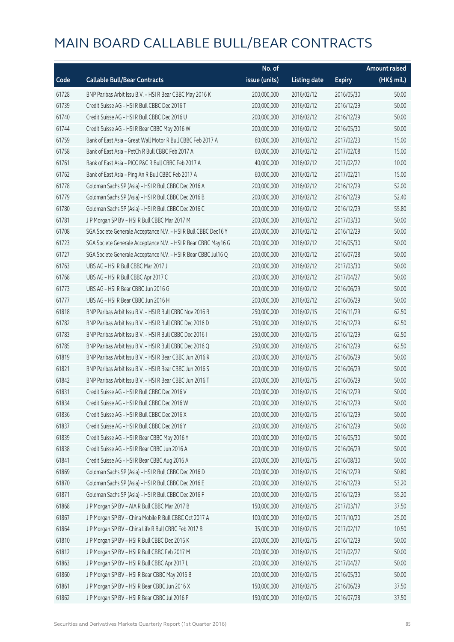|       |                                                                | No. of        |                     |               | Amount raised |
|-------|----------------------------------------------------------------|---------------|---------------------|---------------|---------------|
| Code  | <b>Callable Bull/Bear Contracts</b>                            | issue (units) | <b>Listing date</b> | <b>Expiry</b> | (HK\$ mil.)   |
| 61728 | BNP Paribas Arbit Issu B.V. - HSI R Bear CBBC May 2016 K       | 200,000,000   | 2016/02/12          | 2016/05/30    | 50.00         |
| 61739 | Credit Suisse AG - HSI R Bull CBBC Dec 2016 T                  | 200,000,000   | 2016/02/12          | 2016/12/29    | 50.00         |
| 61740 | Credit Suisse AG - HSI R Bull CBBC Dec 2016 U                  | 200,000,000   | 2016/02/12          | 2016/12/29    | 50.00         |
| 61744 | Credit Suisse AG - HSI R Bear CBBC May 2016 W                  | 200,000,000   | 2016/02/12          | 2016/05/30    | 50.00         |
| 61759 | Bank of East Asia - Great Wall Motor R Bull CBBC Feb 2017 A    | 60,000,000    | 2016/02/12          | 2017/02/23    | 15.00         |
| 61758 | Bank of East Asia - PetCh R Bull CBBC Feb 2017 A               | 60,000,000    | 2016/02/12          | 2017/02/08    | 15.00         |
| 61761 | Bank of East Asia - PICC P&C R Bull CBBC Feb 2017 A            | 40,000,000    | 2016/02/12          | 2017/02/22    | 10.00         |
| 61762 | Bank of East Asia - Ping An R Bull CBBC Feb 2017 A             | 60,000,000    | 2016/02/12          | 2017/02/21    | 15.00         |
| 61778 | Goldman Sachs SP (Asia) - HSI R Bull CBBC Dec 2016 A           | 200,000,000   | 2016/02/12          | 2016/12/29    | 52.00         |
| 61779 | Goldman Sachs SP (Asia) - HSI R Bull CBBC Dec 2016 B           | 200,000,000   | 2016/02/12          | 2016/12/29    | 52.40         |
| 61780 | Goldman Sachs SP (Asia) - HSI R Bull CBBC Dec 2016 C           | 200,000,000   | 2016/02/12          | 2016/12/29    | 55.80         |
| 61781 | JP Morgan SP BV - HSIR Bull CBBC Mar 2017 M                    | 200,000,000   | 2016/02/12          | 2017/03/30    | 50.00         |
| 61708 | SGA Societe Generale Acceptance N.V. - HSI R Bull CBBC Dec16 Y | 200,000,000   | 2016/02/12          | 2016/12/29    | 50.00         |
| 61723 | SGA Societe Generale Acceptance N.V. - HSI R Bear CBBC May16 G | 200,000,000   | 2016/02/12          | 2016/05/30    | 50.00         |
| 61727 | SGA Societe Generale Acceptance N.V. - HSI R Bear CBBC Jul16 Q | 200,000,000   | 2016/02/12          | 2016/07/28    | 50.00         |
| 61763 | UBS AG - HSI R Bull CBBC Mar 2017 J                            | 200,000,000   | 2016/02/12          | 2017/03/30    | 50.00         |
| 61768 | UBS AG - HSI R Bull CBBC Apr 2017 C                            | 200,000,000   | 2016/02/12          | 2017/04/27    | 50.00         |
| 61773 | UBS AG - HSI R Bear CBBC Jun 2016 G                            | 200,000,000   | 2016/02/12          | 2016/06/29    | 50.00         |
| 61777 | UBS AG - HSI R Bear CBBC Jun 2016 H                            | 200,000,000   | 2016/02/12          | 2016/06/29    | 50.00         |
| 61818 | BNP Paribas Arbit Issu B.V. - HSI R Bull CBBC Nov 2016 B       | 250,000,000   | 2016/02/15          | 2016/11/29    | 62.50         |
| 61782 | BNP Paribas Arbit Issu B.V. - HSI R Bull CBBC Dec 2016 D       | 250,000,000   | 2016/02/15          | 2016/12/29    | 62.50         |
| 61783 | BNP Paribas Arbit Issu B.V. - HSI R Bull CBBC Dec 2016 I       | 250,000,000   | 2016/02/15          | 2016/12/29    | 62.50         |
| 61785 | BNP Paribas Arbit Issu B.V. - HSI R Bull CBBC Dec 2016 Q       | 250,000,000   | 2016/02/15          | 2016/12/29    | 62.50         |
| 61819 | BNP Paribas Arbit Issu B.V. - HSI R Bear CBBC Jun 2016 R       | 200,000,000   | 2016/02/15          | 2016/06/29    | 50.00         |
| 61821 | BNP Paribas Arbit Issu B.V. - HSI R Bear CBBC Jun 2016 S       | 200,000,000   | 2016/02/15          | 2016/06/29    | 50.00         |
| 61842 | BNP Paribas Arbit Issu B.V. - HSI R Bear CBBC Jun 2016 T       | 200,000,000   | 2016/02/15          | 2016/06/29    | 50.00         |
| 61831 | Credit Suisse AG - HSI R Bull CBBC Dec 2016 V                  | 200,000,000   | 2016/02/15          | 2016/12/29    | 50.00         |
| 61834 | Credit Suisse AG - HSI R Bull CBBC Dec 2016 W                  | 200,000,000   | 2016/02/15          | 2016/12/29    | 50.00         |
| 61836 | Credit Suisse AG - HSI R Bull CBBC Dec 2016 X                  | 200,000,000   | 2016/02/15          | 2016/12/29    | 50.00         |
| 61837 | Credit Suisse AG - HSI R Bull CBBC Dec 2016 Y                  | 200,000,000   | 2016/02/15          | 2016/12/29    | 50.00         |
| 61839 | Credit Suisse AG - HSI R Bear CBBC May 2016 Y                  | 200,000,000   | 2016/02/15          | 2016/05/30    | 50.00         |
| 61838 | Credit Suisse AG - HSI R Bear CBBC Jun 2016 A                  | 200,000,000   | 2016/02/15          | 2016/06/29    | 50.00         |
| 61841 | Credit Suisse AG - HSI R Bear CBBC Aug 2016 A                  | 200,000,000   | 2016/02/15          | 2016/08/30    | 50.00         |
| 61869 | Goldman Sachs SP (Asia) - HSI R Bull CBBC Dec 2016 D           | 200,000,000   | 2016/02/15          | 2016/12/29    | 50.80         |
| 61870 | Goldman Sachs SP (Asia) - HSI R Bull CBBC Dec 2016 E           | 200,000,000   | 2016/02/15          | 2016/12/29    | 53.20         |
| 61871 | Goldman Sachs SP (Asia) - HSI R Bull CBBC Dec 2016 F           | 200,000,000   | 2016/02/15          | 2016/12/29    | 55.20         |
| 61868 | J P Morgan SP BV - AIA R Bull CBBC Mar 2017 B                  | 150,000,000   | 2016/02/15          | 2017/03/17    | 37.50         |
| 61867 | J P Morgan SP BV - China Mobile R Bull CBBC Oct 2017 A         | 100,000,000   | 2016/02/15          | 2017/10/20    | 25.00         |
| 61864 | J P Morgan SP BV - China Life R Bull CBBC Feb 2017 B           | 35,000,000    | 2016/02/15          | 2017/02/17    | 10.50         |
| 61810 | J P Morgan SP BV - HSI R Bull CBBC Dec 2016 K                  | 200,000,000   | 2016/02/15          | 2016/12/29    | 50.00         |
| 61812 | J P Morgan SP BV - HSI R Bull CBBC Feb 2017 M                  | 200,000,000   | 2016/02/15          | 2017/02/27    | 50.00         |
| 61863 | J P Morgan SP BV - HSI R Bull CBBC Apr 2017 L                  | 200,000,000   | 2016/02/15          | 2017/04/27    | 50.00         |
| 61860 | J P Morgan SP BV - HSI R Bear CBBC May 2016 B                  | 200,000,000   | 2016/02/15          | 2016/05/30    | 50.00         |
| 61861 | J P Morgan SP BV - HSI R Bear CBBC Jun 2016 X                  | 150,000,000   | 2016/02/15          | 2016/06/29    | 37.50         |
| 61862 | J P Morgan SP BV - HSI R Bear CBBC Jul 2016 P                  | 150,000,000   | 2016/02/15          | 2016/07/28    | 37.50         |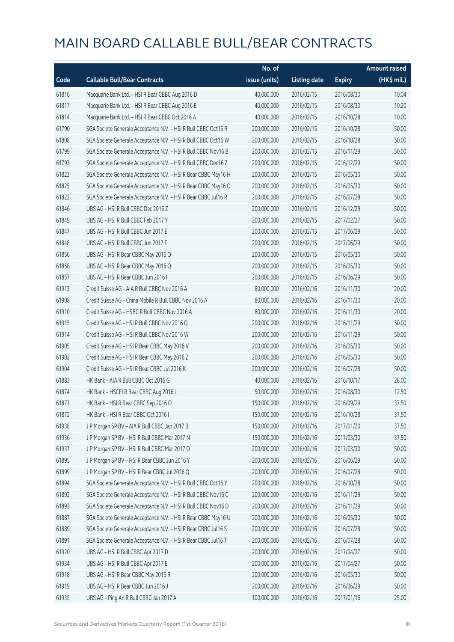|       |                                                                | No. of        |                     |               | <b>Amount raised</b>  |
|-------|----------------------------------------------------------------|---------------|---------------------|---------------|-----------------------|
| Code  | <b>Callable Bull/Bear Contracts</b>                            | issue (units) | <b>Listing date</b> | <b>Expiry</b> | $(HK\frac{1}{2}mil.)$ |
| 61816 | Macquarie Bank Ltd. - HSI R Bear CBBC Aug 2016 D               | 40,000,000    | 2016/02/15          | 2016/08/30    | 10.04                 |
| 61817 | Macquarie Bank Ltd. - HSI R Bear CBBC Aug 2016 E               | 40,000,000    | 2016/02/15          | 2016/08/30    | 10.20                 |
| 61814 | Macquarie Bank Ltd. - HSI R Bear CBBC Oct 2016 A               | 40,000,000    | 2016/02/15          | 2016/10/28    | 10.00                 |
| 61790 | SGA Societe Generale Acceptance N.V. - HSI R Bull CBBC Oct16 R | 200,000,000   | 2016/02/15          | 2016/10/28    | 50.00                 |
| 61808 | SGA Societe Generale Acceptance N.V. - HSI R Bull CBBC Oct16 W | 200,000,000   | 2016/02/15          | 2016/10/28    | 50.00                 |
| 61799 | SGA Societe Generale Acceptance N.V. - HSI R Bull CBBC Nov16 B | 200,000,000   | 2016/02/15          | 2016/11/29    | 50.00                 |
| 61793 | SGA Societe Generale Acceptance N.V. - HSI R Bull CBBC Dec16 Z | 200,000,000   | 2016/02/15          | 2016/12/29    | 50.00                 |
| 61823 | SGA Societe Generale Acceptance N.V. - HSI R Bear CBBC May16 H | 200,000,000   | 2016/02/15          | 2016/05/30    | 50.00                 |
| 61825 | SGA Societe Generale Acceptance N.V. - HSI R Bear CBBC May16 O | 200,000,000   | 2016/02/15          | 2016/05/30    | 50.00                 |
| 61822 | SGA Societe Generale Acceptance N.V. - HSI R Bear CBBC Jul16 R | 200,000,000   | 2016/02/15          | 2016/07/28    | 50.00                 |
| 61846 | UBS AG - HSI R Bull CBBC Dec 2016 Z                            | 200,000,000   | 2016/02/15          | 2016/12/29    | 50.00                 |
| 61849 | UBS AG - HSI R Bull CBBC Feb 2017 Y                            | 200,000,000   | 2016/02/15          | 2017/02/27    | 50.00                 |
| 61847 | UBS AG - HSI R Bull CBBC Jun 2017 E                            | 200,000,000   | 2016/02/15          | 2017/06/29    | 50.00                 |
| 61848 | UBS AG - HSI R Bull CBBC Jun 2017 F                            | 200,000,000   | 2016/02/15          | 2017/06/29    | 50.00                 |
| 61856 | UBS AG - HSI R Bear CBBC May 2016 O                            | 200,000,000   | 2016/02/15          | 2016/05/30    | 50.00                 |
| 61858 | UBS AG - HSI R Bear CBBC May 2016 Q                            | 200,000,000   | 2016/02/15          | 2016/05/30    | 50.00                 |
| 61857 | UBS AG - HSI R Bear CBBC Jun 2016 I                            | 200,000,000   | 2016/02/15          | 2016/06/29    | 50.00                 |
| 61913 | Credit Suisse AG - AIA R Bull CBBC Nov 2016 A                  | 80,000,000    | 2016/02/16          | 2016/11/30    | 20.00                 |
| 61908 | Credit Suisse AG - China Mobile R Bull CBBC Nov 2016 A         | 80,000,000    | 2016/02/16          | 2016/11/30    | 20.00                 |
| 61910 | Credit Suisse AG - HSBC R Bull CBBC Nov 2016 A                 | 80,000,000    | 2016/02/16          | 2016/11/30    | 20.00                 |
| 61915 | Credit Suisse AG - HSI R Bull CBBC Nov 2016 Q                  | 200,000,000   | 2016/02/16          | 2016/11/29    | 50.00                 |
| 61914 | Credit Suisse AG - HSI R Bull CBBC Nov 2016 W                  | 200,000,000   | 2016/02/16          | 2016/11/29    | 50.00                 |
| 61905 | Credit Suisse AG - HSI R Bear CBBC May 2016 V                  | 200,000,000   | 2016/02/16          | 2016/05/30    | 50.00                 |
| 61902 | Credit Suisse AG - HSI R Bear CBBC May 2016 Z                  | 200,000,000   | 2016/02/16          | 2016/05/30    | 50.00                 |
| 61904 | Credit Suisse AG - HSI R Bear CBBC Jul 2016 K                  | 200,000,000   | 2016/02/16          | 2016/07/28    | 50.00                 |
| 61883 | HK Bank - AIA R Bull CBBC Oct 2016 G                           | 40,000,000    | 2016/02/16          | 2016/10/17    | 28.00                 |
| 61874 | HK Bank - HSCEI R Bear CBBC Aug 2016 L                         | 50,000,000    | 2016/02/16          | 2016/08/30    | 12.50                 |
| 61873 | HK Bank - HSI R Bear CBBC Sep 2016 O                           | 150,000,000   | 2016/02/16          | 2016/09/29    | 37.50                 |
| 61872 | HK Bank - HSI R Bear CBBC Oct 2016 I                           | 150,000,000   | 2016/02/16          | 2016/10/28    | 37.50                 |
| 61938 | J P Morgan SP BV - AIA R Bull CBBC Jan 2017 B                  | 150,000,000   | 2016/02/16          | 2017/01/20    | 37.50                 |
| 61936 | J P Morgan SP BV - HSI R Bull CBBC Mar 2017 N                  | 150,000,000   | 2016/02/16          | 2017/03/30    | 37.50                 |
| 61937 | J P Morgan SP BV - HSI R Bull CBBC Mar 2017 O                  | 200,000,000   | 2016/02/16          | 2017/03/30    | 50.00                 |
| 61895 | J P Morgan SP BV - HSI R Bear CBBC Jun 2016 Y                  | 200,000,000   | 2016/02/16          | 2016/06/29    | 50.00                 |
| 61899 | J P Morgan SP BV - HSI R Bear CBBC Jul 2016 Q                  | 200,000,000   | 2016/02/16          | 2016/07/28    | 50.00                 |
| 61894 | SGA Societe Generale Acceptance N.V. - HSI R Bull CBBC Oct16 Y | 200,000,000   | 2016/02/16          | 2016/10/28    | 50.00                 |
| 61892 | SGA Societe Generale Acceptance N.V. - HSI R Bull CBBC Nov16 C | 200,000,000   | 2016/02/16          | 2016/11/29    | 50.00                 |
| 61893 | SGA Societe Generale Acceptance N.V. - HSI R Bull CBBC Nov16 D | 200,000,000   | 2016/02/16          | 2016/11/29    | 50.00                 |
| 61887 | SGA Societe Generale Acceptance N.V. - HSI R Bear CBBC May16 U | 200,000,000   | 2016/02/16          | 2016/05/30    | 50.00                 |
| 61889 | SGA Societe Generale Acceptance N.V. - HSI R Bear CBBC Jul16 S | 200,000,000   | 2016/02/16          | 2016/07/28    | 50.00                 |
| 61891 | SGA Societe Generale Acceptance N.V. - HSI R Bear CBBC Jul16 T | 200,000,000   | 2016/02/16          | 2016/07/28    | 50.00                 |
| 61920 | UBS AG - HSI R Bull CBBC Apr 2017 D                            | 200,000,000   | 2016/02/16          | 2017/04/27    | 50.00                 |
| 61934 | UBS AG - HSI R Bull CBBC Apr 2017 E                            | 200,000,000   | 2016/02/16          | 2017/04/27    | 50.00                 |
| 61918 | UBS AG - HSI R Bear CBBC May 2016 R                            | 200,000,000   | 2016/02/16          | 2016/05/30    | 50.00                 |
| 61919 | UBS AG - HSI R Bear CBBC Jun 2016 J                            | 200,000,000   | 2016/02/16          | 2016/06/29    | 50.00                 |
| 61935 | UBS AG - Ping An R Bull CBBC Jan 2017 A                        | 100,000,000   | 2016/02/16          | 2017/01/16    | 25.00                 |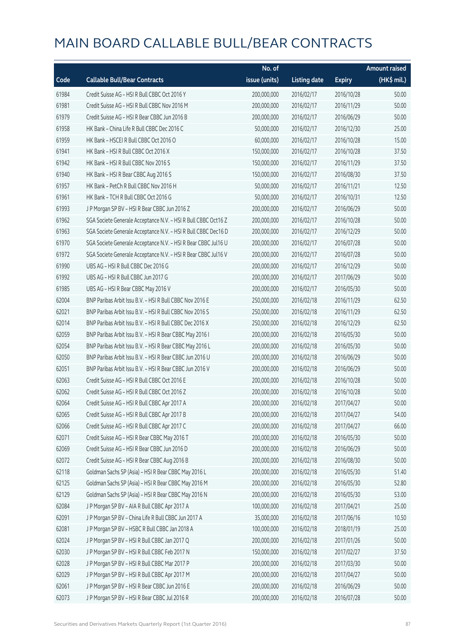|       |                                                                | No. of        |                     |               | Amount raised |
|-------|----------------------------------------------------------------|---------------|---------------------|---------------|---------------|
| Code  | <b>Callable Bull/Bear Contracts</b>                            | issue (units) | <b>Listing date</b> | <b>Expiry</b> | (HK\$ mil.)   |
| 61984 | Credit Suisse AG - HSI R Bull CBBC Oct 2016 Y                  | 200,000,000   | 2016/02/17          | 2016/10/28    | 50.00         |
| 61981 | Credit Suisse AG - HSI R Bull CBBC Nov 2016 M                  | 200,000,000   | 2016/02/17          | 2016/11/29    | 50.00         |
| 61979 | Credit Suisse AG - HSI R Bear CBBC Jun 2016 B                  | 200,000,000   | 2016/02/17          | 2016/06/29    | 50.00         |
| 61958 | HK Bank - China Life R Bull CBBC Dec 2016 C                    | 50,000,000    | 2016/02/17          | 2016/12/30    | 25.00         |
| 61959 | HK Bank - HSCEI R Bull CBBC Oct 2016 O                         | 60,000,000    | 2016/02/17          | 2016/10/28    | 15.00         |
| 61941 | HK Bank - HSI R Bull CBBC Oct 2016 X                           | 150,000,000   | 2016/02/17          | 2016/10/28    | 37.50         |
| 61942 | HK Bank - HSI R Bull CBBC Nov 2016 S                           | 150,000,000   | 2016/02/17          | 2016/11/29    | 37.50         |
| 61940 | HK Bank - HSI R Bear CBBC Aug 2016 S                           | 150,000,000   | 2016/02/17          | 2016/08/30    | 37.50         |
| 61957 | HK Bank - PetCh R Bull CBBC Nov 2016 H                         | 50,000,000    | 2016/02/17          | 2016/11/21    | 12.50         |
| 61961 | HK Bank - TCH R Bull CBBC Oct 2016 G                           | 50,000,000    | 2016/02/17          | 2016/10/31    | 12.50         |
| 61993 | J P Morgan SP BV - HSI R Bear CBBC Jun 2016 Z                  | 200,000,000   | 2016/02/17          | 2016/06/29    | 50.00         |
| 61962 | SGA Societe Generale Acceptance N.V. - HSI R Bull CBBC Oct16 Z | 200,000,000   | 2016/02/17          | 2016/10/28    | 50.00         |
| 61963 | SGA Societe Generale Acceptance N.V. - HSI R Bull CBBC Dec16 D | 200,000,000   | 2016/02/17          | 2016/12/29    | 50.00         |
| 61970 | SGA Societe Generale Acceptance N.V. - HSI R Bear CBBC Jul16 U | 200,000,000   | 2016/02/17          | 2016/07/28    | 50.00         |
| 61972 | SGA Societe Generale Acceptance N.V. - HSI R Bear CBBC Jul16 V | 200,000,000   | 2016/02/17          | 2016/07/28    | 50.00         |
| 61990 | UBS AG - HSI R Bull CBBC Dec 2016 G                            | 200,000,000   | 2016/02/17          | 2016/12/29    | 50.00         |
| 61992 | UBS AG - HSI R Bull CBBC Jun 2017 G                            | 200,000,000   | 2016/02/17          | 2017/06/29    | 50.00         |
| 61985 | UBS AG - HSI R Bear CBBC May 2016 V                            | 200,000,000   | 2016/02/17          | 2016/05/30    | 50.00         |
| 62004 | BNP Paribas Arbit Issu B.V. - HSI R Bull CBBC Nov 2016 E       | 250,000,000   | 2016/02/18          | 2016/11/29    | 62.50         |
| 62021 | BNP Paribas Arbit Issu B.V. - HSI R Bull CBBC Nov 2016 S       | 250,000,000   | 2016/02/18          | 2016/11/29    | 62.50         |
| 62014 | BNP Paribas Arbit Issu B.V. - HSI R Bull CBBC Dec 2016 X       | 250,000,000   | 2016/02/18          | 2016/12/29    | 62.50         |
| 62059 | BNP Paribas Arbit Issu B.V. - HSI R Bear CBBC May 2016 I       | 200,000,000   | 2016/02/18          | 2016/05/30    | 50.00         |
| 62054 | BNP Paribas Arbit Issu B.V. - HSI R Bear CBBC May 2016 L       | 200,000,000   | 2016/02/18          | 2016/05/30    | 50.00         |
| 62050 | BNP Paribas Arbit Issu B.V. - HSI R Bear CBBC Jun 2016 U       | 200,000,000   | 2016/02/18          | 2016/06/29    | 50.00         |
| 62051 | BNP Paribas Arbit Issu B.V. - HSI R Bear CBBC Jun 2016 V       | 200,000,000   | 2016/02/18          | 2016/06/29    | 50.00         |
| 62063 | Credit Suisse AG - HSI R Bull CBBC Oct 2016 E                  | 200,000,000   | 2016/02/18          | 2016/10/28    | 50.00         |
| 62062 | Credit Suisse AG - HSI R Bull CBBC Oct 2016 Z                  | 200,000,000   | 2016/02/18          | 2016/10/28    | 50.00         |
| 62064 | Credit Suisse AG - HSI R Bull CBBC Apr 2017 A                  | 200,000,000   | 2016/02/18          | 2017/04/27    | 50.00         |
| 62065 | Credit Suisse AG - HSI R Bull CBBC Apr 2017 B                  | 200,000,000   | 2016/02/18          | 2017/04/27    | 54.00         |
| 62066 | Credit Suisse AG - HSI R Bull CBBC Apr 2017 C                  | 200,000,000   | 2016/02/18          | 2017/04/27    | 66.00         |
| 62071 | Credit Suisse AG - HSI R Bear CBBC May 2016 T                  | 200,000,000   | 2016/02/18          | 2016/05/30    | 50.00         |
| 62069 | Credit Suisse AG - HSI R Bear CBBC Jun 2016 D                  | 200,000,000   | 2016/02/18          | 2016/06/29    | 50.00         |
| 62072 | Credit Suisse AG - HSI R Bear CBBC Aug 2016 B                  | 200,000,000   | 2016/02/18          | 2016/08/30    | 50.00         |
| 62118 | Goldman Sachs SP (Asia) - HSI R Bear CBBC May 2016 L           | 200,000,000   | 2016/02/18          | 2016/05/30    | 51.40         |
| 62125 | Goldman Sachs SP (Asia) - HSI R Bear CBBC May 2016 M           | 200,000,000   | 2016/02/18          | 2016/05/30    | 52.80         |
| 62129 | Goldman Sachs SP (Asia) - HSI R Bear CBBC May 2016 N           | 200,000,000   | 2016/02/18          | 2016/05/30    | 53.00         |
| 62084 | J P Morgan SP BV - AIA R Bull CBBC Apr 2017 A                  | 100,000,000   | 2016/02/18          | 2017/04/21    | 25.00         |
| 62091 | J P Morgan SP BV - China Life R Bull CBBC Jun 2017 A           | 35,000,000    | 2016/02/18          | 2017/06/16    | 10.50         |
| 62081 | J P Morgan SP BV - HSBC R Bull CBBC Jan 2018 A                 | 100,000,000   | 2016/02/18          | 2018/01/19    | 25.00         |
| 62024 | J P Morgan SP BV - HSI R Bull CBBC Jan 2017 Q                  | 200,000,000   | 2016/02/18          | 2017/01/26    | 50.00         |
| 62030 | J P Morgan SP BV - HSI R Bull CBBC Feb 2017 N                  | 150,000,000   | 2016/02/18          | 2017/02/27    | 37.50         |
| 62028 | J P Morgan SP BV - HSI R Bull CBBC Mar 2017 P                  | 200,000,000   | 2016/02/18          | 2017/03/30    | 50.00         |
| 62029 | J P Morgan SP BV - HSI R Bull CBBC Apr 2017 M                  | 200,000,000   | 2016/02/18          | 2017/04/27    | 50.00         |
| 62061 | J P Morgan SP BV - HSI R Bear CBBC Jun 2016 E                  | 200,000,000   | 2016/02/18          | 2016/06/29    | 50.00         |
| 62073 | J P Morgan SP BV - HSI R Bear CBBC Jul 2016 R                  | 200,000,000   | 2016/02/18          | 2016/07/28    | 50.00         |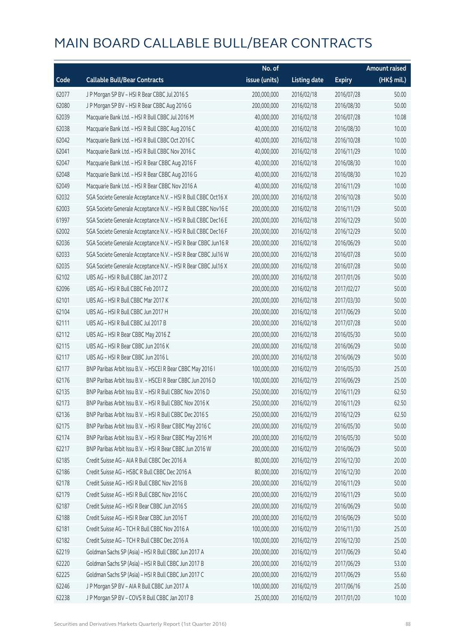|       |                                                                | No. of        |                     |               | <b>Amount raised</b> |
|-------|----------------------------------------------------------------|---------------|---------------------|---------------|----------------------|
| Code  | <b>Callable Bull/Bear Contracts</b>                            | issue (units) | <b>Listing date</b> | <b>Expiry</b> | (HK\$ mil.)          |
| 62077 | J P Morgan SP BV - HSI R Bear CBBC Jul 2016 S                  | 200,000,000   | 2016/02/18          | 2016/07/28    | 50.00                |
| 62080 | J P Morgan SP BV - HSI R Bear CBBC Aug 2016 G                  | 200,000,000   | 2016/02/18          | 2016/08/30    | 50.00                |
| 62039 | Macquarie Bank Ltd. - HSI R Bull CBBC Jul 2016 M               | 40,000,000    | 2016/02/18          | 2016/07/28    | 10.08                |
| 62038 | Macquarie Bank Ltd. - HSI R Bull CBBC Aug 2016 C               | 40,000,000    | 2016/02/18          | 2016/08/30    | 10.00                |
| 62042 | Macquarie Bank Ltd. - HSI R Bull CBBC Oct 2016 C               | 40,000,000    | 2016/02/18          | 2016/10/28    | 10.00                |
| 62041 | Macquarie Bank Ltd. - HSI R Bull CBBC Nov 2016 C               | 40,000,000    | 2016/02/18          | 2016/11/29    | 10.00                |
| 62047 | Macquarie Bank Ltd. - HSI R Bear CBBC Aug 2016 F               | 40,000,000    | 2016/02/18          | 2016/08/30    | 10.00                |
| 62048 | Macquarie Bank Ltd. - HSI R Bear CBBC Aug 2016 G               | 40,000,000    | 2016/02/18          | 2016/08/30    | 10.20                |
| 62049 | Macquarie Bank Ltd. - HSI R Bear CBBC Nov 2016 A               | 40,000,000    | 2016/02/18          | 2016/11/29    | 10.00                |
| 62032 | SGA Societe Generale Acceptance N.V. - HSI R Bull CBBC Oct16 X | 200,000,000   | 2016/02/18          | 2016/10/28    | 50.00                |
| 62003 | SGA Societe Generale Acceptance N.V. - HSI R Bull CBBC Nov16 E | 200,000,000   | 2016/02/18          | 2016/11/29    | 50.00                |
| 61997 | SGA Societe Generale Acceptance N.V. - HSI R Bull CBBC Dec16 E | 200,000,000   | 2016/02/18          | 2016/12/29    | 50.00                |
| 62002 | SGA Societe Generale Acceptance N.V. - HSI R Bull CBBC Dec16 F | 200,000,000   | 2016/02/18          | 2016/12/29    | 50.00                |
| 62036 | SGA Societe Generale Acceptance N.V. - HSI R Bear CBBC Jun16 R | 200,000,000   | 2016/02/18          | 2016/06/29    | 50.00                |
| 62033 | SGA Societe Generale Acceptance N.V. - HSI R Bear CBBC Jul16 W | 200,000,000   | 2016/02/18          | 2016/07/28    | 50.00                |
| 62035 | SGA Societe Generale Acceptance N.V. - HSI R Bear CBBC Jul16 X | 200,000,000   | 2016/02/18          | 2016/07/28    | 50.00                |
| 62102 | UBS AG - HSI R Bull CBBC Jan 2017 Z                            | 200,000,000   | 2016/02/18          | 2017/01/26    | 50.00                |
| 62096 | UBS AG - HSI R Bull CBBC Feb 2017 Z                            | 200,000,000   | 2016/02/18          | 2017/02/27    | 50.00                |
| 62101 | UBS AG - HSI R Bull CBBC Mar 2017 K                            | 200,000,000   | 2016/02/18          | 2017/03/30    | 50.00                |
| 62104 | UBS AG - HSI R Bull CBBC Jun 2017 H                            | 200,000,000   | 2016/02/18          | 2017/06/29    | 50.00                |
| 62111 | UBS AG - HSI R Bull CBBC Jul 2017 B                            | 200,000,000   | 2016/02/18          | 2017/07/28    | 50.00                |
| 62112 | UBS AG - HSI R Bear CBBC May 2016 Z                            | 200,000,000   | 2016/02/18          | 2016/05/30    | 50.00                |
| 62115 | UBS AG - HSI R Bear CBBC Jun 2016 K                            | 200,000,000   | 2016/02/18          | 2016/06/29    | 50.00                |
| 62117 | UBS AG - HSI R Bear CBBC Jun 2016 L                            | 200,000,000   | 2016/02/18          | 2016/06/29    | 50.00                |
| 62177 | BNP Paribas Arbit Issu B.V. - HSCEI R Bear CBBC May 2016 I     | 100,000,000   | 2016/02/19          | 2016/05/30    | 25.00                |
| 62176 | BNP Paribas Arbit Issu B.V. - HSCEI R Bear CBBC Jun 2016 D     | 100,000,000   | 2016/02/19          | 2016/06/29    | 25.00                |
| 62135 | BNP Paribas Arbit Issu B.V. - HSI R Bull CBBC Nov 2016 D       | 250,000,000   | 2016/02/19          | 2016/11/29    | 62.50                |
| 62173 | BNP Paribas Arbit Issu B.V. - HSI R Bull CBBC Nov 2016 K       | 250,000,000   | 2016/02/19          | 2016/11/29    | 62.50                |
| 62136 | BNP Paribas Arbit Issu B.V. - HSI R Bull CBBC Dec 2016 S       | 250,000,000   | 2016/02/19          | 2016/12/29    | 62.50                |
| 62175 | BNP Paribas Arbit Issu B.V. - HSI R Bear CBBC May 2016 C       | 200,000,000   | 2016/02/19          | 2016/05/30    | 50.00                |
| 62174 | BNP Paribas Arbit Issu B.V. - HSI R Bear CBBC May 2016 M       | 200,000,000   | 2016/02/19          | 2016/05/30    | 50.00                |
| 62217 | BNP Paribas Arbit Issu B.V. - HSI R Bear CBBC Jun 2016 W       | 200,000,000   | 2016/02/19          | 2016/06/29    | 50.00                |
| 62185 | Credit Suisse AG - AIA R Bull CBBC Dec 2016 A                  | 80,000,000    | 2016/02/19          | 2016/12/30    | 20.00                |
| 62186 | Credit Suisse AG - HSBC R Bull CBBC Dec 2016 A                 | 80,000,000    | 2016/02/19          | 2016/12/30    | 20.00                |
| 62178 | Credit Suisse AG - HSI R Bull CBBC Nov 2016 B                  | 200,000,000   | 2016/02/19          | 2016/11/29    | 50.00                |
| 62179 | Credit Suisse AG - HSI R Bull CBBC Nov 2016 C                  | 200,000,000   | 2016/02/19          | 2016/11/29    | 50.00                |
| 62187 | Credit Suisse AG - HSI R Bear CBBC Jun 2016 S                  | 200,000,000   | 2016/02/19          | 2016/06/29    | 50.00                |
| 62188 | Credit Suisse AG - HSI R Bear CBBC Jun 2016 T                  | 200,000,000   | 2016/02/19          | 2016/06/29    | 50.00                |
| 62181 | Credit Suisse AG - TCH R Bull CBBC Nov 2016 A                  | 100,000,000   | 2016/02/19          | 2016/11/30    | 25.00                |
| 62182 | Credit Suisse AG - TCH R Bull CBBC Dec 2016 A                  | 100,000,000   | 2016/02/19          | 2016/12/30    | 25.00                |
| 62219 | Goldman Sachs SP (Asia) - HSI R Bull CBBC Jun 2017 A           | 200,000,000   | 2016/02/19          | 2017/06/29    | 50.40                |
| 62220 | Goldman Sachs SP (Asia) - HSI R Bull CBBC Jun 2017 B           | 200,000,000   | 2016/02/19          | 2017/06/29    | 53.00                |
| 62225 | Goldman Sachs SP (Asia) - HSI R Bull CBBC Jun 2017 C           | 200,000,000   | 2016/02/19          | 2017/06/29    | 55.60                |
| 62246 | J P Morgan SP BV - AIA R Bull CBBC Jun 2017 A                  | 100,000,000   | 2016/02/19          | 2017/06/16    | 25.00                |
| 62238 | J P Morgan SP BV - COVS R Bull CBBC Jan 2017 B                 | 25,000,000    | 2016/02/19          | 2017/01/20    | 10.00                |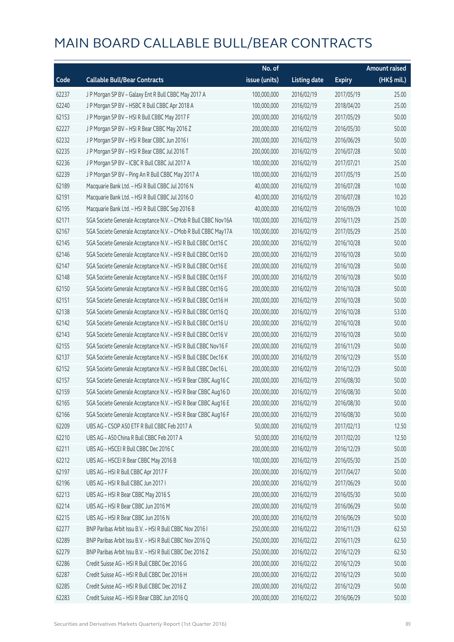|       |                                                                | No. of        |                     |               | <b>Amount raised</b> |
|-------|----------------------------------------------------------------|---------------|---------------------|---------------|----------------------|
| Code  | <b>Callable Bull/Bear Contracts</b>                            | issue (units) | <b>Listing date</b> | <b>Expiry</b> | (HK\$ mil.)          |
| 62237 | J P Morgan SP BV - Galaxy Ent R Bull CBBC May 2017 A           | 100,000,000   | 2016/02/19          | 2017/05/19    | 25.00                |
| 62240 | J P Morgan SP BV - HSBC R Bull CBBC Apr 2018 A                 | 100,000,000   | 2016/02/19          | 2018/04/20    | 25.00                |
| 62153 | J P Morgan SP BV - HSI R Bull CBBC May 2017 F                  | 200,000,000   | 2016/02/19          | 2017/05/29    | 50.00                |
| 62227 | J P Morgan SP BV - HSI R Bear CBBC May 2016 Z                  | 200,000,000   | 2016/02/19          | 2016/05/30    | 50.00                |
| 62232 | J P Morgan SP BV - HSI R Bear CBBC Jun 2016 I                  | 200,000,000   | 2016/02/19          | 2016/06/29    | 50.00                |
| 62235 | J P Morgan SP BV - HSI R Bear CBBC Jul 2016 T                  | 200,000,000   | 2016/02/19          | 2016/07/28    | 50.00                |
| 62236 | J P Morgan SP BV - ICBC R Bull CBBC Jul 2017 A                 | 100,000,000   | 2016/02/19          | 2017/07/21    | 25.00                |
| 62239 | J P Morgan SP BV - Ping An R Bull CBBC May 2017 A              | 100,000,000   | 2016/02/19          | 2017/05/19    | 25.00                |
| 62189 | Macquarie Bank Ltd. - HSI R Bull CBBC Jul 2016 N               | 40,000,000    | 2016/02/19          | 2016/07/28    | 10.00                |
| 62191 | Macquarie Bank Ltd. - HSI R Bull CBBC Jul 2016 O               | 40,000,000    | 2016/02/19          | 2016/07/28    | 10.20                |
| 62195 | Macquarie Bank Ltd. - HSI R Bull CBBC Sep 2016 B               | 40,000,000    | 2016/02/19          | 2016/09/29    | 10.00                |
| 62171 | SGA Societe Generale Acceptance N.V. - CMob R Bull CBBC Nov16A | 100,000,000   | 2016/02/19          | 2016/11/29    | 25.00                |
| 62167 | SGA Societe Generale Acceptance N.V. - CMob R Bull CBBC May17A | 100,000,000   | 2016/02/19          | 2017/05/29    | 25.00                |
| 62145 | SGA Societe Generale Acceptance N.V. - HSI R Bull CBBC Oct16 C | 200,000,000   | 2016/02/19          | 2016/10/28    | 50.00                |
| 62146 | SGA Societe Generale Acceptance N.V. - HSI R Bull CBBC Oct16 D | 200,000,000   | 2016/02/19          | 2016/10/28    | 50.00                |
| 62147 | SGA Societe Generale Acceptance N.V. - HSI R Bull CBBC Oct16 E | 200,000,000   | 2016/02/19          | 2016/10/28    | 50.00                |
| 62148 | SGA Societe Generale Acceptance N.V. - HSI R Bull CBBC Oct16 F | 200,000,000   | 2016/02/19          | 2016/10/28    | 50.00                |
| 62150 | SGA Societe Generale Acceptance N.V. - HSI R Bull CBBC Oct16 G | 200,000,000   | 2016/02/19          | 2016/10/28    | 50.00                |
| 62151 | SGA Societe Generale Acceptance N.V. - HSI R Bull CBBC Oct16 H | 200,000,000   | 2016/02/19          | 2016/10/28    | 50.00                |
| 62138 | SGA Societe Generale Acceptance N.V. - HSI R Bull CBBC Oct16 Q | 200,000,000   | 2016/02/19          | 2016/10/28    | 53.00                |
| 62142 | SGA Societe Generale Acceptance N.V. - HSI R Bull CBBC Oct16 U | 200,000,000   | 2016/02/19          | 2016/10/28    | 50.00                |
| 62143 | SGA Societe Generale Acceptance N.V. - HSI R Bull CBBC Oct16 V | 200,000,000   | 2016/02/19          | 2016/10/28    | 50.00                |
| 62155 | SGA Societe Generale Acceptance N.V. - HSI R Bull CBBC Nov16 F | 200,000,000   | 2016/02/19          | 2016/11/29    | 50.00                |
| 62137 | SGA Societe Generale Acceptance N.V. - HSI R Bull CBBC Dec16 K | 200,000,000   | 2016/02/19          | 2016/12/29    | 55.00                |
| 62152 | SGA Societe Generale Acceptance N.V. - HSI R Bull CBBC Dec16 L | 200,000,000   | 2016/02/19          | 2016/12/29    | 50.00                |
| 62157 | SGA Societe Generale Acceptance N.V. - HSI R Bear CBBC Aug16 C | 200,000,000   | 2016/02/19          | 2016/08/30    | 50.00                |
| 62159 | SGA Societe Generale Acceptance N.V. - HSI R Bear CBBC Aug16 D | 200,000,000   | 2016/02/19          | 2016/08/30    | 50.00                |
| 62165 | SGA Societe Generale Acceptance N.V. - HSI R Bear CBBC Aug16 E | 200,000,000   | 2016/02/19          | 2016/08/30    | 50.00                |
| 62166 | SGA Societe Generale Acceptance N.V. - HSI R Bear CBBC Aug16 F | 200,000,000   | 2016/02/19          | 2016/08/30    | 50.00                |
| 62209 | UBS AG - CSOP A50 ETF R Bull CBBC Feb 2017 A                   | 50,000,000    | 2016/02/19          | 2017/02/13    | 12.50                |
| 62210 | UBS AG - A50 China R Bull CBBC Feb 2017 A                      | 50,000,000    | 2016/02/19          | 2017/02/20    | 12.50                |
| 62211 | UBS AG - HSCEI R Bull CBBC Dec 2016 C                          | 200,000,000   | 2016/02/19          | 2016/12/29    | 50.00                |
| 62212 | UBS AG - HSCEI R Bear CBBC May 2016 B                          | 100,000,000   | 2016/02/19          | 2016/05/30    | 25.00                |
| 62197 | UBS AG - HSI R Bull CBBC Apr 2017 F                            | 200,000,000   | 2016/02/19          | 2017/04/27    | 50.00                |
| 62196 | UBS AG - HSI R Bull CBBC Jun 2017 I                            | 200,000,000   | 2016/02/19          | 2017/06/29    | 50.00                |
| 62213 | UBS AG - HSI R Bear CBBC May 2016 S                            | 200,000,000   | 2016/02/19          | 2016/05/30    | 50.00                |
| 62214 | UBS AG - HSI R Bear CBBC Jun 2016 M                            | 200,000,000   | 2016/02/19          | 2016/06/29    | 50.00                |
| 62215 | UBS AG - HSI R Bear CBBC Jun 2016 N                            | 200,000,000   | 2016/02/19          | 2016/06/29    | 50.00                |
| 62277 | BNP Paribas Arbit Issu B.V. - HSI R Bull CBBC Nov 2016 I       | 250,000,000   | 2016/02/22          | 2016/11/29    | 62.50                |
| 62289 | BNP Paribas Arbit Issu B.V. - HSI R Bull CBBC Nov 2016 Q       | 250,000,000   | 2016/02/22          | 2016/11/29    | 62.50                |
| 62279 | BNP Paribas Arbit Issu B.V. - HSI R Bull CBBC Dec 2016 Z       | 250,000,000   | 2016/02/22          | 2016/12/29    | 62.50                |
| 62286 | Credit Suisse AG - HSI R Bull CBBC Dec 2016 G                  | 200,000,000   | 2016/02/22          | 2016/12/29    | 50.00                |
| 62287 | Credit Suisse AG - HSI R Bull CBBC Dec 2016 H                  | 200,000,000   | 2016/02/22          | 2016/12/29    | 50.00                |
| 62285 | Credit Suisse AG - HSI R Bull CBBC Dec 2016 Z                  | 200,000,000   | 2016/02/22          | 2016/12/29    | 50.00                |
| 62283 | Credit Suisse AG - HSI R Bear CBBC Jun 2016 Q                  | 200,000,000   | 2016/02/22          | 2016/06/29    | 50.00                |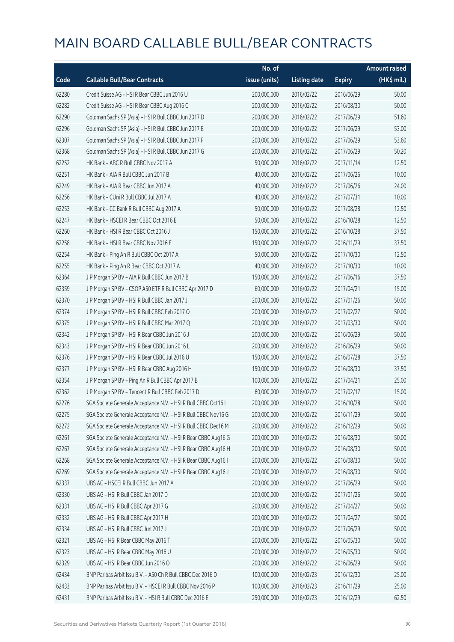|       |                                                                | No. of        |                     |               | <b>Amount raised</b> |
|-------|----------------------------------------------------------------|---------------|---------------------|---------------|----------------------|
| Code  | <b>Callable Bull/Bear Contracts</b>                            | issue (units) | <b>Listing date</b> | <b>Expiry</b> | (HK\$ mil.)          |
| 62280 | Credit Suisse AG - HSI R Bear CBBC Jun 2016 U                  | 200,000,000   | 2016/02/22          | 2016/06/29    | 50.00                |
| 62282 | Credit Suisse AG - HSI R Bear CBBC Aug 2016 C                  | 200,000,000   | 2016/02/22          | 2016/08/30    | 50.00                |
| 62290 | Goldman Sachs SP (Asia) - HSI R Bull CBBC Jun 2017 D           | 200,000,000   | 2016/02/22          | 2017/06/29    | 51.60                |
| 62296 | Goldman Sachs SP (Asia) - HSI R Bull CBBC Jun 2017 E           | 200,000,000   | 2016/02/22          | 2017/06/29    | 53.00                |
| 62307 | Goldman Sachs SP (Asia) - HSI R Bull CBBC Jun 2017 F           | 200,000,000   | 2016/02/22          | 2017/06/29    | 53.60                |
| 62368 | Goldman Sachs SP (Asia) - HSI R Bull CBBC Jun 2017 G           | 200,000,000   | 2016/02/22          | 2017/06/29    | 50.20                |
| 62252 | HK Bank - ABC R Bull CBBC Nov 2017 A                           | 50,000,000    | 2016/02/22          | 2017/11/14    | 12.50                |
| 62251 | HK Bank - AIA R Bull CBBC Jun 2017 B                           | 40,000,000    | 2016/02/22          | 2017/06/26    | 10.00                |
| 62249 | HK Bank - AIA R Bear CBBC Jun 2017 A                           | 40,000,000    | 2016/02/22          | 2017/06/26    | 24.00                |
| 62256 | HK Bank - CUni R Bull CBBC Jul 2017 A                          | 40,000,000    | 2016/02/22          | 2017/07/31    | 10.00                |
| 62253 | HK Bank - CC Bank R Bull CBBC Aug 2017 A                       | 50,000,000    | 2016/02/22          | 2017/08/28    | 12.50                |
| 62247 | HK Bank - HSCEI R Bear CBBC Oct 2016 E                         | 50,000,000    | 2016/02/22          | 2016/10/28    | 12.50                |
| 62260 | HK Bank - HSI R Bear CBBC Oct 2016 J                           | 150,000,000   | 2016/02/22          | 2016/10/28    | 37.50                |
| 62258 | HK Bank - HSI R Bear CBBC Nov 2016 E                           | 150,000,000   | 2016/02/22          | 2016/11/29    | 37.50                |
| 62254 | HK Bank - Ping An R Bull CBBC Oct 2017 A                       | 50,000,000    | 2016/02/22          | 2017/10/30    | 12.50                |
| 62255 | HK Bank - Ping An R Bear CBBC Oct 2017 A                       | 40,000,000    | 2016/02/22          | 2017/10/30    | 10.00                |
| 62364 | J P Morgan SP BV - AIA R Bull CBBC Jun 2017 B                  | 150,000,000   | 2016/02/22          | 2017/06/16    | 37.50                |
| 62359 | J P Morgan SP BV - CSOP A50 ETF R Bull CBBC Apr 2017 D         | 60,000,000    | 2016/02/22          | 2017/04/21    | 15.00                |
| 62370 | J P Morgan SP BV - HSI R Bull CBBC Jan 2017 J                  | 200,000,000   | 2016/02/22          | 2017/01/26    | 50.00                |
| 62374 | J P Morgan SP BV - HSI R Bull CBBC Feb 2017 O                  | 200,000,000   | 2016/02/22          | 2017/02/27    | 50.00                |
| 62375 | J P Morgan SP BV - HSI R Bull CBBC Mar 2017 Q                  | 200,000,000   | 2016/02/22          | 2017/03/30    | 50.00                |
| 62342 | J P Morgan SP BV - HSI R Bear CBBC Jun 2016 J                  | 200,000,000   | 2016/02/22          | 2016/06/29    | 50.00                |
| 62343 | J P Morgan SP BV - HSI R Bear CBBC Jun 2016 L                  | 200,000,000   | 2016/02/22          | 2016/06/29    | 50.00                |
| 62376 | J P Morgan SP BV - HSI R Bear CBBC Jul 2016 U                  | 150,000,000   | 2016/02/22          | 2016/07/28    | 37.50                |
| 62377 | J P Morgan SP BV - HSI R Bear CBBC Aug 2016 H                  | 150,000,000   | 2016/02/22          | 2016/08/30    | 37.50                |
| 62354 | J P Morgan SP BV - Ping An R Bull CBBC Apr 2017 B              | 100,000,000   | 2016/02/22          | 2017/04/21    | 25.00                |
| 62362 | J P Morgan SP BV - Tencent R Bull CBBC Feb 2017 D              | 60,000,000    | 2016/02/22          | 2017/02/17    | 15.00                |
| 62276 | SGA Societe Generale Acceptance N.V. - HSI R Bull CBBC Oct16 I | 200,000,000   | 2016/02/22          | 2016/10/28    | 50.00                |
| 62275 | SGA Societe Generale Acceptance N.V. - HSI R Bull CBBC Nov16 G | 200,000,000   | 2016/02/22          | 2016/11/29    | 50.00                |
| 62272 | SGA Societe Generale Acceptance N.V. - HSI R Bull CBBC Dec16 M | 200,000,000   | 2016/02/22          | 2016/12/29    | 50.00                |
| 62261 | SGA Societe Generale Acceptance N.V. - HSI R Bear CBBC Aug16 G | 200,000,000   | 2016/02/22          | 2016/08/30    | 50.00                |
| 62267 | SGA Societe Generale Acceptance N.V. - HSI R Bear CBBC Aug16 H | 200,000,000   | 2016/02/22          | 2016/08/30    | 50.00                |
| 62268 | SGA Societe Generale Acceptance N.V. - HSI R Bear CBBC Aug16 I | 200,000,000   | 2016/02/22          | 2016/08/30    | 50.00                |
| 62269 | SGA Societe Generale Acceptance N.V. - HSI R Bear CBBC Aug16 J | 200,000,000   | 2016/02/22          | 2016/08/30    | 50.00                |
| 62337 | UBS AG - HSCEI R Bull CBBC Jun 2017 A                          | 200,000,000   | 2016/02/22          | 2017/06/29    | 50.00                |
| 62330 | UBS AG - HSI R Bull CBBC Jan 2017 D                            | 200,000,000   | 2016/02/22          | 2017/01/26    | 50.00                |
| 62331 | UBS AG - HSI R Bull CBBC Apr 2017 G                            | 200,000,000   | 2016/02/22          | 2017/04/27    | 50.00                |
| 62332 | UBS AG - HSI R Bull CBBC Apr 2017 H                            | 200,000,000   | 2016/02/22          | 2017/04/27    | 50.00                |
| 62334 | UBS AG - HSI R Bull CBBC Jun 2017 J                            | 200,000,000   | 2016/02/22          | 2017/06/29    | 50.00                |
| 62321 | UBS AG - HSI R Bear CBBC May 2016 T                            | 200,000,000   | 2016/02/22          | 2016/05/30    | 50.00                |
| 62323 | UBS AG - HSI R Bear CBBC May 2016 U                            | 200,000,000   | 2016/02/22          | 2016/05/30    | 50.00                |
| 62329 | UBS AG - HSI R Bear CBBC Jun 2016 O                            | 200,000,000   | 2016/02/22          | 2016/06/29    | 50.00                |
| 62434 | BNP Paribas Arbit Issu B.V. - A50 Ch R Bull CBBC Dec 2016 D    | 100,000,000   | 2016/02/23          | 2016/12/30    | 25.00                |
| 62433 | BNP Paribas Arbit Issu B.V. - HSCEI R Bull CBBC Nov 2016 P     | 100,000,000   | 2016/02/23          | 2016/11/29    | 25.00                |
| 62431 | BNP Paribas Arbit Issu B.V. - HSI R Bull CBBC Dec 2016 E       | 250,000,000   | 2016/02/23          | 2016/12/29    | 62.50                |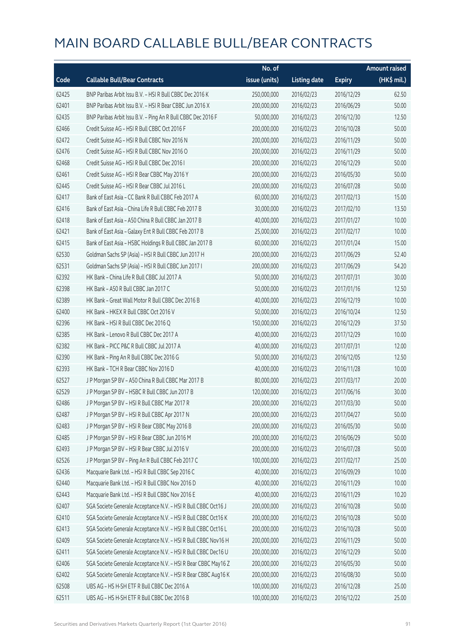|       |                                                                | No. of        |                     |               | <b>Amount raised</b> |
|-------|----------------------------------------------------------------|---------------|---------------------|---------------|----------------------|
| Code  | <b>Callable Bull/Bear Contracts</b>                            | issue (units) | <b>Listing date</b> | <b>Expiry</b> | $(HK$$ mil.)         |
| 62425 | BNP Paribas Arbit Issu B.V. - HSI R Bull CBBC Dec 2016 K       | 250,000,000   | 2016/02/23          | 2016/12/29    | 62.50                |
| 62401 | BNP Paribas Arbit Issu B.V. - HSI R Bear CBBC Jun 2016 X       | 200,000,000   | 2016/02/23          | 2016/06/29    | 50.00                |
| 62435 | BNP Paribas Arbit Issu B.V. - Ping An R Bull CBBC Dec 2016 F   | 50,000,000    | 2016/02/23          | 2016/12/30    | 12.50                |
| 62466 | Credit Suisse AG - HSI R Bull CBBC Oct 2016 F                  | 200,000,000   | 2016/02/23          | 2016/10/28    | 50.00                |
| 62472 | Credit Suisse AG - HSI R Bull CBBC Nov 2016 N                  | 200,000,000   | 2016/02/23          | 2016/11/29    | 50.00                |
| 62476 | Credit Suisse AG - HSI R Bull CBBC Nov 2016 O                  | 200,000,000   | 2016/02/23          | 2016/11/29    | 50.00                |
| 62468 | Credit Suisse AG - HSI R Bull CBBC Dec 2016 I                  | 200,000,000   | 2016/02/23          | 2016/12/29    | 50.00                |
| 62461 | Credit Suisse AG - HSI R Bear CBBC May 2016 Y                  | 200,000,000   | 2016/02/23          | 2016/05/30    | 50.00                |
| 62445 | Credit Suisse AG - HSI R Bear CBBC Jul 2016 L                  | 200,000,000   | 2016/02/23          | 2016/07/28    | 50.00                |
| 62417 | Bank of East Asia - CC Bank R Bull CBBC Feb 2017 A             | 60,000,000    | 2016/02/23          | 2017/02/13    | 15.00                |
| 62416 | Bank of East Asia - China Life R Bull CBBC Feb 2017 B          | 30,000,000    | 2016/02/23          | 2017/02/10    | 13.50                |
| 62418 | Bank of East Asia - A50 China R Bull CBBC Jan 2017 B           | 40,000,000    | 2016/02/23          | 2017/01/27    | 10.00                |
| 62421 | Bank of East Asia - Galaxy Ent R Bull CBBC Feb 2017 B          | 25,000,000    | 2016/02/23          | 2017/02/17    | 10.00                |
| 62415 | Bank of East Asia - HSBC Holdings R Bull CBBC Jan 2017 B       | 60,000,000    | 2016/02/23          | 2017/01/24    | 15.00                |
| 62530 | Goldman Sachs SP (Asia) - HSI R Bull CBBC Jun 2017 H           | 200,000,000   | 2016/02/23          | 2017/06/29    | 52.40                |
| 62531 | Goldman Sachs SP (Asia) - HSI R Bull CBBC Jun 2017 I           | 200,000,000   | 2016/02/23          | 2017/06/29    | 54.20                |
| 62392 | HK Bank - China Life R Bull CBBC Jul 2017 A                    | 50,000,000    | 2016/02/23          | 2017/07/31    | 30.00                |
| 62398 | HK Bank - A50 R Bull CBBC Jan 2017 C                           | 50,000,000    | 2016/02/23          | 2017/01/16    | 12.50                |
| 62389 | HK Bank - Great Wall Motor R Bull CBBC Dec 2016 B              | 40,000,000    | 2016/02/23          | 2016/12/19    | 10.00                |
| 62400 | HK Bank - HKEX R Bull CBBC Oct 2016 V                          | 50,000,000    | 2016/02/23          | 2016/10/24    | 12.50                |
| 62396 | HK Bank - HSI R Bull CBBC Dec 2016 Q                           | 150,000,000   | 2016/02/23          | 2016/12/29    | 37.50                |
| 62385 | HK Bank - Lenovo R Bull CBBC Dec 2017 A                        | 40,000,000    | 2016/02/23          | 2017/12/29    | 10.00                |
| 62382 | HK Bank - PICC P&C R Bull CBBC Jul 2017 A                      | 40,000,000    | 2016/02/23          | 2017/07/31    | 12.00                |
| 62390 | HK Bank - Ping An R Bull CBBC Dec 2016 G                       | 50,000,000    | 2016/02/23          | 2016/12/05    | 12.50                |
| 62393 | HK Bank - TCH R Bear CBBC Nov 2016 D                           | 40,000,000    | 2016/02/23          | 2016/11/28    | 10.00                |
| 62527 | J P Morgan SP BV - A50 China R Bull CBBC Mar 2017 B            | 80,000,000    | 2016/02/23          | 2017/03/17    | 20.00                |
| 62529 | J P Morgan SP BV - HSBC R Bull CBBC Jun 2017 B                 | 120,000,000   | 2016/02/23          | 2017/06/16    | 30.00                |
| 62486 | J P Morgan SP BV - HSI R Bull CBBC Mar 2017 R                  | 200,000,000   | 2016/02/23          | 2017/03/30    | 50.00                |
| 62487 | J P Morgan SP BV - HSI R Bull CBBC Apr 2017 N                  | 200,000,000   | 2016/02/23          | 2017/04/27    | 50.00                |
| 62483 | J P Morgan SP BV - HSI R Bear CBBC May 2016 B                  | 200,000,000   | 2016/02/23          | 2016/05/30    | 50.00                |
| 62485 | J P Morgan SP BV - HSI R Bear CBBC Jun 2016 M                  | 200,000,000   | 2016/02/23          | 2016/06/29    | 50.00                |
| 62493 | J P Morgan SP BV - HSI R Bear CBBC Jul 2016 V                  | 200,000,000   | 2016/02/23          | 2016/07/28    | 50.00                |
| 62526 | J P Morgan SP BV - Ping An R Bull CBBC Feb 2017 C              | 100,000,000   | 2016/02/23          | 2017/02/17    | 25.00                |
| 62436 | Macquarie Bank Ltd. - HSI R Bull CBBC Sep 2016 C               | 40,000,000    | 2016/02/23          | 2016/09/29    | 10.00                |
| 62440 | Macquarie Bank Ltd. - HSI R Bull CBBC Nov 2016 D               | 40,000,000    | 2016/02/23          | 2016/11/29    | 10.00                |
| 62443 | Macquarie Bank Ltd. - HSI R Bull CBBC Nov 2016 E               | 40,000,000    | 2016/02/23          | 2016/11/29    | 10.20                |
| 62407 | SGA Societe Generale Acceptance N.V. - HSI R Bull CBBC Oct16 J | 200,000,000   | 2016/02/23          | 2016/10/28    | 50.00                |
| 62410 | SGA Societe Generale Acceptance N.V. - HSI R Bull CBBC Oct16 K | 200,000,000   | 2016/02/23          | 2016/10/28    | 50.00                |
| 62413 | SGA Societe Generale Acceptance N.V. - HSI R Bull CBBC Oct16 L | 200,000,000   | 2016/02/23          | 2016/10/28    | 50.00                |
| 62409 | SGA Societe Generale Acceptance N.V. - HSI R Bull CBBC Nov16 H | 200,000,000   | 2016/02/23          | 2016/11/29    | 50.00                |
| 62411 | SGA Societe Generale Acceptance N.V. - HSI R Bull CBBC Dec16 U | 200,000,000   | 2016/02/23          | 2016/12/29    | 50.00                |
| 62406 | SGA Societe Generale Acceptance N.V. - HSI R Bear CBBC May16 Z | 200,000,000   | 2016/02/23          | 2016/05/30    | 50.00                |
| 62402 | SGA Societe Generale Acceptance N.V. - HSI R Bear CBBC Aug16 K | 200,000,000   | 2016/02/23          | 2016/08/30    | 50.00                |
| 62508 | UBS AG - HS H-SH ETF R Bull CBBC Dec 2016 A                    | 100,000,000   | 2016/02/23          | 2016/12/28    | 25.00                |
| 62511 | UBS AG - HS H-SH ETF R Bull CBBC Dec 2016 B                    | 100,000,000   | 2016/02/23          | 2016/12/22    | 25.00                |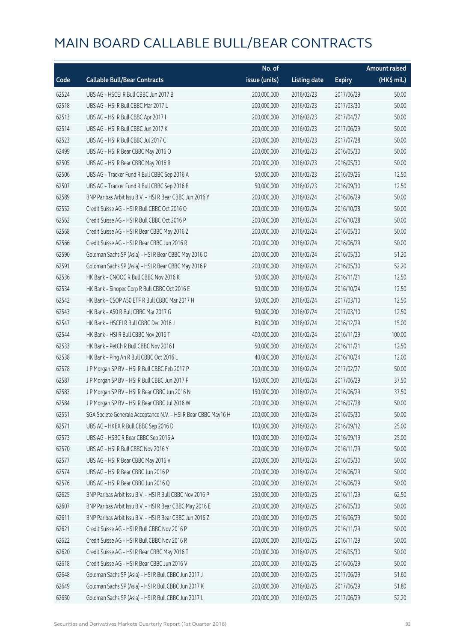|       |                                                                | No. of        |                     |               | <b>Amount raised</b> |
|-------|----------------------------------------------------------------|---------------|---------------------|---------------|----------------------|
| Code  | <b>Callable Bull/Bear Contracts</b>                            | issue (units) | <b>Listing date</b> | <b>Expiry</b> | $(HK$$ mil.)         |
| 62524 | UBS AG - HSCEI R Bull CBBC Jun 2017 B                          | 200,000,000   | 2016/02/23          | 2017/06/29    | 50.00                |
| 62518 | UBS AG - HSI R Bull CBBC Mar 2017 L                            | 200,000,000   | 2016/02/23          | 2017/03/30    | 50.00                |
| 62513 | UBS AG - HSI R Bull CBBC Apr 2017 I                            | 200,000,000   | 2016/02/23          | 2017/04/27    | 50.00                |
| 62514 | UBS AG - HSI R Bull CBBC Jun 2017 K                            | 200,000,000   | 2016/02/23          | 2017/06/29    | 50.00                |
| 62523 | UBS AG - HSI R Bull CBBC Jul 2017 C                            | 200,000,000   | 2016/02/23          | 2017/07/28    | 50.00                |
| 62499 | UBS AG - HSI R Bear CBBC May 2016 O                            | 200,000,000   | 2016/02/23          | 2016/05/30    | 50.00                |
| 62505 | UBS AG - HSI R Bear CBBC May 2016 R                            | 200,000,000   | 2016/02/23          | 2016/05/30    | 50.00                |
| 62506 | UBS AG - Tracker Fund R Bull CBBC Sep 2016 A                   | 50,000,000    | 2016/02/23          | 2016/09/26    | 12.50                |
| 62507 | UBS AG - Tracker Fund R Bull CBBC Sep 2016 B                   | 50,000,000    | 2016/02/23          | 2016/09/30    | 12.50                |
| 62589 | BNP Paribas Arbit Issu B.V. - HSI R Bear CBBC Jun 2016 Y       | 200,000,000   | 2016/02/24          | 2016/06/29    | 50.00                |
| 62552 | Credit Suisse AG - HSI R Bull CBBC Oct 2016 O                  | 200,000,000   | 2016/02/24          | 2016/10/28    | 50.00                |
| 62562 | Credit Suisse AG - HSI R Bull CBBC Oct 2016 P                  | 200,000,000   | 2016/02/24          | 2016/10/28    | 50.00                |
| 62568 | Credit Suisse AG - HSI R Bear CBBC May 2016 Z                  | 200,000,000   | 2016/02/24          | 2016/05/30    | 50.00                |
| 62566 | Credit Suisse AG - HSI R Bear CBBC Jun 2016 R                  | 200,000,000   | 2016/02/24          | 2016/06/29    | 50.00                |
| 62590 | Goldman Sachs SP (Asia) - HSI R Bear CBBC May 2016 O           | 200,000,000   | 2016/02/24          | 2016/05/30    | 51.20                |
| 62591 | Goldman Sachs SP (Asia) - HSI R Bear CBBC May 2016 P           | 200,000,000   | 2016/02/24          | 2016/05/30    | 52.20                |
| 62536 | HK Bank - CNOOC R Bull CBBC Nov 2016 K                         | 50,000,000    | 2016/02/24          | 2016/11/21    | 12.50                |
| 62534 | HK Bank - Sinopec Corp R Bull CBBC Oct 2016 E                  | 50,000,000    | 2016/02/24          | 2016/10/24    | 12.50                |
| 62542 | HK Bank - CSOP A50 ETF R Bull CBBC Mar 2017 H                  | 50,000,000    | 2016/02/24          | 2017/03/10    | 12.50                |
| 62543 | HK Bank - A50 R Bull CBBC Mar 2017 G                           | 50,000,000    | 2016/02/24          | 2017/03/10    | 12.50                |
| 62547 | HK Bank - HSCEI R Bull CBBC Dec 2016 J                         | 60,000,000    | 2016/02/24          | 2016/12/29    | 15.00                |
| 62544 | HK Bank - HSI R Bull CBBC Nov 2016 T                           | 400,000,000   | 2016/02/24          | 2016/11/29    | 100.00               |
| 62533 | HK Bank - PetCh R Bull CBBC Nov 2016 I                         | 50,000,000    | 2016/02/24          | 2016/11/21    | 12.50                |
| 62538 | HK Bank - Ping An R Bull CBBC Oct 2016 L                       | 40,000,000    | 2016/02/24          | 2016/10/24    | 12.00                |
| 62578 | J P Morgan SP BV - HSI R Bull CBBC Feb 2017 P                  | 200,000,000   | 2016/02/24          | 2017/02/27    | 50.00                |
| 62587 | J P Morgan SP BV - HSI R Bull CBBC Jun 2017 F                  | 150,000,000   | 2016/02/24          | 2017/06/29    | 37.50                |
| 62583 | J P Morgan SP BV - HSI R Bear CBBC Jun 2016 N                  | 150,000,000   | 2016/02/24          | 2016/06/29    | 37.50                |
| 62584 | J P Morgan SP BV - HSI R Bear CBBC Jul 2016 W                  | 200,000,000   | 2016/02/24          | 2016/07/28    | 50.00                |
| 62551 | SGA Societe Generale Acceptance N.V. - HSI R Bear CBBC May16 H | 200,000,000   | 2016/02/24          | 2016/05/30    | 50.00                |
| 62571 | UBS AG - HKEX R Bull CBBC Sep 2016 D                           | 100,000,000   | 2016/02/24          | 2016/09/12    | 25.00                |
| 62573 | UBS AG - HSBC R Bear CBBC Sep 2016 A                           | 100,000,000   | 2016/02/24          | 2016/09/19    | 25.00                |
| 62570 | UBS AG - HSI R Bull CBBC Nov 2016 Y                            | 200,000,000   | 2016/02/24          | 2016/11/29    | 50.00                |
| 62577 | UBS AG - HSI R Bear CBBC May 2016 V                            | 200,000,000   | 2016/02/24          | 2016/05/30    | 50.00                |
| 62574 | UBS AG - HSI R Bear CBBC Jun 2016 P                            | 200,000,000   | 2016/02/24          | 2016/06/29    | 50.00                |
| 62576 | UBS AG - HSI R Bear CBBC Jun 2016 Q                            | 200,000,000   | 2016/02/24          | 2016/06/29    | 50.00                |
| 62625 | BNP Paribas Arbit Issu B.V. - HSI R Bull CBBC Nov 2016 P       | 250,000,000   | 2016/02/25          | 2016/11/29    | 62.50                |
| 62607 | BNP Paribas Arbit Issu B.V. - HSI R Bear CBBC May 2016 E       | 200,000,000   | 2016/02/25          | 2016/05/30    | 50.00                |
| 62611 | BNP Paribas Arbit Issu B.V. - HSI R Bear CBBC Jun 2016 Z       | 200,000,000   | 2016/02/25          | 2016/06/29    | 50.00                |
| 62621 | Credit Suisse AG - HSI R Bull CBBC Nov 2016 P                  | 200,000,000   | 2016/02/25          | 2016/11/29    | 50.00                |
| 62622 | Credit Suisse AG - HSI R Bull CBBC Nov 2016 R                  | 200,000,000   | 2016/02/25          | 2016/11/29    | 50.00                |
| 62620 | Credit Suisse AG - HSI R Bear CBBC May 2016 T                  | 200,000,000   | 2016/02/25          | 2016/05/30    | 50.00                |
| 62618 | Credit Suisse AG - HSI R Bear CBBC Jun 2016 V                  | 200,000,000   | 2016/02/25          | 2016/06/29    | 50.00                |
| 62648 | Goldman Sachs SP (Asia) - HSI R Bull CBBC Jun 2017 J           | 200,000,000   | 2016/02/25          | 2017/06/29    | 51.60                |
| 62649 | Goldman Sachs SP (Asia) - HSI R Bull CBBC Jun 2017 K           | 200,000,000   | 2016/02/25          | 2017/06/29    | 51.80                |
| 62650 | Goldman Sachs SP (Asia) - HSI R Bull CBBC Jun 2017 L           | 200,000,000   | 2016/02/25          | 2017/06/29    | 52.20                |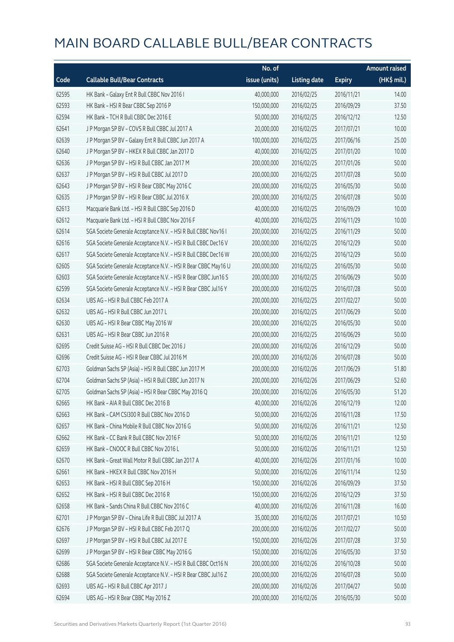|       |                                                                | No. of        |                     |               | <b>Amount raised</b> |
|-------|----------------------------------------------------------------|---------------|---------------------|---------------|----------------------|
| Code  | <b>Callable Bull/Bear Contracts</b>                            | issue (units) | <b>Listing date</b> | <b>Expiry</b> | (HK\$ mil.)          |
| 62595 | HK Bank - Galaxy Ent R Bull CBBC Nov 2016 I                    | 40,000,000    | 2016/02/25          | 2016/11/21    | 14.00                |
| 62593 | HK Bank - HSI R Bear CBBC Sep 2016 P                           | 150,000,000   | 2016/02/25          | 2016/09/29    | 37.50                |
| 62594 | HK Bank - TCH R Bull CBBC Dec 2016 E                           | 50,000,000    | 2016/02/25          | 2016/12/12    | 12.50                |
| 62641 | J P Morgan SP BV - COVS R Bull CBBC Jul 2017 A                 | 20,000,000    | 2016/02/25          | 2017/07/21    | 10.00                |
| 62639 | J P Morgan SP BV - Galaxy Ent R Bull CBBC Jun 2017 A           | 100,000,000   | 2016/02/25          | 2017/06/16    | 25.00                |
| 62640 | J P Morgan SP BV - HKEX R Bull CBBC Jan 2017 D                 | 40,000,000    | 2016/02/25          | 2017/01/20    | 10.00                |
| 62636 | J P Morgan SP BV - HSI R Bull CBBC Jan 2017 M                  | 200,000,000   | 2016/02/25          | 2017/01/26    | 50.00                |
| 62637 | J P Morgan SP BV - HSI R Bull CBBC Jul 2017 D                  | 200,000,000   | 2016/02/25          | 2017/07/28    | 50.00                |
| 62643 | J P Morgan SP BV - HSI R Bear CBBC May 2016 C                  | 200,000,000   | 2016/02/25          | 2016/05/30    | 50.00                |
| 62635 | J P Morgan SP BV - HSI R Bear CBBC Jul 2016 X                  | 200,000,000   | 2016/02/25          | 2016/07/28    | 50.00                |
| 62613 | Macquarie Bank Ltd. - HSI R Bull CBBC Sep 2016 D               | 40,000,000    | 2016/02/25          | 2016/09/29    | 10.00                |
| 62612 | Macquarie Bank Ltd. - HSI R Bull CBBC Nov 2016 F               | 40,000,000    | 2016/02/25          | 2016/11/29    | 10.00                |
| 62614 | SGA Societe Generale Acceptance N.V. - HSI R Bull CBBC Nov16 I | 200,000,000   | 2016/02/25          | 2016/11/29    | 50.00                |
| 62616 | SGA Societe Generale Acceptance N.V. - HSI R Bull CBBC Dec16 V | 200,000,000   | 2016/02/25          | 2016/12/29    | 50.00                |
| 62617 | SGA Societe Generale Acceptance N.V. - HSI R Bull CBBC Dec16 W | 200,000,000   | 2016/02/25          | 2016/12/29    | 50.00                |
| 62605 | SGA Societe Generale Acceptance N.V. - HSI R Bear CBBC May16 U | 200,000,000   | 2016/02/25          | 2016/05/30    | 50.00                |
| 62603 | SGA Societe Generale Acceptance N.V. - HSI R Bear CBBC Jun16 S | 200,000,000   | 2016/02/25          | 2016/06/29    | 50.00                |
| 62599 | SGA Societe Generale Acceptance N.V. - HSI R Bear CBBC Jul16 Y | 200,000,000   | 2016/02/25          | 2016/07/28    | 50.00                |
| 62634 | UBS AG - HSI R Bull CBBC Feb 2017 A                            | 200,000,000   | 2016/02/25          | 2017/02/27    | 50.00                |
| 62632 | UBS AG - HSI R Bull CBBC Jun 2017 L                            | 200,000,000   | 2016/02/25          | 2017/06/29    | 50.00                |
| 62630 | UBS AG - HSI R Bear CBBC May 2016 W                            | 200,000,000   | 2016/02/25          | 2016/05/30    | 50.00                |
| 62631 | UBS AG - HSI R Bear CBBC Jun 2016 R                            | 200,000,000   | 2016/02/25          | 2016/06/29    | 50.00                |
| 62695 | Credit Suisse AG - HSI R Bull CBBC Dec 2016 J                  | 200,000,000   | 2016/02/26          | 2016/12/29    | 50.00                |
| 62696 | Credit Suisse AG - HSI R Bear CBBC Jul 2016 M                  | 200,000,000   | 2016/02/26          | 2016/07/28    | 50.00                |
| 62703 | Goldman Sachs SP (Asia) - HSI R Bull CBBC Jun 2017 M           | 200,000,000   | 2016/02/26          | 2017/06/29    | 51.80                |
| 62704 | Goldman Sachs SP (Asia) - HSI R Bull CBBC Jun 2017 N           | 200,000,000   | 2016/02/26          | 2017/06/29    | 52.60                |
| 62705 | Goldman Sachs SP (Asia) - HSI R Bear CBBC May 2016 Q           | 200,000,000   | 2016/02/26          | 2016/05/30    | 51.20                |
| 62665 | HK Bank - AIA R Bull CBBC Dec 2016 B                           | 40,000,000    | 2016/02/26          | 2016/12/19    | 12.00                |
| 62663 | HK Bank - CAM CSI300 R Bull CBBC Nov 2016 D                    | 50,000,000    | 2016/02/26          | 2016/11/28    | 17.50                |
| 62657 | HK Bank - China Mobile R Bull CBBC Nov 2016 G                  | 50,000,000    | 2016/02/26          | 2016/11/21    | 12.50                |
| 62662 | HK Bank - CC Bank R Bull CBBC Nov 2016 F                       | 50,000,000    | 2016/02/26          | 2016/11/21    | 12.50                |
| 62659 | HK Bank - CNOOC R Bull CBBC Nov 2016 L                         | 50,000,000    | 2016/02/26          | 2016/11/21    | 12.50                |
| 62670 | HK Bank - Great Wall Motor R Bull CBBC Jan 2017 A              | 40,000,000    | 2016/02/26          | 2017/01/16    | 10.00                |
| 62661 | HK Bank - HKEX R Bull CBBC Nov 2016 H                          | 50,000,000    | 2016/02/26          | 2016/11/14    | 12.50                |
| 62653 | HK Bank - HSI R Bull CBBC Sep 2016 H                           | 150,000,000   | 2016/02/26          | 2016/09/29    | 37.50                |
| 62652 | HK Bank - HSI R Bull CBBC Dec 2016 R                           | 150,000,000   | 2016/02/26          | 2016/12/29    | 37.50                |
| 62658 | HK Bank - Sands China R Bull CBBC Nov 2016 C                   | 40,000,000    | 2016/02/26          | 2016/11/28    | 16.00                |
| 62701 | J P Morgan SP BV - China Life R Bull CBBC Jul 2017 A           | 35,000,000    | 2016/02/26          | 2017/07/21    | 10.50                |
| 62676 | J P Morgan SP BV - HSI R Bull CBBC Feb 2017 Q                  | 200,000,000   | 2016/02/26          | 2017/02/27    | 50.00                |
| 62697 | J P Morgan SP BV - HSI R Bull CBBC Jul 2017 E                  | 150,000,000   | 2016/02/26          | 2017/07/28    | 37.50                |
| 62699 | J P Morgan SP BV - HSI R Bear CBBC May 2016 G                  | 150,000,000   | 2016/02/26          | 2016/05/30    | 37.50                |
| 62686 | SGA Societe Generale Acceptance N.V. - HSI R Bull CBBC Oct16 N | 200,000,000   | 2016/02/26          | 2016/10/28    | 50.00                |
| 62688 | SGA Societe Generale Acceptance N.V. - HSI R Bear CBBC Jul16 Z | 200,000,000   | 2016/02/26          | 2016/07/28    | 50.00                |
| 62693 | UBS AG - HSI R Bull CBBC Apr 2017 J                            | 200,000,000   | 2016/02/26          | 2017/04/27    | 50.00                |
| 62694 | UBS AG - HSI R Bear CBBC May 2016 Z                            | 200,000,000   | 2016/02/26          | 2016/05/30    | 50.00                |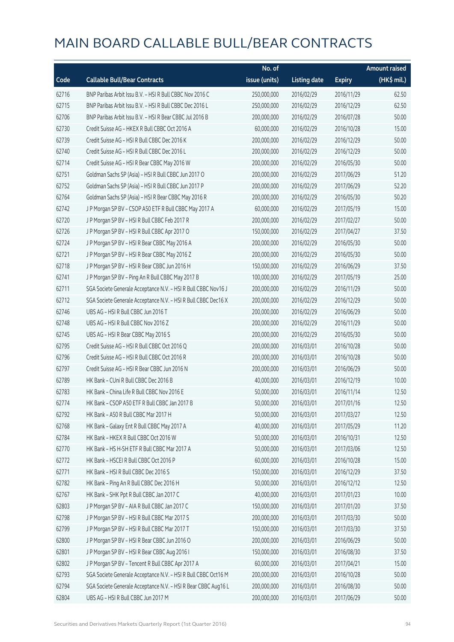|       |                                                                | No. of        |                     |               | <b>Amount raised</b>  |
|-------|----------------------------------------------------------------|---------------|---------------------|---------------|-----------------------|
| Code  | <b>Callable Bull/Bear Contracts</b>                            | issue (units) | <b>Listing date</b> | <b>Expiry</b> | $(HK\frac{1}{2}mil.)$ |
| 62716 | BNP Paribas Arbit Issu B.V. - HSI R Bull CBBC Nov 2016 C       | 250,000,000   | 2016/02/29          | 2016/11/29    | 62.50                 |
| 62715 | BNP Paribas Arbit Issu B.V. - HSI R Bull CBBC Dec 2016 L       | 250,000,000   | 2016/02/29          | 2016/12/29    | 62.50                 |
| 62706 | BNP Paribas Arbit Issu B.V. - HSI R Bear CBBC Jul 2016 B       | 200,000,000   | 2016/02/29          | 2016/07/28    | 50.00                 |
| 62730 | Credit Suisse AG - HKEX R Bull CBBC Oct 2016 A                 | 60,000,000    | 2016/02/29          | 2016/10/28    | 15.00                 |
| 62739 | Credit Suisse AG - HSI R Bull CBBC Dec 2016 K                  | 200,000,000   | 2016/02/29          | 2016/12/29    | 50.00                 |
| 62740 | Credit Suisse AG - HSI R Bull CBBC Dec 2016 L                  | 200,000,000   | 2016/02/29          | 2016/12/29    | 50.00                 |
| 62714 | Credit Suisse AG - HSI R Bear CBBC May 2016 W                  | 200,000,000   | 2016/02/29          | 2016/05/30    | 50.00                 |
| 62751 | Goldman Sachs SP (Asia) - HSI R Bull CBBC Jun 2017 O           | 200,000,000   | 2016/02/29          | 2017/06/29    | 51.20                 |
| 62752 | Goldman Sachs SP (Asia) - HSI R Bull CBBC Jun 2017 P           | 200,000,000   | 2016/02/29          | 2017/06/29    | 52.20                 |
| 62764 | Goldman Sachs SP (Asia) - HSI R Bear CBBC May 2016 R           | 200,000,000   | 2016/02/29          | 2016/05/30    | 50.20                 |
| 62742 | J P Morgan SP BV - CSOP A50 ETF R Bull CBBC May 2017 A         | 60,000,000    | 2016/02/29          | 2017/05/19    | 15.00                 |
| 62720 | J P Morgan SP BV - HSI R Bull CBBC Feb 2017 R                  | 200,000,000   | 2016/02/29          | 2017/02/27    | 50.00                 |
| 62726 | J P Morgan SP BV - HSI R Bull CBBC Apr 2017 O                  | 150,000,000   | 2016/02/29          | 2017/04/27    | 37.50                 |
| 62724 | J P Morgan SP BV - HSI R Bear CBBC May 2016 A                  | 200,000,000   | 2016/02/29          | 2016/05/30    | 50.00                 |
| 62721 | J P Morgan SP BV - HSI R Bear CBBC May 2016 Z                  | 200,000,000   | 2016/02/29          | 2016/05/30    | 50.00                 |
| 62718 | J P Morgan SP BV - HSI R Bear CBBC Jun 2016 H                  | 150,000,000   | 2016/02/29          | 2016/06/29    | 37.50                 |
| 62741 | J P Morgan SP BV - Ping An R Bull CBBC May 2017 B              | 100,000,000   | 2016/02/29          | 2017/05/19    | 25.00                 |
| 62711 | SGA Societe Generale Acceptance N.V. - HSI R Bull CBBC Nov16 J | 200,000,000   | 2016/02/29          | 2016/11/29    | 50.00                 |
| 62712 | SGA Societe Generale Acceptance N.V. - HSI R Bull CBBC Dec16 X | 200,000,000   | 2016/02/29          | 2016/12/29    | 50.00                 |
| 62746 | UBS AG - HSI R Bull CBBC Jun 2016 T                            | 200,000,000   | 2016/02/29          | 2016/06/29    | 50.00                 |
| 62748 | UBS AG - HSI R Bull CBBC Nov 2016 Z                            | 200,000,000   | 2016/02/29          | 2016/11/29    | 50.00                 |
| 62745 | UBS AG - HSI R Bear CBBC May 2016 S                            | 200,000,000   | 2016/02/29          | 2016/05/30    | 50.00                 |
| 62795 | Credit Suisse AG - HSI R Bull CBBC Oct 2016 Q                  | 200,000,000   | 2016/03/01          | 2016/10/28    | 50.00                 |
| 62796 | Credit Suisse AG - HSI R Bull CBBC Oct 2016 R                  | 200,000,000   | 2016/03/01          | 2016/10/28    | 50.00                 |
| 62797 | Credit Suisse AG - HSI R Bear CBBC Jun 2016 N                  | 200,000,000   | 2016/03/01          | 2016/06/29    | 50.00                 |
| 62789 | HK Bank - CUni R Bull CBBC Dec 2016 B                          | 40,000,000    | 2016/03/01          | 2016/12/19    | 10.00                 |
| 62783 | HK Bank - China Life R Bull CBBC Nov 2016 E                    | 50,000,000    | 2016/03/01          | 2016/11/14    | 12.50                 |
| 62774 | HK Bank - CSOP A50 ETF R Bull CBBC Jan 2017 B                  | 50,000,000    | 2016/03/01          | 2017/01/16    | 12.50                 |
| 62792 | HK Bank - A50 R Bull CBBC Mar 2017 H                           | 50,000,000    | 2016/03/01          | 2017/03/27    | 12.50                 |
| 62768 | HK Bank - Galaxy Ent R Bull CBBC May 2017 A                    | 40,000,000    | 2016/03/01          | 2017/05/29    | 11.20                 |
| 62784 | HK Bank - HKEX R Bull CBBC Oct 2016 W                          | 50,000,000    | 2016/03/01          | 2016/10/31    | 12.50                 |
| 62770 | HK Bank - HS H-SH ETF R Bull CBBC Mar 2017 A                   | 50,000,000    | 2016/03/01          | 2017/03/06    | 12.50                 |
| 62772 | HK Bank - HSCEI R Bull CBBC Oct 2016 P                         | 60,000,000    | 2016/03/01          | 2016/10/28    | 15.00                 |
| 62771 | HK Bank - HSI R Bull CBBC Dec 2016 S                           | 150,000,000   | 2016/03/01          | 2016/12/29    | 37.50                 |
| 62782 | HK Bank - Ping An R Bull CBBC Dec 2016 H                       | 50,000,000    | 2016/03/01          | 2016/12/12    | 12.50                 |
| 62767 | HK Bank - SHK Ppt R Bull CBBC Jan 2017 C                       | 40,000,000    | 2016/03/01          | 2017/01/23    | 10.00                 |
| 62803 | J P Morgan SP BV - AIA R Bull CBBC Jan 2017 C                  | 150,000,000   | 2016/03/01          | 2017/01/20    | 37.50                 |
| 62798 | J P Morgan SP BV - HSI R Bull CBBC Mar 2017 S                  | 200,000,000   | 2016/03/01          | 2017/03/30    | 50.00                 |
| 62799 | J P Morgan SP BV - HSI R Bull CBBC Mar 2017 T                  | 150,000,000   | 2016/03/01          | 2017/03/30    | 37.50                 |
| 62800 | J P Morgan SP BV - HSI R Bear CBBC Jun 2016 O                  | 200,000,000   | 2016/03/01          | 2016/06/29    | 50.00                 |
| 62801 | J P Morgan SP BV - HSI R Bear CBBC Aug 2016 I                  | 150,000,000   | 2016/03/01          | 2016/08/30    | 37.50                 |
| 62802 | J P Morgan SP BV - Tencent R Bull CBBC Apr 2017 A              | 60,000,000    | 2016/03/01          | 2017/04/21    | 15.00                 |
| 62793 | SGA Societe Generale Acceptance N.V. - HSI R Bull CBBC Oct16 M | 200,000,000   | 2016/03/01          | 2016/10/28    | 50.00                 |
| 62794 | SGA Societe Generale Acceptance N.V. - HSI R Bear CBBC Aug16 L | 200,000,000   | 2016/03/01          | 2016/08/30    | 50.00                 |
| 62804 | UBS AG - HSI R Bull CBBC Jun 2017 M                            | 200,000,000   | 2016/03/01          | 2017/06/29    | 50.00                 |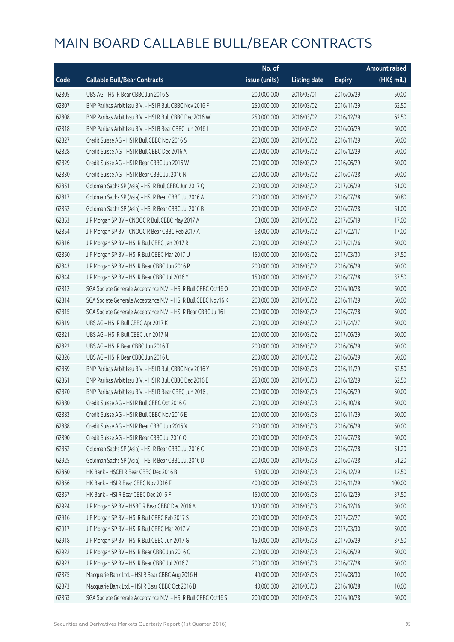|       |                                                                | No. of        |                     |               | Amount raised         |
|-------|----------------------------------------------------------------|---------------|---------------------|---------------|-----------------------|
| Code  | <b>Callable Bull/Bear Contracts</b>                            | issue (units) | <b>Listing date</b> | <b>Expiry</b> | $(HK\frac{1}{2}mil.)$ |
| 62805 | UBS AG - HSI R Bear CBBC Jun 2016 S                            | 200,000,000   | 2016/03/01          | 2016/06/29    | 50.00                 |
| 62807 | BNP Paribas Arbit Issu B.V. - HSI R Bull CBBC Nov 2016 F       | 250,000,000   | 2016/03/02          | 2016/11/29    | 62.50                 |
| 62808 | BNP Paribas Arbit Issu B.V. - HSI R Bull CBBC Dec 2016 W       | 250,000,000   | 2016/03/02          | 2016/12/29    | 62.50                 |
| 62818 | BNP Paribas Arbit Issu B.V. - HSI R Bear CBBC Jun 2016 I       | 200,000,000   | 2016/03/02          | 2016/06/29    | 50.00                 |
| 62827 | Credit Suisse AG - HSI R Bull CBBC Nov 2016 S                  | 200,000,000   | 2016/03/02          | 2016/11/29    | 50.00                 |
| 62828 | Credit Suisse AG - HSI R Bull CBBC Dec 2016 A                  | 200,000,000   | 2016/03/02          | 2016/12/29    | 50.00                 |
| 62829 | Credit Suisse AG - HSI R Bear CBBC Jun 2016 W                  | 200,000,000   | 2016/03/02          | 2016/06/29    | 50.00                 |
| 62830 | Credit Suisse AG - HSI R Bear CBBC Jul 2016 N                  | 200,000,000   | 2016/03/02          | 2016/07/28    | 50.00                 |
| 62851 | Goldman Sachs SP (Asia) - HSI R Bull CBBC Jun 2017 Q           | 200,000,000   | 2016/03/02          | 2017/06/29    | 51.00                 |
| 62817 | Goldman Sachs SP (Asia) - HSI R Bear CBBC Jul 2016 A           | 200,000,000   | 2016/03/02          | 2016/07/28    | 50.80                 |
| 62852 | Goldman Sachs SP (Asia) - HSI R Bear CBBC Jul 2016 B           | 200,000,000   | 2016/03/02          | 2016/07/28    | 51.00                 |
| 62853 | J P Morgan SP BV - CNOOC R Bull CBBC May 2017 A                | 68,000,000    | 2016/03/02          | 2017/05/19    | 17.00                 |
| 62854 | J P Morgan SP BV - CNOOC R Bear CBBC Feb 2017 A                | 68,000,000    | 2016/03/02          | 2017/02/17    | 17.00                 |
| 62816 | J P Morgan SP BV - HSI R Bull CBBC Jan 2017 R                  | 200,000,000   | 2016/03/02          | 2017/01/26    | 50.00                 |
| 62850 | J P Morgan SP BV - HSI R Bull CBBC Mar 2017 U                  | 150,000,000   | 2016/03/02          | 2017/03/30    | 37.50                 |
| 62843 | J P Morgan SP BV - HSI R Bear CBBC Jun 2016 P                  | 200,000,000   | 2016/03/02          | 2016/06/29    | 50.00                 |
| 62844 | J P Morgan SP BV - HSI R Bear CBBC Jul 2016 Y                  | 150,000,000   | 2016/03/02          | 2016/07/28    | 37.50                 |
| 62812 | SGA Societe Generale Acceptance N.V. - HSI R Bull CBBC Oct16 O | 200,000,000   | 2016/03/02          | 2016/10/28    | 50.00                 |
| 62814 | SGA Societe Generale Acceptance N.V. - HSI R Bull CBBC Nov16 K | 200,000,000   | 2016/03/02          | 2016/11/29    | 50.00                 |
| 62815 | SGA Societe Generale Acceptance N.V. - HSI R Bear CBBC Jul16 I | 200,000,000   | 2016/03/02          | 2016/07/28    | 50.00                 |
| 62819 | UBS AG - HSI R Bull CBBC Apr 2017 K                            | 200,000,000   | 2016/03/02          | 2017/04/27    | 50.00                 |
| 62821 | UBS AG - HSI R Bull CBBC Jun 2017 N                            | 200,000,000   | 2016/03/02          | 2017/06/29    | 50.00                 |
| 62822 | UBS AG - HSI R Bear CBBC Jun 2016 T                            | 200,000,000   | 2016/03/02          | 2016/06/29    | 50.00                 |
| 62826 | UBS AG - HSI R Bear CBBC Jun 2016 U                            | 200,000,000   | 2016/03/02          | 2016/06/29    | 50.00                 |
| 62869 | BNP Paribas Arbit Issu B.V. - HSI R Bull CBBC Nov 2016 Y       | 250,000,000   | 2016/03/03          | 2016/11/29    | 62.50                 |
| 62861 | BNP Paribas Arbit Issu B.V. - HSI R Bull CBBC Dec 2016 B       | 250,000,000   | 2016/03/03          | 2016/12/29    | 62.50                 |
| 62870 | BNP Paribas Arbit Issu B.V. - HSI R Bear CBBC Jun 2016 J       | 200,000,000   | 2016/03/03          | 2016/06/29    | 50.00                 |
| 62880 | Credit Suisse AG - HSI R Bull CBBC Oct 2016 G                  | 200,000,000   | 2016/03/03          | 2016/10/28    | 50.00                 |
| 62883 | Credit Suisse AG - HSI R Bull CBBC Nov 2016 E                  | 200,000,000   | 2016/03/03          | 2016/11/29    | 50.00                 |
| 62888 | Credit Suisse AG - HSI R Bear CBBC Jun 2016 X                  | 200,000,000   | 2016/03/03          | 2016/06/29    | 50.00                 |
| 62890 | Credit Suisse AG - HSI R Bear CBBC Jul 2016 O                  | 200,000,000   | 2016/03/03          | 2016/07/28    | 50.00                 |
| 62862 | Goldman Sachs SP (Asia) - HSI R Bear CBBC Jul 2016 C           | 200,000,000   | 2016/03/03          | 2016/07/28    | 51.20                 |
| 62925 | Goldman Sachs SP (Asia) - HSI R Bear CBBC Jul 2016 D           | 200,000,000   | 2016/03/03          | 2016/07/28    | 51.20                 |
| 62860 | HK Bank - HSCEI R Bear CBBC Dec 2016 B                         | 50,000,000    | 2016/03/03          | 2016/12/29    | 12.50                 |
| 62856 | HK Bank - HSI R Bear CBBC Nov 2016 F                           | 400,000,000   | 2016/03/03          | 2016/11/29    | 100.00                |
| 62857 | HK Bank - HSI R Bear CBBC Dec 2016 F                           | 150,000,000   | 2016/03/03          | 2016/12/29    | 37.50                 |
| 62924 | J P Morgan SP BV - HSBC R Bear CBBC Dec 2016 A                 | 120,000,000   | 2016/03/03          | 2016/12/16    | 30.00                 |
| 62916 | JP Morgan SP BV - HSIR Bull CBBC Feb 2017 S                    | 200,000,000   | 2016/03/03          | 2017/02/27    | 50.00                 |
| 62917 | J P Morgan SP BV - HSI R Bull CBBC Mar 2017 V                  | 200,000,000   | 2016/03/03          | 2017/03/30    | 50.00                 |
| 62918 | J P Morgan SP BV - HSI R Bull CBBC Jun 2017 G                  | 150,000,000   | 2016/03/03          | 2017/06/29    | 37.50                 |
| 62922 | J P Morgan SP BV - HSI R Bear CBBC Jun 2016 Q                  | 200,000,000   | 2016/03/03          | 2016/06/29    | 50.00                 |
| 62923 | J P Morgan SP BV - HSI R Bear CBBC Jul 2016 Z                  | 200,000,000   | 2016/03/03          | 2016/07/28    | 50.00                 |
| 62875 | Macquarie Bank Ltd. - HSI R Bear CBBC Aug 2016 H               | 40,000,000    | 2016/03/03          | 2016/08/30    | 10.00                 |
| 62873 | Macquarie Bank Ltd. - HSI R Bear CBBC Oct 2016 B               | 40,000,000    | 2016/03/03          | 2016/10/28    | 10.00                 |
| 62863 | SGA Societe Generale Acceptance N.V. - HSI R Bull CBBC Oct16 S | 200,000,000   | 2016/03/03          | 2016/10/28    | 50.00                 |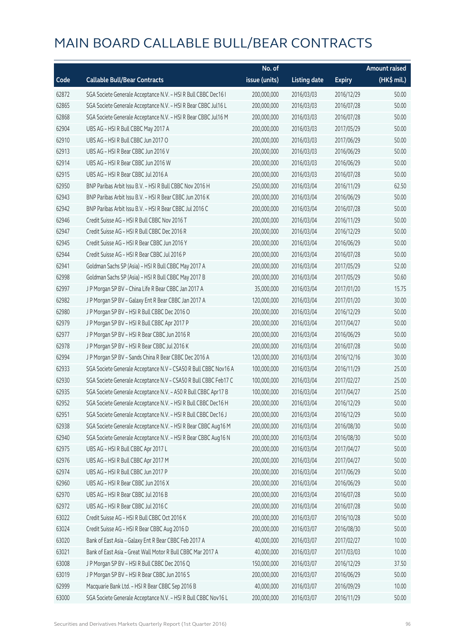|       |                                                                 | No. of        |                     |               | <b>Amount raised</b> |
|-------|-----------------------------------------------------------------|---------------|---------------------|---------------|----------------------|
| Code  | <b>Callable Bull/Bear Contracts</b>                             | issue (units) | <b>Listing date</b> | <b>Expiry</b> | (HK\$ mil.)          |
| 62872 | SGA Societe Generale Acceptance N.V. - HSI R Bull CBBC Dec16 I  | 200,000,000   | 2016/03/03          | 2016/12/29    | 50.00                |
| 62865 | SGA Societe Generale Acceptance N.V. - HSI R Bear CBBC Jul16 L  | 200,000,000   | 2016/03/03          | 2016/07/28    | 50.00                |
| 62868 | SGA Societe Generale Acceptance N.V. - HSI R Bear CBBC Jul16 M  | 200,000,000   | 2016/03/03          | 2016/07/28    | 50.00                |
| 62904 | UBS AG - HSI R Bull CBBC May 2017 A                             | 200,000,000   | 2016/03/03          | 2017/05/29    | 50.00                |
| 62910 | UBS AG - HSI R Bull CBBC Jun 2017 O                             | 200,000,000   | 2016/03/03          | 2017/06/29    | 50.00                |
| 62913 | UBS AG - HSI R Bear CBBC Jun 2016 V                             | 200,000,000   | 2016/03/03          | 2016/06/29    | 50.00                |
| 62914 | UBS AG - HSI R Bear CBBC Jun 2016 W                             | 200,000,000   | 2016/03/03          | 2016/06/29    | 50.00                |
| 62915 | UBS AG - HSI R Bear CBBC Jul 2016 A                             | 200,000,000   | 2016/03/03          | 2016/07/28    | 50.00                |
| 62950 | BNP Paribas Arbit Issu B.V. - HSI R Bull CBBC Nov 2016 H        | 250,000,000   | 2016/03/04          | 2016/11/29    | 62.50                |
| 62943 | BNP Paribas Arbit Issu B.V. - HSI R Bear CBBC Jun 2016 K        | 200,000,000   | 2016/03/04          | 2016/06/29    | 50.00                |
| 62942 | BNP Paribas Arbit Issu B.V. - HSI R Bear CBBC Jul 2016 C        | 200,000,000   | 2016/03/04          | 2016/07/28    | 50.00                |
| 62946 | Credit Suisse AG - HSI R Bull CBBC Nov 2016 T                   | 200,000,000   | 2016/03/04          | 2016/11/29    | 50.00                |
| 62947 | Credit Suisse AG - HSI R Bull CBBC Dec 2016 R                   | 200,000,000   | 2016/03/04          | 2016/12/29    | 50.00                |
| 62945 | Credit Suisse AG - HSI R Bear CBBC Jun 2016 Y                   | 200,000,000   | 2016/03/04          | 2016/06/29    | 50.00                |
| 62944 | Credit Suisse AG - HSI R Bear CBBC Jul 2016 P                   | 200,000,000   | 2016/03/04          | 2016/07/28    | 50.00                |
| 62941 | Goldman Sachs SP (Asia) - HSI R Bull CBBC May 2017 A            | 200,000,000   | 2016/03/04          | 2017/05/29    | 52.00                |
| 62998 | Goldman Sachs SP (Asia) - HSI R Bull CBBC May 2017 B            | 200,000,000   | 2016/03/04          | 2017/05/29    | 50.60                |
| 62997 | J P Morgan SP BV - China Life R Bear CBBC Jan 2017 A            | 35,000,000    | 2016/03/04          | 2017/01/20    | 15.75                |
| 62982 | J P Morgan SP BV - Galaxy Ent R Bear CBBC Jan 2017 A            | 120,000,000   | 2016/03/04          | 2017/01/20    | 30.00                |
| 62980 | J P Morgan SP BV - HSI R Bull CBBC Dec 2016 O                   | 200,000,000   | 2016/03/04          | 2016/12/29    | 50.00                |
| 62979 | J P Morgan SP BV - HSI R Bull CBBC Apr 2017 P                   | 200,000,000   | 2016/03/04          | 2017/04/27    | 50.00                |
| 62977 | J P Morgan SP BV - HSI R Bear CBBC Jun 2016 R                   | 200,000,000   | 2016/03/04          | 2016/06/29    | 50.00                |
| 62978 | J P Morgan SP BV - HSI R Bear CBBC Jul 2016 K                   | 200,000,000   | 2016/03/04          | 2016/07/28    | 50.00                |
| 62994 | J P Morgan SP BV - Sands China R Bear CBBC Dec 2016 A           | 120,000,000   | 2016/03/04          | 2016/12/16    | 30.00                |
| 62933 | SGA Societe Generale Acceptance N.V - CSA50 R Bull CBBC Nov16 A | 100,000,000   | 2016/03/04          | 2016/11/29    | 25.00                |
| 62930 | SGA Societe Generale Acceptance N.V - CSA50 R Bull CBBC Feb17 C | 100,000,000   | 2016/03/04          | 2017/02/27    | 25.00                |
| 62935 | SGA Societe Generale Acceptance N.V. - A50 R Bull CBBC Apr17 B  | 100,000,000   | 2016/03/04          | 2017/04/27    | 25.00                |
| 62952 | SGA Societe Generale Acceptance N.V. - HSI R Bull CBBC Dec16 H  | 200,000,000   | 2016/03/04          | 2016/12/29    | 50.00                |
| 62951 | SGA Societe Generale Acceptance N.V. - HSI R Bull CBBC Dec16 J  | 200,000,000   | 2016/03/04          | 2016/12/29    | 50.00                |
| 62938 | SGA Societe Generale Acceptance N.V. - HSI R Bear CBBC Aug16 M  | 200,000,000   | 2016/03/04          | 2016/08/30    | 50.00                |
| 62940 | SGA Societe Generale Acceptance N.V. - HSI R Bear CBBC Aug16 N  | 200,000,000   | 2016/03/04          | 2016/08/30    | 50.00                |
| 62975 | UBS AG - HSI R Bull CBBC Apr 2017 L                             | 200,000,000   | 2016/03/04          | 2017/04/27    | 50.00                |
| 62976 | UBS AG - HSI R Bull CBBC Apr 2017 M                             | 200,000,000   | 2016/03/04          | 2017/04/27    | 50.00                |
| 62974 | UBS AG - HSI R Bull CBBC Jun 2017 P                             | 200,000,000   | 2016/03/04          | 2017/06/29    | 50.00                |
| 62960 | UBS AG - HSI R Bear CBBC Jun 2016 X                             | 200,000,000   | 2016/03/04          | 2016/06/29    | 50.00                |
| 62970 | UBS AG - HSI R Bear CBBC Jul 2016 B                             | 200,000,000   | 2016/03/04          | 2016/07/28    | 50.00                |
| 62972 | UBS AG - HSI R Bear CBBC Jul 2016 C                             | 200,000,000   | 2016/03/04          | 2016/07/28    | 50.00                |
| 63022 | Credit Suisse AG - HSI R Bull CBBC Oct 2016 K                   | 200,000,000   | 2016/03/07          | 2016/10/28    | 50.00                |
| 63024 | Credit Suisse AG - HSI R Bear CBBC Aug 2016 D                   | 200,000,000   | 2016/03/07          | 2016/08/30    | 50.00                |
| 63020 | Bank of East Asia - Galaxy Ent R Bear CBBC Feb 2017 A           | 40,000,000    | 2016/03/07          | 2017/02/27    | 10.00                |
| 63021 | Bank of East Asia - Great Wall Motor R Bull CBBC Mar 2017 A     | 40,000,000    | 2016/03/07          | 2017/03/03    | 10.00                |
| 63008 | J P Morgan SP BV - HSI R Bull CBBC Dec 2016 Q                   | 150,000,000   | 2016/03/07          | 2016/12/29    | 37.50                |
| 63019 | J P Morgan SP BV - HSI R Bear CBBC Jun 2016 S                   | 200,000,000   | 2016/03/07          | 2016/06/29    | 50.00                |
| 62999 | Macquarie Bank Ltd. - HSI R Bear CBBC Sep 2016 B                | 40,000,000    | 2016/03/07          | 2016/09/29    | 10.00                |
| 63000 | SGA Societe Generale Acceptance N.V. - HSI R Bull CBBC Nov16 L  | 200,000,000   | 2016/03/07          | 2016/11/29    | 50.00                |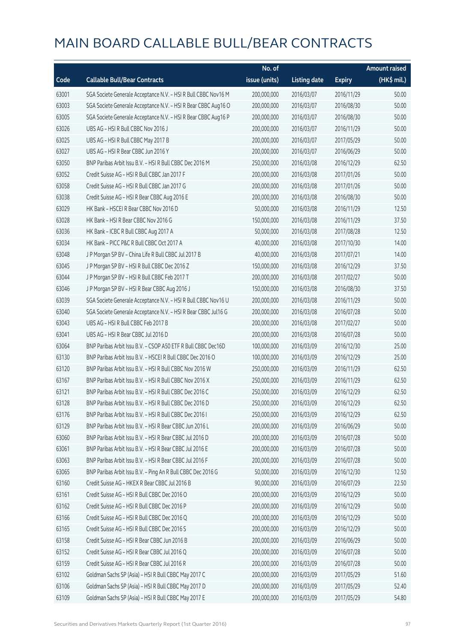|       |                                                                | No. of        |                     |               | <b>Amount raised</b> |
|-------|----------------------------------------------------------------|---------------|---------------------|---------------|----------------------|
| Code  | <b>Callable Bull/Bear Contracts</b>                            | issue (units) | <b>Listing date</b> | <b>Expiry</b> | (HK\$ mil.)          |
| 63001 | SGA Societe Generale Acceptance N.V. - HSI R Bull CBBC Nov16 M | 200,000,000   | 2016/03/07          | 2016/11/29    | 50.00                |
| 63003 | SGA Societe Generale Acceptance N.V. - HSI R Bear CBBC Aug16 O | 200,000,000   | 2016/03/07          | 2016/08/30    | 50.00                |
| 63005 | SGA Societe Generale Acceptance N.V. - HSI R Bear CBBC Aug16 P | 200,000,000   | 2016/03/07          | 2016/08/30    | 50.00                |
| 63026 | UBS AG - HSI R Bull CBBC Nov 2016 J                            | 200,000,000   | 2016/03/07          | 2016/11/29    | 50.00                |
| 63025 | UBS AG - HSI R Bull CBBC May 2017 B                            | 200,000,000   | 2016/03/07          | 2017/05/29    | 50.00                |
| 63027 | UBS AG - HSI R Bear CBBC Jun 2016 Y                            | 200,000,000   | 2016/03/07          | 2016/06/29    | 50.00                |
| 63050 | BNP Paribas Arbit Issu B.V. - HSI R Bull CBBC Dec 2016 M       | 250,000,000   | 2016/03/08          | 2016/12/29    | 62.50                |
| 63052 | Credit Suisse AG - HSI R Bull CBBC Jan 2017 F                  | 200,000,000   | 2016/03/08          | 2017/01/26    | 50.00                |
| 63058 | Credit Suisse AG - HSI R Bull CBBC Jan 2017 G                  | 200,000,000   | 2016/03/08          | 2017/01/26    | 50.00                |
| 63038 | Credit Suisse AG - HSI R Bear CBBC Aug 2016 E                  | 200,000,000   | 2016/03/08          | 2016/08/30    | 50.00                |
| 63029 | HK Bank - HSCEI R Bear CBBC Nov 2016 D                         | 50,000,000    | 2016/03/08          | 2016/11/29    | 12.50                |
| 63028 | HK Bank - HSI R Bear CBBC Nov 2016 G                           | 150,000,000   | 2016/03/08          | 2016/11/29    | 37.50                |
| 63036 | HK Bank - ICBC R Bull CBBC Aug 2017 A                          | 50,000,000    | 2016/03/08          | 2017/08/28    | 12.50                |
| 63034 | HK Bank - PICC P&C R Bull CBBC Oct 2017 A                      | 40,000,000    | 2016/03/08          | 2017/10/30    | 14.00                |
| 63048 | J P Morgan SP BV - China Life R Bull CBBC Jul 2017 B           | 40,000,000    | 2016/03/08          | 2017/07/21    | 14.00                |
| 63045 | J P Morgan SP BV - HSI R Bull CBBC Dec 2016 Z                  | 150,000,000   | 2016/03/08          | 2016/12/29    | 37.50                |
| 63044 | J P Morgan SP BV - HSI R Bull CBBC Feb 2017 T                  | 200,000,000   | 2016/03/08          | 2017/02/27    | 50.00                |
| 63046 | J P Morgan SP BV - HSI R Bear CBBC Aug 2016 J                  | 150,000,000   | 2016/03/08          | 2016/08/30    | 37.50                |
| 63039 | SGA Societe Generale Acceptance N.V. - HSI R Bull CBBC Nov16 U | 200,000,000   | 2016/03/08          | 2016/11/29    | 50.00                |
| 63040 | SGA Societe Generale Acceptance N.V. - HSI R Bear CBBC Jul16 G | 200,000,000   | 2016/03/08          | 2016/07/28    | 50.00                |
| 63043 | UBS AG - HSI R Bull CBBC Feb 2017 B                            | 200,000,000   | 2016/03/08          | 2017/02/27    | 50.00                |
| 63041 | UBS AG - HSI R Bear CBBC Jul 2016 D                            | 200,000,000   | 2016/03/08          | 2016/07/28    | 50.00                |
| 63064 | BNP Paribas Arbit Issu B.V. - CSOP A50 ETF R Bull CBBC Dec16D  | 100,000,000   | 2016/03/09          | 2016/12/30    | 25.00                |
| 63130 | BNP Paribas Arbit Issu B.V. - HSCEI R Bull CBBC Dec 2016 O     | 100,000,000   | 2016/03/09          | 2016/12/29    | 25.00                |
| 63120 | BNP Paribas Arbit Issu B.V. - HSI R Bull CBBC Nov 2016 W       | 250,000,000   | 2016/03/09          | 2016/11/29    | 62.50                |
| 63167 | BNP Paribas Arbit Issu B.V. - HSI R Bull CBBC Nov 2016 X       | 250,000,000   | 2016/03/09          | 2016/11/29    | 62.50                |
| 63121 | BNP Paribas Arbit Issu B.V. - HSI R Bull CBBC Dec 2016 C       | 250,000,000   | 2016/03/09          | 2016/12/29    | 62.50                |
| 63128 | BNP Paribas Arbit Issu B.V. - HSI R Bull CBBC Dec 2016 D       | 250,000,000   | 2016/03/09          | 2016/12/29    | 62.50                |
| 63176 | BNP Paribas Arbit Issu B.V. - HSI R Bull CBBC Dec 2016 I       | 250,000,000   | 2016/03/09          | 2016/12/29    | 62.50                |
| 63129 | BNP Paribas Arbit Issu B.V. - HSI R Bear CBBC Jun 2016 L       | 200,000,000   | 2016/03/09          | 2016/06/29    | 50.00                |
| 63060 | BNP Paribas Arbit Issu B.V. - HSI R Bear CBBC Jul 2016 D       | 200,000,000   | 2016/03/09          | 2016/07/28    | 50.00                |
| 63061 | BNP Paribas Arbit Issu B.V. - HSI R Bear CBBC Jul 2016 E       | 200,000,000   | 2016/03/09          | 2016/07/28    | 50.00                |
| 63063 | BNP Paribas Arbit Issu B.V. - HSI R Bear CBBC Jul 2016 F       | 200,000,000   | 2016/03/09          | 2016/07/28    | 50.00                |
| 63065 | BNP Paribas Arbit Issu B.V. - Ping An R Bull CBBC Dec 2016 G   | 50,000,000    | 2016/03/09          | 2016/12/30    | 12.50                |
| 63160 | Credit Suisse AG - HKEX R Bear CBBC Jul 2016 B                 | 90,000,000    | 2016/03/09          | 2016/07/29    | 22.50                |
| 63161 | Credit Suisse AG - HSI R Bull CBBC Dec 2016 O                  | 200,000,000   | 2016/03/09          | 2016/12/29    | 50.00                |
| 63162 | Credit Suisse AG - HSI R Bull CBBC Dec 2016 P                  | 200,000,000   | 2016/03/09          | 2016/12/29    | 50.00                |
| 63166 | Credit Suisse AG - HSI R Bull CBBC Dec 2016 Q                  | 200,000,000   | 2016/03/09          | 2016/12/29    | 50.00                |
| 63165 | Credit Suisse AG - HSI R Bull CBBC Dec 2016 S                  | 200,000,000   | 2016/03/09          | 2016/12/29    | 50.00                |
| 63158 | Credit Suisse AG - HSI R Bear CBBC Jun 2016 B                  | 200,000,000   | 2016/03/09          | 2016/06/29    | 50.00                |
| 63152 | Credit Suisse AG - HSI R Bear CBBC Jul 2016 Q                  | 200,000,000   | 2016/03/09          | 2016/07/28    | 50.00                |
| 63159 | Credit Suisse AG - HSI R Bear CBBC Jul 2016 R                  | 200,000,000   | 2016/03/09          | 2016/07/28    | 50.00                |
| 63102 | Goldman Sachs SP (Asia) - HSI R Bull CBBC May 2017 C           | 200,000,000   | 2016/03/09          | 2017/05/29    | 51.60                |
| 63106 | Goldman Sachs SP (Asia) - HSI R Bull CBBC May 2017 D           | 200,000,000   | 2016/03/09          | 2017/05/29    | 52.40                |
| 63109 | Goldman Sachs SP (Asia) - HSI R Bull CBBC May 2017 E           | 200,000,000   | 2016/03/09          | 2017/05/29    | 54.80                |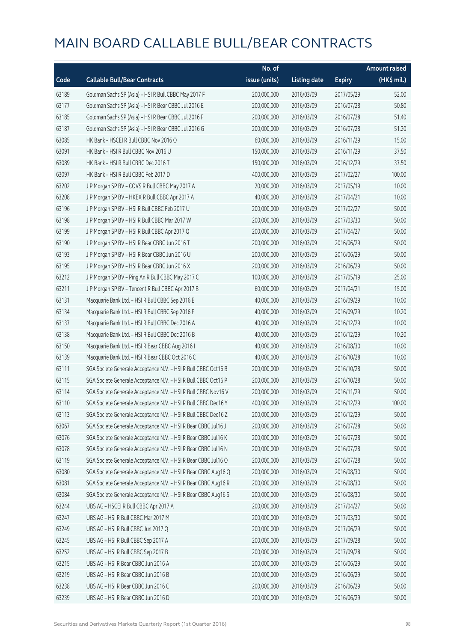|       |                                                                | No. of        |                     |               | <b>Amount raised</b> |
|-------|----------------------------------------------------------------|---------------|---------------------|---------------|----------------------|
| Code  | <b>Callable Bull/Bear Contracts</b>                            | issue (units) | <b>Listing date</b> | <b>Expiry</b> | $(HK$$ mil.)         |
| 63189 | Goldman Sachs SP (Asia) - HSI R Bull CBBC May 2017 F           | 200,000,000   | 2016/03/09          | 2017/05/29    | 52.00                |
| 63177 | Goldman Sachs SP (Asia) - HSI R Bear CBBC Jul 2016 E           | 200,000,000   | 2016/03/09          | 2016/07/28    | 50.80                |
| 63185 | Goldman Sachs SP (Asia) - HSI R Bear CBBC Jul 2016 F           | 200,000,000   | 2016/03/09          | 2016/07/28    | 51.40                |
| 63187 | Goldman Sachs SP (Asia) - HSI R Bear CBBC Jul 2016 G           | 200,000,000   | 2016/03/09          | 2016/07/28    | 51.20                |
| 63085 | HK Bank - HSCEI R Bull CBBC Nov 2016 O                         | 60,000,000    | 2016/03/09          | 2016/11/29    | 15.00                |
| 63091 | HK Bank - HSI R Bull CBBC Nov 2016 U                           | 150,000,000   | 2016/03/09          | 2016/11/29    | 37.50                |
| 63089 | HK Bank - HSI R Bull CBBC Dec 2016 T                           | 150,000,000   | 2016/03/09          | 2016/12/29    | 37.50                |
| 63097 | HK Bank - HSI R Bull CBBC Feb 2017 D                           | 400,000,000   | 2016/03/09          | 2017/02/27    | 100.00               |
| 63202 | J P Morgan SP BV - COVS R Bull CBBC May 2017 A                 | 20,000,000    | 2016/03/09          | 2017/05/19    | 10.00                |
| 63208 | J P Morgan SP BV - HKEX R Bull CBBC Apr 2017 A                 | 40,000,000    | 2016/03/09          | 2017/04/21    | 10.00                |
| 63196 | J P Morgan SP BV - HSI R Bull CBBC Feb 2017 U                  | 200,000,000   | 2016/03/09          | 2017/02/27    | 50.00                |
| 63198 | JP Morgan SP BV - HSIR Bull CBBC Mar 2017 W                    | 200,000,000   | 2016/03/09          | 2017/03/30    | 50.00                |
| 63199 | J P Morgan SP BV - HSI R Bull CBBC Apr 2017 Q                  | 200,000,000   | 2016/03/09          | 2017/04/27    | 50.00                |
| 63190 | J P Morgan SP BV - HSI R Bear CBBC Jun 2016 T                  | 200,000,000   | 2016/03/09          | 2016/06/29    | 50.00                |
| 63193 | J P Morgan SP BV - HSI R Bear CBBC Jun 2016 U                  | 200,000,000   | 2016/03/09          | 2016/06/29    | 50.00                |
| 63195 | J P Morgan SP BV - HSI R Bear CBBC Jun 2016 X                  | 200,000,000   | 2016/03/09          | 2016/06/29    | 50.00                |
| 63212 | J P Morgan SP BV - Ping An R Bull CBBC May 2017 C              | 100,000,000   | 2016/03/09          | 2017/05/19    | 25.00                |
| 63211 | JP Morgan SP BV - Tencent R Bull CBBC Apr 2017 B               | 60,000,000    | 2016/03/09          | 2017/04/21    | 15.00                |
| 63131 | Macquarie Bank Ltd. - HSI R Bull CBBC Sep 2016 E               | 40,000,000    | 2016/03/09          | 2016/09/29    | 10.00                |
| 63134 | Macquarie Bank Ltd. - HSI R Bull CBBC Sep 2016 F               | 40,000,000    | 2016/03/09          | 2016/09/29    | 10.20                |
| 63137 | Macquarie Bank Ltd. - HSI R Bull CBBC Dec 2016 A               | 40,000,000    | 2016/03/09          | 2016/12/29    | 10.00                |
| 63138 | Macquarie Bank Ltd. - HSI R Bull CBBC Dec 2016 B               | 40,000,000    | 2016/03/09          | 2016/12/29    | 10.20                |
| 63150 | Macquarie Bank Ltd. - HSI R Bear CBBC Aug 2016 I               | 40,000,000    | 2016/03/09          | 2016/08/30    | 10.00                |
| 63139 | Macquarie Bank Ltd. - HSI R Bear CBBC Oct 2016 C               | 40,000,000    | 2016/03/09          | 2016/10/28    | 10.00                |
| 63111 | SGA Societe Generale Acceptance N.V. - HSI R Bull CBBC Oct16 B | 200,000,000   | 2016/03/09          | 2016/10/28    | 50.00                |
| 63115 | SGA Societe Generale Acceptance N.V. - HSI R Bull CBBC Oct16 P | 200,000,000   | 2016/03/09          | 2016/10/28    | 50.00                |
| 63114 | SGA Societe Generale Acceptance N.V. - HSI R Bull CBBC Nov16 V | 200,000,000   | 2016/03/09          | 2016/11/29    | 50.00                |
| 63110 | SGA Societe Generale Acceptance N.V. - HSI R Bull CBBC Dec16 Y | 400,000,000   | 2016/03/09          | 2016/12/29    | 100.00               |
| 63113 | SGA Societe Generale Acceptance N.V. - HSI R Bull CBBC Dec16 Z | 200,000,000   | 2016/03/09          | 2016/12/29    | 50.00                |
| 63067 | SGA Societe Generale Acceptance N.V. - HSI R Bear CBBC Jul16 J | 200,000,000   | 2016/03/09          | 2016/07/28    | 50.00                |
| 63076 | SGA Societe Generale Acceptance N.V. - HSI R Bear CBBC Jul16 K | 200,000,000   | 2016/03/09          | 2016/07/28    | 50.00                |
| 63078 | SGA Societe Generale Acceptance N.V. - HSI R Bear CBBC Jul16 N | 200,000,000   | 2016/03/09          | 2016/07/28    | 50.00                |
| 63119 | SGA Societe Generale Acceptance N.V. - HSI R Bear CBBC Jul16 O | 200,000,000   | 2016/03/09          | 2016/07/28    | 50.00                |
| 63080 | SGA Societe Generale Acceptance N.V. - HSI R Bear CBBC Aug16 Q | 200,000,000   | 2016/03/09          | 2016/08/30    | 50.00                |
| 63081 | SGA Societe Generale Acceptance N.V. - HSI R Bear CBBC Aug16 R | 200,000,000   | 2016/03/09          | 2016/08/30    | 50.00                |
| 63084 | SGA Societe Generale Acceptance N.V. - HSI R Bear CBBC Aug16 S | 200,000,000   | 2016/03/09          | 2016/08/30    | 50.00                |
| 63244 | UBS AG - HSCEI R Bull CBBC Apr 2017 A                          | 200,000,000   | 2016/03/09          | 2017/04/27    | 50.00                |
| 63247 | UBS AG - HSI R Bull CBBC Mar 2017 M                            | 200,000,000   | 2016/03/09          | 2017/03/30    | 50.00                |
| 63249 | UBS AG - HSI R Bull CBBC Jun 2017 Q                            | 200,000,000   | 2016/03/09          | 2017/06/29    | 50.00                |
| 63245 | UBS AG - HSI R Bull CBBC Sep 2017 A                            | 200,000,000   | 2016/03/09          | 2017/09/28    | 50.00                |
| 63252 | UBS AG - HSI R Bull CBBC Sep 2017 B                            | 200,000,000   | 2016/03/09          | 2017/09/28    | 50.00                |
| 63215 | UBS AG - HSI R Bear CBBC Jun 2016 A                            | 200,000,000   | 2016/03/09          | 2016/06/29    | 50.00                |
| 63219 | UBS AG - HSI R Bear CBBC Jun 2016 B                            | 200,000,000   | 2016/03/09          | 2016/06/29    | 50.00                |
| 63238 | UBS AG - HSI R Bear CBBC Jun 2016 C                            | 200,000,000   | 2016/03/09          | 2016/06/29    | 50.00                |
| 63239 | UBS AG - HSI R Bear CBBC Jun 2016 D                            | 200,000,000   | 2016/03/09          | 2016/06/29    | 50.00                |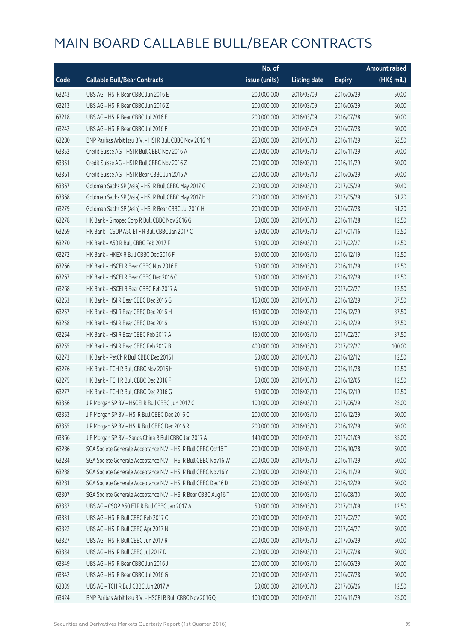|       |                                                                | No. of        |                     |               | <b>Amount raised</b> |
|-------|----------------------------------------------------------------|---------------|---------------------|---------------|----------------------|
| Code  | <b>Callable Bull/Bear Contracts</b>                            | issue (units) | <b>Listing date</b> | <b>Expiry</b> | (HK\$ mil.)          |
| 63243 | UBS AG - HSI R Bear CBBC Jun 2016 E                            | 200,000,000   | 2016/03/09          | 2016/06/29    | 50.00                |
| 63213 | UBS AG - HSI R Bear CBBC Jun 2016 Z                            | 200,000,000   | 2016/03/09          | 2016/06/29    | 50.00                |
| 63218 | UBS AG - HSI R Bear CBBC Jul 2016 E                            | 200,000,000   | 2016/03/09          | 2016/07/28    | 50.00                |
| 63242 | UBS AG - HSI R Bear CBBC Jul 2016 F                            | 200,000,000   | 2016/03/09          | 2016/07/28    | 50.00                |
| 63280 | BNP Paribas Arbit Issu B.V. - HSI R Bull CBBC Nov 2016 M       | 250,000,000   | 2016/03/10          | 2016/11/29    | 62.50                |
| 63352 | Credit Suisse AG - HSI R Bull CBBC Nov 2016 A                  | 200,000,000   | 2016/03/10          | 2016/11/29    | 50.00                |
| 63351 | Credit Suisse AG - HSI R Bull CBBC Nov 2016 Z                  | 200,000,000   | 2016/03/10          | 2016/11/29    | 50.00                |
| 63361 | Credit Suisse AG - HSI R Bear CBBC Jun 2016 A                  | 200,000,000   | 2016/03/10          | 2016/06/29    | 50.00                |
| 63367 | Goldman Sachs SP (Asia) - HSI R Bull CBBC May 2017 G           | 200,000,000   | 2016/03/10          | 2017/05/29    | 50.40                |
| 63368 | Goldman Sachs SP (Asia) - HSI R Bull CBBC May 2017 H           | 200,000,000   | 2016/03/10          | 2017/05/29    | 51.20                |
| 63279 | Goldman Sachs SP (Asia) - HSI R Bear CBBC Jul 2016 H           | 200,000,000   | 2016/03/10          | 2016/07/28    | 51.20                |
| 63278 | HK Bank - Sinopec Corp R Bull CBBC Nov 2016 G                  | 50,000,000    | 2016/03/10          | 2016/11/28    | 12.50                |
| 63269 | HK Bank - CSOP A50 ETF R Bull CBBC Jan 2017 C                  | 50,000,000    | 2016/03/10          | 2017/01/16    | 12.50                |
| 63270 | HK Bank - A50 R Bull CBBC Feb 2017 F                           | 50,000,000    | 2016/03/10          | 2017/02/27    | 12.50                |
| 63272 | HK Bank - HKEX R Bull CBBC Dec 2016 F                          | 50,000,000    | 2016/03/10          | 2016/12/19    | 12.50                |
| 63266 | HK Bank - HSCEI R Bear CBBC Nov 2016 E                         | 50,000,000    | 2016/03/10          | 2016/11/29    | 12.50                |
| 63267 | HK Bank - HSCEI R Bear CBBC Dec 2016 C                         | 50,000,000    | 2016/03/10          | 2016/12/29    | 12.50                |
| 63268 | HK Bank - HSCEI R Bear CBBC Feb 2017 A                         | 50,000,000    | 2016/03/10          | 2017/02/27    | 12.50                |
| 63253 | HK Bank - HSI R Bear CBBC Dec 2016 G                           | 150,000,000   | 2016/03/10          | 2016/12/29    | 37.50                |
| 63257 | HK Bank - HSI R Bear CBBC Dec 2016 H                           | 150,000,000   | 2016/03/10          | 2016/12/29    | 37.50                |
| 63258 | HK Bank - HSI R Bear CBBC Dec 2016 I                           | 150,000,000   | 2016/03/10          | 2016/12/29    | 37.50                |
| 63254 | HK Bank - HSI R Bear CBBC Feb 2017 A                           | 150,000,000   | 2016/03/10          | 2017/02/27    | 37.50                |
| 63255 | HK Bank - HSI R Bear CBBC Feb 2017 B                           | 400,000,000   | 2016/03/10          | 2017/02/27    | 100.00               |
| 63273 | HK Bank - PetCh R Bull CBBC Dec 2016 I                         | 50,000,000    | 2016/03/10          | 2016/12/12    | 12.50                |
| 63276 | HK Bank - TCH R Bull CBBC Nov 2016 H                           | 50,000,000    | 2016/03/10          | 2016/11/28    | 12.50                |
| 63275 | HK Bank - TCH R Bull CBBC Dec 2016 F                           | 50,000,000    | 2016/03/10          | 2016/12/05    | 12.50                |
| 63277 | HK Bank - TCH R Bull CBBC Dec 2016 G                           | 50,000,000    | 2016/03/10          | 2016/12/19    | 12.50                |
| 63356 | J P Morgan SP BV - HSCEI R Bull CBBC Jun 2017 C                | 100,000,000   | 2016/03/10          | 2017/06/29    | 25.00                |
| 63353 | J P Morgan SP BV - HSI R Bull CBBC Dec 2016 C                  | 200,000,000   | 2016/03/10          | 2016/12/29    | 50.00                |
| 63355 | J P Morgan SP BV - HSI R Bull CBBC Dec 2016 R                  | 200,000,000   | 2016/03/10          | 2016/12/29    | 50.00                |
| 63366 | J P Morgan SP BV - Sands China R Bull CBBC Jan 2017 A          | 140,000,000   | 2016/03/10          | 2017/01/09    | 35.00                |
| 63286 | SGA Societe Generale Acceptance N.V. - HSI R Bull CBBC Oct16 T | 200,000,000   | 2016/03/10          | 2016/10/28    | 50.00                |
| 63284 | SGA Societe Generale Acceptance N.V. - HSI R Bull CBBC Nov16 W | 200,000,000   | 2016/03/10          | 2016/11/29    | 50.00                |
| 63288 | SGA Societe Generale Acceptance N.V. - HSI R Bull CBBC Nov16 Y | 200,000,000   | 2016/03/10          | 2016/11/29    | 50.00                |
| 63281 | SGA Societe Generale Acceptance N.V. - HSI R Bull CBBC Dec16 D | 200,000,000   | 2016/03/10          | 2016/12/29    | 50.00                |
| 63307 | SGA Societe Generale Acceptance N.V. - HSI R Bear CBBC Aug16 T | 200,000,000   | 2016/03/10          | 2016/08/30    | 50.00                |
| 63337 | UBS AG - CSOP A50 ETF R Bull CBBC Jan 2017 A                   | 50,000,000    | 2016/03/10          | 2017/01/09    | 12.50                |
| 63331 | UBS AG - HSI R Bull CBBC Feb 2017 C                            | 200,000,000   | 2016/03/10          | 2017/02/27    | 50.00                |
| 63322 | UBS AG - HSI R Bull CBBC Apr 2017 N                            | 200,000,000   | 2016/03/10          | 2017/04/27    | 50.00                |
| 63327 | UBS AG - HSI R Bull CBBC Jun 2017 R                            | 200,000,000   | 2016/03/10          | 2017/06/29    | 50.00                |
| 63334 | UBS AG - HSI R Bull CBBC Jul 2017 D                            | 200,000,000   | 2016/03/10          | 2017/07/28    | 50.00                |
| 63349 | UBS AG - HSI R Bear CBBC Jun 2016 J                            | 200,000,000   | 2016/03/10          | 2016/06/29    | 50.00                |
| 63342 | UBS AG - HSI R Bear CBBC Jul 2016 G                            | 200,000,000   | 2016/03/10          | 2016/07/28    | 50.00                |
| 63339 | UBS AG - TCH R Bull CBBC Jun 2017 A                            | 50,000,000    | 2016/03/10          | 2017/06/26    | 12.50                |
| 63424 | BNP Paribas Arbit Issu B.V. - HSCEI R Bull CBBC Nov 2016 Q     | 100,000,000   | 2016/03/11          | 2016/11/29    | 25.00                |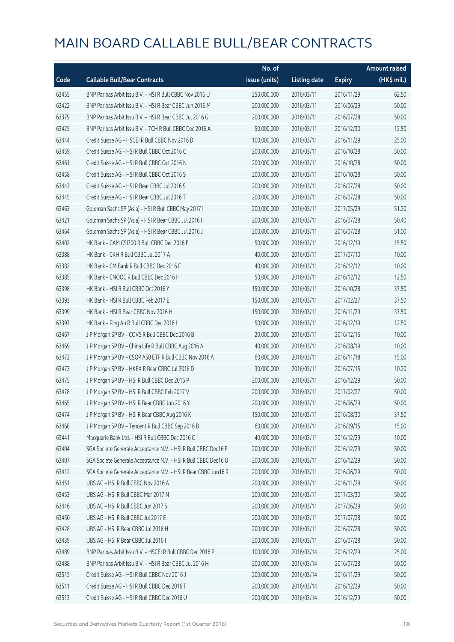|       |                                                                | No. of        |                     |               | <b>Amount raised</b> |
|-------|----------------------------------------------------------------|---------------|---------------------|---------------|----------------------|
| Code  | <b>Callable Bull/Bear Contracts</b>                            | issue (units) | <b>Listing date</b> | <b>Expiry</b> | (HK\$ mil.)          |
| 63455 | BNP Paribas Arbit Issu B.V. - HSI R Bull CBBC Nov 2016 U       | 250,000,000   | 2016/03/11          | 2016/11/29    | 62.50                |
| 63422 | BNP Paribas Arbit Issu B.V. - HSI R Bear CBBC Jun 2016 M       | 200,000,000   | 2016/03/11          | 2016/06/29    | 50.00                |
| 63379 | BNP Paribas Arbit Issu B.V. - HSI R Bear CBBC Jul 2016 G       | 200,000,000   | 2016/03/11          | 2016/07/28    | 50.00                |
| 63425 | BNP Paribas Arbit Issu B.V. - TCH R Bull CBBC Dec 2016 A       | 50,000,000    | 2016/03/11          | 2016/12/30    | 12.50                |
| 63444 | Credit Suisse AG - HSCEI R Bull CBBC Nov 2016 D                | 100,000,000   | 2016/03/11          | 2016/11/29    | 25.00                |
| 63459 | Credit Suisse AG - HSI R Bull CBBC Oct 2016 C                  | 200,000,000   | 2016/03/11          | 2016/10/28    | 50.00                |
| 63461 | Credit Suisse AG - HSI R Bull CBBC Oct 2016 N                  | 200,000,000   | 2016/03/11          | 2016/10/28    | 50.00                |
| 63458 | Credit Suisse AG - HSI R Bull CBBC Oct 2016 S                  | 200,000,000   | 2016/03/11          | 2016/10/28    | 50.00                |
| 63443 | Credit Suisse AG - HSI R Bear CBBC Jul 2016 S                  | 200,000,000   | 2016/03/11          | 2016/07/28    | 50.00                |
| 63445 | Credit Suisse AG - HSI R Bear CBBC Jul 2016 T                  | 200,000,000   | 2016/03/11          | 2016/07/28    | 50.00                |
| 63463 | Goldman Sachs SP (Asia) - HSI R Bull CBBC May 2017 I           | 200,000,000   | 2016/03/11          | 2017/05/29    | 51.20                |
| 63421 | Goldman Sachs SP (Asia) - HSI R Bear CBBC Jul 2016 I           | 200,000,000   | 2016/03/11          | 2016/07/28    | 50.40                |
| 63464 | Goldman Sachs SP (Asia) - HSI R Bear CBBC Jul 2016 J           | 200,000,000   | 2016/03/11          | 2016/07/28    | 51.00                |
| 63402 | HK Bank - CAM CSI300 R Bull CBBC Dec 2016 E                    | 50,000,000    | 2016/03/11          | 2016/12/19    | 15.50                |
| 63388 | HK Bank - CKH R Bull CBBC Jul 2017 A                           | 40,000,000    | 2016/03/11          | 2017/07/10    | 10.00                |
| 63382 | HK Bank - CM Bank R Bull CBBC Dec 2016 F                       | 40,000,000    | 2016/03/11          | 2016/12/12    | 10.00                |
| 63385 | HK Bank - CNOOC R Bull CBBC Dec 2016 H                         | 50,000,000    | 2016/03/11          | 2016/12/12    | 12.50                |
| 63398 | HK Bank - HSI R Bull CBBC Oct 2016 Y                           | 150,000,000   | 2016/03/11          | 2016/10/28    | 37.50                |
| 63393 | HK Bank - HSI R Bull CBBC Feb 2017 E                           | 150,000,000   | 2016/03/11          | 2017/02/27    | 37.50                |
| 63399 | HK Bank - HSI R Bear CBBC Nov 2016 H                           | 150,000,000   | 2016/03/11          | 2016/11/29    | 37.50                |
| 63397 | HK Bank - Ping An R Bull CBBC Dec 2016 I                       | 50,000,000    | 2016/03/11          | 2016/12/19    | 12.50                |
| 63467 | J P Morgan SP BV - COVS R Bull CBBC Dec 2016 B                 | 20,000,000    | 2016/03/11          | 2016/12/16    | 10.00                |
| 63469 | J P Morgan SP BV - China Life R Bull CBBC Aug 2016 A           | 40,000,000    | 2016/03/11          | 2016/08/19    | 10.00                |
| 63472 | J P Morgan SP BV - CSOP A50 ETF R Bull CBBC Nov 2016 A         | 60,000,000    | 2016/03/11          | 2016/11/18    | 15.00                |
| 63473 | J P Morgan SP BV - HKEX R Bear CBBC Jul 2016 D                 | 30,000,000    | 2016/03/11          | 2016/07/15    | 10.20                |
| 63475 | J P Morgan SP BV - HSI R Bull CBBC Dec 2016 P                  | 200,000,000   | 2016/03/11          | 2016/12/29    | 50.00                |
| 63478 | J P Morgan SP BV - HSI R Bull CBBC Feb 2017 V                  | 200,000,000   | 2016/03/11          | 2017/02/27    | 50.00                |
| 63465 | J P Morgan SP BV - HSI R Bear CBBC Jun 2016 Y                  | 200,000,000   | 2016/03/11          | 2016/06/29    | 50.00                |
| 63474 | J P Morgan SP BV - HSI R Bear CBBC Aug 2016 K                  | 150,000,000   | 2016/03/11          | 2016/08/30    | 37.50                |
| 63468 | J P Morgan SP BV - Tencent R Bull CBBC Sep 2016 B              | 60,000,000    | 2016/03/11          | 2016/09/15    | 15.00                |
| 63441 | Macquarie Bank Ltd. - HSI R Bull CBBC Dec 2016 C               | 40,000,000    | 2016/03/11          | 2016/12/29    | 10.00                |
| 63404 | SGA Societe Generale Acceptance N.V. - HSI R Bull CBBC Dec16 F | 200,000,000   | 2016/03/11          | 2016/12/29    | 50.00                |
| 63407 | SGA Societe Generale Acceptance N.V. - HSI R Bull CBBC Dec16 U | 200,000,000   | 2016/03/11          | 2016/12/29    | 50.00                |
| 63412 | SGA Societe Generale Acceptance N.V. - HSI R Bear CBBC Jun16 R | 200,000,000   | 2016/03/11          | 2016/06/29    | 50.00                |
| 63451 | UBS AG - HSI R Bull CBBC Nov 2016 A                            | 200,000,000   | 2016/03/11          | 2016/11/29    | 50.00                |
| 63453 | UBS AG - HSI R Bull CBBC Mar 2017 N                            | 200,000,000   | 2016/03/11          | 2017/03/30    | 50.00                |
| 63446 | UBS AG - HSI R Bull CBBC Jun 2017 S                            | 200,000,000   | 2016/03/11          | 2017/06/29    | 50.00                |
| 63450 | UBS AG - HSI R Bull CBBC Jul 2017 E                            | 200,000,000   | 2016/03/11          | 2017/07/28    | 50.00                |
| 63428 | UBS AG - HSI R Bear CBBC Jul 2016 H                            | 200,000,000   | 2016/03/11          | 2016/07/28    | 50.00                |
| 63439 | UBS AG - HSI R Bear CBBC Jul 2016 I                            | 200,000,000   | 2016/03/11          | 2016/07/28    | 50.00                |
| 63489 | BNP Paribas Arbit Issu B.V. - HSCEI R Bull CBBC Dec 2016 P     | 100,000,000   | 2016/03/14          | 2016/12/29    | 25.00                |
| 63488 | BNP Paribas Arbit Issu B.V. - HSI R Bear CBBC Jul 2016 H       | 200,000,000   | 2016/03/14          | 2016/07/28    | 50.00                |
| 63515 | Credit Suisse AG - HSI R Bull CBBC Nov 2016 J                  | 200,000,000   | 2016/03/14          | 2016/11/29    | 50.00                |
| 63511 | Credit Suisse AG - HSI R Bull CBBC Dec 2016 T                  | 200,000,000   | 2016/03/14          | 2016/12/29    | 50.00                |
| 63513 | Credit Suisse AG - HSI R Bull CBBC Dec 2016 U                  | 200,000,000   | 2016/03/14          | 2016/12/29    | 50.00                |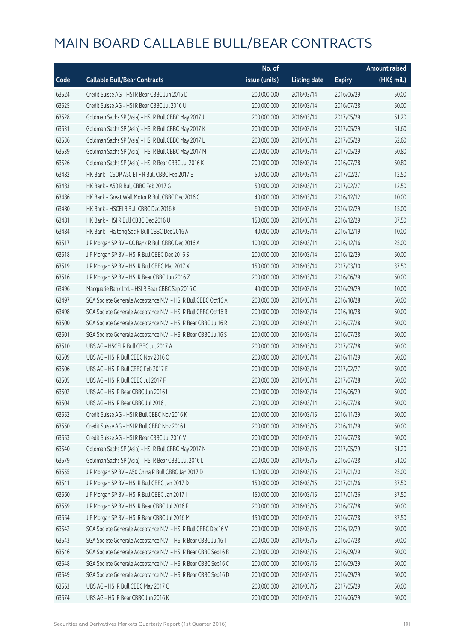|       |                                                                | No. of        |                     |               | <b>Amount raised</b> |
|-------|----------------------------------------------------------------|---------------|---------------------|---------------|----------------------|
| Code  | <b>Callable Bull/Bear Contracts</b>                            | issue (units) | <b>Listing date</b> | <b>Expiry</b> | (HK\$ mil.)          |
| 63524 | Credit Suisse AG - HSI R Bear CBBC Jun 2016 D                  | 200,000,000   | 2016/03/14          | 2016/06/29    | 50.00                |
| 63525 | Credit Suisse AG - HSI R Bear CBBC Jul 2016 U                  | 200,000,000   | 2016/03/14          | 2016/07/28    | 50.00                |
| 63528 | Goldman Sachs SP (Asia) - HSI R Bull CBBC May 2017 J           | 200,000,000   | 2016/03/14          | 2017/05/29    | 51.20                |
| 63531 | Goldman Sachs SP (Asia) - HSI R Bull CBBC May 2017 K           | 200,000,000   | 2016/03/14          | 2017/05/29    | 51.60                |
| 63536 | Goldman Sachs SP (Asia) - HSI R Bull CBBC May 2017 L           | 200,000,000   | 2016/03/14          | 2017/05/29    | 52.60                |
| 63539 | Goldman Sachs SP (Asia) - HSI R Bull CBBC May 2017 M           | 200,000,000   | 2016/03/14          | 2017/05/29    | 50.80                |
| 63526 | Goldman Sachs SP (Asia) - HSI R Bear CBBC Jul 2016 K           | 200,000,000   | 2016/03/14          | 2016/07/28    | 50.80                |
| 63482 | HK Bank - CSOP A50 ETF R Bull CBBC Feb 2017 E                  | 50,000,000    | 2016/03/14          | 2017/02/27    | 12.50                |
| 63483 | HK Bank - A50 R Bull CBBC Feb 2017 G                           | 50,000,000    | 2016/03/14          | 2017/02/27    | 12.50                |
| 63486 | HK Bank - Great Wall Motor R Bull CBBC Dec 2016 C              | 40,000,000    | 2016/03/14          | 2016/12/12    | 10.00                |
| 63480 | HK Bank - HSCEI R Bull CBBC Dec 2016 K                         | 60,000,000    | 2016/03/14          | 2016/12/29    | 15.00                |
| 63481 | HK Bank - HSI R Bull CBBC Dec 2016 U                           | 150,000,000   | 2016/03/14          | 2016/12/29    | 37.50                |
| 63484 | HK Bank - Haitong Sec R Bull CBBC Dec 2016 A                   | 40,000,000    | 2016/03/14          | 2016/12/19    | 10.00                |
| 63517 | J P Morgan SP BV - CC Bank R Bull CBBC Dec 2016 A              | 100,000,000   | 2016/03/14          | 2016/12/16    | 25.00                |
| 63518 | J P Morgan SP BV - HSI R Bull CBBC Dec 2016 S                  | 200,000,000   | 2016/03/14          | 2016/12/29    | 50.00                |
| 63519 | J P Morgan SP BV - HSI R Bull CBBC Mar 2017 X                  | 150,000,000   | 2016/03/14          | 2017/03/30    | 37.50                |
| 63516 | J P Morgan SP BV - HSI R Bear CBBC Jun 2016 Z                  | 200,000,000   | 2016/03/14          | 2016/06/29    | 50.00                |
| 63496 | Macquarie Bank Ltd. - HSI R Bear CBBC Sep 2016 C               | 40,000,000    | 2016/03/14          | 2016/09/29    | 10.00                |
| 63497 | SGA Societe Generale Acceptance N.V. - HSI R Bull CBBC Oct16 A | 200,000,000   | 2016/03/14          | 2016/10/28    | 50.00                |
| 63498 | SGA Societe Generale Acceptance N.V. - HSI R Bull CBBC Oct16 R | 200,000,000   | 2016/03/14          | 2016/10/28    | 50.00                |
| 63500 | SGA Societe Generale Acceptance N.V. - HSI R Bear CBBC Jul16 R | 200,000,000   | 2016/03/14          | 2016/07/28    | 50.00                |
| 63501 | SGA Societe Generale Acceptance N.V. - HSI R Bear CBBC Jul16 S | 200,000,000   | 2016/03/14          | 2016/07/28    | 50.00                |
| 63510 | UBS AG - HSCEI R Bull CBBC Jul 2017 A                          | 200,000,000   | 2016/03/14          | 2017/07/28    | 50.00                |
| 63509 | UBS AG - HSI R Bull CBBC Nov 2016 O                            | 200,000,000   | 2016/03/14          | 2016/11/29    | 50.00                |
| 63506 | UBS AG - HSI R Bull CBBC Feb 2017 E                            | 200,000,000   | 2016/03/14          | 2017/02/27    | 50.00                |
| 63505 | UBS AG - HSI R Bull CBBC Jul 2017 F                            | 200,000,000   | 2016/03/14          | 2017/07/28    | 50.00                |
| 63502 | UBS AG - HSI R Bear CBBC Jun 2016 I                            | 200,000,000   | 2016/03/14          | 2016/06/29    | 50.00                |
| 63504 | UBS AG - HSI R Bear CBBC Jul 2016 J                            | 200,000,000   | 2016/03/14          | 2016/07/28    | 50.00                |
| 63552 | Credit Suisse AG - HSI R Bull CBBC Nov 2016 K                  | 200,000,000   | 2016/03/15          | 2016/11/29    | 50.00                |
| 63550 | Credit Suisse AG - HSI R Bull CBBC Nov 2016 L                  | 200,000,000   | 2016/03/15          | 2016/11/29    | 50.00                |
| 63553 | Credit Suisse AG - HSI R Bear CBBC Jul 2016 V                  | 200,000,000   | 2016/03/15          | 2016/07/28    | 50.00                |
| 63540 | Goldman Sachs SP (Asia) - HSI R Bull CBBC May 2017 N           | 200,000,000   | 2016/03/15          | 2017/05/29    | 51.20                |
| 63579 | Goldman Sachs SP (Asia) - HSI R Bear CBBC Jul 2016 L           | 200,000,000   | 2016/03/15          | 2016/07/28    | 51.00                |
| 63555 | J P Morgan SP BV - A50 China R Bull CBBC Jan 2017 D            | 100,000,000   | 2016/03/15          | 2017/01/20    | 25.00                |
| 63541 | J P Morgan SP BV - HSI R Bull CBBC Jan 2017 D                  | 150,000,000   | 2016/03/15          | 2017/01/26    | 37.50                |
| 63560 | J P Morgan SP BV - HSI R Bull CBBC Jan 2017 I                  | 150,000,000   | 2016/03/15          | 2017/01/26    | 37.50                |
| 63559 | J P Morgan SP BV - HSI R Bear CBBC Jul 2016 F                  | 200,000,000   | 2016/03/15          | 2016/07/28    | 50.00                |
| 63554 | J P Morgan SP BV - HSI R Bear CBBC Jul 2016 M                  | 150,000,000   | 2016/03/15          | 2016/07/28    | 37.50                |
| 63542 | SGA Societe Generale Acceptance N.V. - HSI R Bull CBBC Dec16 V | 200,000,000   | 2016/03/15          | 2016/12/29    | 50.00                |
| 63543 | SGA Societe Generale Acceptance N.V. - HSI R Bear CBBC Jul16 T | 200,000,000   | 2016/03/15          | 2016/07/28    | 50.00                |
| 63546 | SGA Societe Generale Acceptance N.V. - HSI R Bear CBBC Sep16 B | 200,000,000   | 2016/03/15          | 2016/09/29    | 50.00                |
| 63548 | SGA Societe Generale Acceptance N.V. - HSI R Bear CBBC Sep16 C | 200,000,000   | 2016/03/15          | 2016/09/29    | 50.00                |
| 63549 | SGA Societe Generale Acceptance N.V. - HSI R Bear CBBC Sep16 D | 200,000,000   | 2016/03/15          | 2016/09/29    | 50.00                |
| 63563 | UBS AG - HSI R Bull CBBC May 2017 C                            | 200,000,000   | 2016/03/15          | 2017/05/29    | 50.00                |
| 63574 | UBS AG - HSI R Bear CBBC Jun 2016 K                            | 200,000,000   | 2016/03/15          | 2016/06/29    | 50.00                |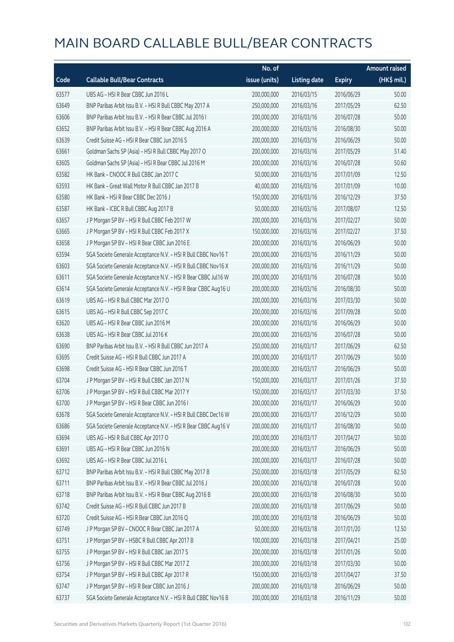|       |                                                                | No. of        |                     |               | <b>Amount raised</b> |
|-------|----------------------------------------------------------------|---------------|---------------------|---------------|----------------------|
| Code  | <b>Callable Bull/Bear Contracts</b>                            | issue (units) | <b>Listing date</b> | <b>Expiry</b> | (HK\$ mil.)          |
| 63577 | UBS AG - HSI R Bear CBBC Jun 2016 L                            | 200,000,000   | 2016/03/15          | 2016/06/29    | 50.00                |
| 63649 | BNP Paribas Arbit Issu B.V. - HSI R Bull CBBC May 2017 A       | 250,000,000   | 2016/03/16          | 2017/05/29    | 62.50                |
| 63606 | BNP Paribas Arbit Issu B.V. - HSI R Bear CBBC Jul 2016 I       | 200,000,000   | 2016/03/16          | 2016/07/28    | 50.00                |
| 63652 | BNP Paribas Arbit Issu B.V. - HSI R Bear CBBC Aug 2016 A       | 200,000,000   | 2016/03/16          | 2016/08/30    | 50.00                |
| 63639 | Credit Suisse AG - HSI R Bear CBBC Jun 2016 S                  | 200,000,000   | 2016/03/16          | 2016/06/29    | 50.00                |
| 63661 | Goldman Sachs SP (Asia) - HSI R Bull CBBC May 2017 O           | 200,000,000   | 2016/03/16          | 2017/05/29    | 51.40                |
| 63605 | Goldman Sachs SP (Asia) - HSI R Bear CBBC Jul 2016 M           | 200,000,000   | 2016/03/16          | 2016/07/28    | 50.60                |
| 63582 | HK Bank - CNOOC R Bull CBBC Jan 2017 C                         | 50,000,000    | 2016/03/16          | 2017/01/09    | 12.50                |
| 63593 | HK Bank - Great Wall Motor R Bull CBBC Jan 2017 B              | 40,000,000    | 2016/03/16          | 2017/01/09    | 10.00                |
| 63580 | HK Bank - HSI R Bear CBBC Dec 2016 J                           | 150,000,000   | 2016/03/16          | 2016/12/29    | 37.50                |
| 63587 | HK Bank - ICBC R Bull CBBC Aug 2017 B                          | 50,000,000    | 2016/03/16          | 2017/08/07    | 12.50                |
| 63657 | J P Morgan SP BV - HSI R Bull CBBC Feb 2017 W                  | 200,000,000   | 2016/03/16          | 2017/02/27    | 50.00                |
| 63665 | J P Morgan SP BV - HSI R Bull CBBC Feb 2017 X                  | 150,000,000   | 2016/03/16          | 2017/02/27    | 37.50                |
| 63658 | J P Morgan SP BV - HSI R Bear CBBC Jun 2016 E                  | 200,000,000   | 2016/03/16          | 2016/06/29    | 50.00                |
| 63594 | SGA Societe Generale Acceptance N.V. - HSI R Bull CBBC Nov16 T | 200,000,000   | 2016/03/16          | 2016/11/29    | 50.00                |
| 63603 | SGA Societe Generale Acceptance N.V. - HSI R Bull CBBC Nov16 X | 200,000,000   | 2016/03/16          | 2016/11/29    | 50.00                |
| 63611 | SGA Societe Generale Acceptance N.V. - HSI R Bear CBBC Jul16 W | 200,000,000   | 2016/03/16          | 2016/07/28    | 50.00                |
| 63614 | SGA Societe Generale Acceptance N.V. - HSI R Bear CBBC Aug16 U | 200,000,000   | 2016/03/16          | 2016/08/30    | 50.00                |
| 63619 | UBS AG - HSI R Bull CBBC Mar 2017 O                            | 200,000,000   | 2016/03/16          | 2017/03/30    | 50.00                |
| 63615 | UBS AG - HSI R Bull CBBC Sep 2017 C                            | 200,000,000   | 2016/03/16          | 2017/09/28    | 50.00                |
| 63620 | UBS AG - HSI R Bear CBBC Jun 2016 M                            | 200,000,000   | 2016/03/16          | 2016/06/29    | 50.00                |
| 63638 | UBS AG - HSI R Bear CBBC Jul 2016 K                            | 200,000,000   | 2016/03/16          | 2016/07/28    | 50.00                |
| 63690 | BNP Paribas Arbit Issu B.V. - HSI R Bull CBBC Jun 2017 A       | 250,000,000   | 2016/03/17          | 2017/06/29    | 62.50                |
| 63695 | Credit Suisse AG - HSI R Bull CBBC Jun 2017 A                  | 200,000,000   | 2016/03/17          | 2017/06/29    | 50.00                |
| 63698 | Credit Suisse AG - HSI R Bear CBBC Jun 2016 T                  | 200,000,000   | 2016/03/17          | 2016/06/29    | 50.00                |
| 63704 | J P Morgan SP BV - HSI R Bull CBBC Jan 2017 N                  | 150,000,000   | 2016/03/17          | 2017/01/26    | 37.50                |
| 63706 | J P Morgan SP BV - HSI R Bull CBBC Mar 2017 Y                  | 150,000,000   | 2016/03/17          | 2017/03/30    | 37.50                |
| 63700 | JP Morgan SP BV - HSIR Bear CBBC Jun 2016 I                    | 200,000,000   | 2016/03/17          | 2016/06/29    | 50.00                |
| 63678 | SGA Societe Generale Acceptance N.V. - HSI R Bull CBBC Dec16 W | 200,000,000   | 2016/03/17          | 2016/12/29    | 50.00                |
| 63686 | SGA Societe Generale Acceptance N.V. - HSI R Bear CBBC Aug16 V | 200,000,000   | 2016/03/17          | 2016/08/30    | 50.00                |
| 63694 | UBS AG - HSI R Bull CBBC Apr 2017 O                            | 200,000,000   | 2016/03/17          | 2017/04/27    | 50.00                |
| 63691 | UBS AG - HSI R Bear CBBC Jun 2016 N                            | 200,000,000   | 2016/03/17          | 2016/06/29    | 50.00                |
| 63692 | UBS AG - HSI R Bear CBBC Jul 2016 L                            | 200,000,000   | 2016/03/17          | 2016/07/28    | 50.00                |
| 63712 | BNP Paribas Arbit Issu B.V. - HSI R Bull CBBC May 2017 B       | 250,000,000   | 2016/03/18          | 2017/05/29    | 62.50                |
| 63711 | BNP Paribas Arbit Issu B.V. - HSI R Bear CBBC Jul 2016 J       | 200,000,000   | 2016/03/18          | 2016/07/28    | 50.00                |
| 63718 | BNP Paribas Arbit Issu B.V. - HSI R Bear CBBC Aug 2016 B       | 200,000,000   | 2016/03/18          | 2016/08/30    | 50.00                |
| 63742 | Credit Suisse AG - HSI R Bull CBBC Jun 2017 B                  | 200,000,000   | 2016/03/18          | 2017/06/29    | 50.00                |
| 63720 | Credit Suisse AG - HSI R Bear CBBC Jun 2016 Q                  | 200,000,000   | 2016/03/18          | 2016/06/29    | 50.00                |
| 63749 | J P Morgan SP BV - CNOOC R Bear CBBC Jan 2017 A                | 50,000,000    | 2016/03/18          | 2017/01/20    | 12.50                |
| 63751 | J P Morgan SP BV - HSBC R Bull CBBC Apr 2017 B                 | 100,000,000   | 2016/03/18          | 2017/04/21    | 25.00                |
| 63755 | J P Morgan SP BV - HSI R Bull CBBC Jan 2017 S                  | 200,000,000   | 2016/03/18          | 2017/01/26    | 50.00                |
| 63756 | J P Morgan SP BV - HSI R Bull CBBC Mar 2017 Z                  | 200,000,000   | 2016/03/18          | 2017/03/30    | 50.00                |
| 63754 | J P Morgan SP BV - HSI R Bull CBBC Apr 2017 R                  | 150,000,000   | 2016/03/18          | 2017/04/27    | 37.50                |
| 63747 | J P Morgan SP BV - HSI R Bear CBBC Jun 2016 J                  | 200,000,000   | 2016/03/18          | 2016/06/29    | 50.00                |
| 63737 | SGA Societe Generale Acceptance N.V. - HSI R Bull CBBC Nov16 B | 200,000,000   | 2016/03/18          | 2016/11/29    | 50.00                |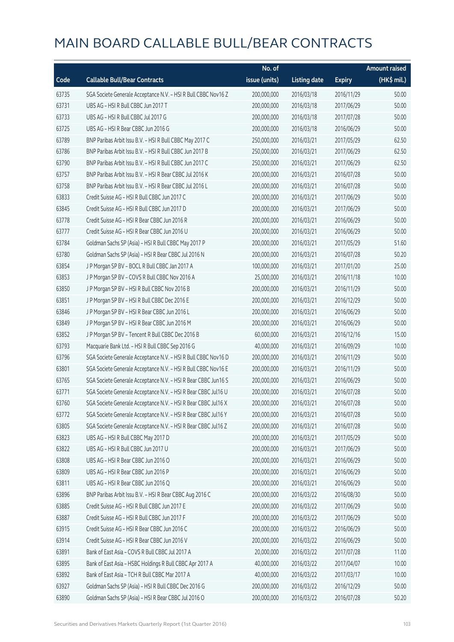|       |                                                                | No. of        |                     |               | <b>Amount raised</b> |
|-------|----------------------------------------------------------------|---------------|---------------------|---------------|----------------------|
| Code  | <b>Callable Bull/Bear Contracts</b>                            | issue (units) | <b>Listing date</b> | <b>Expiry</b> | (HK\$ mil.)          |
| 63735 | SGA Societe Generale Acceptance N.V. - HSI R Bull CBBC Nov16 Z | 200,000,000   | 2016/03/18          | 2016/11/29    | 50.00                |
| 63731 | UBS AG - HSI R Bull CBBC Jun 2017 T                            | 200,000,000   | 2016/03/18          | 2017/06/29    | 50.00                |
| 63733 | UBS AG - HSI R Bull CBBC Jul 2017 G                            | 200,000,000   | 2016/03/18          | 2017/07/28    | 50.00                |
| 63725 | UBS AG - HSI R Bear CBBC Jun 2016 G                            | 200,000,000   | 2016/03/18          | 2016/06/29    | 50.00                |
| 63789 | BNP Paribas Arbit Issu B.V. - HSI R Bull CBBC May 2017 C       | 250,000,000   | 2016/03/21          | 2017/05/29    | 62.50                |
| 63786 | BNP Paribas Arbit Issu B.V. - HSI R Bull CBBC Jun 2017 B       | 250,000,000   | 2016/03/21          | 2017/06/29    | 62.50                |
| 63790 | BNP Paribas Arbit Issu B.V. - HSI R Bull CBBC Jun 2017 C       | 250,000,000   | 2016/03/21          | 2017/06/29    | 62.50                |
| 63757 | BNP Paribas Arbit Issu B.V. - HSI R Bear CBBC Jul 2016 K       | 200,000,000   | 2016/03/21          | 2016/07/28    | 50.00                |
| 63758 | BNP Paribas Arbit Issu B.V. - HSI R Bear CBBC Jul 2016 L       | 200,000,000   | 2016/03/21          | 2016/07/28    | 50.00                |
| 63833 | Credit Suisse AG - HSI R Bull CBBC Jun 2017 C                  | 200,000,000   | 2016/03/21          | 2017/06/29    | 50.00                |
| 63845 | Credit Suisse AG - HSI R Bull CBBC Jun 2017 D                  | 200,000,000   | 2016/03/21          | 2017/06/29    | 50.00                |
| 63778 | Credit Suisse AG - HSI R Bear CBBC Jun 2016 R                  | 200,000,000   | 2016/03/21          | 2016/06/29    | 50.00                |
| 63777 | Credit Suisse AG - HSI R Bear CBBC Jun 2016 U                  | 200,000,000   | 2016/03/21          | 2016/06/29    | 50.00                |
| 63784 | Goldman Sachs SP (Asia) - HSI R Bull CBBC May 2017 P           | 200,000,000   | 2016/03/21          | 2017/05/29    | 51.60                |
| 63780 | Goldman Sachs SP (Asia) - HSI R Bear CBBC Jul 2016 N           | 200,000,000   | 2016/03/21          | 2016/07/28    | 50.20                |
| 63854 | J P Morgan SP BV - BOCL R Bull CBBC Jan 2017 A                 | 100,000,000   | 2016/03/21          | 2017/01/20    | 25.00                |
| 63853 | J P Morgan SP BV - COVS R Bull CBBC Nov 2016 A                 | 25,000,000    | 2016/03/21          | 2016/11/18    | 10.00                |
| 63850 | J P Morgan SP BV - HSI R Bull CBBC Nov 2016 B                  | 200,000,000   | 2016/03/21          | 2016/11/29    | 50.00                |
| 63851 | J P Morgan SP BV - HSI R Bull CBBC Dec 2016 E                  | 200,000,000   | 2016/03/21          | 2016/12/29    | 50.00                |
| 63846 | J P Morgan SP BV - HSI R Bear CBBC Jun 2016 L                  | 200,000,000   | 2016/03/21          | 2016/06/29    | 50.00                |
| 63849 | J P Morgan SP BV - HSI R Bear CBBC Jun 2016 M                  | 200,000,000   | 2016/03/21          | 2016/06/29    | 50.00                |
| 63852 | JP Morgan SP BV - Tencent R Bull CBBC Dec 2016 B               | 60,000,000    | 2016/03/21          | 2016/12/16    | 15.00                |
| 63793 | Macquarie Bank Ltd. - HSI R Bull CBBC Sep 2016 G               | 40,000,000    | 2016/03/21          | 2016/09/29    | 10.00                |
| 63796 | SGA Societe Generale Acceptance N.V. - HSI R Bull CBBC Nov16 D | 200,000,000   | 2016/03/21          | 2016/11/29    | 50.00                |
| 63801 | SGA Societe Generale Acceptance N.V. - HSI R Bull CBBC Nov16 E | 200,000,000   | 2016/03/21          | 2016/11/29    | 50.00                |
| 63765 | SGA Societe Generale Acceptance N.V. - HSI R Bear CBBC Jun16 S | 200,000,000   | 2016/03/21          | 2016/06/29    | 50.00                |
| 63771 | SGA Societe Generale Acceptance N.V. - HSI R Bear CBBC Jul16 U | 200,000,000   | 2016/03/21          | 2016/07/28    | 50.00                |
| 63760 | SGA Societe Generale Acceptance N.V. - HSI R Bear CBBC Jul16 X | 200,000,000   | 2016/03/21          | 2016/07/28    | 50.00                |
| 63772 | SGA Societe Generale Acceptance N.V. - HSI R Bear CBBC Jul16 Y | 200,000,000   | 2016/03/21          | 2016/07/28    | 50.00                |
| 63805 | SGA Societe Generale Acceptance N.V. - HSI R Bear CBBC Jul16 Z | 200,000,000   | 2016/03/21          | 2016/07/28    | 50.00                |
| 63823 | UBS AG - HSI R Bull CBBC May 2017 D                            | 200,000,000   | 2016/03/21          | 2017/05/29    | 50.00                |
| 63822 | UBS AG - HSI R Bull CBBC Jun 2017 U                            | 200,000,000   | 2016/03/21          | 2017/06/29    | 50.00                |
| 63808 | UBS AG - HSI R Bear CBBC Jun 2016 O                            | 200,000,000   | 2016/03/21          | 2016/06/29    | 50.00                |
| 63809 | UBS AG - HSI R Bear CBBC Jun 2016 P                            | 200,000,000   | 2016/03/21          | 2016/06/29    | 50.00                |
| 63811 | UBS AG - HSI R Bear CBBC Jun 2016 Q                            | 200,000,000   | 2016/03/21          | 2016/06/29    | 50.00                |
| 63896 | BNP Paribas Arbit Issu B.V. - HSI R Bear CBBC Aug 2016 C       | 200,000,000   | 2016/03/22          | 2016/08/30    | 50.00                |
| 63885 | Credit Suisse AG - HSI R Bull CBBC Jun 2017 E                  | 200,000,000   | 2016/03/22          | 2017/06/29    | 50.00                |
| 63887 | Credit Suisse AG - HSI R Bull CBBC Jun 2017 F                  | 200,000,000   | 2016/03/22          | 2017/06/29    | 50.00                |
| 63915 | Credit Suisse AG - HSI R Bear CBBC Jun 2016 C                  | 200,000,000   | 2016/03/22          | 2016/06/29    | 50.00                |
| 63914 | Credit Suisse AG - HSI R Bear CBBC Jun 2016 V                  | 200,000,000   | 2016/03/22          | 2016/06/29    | 50.00                |
| 63891 | Bank of East Asia - COVS R Bull CBBC Jul 2017 A                | 20,000,000    | 2016/03/22          | 2017/07/28    | 11.00                |
| 63895 | Bank of East Asia - HSBC Holdings R Bull CBBC Apr 2017 A       | 40,000,000    | 2016/03/22          | 2017/04/07    | 10.00                |
| 63892 | Bank of East Asia - TCH R Bull CBBC Mar 2017 A                 | 40,000,000    | 2016/03/22          | 2017/03/17    | 10.00                |
| 63927 | Goldman Sachs SP (Asia) - HSI R Bull CBBC Dec 2016 G           | 200,000,000   | 2016/03/22          | 2016/12/29    | 50.00                |
| 63890 | Goldman Sachs SP (Asia) - HSI R Bear CBBC Jul 2016 O           | 200,000,000   | 2016/03/22          | 2016/07/28    | 50.20                |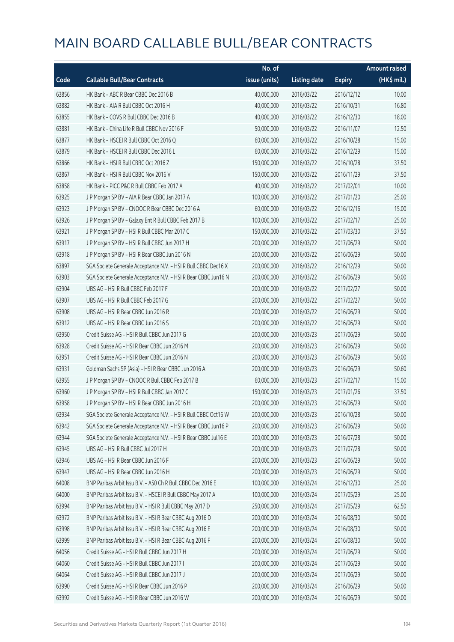|       |                                                                | No. of        |                     |               | <b>Amount raised</b> |
|-------|----------------------------------------------------------------|---------------|---------------------|---------------|----------------------|
| Code  | <b>Callable Bull/Bear Contracts</b>                            | issue (units) | <b>Listing date</b> | <b>Expiry</b> | (HK\$ mil.)          |
| 63856 | HK Bank - ABC R Bear CBBC Dec 2016 B                           | 40,000,000    | 2016/03/22          | 2016/12/12    | 10.00                |
| 63882 | HK Bank - AIA R Bull CBBC Oct 2016 H                           | 40,000,000    | 2016/03/22          | 2016/10/31    | 16.80                |
| 63855 | HK Bank - COVS R Bull CBBC Dec 2016 B                          | 40,000,000    | 2016/03/22          | 2016/12/30    | 18.00                |
| 63881 | HK Bank - China Life R Bull CBBC Nov 2016 F                    | 50,000,000    | 2016/03/22          | 2016/11/07    | 12.50                |
| 63877 | HK Bank - HSCEI R Bull CBBC Oct 2016 Q                         | 60,000,000    | 2016/03/22          | 2016/10/28    | 15.00                |
| 63879 | HK Bank - HSCEI R Bull CBBC Dec 2016 L                         | 60,000,000    | 2016/03/22          | 2016/12/29    | 15.00                |
| 63866 | HK Bank - HSI R Bull CBBC Oct 2016 Z                           | 150,000,000   | 2016/03/22          | 2016/10/28    | 37.50                |
| 63867 | HK Bank - HSI R Bull CBBC Nov 2016 V                           | 150,000,000   | 2016/03/22          | 2016/11/29    | 37.50                |
| 63858 | HK Bank - PICC P&C R Bull CBBC Feb 2017 A                      | 40,000,000    | 2016/03/22          | 2017/02/01    | 10.00                |
| 63925 | J P Morgan SP BV - AIA R Bear CBBC Jan 2017 A                  | 100,000,000   | 2016/03/22          | 2017/01/20    | 25.00                |
| 63923 | J P Morgan SP BV - CNOOC R Bear CBBC Dec 2016 A                | 60,000,000    | 2016/03/22          | 2016/12/16    | 15.00                |
| 63926 | J P Morgan SP BV - Galaxy Ent R Bull CBBC Feb 2017 B           | 100,000,000   | 2016/03/22          | 2017/02/17    | 25.00                |
| 63921 | JP Morgan SP BV - HSIR Bull CBBC Mar 2017 C                    | 150,000,000   | 2016/03/22          | 2017/03/30    | 37.50                |
| 63917 | JP Morgan SP BV - HSIR Bull CBBC Jun 2017 H                    | 200,000,000   | 2016/03/22          | 2017/06/29    | 50.00                |
| 63918 | J P Morgan SP BV - HSI R Bear CBBC Jun 2016 N                  | 200,000,000   | 2016/03/22          | 2016/06/29    | 50.00                |
| 63897 | SGA Societe Generale Acceptance N.V. - HSI R Bull CBBC Dec16 X | 200,000,000   | 2016/03/22          | 2016/12/29    | 50.00                |
| 63903 | SGA Societe Generale Acceptance N.V. - HSI R Bear CBBC Jun16 N | 200,000,000   | 2016/03/22          | 2016/06/29    | 50.00                |
| 63904 | UBS AG - HSI R Bull CBBC Feb 2017 F                            | 200,000,000   | 2016/03/22          | 2017/02/27    | 50.00                |
| 63907 | UBS AG - HSI R Bull CBBC Feb 2017 G                            | 200,000,000   | 2016/03/22          | 2017/02/27    | 50.00                |
| 63908 | UBS AG - HSI R Bear CBBC Jun 2016 R                            | 200,000,000   | 2016/03/22          | 2016/06/29    | 50.00                |
| 63912 | UBS AG - HSI R Bear CBBC Jun 2016 S                            | 200,000,000   | 2016/03/22          | 2016/06/29    | 50.00                |
| 63950 | Credit Suisse AG - HSI R Bull CBBC Jun 2017 G                  | 200,000,000   | 2016/03/23          | 2017/06/29    | 50.00                |
| 63928 | Credit Suisse AG - HSI R Bear CBBC Jun 2016 M                  | 200,000,000   | 2016/03/23          | 2016/06/29    | 50.00                |
| 63951 | Credit Suisse AG - HSI R Bear CBBC Jun 2016 N                  | 200,000,000   | 2016/03/23          | 2016/06/29    | 50.00                |
| 63931 | Goldman Sachs SP (Asia) - HSI R Bear CBBC Jun 2016 A           | 200,000,000   | 2016/03/23          | 2016/06/29    | 50.60                |
| 63955 | J P Morgan SP BV - CNOOC R Bull CBBC Feb 2017 B                | 60,000,000    | 2016/03/23          | 2017/02/17    | 15.00                |
| 63960 | J P Morgan SP BV - HSI R Bull CBBC Jan 2017 C                  | 150,000,000   | 2016/03/23          | 2017/01/26    | 37.50                |
| 63958 | J P Morgan SP BV - HSI R Bear CBBC Jun 2016 H                  | 200,000,000   | 2016/03/23          | 2016/06/29    | 50.00                |
| 63934 | SGA Societe Generale Acceptance N.V. - HSI R Bull CBBC Oct16 W | 200,000,000   | 2016/03/23          | 2016/10/28    | 50.00                |
| 63942 | SGA Societe Generale Acceptance N.V. - HSI R Bear CBBC Jun16 P | 200,000,000   | 2016/03/23          | 2016/06/29    | 50.00                |
| 63944 | SGA Societe Generale Acceptance N.V. - HSI R Bear CBBC Jul16 E | 200,000,000   | 2016/03/23          | 2016/07/28    | 50.00                |
| 63945 | UBS AG - HSI R Bull CBBC Jul 2017 H                            | 200,000,000   | 2016/03/23          | 2017/07/28    | 50.00                |
| 63946 | UBS AG - HSI R Bear CBBC Jun 2016 F                            | 200,000,000   | 2016/03/23          | 2016/06/29    | 50.00                |
| 63947 | UBS AG - HSI R Bear CBBC Jun 2016 H                            | 200,000,000   | 2016/03/23          | 2016/06/29    | 50.00                |
| 64008 | BNP Paribas Arbit Issu B.V. - A50 Ch R Bull CBBC Dec 2016 E    | 100,000,000   | 2016/03/24          | 2016/12/30    | 25.00                |
| 64000 | BNP Paribas Arbit Issu B.V. - HSCEI R Bull CBBC May 2017 A     | 100,000,000   | 2016/03/24          | 2017/05/29    | 25.00                |
| 63994 | BNP Paribas Arbit Issu B.V. - HSI R Bull CBBC May 2017 D       | 250,000,000   | 2016/03/24          | 2017/05/29    | 62.50                |
| 63972 | BNP Paribas Arbit Issu B.V. - HSI R Bear CBBC Aug 2016 D       | 200,000,000   | 2016/03/24          | 2016/08/30    | 50.00                |
| 63998 | BNP Paribas Arbit Issu B.V. - HSI R Bear CBBC Aug 2016 E       | 200,000,000   | 2016/03/24          | 2016/08/30    | 50.00                |
| 63999 | BNP Paribas Arbit Issu B.V. - HSI R Bear CBBC Aug 2016 F       | 200,000,000   | 2016/03/24          | 2016/08/30    | 50.00                |
| 64056 | Credit Suisse AG - HSI R Bull CBBC Jun 2017 H                  | 200,000,000   | 2016/03/24          | 2017/06/29    | 50.00                |
| 64060 | Credit Suisse AG - HSI R Bull CBBC Jun 2017 I                  | 200,000,000   | 2016/03/24          | 2017/06/29    | 50.00                |
| 64064 | Credit Suisse AG - HSI R Bull CBBC Jun 2017 J                  | 200,000,000   | 2016/03/24          | 2017/06/29    | 50.00                |
| 63990 | Credit Suisse AG - HSI R Bear CBBC Jun 2016 P                  | 200,000,000   | 2016/03/24          | 2016/06/29    | 50.00                |
| 63992 | Credit Suisse AG - HSI R Bear CBBC Jun 2016 W                  | 200,000,000   | 2016/03/24          | 2016/06/29    | 50.00                |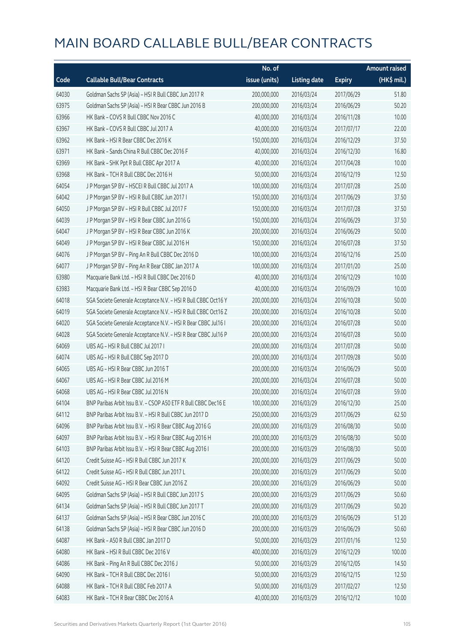|       |                                                                | No. of        |                     |               | <b>Amount raised</b> |
|-------|----------------------------------------------------------------|---------------|---------------------|---------------|----------------------|
| Code  | <b>Callable Bull/Bear Contracts</b>                            | issue (units) | <b>Listing date</b> | <b>Expiry</b> | (HK\$ mil.)          |
| 64030 | Goldman Sachs SP (Asia) - HSI R Bull CBBC Jun 2017 R           | 200,000,000   | 2016/03/24          | 2017/06/29    | 51.80                |
| 63975 | Goldman Sachs SP (Asia) - HSI R Bear CBBC Jun 2016 B           | 200,000,000   | 2016/03/24          | 2016/06/29    | 50.20                |
| 63966 | HK Bank - COVS R Bull CBBC Nov 2016 C                          | 40,000,000    | 2016/03/24          | 2016/11/28    | 10.00                |
| 63967 | HK Bank - COVS R Bull CBBC Jul 2017 A                          | 40,000,000    | 2016/03/24          | 2017/07/17    | 22.00                |
| 63962 | HK Bank - HSI R Bear CBBC Dec 2016 K                           | 150,000,000   | 2016/03/24          | 2016/12/29    | 37.50                |
| 63971 | HK Bank - Sands China R Bull CBBC Dec 2016 F                   | 40,000,000    | 2016/03/24          | 2016/12/30    | 16.80                |
| 63969 | HK Bank - SHK Ppt R Bull CBBC Apr 2017 A                       | 40,000,000    | 2016/03/24          | 2017/04/28    | 10.00                |
| 63968 | HK Bank - TCH R Bull CBBC Dec 2016 H                           | 50,000,000    | 2016/03/24          | 2016/12/19    | 12.50                |
| 64054 | J P Morgan SP BV - HSCEI R Bull CBBC Jul 2017 A                | 100,000,000   | 2016/03/24          | 2017/07/28    | 25.00                |
| 64042 | J P Morgan SP BV - HSI R Bull CBBC Jun 2017 I                  | 150,000,000   | 2016/03/24          | 2017/06/29    | 37.50                |
| 64050 | J P Morgan SP BV - HSI R Bull CBBC Jul 2017 F                  | 150,000,000   | 2016/03/24          | 2017/07/28    | 37.50                |
| 64039 | J P Morgan SP BV - HSI R Bear CBBC Jun 2016 G                  | 150,000,000   | 2016/03/24          | 2016/06/29    | 37.50                |
| 64047 | J P Morgan SP BV - HSI R Bear CBBC Jun 2016 K                  | 200,000,000   | 2016/03/24          | 2016/06/29    | 50.00                |
| 64049 | J P Morgan SP BV - HSI R Bear CBBC Jul 2016 H                  | 150,000,000   | 2016/03/24          | 2016/07/28    | 37.50                |
| 64076 | J P Morgan SP BV - Ping An R Bull CBBC Dec 2016 D              | 100,000,000   | 2016/03/24          | 2016/12/16    | 25.00                |
| 64077 | J P Morgan SP BV - Ping An R Bear CBBC Jan 2017 A              | 100,000,000   | 2016/03/24          | 2017/01/20    | 25.00                |
| 63980 | Macquarie Bank Ltd. - HSI R Bull CBBC Dec 2016 D               | 40,000,000    | 2016/03/24          | 2016/12/29    | 10.00                |
| 63983 | Macquarie Bank Ltd. - HSI R Bear CBBC Sep 2016 D               | 40,000,000    | 2016/03/24          | 2016/09/29    | 10.00                |
| 64018 | SGA Societe Generale Acceptance N.V. - HSI R Bull CBBC Oct16 Y | 200,000,000   | 2016/03/24          | 2016/10/28    | 50.00                |
| 64019 | SGA Societe Generale Acceptance N.V. - HSI R Bull CBBC Oct16 Z | 200,000,000   | 2016/03/24          | 2016/10/28    | 50.00                |
| 64020 | SGA Societe Generale Acceptance N.V. - HSI R Bear CBBC Jul16 I | 200,000,000   | 2016/03/24          | 2016/07/28    | 50.00                |
| 64028 | SGA Societe Generale Acceptance N.V. - HSI R Bear CBBC Jul16 P | 200,000,000   | 2016/03/24          | 2016/07/28    | 50.00                |
| 64069 | UBS AG - HSI R Bull CBBC Jul 2017 I                            | 200,000,000   | 2016/03/24          | 2017/07/28    | 50.00                |
| 64074 | UBS AG - HSI R Bull CBBC Sep 2017 D                            | 200,000,000   | 2016/03/24          | 2017/09/28    | 50.00                |
| 64065 | UBS AG - HSI R Bear CBBC Jun 2016 T                            | 200,000,000   | 2016/03/24          | 2016/06/29    | 50.00                |
| 64067 | UBS AG - HSI R Bear CBBC Jul 2016 M                            | 200,000,000   | 2016/03/24          | 2016/07/28    | 50.00                |
| 64068 | UBS AG - HSI R Bear CBBC Jul 2016 N                            | 200,000,000   | 2016/03/24          | 2016/07/28    | 59.00                |
| 64104 | BNP Paribas Arbit Issu B.V. - CSOP A50 ETF R Bull CBBC Dec16 E | 100,000,000   | 2016/03/29          | 2016/12/30    | 25.00                |
| 64112 | BNP Paribas Arbit Issu B.V. - HSI R Bull CBBC Jun 2017 D       | 250,000,000   | 2016/03/29          | 2017/06/29    | 62.50                |
| 64096 | BNP Paribas Arbit Issu B.V. - HSI R Bear CBBC Aug 2016 G       | 200,000,000   | 2016/03/29          | 2016/08/30    | 50.00                |
| 64097 | BNP Paribas Arbit Issu B.V. - HSI R Bear CBBC Aug 2016 H       | 200,000,000   | 2016/03/29          | 2016/08/30    | 50.00                |
| 64103 | BNP Paribas Arbit Issu B.V. - HSI R Bear CBBC Aug 2016 I       | 200,000,000   | 2016/03/29          | 2016/08/30    | 50.00                |
| 64120 | Credit Suisse AG - HSI R Bull CBBC Jun 2017 K                  | 200,000,000   | 2016/03/29          | 2017/06/29    | 50.00                |
| 64122 | Credit Suisse AG - HSI R Bull CBBC Jun 2017 L                  | 200,000,000   | 2016/03/29          | 2017/06/29    | 50.00                |
| 64092 | Credit Suisse AG - HSI R Bear CBBC Jun 2016 Z                  | 200,000,000   | 2016/03/29          | 2016/06/29    | 50.00                |
| 64095 | Goldman Sachs SP (Asia) - HSI R Bull CBBC Jun 2017 S           | 200,000,000   | 2016/03/29          | 2017/06/29    | 50.60                |
| 64134 | Goldman Sachs SP (Asia) - HSI R Bull CBBC Jun 2017 T           | 200,000,000   | 2016/03/29          | 2017/06/29    | 50.20                |
| 64137 | Goldman Sachs SP (Asia) - HSI R Bear CBBC Jun 2016 C           | 200,000,000   | 2016/03/29          | 2016/06/29    | 51.20                |
| 64138 | Goldman Sachs SP (Asia) - HSI R Bear CBBC Jun 2016 D           | 200,000,000   | 2016/03/29          | 2016/06/29    | 50.60                |
| 64087 | HK Bank - A50 R Bull CBBC Jan 2017 D                           | 50,000,000    | 2016/03/29          | 2017/01/16    | 12.50                |
| 64080 | HK Bank - HSI R Bull CBBC Dec 2016 V                           | 400,000,000   | 2016/03/29          | 2016/12/29    | 100.00               |
| 64086 | HK Bank - Ping An R Bull CBBC Dec 2016 J                       | 50,000,000    | 2016/03/29          | 2016/12/05    | 14.50                |
| 64090 | HK Bank - TCH R Bull CBBC Dec 2016 I                           | 50,000,000    | 2016/03/29          | 2016/12/15    | 12.50                |
| 64088 | HK Bank - TCH R Bull CBBC Feb 2017 A                           | 50,000,000    | 2016/03/29          | 2017/02/27    | 12.50                |
| 64083 | HK Bank - TCH R Bear CBBC Dec 2016 A                           | 40,000,000    | 2016/03/29          | 2016/12/12    | 10.00                |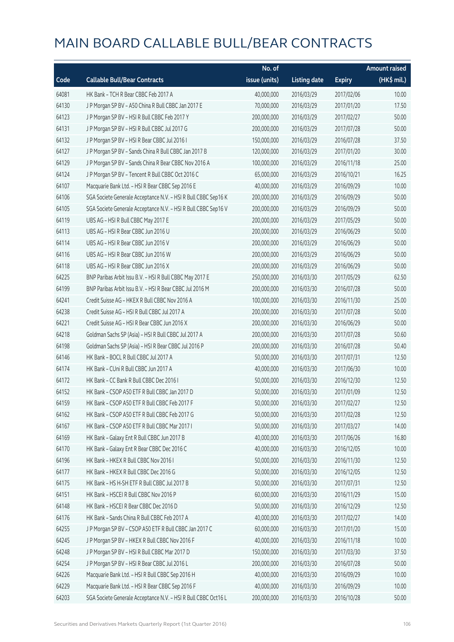|       |                                                                | No. of        |                     |               | <b>Amount raised</b> |
|-------|----------------------------------------------------------------|---------------|---------------------|---------------|----------------------|
| Code  | <b>Callable Bull/Bear Contracts</b>                            | issue (units) | <b>Listing date</b> | <b>Expiry</b> | (HK\$ mil.)          |
| 64081 | HK Bank - TCH R Bear CBBC Feb 2017 A                           | 40,000,000    | 2016/03/29          | 2017/02/06    | 10.00                |
| 64130 | J P Morgan SP BV - A50 China R Bull CBBC Jan 2017 E            | 70,000,000    | 2016/03/29          | 2017/01/20    | 17.50                |
| 64123 | J P Morgan SP BV - HSI R Bull CBBC Feb 2017 Y                  | 200,000,000   | 2016/03/29          | 2017/02/27    | 50.00                |
| 64131 | J P Morgan SP BV - HSI R Bull CBBC Jul 2017 G                  | 200,000,000   | 2016/03/29          | 2017/07/28    | 50.00                |
| 64132 | J P Morgan SP BV - HSI R Bear CBBC Jul 2016 I                  | 150,000,000   | 2016/03/29          | 2016/07/28    | 37.50                |
| 64127 | J P Morgan SP BV - Sands China R Bull CBBC Jan 2017 B          | 120,000,000   | 2016/03/29          | 2017/01/20    | 30.00                |
| 64129 | J P Morgan SP BV - Sands China R Bear CBBC Nov 2016 A          | 100,000,000   | 2016/03/29          | 2016/11/18    | 25.00                |
| 64124 | J P Morgan SP BV - Tencent R Bull CBBC Oct 2016 C              | 65,000,000    | 2016/03/29          | 2016/10/21    | 16.25                |
| 64107 | Macquarie Bank Ltd. - HSI R Bear CBBC Sep 2016 E               | 40,000,000    | 2016/03/29          | 2016/09/29    | 10.00                |
| 64106 | SGA Societe Generale Acceptance N.V. - HSI R Bull CBBC Sep16 K | 200,000,000   | 2016/03/29          | 2016/09/29    | 50.00                |
| 64105 | SGA Societe Generale Acceptance N.V. - HSI R Bull CBBC Sep16 V | 200,000,000   | 2016/03/29          | 2016/09/29    | 50.00                |
| 64119 | UBS AG - HSI R Bull CBBC May 2017 E                            | 200,000,000   | 2016/03/29          | 2017/05/29    | 50.00                |
| 64113 | UBS AG - HSI R Bear CBBC Jun 2016 U                            | 200,000,000   | 2016/03/29          | 2016/06/29    | 50.00                |
| 64114 | UBS AG - HSI R Bear CBBC Jun 2016 V                            | 200,000,000   | 2016/03/29          | 2016/06/29    | 50.00                |
| 64116 | UBS AG - HSI R Bear CBBC Jun 2016 W                            | 200,000,000   | 2016/03/29          | 2016/06/29    | 50.00                |
| 64118 | UBS AG - HSI R Bear CBBC Jun 2016 X                            | 200,000,000   | 2016/03/29          | 2016/06/29    | 50.00                |
| 64225 | BNP Paribas Arbit Issu B.V. - HSI R Bull CBBC May 2017 E       | 250,000,000   | 2016/03/30          | 2017/05/29    | 62.50                |
| 64199 | BNP Paribas Arbit Issu B.V. - HSI R Bear CBBC Jul 2016 M       | 200,000,000   | 2016/03/30          | 2016/07/28    | 50.00                |
| 64241 | Credit Suisse AG - HKEX R Bull CBBC Nov 2016 A                 | 100,000,000   | 2016/03/30          | 2016/11/30    | 25.00                |
| 64238 | Credit Suisse AG - HSI R Bull CBBC Jul 2017 A                  | 200,000,000   | 2016/03/30          | 2017/07/28    | 50.00                |
| 64221 | Credit Suisse AG - HSI R Bear CBBC Jun 2016 X                  | 200,000,000   | 2016/03/30          | 2016/06/29    | 50.00                |
| 64218 | Goldman Sachs SP (Asia) - HSI R Bull CBBC Jul 2017 A           | 200,000,000   | 2016/03/30          | 2017/07/28    | 50.60                |
| 64198 | Goldman Sachs SP (Asia) - HSI R Bear CBBC Jul 2016 P           | 200,000,000   | 2016/03/30          | 2016/07/28    | 50.40                |
| 64146 | HK Bank - BOCL R Bull CBBC Jul 2017 A                          | 50,000,000    | 2016/03/30          | 2017/07/31    | 12.50                |
| 64174 | HK Bank - CUni R Bull CBBC Jun 2017 A                          | 40,000,000    | 2016/03/30          | 2017/06/30    | 10.00                |
| 64172 | HK Bank - CC Bank R Bull CBBC Dec 2016 I                       | 50,000,000    | 2016/03/30          | 2016/12/30    | 12.50                |
| 64152 | HK Bank - CSOP A50 ETF R Bull CBBC Jan 2017 D                  | 50,000,000    | 2016/03/30          | 2017/01/09    | 12.50                |
| 64159 | HK Bank - CSOP A50 ETF R Bull CBBC Feb 2017 F                  | 50,000,000    | 2016/03/30          | 2017/02/27    | 12.50                |
| 64162 | HK Bank - CSOP A50 ETF R Bull CBBC Feb 2017 G                  | 50,000,000    | 2016/03/30          | 2017/02/28    | 12.50                |
| 64167 | HK Bank - CSOP A50 ETF R Bull CBBC Mar 2017 I                  | 50,000,000    | 2016/03/30          | 2017/03/27    | 14.00                |
| 64169 | HK Bank - Galaxy Ent R Bull CBBC Jun 2017 B                    | 40,000,000    | 2016/03/30          | 2017/06/26    | 16.80                |
| 64170 | HK Bank - Galaxy Ent R Bear CBBC Dec 2016 C                    | 40,000,000    | 2016/03/30          | 2016/12/05    | 10.00                |
| 64196 | HK Bank - HKEX R Bull CBBC Nov 2016 I                          | 50,000,000    | 2016/03/30          | 2016/11/30    | 12.50                |
| 64177 | HK Bank - HKEX R Bull CBBC Dec 2016 G                          | 50,000,000    | 2016/03/30          | 2016/12/05    | 12.50                |
| 64175 | HK Bank - HS H-SH ETF R Bull CBBC Jul 2017 B                   | 50,000,000    | 2016/03/30          | 2017/07/31    | 12.50                |
| 64151 | HK Bank - HSCEI R Bull CBBC Nov 2016 P                         | 60,000,000    | 2016/03/30          | 2016/11/29    | 15.00                |
| 64148 | HK Bank - HSCEI R Bear CBBC Dec 2016 D                         | 50,000,000    | 2016/03/30          | 2016/12/29    | 12.50                |
| 64176 | HK Bank - Sands China R Bull CBBC Feb 2017 A                   | 40,000,000    | 2016/03/30          | 2017/02/27    | 14.00                |
| 64255 | J P Morgan SP BV - CSOP A50 ETF R Bull CBBC Jan 2017 C         | 60,000,000    | 2016/03/30          | 2017/01/20    | 15.00                |
| 64245 | J P Morgan SP BV - HKEX R Bull CBBC Nov 2016 F                 | 40,000,000    | 2016/03/30          | 2016/11/18    | 10.00                |
| 64248 | J P Morgan SP BV - HSI R Bull CBBC Mar 2017 D                  | 150,000,000   | 2016/03/30          | 2017/03/30    | 37.50                |
| 64254 | J P Morgan SP BV - HSI R Bear CBBC Jul 2016 L                  | 200,000,000   | 2016/03/30          | 2016/07/28    | 50.00                |
| 64226 | Macquarie Bank Ltd. - HSI R Bull CBBC Sep 2016 H               | 40,000,000    | 2016/03/30          | 2016/09/29    | 10.00                |
| 64229 | Macquarie Bank Ltd. - HSI R Bear CBBC Sep 2016 F               | 40,000,000    | 2016/03/30          | 2016/09/29    | 10.00                |
| 64203 | SGA Societe Generale Acceptance N.V. - HSI R Bull CBBC Oct16 L | 200,000,000   | 2016/03/30          | 2016/10/28    | 50.00                |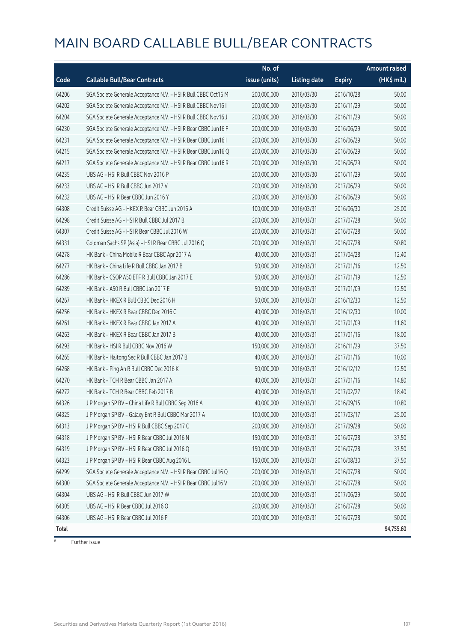|       |                                                                | No. of        |                     |               | <b>Amount raised</b> |
|-------|----------------------------------------------------------------|---------------|---------------------|---------------|----------------------|
| Code  | <b>Callable Bull/Bear Contracts</b>                            | issue (units) | <b>Listing date</b> | <b>Expiry</b> | (HK\$ mil.)          |
| 64206 | SGA Societe Generale Acceptance N.V. - HSI R Bull CBBC Oct16 M | 200,000,000   | 2016/03/30          | 2016/10/28    | 50.00                |
| 64202 | SGA Societe Generale Acceptance N.V. - HSI R Bull CBBC Nov16 I | 200,000,000   | 2016/03/30          | 2016/11/29    | 50.00                |
| 64204 | SGA Societe Generale Acceptance N.V. - HSI R Bull CBBC Nov16 J | 200,000,000   | 2016/03/30          | 2016/11/29    | 50.00                |
| 64230 | SGA Societe Generale Acceptance N.V. - HSI R Bear CBBC Jun16 F | 200,000,000   | 2016/03/30          | 2016/06/29    | 50.00                |
| 64231 | SGA Societe Generale Acceptance N.V. - HSI R Bear CBBC Jun16 I | 200,000,000   | 2016/03/30          | 2016/06/29    | 50.00                |
| 64215 | SGA Societe Generale Acceptance N.V. - HSI R Bear CBBC Jun16 Q | 200,000,000   | 2016/03/30          | 2016/06/29    | 50.00                |
| 64217 | SGA Societe Generale Acceptance N.V. - HSI R Bear CBBC Jun16 R | 200,000,000   | 2016/03/30          | 2016/06/29    | 50.00                |
| 64235 | UBS AG - HSI R Bull CBBC Nov 2016 P                            | 200,000,000   | 2016/03/30          | 2016/11/29    | 50.00                |
| 64233 | UBS AG - HSI R Bull CBBC Jun 2017 V                            | 200,000,000   | 2016/03/30          | 2017/06/29    | 50.00                |
| 64232 | UBS AG - HSI R Bear CBBC Jun 2016 Y                            | 200,000,000   | 2016/03/30          | 2016/06/29    | 50.00                |
| 64308 | Credit Suisse AG - HKEX R Bear CBBC Jun 2016 A                 | 100,000,000   | 2016/03/31          | 2016/06/30    | 25.00                |
| 64298 | Credit Suisse AG - HSI R Bull CBBC Jul 2017 B                  | 200,000,000   | 2016/03/31          | 2017/07/28    | 50.00                |
| 64307 | Credit Suisse AG - HSI R Bear CBBC Jul 2016 W                  | 200,000,000   | 2016/03/31          | 2016/07/28    | 50.00                |
| 64331 | Goldman Sachs SP (Asia) - HSI R Bear CBBC Jul 2016 Q           | 200,000,000   | 2016/03/31          | 2016/07/28    | 50.80                |
| 64278 | HK Bank - China Mobile R Bear CBBC Apr 2017 A                  | 40,000,000    | 2016/03/31          | 2017/04/28    | 12.40                |
| 64277 | HK Bank - China Life R Bull CBBC Jan 2017 B                    | 50,000,000    | 2016/03/31          | 2017/01/16    | 12.50                |
| 64286 | HK Bank - CSOP A50 ETF R Bull CBBC Jan 2017 E                  | 50,000,000    | 2016/03/31          | 2017/01/19    | 12.50                |
| 64289 | HK Bank - A50 R Bull CBBC Jan 2017 E                           | 50,000,000    | 2016/03/31          | 2017/01/09    | 12.50                |
| 64267 | HK Bank - HKEX R Bull CBBC Dec 2016 H                          | 50,000,000    | 2016/03/31          | 2016/12/30    | 12.50                |
| 64256 | HK Bank - HKEX R Bear CBBC Dec 2016 C                          | 40,000,000    | 2016/03/31          | 2016/12/30    | 10.00                |
| 64261 | HK Bank - HKEX R Bear CBBC Jan 2017 A                          | 40,000,000    | 2016/03/31          | 2017/01/09    | 11.60                |
| 64263 | HK Bank - HKEX R Bear CBBC Jan 2017 B                          | 40,000,000    | 2016/03/31          | 2017/01/16    | 18.00                |
| 64293 | HK Bank - HSI R Bull CBBC Nov 2016 W                           | 150,000,000   | 2016/03/31          | 2016/11/29    | 37.50                |
| 64265 | HK Bank - Haitong Sec R Bull CBBC Jan 2017 B                   | 40,000,000    | 2016/03/31          | 2017/01/16    | 10.00                |
| 64268 | HK Bank - Ping An R Bull CBBC Dec 2016 K                       | 50,000,000    | 2016/03/31          | 2016/12/12    | 12.50                |
| 64270 | HK Bank - TCH R Bear CBBC Jan 2017 A                           | 40,000,000    | 2016/03/31          | 2017/01/16    | 14.80                |
| 64272 | HK Bank - TCH R Bear CBBC Feb 2017 B                           | 40,000,000    | 2016/03/31          | 2017/02/27    | 18.40                |
| 64326 | J P Morgan SP BV - China Life R Bull CBBC Sep 2016 A           | 40,000,000    | 2016/03/31          | 2016/09/15    | 10.80                |
| 64325 | J P Morgan SP BV - Galaxy Ent R Bull CBBC Mar 2017 A           | 100,000,000   | 2016/03/31          | 2017/03/17    | 25.00                |
| 64313 | J P Morgan SP BV - HSI R Bull CBBC Sep 2017 C                  | 200,000,000   | 2016/03/31          | 2017/09/28    | 50.00                |
| 64318 | J P Morgan SP BV - HSI R Bear CBBC Jul 2016 N                  | 150,000,000   | 2016/03/31          | 2016/07/28    | 37.50                |
| 64319 | J P Morgan SP BV - HSI R Bear CBBC Jul 2016 Q                  | 150,000,000   | 2016/03/31          | 2016/07/28    | 37.50                |
| 64323 | J P Morgan SP BV - HSI R Bear CBBC Aug 2016 L                  | 150,000,000   | 2016/03/31          | 2016/08/30    | 37.50                |
| 64299 | SGA Societe Generale Acceptance N.V. - HSI R Bear CBBC Jul16 Q | 200,000,000   | 2016/03/31          | 2016/07/28    | 50.00                |
| 64300 | SGA Societe Generale Acceptance N.V. - HSI R Bear CBBC Jul16 V | 200,000,000   | 2016/03/31          | 2016/07/28    | 50.00                |
| 64304 | UBS AG - HSI R Bull CBBC Jun 2017 W                            | 200,000,000   | 2016/03/31          | 2017/06/29    | 50.00                |
| 64305 | UBS AG - HSI R Bear CBBC Jul 2016 O                            | 200,000,000   | 2016/03/31          | 2016/07/28    | 50.00                |
| 64306 | UBS AG - HSI R Bear CBBC Jul 2016 P                            | 200,000,000   | 2016/03/31          | 2016/07/28    | 50.00                |
| Total |                                                                |               |                     |               | 94,755.60            |

 $#$  Further issue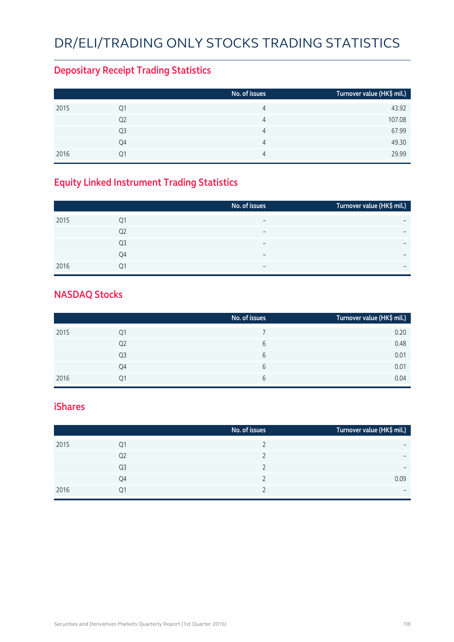# DR/ELI/TRADING ONLY STOCKS TRADING STATISTICS

### **Depositary Receipt Trading Statistics**

|      |    | No. of issues | Turnover value (HK\$ mil.) |
|------|----|---------------|----------------------------|
| 2015 | Q1 | 4             | 43.92                      |
|      | Q2 | 4             | 107.08                     |
|      | Q3 | 4             | 67.99                      |
|      | Q4 | 4             | 49.30                      |
| 2016 | 01 | 4             | 29.99                      |

## **Equity Linked Instrument Trading Statistics**

|      |                | No. of issues            | Turnover value (HK\$ mil.) |
|------|----------------|--------------------------|----------------------------|
| 2015 | 01             | $\overline{\phantom{0}}$ |                            |
|      | Q <sub>2</sub> | -                        | $\overline{\phantom{0}}$   |
|      | Q <sub>3</sub> | $\overline{\phantom{0}}$ | $\overline{\phantom{0}}$   |
|      | O <sub>4</sub> | $\overline{\phantom{0}}$ |                            |
| 2016 | O <sub>1</sub> | $\overline{\phantom{0}}$ | $\overline{\phantom{0}}$   |

### **NASDAQ Stocks**

|      |    | No. of issues | Turnover value (HK\$ mil.) |
|------|----|---------------|----------------------------|
| 2015 | Q1 |               | 0.20                       |
|      | Q2 | 6             | 0.48                       |
|      | Q3 | 6             | 0.01                       |
|      | Q4 | 6             | 0.01                       |
| 2016 | Ο1 | 6             | 0.04                       |

### **iShares**

|      |                | No. of issues | Turnover value (HK\$ mil.) |
|------|----------------|---------------|----------------------------|
| 2015 | Q1             |               | -                          |
|      | Q <sub>2</sub> |               | $\overline{\phantom{0}}$   |
|      | Q3             |               | $\overline{\phantom{0}}$   |
|      | Q4             |               | 0.09                       |
| 2016 | 01             |               | $\overline{\phantom{0}}$   |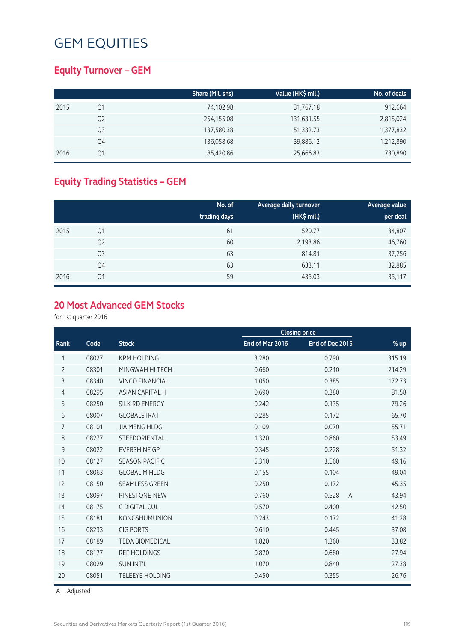### **Equity Turnover – GEM**

|      |    | Share (Mil. shs) | Value (HK\$ mil.) | No. of deals |
|------|----|------------------|-------------------|--------------|
| 2015 | Q1 | 74,102.98        | 31,767.18         | 912,664      |
|      | Q2 | 254,155.08       | 131,631.55        | 2,815,024    |
|      | Q3 | 137,580.38       | 51,332.73         | 1,377,832    |
|      | Q4 | 136,058.68       | 39,886.12         | 1,212,890    |
| 2016 | Q1 | 85,420.86        | 25,666.83         | 730,890      |

## **Equity Trading Statistics – GEM**

|      |                | No. of<br>trading days | Average daily turnover<br>(HK\$ mil.) | <b>Average value</b><br>per deal |
|------|----------------|------------------------|---------------------------------------|----------------------------------|
| 2015 | Q1             | 61                     | 520.77                                | 34,807                           |
|      | Q <sub>2</sub> | 60                     | 2,193.86                              | 46,760                           |
|      | Q <sub>3</sub> | 63                     | 814.81                                | 37,256                           |
|      | Q4             | 63                     | 633.11                                | 32,885                           |
| 2016 | Q1             | 59                     | 435.03                                | 35,117                           |

#### **20 Most Advanced GEM Stocks**

for 1st quarter 2016

|                |       |                        |                 | <b>Closing price</b>    |        |
|----------------|-------|------------------------|-----------------|-------------------------|--------|
| Rank           | Code  | <b>Stock</b>           | End of Mar 2016 | End of Dec 2015         | $%$ up |
| 1              | 08027 | <b>KPM HOLDING</b>     | 3.280           | 0.790                   | 315.19 |
| $\overline{2}$ | 08301 | MINGWAH HI TECH        | 0.660           | 0.210                   | 214.29 |
| 3              | 08340 | <b>VINCO FINANCIAL</b> | 1.050           | 0.385                   | 172.73 |
| 4              | 08295 | <b>ASIAN CAPITAL H</b> | 0.690           | 0.380                   | 81.58  |
| 5              | 08250 | SILK RD ENERGY         | 0.242           | 0.135                   | 79.26  |
| 6              | 08007 | <b>GLOBALSTRAT</b>     | 0.285           | 0.172                   | 65.70  |
| 7              | 08101 | <b>JIA MENG HLDG</b>   | 0.109           | 0.070                   | 55.71  |
| 8              | 08277 | STEEDORIENTAL          | 1.320           | 0.860                   | 53.49  |
| 9              | 08022 | <b>EVERSHINE GP</b>    | 0.345           | 0.228                   | 51.32  |
| 10             | 08127 | <b>SEASON PACIFIC</b>  | 5.310           | 3.560                   | 49.16  |
| 11             | 08063 | <b>GLOBAL M HLDG</b>   | 0.155           | 0.104                   | 49.04  |
| 12             | 08150 | <b>SEAMLESS GREEN</b>  | 0.250           | 0.172                   | 45.35  |
| 13             | 08097 | PINESTONE-NEW          | 0.760           | 0.528<br>$\overline{A}$ | 43.94  |
| 14             | 08175 | C DIGITAL CUL          | 0.570           | 0.400                   | 42.50  |
| 15             | 08181 | <b>KONGSHUMUNION</b>   | 0.243           | 0.172                   | 41.28  |
| 16             | 08233 | <b>CIG PORTS</b>       | 0.610           | 0.445                   | 37.08  |
| 17             | 08189 | <b>TEDA BIOMEDICAL</b> | 1.820           | 1.360                   | 33.82  |
| 18             | 08177 | <b>REF HOLDINGS</b>    | 0.870           | 0.680                   | 27.94  |
| 19             | 08029 | <b>SUN INT'L</b>       | 1.070           | 0.840                   | 27.38  |
| 20             | 08051 | <b>TELEEYE HOLDING</b> | 0.450           | 0.355                   | 26.76  |

A Adjusted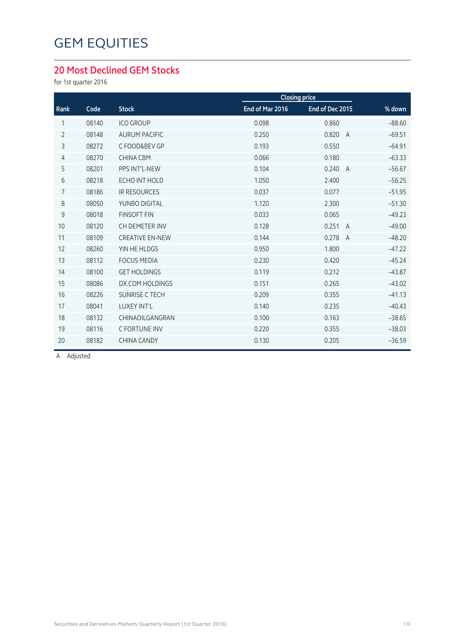### **20 Most Declined GEM Stocks**

for 1st quarter 2016

|                |       |                        |                 | <b>Closing price</b>    |          |
|----------------|-------|------------------------|-----------------|-------------------------|----------|
| Rank           | Code  | <b>Stock</b>           | End of Mar 2016 | End of Dec 2015         | % down   |
| 1              | 08140 | <b>ICO GROUP</b>       | 0.098           | 0.860                   | $-88.60$ |
| $\overline{2}$ | 08148 | <b>AURUM PACIFIC</b>   | 0.250           | 0.820<br>$\overline{A}$ | $-69.51$ |
| 3              | 08272 | C FOOD&BEV GP          | 0.193           | 0.550                   | $-64.91$ |
| $\overline{4}$ | 08270 | <b>CHINA CBM</b>       | 0.066           | 0.180                   | $-63.33$ |
| 5              | 08201 | PPS INT'L-NEW          | 0.104           | 0.240<br>$\overline{A}$ | $-56.67$ |
| 6              | 08218 | <b>ECHO INT HOLD</b>   | 1.050           | 2.400                   | $-56.25$ |
| $\overline{7}$ | 08186 | <b>IR RESOURCES</b>    | 0.037           | 0.077                   | $-51.95$ |
| 8              | 08050 | YUNBO DIGITAL          | 1.120           | 2.300                   | $-51.30$ |
| 9              | 08018 | <b>FINSOFT FIN</b>     | 0.033           | 0.065                   | $-49.23$ |
| 10             | 08120 | CH DEMETER INV         | 0.128           | 0.251<br>$\overline{A}$ | $-49.00$ |
| 11             | 08109 | <b>CREATIVE EN-NEW</b> | 0.144           | 0.278<br>$\overline{A}$ | $-48.20$ |
| 12             | 08260 | YIN HE HLDGS           | 0.950           | 1.800                   | $-47.22$ |
| 13             | 08112 | <b>FOCUS MEDIA</b>     | 0.230           | 0.420                   | $-45.24$ |
| 14             | 08100 | <b>GET HOLDINGS</b>    | 0.119           | 0.212                   | $-43.87$ |
| 15             | 08086 | DX.COM HOLDINGS        | 0.151           | 0.265                   | $-43.02$ |
| 16             | 08226 | <b>SUNRISE C TECH</b>  | 0.209           | 0.355                   | $-41.13$ |
| 17             | 08041 | LUXEY INT'L            | 0.140           | 0.235                   | $-40.43$ |
| 18             | 08132 | CHINAOILGANGRAN        | 0.100           | 0.163                   | $-38.65$ |
| 19             | 08116 | C FORTUNE INV          | 0.220           | 0.355                   | $-38.03$ |
| 20             | 08182 | <b>CHINA CANDY</b>     | 0.130           | 0.205                   | $-36.59$ |
|                |       |                        |                 |                         |          |

A Adjusted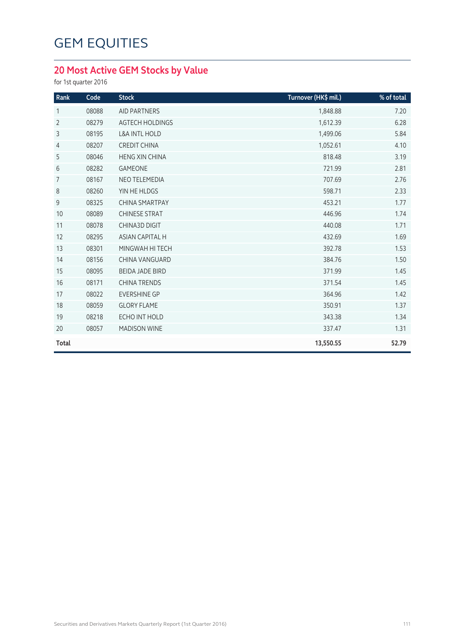## **20 Most Active GEM Stocks by Value**

for 1st quarter 2016

| Rank           | Code  | <b>Stock</b>             | Turnover (HK\$ mil.) | % of total |
|----------------|-------|--------------------------|----------------------|------------|
| 1              | 08088 | <b>AID PARTNERS</b>      | 1,848.88             | 7.20       |
| $\overline{2}$ | 08279 | <b>AGTECH HOLDINGS</b>   | 1,612.39             | 6.28       |
| 3              | 08195 | <b>L&amp;A INTL HOLD</b> | 1,499.06             | 5.84       |
| $\overline{4}$ | 08207 | <b>CREDIT CHINA</b>      | 1,052.61             | 4.10       |
| 5              | 08046 | <b>HENG XIN CHINA</b>    | 818.48               | 3.19       |
| 6              | 08282 | <b>GAMEONE</b>           | 721.99               | 2.81       |
| $\overline{7}$ | 08167 | <b>NEO TELEMEDIA</b>     | 707.69               | 2.76       |
| 8              | 08260 | YIN HE HLDGS             | 598.71               | 2.33       |
| 9              | 08325 | <b>CHINA SMARTPAY</b>    | 453.21               | 1.77       |
| 10             | 08089 | <b>CHINESE STRAT</b>     | 446.96               | 1.74       |
| 11             | 08078 | <b>CHINA3D DIGIT</b>     | 440.08               | 1.71       |
| 12             | 08295 | <b>ASIAN CAPITAL H</b>   | 432.69               | 1.69       |
| 13             | 08301 | MINGWAH HI TECH          | 392.78               | 1.53       |
| 14             | 08156 | <b>CHINA VANGUARD</b>    | 384.76               | 1.50       |
| 15             | 08095 | <b>BEIDA JADE BIRD</b>   | 371.99               | 1.45       |
| 16             | 08171 | <b>CHINA TRENDS</b>      | 371.54               | 1.45       |
| 17             | 08022 | <b>EVERSHINE GP</b>      | 364.96               | 1.42       |
| 18             | 08059 | <b>GLORY FLAME</b>       | 350.91               | 1.37       |
| 19             | 08218 | ECHO INT HOLD            | 343.38               | 1.34       |
| 20             | 08057 | <b>MADISON WINE</b>      | 337.47               | 1.31       |
| Total          |       |                          | 13,550.55            | 52.79      |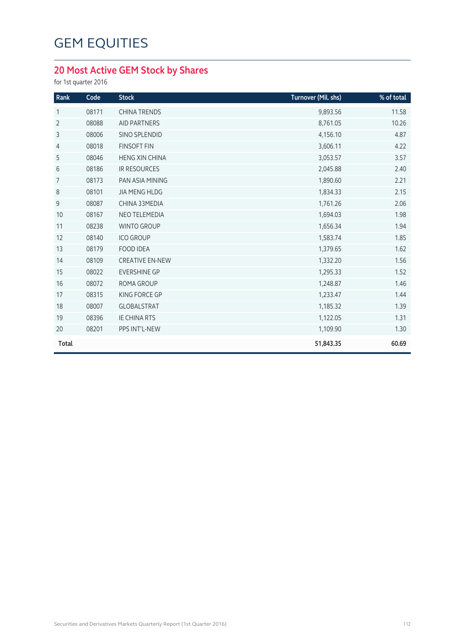## **20 Most Active GEM Stock by Shares**

for 1st quarter 2016

| Rank           | Code  | <b>Stock</b>           | Turnover (Mil. shs) | % of total |
|----------------|-------|------------------------|---------------------|------------|
| 1              | 08171 | <b>CHINA TRENDS</b>    | 9,893.56            | 11.58      |
| $\overline{2}$ | 08088 | <b>AID PARTNERS</b>    | 8,761.05            | 10.26      |
| 3              | 08006 | SINO SPLENDID          | 4,156.10            | 4.87       |
| 4              | 08018 | <b>FINSOFT FIN</b>     | 3,606.11            | 4.22       |
| 5              | 08046 | <b>HENG XIN CHINA</b>  | 3,053.57            | 3.57       |
| 6              | 08186 | <b>IR RESOURCES</b>    | 2,045.88            | 2.40       |
| 7              | 08173 | PAN ASIA MINING        | 1,890.60            | 2.21       |
| 8              | 08101 | <b>JIA MENG HLDG</b>   | 1,834.33            | 2.15       |
| 9              | 08087 | CHINA 33MEDIA          | 1,761.26            | 2.06       |
| 10             | 08167 | NEO TELEMEDIA          | 1,694.03            | 1.98       |
| 11             | 08238 | <b>WINTO GROUP</b>     | 1,656.34            | 1.94       |
| 12             | 08140 | <b>ICO GROUP</b>       | 1,583.74            | 1.85       |
| 13             | 08179 | <b>FOOD IDEA</b>       | 1,379.65            | 1.62       |
| 14             | 08109 | <b>CREATIVE EN-NEW</b> | 1,332.20            | 1.56       |
| 15             | 08022 | <b>EVERSHINE GP</b>    | 1,295.33            | 1.52       |
| 16             | 08072 | <b>ROMA GROUP</b>      | 1,248.87            | 1.46       |
| 17             | 08315 | KING FORCE GP          | 1,233.47            | 1.44       |
| 18             | 08007 | GLOBALSTRAT            | 1,185.32            | 1.39       |
| 19             | 08396 | <b>IE CHINA RTS</b>    | 1,122.05            | 1.31       |
| 20             | 08201 | PPS INT'L-NEW          | 1,109.90            | 1.30       |
| <b>Total</b>   |       |                        | 51,843.35           | 60.69      |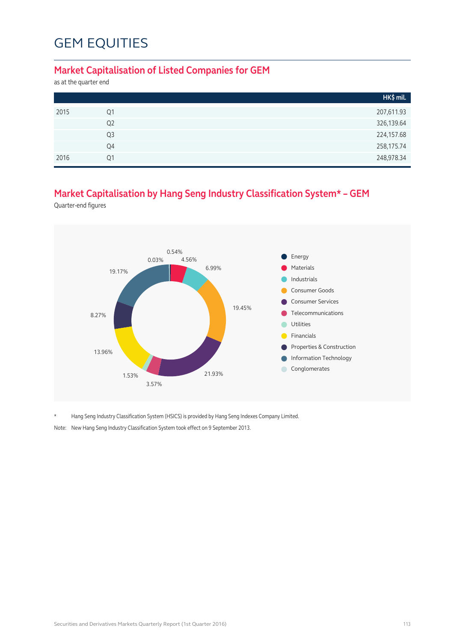#### **Market Capitalisation of Listed Companies for GEM**

as at the quarter end

|      |                | HK\$ mil.  |
|------|----------------|------------|
| 2015 | Q1             | 207,611.93 |
|      | Q <sub>2</sub> | 326,139.64 |
|      | Q3             | 224,157.68 |
|      | Q4             | 258,175.74 |
| 2016 | O <sub>1</sub> | 248,978.34 |

### **Market Capitalisation by Hang Seng Industry Classification System\* – GEM**

Quarter-end figures



\* Hang Seng Industry Classification System (HSICS) is provided by Hang Seng Indexes Company Limited.

Note: New Hang Seng Industry Classification System took effect on 9 September 2013.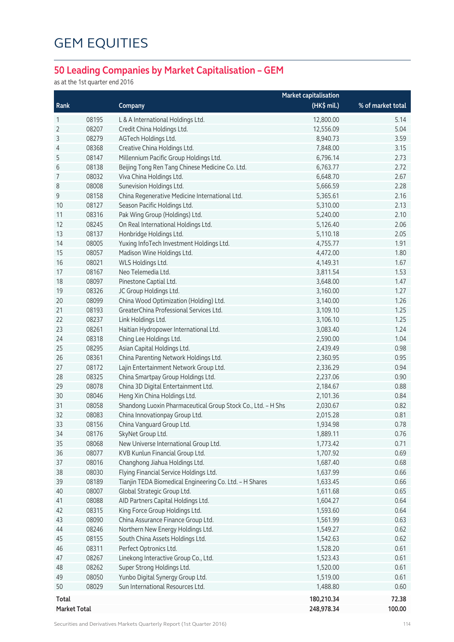## **50 Leading Companies by Market Capitalisation – GEM**

as at the 1st quarter end 2016

|                     |       |                                                              | <b>Market capitalisation</b> |                   |
|---------------------|-------|--------------------------------------------------------------|------------------------------|-------------------|
| Rank                |       | Company                                                      | (HK\$ mil.)                  | % of market total |
| 1                   | 08195 | L & A International Holdings Ltd.                            | 12,800.00                    | 5.14              |
| 2                   | 08207 | Credit China Holdings Ltd.                                   | 12,556.09                    | 5.04              |
| 3                   | 08279 | AGTech Holdings Ltd.                                         | 8,940.73                     | 3.59              |
| 4                   | 08368 | Creative China Holdings Ltd.                                 | 7,848.00                     | 3.15              |
| 5                   | 08147 | Millennium Pacific Group Holdings Ltd.                       | 6,796.14                     | 2.73              |
| 6                   | 08138 | Beijing Tong Ren Tang Chinese Medicine Co. Ltd.              | 6,763.77                     | 2.72              |
| 7                   | 08032 | Viva China Holdings Ltd.                                     | 6,648.70                     | 2.67              |
| 8                   | 08008 | Sunevision Holdings Ltd.                                     | 5,666.59                     | 2.28              |
| $9\,$               | 08158 | China Regenerative Medicine International Ltd.               | 5,365.61                     | 2.16              |
| 10                  | 08127 | Season Pacific Holdings Ltd.                                 | 5,310.00                     | 2.13              |
| 11                  | 08316 | Pak Wing Group (Holdings) Ltd.                               | 5,240.00                     | 2.10              |
| 12                  | 08245 | On Real International Holdings Ltd.                          | 5,126.40                     | 2.06              |
| 13                  | 08137 | Honbridge Holdings Ltd.                                      | 5,110.18                     | 2.05              |
| 14                  | 08005 | Yuxing InfoTech Investment Holdings Ltd.                     | 4,755.77                     | 1.91              |
| 15                  | 08057 | Madison Wine Holdings Ltd.                                   | 4,472.00                     | 1.80              |
| 16                  | 08021 | WLS Holdings Ltd.                                            | 4,149.31                     | 1.67              |
| 17                  | 08167 | Neo Telemedia Ltd.                                           | 3,811.54                     | 1.53              |
| 18                  | 08097 | Pinestone Captial Ltd.                                       | 3,648.00                     | 1.47              |
| 19                  | 08326 | JC Group Holdings Ltd.                                       | 3,160.00                     | 1.27              |
| 20                  | 08099 | China Wood Optimization (Holding) Ltd.                       | 3,140.00                     | 1.26              |
| 21                  | 08193 | GreaterChina Professional Services Ltd.                      | 3,109.10                     | 1.25              |
| 22                  | 08237 | Link Holdings Ltd.                                           | 3,106.10                     | 1.25              |
| 23                  | 08261 | Haitian Hydropower International Ltd.                        | 3,083.40                     | 1.24              |
| 24                  | 08318 | Ching Lee Holdings Ltd.                                      | 2,590.00                     | 1.04              |
| 25                  | 08295 | Asian Capital Holdings Ltd.                                  | 2,439.49                     | 0.98              |
| 26                  | 08361 | China Parenting Network Holdings Ltd.                        | 2,360.95                     | 0.95              |
| 27                  | 08172 | Lajin Entertainment Network Group Ltd.                       | 2,336.29                     | 0.94              |
| 28                  | 08325 | China Smartpay Group Holdings Ltd.                           | 2,237.06                     | 0.90              |
| 29                  | 08078 | China 3D Digital Entertainment Ltd.                          | 2,184.67                     | 0.88              |
| 30                  | 08046 | Heng Xin China Holdings Ltd.                                 | 2,101.36                     | 0.84              |
| 31                  | 08058 | Shandong Luoxin Pharmaceutical Group Stock Co., Ltd. - H Shs | 2,030.67                     | 0.82              |
| 32                  | 08083 | China Innovationpay Group Ltd.                               | 2,015.28                     | 0.81              |
| 33                  | 08156 | China Vanguard Group Ltd.                                    | 1,934.98                     | 0.78              |
| 34                  | 08176 | SkyNet Group Ltd.                                            | 1,889.11                     | 0.76              |
| 35                  | 08068 | New Universe International Group Ltd.                        | 1,773.42                     | 0.71              |
| 36                  | 08077 | KVB Kunlun Financial Group Ltd.                              | 1,707.92                     | 0.69              |
| 37                  | 08016 | Changhong Jiahua Holdings Ltd.                               | 1,687.40                     | 0.68              |
| 38                  | 08030 | Flying Financial Service Holdings Ltd.                       | 1,637.99                     | 0.66              |
| 39                  | 08189 | Tianjin TEDA Biomedical Engineering Co. Ltd. - H Shares      | 1,633.45                     | 0.66              |
| 40                  | 08007 | Global Strategic Group Ltd.                                  | 1,611.68                     | 0.65              |
| 41                  | 08088 | AID Partners Capital Holdings Ltd.                           | 1,604.27                     | 0.64              |
| 42                  | 08315 | King Force Group Holdings Ltd.                               | 1,593.60                     | 0.64              |
| 43                  | 08090 | China Assurance Finance Group Ltd.                           | 1,561.99                     | 0.63              |
| 44                  | 08246 | Northern New Energy Holdings Ltd.                            | 1,549.27                     | 0.62              |
| 45                  | 08155 | South China Assets Holdings Ltd.                             | 1,542.63                     | 0.62              |
| 46                  | 08311 | Perfect Optronics Ltd.                                       | 1,528.20                     | 0.61              |
| 47                  | 08267 | Linekong Interactive Group Co., Ltd.                         | 1,523.43                     | 0.61              |
| 48                  | 08262 | Super Strong Holdings Ltd.                                   | 1,520.00                     | 0.61              |
| 49                  | 08050 | Yunbo Digital Synergy Group Ltd.                             | 1,519.00                     | 0.61              |
| 50                  | 08029 | Sun International Resources Ltd.                             | 1,488.80                     | 0.60              |
|                     |       |                                                              |                              |                   |
| <b>Total</b>        |       |                                                              | 180,210.34                   | 72.38<br>100.00   |
| <b>Market Total</b> |       |                                                              | 248,978.34                   |                   |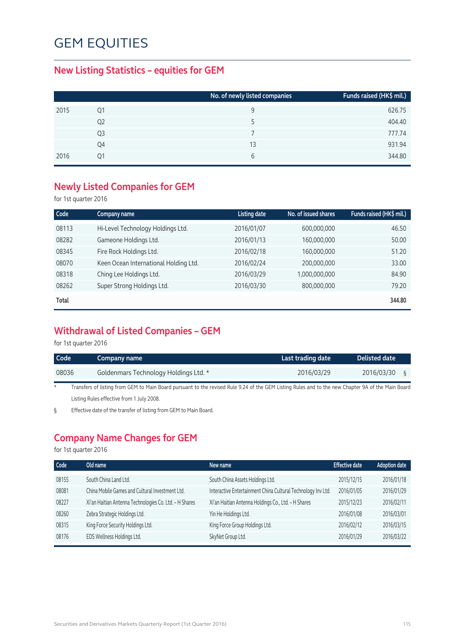### **New Listing Statistics – equities for GEM**

|      |    | No. of newly listed companies | Funds raised (HK\$ mil.) |
|------|----|-------------------------------|--------------------------|
| 2015 | Ο1 | 9                             | 626.75                   |
|      | Q2 | 5                             | 404.40                   |
|      | Q3 |                               | 777.74                   |
|      | Q4 | 13                            | 931.94                   |
| 2016 | Ο1 | 6                             | 344.80                   |

### **Newly Listed Companies for GEM**

for 1st quarter 2016

| Code  | Company name                          | Listing date | No. of issued shares | Funds raised (HK\$ mil.) |
|-------|---------------------------------------|--------------|----------------------|--------------------------|
| 08113 | Hi-Level Technology Holdings Ltd.     | 2016/01/07   | 600,000,000          | 46.50                    |
| 08282 | Gameone Holdings Ltd.                 | 2016/01/13   | 160,000,000          | 50.00                    |
| 08345 | Fire Rock Holdings Ltd.               | 2016/02/18   | 160,000,000          | 51.20                    |
| 08070 | Keen Ocean International Holding Ltd. | 2016/02/24   | 200,000,000          | 33.00                    |
| 08318 | Ching Lee Holdings Ltd.               | 2016/03/29   | 1,000,000,000        | 84.90                    |
| 08262 | Super Strong Holdings Ltd.            | 2016/03/30   | 800,000,000          | 79.20                    |
| Total |                                       |              |                      | 344.80                   |

### **Withdrawal of Listed Companies – GEM**

for 1st quarter 2016

| l Code | Company name                                                                                                                                       | Last trading date | Delisted date |
|--------|----------------------------------------------------------------------------------------------------------------------------------------------------|-------------------|---------------|
| 08036  | Goldenmars Technology Holdings Ltd. *                                                                                                              | 2016/03/29        | 2016/03/30    |
|        | Transfers of listing from GEM to Main Board pursuant to the revised Rule 9.24 of the GEM Listing Rules and to the new Chapter 9A of the Main Board |                   |               |

\* Transfers of listing from GEM to Main Board pursuant to the revised Rule 9.24 of the GEM Listing Rules and to the new Chapter 9A of the Main Board Listing Rules effective from 1 July 2008.

§ Effective date of the transfer of listing from GEM to Main Board.

### **Company Name Changes for GEM**

for 1st quarter 2016

| Code  | Old name                                               | New name                                                     | <b>Effective date</b> | <b>Adoption date</b> |
|-------|--------------------------------------------------------|--------------------------------------------------------------|-----------------------|----------------------|
| 08155 | South China Land Ltd.                                  | South China Assets Holdings Ltd.                             | 2015/12/15            | 2016/01/18           |
| 08081 | China Mobile Games and Cultural Investment Ltd.        | Interactive Entertainment China Cultural Technology Inv Ltd. | 2016/01/05            | 2016/01/29           |
| 08227 | Xi'an Haitian Antenna Technologies Co. Ltd. - H Shares | Xi'an Haitian Antenna Holdings Co., Ltd. - H Shares          | 2015/12/23            | 2016/02/11           |
| 08260 | Zebra Strategic Holdings Ltd.                          | Yin He Holdings Ltd.                                         | 2016/01/08            | 2016/03/01           |
| 08315 | King Force Security Holdings Ltd.                      | King Force Group Holdings Ltd.                               | 2016/02/12            | 2016/03/15           |
| 08176 | EDS Wellness Holdings Ltd.                             | SkyNet Group Ltd.                                            | 2016/01/29            | 2016/03/22           |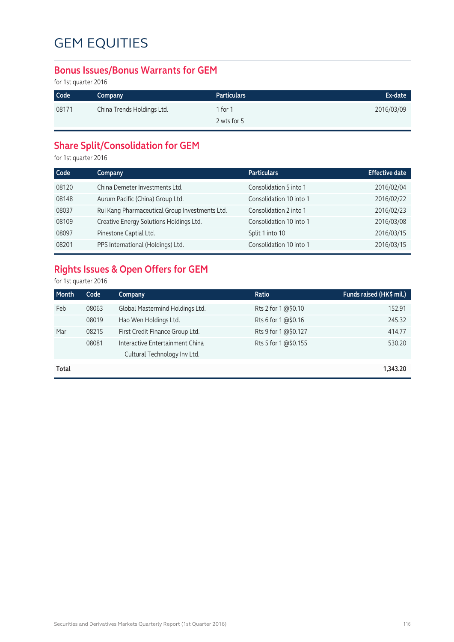#### **Bonus Issues/Bonus Warrants for GEM**

for 1st quarter 2016

| Code  | Company                    | <b>Particulars</b> | Ex-date    |
|-------|----------------------------|--------------------|------------|
| 08171 | China Trends Holdings Ltd. | 1 for $1$          | 2016/03/09 |
|       |                            | 2 wts for 5        |            |

## **Share Split/Consolidation for GEM**

for 1st quarter 2016

| Code  | Company                                        | <b>Particulars</b>      | <b>Effective date</b> |
|-------|------------------------------------------------|-------------------------|-----------------------|
| 08120 | China Demeter Investments Ltd.                 | Consolidation 5 into 1  | 2016/02/04            |
| 08148 | Aurum Pacific (China) Group Ltd.               | Consolidation 10 into 1 | 2016/02/22            |
| 08037 | Rui Kang Pharmaceutical Group Investments Ltd. | Consolidation 2 into 1  | 2016/02/23            |
| 08109 | Creative Energy Solutions Holdings Ltd.        | Consolidation 10 into 1 | 2016/03/08            |
| 08097 | Pinestone Captial Ltd.                         | Split 1 into 10         | 2016/03/15            |
| 08201 | PPS International (Holdings) Ltd.              | Consolidation 10 into 1 | 2016/03/15            |

## **Rights Issues & Open Offers for GEM**

for 1st quarter 2016

| Month | Code  | Company                         | Ratio                | Funds raised (HK\$ mil.) |
|-------|-------|---------------------------------|----------------------|--------------------------|
| Feb   | 08063 | Global Mastermind Holdings Ltd. | Rts 2 for 1 @\$0.10  | 152.91                   |
|       | 08019 | Hao Wen Holdings Ltd.           | Rts 6 for 1 @\$0.16  | 245.32                   |
| Mar   | 08215 | First Credit Finance Group Ltd. | Rts 9 for 1 @\$0.127 | 414.77                   |
|       | 08081 | Interactive Entertainment China | Rts 5 for 1 @\$0.155 | 530.20                   |
|       |       | Cultural Technology Inv Ltd.    |                      |                          |
| Total |       |                                 |                      | 1,343.20                 |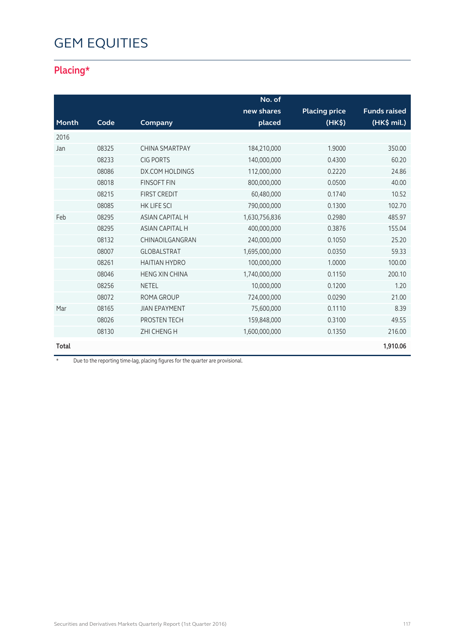## **Placing\***

|       |       |                        | No. of        |                      |                     |
|-------|-------|------------------------|---------------|----------------------|---------------------|
|       |       |                        | new shares    | <b>Placing price</b> | <b>Funds raised</b> |
| Month | Code  | Company                | placed        | (HK\$)               | (HK\$ mil.)         |
| 2016  |       |                        |               |                      |                     |
| Jan   | 08325 | <b>CHINA SMARTPAY</b>  | 184,210,000   | 1.9000               | 350.00              |
|       | 08233 | <b>CIG PORTS</b>       | 140,000,000   | 0.4300               | 60.20               |
|       | 08086 | <b>DX.COM HOLDINGS</b> | 112,000,000   | 0.2220               | 24.86               |
|       | 08018 | <b>FINSOFT FIN</b>     | 800,000,000   | 0.0500               | 40.00               |
|       | 08215 | <b>FIRST CREDIT</b>    | 60,480,000    | 0.1740               | 10.52               |
|       | 08085 | <b>HK LIFE SCI</b>     | 790,000,000   | 0.1300               | 102.70              |
| Feb   | 08295 | <b>ASIAN CAPITAL H</b> | 1,630,756,836 | 0.2980               | 485.97              |
|       | 08295 | <b>ASIAN CAPITAL H</b> | 400,000,000   | 0.3876               | 155.04              |
|       | 08132 | CHINAOILGANGRAN        | 240,000,000   | 0.1050               | 25.20               |
|       | 08007 | <b>GLOBALSTRAT</b>     | 1,695,000,000 | 0.0350               | 59.33               |
|       | 08261 | <b>HAITIAN HYDRO</b>   | 100,000,000   | 1.0000               | 100.00              |
|       | 08046 | <b>HENG XIN CHINA</b>  | 1,740,000,000 | 0.1150               | 200.10              |
|       | 08256 | <b>NETEL</b>           | 10,000,000    | 0.1200               | 1.20                |
|       | 08072 | <b>ROMA GROUP</b>      | 724,000,000   | 0.0290               | 21.00               |
| Mar   | 08165 | <b>JIAN EPAYMENT</b>   | 75,600,000    | 0.1110               | 8.39                |
|       | 08026 | PROSTEN TECH           | 159,848,000   | 0.3100               | 49.55               |
|       | 08130 | <b>ZHI CHENG H</b>     | 1,600,000,000 | 0.1350               | 216.00              |
| Total |       |                        |               |                      | 1,910.06            |

\* Due to the reporting time-lag, placing figures for the quarter are provisional.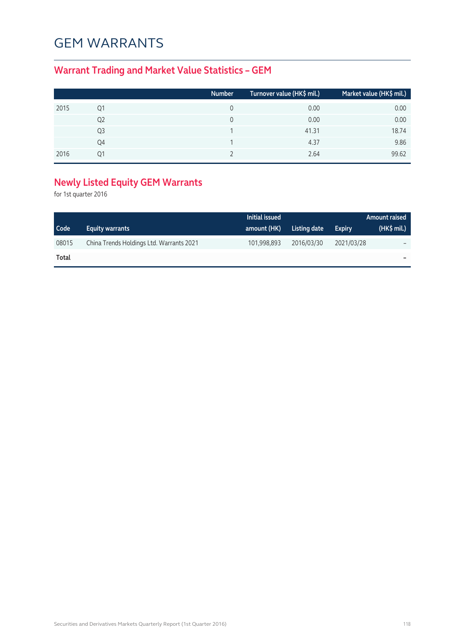## GEM WARRANTS

## **Warrant Trading and Market Value Statistics – GEM**

|      |    | Number | Turnover value (HK\$ mil.) | Market value (HK\$ mil.) |
|------|----|--------|----------------------------|--------------------------|
| 2015 | Q1 |        | 0.00                       | 0.00                     |
|      | Q2 |        | 0.00                       | 0.00                     |
|      | Q3 |        | 41.31                      | 18.74                    |
|      | Q4 |        | 4.37                       | 9.86                     |
| 2016 | 01 |        | 2.64                       | 99.62                    |

## **Newly Listed Equity GEM Warrants**

for 1st quarter 2016

|       |                                          | Initial issued |              |               | Amount raised |
|-------|------------------------------------------|----------------|--------------|---------------|---------------|
| Code  | <b>Equity warrants</b>                   | amount (HK)    | Listing date | <b>Expiry</b> | $(HK\$ mil.)  |
| 08015 | China Trends Holdings Ltd. Warrants 2021 | 101,998,893    | 2016/03/30   | 2021/03/28    |               |
| Total |                                          |                |              |               |               |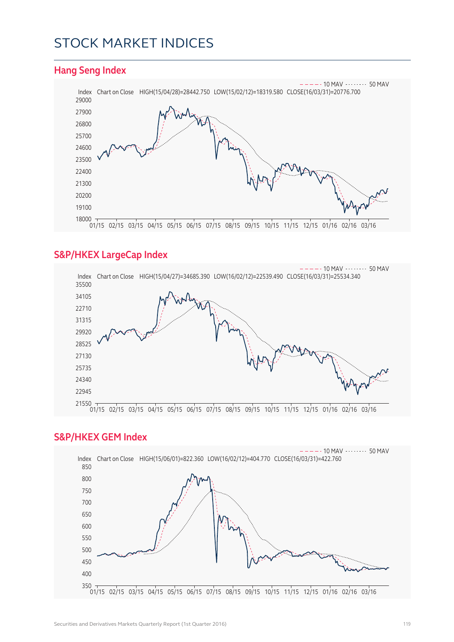## STOCK MARKET INDICES



#### **S&P/HKEX LargeCap Index**



#### **S&P/HKEX GEM Index**

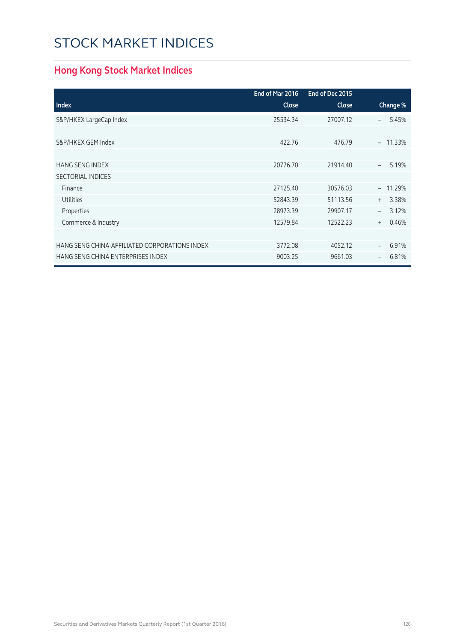# STOCK MARKET INDICES

## **Hong Kong Stock Market Indices**

|                                               | End of Mar 2016 | End of Dec 2015 |                                   |
|-----------------------------------------------|-----------------|-----------------|-----------------------------------|
| <b>Index</b>                                  | <b>Close</b>    | Close           | Change %                          |
| S&P/HKEX LargeCap Index                       | 25534.34        | 27007.12        | 5.45%<br>$\overline{\phantom{0}}$ |
|                                               |                 |                 |                                   |
| S&P/HKEX GEM Index                            | 422.76          | 476.79          | 11.33%<br>$-$                     |
|                                               |                 |                 |                                   |
| <b>HANG SENG INDEX</b>                        | 20776.70        | 21914.40        | 5.19%<br>$\overline{\phantom{a}}$ |
| <b>SECTORIAL INDICES</b>                      |                 |                 |                                   |
| Finance                                       | 27125.40        | 30576.03        | $-11.29%$                         |
| <b>Utilities</b>                              | 52843.39        | 51113.56        | 3.38%<br>$^{+}$                   |
| Properties                                    | 28973.39        | 29907.17        | 3.12%                             |
| Commerce & Industry                           | 12579.84        | 12522.23        | 0.46%<br>$+$                      |
|                                               |                 |                 |                                   |
| HANG SENG CHINA-AFFILIATED CORPORATIONS INDEX | 3772.08         | 4052.12         | 6.91%<br>$\overline{\phantom{a}}$ |
| HANG SENG CHINA ENTERPRISES INDEX             | 9003.25         | 9661.03         | 6.81%<br>$\qquad \qquad -$        |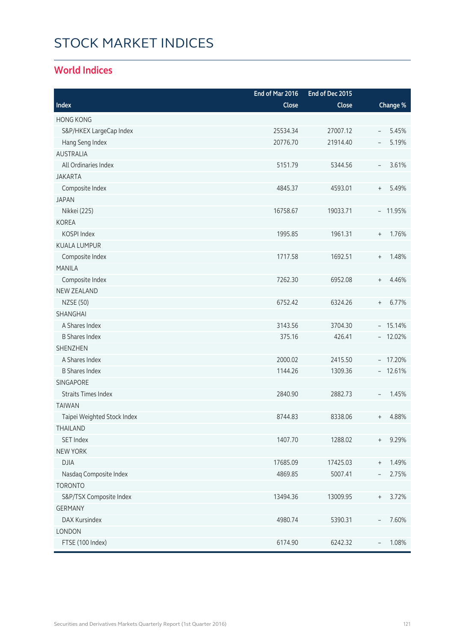# STOCK MARKET INDICES

### **World Indices**

|                             | End of Mar 2016 | End of Dec 2015 |                                           |
|-----------------------------|-----------------|-----------------|-------------------------------------------|
| Index                       | Close           | Close           | Change %                                  |
| <b>HONG KONG</b>            |                 |                 |                                           |
| S&P/HKEX LargeCap Index     | 25534.34        | 27007.12        | 5.45%<br>$\overline{\phantom{a}}$         |
| Hang Seng Index             | 20776.70        | 21914.40        | 5.19%<br>$\overline{\phantom{m}}$         |
| <b>AUSTRALIA</b>            |                 |                 |                                           |
| All Ordinaries Index        | 5151.79         | 5344.56         | 3.61%<br>$\overline{\phantom{a}}$         |
| <b>JAKARTA</b>              |                 |                 |                                           |
| Composite Index             | 4845.37         | 4593.01         | 5.49%<br>$\begin{array}{c} + \end{array}$ |
| <b>JAPAN</b>                |                 |                 |                                           |
| Nikkei (225)                | 16758.67        | 19033.71        | $-11.95%$                                 |
| <b>KOREA</b>                |                 |                 |                                           |
| KOSPI Index                 | 1995.85         | 1961.31         | 1.76%<br>$\begin{array}{c} + \end{array}$ |
| <b>KUALA LUMPUR</b>         |                 |                 |                                           |
| Composite Index             | 1717.58         | 1692.51         | 1.48%<br>$\begin{array}{c} + \end{array}$ |
| <b>MANILA</b>               |                 |                 |                                           |
| Composite Index             | 7262.30         | 6952.08         | 4.46%<br>$^{+}$                           |
| <b>NEW ZEALAND</b>          |                 |                 |                                           |
| <b>NZSE (50)</b>            | 6752.42         | 6324.26         | 6.77%<br>$\begin{array}{c} + \end{array}$ |
| SHANGHAI                    |                 |                 |                                           |
| A Shares Index              | 3143.56         | 3704.30         | $-15.14%$                                 |
| <b>B Shares Index</b>       | 375.16          | 426.41          | $-12.02%$                                 |
| <b>SHENZHEN</b>             |                 |                 |                                           |
| A Shares Index              | 2000.02         | 2415.50         | $-17.20%$                                 |
| <b>B Shares Index</b>       | 1144.26         | 1309.36         | $-12.61%$                                 |
| SINGAPORE                   |                 |                 |                                           |
| <b>Straits Times Index</b>  | 2840.90         | 2882.73         | 1.45%<br>$\overline{\phantom{a}}$         |
| <b>TAIWAN</b>               |                 |                 |                                           |
| Taipei Weighted Stock Index | 8744.83         | 8338.06         | 4.88%<br>$^{+}$                           |
| THAILAND                    |                 |                 |                                           |
| <b>SET Index</b>            | 1407.70         | 1288.02         | 9.29%<br>$^{+}$                           |
| <b>NEW YORK</b>             |                 |                 |                                           |
| <b>DJIA</b>                 | 17685.09        | 17425.03        | 1.49%<br>$^+$                             |
| Nasdaq Composite Index      | 4869.85         | 5007.41         | 2.75%<br>$\qquad \qquad -$                |
| <b>TORONTO</b>              |                 |                 |                                           |
| S&P/TSX Composite Index     | 13494.36        | 13009.95        | 3.72%<br>$^{+}$                           |
| <b>GERMANY</b>              |                 |                 |                                           |
| DAX Kursindex               | 4980.74         | 5390.31         | 7.60%<br>$\overline{\phantom{a}}$         |
| LONDON                      |                 |                 |                                           |
| FTSE (100 Index)            | 6174.90         | 6242.32         | 1.08%                                     |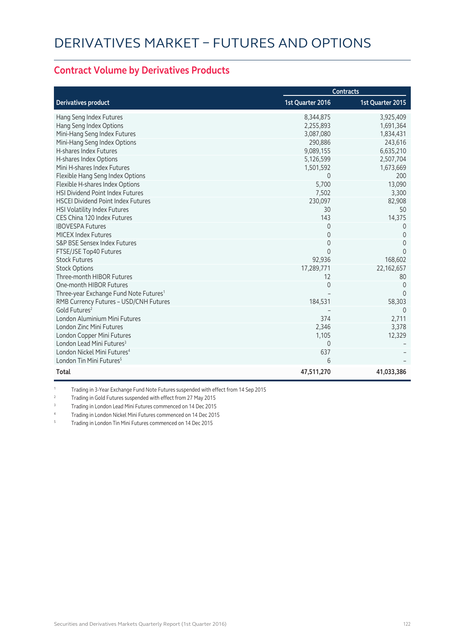#### **Contract Volume by Derivatives Products**

|                                                    | <b>Contracts</b> |                  |
|----------------------------------------------------|------------------|------------------|
| <b>Derivatives product</b>                         | 1st Quarter 2016 | 1st Quarter 2015 |
| Hang Seng Index Futures                            | 8,344,875        | 3,925,409        |
| Hang Seng Index Options                            | 2,255,893        | 1,691,364        |
| Mini-Hang Seng Index Futures                       | 3,087,080        | 1,834,431        |
| Mini-Hang Seng Index Options                       | 290,886          | 243,616          |
| H-shares Index Futures                             | 9,089,155        | 6,635,210        |
| H-shares Index Options                             | 5,126,599        | 2,507,704        |
| Mini H-shares Index Futures                        | 1,501,592        | 1,673,669        |
| Flexible Hang Seng Index Options                   | $\Omega$         | 200              |
| Flexible H-shares Index Options                    | 5,700            | 13,090           |
| <b>HSI Dividend Point Index Futures</b>            | 7,502            | 3,300            |
| <b>HSCEI Dividend Point Index Futures</b>          | 230,097          | 82,908           |
| HSI Volatility Index Futures                       | 30               | 50               |
| CES China 120 Index Futures                        | 143              | 14,375           |
| <b>IBOVESPA Futures</b>                            | $\Omega$         | $\Omega$         |
| <b>MICEX Index Futures</b>                         | 0                | $\Omega$         |
| S&P BSE Sensex Index Futures                       | 0                | $\Omega$         |
| FTSE/JSE Top40 Futures                             | $\Omega$         | $\Omega$         |
| <b>Stock Futures</b>                               | 92,936           | 168,602          |
| <b>Stock Options</b>                               | 17,289,771       | 22, 162, 657     |
| Three-month HIBOR Futures                          | 12               | 80               |
| One-month HIBOR Futures                            | $\Omega$         | $\Omega$         |
| Three-year Exchange Fund Note Futures <sup>1</sup> |                  | $\Omega$         |
| RMB Currency Futures - USD/CNH Futures             | 184,531          | 58,303           |
| Gold Futures <sup>2</sup>                          |                  | 0                |
| London Aluminium Mini Futures                      | 374              | 2,711            |
| <b>London Zinc Mini Futures</b>                    | 2,346            | 3,378            |
| London Copper Mini Futures                         | 1,105            | 12,329           |
| London Lead Mini Futures <sup>3</sup>              | $\mathbf{0}$     |                  |
| London Nickel Mini Futures <sup>4</sup>            | 637              |                  |
| London Tin Mini Futures <sup>5</sup>               | $6\overline{6}$  |                  |
| Total                                              | 47,511,270       | 41,033,386       |

1 Trading in 3-Year Exchange Fund Note Futures suspended with effect from 14 Sep 2015

2 Trading in Gold Futures suspended with effect from 27 May 2015

<sup>3</sup> Trading in London Lead Mini Futures commenced on 14 Dec 2015

<sup>4</sup> Trading in London Nickel Mini Futures commenced on 14 Dec 2015

5 Trading in London Tin Mini Futures commenced on 14 Dec 2015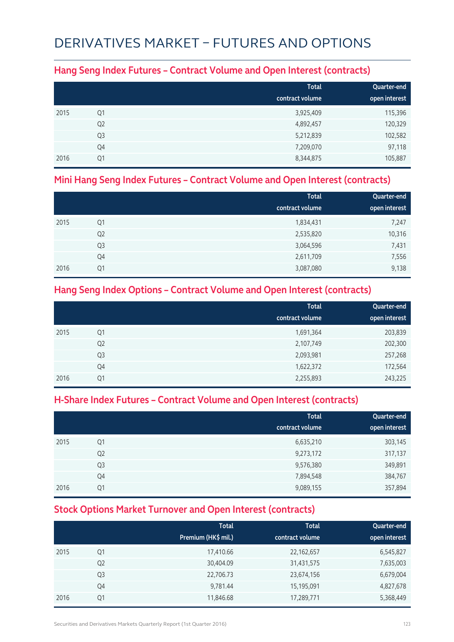## DERIVATIVES MARKET – FUTURES AND OPTIONS

### **Hang Seng Index Futures – Contract Volume and Open Interest (contracts)**

|      |                | <b>Total</b><br>contract volume | Quarter-end<br>open interest |
|------|----------------|---------------------------------|------------------------------|
| 2015 | Q1             | 3,925,409                       | 115,396                      |
|      | Q <sub>2</sub> | 4,892,457                       | 120,329                      |
|      | Q <sub>3</sub> | 5,212,839                       | 102,582                      |
|      | Q4             | 7,209,070                       | 97,118                       |
| 2016 | Q1             | 8,344,875                       | 105,887                      |

### **Mini Hang Seng Index Futures – Contract Volume and Open Interest (contracts)**

|      |                | <b>Total</b>    | Quarter-end   |
|------|----------------|-----------------|---------------|
|      |                | contract volume | open interest |
| 2015 | Q1             | 1,834,431       | 7,247         |
|      | Q <sub>2</sub> | 2,535,820       | 10,316        |
|      | Q <sub>3</sub> | 3,064,596       | 7,431         |
|      | Q4             | 2,611,709       | 7,556         |
| 2016 | Q1             | 3,087,080       | 9,138         |

### **Hang Seng Index Options – Contract Volume and Open Interest (contracts)**

|                | <b>Total</b>    | Quarter-end   |
|----------------|-----------------|---------------|
|                | contract volume | open interest |
| Q1             | 1,691,364       | 203,839       |
| Q <sub>2</sub> | 2,107,749       | 202,300       |
| Q <sub>3</sub> | 2,093,981       | 257,268       |
| Q4             | 1,622,372       | 172,564       |
| Q1             | 2,255,893       | 243,225       |
|                |                 |               |

### **H-Share Index Futures – Contract Volume and Open Interest (contracts)**

|      |                | <b>Total</b><br>contract volume | Quarter-end<br>open interest |
|------|----------------|---------------------------------|------------------------------|
| 2015 | Q1             | 6,635,210                       | 303,145                      |
|      | Q <sub>2</sub> | 9,273,172                       | 317,137                      |
|      | Q <sub>3</sub> | 9,576,380                       | 349,891                      |
|      | Q4             | 7,894,548                       | 384,767                      |
| 2016 | Q1             | 9,089,155                       | 357,894                      |

### **Stock Options Market Turnover and Open Interest (contracts)**

|      |                | <b>Total</b><br>Premium (HK\$ mil.) | <b>Total</b><br>contract volume | Quarter-end<br>open interest |
|------|----------------|-------------------------------------|---------------------------------|------------------------------|
| 2015 | Q1             | 17,410.66                           | 22,162,657                      | 6,545,827                    |
|      | Q <sub>2</sub> | 30,404.09                           | 31,431,575                      | 7,635,003                    |
|      | Q <sub>3</sub> | 22,706.73                           | 23,674,156                      | 6,679,004                    |
|      | Q4             | 9,781.44                            | 15,195,091                      | 4,827,678                    |
| 2016 | Q1             | 11,846.68                           | 17,289,771                      | 5,368,449                    |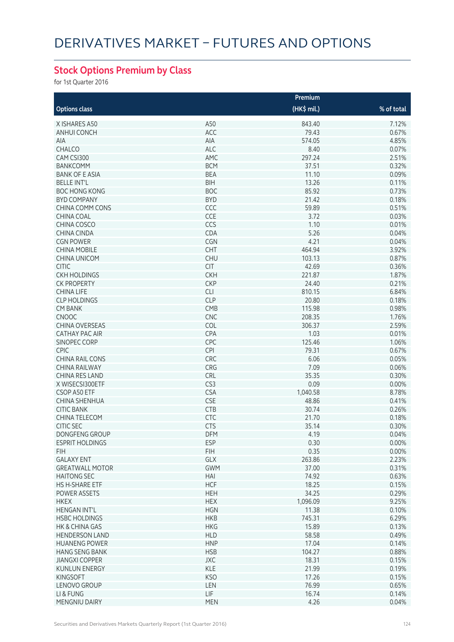## **Stock Options Premium by Class**

for 1st Quarter 2016

|                        | Premium    |              |            |  |
|------------------------|------------|--------------|------------|--|
| <b>Options class</b>   |            | $(HK\$ mil.) | % of total |  |
| X ISHARES A50          | A50        | 843.40       | 7.12%      |  |
| ANHUI CONCH            | ACC        | 79.43        | 0.67%      |  |
| AIA                    | AIA        | 574.05       | 4.85%      |  |
| <b>CHALCO</b>          | <b>ALC</b> | 8.40         | 0.07%      |  |
| CAM CSI300             | AMC        | 297.24       | 2.51%      |  |
| <b>BANKCOMM</b>        | <b>BCM</b> | 37.51        | 0.32%      |  |
| <b>BANK OF E ASIA</b>  | <b>BEA</b> | 11.10        | 0.09%      |  |
| <b>BELLE INT'L</b>     | <b>BIH</b> | 13.26        | 0.11%      |  |
| <b>BOC HONG KONG</b>   | <b>BOC</b> | 85.92        | 0.73%      |  |
| <b>BYD COMPANY</b>     | <b>BYD</b> | 21.42        | 0.18%      |  |
| CHINA COMM CONS        | CCC        | 59.89        | 0.51%      |  |
| <b>CHINA COAL</b>      | CCE        | 3.72         | 0.03%      |  |
| CHINA COSCO            | CCS        | 1.10         | 0.01%      |  |
|                        | CDA        | 5.26         | 0.04%      |  |
| CHINA CINDA            |            |              |            |  |
| <b>CGN POWER</b>       | CGN        | 4.21         | 0.04%      |  |
| <b>CHINA MOBILE</b>    | CHT        | 464.94       | 3.92%      |  |
| <b>CHINA UNICOM</b>    | <b>CHU</b> | 103.13       | 0.87%      |  |
| <b>CITIC</b>           | <b>CIT</b> | 42.69        | 0.36%      |  |
| <b>CKH HOLDINGS</b>    | <b>CKH</b> | 221.87       | 1.87%      |  |
| <b>CK PROPERTY</b>     | <b>CKP</b> | 24.40        | 0.21%      |  |
| <b>CHINA LIFE</b>      | <b>CLI</b> | 810.15       | 6.84%      |  |
| <b>CLP HOLDINGS</b>    | <b>CLP</b> | 20.80        | 0.18%      |  |
| <b>CM BANK</b>         | CMB        | 115.98       | 0.98%      |  |
| <b>CNOOC</b>           | CNC        | 208.35       | 1.76%      |  |
| <b>CHINA OVERSEAS</b>  | COL        | 306.37       | 2.59%      |  |
| CATHAY PAC AIR         | CPA        | 1.03         | 0.01%      |  |
| <b>SINOPEC CORP</b>    | CPC        | 125.46       | 1.06%      |  |
| <b>CPIC</b>            | <b>CPI</b> | 79.31        | 0.67%      |  |
| CHINA RAIL CONS        | CRC        | 6.06         | 0.05%      |  |
| <b>CHINA RAILWAY</b>   | CRG        | 7.09         | 0.06%      |  |
| <b>CHINA RES LAND</b>  | CRL        | 35.35        | 0.30%      |  |
| X WISECSI300ETF        | CS3        | 0.09         | 0.00%      |  |
| CSOP A50 ETF           | <b>CSA</b> | 1,040.58     | 8.78%      |  |
| CHINA SHENHUA          | <b>CSE</b> | 48.86        | 0.41%      |  |
| <b>CITIC BANK</b>      | <b>CTB</b> | 30.74        | 0.26%      |  |
| CHINA TELECOM          | CTC        | 21.70        | 0.18%      |  |
| <b>CITIC SEC</b>       | <b>CTS</b> | 35.14        | 0.30%      |  |
| DONGFENG GROUP         | <b>DFM</b> | 4.19         | 0.04%      |  |
| <b>ESPRIT HOLDINGS</b> | <b>ESP</b> | 0.30         | 0.00%      |  |
| FIH.                   | <b>FIH</b> | 0.35         | 0.00%      |  |
| <b>GALAXY ENT</b>      | GLX        | 263.86       | 2.23%      |  |
| <b>GREATWALL MOTOR</b> | <b>GWM</b> | 37.00        | 0.31%      |  |
| <b>HAITONG SEC</b>     | HAI        | 74.92        | 0.63%      |  |
| <b>HS H-SHARE ETF</b>  | <b>HCF</b> | 18.25        | 0.15%      |  |
| POWER ASSETS           | <b>HEH</b> | 34.25        | 0.29%      |  |
| <b>HKEX</b>            | <b>HEX</b> | 1,096.09     | 9.25%      |  |
| <b>HENGAN INT'L</b>    | <b>HGN</b> | 11.38        | 0.10%      |  |
| <b>HSBC HOLDINGS</b>   | <b>HKB</b> | 745.31       | 6.29%      |  |
| HK & CHINA GAS         | <b>HKG</b> | 15.89        | 0.13%      |  |
| <b>HENDERSON LAND</b>  | <b>HLD</b> | 58.58        | 0.49%      |  |
| <b>HUANENG POWER</b>   | <b>HNP</b> | 17.04        | 0.14%      |  |
| <b>HANG SENG BANK</b>  | <b>HSB</b> | 104.27       | 0.88%      |  |
| <b>JIANGXI COPPER</b>  | <b>JXC</b> | 18.31        | 0.15%      |  |
| <b>KUNLUN ENERGY</b>   | <b>KLE</b> | 21.99        | 0.19%      |  |
| <b>KINGSOFT</b>        | <b>KSO</b> | 17.26        | 0.15%      |  |
| LENOVO GROUP           | LEN        | 76.99        | 0.65%      |  |
| LI & FUNG              | <b>LIF</b> | 16.74        | 0.14%      |  |
|                        |            |              |            |  |
| MENGNIU DAIRY          | <b>MEN</b> | 4.26         | 0.04%      |  |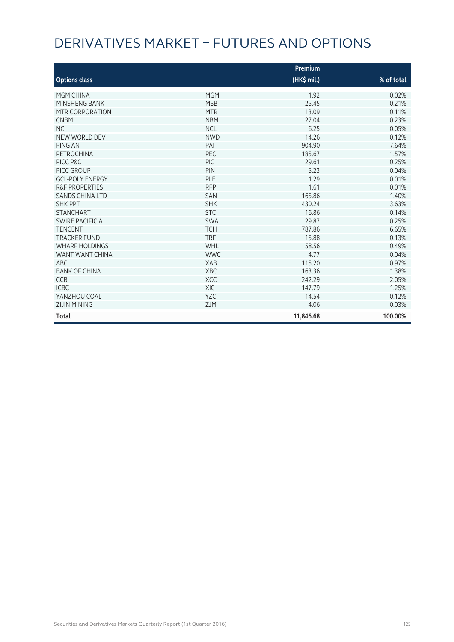# DERIVATIVES MARKET – FUTURES AND OPTIONS

|                           |            | Premium     |            |
|---------------------------|------------|-------------|------------|
| <b>Options class</b>      |            | (HK\$ mil.) | % of total |
| <b>MGM CHINA</b>          | <b>MGM</b> | 1.92        | 0.02%      |
| MINSHENG BANK             | <b>MSB</b> | 25.45       | 0.21%      |
| MTR CORPORATION           | <b>MTR</b> | 13.09       | 0.11%      |
| <b>CNBM</b>               | <b>NBM</b> | 27.04       | 0.23%      |
| <b>NCI</b>                | <b>NCL</b> | 6.25        | 0.05%      |
| NEW WORLD DEV             | <b>NWD</b> | 14.26       | 0.12%      |
| PING AN                   | PAI        | 904.90      | 7.64%      |
| PETROCHINA                | PEC        | 185.67      | 1.57%      |
| PICC P&C                  | PIC        | 29.61       | 0.25%      |
| PICC GROUP                | PIN        | 5.23        | 0.04%      |
| <b>GCL-POLY ENERGY</b>    | PLE        | 1.29        | 0.01%      |
| <b>R&amp;F PROPERTIES</b> | <b>RFP</b> | 1.61        | 0.01%      |
| <b>SANDS CHINA LTD</b>    | <b>SAN</b> | 165.86      | 1.40%      |
| <b>SHK PPT</b>            | <b>SHK</b> | 430.24      | 3.63%      |
| <b>STANCHART</b>          | <b>STC</b> | 16.86       | 0.14%      |
| <b>SWIRE PACIFIC A</b>    | <b>SWA</b> | 29.87       | 0.25%      |
| <b>TENCENT</b>            | <b>TCH</b> | 787.86      | 6.65%      |
| <b>TRACKER FUND</b>       | <b>TRF</b> | 15.88       | 0.13%      |
| <b>WHARF HOLDINGS</b>     | WHL        | 58.56       | 0.49%      |
| WANT WANT CHINA           | <b>WWC</b> | 4.77        | 0.04%      |
| <b>ABC</b>                | <b>XAB</b> | 115.20      | 0.97%      |
| <b>BANK OF CHINA</b>      | XBC        | 163.36      | 1.38%      |
| <b>CCB</b>                | <b>XCC</b> | 242.29      | 2.05%      |
| <b>ICBC</b>               | <b>XIC</b> | 147.79      | 1.25%      |
| YANZHOU COAL              | YZC        | 14.54       | 0.12%      |
| <b>ZIJIN MINING</b>       | <b>ZJM</b> | 4.06        | 0.03%      |
| Total                     |            | 11,846.68   | 100.00%    |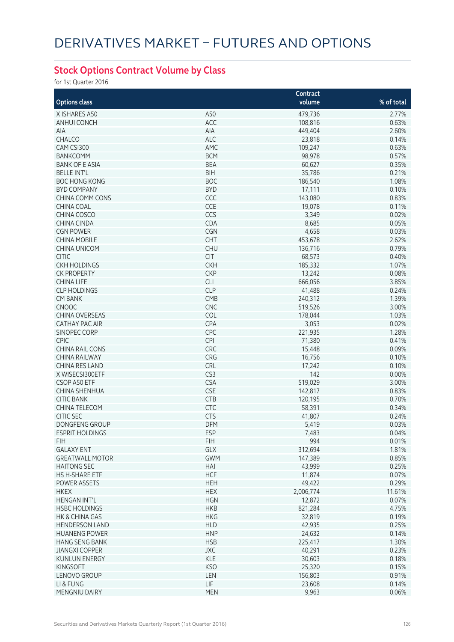### **Stock Options Contract Volume by Class**

for 1st Quarter 2016

|                        |            | Contract  |            |
|------------------------|------------|-----------|------------|
| <b>Options class</b>   |            | volume    | % of total |
| X ISHARES A50          | A50        | 479,736   | 2.77%      |
| <b>ANHUI CONCH</b>     | ACC        | 108,816   | 0.63%      |
| AIA                    | AIA        | 449,404   | 2.60%      |
| CHALCO                 | ALC        | 23,818    | 0.14%      |
| CAM CSI300             | AMC        | 109,247   | 0.63%      |
| <b>BANKCOMM</b>        | <b>BCM</b> | 98,978    | 0.57%      |
| <b>BANK OF E ASIA</b>  | <b>BEA</b> | 60,627    | 0.35%      |
|                        |            |           |            |
| <b>BELLE INT'L</b>     | <b>BIH</b> | 35,786    | 0.21%      |
| <b>BOC HONG KONG</b>   | <b>BOC</b> | 186,540   | 1.08%      |
| <b>BYD COMPANY</b>     | <b>BYD</b> | 17,111    | 0.10%      |
| CHINA COMM CONS        | CCC        | 143,080   | 0.83%      |
| <b>CHINA COAL</b>      | CCE        | 19,078    | 0.11%      |
| CHINA COSCO            | CCS        | 3,349     | 0.02%      |
| <b>CHINA CINDA</b>     | CDA        | 8,685     | 0.05%      |
| <b>CGN POWER</b>       | CGN        | 4,658     | 0.03%      |
| <b>CHINA MOBILE</b>    | CHT        | 453,678   | 2.62%      |
| <b>CHINA UNICOM</b>    | <b>CHU</b> | 136,716   | 0.79%      |
| <b>CITIC</b>           | <b>CIT</b> | 68,573    | 0.40%      |
| <b>CKH HOLDINGS</b>    | <b>CKH</b> | 185,332   | 1.07%      |
| <b>CK PROPERTY</b>     | <b>CKP</b> | 13,242    | 0.08%      |
| <b>CHINA LIFE</b>      | <b>CLI</b> | 666,056   | 3.85%      |
| <b>CLP HOLDINGS</b>    | <b>CLP</b> | 41,488    | 0.24%      |
| <b>CM BANK</b>         | CMB        | 240,312   | 1.39%      |
| CNOOC                  | <b>CNC</b> | 519,526   | 3.00%      |
| <b>CHINA OVERSEAS</b>  | COL        | 178,044   | 1.03%      |
| <b>CATHAY PAC AIR</b>  | CPA        | 3,053     | 0.02%      |
| SINOPEC CORP           | CPC        | 221,935   | 1.28%      |
| <b>CPIC</b>            | <b>CPI</b> | 71,380    | 0.41%      |
| <b>CHINA RAIL CONS</b> | CRC        | 15,448    | 0.09%      |
| <b>CHINA RAILWAY</b>   | CRG        | 16,756    | 0.10%      |
| CHINA RES LAND         | CRL        | 17,242    | 0.10%      |
| X WISECSI300ETF        | CS3        | 142       | 0.00%      |
| CSOP A50 ETF           | <b>CSA</b> | 519,029   | 3.00%      |
| <b>CHINA SHENHUA</b>   | <b>CSE</b> | 142,817   | 0.83%      |
| <b>CITIC BANK</b>      | <b>CTB</b> | 120,195   | 0.70%      |
| CHINA TELECOM          | CTC        |           | 0.34%      |
| <b>CITIC SEC</b>       |            | 58,391    |            |
|                        | <b>CTS</b> | 41,807    | 0.24%      |
| <b>DONGFENG GROUP</b>  | <b>DFM</b> | 5,419     | 0.03%      |
| ESPRIT HOLDINGS        | <b>ESP</b> | 7,483     | $0.04\%$   |
| <b>FIH</b>             | <b>FIH</b> | 994       | 0.01%      |
| <b>GALAXY ENT</b>      | GLX        | 312,694   | 1.81%      |
| <b>GREATWALL MOTOR</b> | <b>GWM</b> | 147,389   | 0.85%      |
| <b>HAITONG SEC</b>     | HAI        | 43,999    | 0.25%      |
| HS H-SHARE ETF         | <b>HCF</b> | 11,874    | 0.07%      |
| POWER ASSETS           | <b>HEH</b> | 49,422    | 0.29%      |
| <b>HKEX</b>            | <b>HEX</b> | 2,006,774 | 11.61%     |
| <b>HENGAN INT'L</b>    | <b>HGN</b> | 12,872    | 0.07%      |
| <b>HSBC HOLDINGS</b>   | <b>HKB</b> | 821,284   | 4.75%      |
| HK & CHINA GAS         | <b>HKG</b> | 32,819    | 0.19%      |
| <b>HENDERSON LAND</b>  | <b>HLD</b> | 42,935    | 0.25%      |
| <b>HUANENG POWER</b>   | <b>HNP</b> | 24,632    | 0.14%      |
| <b>HANG SENG BANK</b>  | <b>HSB</b> | 225,417   | 1.30%      |
| <b>JIANGXI COPPER</b>  | <b>JXC</b> | 40,291    | 0.23%      |
| <b>KUNLUN ENERGY</b>   | KLE        | 30,603    | 0.18%      |
| <b>KINGSOFT</b>        | <b>KSO</b> | 25,320    | 0.15%      |
| LENOVO GROUP           | LEN        | 156,803   | 0.91%      |
| LI & FUNG              | <b>LIF</b> | 23,608    | 0.14%      |
| MENGNIU DAIRY          | <b>MEN</b> | 9,963     | 0.06%      |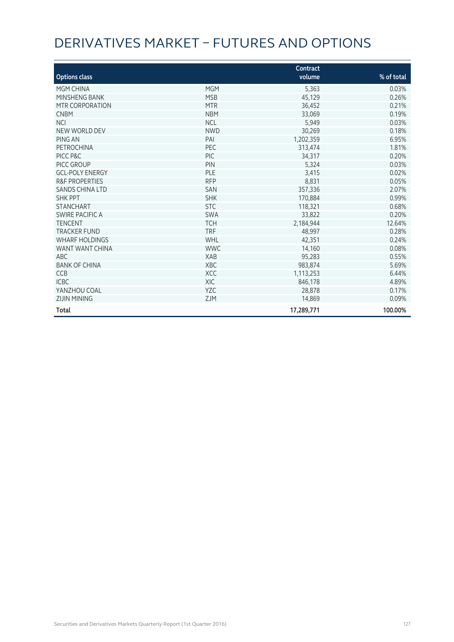# DERIVATIVES MARKET – FUTURES AND OPTIONS

| <b>Options class</b>      |            | Contract<br>volume | % of total |
|---------------------------|------------|--------------------|------------|
| MGM CHINA                 | <b>MGM</b> | 5,363              | 0.03%      |
| MINSHENG BANK             | <b>MSB</b> | 45,129             | 0.26%      |
| MTR CORPORATION           | <b>MTR</b> | 36,452             | 0.21%      |
| <b>CNBM</b>               | <b>NBM</b> | 33,069             | 0.19%      |
| <b>NCI</b>                | <b>NCL</b> | 5,949              | 0.03%      |
| NEW WORLD DEV             | <b>NWD</b> | 30,269             | 0.18%      |
| <b>PING AN</b>            | PAI        | 1,202,359          | 6.95%      |
| <b>PETROCHINA</b>         | PEC        | 313,474            | 1.81%      |
| PICC P&C                  | PIC        | 34,317             | 0.20%      |
| PICC GROUP                | PIN        | 5,324              | 0.03%      |
| <b>GCL-POLY ENERGY</b>    | PLE        | 3,415              | 0.02%      |
| <b>R&amp;F PROPERTIES</b> | <b>RFP</b> | 8,831              | 0.05%      |
| SANDS CHINA LTD           | <b>SAN</b> | 357,336            | 2.07%      |
| <b>SHK PPT</b>            | <b>SHK</b> | 170,884            | 0.99%      |
| <b>STANCHART</b>          | <b>STC</b> | 118,321            | 0.68%      |
| <b>SWIRE PACIFIC A</b>    | <b>SWA</b> | 33,822             | 0.20%      |
| <b>TENCENT</b>            | <b>TCH</b> | 2,184,944          | 12.64%     |
| <b>TRACKER FUND</b>       | <b>TRF</b> | 48,997             | 0.28%      |
| <b>WHARF HOLDINGS</b>     | WHL        | 42,351             | 0.24%      |
| WANT WANT CHINA           | <b>WWC</b> | 14,160             | 0.08%      |
| ABC                       | <b>XAB</b> | 95,283             | 0.55%      |
| <b>BANK OF CHINA</b>      | <b>XBC</b> | 983,874            | 5.69%      |
| <b>CCB</b>                | <b>XCC</b> | 1,113,253          | 6.44%      |
| <b>ICBC</b>               | <b>XIC</b> | 846,178            | 4.89%      |
| YANZHOU COAL              | <b>YZC</b> | 28,878             | 0.17%      |
| <b>ZIJIN MINING</b>       | <b>ZJM</b> | 14,869             | 0.09%      |
| <b>Total</b>              |            | 17,289,771         | 100.00%    |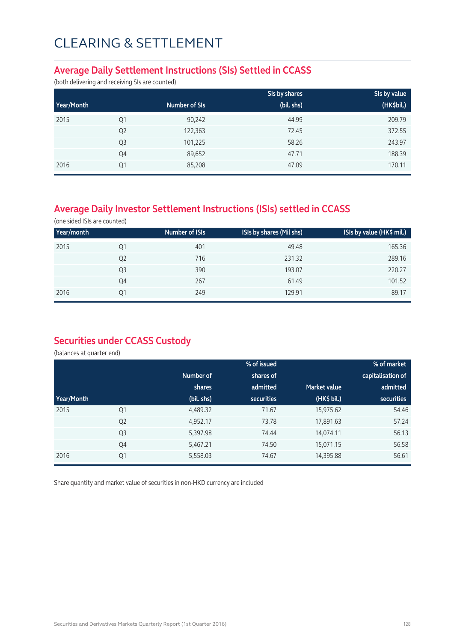### **Average Daily Settlement Instructions (SIs) Settled in CCASS**

(both delivering and receiving SIs are counted)

|            |                |               | SIs by shares | SIs by value |
|------------|----------------|---------------|---------------|--------------|
| Year/Month |                | Number of SIs | (bil. shs)    | (HK\$bil.)   |
| 2015       | Q1             | 90,242        | 44.99         | 209.79       |
|            | Q <sub>2</sub> | 122,363       | 72.45         | 372.55       |
|            | Q <sub>3</sub> | 101,225       | 58.26         | 243.97       |
|            | Q4             | 89,652        | 47.71         | 188.39       |
| 2016       | Q1             | 85,208        | 47.09         | 170.11       |

## **Average Daily Investor Settlement Instructions (ISIs) settled in CCASS**

(one sided ISIs are counted)

| Year/month |                | Number of ISIs | ISIs by shares (Mil shs) | ISIs by value (HK\$ mil.) |
|------------|----------------|----------------|--------------------------|---------------------------|
| 2015       | Q1             | 401            | 49.48                    | 165.36                    |
|            | Q <sub>2</sub> | 716            | 231.32                   | 289.16                    |
|            | Q <sub>3</sub> | 390            | 193.07                   | 220.27                    |
|            | Q4             | 267            | 61.49                    | 101.52                    |
| 2016       | Q1             | 249            | 129.91                   | 89.17                     |

### **Securities under CCASS Custody**

(balances at quarter end)

|            |                |            | % of issued |                     | % of market       |
|------------|----------------|------------|-------------|---------------------|-------------------|
|            |                | Number of  | shares of   |                     | capitalisation of |
|            |                | shares     | admitted    | <b>Market value</b> | admitted          |
| Year/Month |                | (bil. shs) | securities  | (HK\$ bil.)         | <b>securities</b> |
| 2015       | Q1             | 4,489.32   | 71.67       | 15,975.62           | 54.46             |
|            | Q <sub>2</sub> | 4,952.17   | 73.78       | 17,891.63           | 57.24             |
|            | Q <sub>3</sub> | 5,397.98   | 74.44       | 14,074.11           | 56.13             |
|            | Q4             | 5,467.21   | 74.50       | 15,071.15           | 56.58             |
| 2016       | Q <sub>1</sub> | 5,558.03   | 74.67       | 14,395.88           | 56.61             |

Share quantity and market value of securities in non-HKD currency are included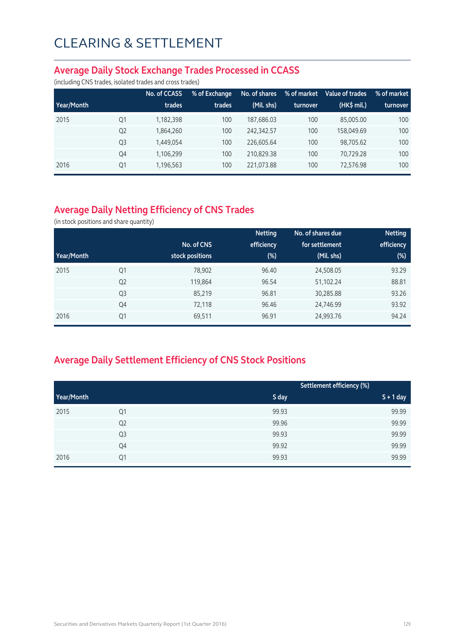#### **Average Daily Stock Exchange Trades Processed in CCASS**

(including CNS trades, isolated trades and cross trades)

|            |                | No. of CCASS | % of Exchange | No. of shares | % of market | Value of trades | % of market |
|------------|----------------|--------------|---------------|---------------|-------------|-----------------|-------------|
| Year/Month |                | trades       | trades        | (Mil. shs)    | turnover    | $(HK\$ mil.)    | turnover    |
| 2015       | Q1             | 1,182,398    | 100           | 187,686.03    | 100         | 85,005.00       | 100         |
|            | Q <sub>2</sub> | 1,864,260    | 100           | 242.342.57    | 100         | 158,049.69      | 100         |
|            | Q <sub>3</sub> | 1,449,054    | 100           | 226,605.64    | 100         | 98,705.62       | 100         |
|            | Q4             | 1,106,299    | 100           | 210.829.38    | 100         | 70,729.28       | 100         |
| 2016       | Q1             | 1,196,563    | 100           | 221,073.88    | 100         | 72,576.98       | 100         |

## **Average Daily Netting Efficiency of CNS Trades**

(in stock positions and share quantity)

|            |                |                 | <b>Netting</b> | No. of shares due | <b>Netting</b> |
|------------|----------------|-----------------|----------------|-------------------|----------------|
|            |                | No. of CNS      | efficiency     | for settlement    | efficiency     |
| Year/Month |                | stock positions | $(\%)$         | (Mil. shs)        | (%)            |
| 2015       | Q1             | 78,902          | 96.40          | 24,508.05         | 93.29          |
|            | Q <sub>2</sub> | 119,864         | 96.54          | 51,102.24         | 88.81          |
|            | Q <sub>3</sub> | 85,219          | 96.81          | 30,285.88         | 93.26          |
|            | Q4             | 72,118          | 96.46          | 24,746.99         | 93.92          |
| 2016       | Q1             | 69,511          | 96.91          | 24,993.76         | 94.24          |

## **Average Daily Settlement Efficiency of CNS Stock Positions**

|            |                |       | Settlement efficiency (%) |
|------------|----------------|-------|---------------------------|
| Year/Month |                | S day | $S + 1$ day               |
| 2015       | Q1             | 99.93 | 99.99                     |
|            | Q <sub>2</sub> | 99.96 | 99.99                     |
|            | Q <sub>3</sub> | 99.93 | 99.99                     |
|            | Q4             | 99.92 | 99.99                     |
| 2016       | Q1             | 99.93 | 99.99                     |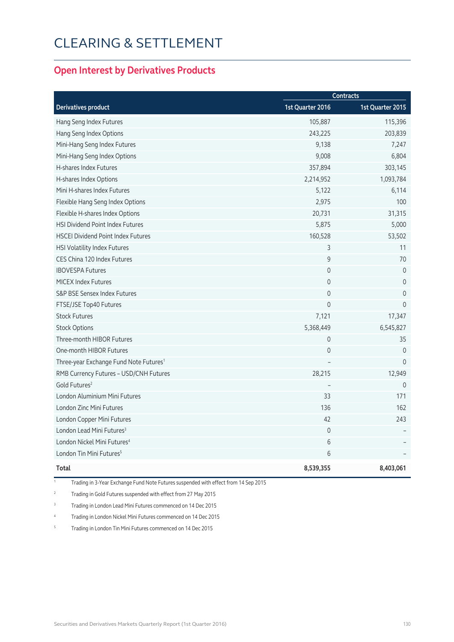### **Open Interest by Derivatives Products**

|                                                    | <b>Contracts</b> |                  |  |
|----------------------------------------------------|------------------|------------------|--|
| <b>Derivatives product</b>                         | 1st Quarter 2016 | 1st Quarter 2015 |  |
| Hang Seng Index Futures                            | 105,887          | 115,396          |  |
| Hang Seng Index Options                            | 243,225          | 203,839          |  |
| Mini-Hang Seng Index Futures                       | 9,138            | 7,247            |  |
| Mini-Hang Seng Index Options                       | 9,008            | 6,804            |  |
| H-shares Index Futures                             | 357,894          | 303,145          |  |
| H-shares Index Options                             | 2,214,952        | 1,093,784        |  |
| Mini H-shares Index Futures                        | 5,122            | 6,114            |  |
| Flexible Hang Seng Index Options                   | 2,975            | 100              |  |
| Flexible H-shares Index Options                    | 20,731           | 31,315           |  |
| <b>HSI Dividend Point Index Futures</b>            | 5,875            | 5,000            |  |
| <b>HSCEI Dividend Point Index Futures</b>          | 160,528          | 53,502           |  |
| HSI Volatility Index Futures                       | 3                | 11               |  |
| CES China 120 Index Futures                        | 9                | 70               |  |
| <b>IBOVESPA Futures</b>                            | $\mathbf 0$      | $\mathbf 0$      |  |
| <b>MICEX Index Futures</b>                         | $\overline{0}$   | $\overline{0}$   |  |
| S&P BSE Sensex Index Futures                       | $\mathbf 0$      | $\mathbf 0$      |  |
| FTSE/JSE Top40 Futures                             | $\Omega$         | $\Omega$         |  |
| <b>Stock Futures</b>                               | 7,121            | 17,347           |  |
| <b>Stock Options</b>                               | 5,368,449        | 6,545,827        |  |
| Three-month HIBOR Futures                          | $\mathbf 0$      | 35               |  |
| One-month HIBOR Futures                            | $\mathbf 0$      | $\mathbf{0}$     |  |
| Three-year Exchange Fund Note Futures <sup>1</sup> |                  | $\Omega$         |  |
| RMB Currency Futures - USD/CNH Futures             | 28,215           | 12,949           |  |
| Gold Futures <sup>2</sup>                          |                  | $\mathbf{0}$     |  |
| London Aluminium Mini Futures                      | 33               | 171              |  |
| <b>London Zinc Mini Futures</b>                    | 136              | 162              |  |
| London Copper Mini Futures                         | 42               | 243              |  |
| London Lead Mini Futures <sup>3</sup>              | $\mathbf 0$      |                  |  |
| London Nickel Mini Futures <sup>4</sup>            | 6                |                  |  |
| London Tin Mini Futures <sup>5</sup>               | 6                |                  |  |
| Total                                              | 8,539,355        | 8,403,061        |  |

1 Trading in 3-Year Exchange Fund Note Futures suspended with effect from 14 Sep 2015

2 Trading in Gold Futures suspended with effect from 27 May 2015

<sup>3</sup> Trading in London Lead Mini Futures commenced on 14 Dec 2015

4 Trading in London Nickel Mini Futures commenced on 14 Dec 2015

5 Trading in London Tin Mini Futures commenced on 14 Dec 2015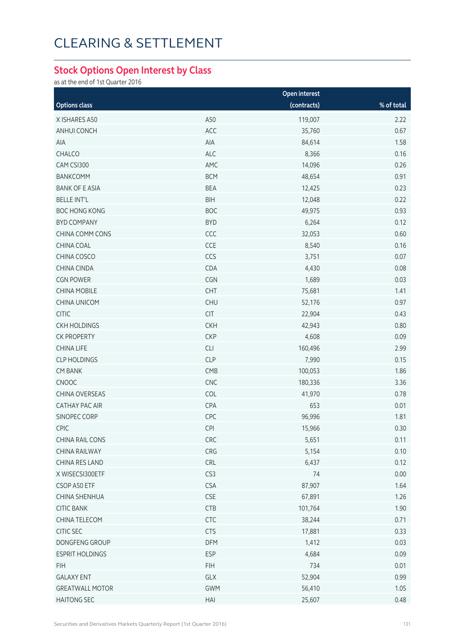### **Stock Options Open Interest by Class**

as at the end of 1st Quarter 2016

|                        |                       | Open interest |            |
|------------------------|-----------------------|---------------|------------|
| <b>Options class</b>   |                       | (contracts)   | % of total |
| X ISHARES A50          | A50                   | 119,007       | 2.22       |
| ANHUI CONCH            | ACC                   | 35,760        | 0.67       |
| AIA                    | AIA                   | 84,614        | 1.58       |
| CHALCO                 | ALC                   | 8,366         | 0.16       |
| CAM CSI300             | AMC                   | 14,096        | 0.26       |
| <b>BANKCOMM</b>        | <b>BCM</b>            | 48,654        | 0.91       |
| <b>BANK OF E ASIA</b>  | <b>BEA</b>            | 12,425        | 0.23       |
| <b>BELLE INT'L</b>     | <b>BIH</b>            | 12,048        | 0.22       |
| <b>BOC HONG KONG</b>   | <b>BOC</b>            | 49,975        | 0.93       |
| <b>BYD COMPANY</b>     | <b>BYD</b>            | 6,264         | 0.12       |
| CHINA COMM CONS        | CCC                   | 32,053        | 0.60       |
| CHINA COAL             | CCE                   | 8,540         | 0.16       |
| CHINA COSCO            | CCS                   | 3,751         | 0.07       |
| CHINA CINDA            | CDA                   | 4,430         | 0.08       |
| <b>CGN POWER</b>       | CGN                   | 1,689         | 0.03       |
| <b>CHINA MOBILE</b>    | CHT                   | 75,681        | 1.41       |
| <b>CHINA UNICOM</b>    | CHU                   | 52,176        | 0.97       |
| <b>CITIC</b>           | CIT                   | 22,904        | 0.43       |
| <b>CKH HOLDINGS</b>    | <b>CKH</b>            | 42,943        | 0.80       |
| <b>CK PROPERTY</b>     | <b>CKP</b>            | 4,608         | 0.09       |
| <b>CHINA LIFE</b>      | CLI                   | 160,496       | 2.99       |
| <b>CLP HOLDINGS</b>    | <b>CLP</b>            | 7,990         | 0.15       |
| <b>CM BANK</b>         | CMB                   | 100,053       | 1.86       |
| CNOOC                  | CNC                   | 180,336       | 3.36       |
| CHINA OVERSEAS         | COL                   | 41,970        | 0.78       |
| <b>CATHAY PAC AIR</b>  | CPA                   | 653           | 0.01       |
| SINOPEC CORP           | CPC                   | 96,996        | 1.81       |
| <b>CPIC</b>            | <b>CPI</b>            | 15,966        | 0.30       |
| CHINA RAIL CONS        | CRC                   | 5,651         | 0.11       |
| CHINA RAILWAY          | CRG                   | 5,154         | 0.10       |
| CHINA RES LAND         | CRL                   | 6,437         | 0.12       |
| X WISECSI300ETF        | CS3                   | 74            | 0.00       |
| CSOP A50 ETF           | <b>CSA</b>            | 87,907        | 1.64       |
| CHINA SHENHUA          | $\mathsf{CSE}\xspace$ | 67,891        | 1.26       |
| <b>CITIC BANK</b>      | <b>CTB</b>            | 101,764       | 1.90       |
| CHINA TELECOM          | <b>CTC</b>            | 38,244        | 0.71       |
| CITIC SEC              | <b>CTS</b>            | 17,881        | 0.33       |
| DONGFENG GROUP         | DFM                   | 1,412         | 0.03       |
| <b>ESPRIT HOLDINGS</b> | ESP                   | 4,684         | 0.09       |
| <b>FIH</b>             | <b>FIH</b>            | 734           | 0.01       |
| <b>GALAXY ENT</b>      | GLX                   | 52,904        | 0.99       |
| <b>GREATWALL MOTOR</b> | <b>GWM</b>            | 56,410        | 1.05       |
| <b>HAITONG SEC</b>     | HAI                   | 25,607        | 0.48       |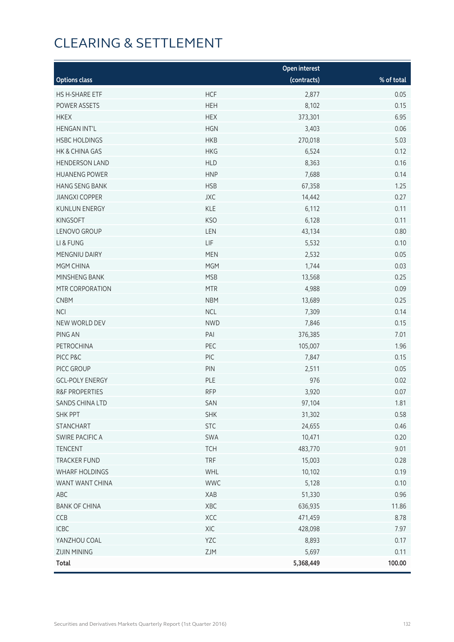|                           |            | Open interest |            |
|---------------------------|------------|---------------|------------|
| <b>Options class</b>      |            | (contracts)   | % of total |
| HS H-SHARE ETF            | <b>HCF</b> | 2,877         | 0.05       |
| POWER ASSETS              | <b>HEH</b> | 8,102         | 0.15       |
| <b>HKEX</b>               | <b>HEX</b> | 373,301       | 6.95       |
| <b>HENGAN INT'L</b>       | <b>HGN</b> | 3,403         | 0.06       |
| <b>HSBC HOLDINGS</b>      | <b>HKB</b> | 270,018       | 5.03       |
| HK & CHINA GAS            | <b>HKG</b> | 6,524         | 0.12       |
| <b>HENDERSON LAND</b>     | <b>HLD</b> | 8,363         | 0.16       |
| <b>HUANENG POWER</b>      | <b>HNP</b> | 7,688         | 0.14       |
| <b>HANG SENG BANK</b>     | <b>HSB</b> | 67,358        | 1.25       |
| <b>JIANGXI COPPER</b>     | <b>JXC</b> | 14,442        | 0.27       |
| <b>KUNLUN ENERGY</b>      | <b>KLE</b> | 6,112         | 0.11       |
| <b>KINGSOFT</b>           | <b>KSO</b> | 6,128         | 0.11       |
| LENOVO GROUP              | LEN        | 43,134        | 0.80       |
| LI & FUNG                 | <b>LIF</b> | 5,532         | 0.10       |
| MENGNIU DAIRY             | <b>MEN</b> | 2,532         | 0.05       |
| MGM CHINA                 | <b>MGM</b> | 1,744         | 0.03       |
| MINSHENG BANK             | <b>MSB</b> | 13,568        | 0.25       |
| MTR CORPORATION           | <b>MTR</b> | 4,988         | 0.09       |
| <b>CNBM</b>               | <b>NBM</b> | 13,689        | 0.25       |
| <b>NCI</b>                | <b>NCL</b> | 7,309         | 0.14       |
| NEW WORLD DEV             | <b>NWD</b> | 7,846         | 0.15       |
| PING AN                   | PAI        | 376,385       | 7.01       |
| PETROCHINA                | PEC        | 105,007       | 1.96       |
| PICC P&C                  | PIC        | 7,847         | 0.15       |
| PICC GROUP                | PIN        | 2,511         | 0.05       |
| <b>GCL-POLY ENERGY</b>    | PLE        | 976           | 0.02       |
| <b>R&amp;F PROPERTIES</b> | <b>RFP</b> | 3,920         | 0.07       |
| SANDS CHINA LTD           | SAN        | 97,104        | 1.81       |
| SHK PPT                   | <b>SHK</b> | 31,302        | 0.58       |
| <b>STANCHART</b>          | <b>STC</b> | 24,655        | 0.46       |
| <b>SWIRE PACIFIC A</b>    | SWA        | 10,471        | 0.20       |
| <b>TENCENT</b>            | <b>TCH</b> | 483,770       | 9.01       |
| <b>TRACKER FUND</b>       | <b>TRF</b> | 15,003        | 0.28       |
| <b>WHARF HOLDINGS</b>     | WHL        | 10,102        | 0.19       |
| WANT WANT CHINA           | <b>WWC</b> | 5,128         | 0.10       |
| ABC                       | XAB        | 51,330        | 0.96       |
| <b>BANK OF CHINA</b>      | XBC        | 636,935       | 11.86      |
| CCB                       | XCC        | 471,459       | 8.78       |
| ICBC                      | XIC        | 428,098       | 7.97       |
| YANZHOU COAL              | YZC        | 8,893         | 0.17       |
| <b>ZIJIN MINING</b>       | ZJM        | 5,697         | 0.11       |
| <b>Total</b>              |            | 5,368,449     | 100.00     |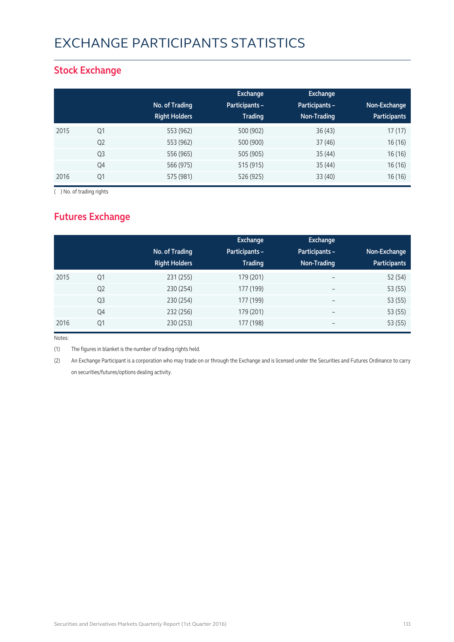# EXCHANGE PARTICIPANTS STATISTICS

### **Stock Exchange**

|      |                | No. of Trading<br><b>Right Holders</b> | Exchange<br>Participants -<br><b>Trading</b> | Exchange<br>Participants -<br>Non-Trading | Non-Exchange<br><b>Participants</b> |
|------|----------------|----------------------------------------|----------------------------------------------|-------------------------------------------|-------------------------------------|
| 2015 | Q1             | 553 (962)                              | 500 (902)                                    | 36(43)                                    | 17(17)                              |
|      | Q <sub>2</sub> | 553 (962)                              | 500 (900)                                    | 37(46)                                    | 16 (16)                             |
|      | Q <sub>3</sub> | 556 (965)                              | 505 (905)                                    | 35(44)                                    | 16(16)                              |
|      | Q4             | 566 (975)                              | 515 (915)                                    | 35(44)                                    | 16 (16)                             |
| 2016 | Q1             | 575 (981)                              | 526 (925)                                    | 33(40)                                    | 16(16)                              |

( ) No. of trading rights

## **Futures Exchange**

|      |                | No. of Trading<br><b>Right Holders</b> | Exchange<br><b>Participants -</b><br><b>Trading</b> | <b>Exchange</b><br>Participants -<br>Non-Trading | Non-Exchange<br><b>Participants</b> |
|------|----------------|----------------------------------------|-----------------------------------------------------|--------------------------------------------------|-------------------------------------|
| 2015 | Q <sub>1</sub> | 231 (255)                              | 179 (201)                                           | $\overline{\phantom{a}}$                         | 52 (54)                             |
|      | Q <sub>2</sub> | 230 (254)                              | 177 (199)                                           | $\overline{\phantom{a}}$                         | 53 (55)                             |
|      | Q <sub>3</sub> | 230 (254)                              | 177 (199)                                           | $\overline{\phantom{m}}$                         | 53 (55)                             |
|      | Q4             | 232 (256)                              | 179 (201)                                           | $\overline{\phantom{a}}$                         | 53 (55)                             |
| 2016 | Q1             | 230 (253)                              | 177 (198)                                           |                                                  | 53 (55)                             |

Notes:

(1) The figures in blanket is the number of trading rights held.

(2) An Exchange Participant is a corporation who may trade on or through the Exchange and is licensed under the Securities and Futures Ordinance to carry on securities/futures/options dealing activity.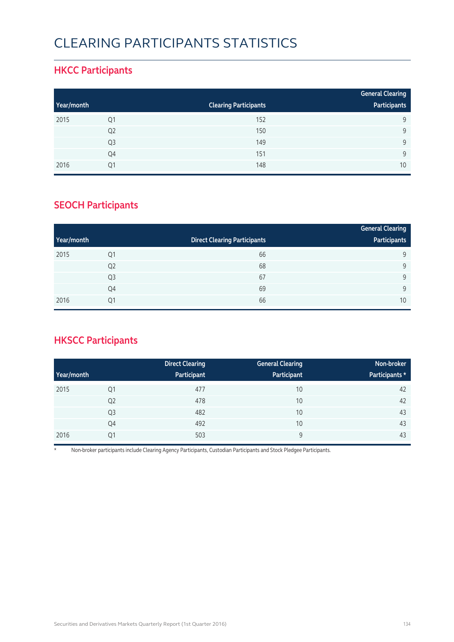# CLEARING PARTICIPANTS STATISTICS

### **HKCC Participants**

|            |                |                              | <b>General Clearing</b> |
|------------|----------------|------------------------------|-------------------------|
| Year/month |                | <b>Clearing Participants</b> | Participants            |
| 2015       | Q1             | 152                          | 9                       |
|            | Q <sub>2</sub> | 150                          | Q                       |
|            | Q <sub>3</sub> | 149                          | Q                       |
|            | Q4             | 151                          | $\mathsf{Q}$            |
| 2016       | 01             | 148                          | 10                      |

### **SEOCH Participants**

|            |                |                                     | <b>General Clearing</b> |
|------------|----------------|-------------------------------------|-------------------------|
| Year/month |                | <b>Direct Clearing Participants</b> | Participants            |
| 2015       | Q1             | 66                                  | 9                       |
|            | Q <sub>2</sub> | 68                                  | 9                       |
|            | Q <sub>3</sub> | 67                                  | 9                       |
|            | Q4             | 69                                  | 9                       |
| 2016       | Q1             | 66                                  | 10                      |

## **HKSCC Participants**

|            |                | <b>Direct Clearing</b> | <b>General Clearing</b> | Non-broker     |
|------------|----------------|------------------------|-------------------------|----------------|
| Year/month |                | Participant            | Participant             | Participants * |
| 2015       | Q1             | 477                    | 10                      | 42             |
|            | Q <sub>2</sub> | 478                    | 10                      | 42             |
|            | Q <sub>3</sub> | 482                    | 10                      | 43             |
|            | Q4             | 492                    | 10                      | 43             |
| 2016       | Q1             | 503                    | 9                       | 43             |

\* Non-broker participants include Clearing Agency Participants, Custodian Participants and Stock Pledgee Participants.